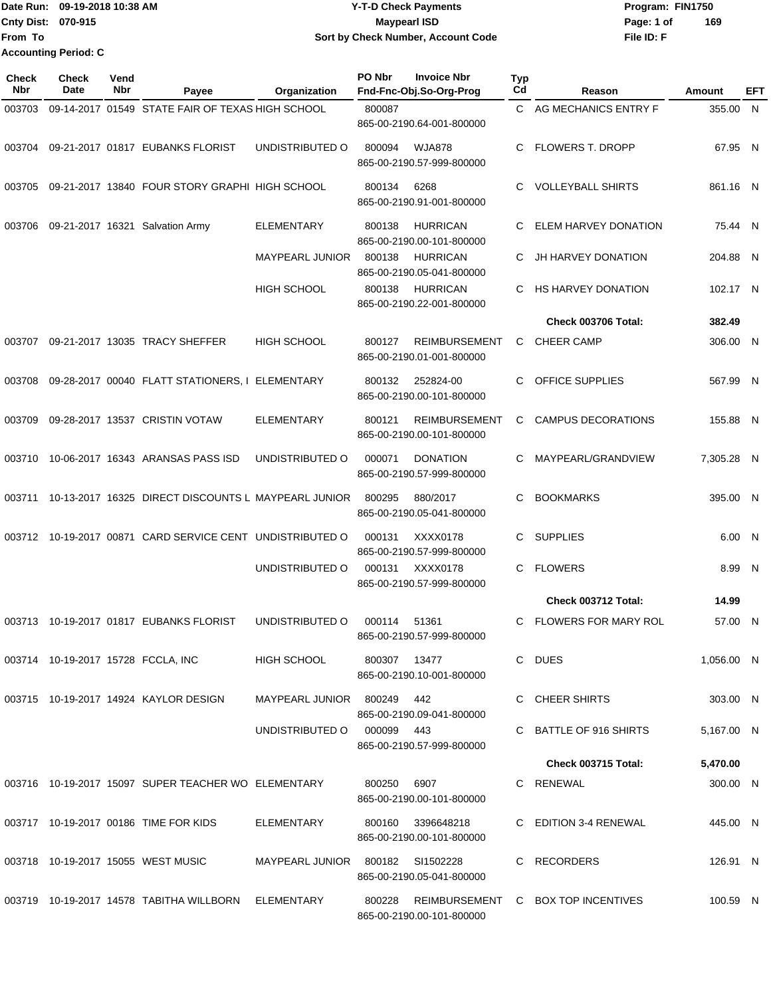|                             | Date Run: 09-19-2018 10:38 AM | <b>Y-T-D Check Payments</b>        | Program: FIN1750 |     |
|-----------------------------|-------------------------------|------------------------------------|------------------|-----|
| <b>Cnty Dist: 070-915</b>   |                               | Maypearl ISD                       | Page: 1 of       | 169 |
| <b>IFrom To</b>             |                               | Sort by Check Number, Account Code | File ID: F       |     |
| <b>Accounting Period: C</b> |                               |                                    |                  |     |

| <b>Check</b><br>Nbr | Check<br>Date | Vend<br>Nbr | Payee                                                     | Organization                     | PO Nbr       | <b>Invoice Nbr</b><br>Fnd-Fnc-Obj.So-Org-Prog     | <b>Typ</b><br>Cd | Reason                             | Amount     | EFT |
|---------------------|---------------|-------------|-----------------------------------------------------------|----------------------------------|--------------|---------------------------------------------------|------------------|------------------------------------|------------|-----|
| 003703              |               |             | 09-14-2017 01549 STATE FAIR OF TEXAS HIGH SCHOOL          |                                  | 800087       | 865-00-2190.64-001-800000                         |                  | C AG MECHANICS ENTRY F             | 355.00 N   |     |
|                     |               |             | 003704 09-21-2017 01817 EUBANKS FLORIST                   | UNDISTRIBUTED O                  | 800094       | <b>WJA878</b><br>865-00-2190.57-999-800000        | C                | <b>FLOWERS T. DROPP</b>            | 67.95 N    |     |
| 003705              |               |             | 09-21-2017 13840 FOUR STORY GRAPHI HIGH SCHOOL            |                                  | 800134       | 6268<br>865-00-2190.91-001-800000                 | C.               | <b>VOLLEYBALL SHIRTS</b>           | 861.16 N   |     |
| 003706              |               |             | 09-21-2017 16321 Salvation Army                           | ELEMENTARY                       | 800138       | <b>HURRICAN</b><br>865-00-2190.00-101-800000      | C.               | ELEM HARVEY DONATION               | 75.44 N    |     |
|                     |               |             |                                                           | <b>MAYPEARL JUNIOR</b>           | 800138       | <b>HURRICAN</b><br>865-00-2190.05-041-800000      | C                | JH HARVEY DONATION                 | 204.88 N   |     |
|                     |               |             |                                                           | HIGH SCHOOL                      | 800138       | <b>HURRICAN</b><br>865-00-2190.22-001-800000      | C                | <b>HS HARVEY DONATION</b>          | 102.17 N   |     |
|                     |               |             |                                                           |                                  |              |                                                   |                  | Check 003706 Total:                | 382.49     |     |
| 003707              |               |             | 09-21-2017 13035 TRACY SHEFFER                            | <b>HIGH SCHOOL</b>               | 800127       | <b>REIMBURSEMENT</b><br>865-00-2190.01-001-800000 | C                | <b>CHEER CAMP</b>                  | 306.00 N   |     |
| 003708              |               |             | 09-28-2017 00040 FLATT STATIONERS, I ELEMENTARY           |                                  | 800132       | 252824-00<br>865-00-2190.00-101-800000            | C                | OFFICE SUPPLIES                    | 567.99 N   |     |
| 003709              |               |             | 09-28-2017 13537 CRISTIN VOTAW                            | ELEMENTARY                       | 800121       | <b>REIMBURSEMENT</b><br>865-00-2190.00-101-800000 | C                | <b>CAMPUS DECORATIONS</b>          | 155.88 N   |     |
| 003710              |               |             | 10-06-2017 16343 ARANSAS PASS ISD                         | UNDISTRIBUTED O                  | 000071       | <b>DONATION</b><br>865-00-2190.57-999-800000      | C                | MAYPEARL/GRANDVIEW                 | 7,305.28 N |     |
| 003711              |               |             | 10-13-2017 16325 DIRECT DISCOUNTS L MAYPEARL JUNIOR       |                                  | 800295       | 880/2017<br>865-00-2190.05-041-800000             | C                | <b>BOOKMARKS</b>                   | 395.00 N   |     |
|                     |               |             | 003712 10-19-2017 00871 CARD SERVICE CENT UNDISTRIBUTED O |                                  | 000131       | XXXX0178<br>865-00-2190.57-999-800000             | C                | <b>SUPPLIES</b>                    | 6.00 N     |     |
|                     |               |             |                                                           | UNDISTRIBUTED O                  | 000131       | XXXX0178<br>865-00-2190.57-999-800000             | C                | <b>FLOWERS</b>                     | 8.99 N     |     |
|                     |               |             |                                                           |                                  |              |                                                   |                  | Check 003712 Total:                | 14.99      |     |
| 003713              |               |             | 10-19-2017 01817 EUBANKS FLORIST                          | UNDISTRIBUTED O                  | 000114       | 51361<br>865-00-2190.57-999-800000                | C                | <b>FLOWERS FOR MARY ROL</b>        | 57.00 N    |     |
|                     |               |             | 003714 10-19-2017 15728 FCCLA, INC                        | HIGH SCHOOL                      | 800307 13477 | 865-00-2190.10-001-800000                         |                  | C DUES                             | 1,056.00 N |     |
|                     |               |             | 003715 10-19-2017 14924 KAYLOR DESIGN                     | MAYPEARL JUNIOR 800249           |              | 442<br>865-00-2190.09-041-800000                  |                  | C CHEER SHIRTS                     | 303.00 N   |     |
|                     |               |             |                                                           | UNDISTRIBUTED O                  | 000099 443   | 865-00-2190.57-999-800000                         |                  | C BATTLE OF 916 SHIRTS             | 5,167.00 N |     |
|                     |               |             |                                                           |                                  |              |                                                   |                  | <b>Check 003715 Total:</b>         | 5,470.00   |     |
|                     |               |             | 003716 10-19-2017 15097 SUPER TEACHER WO ELEMENTARY       |                                  | 800250       | 6907<br>865-00-2190.00-101-800000                 |                  | C RENEWAL                          | 300.00 N   |     |
|                     |               |             | 003717 10-19-2017 00186 TIME FOR KIDS                     | ELEMENTARY                       | 800160       | 3396648218<br>865-00-2190.00-101-800000           |                  | C EDITION 3-4 RENEWAL              | 445.00 N   |     |
|                     |               |             | 003718 10-19-2017 15055 WEST MUSIC                        | MAYPEARL JUNIOR 800182 SI1502228 |              | 865-00-2190.05-041-800000                         |                  | C RECORDERS                        | 126.91 N   |     |
|                     |               |             | 003719 10-19-2017 14578 TABITHA WILLBORN ELEMENTARY       |                                  | 800228       | 865-00-2190.00-101-800000                         |                  | REIMBURSEMENT C BOX TOP INCENTIVES | 100.59 N   |     |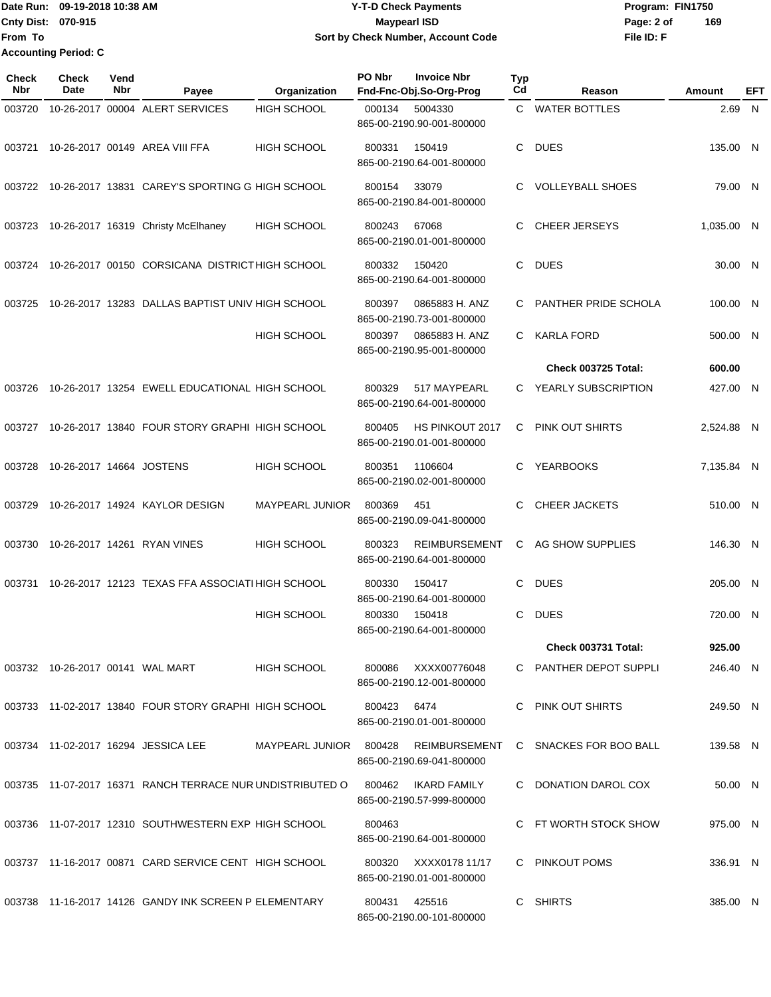## Date Run: 09-19-2018 10:38 AM **CONTEX 18 AM CONTEX 18 AM CONTEX 17-T-D** Check Payments **CONTEX 18 AM CONTEX 18 AM CONTEX 18 AM CONTEX 18 AM CONTEX 18 AM CONTEX 18 AM CONTEX 18 AM CONTEX 18 AM CONTEX 19 AM CONTEX 19 AM CONT Cnty Dist:** 070-915 **Page: 2 of Page: 2 of MaypearI ISD 09-19-2018 10:38 AM Y-T-D Check Payments 070-915 Maypearl ISD Sort by Check Number, Account Code**

| <b>Check</b><br>Nbr | <b>Check</b><br><b>Date</b> | Vend<br>Nbr | Payee                                                     | Organization           | PO Nbr | <b>Invoice Nbr</b><br>Fnd-Fnc-Obj.So-Org-Prog     | Typ<br>Cd | Reason                  | Amount     | EFT          |
|---------------------|-----------------------------|-------------|-----------------------------------------------------------|------------------------|--------|---------------------------------------------------|-----------|-------------------------|------------|--------------|
| 003720              |                             |             | 10-26-2017 00004 ALERT SERVICES                           | <b>HIGH SCHOOL</b>     | 000134 | 5004330<br>865-00-2190.90-001-800000              | C.        | <b>WATER BOTTLES</b>    | 2.69       | $\mathsf{N}$ |
| 003721              |                             |             | 10-26-2017 00149 AREA VIII FFA                            | <b>HIGH SCHOOL</b>     | 800331 | 150419<br>865-00-2190.64-001-800000               | C         | <b>DUES</b>             | 135.00 N   |              |
| 003722              |                             |             | 10-26-2017 13831 CAREY'S SPORTING G HIGH SCHOOL           |                        | 800154 | 33079<br>865-00-2190.84-001-800000                |           | <b>VOLLEYBALL SHOES</b> | 79.00 N    |              |
| 003723              |                             |             | 10-26-2017 16319 Christy McElhaney                        | <b>HIGH SCHOOL</b>     | 800243 | 67068<br>865-00-2190.01-001-800000                | C         | <b>CHEER JERSEYS</b>    | 1,035.00 N |              |
| 003724              |                             |             | 10-26-2017 00150 CORSICANA DISTRICTHIGH SCHOOL            |                        | 800332 | 150420<br>865-00-2190.64-001-800000               | C         | <b>DUES</b>             | 30.00 N    |              |
| 003725              |                             |             | 10-26-2017 13283 DALLAS BAPTIST UNIV HIGH SCHOOL          |                        | 800397 | 0865883 H. ANZ<br>865-00-2190.73-001-800000       | C         | PANTHER PRIDE SCHOLA    | 100.00 N   |              |
|                     |                             |             |                                                           | <b>HIGH SCHOOL</b>     | 800397 | 0865883 H. ANZ<br>865-00-2190.95-001-800000       | C         | <b>KARLA FORD</b>       | 500.00 N   |              |
|                     |                             |             |                                                           |                        |        |                                                   |           | Check 003725 Total:     | 600.00     |              |
| 003726              |                             |             | 10-26-2017 13254 EWELL EDUCATIONAL HIGH SCHOOL            |                        | 800329 | 517 MAYPEARL<br>865-00-2190.64-001-800000         | C.        | YEARLY SUBSCRIPTION     | 427.00 N   |              |
| 003727              |                             |             | 10-26-2017 13840 FOUR STORY GRAPHI HIGH SCHOOL            |                        | 800405 | HS PINKOUT 2017<br>865-00-2190.01-001-800000      | C         | PINK OUT SHIRTS         | 2,524.88 N |              |
| 003728              | 10-26-2017 14664 JOSTENS    |             |                                                           | <b>HIGH SCHOOL</b>     | 800351 | 1106604<br>865-00-2190.02-001-800000              | C         | <b>YEARBOOKS</b>        | 7,135.84 N |              |
| 003729              |                             |             | 10-26-2017 14924 KAYLOR DESIGN                            | MAYPEARL JUNIOR        | 800369 | 451<br>865-00-2190.09-041-800000                  | C         | <b>CHEER JACKETS</b>    | 510.00 N   |              |
| 003730              |                             |             | 10-26-2017 14261 RYAN VINES                               | <b>HIGH SCHOOL</b>     | 800323 | <b>REIMBURSEMENT</b><br>865-00-2190.64-001-800000 | C         | AG SHOW SUPPLIES        | 146.30 N   |              |
| 003731              |                             |             | 10-26-2017 12123 TEXAS FFA ASSOCIATI HIGH SCHOOL          |                        | 800330 | 150417<br>865-00-2190.64-001-800000               | C         | <b>DUES</b>             | 205.00 N   |              |
|                     |                             |             |                                                           | <b>HIGH SCHOOL</b>     | 800330 | 150418<br>865-00-2190.64-001-800000               | С         | <b>DUES</b>             | 720.00 N   |              |
|                     |                             |             |                                                           |                        |        |                                                   |           | Check 003731 Total:     | 925.00     |              |
|                     |                             |             | 003732 10-26-2017 00141 WAL MART                          | <b>HIGH SCHOOL</b>     | 800086 | XXXX00776048<br>865-00-2190.12-001-800000         |           | C PANTHER DEPOT SUPPLI  | 246.40 N   |              |
|                     |                             |             | 003733 11-02-2017 13840 FOUR STORY GRAPHI HIGH SCHOOL     |                        | 800423 | 6474<br>865-00-2190.01-001-800000                 | C         | PINK OUT SHIRTS         | 249.50 N   |              |
|                     |                             |             | 003734 11-02-2017 16294 JESSICA LEE                       | MAYPEARL JUNIOR 800428 |        | <b>REIMBURSEMENT</b><br>865-00-2190.69-041-800000 |           | C SNACKES FOR BOO BALL  | 139.58 N   |              |
|                     |                             |             | 003735 11-07-2017 16371 RANCH TERRACE NUR UNDISTRIBUTED O |                        | 800462 | IKARD FAMILY<br>865-00-2190.57-999-800000         |           | C DONATION DAROL COX    | 50.00 N    |              |
|                     |                             |             | 003736 11-07-2017 12310 SOUTHWESTERN EXP HIGH SCHOOL      |                        | 800463 | 865-00-2190.64-001-800000                         |           | C FT WORTH STOCK SHOW   | 975.00 N   |              |
|                     |                             |             | 003737 11-16-2017 00871 CARD SERVICE CENT HIGH SCHOOL     |                        | 800320 | XXXX0178 11/17<br>865-00-2190.01-001-800000       |           | C PINKOUT POMS          | 336.91 N   |              |
|                     |                             |             | 003738 11-16-2017 14126 GANDY INK SCREEN P ELEMENTARY     |                        | 800431 | 425516<br>865-00-2190.00-101-800000               |           | C SHIRTS                | 385.00 N   |              |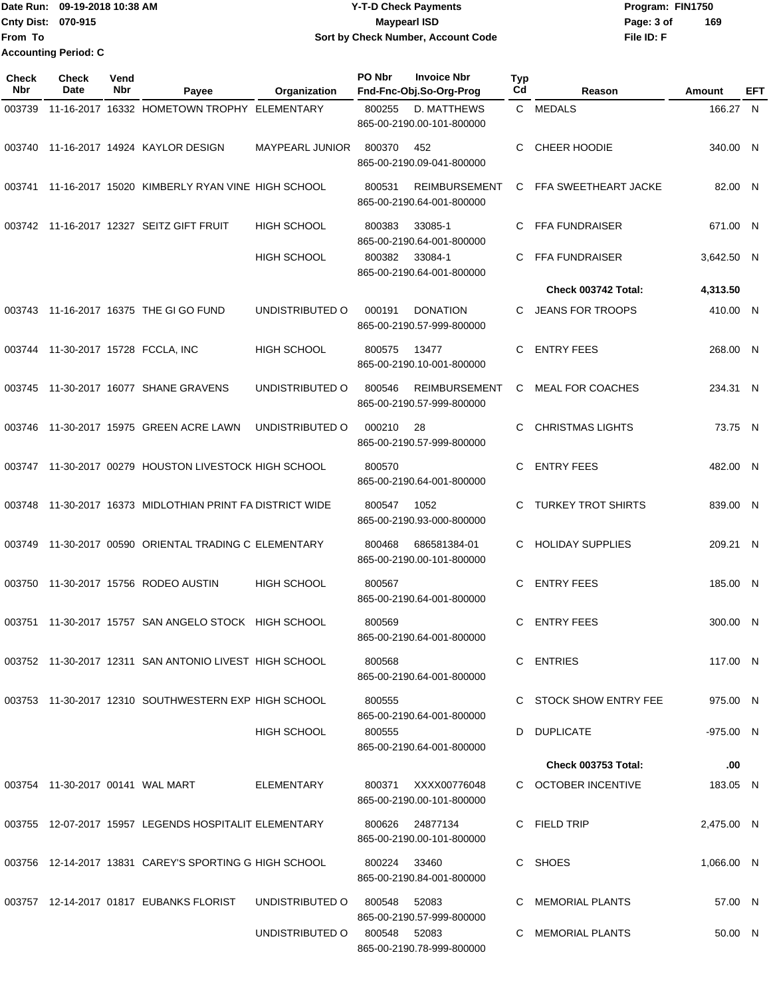|                           | Date Run: 09-19-2018 10:38 AM | <b>Y-T-D Check Payments</b>        | Program: FIN1750  |
|---------------------------|-------------------------------|------------------------------------|-------------------|
| <b>Cnty Dist: 070-915</b> |                               | <b>Mavpearl ISD</b>                | 169<br>Page: 3 of |
| lFrom To                  |                               | Sort by Check Number, Account Code | File ID: F        |
|                           | <b>Accounting Period: C</b>   |                                    |                   |

| <b>Check</b><br>Nbr | Check<br>Date | Vend<br>Nbr | Payee                                                  | Organization           | PO Nbr       | <b>Invoice Nbr</b><br>Fnd-Fnc-Obj.So-Org-Prog     | <b>Typ</b><br>Cd | Reason                     | Amount      | EFT |
|---------------------|---------------|-------------|--------------------------------------------------------|------------------------|--------------|---------------------------------------------------|------------------|----------------------------|-------------|-----|
| 003739              |               |             | 11-16-2017 16332 HOMETOWN TROPHY ELEMENTARY            |                        | 800255       | D. MATTHEWS<br>865-00-2190.00-101-800000          |                  | C MEDALS                   | 166.27 N    |     |
|                     |               |             | 003740 11-16-2017 14924 KAYLOR DESIGN                  | <b>MAYPEARL JUNIOR</b> | 800370       | 452<br>865-00-2190.09-041-800000                  | С                | <b>CHEER HOODIE</b>        | 340.00 N    |     |
| 003741              |               |             | 11-16-2017 15020 KIMBERLY RYAN VINE HIGH SCHOOL        |                        | 800531       | <b>REIMBURSEMENT</b><br>865-00-2190.64-001-800000 | С                | FFA SWEETHEART JACKE       | 82.00 N     |     |
|                     |               |             | 003742 11-16-2017 12327 SEITZ GIFT FRUIT               | <b>HIGH SCHOOL</b>     | 800383       | 33085-1<br>865-00-2190.64-001-800000              |                  | FFA FUNDRAISER             | 671.00 N    |     |
|                     |               |             |                                                        | <b>HIGH SCHOOL</b>     | 800382       | 33084-1<br>865-00-2190.64-001-800000              | С                | <b>FFA FUNDRAISER</b>      | 3,642.50 N  |     |
|                     |               |             |                                                        |                        |              |                                                   |                  | Check 003742 Total:        | 4,313.50    |     |
|                     |               |             | 003743 11-16-2017 16375 THE GI GO FUND                 | UNDISTRIBUTED O        | 000191       | <b>DONATION</b><br>865-00-2190.57-999-800000      | С                | <b>JEANS FOR TROOPS</b>    | 410.00 N    |     |
| 003744              |               |             | 11-30-2017 15728 FCCLA, INC                            | <b>HIGH SCHOOL</b>     | 800575       | 13477<br>865-00-2190.10-001-800000                | С                | <b>ENTRY FEES</b>          | 268.00 N    |     |
| 003745              |               |             | 11-30-2017 16077 SHANE GRAVENS                         | UNDISTRIBUTED O        | 800546       | <b>REIMBURSEMENT</b><br>865-00-2190.57-999-800000 | С                | <b>MEAL FOR COACHES</b>    | 234.31 N    |     |
| 003746              |               |             | 11-30-2017 15975 GREEN ACRE LAWN                       | UNDISTRIBUTED O        | 000210       | 28<br>865-00-2190.57-999-800000                   | С                | <b>CHRISTMAS LIGHTS</b>    | 73.75 N     |     |
|                     |               |             | 003747 11-30-2017 00279 HOUSTON LIVESTOCK HIGH SCHOOL  |                        | 800570       | 865-00-2190.64-001-800000                         | С                | <b>ENTRY FEES</b>          | 482.00 N    |     |
| 003748              |               |             | 11-30-2017 16373 MIDLOTHIAN PRINT FA DISTRICT WIDE     |                        | 800547       | 1052<br>865-00-2190.93-000-800000                 |                  | <b>TURKEY TROT SHIRTS</b>  | 839.00 N    |     |
| 003749              |               |             | 11-30-2017 00590 ORIENTAL TRADING C ELEMENTARY         |                        | 800468       | 686581384-01<br>865-00-2190.00-101-800000         | C.               | <b>HOLIDAY SUPPLIES</b>    | 209.21 N    |     |
| 003750              |               |             | 11-30-2017 15756 RODEO AUSTIN                          | <b>HIGH SCHOOL</b>     | 800567       | 865-00-2190.64-001-800000                         | С                | <b>ENTRY FEES</b>          | 185.00 N    |     |
| 003751              |               |             | 11-30-2017 15757 SAN ANGELO STOCK HIGH SCHOOL          |                        | 800569       | 865-00-2190.64-001-800000                         | С                | <b>ENTRY FEES</b>          | 300.00 N    |     |
|                     |               |             | 003752 11-30-2017 12311 SAN ANTONIO LIVEST HIGH SCHOOL |                        | 800568       | 865-00-2190.64-001-800000                         |                  | C ENTRIES                  | 117.00 N    |     |
|                     |               |             | 003753 11-30-2017 12310 SOUTHWESTERN EXP HIGH SCHOOL   |                        | 800555       | 865-00-2190.64-001-800000                         |                  | C STOCK SHOW ENTRY FEE     | 975.00 N    |     |
|                     |               |             |                                                        | HIGH SCHOOL            | 800555       | 865-00-2190.64-001-800000                         |                  | D DUPLICATE                | $-975.00$ N |     |
|                     |               |             |                                                        |                        |              |                                                   |                  | <b>Check 003753 Total:</b> | .00.        |     |
|                     |               |             | 003754 11-30-2017 00141 WAL MART                       | ELEMENTARY             | 800371       | XXXX00776048<br>865-00-2190.00-101-800000         |                  | C OCTOBER INCENTIVE        | 183.05 N    |     |
|                     |               |             | 003755 12-07-2017 15957 LEGENDS HOSPITALIT ELEMENTARY  |                        | 800626       | 24877134<br>865-00-2190.00-101-800000             |                  | C FIELD TRIP               | 2,475.00 N  |     |
|                     |               |             | 003756 12-14-2017 13831 CAREY'S SPORTING G HIGH SCHOOL |                        | 800224 33460 | 865-00-2190.84-001-800000                         |                  | C SHOES                    | 1,066.00 N  |     |
|                     |               |             | 003757 12-14-2017 01817 EUBANKS FLORIST                | UNDISTRIBUTED O        | 800548 52083 | 865-00-2190.57-999-800000                         |                  | C MEMORIAL PLANTS          | 57.00 N     |     |
|                     |               |             |                                                        | UNDISTRIBUTED O        | 800548 52083 | 865-00-2190.78-999-800000                         |                  | C MEMORIAL PLANTS          | 50.00 N     |     |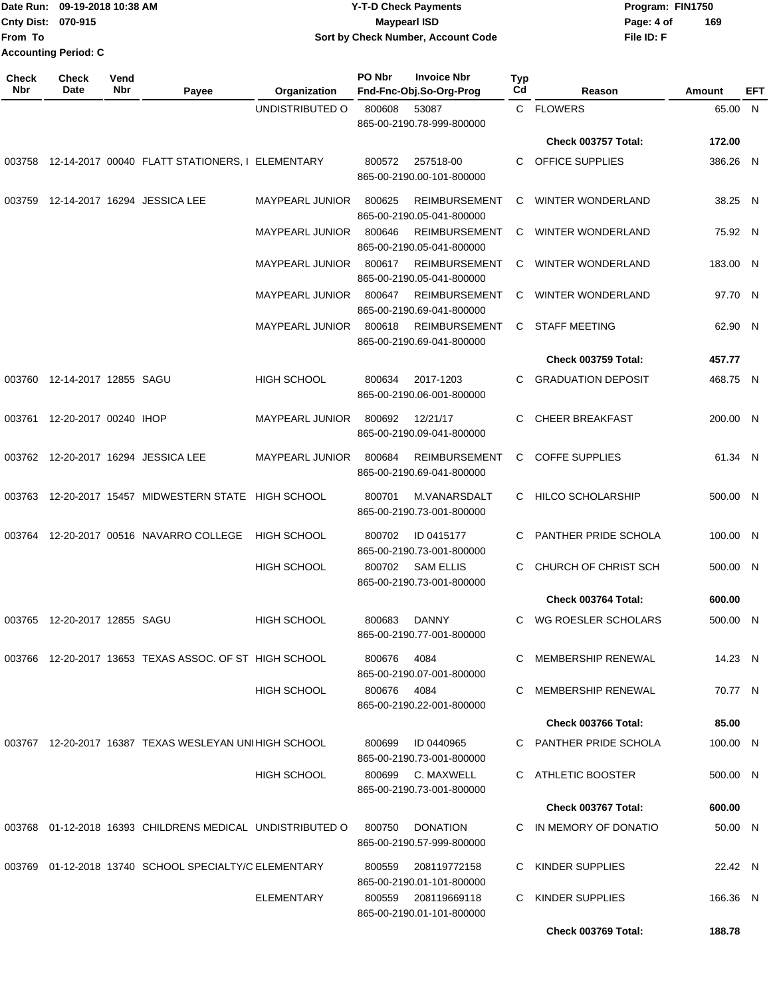|                    | Date Run: 09-19-2018 10:38 AM | <b>Y-T-D Check Payments</b>        | Program: FIN1750  |  |
|--------------------|-------------------------------|------------------------------------|-------------------|--|
| Cnty Dist: 070-915 |                               | <b>Mavpearl ISD</b>                | 169<br>Page: 4 of |  |
| From To            |                               | Sort by Check Number, Account Code | File ID: F        |  |
|                    | Accounting Period: C          |                                    |                   |  |

| Check<br>Nbr | <b>Check</b><br>Date         | Vend<br>Nbr | Payee                                                          | Organization           | PO Nbr | <b>Invoice Nbr</b><br>Fnd-Fnc-Obj.So-Org-Prog     | Typ<br>Cd | Reason                     | Amount   | EFT |
|--------------|------------------------------|-------------|----------------------------------------------------------------|------------------------|--------|---------------------------------------------------|-----------|----------------------------|----------|-----|
|              |                              |             |                                                                | UNDISTRIBUTED O        | 800608 | 53087<br>865-00-2190.78-999-800000                |           | C FLOWERS                  | 65.00 N  |     |
|              |                              |             |                                                                |                        |        |                                                   |           | Check 003757 Total:        | 172.00   |     |
|              |                              |             | 003758 12-14-2017 00040 FLATT STATIONERS, I ELEMENTARY         |                        | 800572 | 257518-00<br>865-00-2190.00-101-800000            | C         | OFFICE SUPPLIES            | 386.26 N |     |
| 003759       |                              |             | 12-14-2017 16294 JESSICA LEE                                   | MAYPEARL JUNIOR        | 800625 | <b>REIMBURSEMENT</b><br>865-00-2190.05-041-800000 | С         | <b>WINTER WONDERLAND</b>   | 38.25 N  |     |
|              |                              |             |                                                                | <b>MAYPEARL JUNIOR</b> | 800646 | <b>REIMBURSEMENT</b><br>865-00-2190.05-041-800000 | C         | <b>WINTER WONDERLAND</b>   | 75.92 N  |     |
|              |                              |             |                                                                | <b>MAYPEARL JUNIOR</b> | 800617 | <b>REIMBURSEMENT</b><br>865-00-2190.05-041-800000 | C         | <b>WINTER WONDERLAND</b>   | 183.00 N |     |
|              |                              |             |                                                                | <b>MAYPEARL JUNIOR</b> | 800647 | <b>REIMBURSEMENT</b><br>865-00-2190.69-041-800000 | С         | <b>WINTER WONDERLAND</b>   | 97.70 N  |     |
|              |                              |             |                                                                | <b>MAYPEARL JUNIOR</b> | 800618 | <b>REIMBURSEMENT</b><br>865-00-2190.69-041-800000 | C         | <b>STAFF MEETING</b>       | 62.90 N  |     |
|              |                              |             |                                                                |                        |        |                                                   |           | <b>Check 003759 Total:</b> | 457.77   |     |
| 003760       | 12-14-2017 12855 SAGU        |             |                                                                | <b>HIGH SCHOOL</b>     | 800634 | 2017-1203<br>865-00-2190.06-001-800000            | C.        | <b>GRADUATION DEPOSIT</b>  | 468.75 N |     |
|              | 003761 12-20-2017 00240 IHOP |             |                                                                | MAYPEARL JUNIOR        | 800692 | 12/21/17<br>865-00-2190.09-041-800000             | С         | <b>CHEER BREAKFAST</b>     | 200.00 N |     |
|              |                              |             | 003762 12-20-2017 16294 JESSICA LEE                            | MAYPEARL JUNIOR        | 800684 | REIMBURSEMENT<br>865-00-2190.69-041-800000        | C         | <b>COFFE SUPPLIES</b>      | 61.34 N  |     |
|              |                              |             | 003763 12-20-2017 15457 MIDWESTERN STATE HIGH SCHOOL           |                        | 800701 | M.VANARSDALT<br>865-00-2190.73-001-800000         |           | C HILCO SCHOLARSHIP        | 500.00 N |     |
| 003764       |                              |             | 12-20-2017 00516 NAVARRO COLLEGE                               | <b>HIGH SCHOOL</b>     | 800702 | ID 0415177<br>865-00-2190.73-001-800000           | С         | PANTHER PRIDE SCHOLA       | 100.00 N |     |
|              |                              |             |                                                                | <b>HIGH SCHOOL</b>     | 800702 | <b>SAM ELLIS</b><br>865-00-2190.73-001-800000     | С         | CHURCH OF CHRIST SCH       | 500.00 N |     |
|              |                              |             |                                                                |                        |        |                                                   |           | Check 003764 Total:        | 600.00   |     |
| 003765       | 12-20-2017 12855 SAGU        |             |                                                                | <b>HIGH SCHOOL</b>     | 800683 | <b>DANNY</b><br>865-00-2190.77-001-800000         | С         | WG ROESLER SCHOLARS        | 500.00 N |     |
|              |                              |             | 003766  12-20-2017  13653  TEXAS ASSOC. OF ST HIGH SCHOOL      |                        | 800676 | 4084<br>865-00-2190.07-001-800000                 | C.        | MEMBERSHIP RENEWAL         | 14.23 N  |     |
|              |                              |             |                                                                | <b>HIGH SCHOOL</b>     | 800676 | 4084<br>865-00-2190.22-001-800000                 | C         | MEMBERSHIP RENEWAL         | 70.77 N  |     |
|              |                              |             |                                                                |                        |        |                                                   |           | Check 003766 Total:        | 85.00    |     |
|              |                              |             | 003767    12-20-2017    16387    TEXAS WESLEYAN UNIHIGH SCHOOL |                        | 800699 | ID 0440965<br>865-00-2190.73-001-800000           | C         | PANTHER PRIDE SCHOLA       | 100.00 N |     |
|              |                              |             |                                                                | <b>HIGH SCHOOL</b>     | 800699 | C. MAXWELL<br>865-00-2190.73-001-800000           | C.        | ATHLETIC BOOSTER           | 500.00 N |     |
|              |                              |             |                                                                |                        |        |                                                   |           | Check 003767 Total:        | 600.00   |     |
|              |                              |             | 003768 01-12-2018 16393 CHILDRENS MEDICAL UNDISTRIBUTED O      |                        | 800750 | <b>DONATION</b><br>865-00-2190.57-999-800000      | C.        | IN MEMORY OF DONATIO       | 50.00 N  |     |
|              |                              |             | 003769 01-12-2018 13740 SCHOOL SPECIALTY/C ELEMENTARY          |                        | 800559 | 208119772158<br>865-00-2190.01-101-800000         | C.        | KINDER SUPPLIES            | 22.42 N  |     |
|              |                              |             |                                                                | ELEMENTARY             | 800559 | 208119669118<br>865-00-2190.01-101-800000         | С         | KINDER SUPPLIES            | 166.36 N |     |
|              |                              |             |                                                                |                        |        |                                                   |           | Check 003769 Total:        | 188.78   |     |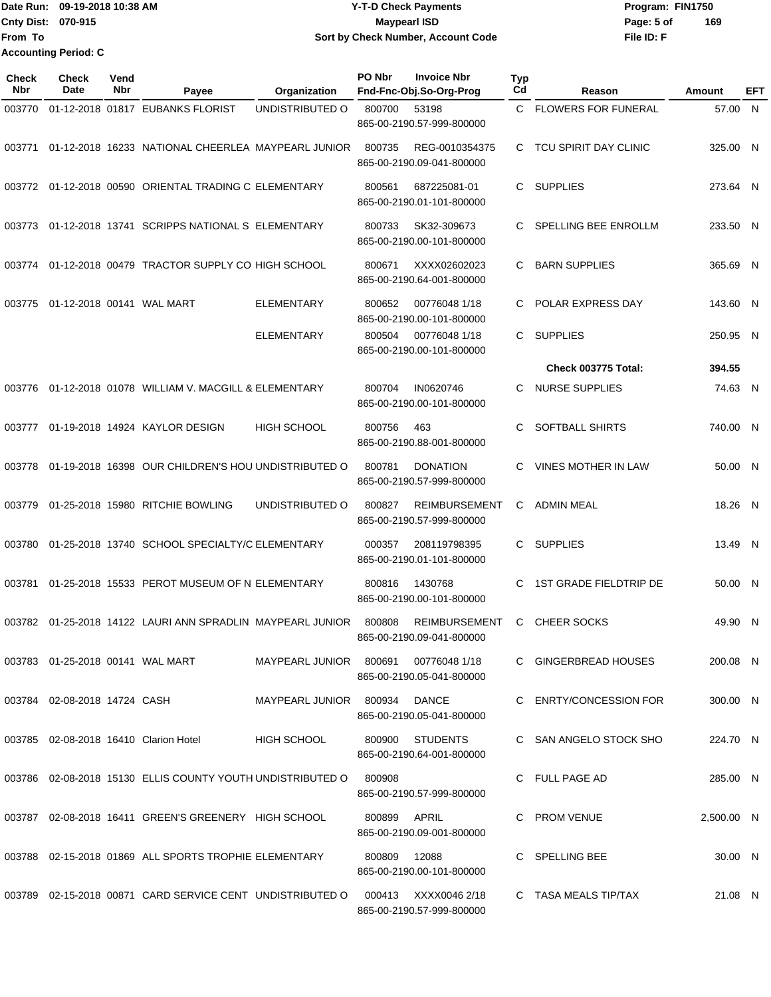Date Run: 09-19-2018 10:38 AM **CONTEX 18 AM CONTEX 18 AM CONTEX 17-T-D** Check Payments **CONTEX 18 AM CONTEX 18 AM CONTEX 18 AM CONTEX 18 AM CONTEX 18 AM CONTEX 18 AM CONTEX 18 AM CONTEX 18 AM CONTEX 19 AM CONTEX 19 AM CONT Cnty Dist:** 070-915 **Page: 5 of Page: 5 of Page: 5 of Page: 5 of File ID: F From To 09-19-2018 10:38 AM Y-T-D Check Payments 070-915 Maypearl ISD Sort by Check Number, Account Code 169 Accounting Period: C**

| <b>Check</b><br>Nbr | <b>Check</b><br>Date                | Vend<br>Nbr | Payee                                                      | Organization           | PO Nbr       | <b>Invoice Nbr</b><br>Fnd-Fnc-Obj.So-Org-Prog     | <b>Typ</b><br>Cd | Reason                     | Amount     | EFT |
|---------------------|-------------------------------------|-------------|------------------------------------------------------------|------------------------|--------------|---------------------------------------------------|------------------|----------------------------|------------|-----|
| 003770              |                                     |             | 01-12-2018 01817 EUBANKS FLORIST                           | UNDISTRIBUTED O        | 800700       | 53198<br>865-00-2190.57-999-800000                | C.               | <b>FLOWERS FOR FUNERAL</b> | 57.00 N    |     |
| 003771              |                                     |             | 01-12-2018 16233 NATIONAL CHEERLEA MAYPEARL JUNIOR         |                        | 800735       | REG-0010354375<br>865-00-2190.09-041-800000       | C                | TCU SPIRIT DAY CLINIC      | 325.00 N   |     |
|                     |                                     |             | 003772 01-12-2018 00590 ORIENTAL TRADING C ELEMENTARY      |                        | 800561       | 687225081-01<br>865-00-2190.01-101-800000         | C                | <b>SUPPLIES</b>            | 273.64 N   |     |
| 003773              |                                     |             | 01-12-2018 13741 SCRIPPS NATIONAL S ELEMENTARY             |                        | 800733       | SK32-309673<br>865-00-2190.00-101-800000          | C                | SPELLING BEE ENROLLM       | 233.50 N   |     |
| 003774              |                                     |             | 01-12-2018 00479 TRACTOR SUPPLY CO HIGH SCHOOL             |                        | 800671       | XXXX02602023<br>865-00-2190.64-001-800000         | C                | <b>BARN SUPPLIES</b>       | 365.69 N   |     |
| 003775              |                                     |             | 01-12-2018 00141 WAL MART                                  | <b>ELEMENTARY</b>      | 800652       | 00776048 1/18<br>865-00-2190.00-101-800000        | C                | POLAR EXPRESS DAY          | 143.60 N   |     |
|                     |                                     |             |                                                            | <b>ELEMENTARY</b>      | 800504       | 00776048 1/18<br>865-00-2190.00-101-800000        | C.               | <b>SUPPLIES</b>            | 250.95 N   |     |
|                     |                                     |             |                                                            |                        |              |                                                   |                  | Check 003775 Total:        | 394.55     |     |
| 003776              |                                     |             | 01-12-2018 01078 WILLIAM V. MACGILL & ELEMENTARY           |                        | 800704       | IN0620746<br>865-00-2190.00-101-800000            | C.               | <b>NURSE SUPPLIES</b>      | 74.63 N    |     |
| 003777              |                                     |             | 01-19-2018 14924 KAYLOR DESIGN                             | <b>HIGH SCHOOL</b>     | 800756       | 463<br>865-00-2190.88-001-800000                  | C                | SOFTBALL SHIRTS            | 740.00 N   |     |
| 003778              |                                     |             | 01-19-2018 16398 OUR CHILDREN'S HOU UNDISTRIBUTED O        |                        | 800781       | <b>DONATION</b><br>865-00-2190.57-999-800000      | C                | <b>VINES MOTHER IN LAW</b> | 50.00 N    |     |
| 003779              |                                     |             | 01-25-2018 15980 RITCHIE BOWLING                           | UNDISTRIBUTED O        | 800827       | <b>REIMBURSEMENT</b><br>865-00-2190.57-999-800000 | C                | <b>ADMIN MEAL</b>          | 18.26 N    |     |
| 003780              |                                     |             | 01-25-2018 13740 SCHOOL SPECIALTY/C ELEMENTARY             |                        | 000357       | 208119798395<br>865-00-2190.01-101-800000         | C                | <b>SUPPLIES</b>            | 13.49 N    |     |
| 003781              |                                     |             | 01-25-2018 15533 PEROT MUSEUM OF N ELEMENTARY              |                        | 800816       | 1430768<br>865-00-2190.00-101-800000              | C                | 1ST GRADE FIELDTRIP DE     | 50.00 N    |     |
|                     |                                     |             | 003782 01-25-2018 14122 LAURI ANN SPRADLIN MAYPEARL JUNIOR |                        | 800808       | <b>REIMBURSEMENT</b><br>865-00-2190.09-041-800000 | C                | <b>CHEER SOCKS</b>         | 49.90 N    |     |
|                     | 003783  01-25-2018  00141  WAL MART |             |                                                            | MAYPEARL JUNIOR 800691 |              | 00776048 1/18<br>865-00-2190.05-041-800000        |                  | C GINGERBREAD HOUSES       | 200.08 N   |     |
|                     | 003784 02-08-2018 14724 CASH        |             |                                                            | MAYPEARL JUNIOR 800934 |              | DANCE<br>865-00-2190.05-041-800000                |                  | C ENRTY/CONCESSION FOR     | 300.00 N   |     |
|                     |                                     |             | 003785 02-08-2018 16410 Clarion Hotel                      | <b>HIGH SCHOOL</b>     |              | 800900 STUDENTS<br>865-00-2190.64-001-800000      |                  | C SAN ANGELO STOCK SHO     | 224.70 N   |     |
|                     |                                     |             | 003786 02-08-2018 15130 ELLIS COUNTY YOUTH UNDISTRIBUTED O |                        | 800908       | 865-00-2190.57-999-800000                         |                  | C FULL PAGE AD             | 285.00 N   |     |
|                     |                                     |             | 003787 02-08-2018 16411 GREEN'S GREENERY HIGH SCHOOL       |                        | 800899 APRIL | 865-00-2190.09-001-800000                         |                  | C PROM VENUE               | 2,500.00 N |     |
| 003788              |                                     |             | 02-15-2018 01869 ALL SPORTS TROPHIE ELEMENTARY             |                        | 800809       | 12088<br>865-00-2190.00-101-800000                |                  | C SPELLING BEE             | 30.00 N    |     |
|                     |                                     |             | 003789 02-15-2018 00871 CARD SERVICE CENT UNDISTRIBUTED O  |                        |              | 000413 XXXX0046 2/18<br>865-00-2190.57-999-800000 |                  | C TASA MEALS TIP/TAX       | 21.08 N    |     |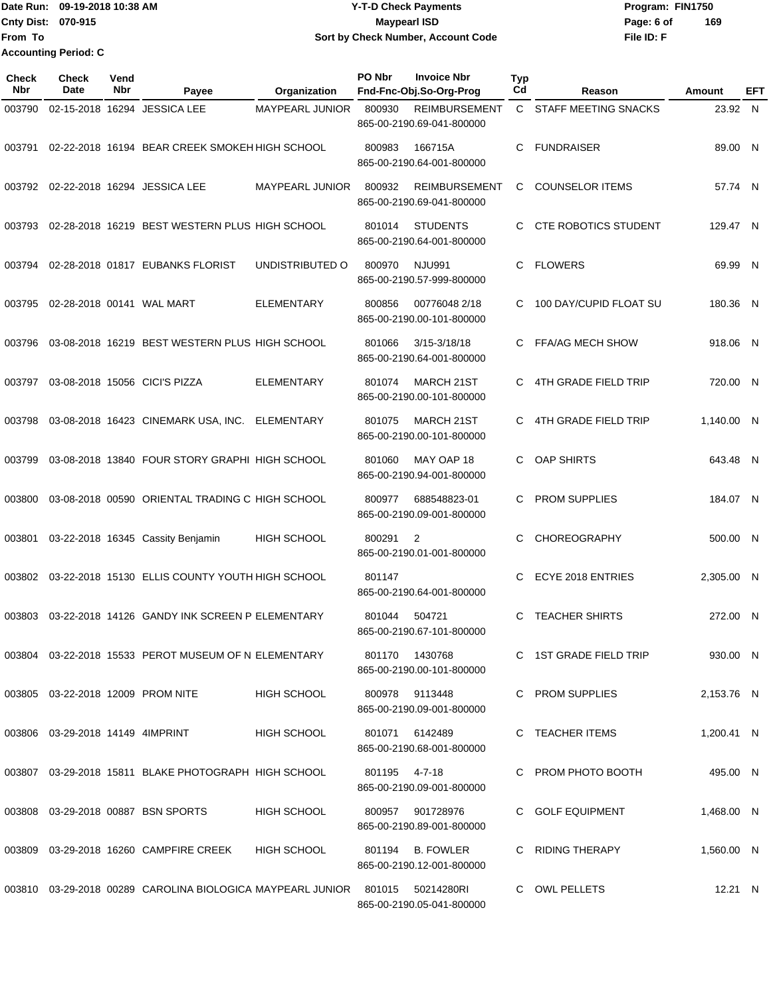Date Run: 09-19-2018 10:38 AM **CONTEX 18 AM CONTEX 18 AM CONTEX 17-T-D** Check Payments **CONTEX 18 AM CONTEX 18 AM CONTEX 18 AM CONTEX 18 AM CONTEX 18 AM CONTEX 18 AM CONTEX 18 AM CONTEX 18 AM CONTEX 19 AM CONTEX 19 AM CONT Cnty Dist:** 070-915 **Page: 6 of Page: 6 of Page: 6 of Page: 6 of Page: 6 of Page: 6 of File ID: F From To 09-19-2018 10:38 AM Y-T-D Check Payments 070-915 Maypearl ISD Sort by Check Number, Account Code 169 Accounting Period: C**

| <b>Check</b><br><b>Nbr</b> | <b>Check</b><br>Date             | Vend<br>Nbr | Payee                                                                             | Organization           | PO Nbr         | <b>Invoice Nbr</b><br>Fnd-Fnc-Obj.So-Org-Prog          | <b>Typ</b><br>Cd | Reason                      | Amount     | EFT |
|----------------------------|----------------------------------|-------------|-----------------------------------------------------------------------------------|------------------------|----------------|--------------------------------------------------------|------------------|-----------------------------|------------|-----|
| 003790                     |                                  |             | 02-15-2018 16294 JESSICA LEE                                                      | <b>MAYPEARL JUNIOR</b> | 800930         | <b>REIMBURSEMENT</b><br>865-00-2190.69-041-800000      |                  | C STAFF MEETING SNACKS      | 23.92 N    |     |
| 003791                     |                                  |             | 02-22-2018 16194 BEAR CREEK SMOKEH HIGH SCHOOL                                    |                        | 800983         | 166715A<br>865-00-2190.64-001-800000                   | C                | <b>FUNDRAISER</b>           | 89.00 N    |     |
|                            |                                  |             | 003792 02-22-2018 16294 JESSICA LEE                                               | MAYPEARL JUNIOR        | 800932         | <b>REIMBURSEMENT</b><br>865-00-2190.69-041-800000      | C                | <b>COUNSELOR ITEMS</b>      | 57.74 N    |     |
| 003793                     |                                  |             | 02-28-2018 16219 BEST WESTERN PLUS HIGH SCHOOL                                    |                        | 801014         | <b>STUDENTS</b><br>865-00-2190.64-001-800000           | C                | <b>CTE ROBOTICS STUDENT</b> | 129.47 N   |     |
| 003794                     |                                  |             | 02-28-2018 01817 EUBANKS FLORIST                                                  | UNDISTRIBUTED O        | 800970         | <b>NJU991</b><br>865-00-2190.57-999-800000             | C.               | <b>FLOWERS</b>              | 69.99 N    |     |
| 003795                     |                                  |             | 02-28-2018 00141 WAL MART                                                         | <b>ELEMENTARY</b>      | 800856         | 00776048 2/18<br>865-00-2190.00-101-800000             | C                | 100 DAY/CUPID FLOAT SU      | 180.36 N   |     |
| 003796                     |                                  |             | 03-08-2018 16219 BEST WESTERN PLUS HIGH SCHOOL                                    |                        | 801066         | 3/15-3/18/18<br>865-00-2190.64-001-800000              | C                | <b>FFA/AG MECH SHOW</b>     | 918.06 N   |     |
| 003797                     |                                  |             | 03-08-2018 15056 CICI'S PIZZA                                                     | <b>ELEMENTARY</b>      | 801074         | <b>MARCH 21ST</b><br>865-00-2190.00-101-800000         | C.               | <b>4TH GRADE FIELD TRIP</b> | 720.00 N   |     |
| 003798                     |                                  |             | 03-08-2018 16423 CINEMARK USA, INC.                                               | ELEMENTARY             | 801075         | <b>MARCH 21ST</b><br>865-00-2190.00-101-800000         | C                | 4TH GRADE FIELD TRIP        | 1,140.00 N |     |
| 003799                     |                                  |             | 03-08-2018 13840 FOUR STORY GRAPHI HIGH SCHOOL                                    |                        | 801060         | MAY OAP 18<br>865-00-2190.94-001-800000                | C.               | OAP SHIRTS                  | 643.48 N   |     |
| 003800                     |                                  |             | 03-08-2018 00590 ORIENTAL TRADING C HIGH SCHOOL                                   |                        | 800977         | 688548823-01<br>865-00-2190.09-001-800000              | C.               | <b>PROM SUPPLIES</b>        | 184.07 N   |     |
| 003801                     |                                  |             | 03-22-2018 16345 Cassity Benjamin                                                 | <b>HIGH SCHOOL</b>     | 800291         | $\overline{2}$<br>865-00-2190.01-001-800000            | C                | CHOREOGRAPHY                | 500.00 N   |     |
| 003802                     |                                  |             | 03-22-2018 15130 ELLIS COUNTY YOUTH HIGH SCHOOL                                   |                        | 801147         | 865-00-2190.64-001-800000                              | C.               | ECYE 2018 ENTRIES           | 2,305.00 N |     |
| 003803                     |                                  |             | 03-22-2018 14126 GANDY INK SCREEN P ELEMENTARY                                    |                        | 801044         | 504721<br>865-00-2190.67-101-800000                    | C                | <b>TEACHER SHIRTS</b>       | 272.00 N   |     |
|                            |                                  |             | 003804  03-22-2018  15533  PEROT MUSEUM OF N ELEMENTARY                           |                        | 801170 1430768 | 865-00-2190.00-101-800000                              |                  | C 1ST GRADE FIELD TRIP      | 930.00 N   |     |
|                            |                                  |             | 003805 03-22-2018 12009 PROM NITE                                                 | <b>HIGH SCHOOL</b>     | 800978 9113448 | 865-00-2190.09-001-800000                              |                  | C PROM SUPPLIES             | 2.153.76 N |     |
|                            | 003806 03-29-2018 14149 4IMPRINT |             |                                                                                   | <b>HIGH SCHOOL</b>     | 801071         | 6142489<br>865-00-2190.68-001-800000                   |                  | C TEACHER ITEMS             | 1,200.41 N |     |
|                            |                                  |             | 003807 03-29-2018 15811 BLAKE PHOTOGRAPH HIGH SCHOOL                              |                        | 801195 4-7-18  |                                                        |                  | C PROM PHOTO BOOTH          | 495.00 N   |     |
|                            |                                  |             | 003808  03-29-2018  00887  BSN SPORTS                                             | <b>HIGH SCHOOL</b>     |                | 865-00-2190.09-001-800000<br>800957 901728976          |                  | C GOLF EQUIPMENT            | 1,468.00 N |     |
|                            |                                  |             | 003809 03-29-2018 16260 CAMPFIRE CREEK                                            | HIGH SCHOOL            |                | 865-00-2190.89-001-800000<br>801194 B. FOWLER          |                  | C RIDING THERAPY            | 1,560.00 N |     |
|                            |                                  |             | 003810  03-29-2018  00289  CAROLINA BIOLOGICA MAYPEARL JUNIOR  801015  50214280RI |                        |                | 865-00-2190.12-001-800000<br>865-00-2190.05-041-800000 |                  | C OWL PELLETS               | 12.21 N    |     |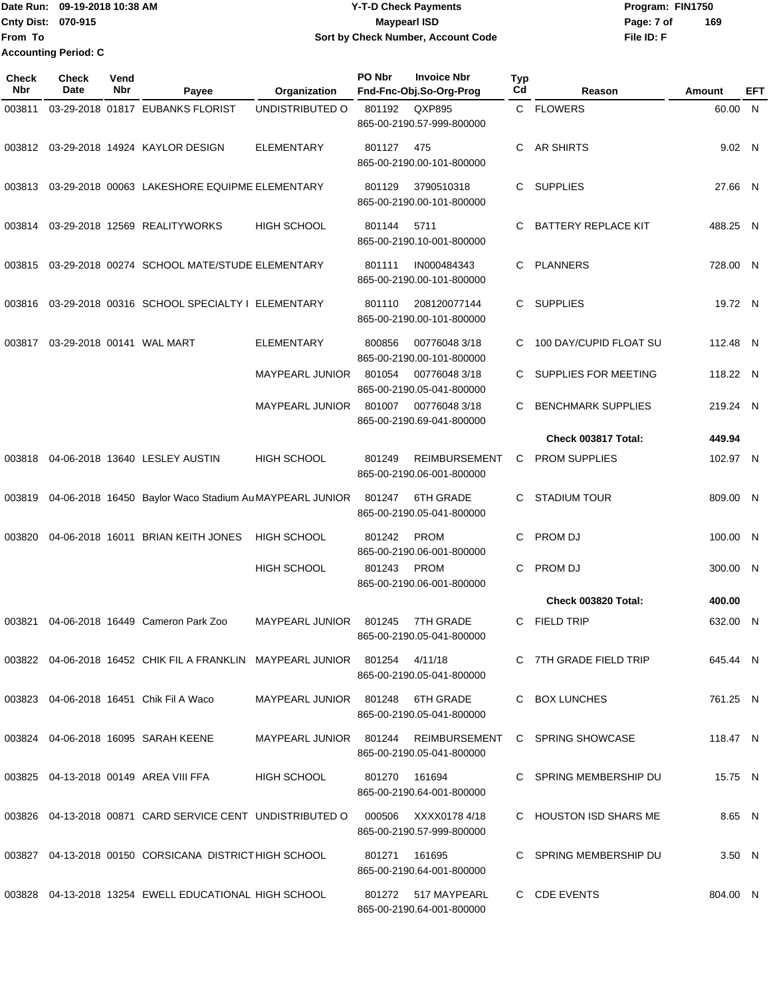### Date Run: 09-19-2018 10:38 AM **CONTEX 18 AM CONTEX 18 AM CONTEX 17-T-D** Check Payments **CONTEX 18 AM CONTEX 18 AM CONTEX 18 AM CONTEX 18 AM CONTEX 18 AM CONTEX 18 AM CONTEX 18 AM CONTEX 18 AM CONTEX 19 AM CONTEX 19 AM CONT Cnty Dist:** 070-915 **Page: 7 of Page: 7 of Page: 7 of Page: 7 of Page: 7 of 09-19-2018 10:38 AM Y-T-D Check Payments 070-915 Maypearl ISD Sort by Check Number, Account Code**

| Check<br>Nbr | Check<br>Date | Vend<br><b>Nbr</b> | Payee                                                                          | Organization                     | PO Nbr        | <b>Invoice Nbr</b><br>Fnd-Fnc-Obj.So-Org-Prog     | <b>Typ</b><br>Cd | Reason                     | Amount   | EFT |
|--------------|---------------|--------------------|--------------------------------------------------------------------------------|----------------------------------|---------------|---------------------------------------------------|------------------|----------------------------|----------|-----|
| 003811       |               |                    | 03-29-2018 01817 EUBANKS FLORIST                                               | UNDISTRIBUTED O                  | 801192        | QXP895<br>865-00-2190.57-999-800000               |                  | C FLOWERS                  | 60.00 N  |     |
| 003812       |               |                    | 03-29-2018 14924 KAYLOR DESIGN                                                 | <b>ELEMENTARY</b>                | 801127        | 475<br>865-00-2190.00-101-800000                  | C                | <b>AR SHIRTS</b>           | 9.02 N   |     |
| 003813       |               |                    | 03-29-2018 00063 LAKESHORE EQUIPME ELEMENTARY                                  |                                  | 801129        | 3790510318<br>865-00-2190.00-101-800000           |                  | C SUPPLIES                 | 27.66 N  |     |
| 003814       |               |                    | 03-29-2018 12569 REALITYWORKS                                                  | <b>HIGH SCHOOL</b>               | 801144        | 5711<br>865-00-2190.10-001-800000                 | C                | <b>BATTERY REPLACE KIT</b> | 488.25 N |     |
| 003815       |               |                    | 03-29-2018 00274 SCHOOL MATE/STUDE ELEMENTARY                                  |                                  | 801111        | IN000484343<br>865-00-2190.00-101-800000          | C                | <b>PLANNERS</b>            | 728.00 N |     |
| 003816       |               |                    | 03-29-2018 00316 SCHOOL SPECIALTY I ELEMENTARY                                 |                                  | 801110        | 208120077144<br>865-00-2190.00-101-800000         |                  | C SUPPLIES                 | 19.72 N  |     |
| 003817       |               |                    | 03-29-2018 00141 WAL MART                                                      | ELEMENTARY                       | 800856        | 007760483/18<br>865-00-2190.00-101-800000         | C                | 100 DAY/CUPID FLOAT SU     | 112.48 N |     |
|              |               |                    |                                                                                | MAYPEARL JUNIOR                  | 801054        | 007760483/18<br>865-00-2190.05-041-800000         | C.               | SUPPLIES FOR MEETING       | 118.22 N |     |
|              |               |                    |                                                                                | <b>MAYPEARL JUNIOR</b>           | 801007        | 007760483/18<br>865-00-2190.69-041-800000         | C.               | <b>BENCHMARK SUPPLIES</b>  | 219.24 N |     |
|              |               |                    |                                                                                |                                  |               |                                                   |                  | Check 003817 Total:        | 449.94   |     |
| 003818       |               |                    | 04-06-2018 13640 LESLEY AUSTIN                                                 | HIGH SCHOOL                      | 801249        | <b>REIMBURSEMENT</b><br>865-00-2190.06-001-800000 | C                | <b>PROM SUPPLIES</b>       | 102.97 N |     |
| 003819       |               |                    | 04-06-2018 16450 Baylor Waco Stadium Au MAYPEARL JUNIOR                        |                                  | 801247        | <b>6TH GRADE</b><br>865-00-2190.05-041-800000     | C.               | <b>STADIUM TOUR</b>        | 809.00 N |     |
| 003820       |               |                    | 04-06-2018 16011 BRIAN KEITH JONES                                             | <b>HIGH SCHOOL</b>               | 801242        | <b>PROM</b><br>865-00-2190.06-001-800000          | C                | PROM DJ                    | 100.00 N |     |
|              |               |                    |                                                                                | HIGH SCHOOL                      | 801243        | <b>PROM</b><br>865-00-2190.06-001-800000          | C                | PROM DJ                    | 300.00 N |     |
|              |               |                    |                                                                                |                                  |               |                                                   |                  | Check 003820 Total:        | 400.00   |     |
|              |               |                    | 003821 04-06-2018 16449 Cameron Park Zoo                                       | <b>MAYPEARL JUNIOR</b>           | 801245        | 7TH GRADE<br>865-00-2190.05-041-800000            | C.               | FIELD TRIP                 | 632.00 N |     |
|              |               |                    | 003822 04-06-2018 16452 CHIK FIL A FRANKLIN MAYPEARL JUNIOR 801254 4/11/18     |                                  |               | 865-00-2190.05-041-800000                         |                  | C 7TH GRADE FIELD TRIP     | 645.44 N |     |
|              |               |                    | 003823 04-06-2018 16451 Chik Fil A Waco                                        | MAYPEARL JUNIOR 801248 6TH GRADE |               | 865-00-2190.05-041-800000                         |                  | C BOX LUNCHES              | 761.25 N |     |
|              |               |                    | 003824 04-06-2018 16095 SARAH KEENE                                            | MAYPEARL JUNIOR 801244           |               | REIMBURSEMENT<br>865-00-2190.05-041-800000        |                  | C SPRING SHOWCASE          | 118.47 N |     |
|              |               |                    | 003825 04-13-2018 00149 AREA VIII FFA                                          | <b>HIGH SCHOOL</b>               | 801270 161694 | 865-00-2190.64-001-800000                         |                  | C SPRING MEMBERSHIP DU     | 15.75 N  |     |
|              |               |                    | 003826 04-13-2018 00871 CARD SERVICE CENT UNDISTRIBUTED O 000506 XXXX0178 4/18 |                                  |               | 865-00-2190.57-999-800000                         |                  | C HOUSTON ISD SHARS ME     | 8.65 N   |     |
|              |               |                    | 003827 04-13-2018 00150 CORSICANA DISTRICT HIGH SCHOOL                         |                                  | 801271        | 161695<br>865-00-2190.64-001-800000               |                  | C SPRING MEMBERSHIP DU     | 3.50 N   |     |
|              |               |                    | 003828 04-13-2018 13254 EWELL EDUCATIONAL HIGH SCHOOL                          |                                  |               | 801272 517 MAYPEARL<br>865-00-2190.64-001-800000  |                  | C CDE EVENTS               | 804.00 N |     |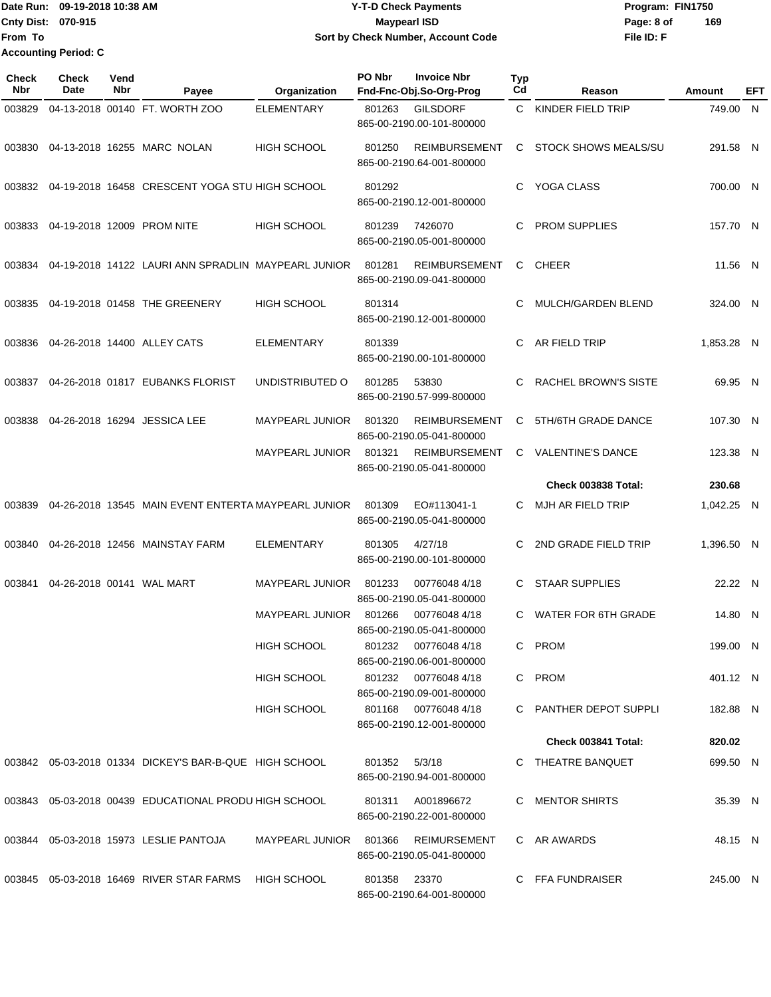Date Run: 09-19-2018 10:38 AM **CONTEX 18 AM CONTEX 18 AM CONTEX 17-T-D** Check Payments **CONTEX 18 AM CONTEX 18 AM CONTEX 18 AM CONTEX 18 AM CONTEX 18 AM CONTEX 18 AM CONTEX 18 AM CONTEX 18 AM CONTEX 19 AM CONTEX 19 AM CONT Cnty Dist:** 070-915 **Page: 8 of Page: 8 of Page: 8 of Page: 8 of Page: 8 of From To Accounting Period: C**

# **09-19-2018 10:38 AM Y-T-D Check Payments 070-915 Maypearl ISD Sort by Check Number, Account Code**

| <b>Check</b><br>Nbr | <b>Check</b><br>Date | Vend<br>Nbr | Payee                                                  | Organization           | PO Nbr | <b>Invoice Nbr</b><br>Fnd-Fnc-Obj.So-Org-Prog                                 | <b>Typ</b><br>Cd | Reason                      | Amount     | EFT |
|---------------------|----------------------|-------------|--------------------------------------------------------|------------------------|--------|-------------------------------------------------------------------------------|------------------|-----------------------------|------------|-----|
| 003829              |                      |             | 04-13-2018 00140 FT. WORTH ZOO                         | ELEMENTARY             | 801263 | <b>GILSDORF</b><br>865-00-2190.00-101-800000                                  | C.               | KINDER FIELD TRIP           | 749.00     | N   |
| 003830              |                      |             | 04-13-2018 16255 MARC NOLAN                            | HIGH SCHOOL            | 801250 | <b>REIMBURSEMENT</b><br>865-00-2190.64-001-800000                             | C                | <b>STOCK SHOWS MEALS/SU</b> | 291.58 N   |     |
| 003832              |                      |             | 04-19-2018 16458 CRESCENT YOGA STU HIGH SCHOOL         |                        | 801292 | 865-00-2190.12-001-800000                                                     | C.               | YOGA CLASS                  | 700.00 N   |     |
| 003833              |                      |             | 04-19-2018 12009 PROM NITE                             | <b>HIGH SCHOOL</b>     | 801239 | 7426070<br>865-00-2190.05-001-800000                                          | C                | PROM SUPPLIES               | 157.70 N   |     |
| 003834              |                      |             | 04-19-2018 14122 LAURI ANN SPRADLIN MAYPEARL JUNIOR    |                        | 801281 | <b>REIMBURSEMENT</b><br>865-00-2190.09-041-800000                             | C                | <b>CHEER</b>                | 11.56 N    |     |
| 003835              |                      |             | 04-19-2018 01458 THE GREENERY                          | <b>HIGH SCHOOL</b>     | 801314 | 865-00-2190.12-001-800000                                                     | C                | MULCH/GARDEN BLEND          | 324.00 N   |     |
| 003836              |                      |             | 04-26-2018 14400 ALLEY CATS                            | <b>ELEMENTARY</b>      | 801339 | 865-00-2190.00-101-800000                                                     | С                | AR FIELD TRIP               | 1,853.28 N |     |
| 003837              |                      |             | 04-26-2018 01817 EUBANKS FLORIST                       | UNDISTRIBUTED O        | 801285 | 53830<br>865-00-2190.57-999-800000                                            | C                | RACHEL BROWN'S SISTE        | 69.95 N    |     |
| 003838              |                      |             | 04-26-2018 16294 JESSICA LEE                           | MAYPEARL JUNIOR        | 801320 | <b>REIMBURSEMENT</b><br>865-00-2190.05-041-800000                             | C                | 5TH/6TH GRADE DANCE         | 107.30 N   |     |
|                     |                      |             |                                                        | <b>MAYPEARL JUNIOR</b> | 801321 | <b>REIMBURSEMENT</b><br>865-00-2190.05-041-800000                             | C                | <b>VALENTINE'S DANCE</b>    | 123.38 N   |     |
|                     |                      |             |                                                        |                        |        |                                                                               |                  | Check 003838 Total:         | 230.68     |     |
| 003839              |                      |             | 04-26-2018 13545 MAIN EVENT ENTERTA MAYPEARL JUNIOR    |                        | 801309 | EO#113041-1<br>865-00-2190.05-041-800000                                      | C                | MJH AR FIELD TRIP           | 1,042.25 N |     |
| 003840              |                      |             | 04-26-2018 12456 MAINSTAY FARM                         | <b>ELEMENTARY</b>      | 801305 | 4/27/18<br>865-00-2190.00-101-800000                                          | C                | 2ND GRADE FIELD TRIP        | 1,396.50 N |     |
| 003841              |                      |             | 04-26-2018 00141 WAL MART                              | <b>MAYPEARL JUNIOR</b> | 801233 | 007760484/18<br>865-00-2190.05-041-800000                                     | C                | <b>STAAR SUPPLIES</b>       | 22.22 N    |     |
|                     |                      |             |                                                        | <b>MAYPEARL JUNIOR</b> | 801266 | 00776048 4/18<br>865-00-2190.05-041-800000                                    | C                | WATER FOR 6TH GRADE         | 14.80 N    |     |
|                     |                      |             |                                                        | HIGH SCHOOL            | 801232 | 007760484/18<br>865-00-2190.06-001-800000                                     |                  | C PROM                      | 199.00 N   |     |
|                     |                      |             |                                                        | <b>HIGH SCHOOL</b>     |        | 801232 007760484/18                                                           |                  | C PROM                      | 401.12 N   |     |
|                     |                      |             |                                                        | <b>HIGH SCHOOL</b>     |        | 865-00-2190.09-001-800000<br>801168 007760484/18<br>865-00-2190.12-001-800000 |                  | C PANTHER DEPOT SUPPLI      | 182.88 N   |     |
|                     |                      |             |                                                        |                        |        |                                                                               |                  | Check 003841 Total:         | 820.02     |     |
|                     |                      |             | 003842 05-03-2018 01334 DICKEY'S BAR-B-QUE HIGH SCHOOL |                        | 801352 | 5/3/18<br>865-00-2190.94-001-800000                                           |                  | C THEATRE BANQUET           | 699.50 N   |     |
|                     |                      |             | 003843 05-03-2018 00439 EDUCATIONAL PRODU HIGH SCHOOL  |                        |        | 801311 A001896672<br>865-00-2190.22-001-800000                                |                  | C MENTOR SHIRTS             | 35.39 N    |     |
|                     |                      |             | 003844 05-03-2018 15973 LESLIE PANTOJA                 | MAYPEARL JUNIOR 801366 |        | REIMURSEMENT<br>865-00-2190.05-041-800000                                     |                  | C AR AWARDS                 | 48.15 N    |     |
|                     |                      |             | 003845 05-03-2018 16469 RIVER STAR FARMS               | <b>HIGH SCHOOL</b>     | 801358 | 23370<br>865-00-2190.64-001-800000                                            |                  | C FFA FUNDRAISER            | 245.00 N   |     |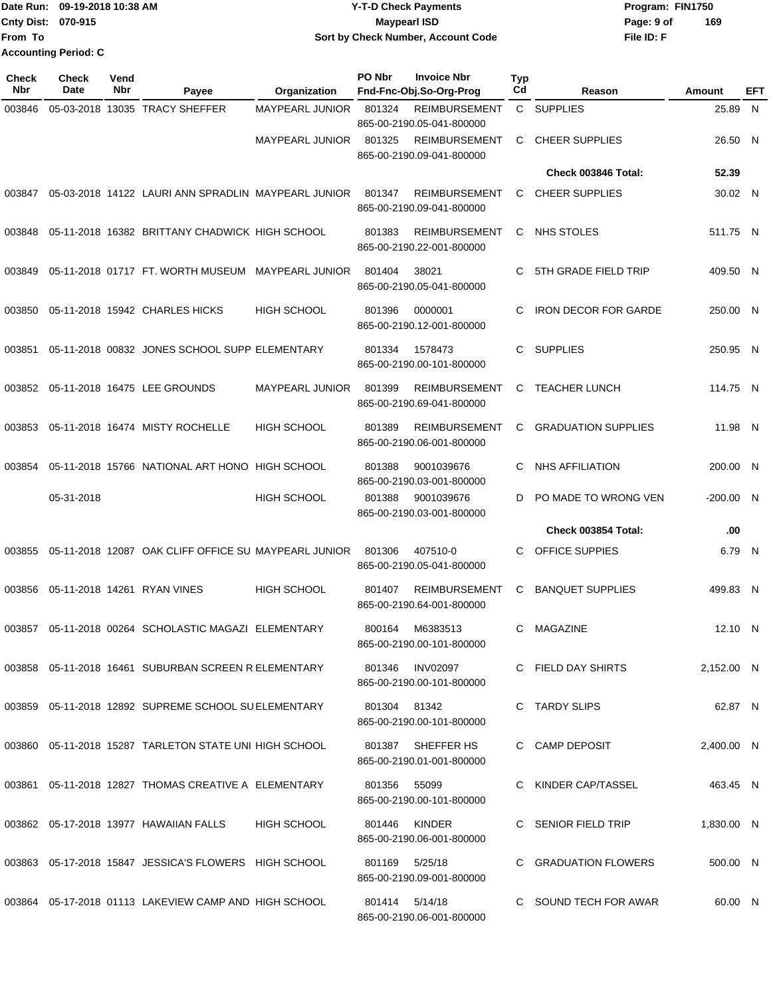|                    | Date Run: 09-19-2018 10:38 AM | <b>Y-T-D Check Payments</b>        | Program: FIN1750  |
|--------------------|-------------------------------|------------------------------------|-------------------|
| Cnty Dist: 070-915 |                               | <b>Mavpearl ISD</b>                | 169<br>Page: 9 of |
| From To            |                               | Sort by Check Number, Account Code | File ID: F        |
|                    | <b>Accounting Period: C</b>   |                                    |                   |

| <b>Check</b><br><b>Nbr</b> | Check<br>Date | Vend<br>Nbr | Payee                                                     | Organization           | PO Nbr         | <b>Invoice Nbr</b><br>Fnd-Fnc-Obj.So-Org-Prog     | <b>Typ</b><br>Cd | Reason                      | Amount      | EFT |
|----------------------------|---------------|-------------|-----------------------------------------------------------|------------------------|----------------|---------------------------------------------------|------------------|-----------------------------|-------------|-----|
| 003846                     |               |             | 05-03-2018 13035 TRACY SHEFFER                            | <b>MAYPEARL JUNIOR</b> | 801324         | <b>REIMBURSEMENT</b><br>865-00-2190.05-041-800000 |                  | C SUPPLIES                  | 25.89       | N   |
|                            |               |             |                                                           | <b>MAYPEARL JUNIOR</b> | 801325         | <b>REIMBURSEMENT</b><br>865-00-2190.09-041-800000 | C                | <b>CHEER SUPPLIES</b>       | 26.50 N     |     |
|                            |               |             |                                                           |                        |                |                                                   |                  | Check 003846 Total:         | 52.39       |     |
| 003847                     |               |             | 05-03-2018 14122 LAURI ANN SPRADLIN MAYPEARL JUNIOR       |                        | 801347         | <b>REIMBURSEMENT</b><br>865-00-2190.09-041-800000 | C                | <b>CHEER SUPPLIES</b>       | 30.02 N     |     |
| 003848                     |               |             | 05-11-2018 16382 BRITTANY CHADWICK HIGH SCHOOL            |                        | 801383         | <b>REIMBURSEMENT</b><br>865-00-2190.22-001-800000 | C                | <b>NHS STOLES</b>           | 511.75 N    |     |
| 003849                     |               |             | 05-11-2018 01717 FT. WORTH MUSEUM                         | <b>MAYPEARL JUNIOR</b> | 801404         | 38021<br>865-00-2190.05-041-800000                | C                | 5TH GRADE FIELD TRIP        | 409.50 N    |     |
| 003850                     |               |             | 05-11-2018 15942 CHARLES HICKS                            | <b>HIGH SCHOOL</b>     | 801396         | 0000001<br>865-00-2190.12-001-800000              | C                | <b>IRON DECOR FOR GARDE</b> | 250.00 N    |     |
| 003851                     |               |             | 05-11-2018 00832 JONES SCHOOL SUPP ELEMENTARY             |                        | 801334         | 1578473<br>865-00-2190.00-101-800000              | C.               | <b>SUPPLIES</b>             | 250.95 N    |     |
| 003852                     |               |             | 05-11-2018 16475 LEE GROUNDS                              | <b>MAYPEARL JUNIOR</b> | 801399         | <b>REIMBURSEMENT</b><br>865-00-2190.69-041-800000 | C                | <b>TEACHER LUNCH</b>        | 114.75 N    |     |
| 003853                     |               |             | 05-11-2018 16474 MISTY ROCHELLE                           | <b>HIGH SCHOOL</b>     | 801389         | <b>REIMBURSEMENT</b><br>865-00-2190.06-001-800000 | C                | <b>GRADUATION SUPPLIES</b>  | 11.98 N     |     |
| 003854                     |               |             | 05-11-2018 15766 NATIONAL ART HONO HIGH SCHOOL            |                        | 801388         | 9001039676<br>865-00-2190.03-001-800000           | C                | <b>NHS AFFILIATION</b>      | 200.00 N    |     |
|                            | 05-31-2018    |             |                                                           | <b>HIGH SCHOOL</b>     | 801388         | 9001039676<br>865-00-2190.03-001-800000           | D                | PO MADE TO WRONG VEN        | $-200.00$ N |     |
|                            |               |             |                                                           |                        |                |                                                   |                  | Check 003854 Total:         | .00         |     |
| 003855                     |               |             | 05-11-2018 12087 OAK CLIFF OFFICE SU MAYPEARL JUNIOR      |                        | 801306         | 407510-0<br>865-00-2190.05-041-800000             | C                | OFFICE SUPPIES              | 6.79 N      |     |
| 003856                     |               |             | 05-11-2018 14261 RYAN VINES                               | <b>HIGH SCHOOL</b>     | 801407         | <b>REIMBURSEMENT</b><br>865-00-2190.64-001-800000 | С                | <b>BANQUET SUPPLIES</b>     | 499.83 N    |     |
| 003857                     |               |             | 05-11-2018 00264 SCHOLASTIC MAGAZI ELEMENTARY             |                        | 800164         | M6383513<br>865-00-2190.00-101-800000             | C                | <b>MAGAZINE</b>             | 12.10 N     |     |
|                            |               |             | 003858 05-11-2018 16461 SUBURBAN SCREEN R ELEMENTARY      |                        |                | 801346 INV02097<br>865-00-2190.00-101-800000      |                  | C FIELD DAY SHIRTS          | 2,152.00 N  |     |
|                            |               |             | 003859 05-11-2018 12892 SUPREME SCHOOL SUELEMENTARY       |                        | 801304 81342   | 865-00-2190.00-101-800000                         |                  | C TARDY SLIPS               | 62.87 N     |     |
|                            |               |             | 003860 05-11-2018 15287 TARLETON STATE UNI HIGH SCHOOL    |                        | 801387         | SHEFFER HS<br>865-00-2190.01-001-800000           |                  | C CAMP DEPOSIT              | 2,400.00 N  |     |
|                            |               |             | 003861  05-11-2018  12827  THOMAS CREATIVE A ELEMENTARY   |                        | 801356         | 55099<br>865-00-2190.00-101-800000                |                  | C KINDER CAP/TASSEL         | 463.45 N    |     |
|                            |               |             | 003862 05-17-2018 13977 HAWAIIAN FALLS                    | <b>HIGH SCHOOL</b>     | 801446         | KINDER<br>865-00-2190.06-001-800000               |                  | C SENIOR FIELD TRIP         | 1,830.00 N  |     |
|                            |               |             | 003863  05-17-2018  15847  JESSICA'S FLOWERS  HIGH SCHOOL |                        | 801169         | 5/25/18<br>865-00-2190.09-001-800000              |                  | C GRADUATION FLOWERS        | 500.00 N    |     |
|                            |               |             | 003864 05-17-2018 01113 LAKEVIEW CAMP AND HIGH SCHOOL     |                        | 801414 5/14/18 | 865-00-2190.06-001-800000                         |                  | C SOUND TECH FOR AWAR       | 60.00 N     |     |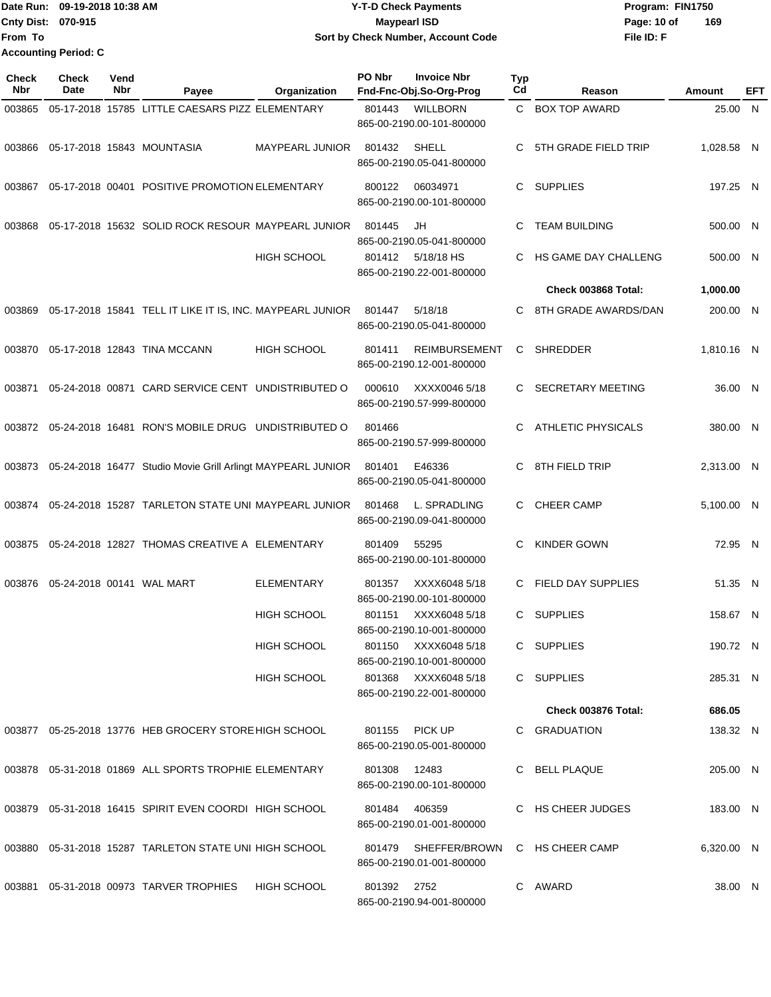|                             | Date Run: 09-19-2018 10:38 AM | <b>Y-T-D Check Payments</b>        | Program: FIN1750   |  |  |  |
|-----------------------------|-------------------------------|------------------------------------|--------------------|--|--|--|
| <b>Cnty Dist: 070-915</b>   |                               | Maypearl ISD                       | 169<br>Page: 10 of |  |  |  |
| <b>From To</b>              |                               | Sort by Check Number, Account Code | File ID: F         |  |  |  |
| <b>Accounting Period: C</b> |                               |                                    |                    |  |  |  |

| Check<br>Nbr | <b>Check</b><br>Date      | Vend<br>Nbr | Payee                                                       | Organization       | PO Nbr      | <b>Invoice Nbr</b><br>Fnd-Fnc-Obj.So-Org-Prog     | <b>Typ</b><br>Cd | Reason                     | Amount     | EFT |
|--------------|---------------------------|-------------|-------------------------------------------------------------|--------------------|-------------|---------------------------------------------------|------------------|----------------------------|------------|-----|
| 003865       |                           |             | 05-17-2018 15785 LITTLE CAESARS PIZZ ELEMENTARY             |                    | 801443      | <b>WILLBORN</b><br>865-00-2190.00-101-800000      |                  | C BOX TOP AWARD            | 25.00 N    |     |
| 003866       |                           |             | 05-17-2018 15843 MOUNTASIA                                  | MAYPEARL JUNIOR    | 801432      | SHELL<br>865-00-2190.05-041-800000                | C.               | 5TH GRADE FIELD TRIP       | 1,028.58 N |     |
| 003867       |                           |             | 05-17-2018 00401 POSITIVE PROMOTION ELEMENTARY              |                    | 800122      | 06034971<br>865-00-2190.00-101-800000             | C.               | <b>SUPPLIES</b>            | 197.25 N   |     |
| 003868       |                           |             | 05-17-2018 15632 SOLID ROCK RESOUR MAYPEARL JUNIOR          |                    | 801445      | JH<br>865-00-2190.05-041-800000                   | C                | <b>TEAM BUILDING</b>       | 500.00 N   |     |
|              |                           |             |                                                             | <b>HIGH SCHOOL</b> | 801412      | 5/18/18 HS<br>865-00-2190.22-001-800000           | C                | HS GAME DAY CHALLENG       | 500.00 N   |     |
|              |                           |             |                                                             |                    |             |                                                   |                  | Check 003868 Total:        | 1,000.00   |     |
| 003869       |                           |             | 05-17-2018 15841 TELL IT LIKE IT IS, INC. MAYPEARL JUNIOR   |                    | 801447      | 5/18/18<br>865-00-2190.05-041-800000              | C.               | 8TH GRADE AWARDS/DAN       | 200.00 N   |     |
| 003870       |                           |             | 05-17-2018 12843 TINA MCCANN                                | <b>HIGH SCHOOL</b> | 801411      | <b>REIMBURSEMENT</b><br>865-00-2190.12-001-800000 | C                | <b>SHREDDER</b>            | 1.810.16 N |     |
| 003871       |                           |             | 05-24-2018 00871 CARD SERVICE CENT UNDISTRIBUTED O          |                    | 000610      | XXXX0046 5/18<br>865-00-2190.57-999-800000        | C.               | <b>SECRETARY MEETING</b>   | 36.00 N    |     |
| 003872       |                           |             | 05-24-2018 16481 RON'S MOBILE DRUG UNDISTRIBUTED O          |                    | 801466      | 865-00-2190.57-999-800000                         | C.               | <b>ATHLETIC PHYSICALS</b>  | 380.00 N   |     |
| 003873       |                           |             | 05-24-2018 16477 Studio Movie Grill Arlingt MAYPEARL JUNIOR |                    | 801401      | E46336<br>865-00-2190.05-041-800000               | C.               | 8TH FIELD TRIP             | 2,313.00 N |     |
| 003874       |                           |             | 05-24-2018 15287 TARLETON STATE UNI MAYPEARL JUNIOR         |                    | 801468      | L. SPRADLING<br>865-00-2190.09-041-800000         | C.               | <b>CHEER CAMP</b>          | 5,100.00 N |     |
| 003875       |                           |             | 05-24-2018 12827 THOMAS CREATIVE A ELEMENTARY               |                    | 801409      | 55295<br>865-00-2190.00-101-800000                | C                | <b>KINDER GOWN</b>         | 72.95 N    |     |
| 003876       | 05-24-2018 00141 WAL MART |             |                                                             | <b>ELEMENTARY</b>  | 801357      | XXXX6048 5/18<br>865-00-2190.00-101-800000        | C                | <b>FIELD DAY SUPPLIES</b>  | 51.35 N    |     |
|              |                           |             |                                                             | <b>HIGH SCHOOL</b> | 801151      | XXXX6048 5/18<br>865-00-2190.10-001-800000        | C                | <b>SUPPLIES</b>            | 158.67 N   |     |
|              |                           |             |                                                             | <b>HIGH SCHOOL</b> |             | 801150 XXXX6048 5/18<br>865-00-2190.10-001-800000 |                  | C SUPPLIES                 | 190.72 N   |     |
|              |                           |             |                                                             | <b>HIGH SCHOOL</b> |             | 801368 XXXX6048 5/18<br>865-00-2190.22-001-800000 |                  | C SUPPLIES                 | 285.31 N   |     |
|              |                           |             |                                                             |                    |             |                                                   |                  | <b>Check 003876 Total:</b> | 686.05     |     |
|              |                           |             | 003877 05-25-2018 13776 HEB GROCERY STORE HIGH SCHOOL       |                    |             | 801155 PICK UP<br>865-00-2190.05-001-800000       |                  | C GRADUATION               | 138.32 N   |     |
|              |                           |             | 003878  05-31-2018  01869  ALL SPORTS TROPHIE ELEMENTARY    |                    | 801308      | 12483<br>865-00-2190.00-101-800000                |                  | C BELL PLAQUE              | 205.00 N   |     |
|              |                           |             | 003879 05-31-2018 16415 SPIRIT EVEN COORDI HIGH SCHOOL      |                    | 801484      | 406359<br>865-00-2190.01-001-800000               |                  | C HS CHEER JUDGES          | 183.00 N   |     |
|              |                           |             | 003880  05-31-2018  15287  TARLETON STATE UNI HIGH SCHOOL   |                    |             | 801479 SHEFFER/BROWN<br>865-00-2190.01-001-800000 |                  | C HS CHEER CAMP            | 6,320.00 N |     |
|              |                           |             | 003881 05-31-2018 00973 TARVER TROPHIES                     | <b>HIGH SCHOOL</b> | 801392 2752 | 865-00-2190.94-001-800000                         |                  | C AWARD                    | 38.00 N    |     |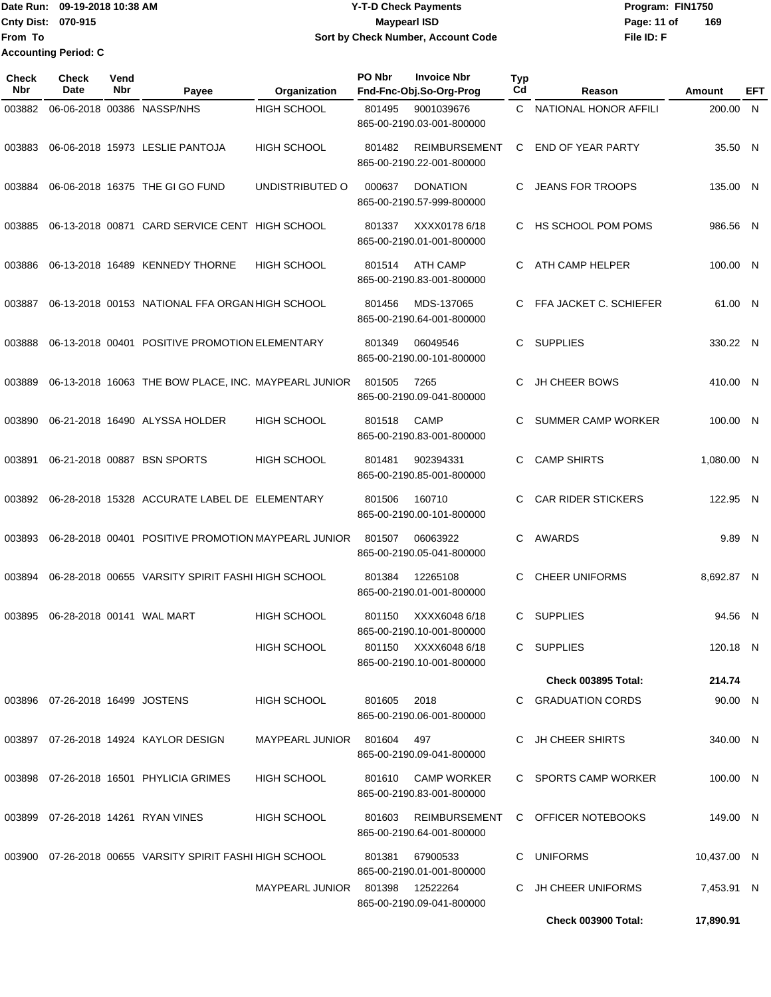### Date Run: 09-19-2018 10:38 AM **CONTEX 18 AM CONTEX 18 AM CONTEX 17-T-D** Check Payments **CONTEX 18 AM CONTEX 18 AM CONTEX 18 AM CONTEX 18 AM CONTEX 18 AM CONTEX 18 AM CONTEX 18 AM CONTEX 18 AM CONTEX 19 AM CONTEX 19 AM CONT Cnty Dist:** 070-915 **Page: 11 of** Maypearl ISD **CONTEX Page: 11 of** Maypearl ISD **09-19-2018 10:38 AM Y-T-D Check Payments 070-915 Maypearl ISD Sort by Check Number, Account Code**

| Check<br><b>Nbr</b> | Check<br><b>Date</b>               | Vend<br><b>Nbr</b> | Payee                                                    | Organization                    | PO Nbr      | <b>Invoice Nbr</b><br>Fnd-Fnc-Obj.So-Org-Prog     | <b>Typ</b><br>Cd | Reason                     | <b>Amount</b> | EFT |
|---------------------|------------------------------------|--------------------|----------------------------------------------------------|---------------------------------|-------------|---------------------------------------------------|------------------|----------------------------|---------------|-----|
| 003882              |                                    |                    | 06-06-2018 00386 NASSP/NHS                               | HIGH SCHOOL                     | 801495      | 9001039676<br>865-00-2190.03-001-800000           |                  | C NATIONAL HONOR AFFILI    | 200.00 N      |     |
| 003883              |                                    |                    | 06-06-2018 15973 LESLIE PANTOJA                          | HIGH SCHOOL                     | 801482      | <b>REIMBURSEMENT</b><br>865-00-2190.22-001-800000 | C                | <b>END OF YEAR PARTY</b>   | 35.50 N       |     |
| 003884              |                                    |                    | 06-06-2018 16375 THE GI GO FUND                          | UNDISTRIBUTED O                 | 000637      | <b>DONATION</b><br>865-00-2190.57-999-800000      | C                | <b>JEANS FOR TROOPS</b>    | 135.00 N      |     |
| 003885              |                                    |                    | 06-13-2018 00871 CARD SERVICE CENT HIGH SCHOOL           |                                 | 801337      | XXXX0178 6/18<br>865-00-2190.01-001-800000        | C.               | HS SCHOOL POM POMS         | 986.56 N      |     |
| 003886              |                                    |                    | 06-13-2018 16489 KENNEDY THORNE                          | HIGH SCHOOL                     | 801514      | <b>ATH CAMP</b><br>865-00-2190.83-001-800000      | C                | ATH CAMP HELPER            | 100.00 N      |     |
| 003887              |                                    |                    | 06-13-2018 00153 NATIONAL FFA ORGAN HIGH SCHOOL          |                                 | 801456      | MDS-137065<br>865-00-2190.64-001-800000           | C                | FFA JACKET C. SCHIEFER     | 61.00 N       |     |
| 003888              |                                    |                    | 06-13-2018 00401 POSITIVE PROMOTION ELEMENTARY           |                                 | 801349      | 06049546<br>865-00-2190.00-101-800000             | C                | <b>SUPPLIES</b>            | 330.22 N      |     |
| 003889              |                                    |                    | 06-13-2018 16063 THE BOW PLACE, INC. MAYPEARL JUNIOR     |                                 | 801505      | 7265<br>865-00-2190.09-041-800000                 | C                | <b>JH CHEER BOWS</b>       | 410.00 N      |     |
| 003890              |                                    |                    | 06-21-2018 16490 ALYSSA HOLDER                           | <b>HIGH SCHOOL</b>              | 801518      | <b>CAMP</b><br>865-00-2190.83-001-800000          | С                | <b>SUMMER CAMP WORKER</b>  | 100.00 N      |     |
| 003891              |                                    |                    | 06-21-2018 00887 BSN SPORTS                              | HIGH SCHOOL                     | 801481      | 902394331<br>865-00-2190.85-001-800000            | C                | <b>CAMP SHIRTS</b>         | 1,080.00 N    |     |
| 003892              |                                    |                    | 06-28-2018 15328 ACCURATE LABEL DE ELEMENTARY            |                                 | 801506      | 160710<br>865-00-2190.00-101-800000               | C.               | <b>CAR RIDER STICKERS</b>  | 122.95 N      |     |
| 003893              |                                    |                    | 06-28-2018 00401 POSITIVE PROMOTION MAYPEARL JUNIOR      |                                 | 801507      | 06063922<br>865-00-2190.05-041-800000             | C                | <b>AWARDS</b>              | 9.89 N        |     |
| 003894              |                                    |                    | 06-28-2018 00655 VARSITY SPIRIT FASHI HIGH SCHOOL        |                                 | 801384      | 12265108<br>865-00-2190.01-001-800000             | C                | <b>CHEER UNIFORMS</b>      | 8,692.87 N    |     |
| 003895              |                                    |                    | 06-28-2018 00141 WAL MART                                | HIGH SCHOOL                     | 801150      | XXXX6048 6/18<br>865-00-2190.10-001-800000        | C                | <b>SUPPLIES</b>            | 94.56 N       |     |
|                     |                                    |                    |                                                          | HIGH SCHOOL                     |             | 801150 XXXX6048 6/18<br>865-00-2190.10-001-800000 |                  | C SUPPLIES                 | 120.18 N      |     |
|                     |                                    |                    |                                                          |                                 |             |                                                   |                  | <b>Check 003895 Total:</b> | 214.74        |     |
|                     | 003896  07-26-2018  16499  JOSTENS |                    |                                                          | HIGH SCHOOL                     | 801605 2018 | 865-00-2190.06-001-800000                         |                  | C GRADUATION CORDS         | 90.00 N       |     |
|                     |                                    |                    | 003897 07-26-2018 14924 KAYLOR DESIGN                    | MAYPEARL JUNIOR 801604 497      |             | 865-00-2190.09-041-800000                         |                  | C JH CHEER SHIRTS          | 340.00 N      |     |
|                     |                                    |                    | 003898 07-26-2018 16501 PHYLICIA GRIMES                  | HIGH SCHOOL                     |             | 801610 CAMP WORKER<br>865-00-2190.83-001-800000   |                  | C SPORTS CAMP WORKER       | 100.00 N      |     |
|                     |                                    |                    | 003899 07-26-2018 14261 RYAN VINES                       | <b>HIGH SCHOOL</b>              | 801603      | REIMBURSEMENT<br>865-00-2190.64-001-800000        |                  | C OFFICER NOTEBOOKS        | 149.00 N      |     |
|                     |                                    |                    | 003900 07-26-2018 00655 VARSITY SPIRIT FASHI HIGH SCHOOL |                                 | 801381      | 67900533<br>865-00-2190.01-001-800000             |                  | C UNIFORMS                 | 10,437.00 N   |     |
|                     |                                    |                    |                                                          | MAYPEARL JUNIOR 801398 12522264 |             | 865-00-2190.09-041-800000                         |                  | C JH CHEER UNIFORMS        | 7,453.91 N    |     |
|                     |                                    |                    |                                                          |                                 |             |                                                   |                  | <b>Check 003900 Total:</b> | 17,890.91     |     |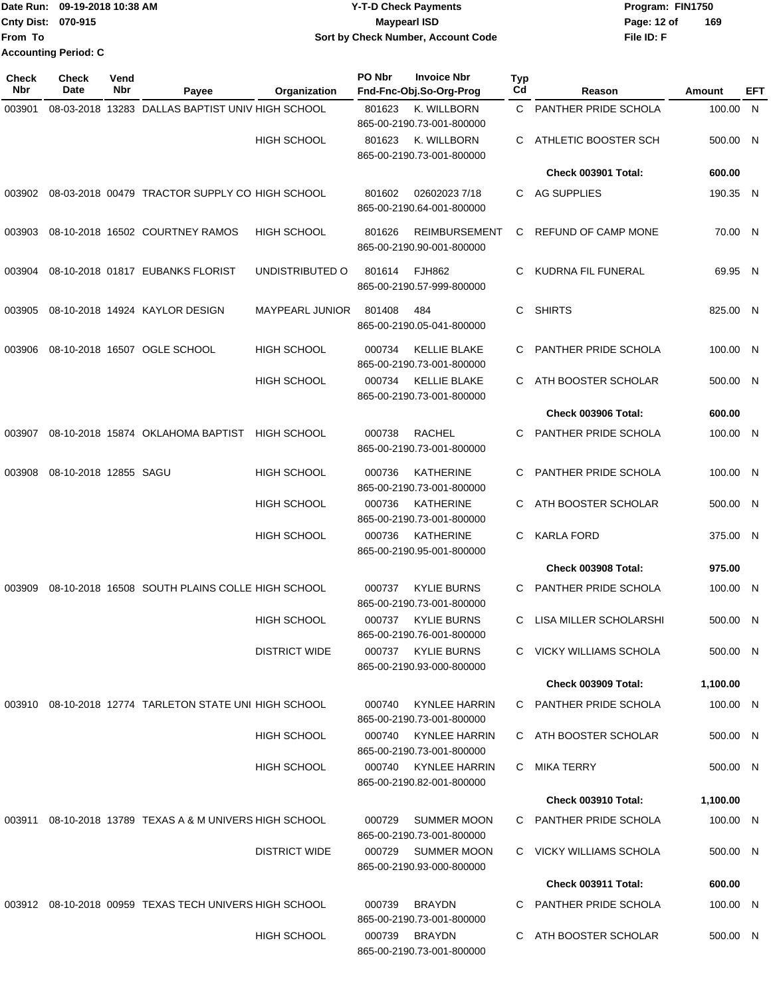|                           | Date Run: 09-19-2018 10:38 AM | <b>Y-T-D Check Payments</b>        | Program: FIN1750   |
|---------------------------|-------------------------------|------------------------------------|--------------------|
| <b>Cnty Dist: 070-915</b> |                               | Maypearl ISD                       | 169<br>Page: 12 of |
| lFrom To                  |                               | Sort by Check Number, Account Code | File ID: F         |
|                           | <b>Accounting Period: C</b>   |                                    |                    |

| <b>Check</b><br>Nbr             | <b>Check</b><br>Date | Vend<br>Nbr | Payee                                                   | Organization           | PO Nbr                                        | <b>Invoice Nbr</b><br>Fnd-Fnc-Obj.So-Org-Prog     | Typ<br>Cd            | Reason                     | Amount   | EFT |
|---------------------------------|----------------------|-------------|---------------------------------------------------------|------------------------|-----------------------------------------------|---------------------------------------------------|----------------------|----------------------------|----------|-----|
| 003901                          |                      |             | 08-03-2018 13283 DALLAS BAPTIST UNIV HIGH SCHOOL        |                        | 801623                                        | K. WILLBORN                                       | $\mathbf{C}$         | PANTHER PRIDE SCHOLA       | 100.00 N |     |
|                                 |                      |             |                                                         |                        |                                               | 865-00-2190.73-001-800000                         |                      |                            |          |     |
|                                 |                      |             |                                                         | <b>HIGH SCHOOL</b>     | 801623                                        | K. WILLBORN<br>865-00-2190.73-001-800000          | C                    | ATHLETIC BOOSTER SCH       | 500.00 N |     |
|                                 |                      |             |                                                         |                        |                                               |                                                   |                      | <b>Check 003901 Total:</b> | 600.00   |     |
|                                 |                      |             | 003902 08-03-2018 00479 TRACTOR SUPPLY CO HIGH SCHOOL   |                        | 801602                                        | 026020237/18<br>865-00-2190.64-001-800000         | C                    | AG SUPPLIES                | 190.35 N |     |
| 003903                          |                      |             | 08-10-2018 16502 COURTNEY RAMOS                         | <b>HIGH SCHOOL</b>     | 801626                                        | <b>REIMBURSEMENT</b><br>865-00-2190.90-001-800000 | С                    | <b>REFUND OF CAMP MONE</b> | 70.00 N  |     |
| 003904                          |                      |             | 08-10-2018 01817 EUBANKS FLORIST                        | UNDISTRIBUTED O        | 801614                                        | <b>FJH862</b><br>865-00-2190.57-999-800000        | С                    | KUDRNA FIL FUNERAL         | 69.95 N  |     |
| 003905                          |                      |             | 08-10-2018 14924 KAYLOR DESIGN                          | <b>MAYPEARL JUNIOR</b> | 801408                                        | 484<br>865-00-2190.05-041-800000                  | С                    | <b>SHIRTS</b>              | 825.00 N |     |
| 003906                          |                      |             | 08-10-2018 16507 OGLE SCHOOL                            | <b>HIGH SCHOOL</b>     | 000734                                        | <b>KELLIE BLAKE</b><br>865-00-2190.73-001-800000  | С                    | PANTHER PRIDE SCHOLA       | 100.00 N |     |
|                                 |                      |             |                                                         | <b>HIGH SCHOOL</b>     | 000734                                        | <b>KELLIE BLAKE</b><br>865-00-2190.73-001-800000  | С                    | ATH BOOSTER SCHOLAR        | 500.00 N |     |
|                                 |                      |             |                                                         |                        |                                               |                                                   |                      | <b>Check 003906 Total:</b> | 600.00   |     |
| 003907                          |                      |             | 08-10-2018 15874 OKLAHOMA BAPTIST                       | <b>HIGH SCHOOL</b>     | 000738                                        | <b>RACHEL</b><br>865-00-2190.73-001-800000        | С                    | PANTHER PRIDE SCHOLA       | 100.00 N |     |
| 08-10-2018 12855 SAGU<br>003908 |                      |             | <b>HIGH SCHOOL</b>                                      | 000736                 | <b>KATHERINE</b><br>865-00-2190.73-001-800000 | С                                                 | PANTHER PRIDE SCHOLA | 100.00 N                   |          |     |
|                                 |                      |             |                                                         | <b>HIGH SCHOOL</b>     | 000736                                        | <b>KATHERINE</b><br>865-00-2190.73-001-800000     | С                    | ATH BOOSTER SCHOLAR        | 500.00 N |     |
|                                 |                      |             |                                                         | <b>HIGH SCHOOL</b>     | 000736                                        | <b>KATHERINE</b><br>865-00-2190.95-001-800000     | С                    | <b>KARLA FORD</b>          | 375.00 N |     |
|                                 |                      |             |                                                         |                        |                                               |                                                   |                      | <b>Check 003908 Total:</b> | 975.00   |     |
| 003909                          |                      |             | 08-10-2018 16508 SOUTH PLAINS COLLE HIGH SCHOOL         |                        | 000737                                        | <b>KYLIE BURNS</b><br>865-00-2190.73-001-800000   | С                    | PANTHER PRIDE SCHOLA       | 100.00 N |     |
|                                 |                      |             |                                                         | <b>HIGH SCHOOL</b>     | 000737                                        | <b>KYLIE BURNS</b><br>865-00-2190.76-001-800000   | С                    | LISA MILLER SCHOLARSHI     | 500.00 N |     |
|                                 |                      |             |                                                         | <b>DISTRICT WIDE</b>   | 000737                                        | <b>KYLIE BURNS</b><br>865-00-2190.93-000-800000   |                      | C VICKY WILLIAMS SCHOLA    | 500.00 N |     |
|                                 |                      |             |                                                         |                        |                                               |                                                   |                      | <b>Check 003909 Total:</b> | 1,100.00 |     |
|                                 |                      |             | 003910 08-10-2018 12774 TARLETON STATE UNI HIGH SCHOOL  |                        | 000740                                        | KYNLEE HARRIN<br>865-00-2190.73-001-800000        |                      | C PANTHER PRIDE SCHOLA     | 100.00 N |     |
|                                 |                      |             |                                                         | <b>HIGH SCHOOL</b>     | 000740                                        | <b>KYNLEE HARRIN</b><br>865-00-2190.73-001-800000 |                      | C ATH BOOSTER SCHOLAR      | 500.00 N |     |
|                                 |                      |             |                                                         | <b>HIGH SCHOOL</b>     |                                               | 000740 KYNLEE HARRIN<br>865-00-2190.82-001-800000 | С                    | MIKA TERRY                 | 500.00 N |     |
|                                 |                      |             |                                                         |                        |                                               |                                                   |                      | <b>Check 003910 Total:</b> | 1,100.00 |     |
|                                 |                      |             | 003911 08-10-2018 13789 TEXAS A & M UNIVERS HIGH SCHOOL |                        | 000729                                        | <b>SUMMER MOON</b><br>865-00-2190.73-001-800000   |                      | C PANTHER PRIDE SCHOLA     | 100.00 N |     |
|                                 |                      |             |                                                         | <b>DISTRICT WIDE</b>   |                                               | 000729 SUMMER MOON<br>865-00-2190.93-000-800000   |                      | C VICKY WILLIAMS SCHOLA    | 500.00 N |     |
|                                 |                      |             |                                                         |                        |                                               |                                                   |                      | Check 003911 Total:        | 600.00   |     |
|                                 |                      |             | 003912 08-10-2018 00959 TEXAS TECH UNIVERS HIGH SCHOOL  |                        | 000739                                        | <b>BRAYDN</b><br>865-00-2190.73-001-800000        | C.                   | PANTHER PRIDE SCHOLA       | 100.00 N |     |
|                                 |                      |             |                                                         | HIGH SCHOOL            | 000739                                        | <b>BRAYDN</b><br>865-00-2190.73-001-800000        |                      | C ATH BOOSTER SCHOLAR      | 500.00 N |     |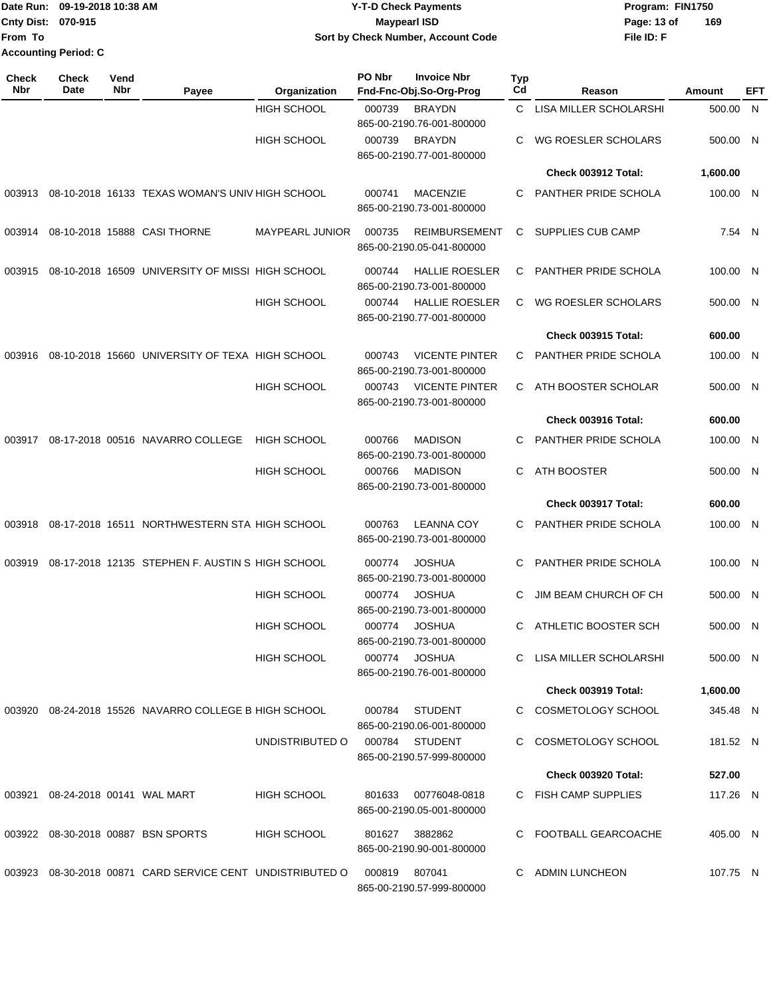|                             | Date Run: 09-19-2018 10:38 AM | Y-T-D Check Payments               | Program: FIN1750 |     |  |  |
|-----------------------------|-------------------------------|------------------------------------|------------------|-----|--|--|
| <b>Cnty Dist: 070-915</b>   |                               | <b>Maypearl ISD</b>                | Page: 13 of      | 169 |  |  |
| From To                     |                               | Sort by Check Number, Account Code | File ID: F       |     |  |  |
| <b>Accounting Period: C</b> |                               |                                    |                  |     |  |  |

| Check<br>Nbr | <b>Check</b><br>Date | Vend<br>Nbr | Payee                                                 | Organization           | PO Nbr | <b>Invoice Nbr</b><br>Fnd-Fnc-Obj.So-Org-Prog      | Typ<br>Cd | Reason                      | Amount   | EFT          |
|--------------|----------------------|-------------|-------------------------------------------------------|------------------------|--------|----------------------------------------------------|-----------|-----------------------------|----------|--------------|
|              |                      |             |                                                       | <b>HIGH SCHOOL</b>     | 000739 | <b>BRAYDN</b><br>865-00-2190.76-001-800000         | C         | LISA MILLER SCHOLARSHI      | 500.00   | $\mathsf{N}$ |
|              |                      |             |                                                       | <b>HIGH SCHOOL</b>     | 000739 | <b>BRAYDN</b><br>865-00-2190.77-001-800000         | C         | WG ROESLER SCHOLARS         | 500.00 N |              |
|              |                      |             |                                                       |                        |        |                                                    |           | Check 003912 Total:         | 1,600.00 |              |
| 003913       |                      |             | 08-10-2018 16133 TEXAS WOMAN'S UNIV HIGH SCHOOL       |                        | 000741 | <b>MACENZIE</b><br>865-00-2190.73-001-800000       | C         | PANTHER PRIDE SCHOLA        | 100.00 N |              |
| 003914       |                      |             | 08-10-2018 15888 CASI THORNE                          | <b>MAYPEARL JUNIOR</b> | 000735 | <b>REIMBURSEMENT</b><br>865-00-2190.05-041-800000  | C.        | SUPPLIES CUB CAMP           | 7.54 N   |              |
| 003915       |                      |             | 08-10-2018 16509 UNIVERSITY OF MISSI HIGH SCHOOL      |                        | 000744 | <b>HALLIE ROESLER</b><br>865-00-2190.73-001-800000 | C         | PANTHER PRIDE SCHOLA        | 100.00 N |              |
|              |                      |             |                                                       | <b>HIGH SCHOOL</b>     | 000744 | <b>HALLIE ROESLER</b><br>865-00-2190.77-001-800000 | C         | WG ROESLER SCHOLARS         | 500.00 N |              |
|              |                      |             |                                                       |                        |        |                                                    |           | <b>Check 003915 Total:</b>  | 600.00   |              |
| 003916       |                      |             | 08-10-2018 15660 UNIVERSITY OF TEXA HIGH SCHOOL       |                        | 000743 | <b>VICENTE PINTER</b><br>865-00-2190.73-001-800000 | C.        | PANTHER PRIDE SCHOLA        | 100.00 N |              |
|              |                      |             |                                                       | <b>HIGH SCHOOL</b>     | 000743 | <b>VICENTE PINTER</b><br>865-00-2190.73-001-800000 | C         | ATH BOOSTER SCHOLAR         | 500.00 N |              |
|              |                      |             |                                                       |                        |        |                                                    |           | Check 003916 Total:         | 600.00   |              |
| 003917       |                      |             | 08-17-2018 00516 NAVARRO COLLEGE                      | <b>HIGH SCHOOL</b>     | 000766 | <b>MADISON</b><br>865-00-2190.73-001-800000        | C         | PANTHER PRIDE SCHOLA        | 100.00 N |              |
|              |                      |             |                                                       | <b>HIGH SCHOOL</b>     | 000766 | <b>MADISON</b><br>865-00-2190.73-001-800000        | C.        | ATH BOOSTER                 | 500.00 N |              |
|              |                      |             |                                                       |                        |        |                                                    |           | Check 003917 Total:         | 600.00   |              |
| 003918       |                      |             | 08-17-2018 16511 NORTHWESTERN STA HIGH SCHOOL         |                        | 000763 | <b>LEANNA COY</b><br>865-00-2190.73-001-800000     | C.        | PANTHER PRIDE SCHOLA        | 100.00 N |              |
| 003919       |                      |             | 08-17-2018 12135 STEPHEN F. AUSTIN S HIGH SCHOOL      |                        | 000774 | <b>JOSHUA</b><br>865-00-2190.73-001-800000         | C         | <b>PANTHER PRIDE SCHOLA</b> | 100.00 N |              |
|              |                      |             |                                                       | <b>HIGH SCHOOL</b>     | 000774 | <b>JOSHUA</b><br>865-00-2190.73-001-800000         | C         | JIM BEAM CHURCH OF CH       | 500.00 N |              |
|              |                      |             |                                                       | <b>HIGH SCHOOL</b>     | 000774 | <b>JOSHUA</b><br>865-00-2190.73-001-800000         | C.        | ATHLETIC BOOSTER SCH        | 500.00 N |              |
|              |                      |             |                                                       | <b>HIGH SCHOOL</b>     | 000774 | <b>JOSHUA</b><br>865-00-2190.76-001-800000         |           | C LISA MILLER SCHOLARSHI    | 500.00 N |              |
|              |                      |             |                                                       |                        |        |                                                    |           | <b>Check 003919 Total:</b>  | 1,600.00 |              |
|              |                      |             | 003920 08-24-2018 15526 NAVARRO COLLEGE B HIGH SCHOOL |                        | 000784 | <b>STUDENT</b><br>865-00-2190.06-001-800000        |           | C COSMETOLOGY SCHOOL        | 345.48 N |              |
|              |                      |             |                                                       | UNDISTRIBUTED O        |        | 000784 STUDENT<br>865-00-2190.57-999-800000        | C.        | COSMETOLOGY SCHOOL          | 181.52 N |              |
|              |                      |             |                                                       |                        |        |                                                    |           | <b>Check 003920 Total:</b>  | 527.00   |              |
| 003921       |                      |             | 08-24-2018 00141 WAL MART                             | <b>HIGH SCHOOL</b>     | 801633 | 00776048-0818<br>865-00-2190.05-001-800000         |           | C FISH CAMP SUPPLIES        | 117.26 N |              |
| 003922       |                      |             | 08-30-2018 00887 BSN SPORTS                           | <b>HIGH SCHOOL</b>     | 801627 | 3882862<br>865-00-2190.90-001-800000               |           | C FOOTBALL GEARCOACHE       | 405.00 N |              |
| 003923       |                      |             | 08-30-2018 00871 CARD SERVICE CENT UNDISTRIBUTED O    |                        | 000819 | 807041<br>865-00-2190.57-999-800000                | C         | <b>ADMIN LUNCHEON</b>       | 107.75 N |              |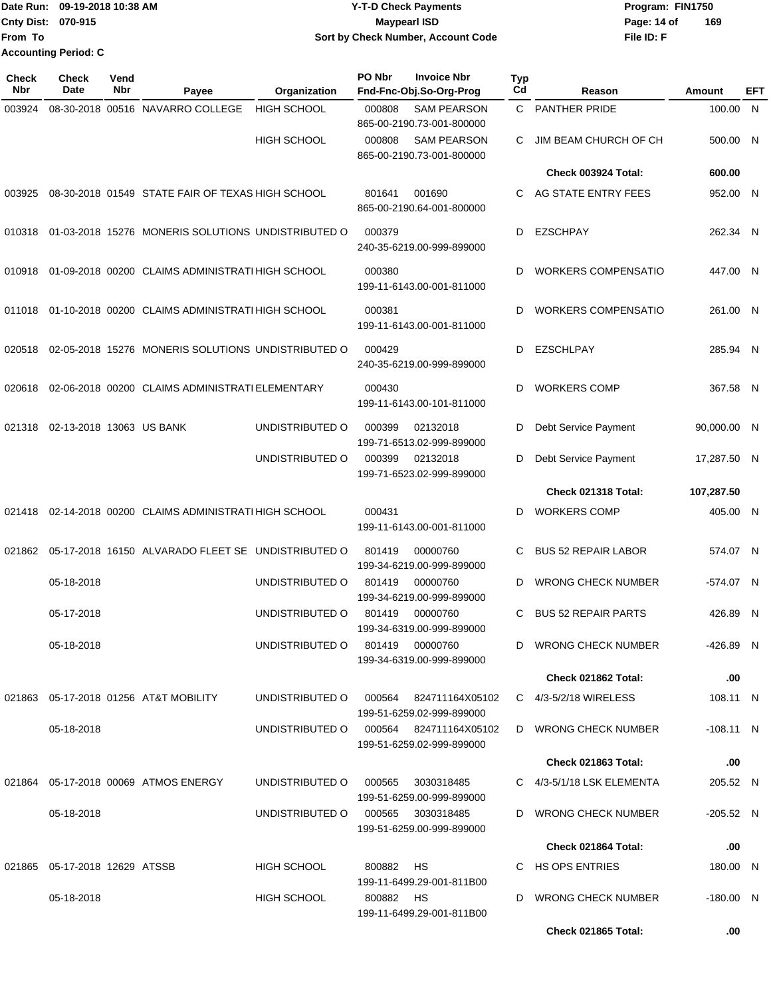### Date Run: 09-19-2018 10:38 AM **CONTEX 18 AM CONTEX 18 AM CONTEX 17-T-D** Check Payments **CONTEX 18 AM CONTEX 18 AM CONTEX 18 AM CONTEX 18 AM CONTEX 18 AM CONTEX 18 AM CONTEX 18 AM CONTEX 18 AM CONTEX 19 AM CONTEX 19 AM CONT Cnty Dist:** 070-915 **Page: 14 of MaypearI ISD Page: 14 of 09-19-2018 10:38 AM Y-T-D Check Payments 070-915 Maypearl ISD Sort by Check Number, Account Code**

**File ID: F 169**

| <b>Check</b><br><b>Nbr</b> | <b>Check</b><br>Date             | Vend<br>Nbr | Payee                                              | Organization       | PO Nbr                              | <b>Invoice Nbr</b><br>Fnd-Fnc-Obj.So-Org-Prog       | <b>Typ</b><br>Cd    | Reason                          | Amount      | <b>EFT</b> |
|----------------------------|----------------------------------|-------------|----------------------------------------------------|--------------------|-------------------------------------|-----------------------------------------------------|---------------------|---------------------------------|-------------|------------|
| 003924                     |                                  |             | 08-30-2018 00516 NAVARRO COLLEGE                   | <b>HIGH SCHOOL</b> | 000808                              | <b>SAM PEARSON</b><br>865-00-2190.73-001-800000     |                     | C PANTHER PRIDE                 | 100.00      | N          |
|                            |                                  |             |                                                    | <b>HIGH SCHOOL</b> | 000808                              | <b>SAM PEARSON</b><br>865-00-2190.73-001-800000     | C                   | JIM BEAM CHURCH OF CH           | 500.00 N    |            |
|                            |                                  |             |                                                    |                    |                                     |                                                     |                     | Check 003924 Total:             | 600.00      |            |
| 003925                     |                                  |             | 08-30-2018 01549 STATE FAIR OF TEXAS HIGH SCHOOL   |                    | 801641                              | 001690<br>865-00-2190.64-001-800000                 | C                   | AG STATE ENTRY FEES             | 952.00 N    |            |
| 010318                     |                                  |             | 01-03-2018 15276 MONERIS SOLUTIONS UNDISTRIBUTED O |                    | 000379                              | 240-35-6219.00-999-899000                           | D                   | <b>EZSCHPAY</b>                 | 262.34 N    |            |
| 010918                     |                                  |             | 01-09-2018 00200 CLAIMS ADMINISTRATI HIGH SCHOOL   |                    | 000380                              | 199-11-6143.00-001-811000                           | D                   | <b>WORKERS COMPENSATIO</b>      | 447.00 N    |            |
| 011018                     |                                  |             | 01-10-2018 00200 CLAIMS ADMINISTRATI HIGH SCHOOL   |                    | 000381                              | 199-11-6143.00-001-811000                           | D                   | <b>WORKERS COMPENSATIO</b>      | 261.00 N    |            |
| 020518                     |                                  |             | 02-05-2018 15276 MONERIS SOLUTIONS UNDISTRIBUTED O |                    | 000429                              | 240-35-6219.00-999-899000                           | D                   | <b>EZSCHLPAY</b>                | 285.94 N    |            |
| 020618                     |                                  |             | 02-06-2018 00200 CLAIMS ADMINISTRATI ELEMENTARY    |                    | 000430                              | 199-11-6143.00-101-811000                           | D                   | <b>WORKERS COMP</b>             | 367.58 N    |            |
| 021318                     | 02-13-2018 13063 US BANK         |             |                                                    | UNDISTRIBUTED O    | 000399                              | 02132018<br>199-71-6513.02-999-899000               | D                   | Debt Service Payment            | 90,000.00 N |            |
|                            |                                  |             |                                                    | UNDISTRIBUTED O    | 000399                              | 02132018<br>199-71-6523.02-999-899000               | D                   | Debt Service Payment            | 17,287.50 N |            |
|                            |                                  |             |                                                    |                    |                                     |                                                     | Check 021318 Total: | 107,287.50                      |             |            |
| 021418                     |                                  |             | 02-14-2018 00200 CLAIMS ADMINISTRATI HIGH SCHOOL   |                    | 000431<br>199-11-6143.00-001-811000 |                                                     | D                   | <b>WORKERS COMP</b>             | 405.00 N    |            |
| 021862                     |                                  |             | 05-17-2018 16150 ALVARADO FLEET SE UNDISTRIBUTED O |                    | 801419                              | 00000760<br>199-34-6219.00-999-899000               | C                   | <b>BUS 52 REPAIR LABOR</b>      | 574.07 N    |            |
|                            | 05-18-2018                       |             |                                                    | UNDISTRIBUTED O    | 801419                              | 00000760<br>199-34-6219.00-999-899000               | D                   | <b>WRONG CHECK NUMBER</b>       | -574.07 N   |            |
|                            | 05-17-2018                       |             |                                                    | UNDISTRIBUTED O    | 801419                              | 00000760<br>199-34-6319.00-999-899000               | С                   | <b>BUS 52 REPAIR PARTS</b>      | 426.89      | - N        |
|                            | 05-18-2018                       |             |                                                    | UNDISTRIBUTED O    |                                     | 801419 00000760<br>199-34-6319.00-999-899000        |                     | D WRONG CHECK NUMBER            | -426.89 N   |            |
|                            |                                  |             |                                                    |                    |                                     |                                                     |                     | Check 021862 Total:             | .00.        |            |
|                            |                                  |             | 021863  05-17-2018  01256  AT&T MOBILITY           | UNDISTRIBUTED O    |                                     | 000564 824711164X05102<br>199-51-6259.02-999-899000 |                     | C 4/3-5/2/18 WIRELESS           | 108.11 N    |            |
|                            | 05-18-2018                       |             |                                                    | UNDISTRIBUTED O    |                                     | 000564 824711164X05102<br>199-51-6259.02-999-899000 |                     | D WRONG CHECK NUMBER            | $-108.11$ N |            |
|                            |                                  |             |                                                    |                    |                                     |                                                     |                     | Check 021863 Total:             | .00         |            |
|                            |                                  |             | 021864  05-17-2018  00069  ATMOS ENERGY            | UNDISTRIBUTED O    | 000565                              | 3030318485<br>199-51-6259.00-999-899000             |                     | $C = 4/3 - 5/1/18$ LSK ELEMENTA | 205.52 N    |            |
|                            | 05-18-2018                       |             |                                                    | UNDISTRIBUTED O    | 000565                              | 3030318485<br>199-51-6259.00-999-899000             |                     | D WRONG CHECK NUMBER            | $-205.52$ N |            |
|                            |                                  |             |                                                    |                    |                                     |                                                     |                     | Check 021864 Total:             | .00         |            |
|                            | 021865  05-17-2018  12629  ATSSB |             |                                                    | <b>HIGH SCHOOL</b> | 800882                              | HS.<br>199-11-6499.29-001-811B00                    |                     | C HS OPS ENTRIES                | 180.00 N    |            |
|                            | 05-18-2018                       |             |                                                    | HIGH SCHOOL        | 800882 HS                           | 199-11-6499.29-001-811B00                           |                     | D WRONG CHECK NUMBER            | $-180.00$ N |            |

**Check 021865 Total: .00**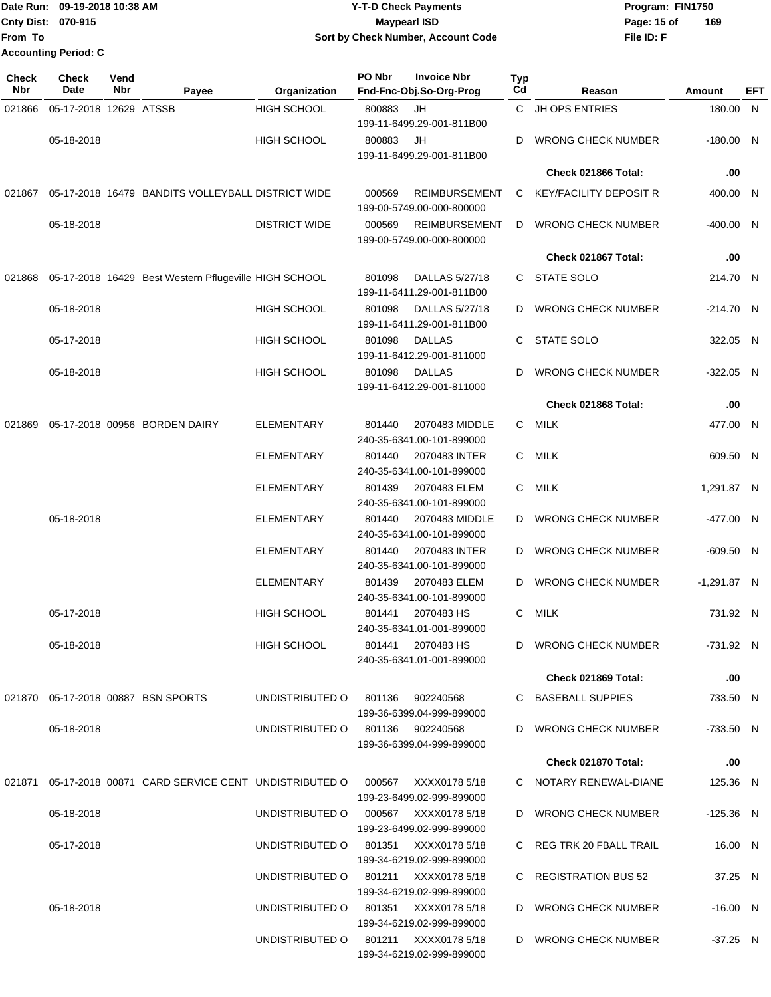Date Run: 09-19-2018 10:38 AM **CONTEX 18 AM CONTEX 18 AM CONTEX 17-T-D** Check Payments **CONTEX 18 AM CONTEX 18 AM CONTEX 18 AM CONTEX 18 AM CONTEX 18 AM CONTEX 18 AM CONTEX 18 AM CONTEX 18 AM CONTEX 19 AM CONTEX 19 AM CONT Cnty Dist:** 070-915 **Page: 15 of Maypearl ISD Page: 15 of From To 09-19-2018 10:38 AM Y-T-D Check Payments 070-915 Maypearl ISD Sort by Check Number, Account Code Accounting Period: C**

| <b>Check</b><br>Nbr | <b>Check</b><br>Date   | Vend<br><b>Nbr</b> | Payee                                                 | Organization         | PO Nbr | <b>Invoice Nbr</b><br>Fnd-Fnc-Obj.So-Org-Prog          | <b>Typ</b><br>$_{\rm Cd}$ | Reason                        | Amount        | <b>EFT</b> |
|---------------------|------------------------|--------------------|-------------------------------------------------------|----------------------|--------|--------------------------------------------------------|---------------------------|-------------------------------|---------------|------------|
| 021866              | 05-17-2018 12629 ATSSB |                    |                                                       | <b>HIGH SCHOOL</b>   | 800883 | JH<br>199-11-6499.29-001-811B00                        | C.                        | <b>JH OPS ENTRIES</b>         | 180.00 N      |            |
|                     | 05-18-2018             |                    |                                                       | <b>HIGH SCHOOL</b>   | 800883 | JH<br>199-11-6499.29-001-811B00                        | D                         | <b>WRONG CHECK NUMBER</b>     | $-180.00$ N   |            |
|                     |                        |                    |                                                       |                      |        |                                                        |                           | Check 021866 Total:           | .00           |            |
| 021867              |                        |                    | 05-17-2018 16479 BANDITS VOLLEYBALL DISTRICT WIDE     |                      | 000569 | <b>REIMBURSEMENT</b><br>199-00-5749.00-000-800000      | C                         | <b>KEY/FACILITY DEPOSIT R</b> | 400.00 N      |            |
|                     | 05-18-2018             |                    |                                                       | <b>DISTRICT WIDE</b> | 000569 | <b>REIMBURSEMENT</b><br>199-00-5749.00-000-800000      | D                         | <b>WRONG CHECK NUMBER</b>     | $-400.00$ N   |            |
|                     |                        |                    |                                                       |                      |        |                                                        |                           | Check 021867 Total:           | .00           |            |
| 021868              |                        |                    | 05-17-2018 16429 Best Western Pflugeville HIGH SCHOOL |                      | 801098 | DALLAS 5/27/18<br>199-11-6411.29-001-811B00            | C                         | STATE SOLO                    | 214.70 N      |            |
|                     | 05-18-2018             |                    |                                                       | <b>HIGH SCHOOL</b>   | 801098 | DALLAS 5/27/18<br>199-11-6411.29-001-811B00            | D                         | <b>WRONG CHECK NUMBER</b>     | $-214.70$ N   |            |
|                     | 05-17-2018             |                    |                                                       | <b>HIGH SCHOOL</b>   | 801098 | <b>DALLAS</b><br>199-11-6412.29-001-811000             | C                         | <b>STATE SOLO</b>             | 322.05 N      |            |
|                     | 05-18-2018             |                    |                                                       | <b>HIGH SCHOOL</b>   | 801098 | <b>DALLAS</b><br>199-11-6412.29-001-811000             | D                         | <b>WRONG CHECK NUMBER</b>     | $-322.05$ N   |            |
|                     |                        |                    |                                                       |                      |        |                                                        |                           | Check 021868 Total:           | .00           |            |
| 021869              |                        |                    | 05-17-2018 00956 BORDEN DAIRY                         | <b>ELEMENTARY</b>    | 801440 | 2070483 MIDDLE<br>240-35-6341.00-101-899000            | С                         | <b>MILK</b>                   | 477.00 N      |            |
|                     |                        |                    |                                                       | ELEMENTARY           | 801440 | 2070483 INTER<br>240-35-6341.00-101-899000             | С                         | MILK                          | 609.50 N      |            |
|                     |                        |                    |                                                       | ELEMENTARY           | 801439 | 2070483 ELEM<br>240-35-6341.00-101-899000              | C                         | <b>MILK</b>                   | 1,291.87 N    |            |
|                     | 05-18-2018             |                    |                                                       | ELEMENTARY           | 801440 | 2070483 MIDDLE<br>240-35-6341.00-101-899000            | D                         | <b>WRONG CHECK NUMBER</b>     | -477.00 N     |            |
|                     |                        |                    |                                                       | ELEMENTARY           | 801440 | 2070483 INTER<br>240-35-6341.00-101-899000             | D                         | <b>WRONG CHECK NUMBER</b>     | $-609.50$ N   |            |
|                     |                        |                    |                                                       | ELEMENTARY           | 801439 | 2070483 ELEM<br>240-35-6341.00-101-899000              | D                         | <b>WRONG CHECK NUMBER</b>     | $-1,291.87$ N |            |
|                     | 05-17-2018             |                    |                                                       | <b>HIGH SCHOOL</b>   | 801441 | 2070483 HS<br>240-35-6341.01-001-899000                | C                         | <b>MILK</b>                   | 731.92 N      |            |
|                     | 05-18-2018             |                    |                                                       | <b>HIGH SCHOOL</b>   |        | 801441 2070483 HS<br>240-35-6341.01-001-899000         |                           | D WRONG CHECK NUMBER          | -731.92 N     |            |
|                     |                        |                    |                                                       |                      |        |                                                        |                           | Check 021869 Total:           | .00           |            |
|                     |                        |                    | 021870  05-17-2018  00887  BSN SPORTS                 | UNDISTRIBUTED O      |        | 801136 902240568<br>199-36-6399.04-999-899000          |                           | C BASEBALL SUPPIES            | 733.50 N      |            |
|                     | 05-18-2018             |                    |                                                       | UNDISTRIBUTED O      |        | 801136  902240568<br>199-36-6399.04-999-899000         |                           | D WRONG CHECK NUMBER          | $-733.50$ N   |            |
|                     |                        |                    |                                                       |                      |        |                                                        |                           | Check 021870 Total:           | .00           |            |
| 021871              |                        |                    | 05-17-2018 00871 CARD SERVICE CENT UNDISTRIBUTED O    |                      | 000567 | XXXX0178 5/18<br>199-23-6499.02-999-899000             |                           | C NOTARY RENEWAL-DIANE        | 125.36 N      |            |
|                     | 05-18-2018             |                    |                                                       | UNDISTRIBUTED O      | 000567 | XXXX0178 5/18<br>199-23-6499.02-999-899000             |                           | D WRONG CHECK NUMBER          | $-125.36$ N   |            |
|                     | 05-17-2018             |                    |                                                       | UNDISTRIBUTED O      |        | 801351 XXXX0178 5/18<br>199-34-6219.02-999-899000      |                           | C REG TRK 20 FBALL TRAIL      | 16.00 N       |            |
|                     |                        |                    |                                                       | UNDISTRIBUTED O      |        | 199-34-6219.02-999-899000                              |                           | C REGISTRATION BUS 52         | 37.25 N       |            |
|                     | 05-18-2018             |                    |                                                       | UNDISTRIBUTED O      |        | 801351      XXXX0178 5/18<br>199-34-6219.02-999-899000 |                           | D WRONG CHECK NUMBER          | $-16.00$ N    |            |
|                     |                        |                    |                                                       | UNDISTRIBUTED O      |        | 801211     XXXX0178 5/18<br>199-34-6219.02-999-899000  |                           | D WRONG CHECK NUMBER          | $-37.25$ N    |            |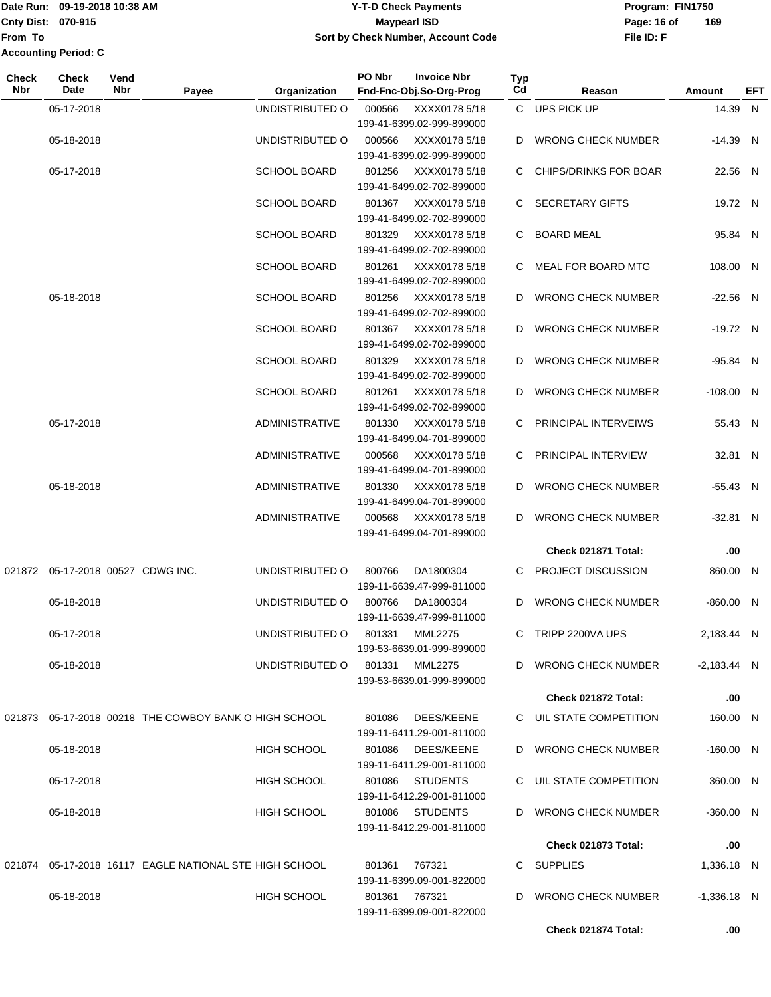### Date Run: 09-19-2018 10:38 AM **CONTEX 18 AM CONTEX 18 AM CONTEX 17-T-D** Check Payments **CONTEX 18 AM CONTEX 18 AM CONTEX 18 AM CONTEX 18 AM CONTEX 18 AM CONTEX 18 AM CONTEX 18 AM CONTEX 18 AM CONTEX 19 AM CONTEX 19 AM CONT Cnty Dist:** 070-915 **Page: 16 of MaypearI ISD Page: 16 of 09-19-2018 10:38 AM Y-T-D Check Payments 070-915 Maypearl ISD Sort by Check Number, Account Code**

| <b>Check</b><br>Nbr | <b>Check</b><br>Date              | Vend<br><b>Nbr</b> | Payee                                                  | Organization          | PO Nbr | <b>Invoice Nbr</b><br>Fnd-Fnc-Obj.So-Org-Prog | <b>Typ</b><br>Cd | Reason                       | <b>Amount</b> | EFT |
|---------------------|-----------------------------------|--------------------|--------------------------------------------------------|-----------------------|--------|-----------------------------------------------|------------------|------------------------------|---------------|-----|
|                     | 05-17-2018                        |                    |                                                        | UNDISTRIBUTED O       | 000566 | XXXX0178 5/18                                 |                  | C UPS PICK UP                | 14.39 N       |     |
|                     |                                   |                    |                                                        |                       |        | 199-41-6399.02-999-899000                     |                  |                              |               |     |
|                     | 05-18-2018                        |                    |                                                        | UNDISTRIBUTED O       | 000566 | XXXX0178 5/18                                 |                  | D WRONG CHECK NUMBER         | $-14.39$ N    |     |
|                     |                                   |                    |                                                        |                       |        | 199-41-6399.02-999-899000                     |                  |                              |               |     |
|                     | 05-17-2018                        |                    |                                                        | <b>SCHOOL BOARD</b>   | 801256 | XXXX0178 5/18                                 | C.               | <b>CHIPS/DRINKS FOR BOAR</b> | 22.56 N       |     |
|                     |                                   |                    |                                                        |                       |        | 199-41-6499.02-702-899000                     |                  |                              |               |     |
|                     |                                   |                    |                                                        | <b>SCHOOL BOARD</b>   | 801367 | XXXX0178 5/18                                 |                  | C SECRETARY GIFTS            | 19.72 N       |     |
|                     |                                   |                    |                                                        |                       |        | 199-41-6499.02-702-899000                     |                  |                              |               |     |
|                     |                                   |                    |                                                        | <b>SCHOOL BOARD</b>   | 801329 | XXXX0178 5/18                                 |                  | C BOARD MEAL                 | 95.84 N       |     |
|                     |                                   |                    |                                                        |                       |        | 199-41-6499.02-702-899000                     |                  |                              |               |     |
|                     |                                   |                    |                                                        | SCHOOL BOARD          | 801261 | XXXX0178 5/18                                 |                  | C MEAL FOR BOARD MTG         | 108.00 N      |     |
|                     |                                   |                    |                                                        |                       |        | 199-41-6499.02-702-899000                     |                  |                              |               |     |
|                     | 05-18-2018                        |                    |                                                        | <b>SCHOOL BOARD</b>   | 801256 | XXXX0178 5/18                                 |                  | D WRONG CHECK NUMBER         | $-22.56$ N    |     |
|                     |                                   |                    |                                                        |                       |        | 199-41-6499.02-702-899000                     |                  |                              |               |     |
|                     |                                   |                    |                                                        | <b>SCHOOL BOARD</b>   | 801367 | XXXX0178 5/18                                 |                  | D WRONG CHECK NUMBER         | $-19.72$ N    |     |
|                     |                                   |                    |                                                        |                       |        | 199-41-6499.02-702-899000                     |                  |                              |               |     |
|                     |                                   |                    |                                                        | <b>SCHOOL BOARD</b>   | 801329 | XXXX0178 5/18<br>199-41-6499.02-702-899000    |                  | D WRONG CHECK NUMBER         | -95.84 N      |     |
|                     |                                   |                    |                                                        | <b>SCHOOL BOARD</b>   | 801261 | XXXX0178 5/18                                 |                  | D WRONG CHECK NUMBER         | $-108.00$ N   |     |
|                     |                                   |                    |                                                        |                       |        | 199-41-6499.02-702-899000                     |                  |                              |               |     |
|                     | 05-17-2018                        |                    |                                                        | <b>ADMINISTRATIVE</b> | 801330 | XXXX0178 5/18                                 |                  | C PRINCIPAL INTERVEIWS       | 55.43 N       |     |
|                     |                                   |                    |                                                        |                       |        | 199-41-6499.04-701-899000                     |                  |                              |               |     |
|                     |                                   |                    |                                                        | <b>ADMINISTRATIVE</b> | 000568 | XXXX0178 5/18                                 |                  | C PRINCIPAL INTERVIEW        | 32.81 N       |     |
|                     |                                   |                    |                                                        |                       |        | 199-41-6499.04-701-899000                     |                  |                              |               |     |
|                     | 05-18-2018                        |                    |                                                        | <b>ADMINISTRATIVE</b> | 801330 | XXXX0178 5/18                                 |                  | D WRONG CHECK NUMBER         | $-55.43$ N    |     |
|                     |                                   |                    |                                                        |                       |        | 199-41-6499.04-701-899000                     |                  |                              |               |     |
|                     |                                   |                    |                                                        | ADMINISTRATIVE        | 000568 | XXXX0178 5/18                                 |                  | D WRONG CHECK NUMBER         | $-32.81$ N    |     |
|                     |                                   |                    |                                                        |                       |        | 199-41-6499.04-701-899000                     |                  |                              |               |     |
|                     |                                   |                    |                                                        |                       |        |                                               |                  | Check 021871 Total:          | .00           |     |
|                     |                                   |                    |                                                        |                       |        |                                               |                  |                              |               |     |
|                     | 021872 05-17-2018 00527 CDWG INC. |                    |                                                        | UNDISTRIBUTED O       | 800766 | DA1800304<br>199-11-6639.47-999-811000        |                  | C PROJECT DISCUSSION         | 860.00 N      |     |
|                     |                                   |                    |                                                        |                       |        |                                               |                  |                              |               |     |
|                     | 05-18-2018                        |                    |                                                        | UNDISTRIBUTED O       | 800766 | DA1800304<br>199-11-6639.47-999-811000        | D                | <b>WRONG CHECK NUMBER</b>    | $-860.00$ N   |     |
|                     |                                   |                    |                                                        | UNDISTRIBUTED O       |        |                                               |                  |                              | 2,183.44 N    |     |
|                     | 05-17-2018                        |                    |                                                        |                       | 801331 | <b>MML2275</b><br>199-53-6639.01-999-899000   |                  | C TRIPP 2200VA UPS           |               |     |
|                     | 05-18-2018                        |                    |                                                        | UNDISTRIBUTED O       | 801331 | <b>MML2275</b>                                |                  | D WRONG CHECK NUMBER         | $-2,183.44$ N |     |
|                     |                                   |                    |                                                        |                       |        | 199-53-6639.01-999-899000                     |                  |                              |               |     |
|                     |                                   |                    |                                                        |                       |        |                                               |                  | Check 021872 Total:          | .00           |     |
|                     |                                   |                    |                                                        |                       |        |                                               |                  |                              |               |     |
|                     |                                   |                    | 021873 05-17-2018 00218 THE COWBOY BANK O HIGH SCHOOL  |                       | 801086 | DEES/KEENE                                    |                  | C UIL STATE COMPETITION      | 160.00 N      |     |
|                     |                                   |                    |                                                        |                       |        | 199-11-6411.29-001-811000                     |                  |                              |               |     |
|                     | 05-18-2018                        |                    |                                                        | <b>HIGH SCHOOL</b>    | 801086 | DEES/KEENE                                    |                  | D WRONG CHECK NUMBER         | -160.00 N     |     |
|                     |                                   |                    |                                                        |                       |        | 199-11-6411.29-001-811000                     |                  |                              |               |     |
|                     | 05-17-2018                        |                    |                                                        | <b>HIGH SCHOOL</b>    |        | 801086 STUDENTS                               |                  | C UIL STATE COMPETITION      | 360.00 N      |     |
|                     |                                   |                    |                                                        |                       |        | 199-11-6412.29-001-811000                     |                  |                              |               |     |
|                     | 05-18-2018                        |                    |                                                        | <b>HIGH SCHOOL</b>    |        | 801086 STUDENTS                               |                  | D WRONG CHECK NUMBER         | -360.00 N     |     |
|                     |                                   |                    |                                                        |                       |        | 199-11-6412.29-001-811000                     |                  |                              |               |     |
|                     |                                   |                    |                                                        |                       |        |                                               |                  | Check 021873 Total:          | .00           |     |
|                     |                                   |                    | 021874 05-17-2018 16117 EAGLE NATIONAL STE HIGH SCHOOL |                       | 801361 | 767321                                        |                  | C SUPPLIES                   | 1,336.18 N    |     |
|                     |                                   |                    |                                                        |                       |        | 199-11-6399.09-001-822000                     |                  |                              |               |     |
|                     | 05-18-2018                        |                    |                                                        | <b>HIGH SCHOOL</b>    |        | 801361 767321                                 | D.               | <b>WRONG CHECK NUMBER</b>    | $-1,336.18$ N |     |
|                     |                                   |                    |                                                        |                       |        | 199-11-6399.09-001-822000                     |                  |                              |               |     |
|                     |                                   |                    |                                                        |                       |        |                                               |                  | Check 021874 Total:          | .00           |     |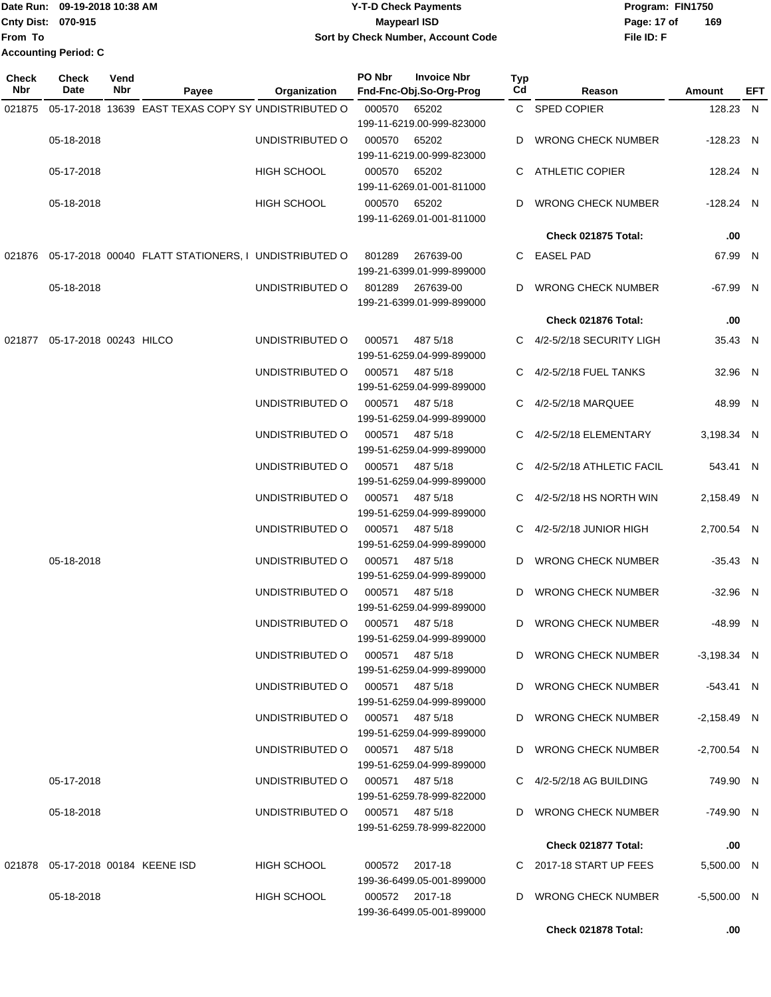### Date Run: 09-19-2018 10:38 AM **CONTEX 18 AM CONTEX 18 AM CONTEX 17-T-D** Check Payments **CONTEX 18 AM CONTEX 18 AM CONTEX 18 AM CONTEX 18 AM CONTEX 18 AM CONTEX 18 AM CONTEX 18 AM CONTEX 18 AM CONTEX 19 AM CONTEX 19 AM CONT Cnty Dist:** 070-915 **Page: 17 of** Maypearl ISD **CONTEX ISO 09-19-2018 10:38 AM Y-T-D Check Payments 070-915 Maypearl ISD Sort by Check Number, Account Code**

**File ID: F 169**

**Check 021878 Total: .00**

| <b>Check</b><br>Nbr | <b>Check</b><br>Date                 | Vend<br>Nbr | Payee                                                | Organization                    | PO Nbr | <b>Invoice Nbr</b><br>Fnd-Fnc-Obj.So-Org-Prog | <b>Typ</b><br>Cd | Reason                         | <b>Amount</b> | <b>EFT</b> |
|---------------------|--------------------------------------|-------------|------------------------------------------------------|---------------------------------|--------|-----------------------------------------------|------------------|--------------------------------|---------------|------------|
| 021875              |                                      |             | 05-17-2018 13639 EAST TEXAS COPY SY UNDISTRIBUTED O  |                                 | 000570 | 65202<br>199-11-6219.00-999-823000            |                  | C SPED COPIER                  | 128.23 N      |            |
|                     | 05-18-2018                           |             |                                                      | UNDISTRIBUTED O                 | 000570 | 65202<br>199-11-6219.00-999-823000            |                  | <b>WRONG CHECK NUMBER</b>      | $-128.23$ N   |            |
|                     | 05-17-2018                           |             |                                                      | <b>HIGH SCHOOL</b>              | 000570 | 65202<br>199-11-6269.01-001-811000            | C.               | ATHLETIC COPIER                | 128.24 N      |            |
|                     | 05-18-2018                           |             |                                                      | HIGH SCHOOL                     | 000570 | 65202<br>199-11-6269.01-001-811000            | D                | <b>WRONG CHECK NUMBER</b>      | -128.24 N     |            |
|                     |                                      |             |                                                      |                                 |        |                                               |                  | <b>Check 021875 Total:</b>     | .00           |            |
| 021876              |                                      |             | 05-17-2018 00040 FLATT STATIONERS, I UNDISTRIBUTED O |                                 | 801289 | 267639-00<br>199-21-6399.01-999-899000        | C.               | <b>EASEL PAD</b>               | 67.99 N       |            |
|                     | 05-18-2018                           |             |                                                      | UNDISTRIBUTED O                 | 801289 | 267639-00<br>199-21-6399.01-999-899000        | D                | <b>WRONG CHECK NUMBER</b>      | -67.99 N      |            |
|                     |                                      |             |                                                      |                                 |        |                                               |                  | Check 021876 Total:            | .00           |            |
|                     | 021877   05-17-2018   00243   HILCO  |             |                                                      | UNDISTRIBUTED O                 | 000571 | 487 5/18<br>199-51-6259.04-999-899000         |                  | C 4/2-5/2/18 SECURITY LIGH     | 35.43 N       |            |
|                     |                                      |             |                                                      | UNDISTRIBUTED O                 | 000571 | 487 5/18<br>199-51-6259.04-999-899000         |                  | 4/2-5/2/18 FUEL TANKS          | 32.96 N       |            |
|                     |                                      |             |                                                      | UNDISTRIBUTED O                 | 000571 | 487 5/18<br>199-51-6259.04-999-899000         | C.               | 4/2-5/2/18 MARQUEE             | 48.99 N       |            |
|                     |                                      |             |                                                      | UNDISTRIBUTED O                 | 000571 | 487 5/18<br>199-51-6259.04-999-899000         |                  | C 4/2-5/2/18 ELEMENTARY        | 3,198.34 N    |            |
|                     |                                      |             |                                                      | UNDISTRIBUTED O                 | 000571 | 487 5/18<br>199-51-6259.04-999-899000         |                  | C 4/2-5/2/18 ATHLETIC FACIL    | 543.41 N      |            |
|                     |                                      |             |                                                      | UNDISTRIBUTED O                 | 000571 | 487 5/18<br>199-51-6259.04-999-899000         |                  | 4/2-5/2/18 HS NORTH WIN        | 2,158.49 N    |            |
|                     |                                      |             |                                                      | UNDISTRIBUTED O                 | 000571 | 487 5/18<br>199-51-6259.04-999-899000         | C.               | 4/2-5/2/18 JUNIOR HIGH         | 2,700.54 N    |            |
|                     | 05-18-2018                           |             |                                                      | UNDISTRIBUTED O                 | 000571 | 487 5/18<br>199-51-6259.04-999-899000         | D                | <b>WRONG CHECK NUMBER</b>      | $-35.43$ N    |            |
|                     |                                      |             |                                                      | UNDISTRIBUTED O                 | 000571 | 487 5/18<br>199-51-6259.04-999-899000         | D                | <b>WRONG CHECK NUMBER</b>      | $-32.96$ N    |            |
|                     |                                      |             |                                                      | UNDISTRIBUTED O                 | 000571 | 487 5/18<br>199-51-6259.04-999-899000         | D                | <b>WRONG CHECK NUMBER</b>      | -48.99 N      |            |
|                     |                                      |             |                                                      | UNDISTRIBUTED O                 |        | 000571 487 5/18<br>199-51-6259.04-999-899000  |                  | D WRONG CHECK NUMBER           | $-3,198.34$ N |            |
|                     |                                      |             |                                                      | UNDISTRIBUTED O 000571 487 5/18 |        | 199-51-6259.04-999-899000                     |                  | D WRONG CHECK NUMBER           | -543.41 N     |            |
|                     |                                      |             |                                                      | UNDISTRIBUTED O 000571 487 5/18 |        | 199-51-6259.04-999-899000                     |                  | D WRONG CHECK NUMBER           | $-2,158.49$ N |            |
|                     |                                      |             |                                                      | UNDISTRIBUTED O 000571 487 5/18 |        | 199-51-6259.04-999-899000                     |                  | D WRONG CHECK NUMBER           | $-2,700.54$ N |            |
|                     | 05-17-2018                           |             |                                                      | UNDISTRIBUTED O 000571 487 5/18 |        | 199-51-6259.78-999-822000                     |                  | $C = 4/2 - 5/2/18$ AG BUILDING | 749.90 N      |            |
|                     | 05-18-2018                           |             |                                                      | UNDISTRIBUTED O                 |        | 000571 487 5/18<br>199-51-6259.78-999-822000  |                  | D WRONG CHECK NUMBER           | -749.90 N     |            |
|                     |                                      |             |                                                      |                                 |        |                                               |                  | Check 021877 Total:            | .00           |            |
|                     | 021878  05-17-2018  00184  KEENE ISD |             |                                                      | <b>HIGH SCHOOL</b>              |        | 000572 2017-18<br>199-36-6499.05-001-899000   |                  | C 2017-18 START UP FEES        | 5,500.00 N    |            |
|                     | 05-18-2018                           |             |                                                      | HIGH SCHOOL                     |        | 000572 2017-18<br>199-36-6499.05-001-899000   |                  | D WRONG CHECK NUMBER           | $-5,500.00$ N |            |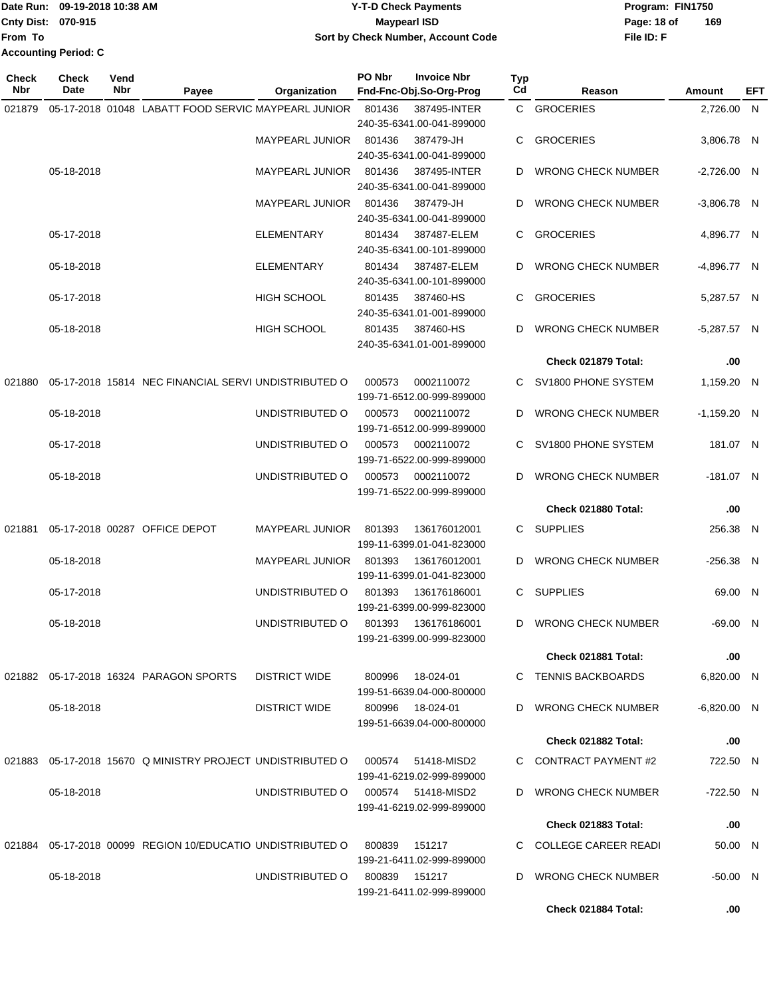|                             | Date Run: 09-19-2018 10:38 AM | Y-T-D Check Payments               | Program: FIN1750   |  |  |
|-----------------------------|-------------------------------|------------------------------------|--------------------|--|--|
| <b>Cnty Dist: 070-915</b>   |                               | Maypearl ISD                       | 169<br>Page: 18 of |  |  |
| <b>From To</b>              |                               | Sort by Check Number, Account Code | File ID: F         |  |  |
| <b>Accounting Period: C</b> |                               |                                    |                    |  |  |

| Check<br>Nbr | <b>Check</b><br>Date | Vend<br>Nbr | Payee                                                      | Organization           | PO Nbr | <b>Invoice Nbr</b><br>Fnd-Fnc-Obj.So-Org-Prog | <b>Typ</b><br>Cd | Reason                      | Amount        | EFT |
|--------------|----------------------|-------------|------------------------------------------------------------|------------------------|--------|-----------------------------------------------|------------------|-----------------------------|---------------|-----|
| 021879       |                      |             | 05-17-2018 01048 LABATT FOOD SERVIC MAYPEARL JUNIOR        |                        | 801436 | 387495-INTER                                  |                  | C GROCERIES                 | 2,726.00 N    |     |
|              |                      |             |                                                            |                        |        | 240-35-6341.00-041-899000                     |                  |                             |               |     |
|              |                      |             |                                                            | MAYPEARL JUNIOR        | 801436 | 387479-JH                                     | C                | <b>GROCERIES</b>            | 3,806.78 N    |     |
|              |                      |             |                                                            |                        |        | 240-35-6341.00-041-899000                     |                  |                             |               |     |
|              | 05-18-2018           |             |                                                            | <b>MAYPEARL JUNIOR</b> | 801436 | 387495-INTER                                  | D                | <b>WRONG CHECK NUMBER</b>   | $-2,726.00$ N |     |
|              |                      |             |                                                            |                        |        | 240-35-6341.00-041-899000                     |                  |                             |               |     |
|              |                      |             |                                                            | <b>MAYPEARL JUNIOR</b> | 801436 | 387479-JH<br>240-35-6341.00-041-899000        | D                | <b>WRONG CHECK NUMBER</b>   | $-3,806.78$ N |     |
|              | 05-17-2018           |             |                                                            | <b>ELEMENTARY</b>      | 801434 | 387487-ELEM                                   | C.               | <b>GROCERIES</b>            | 4,896.77 N    |     |
|              |                      |             |                                                            |                        |        | 240-35-6341.00-101-899000                     |                  |                             |               |     |
|              | 05-18-2018           |             |                                                            | <b>ELEMENTARY</b>      | 801434 | 387487-ELEM                                   | D                | <b>WRONG CHECK NUMBER</b>   | $-4,896.77$ N |     |
|              |                      |             |                                                            |                        |        | 240-35-6341.00-101-899000                     |                  |                             |               |     |
|              | 05-17-2018           |             |                                                            | HIGH SCHOOL            | 801435 | 387460-HS                                     | C                | <b>GROCERIES</b>            | 5,287.57 N    |     |
|              |                      |             |                                                            |                        |        | 240-35-6341.01-001-899000                     |                  |                             |               |     |
|              | 05-18-2018           |             |                                                            | <b>HIGH SCHOOL</b>     | 801435 | 387460-HS                                     | D                | <b>WRONG CHECK NUMBER</b>   | $-5,287.57$ N |     |
|              |                      |             |                                                            |                        |        | 240-35-6341.01-001-899000                     |                  |                             |               |     |
|              |                      |             |                                                            |                        |        |                                               |                  | Check 021879 Total:         | .00           |     |
| 021880       |                      |             | 05-17-2018 15814 NEC FINANCIAL SERVI UNDISTRIBUTED O       |                        | 000573 | 0002110072<br>199-71-6512.00-999-899000       |                  | C SV1800 PHONE SYSTEM       | 1,159.20 N    |     |
|              | 05-18-2018           |             |                                                            | UNDISTRIBUTED O        | 000573 | 0002110072                                    | D                | <b>WRONG CHECK NUMBER</b>   | $-1,159.20$ N |     |
|              |                      |             |                                                            |                        |        | 199-71-6512.00-999-899000                     |                  |                             |               |     |
|              | 05-17-2018           |             |                                                            | UNDISTRIBUTED O        | 000573 | 0002110072                                    | C.               | SV1800 PHONE SYSTEM         | 181.07 N      |     |
|              |                      |             |                                                            |                        |        | 199-71-6522.00-999-899000                     |                  |                             |               |     |
|              | 05-18-2018           |             |                                                            | UNDISTRIBUTED O        | 000573 | 0002110072                                    | D                | <b>WRONG CHECK NUMBER</b>   | $-181.07$ N   |     |
|              |                      |             |                                                            |                        |        | 199-71-6522.00-999-899000                     |                  |                             |               |     |
|              |                      |             |                                                            |                        |        |                                               |                  | Check 021880 Total:         | .00           |     |
| 021881       |                      |             | 05-17-2018 00287 OFFICE DEPOT                              | <b>MAYPEARL JUNIOR</b> | 801393 | 136176012001                                  |                  | C SUPPLIES                  | 256.38 N      |     |
|              |                      |             |                                                            |                        |        | 199-11-6399.01-041-823000                     |                  |                             |               |     |
|              | 05-18-2018           |             |                                                            | <b>MAYPEARL JUNIOR</b> | 801393 | 136176012001                                  | D                | <b>WRONG CHECK NUMBER</b>   | $-256.38$ N   |     |
|              |                      |             |                                                            |                        |        | 199-11-6399.01-041-823000                     |                  |                             |               |     |
|              | 05-17-2018           |             |                                                            | UNDISTRIBUTED O        | 801393 | 136176186001<br>199-21-6399.00-999-823000     | C.               | <b>SUPPLIES</b>             | 69.00 N       |     |
|              | 05-18-2018           |             |                                                            | UNDISTRIBUTED O        | 801393 | 136176186001                                  |                  | D WRONG CHECK NUMBER        | $-69.00$ N    |     |
|              |                      |             |                                                            |                        |        | 199-21-6399.00-999-823000                     |                  |                             |               |     |
|              |                      |             |                                                            |                        |        |                                               |                  | Check 021881 Total:         | .00           |     |
|              |                      |             | 021882  05-17-2018  16324  PARAGON SPORTS                  | <b>DISTRICT WIDE</b>   | 800996 | 18-024-01                                     |                  | C TENNIS BACKBOARDS         | 6.820.00 N    |     |
|              |                      |             |                                                            |                        |        | 199-51-6639.04-000-800000                     |                  |                             |               |     |
|              | 05-18-2018           |             |                                                            | <b>DISTRICT WIDE</b>   | 800996 | 18-024-01                                     | D                | <b>WRONG CHECK NUMBER</b>   | $-6,820.00$ N |     |
|              |                      |             |                                                            |                        |        | 199-51-6639.04-000-800000                     |                  |                             |               |     |
|              |                      |             |                                                            |                        |        |                                               |                  | Check 021882 Total:         | .00           |     |
|              |                      |             | 021883 05-17-2018 15670 Q MINISTRY PROJECT UNDISTRIBUTED O |                        | 000574 | 51418-MISD2<br>199-41-6219.02-999-899000      |                  | C CONTRACT PAYMENT#2        | 722.50 N      |     |
|              | 05-18-2018           |             |                                                            | UNDISTRIBUTED O        |        | 000574 51418-MISD2                            | D                | <b>WRONG CHECK NUMBER</b>   | $-722.50$ N   |     |
|              |                      |             |                                                            |                        |        | 199-41-6219.02-999-899000                     |                  |                             |               |     |
|              |                      |             |                                                            |                        |        |                                               |                  | Check 021883 Total:         | .00           |     |
| 021884       |                      |             | 05-17-2018 00099 REGION 10/EDUCATIO UNDISTRIBUTED O        |                        | 800839 | 151217                                        | C.               | <b>COLLEGE CAREER READI</b> | 50.00 N       |     |
|              |                      |             |                                                            |                        |        | 199-21-6411.02-999-899000                     |                  |                             |               |     |
|              | 05-18-2018           |             |                                                            | UNDISTRIBUTED O        | 800839 | 151217                                        | D                | <b>WRONG CHECK NUMBER</b>   | $-50.00$ N    |     |
|              |                      |             |                                                            |                        |        | 199-21-6411.02-999-899000                     |                  |                             |               |     |
|              |                      |             |                                                            |                        |        |                                               |                  | Check 021884 Total:         | .00           |     |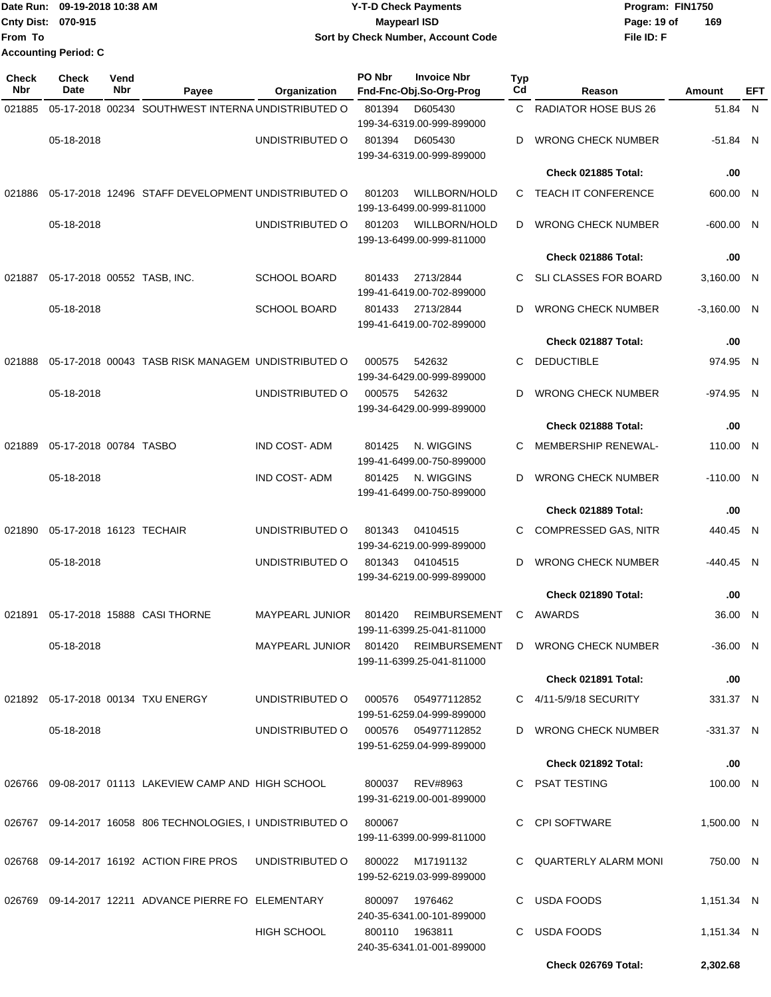|                             | Date Run: 09-19-2018 10:38 AM | <b>Y-T-D Check Payments</b>        | Program: FIN1750   |  |  |  |  |
|-----------------------------|-------------------------------|------------------------------------|--------------------|--|--|--|--|
| <b>Cnty Dist: 070-915</b>   |                               | <b>Mavpearl ISD</b>                | 169<br>Page: 19 of |  |  |  |  |
| From To                     |                               | Sort by Check Number, Account Code | File ID: F         |  |  |  |  |
| <b>Accounting Period: C</b> |                               |                                    |                    |  |  |  |  |

| <b>Check</b><br>Nbr | Check<br>Date               | Vend<br>Nbr | Payee                                                       | Organization                        | PO Nbr | <b>Invoice Nbr</b><br>Fnd-Fnc-Obj.So-Org-Prog     | <b>Typ</b><br>Cd | Reason                                                    | Amount        | EFT |
|---------------------|-----------------------------|-------------|-------------------------------------------------------------|-------------------------------------|--------|---------------------------------------------------|------------------|-----------------------------------------------------------|---------------|-----|
| 021885              |                             |             | 05-17-2018 00234 SOUTHWEST INTERNA UNDISTRIBUTED O          |                                     | 801394 | D605430                                           | C.               | <b>RADIATOR HOSE BUS 26</b>                               | 51.84 N       |     |
|                     |                             |             |                                                             |                                     |        | 199-34-6319.00-999-899000                         |                  |                                                           |               |     |
|                     | 05-18-2018                  |             |                                                             | UNDISTRIBUTED O                     | 801394 | D605430                                           | D.               | <b>WRONG CHECK NUMBER</b>                                 | $-51.84$ N    |     |
|                     |                             |             |                                                             |                                     |        | 199-34-6319.00-999-899000                         |                  |                                                           |               |     |
|                     |                             |             |                                                             |                                     |        |                                                   |                  | Check 021885 Total:                                       | .00           |     |
| 021886              |                             |             | 05-17-2018 12496 STAFF DEVELOPMENT UNDISTRIBUTED O          |                                     | 801203 | WILLBORN/HOLD<br>199-13-6499.00-999-811000        | C.               | <b>TEACH IT CONFERENCE</b>                                | 600.00 N      |     |
|                     | 05-18-2018                  |             |                                                             | UNDISTRIBUTED O                     | 801203 | <b>WILLBORN/HOLD</b><br>199-13-6499.00-999-811000 | D                | <b>WRONG CHECK NUMBER</b>                                 | $-600.00$ N   |     |
|                     |                             |             |                                                             |                                     |        |                                                   |                  | Check 021886 Total:                                       | .00           |     |
| 021887              | 05-17-2018 00552 TASB, INC. |             |                                                             | <b>SCHOOL BOARD</b>                 | 801433 | 2713/2844<br>199-41-6419.00-702-899000            | C.               | <b>SLI CLASSES FOR BOARD</b>                              | 3,160.00 N    |     |
|                     | 05-18-2018                  |             |                                                             | <b>SCHOOL BOARD</b>                 | 801433 | 2713/2844                                         | D                | <b>WRONG CHECK NUMBER</b>                                 | $-3,160.00$ N |     |
|                     |                             |             |                                                             |                                     |        | 199-41-6419.00-702-899000                         |                  |                                                           |               |     |
|                     |                             |             |                                                             |                                     |        |                                                   |                  | Check 021887 Total:                                       | .00           |     |
| 021888              |                             |             | 05-17-2018 00043 TASB RISK MANAGEM UNDISTRIBUTED O          |                                     | 000575 | 542632                                            | С                | <b>DEDUCTIBLE</b>                                         | 974.95 N      |     |
|                     |                             |             |                                                             |                                     |        | 199-34-6429.00-999-899000                         |                  |                                                           |               |     |
|                     | 05-18-2018                  |             |                                                             | UNDISTRIBUTED O                     | 000575 | 542632<br>199-34-6429.00-999-899000               | D                | <b>WRONG CHECK NUMBER</b>                                 | -974.95 N     |     |
|                     |                             |             |                                                             |                                     |        |                                                   |                  | Check 021888 Total:                                       | .00           |     |
| 021889              | 05-17-2018 00784 TASBO      |             |                                                             | <b>IND COST-ADM</b>                 | 801425 | N. WIGGINS<br>199-41-6499.00-750-899000           | C                | MEMBERSHIP RENEWAL-                                       | 110.00 N      |     |
|                     | 05-18-2018                  |             |                                                             | IND COST-ADM                        | 801425 | N. WIGGINS<br>199-41-6499.00-750-899000           | D                | <b>WRONG CHECK NUMBER</b>                                 | $-110.00$ N   |     |
|                     |                             |             |                                                             |                                     |        |                                                   |                  | Check 021889 Total:                                       | .00           |     |
| 021890              | 05-17-2018 16123 TECHAIR    |             |                                                             | UNDISTRIBUTED O                     | 801343 | 04104515                                          | С                | <b>COMPRESSED GAS, NITR</b>                               | 440.45 N      |     |
|                     |                             |             |                                                             |                                     |        | 199-34-6219.00-999-899000                         |                  |                                                           |               |     |
|                     | 05-18-2018                  |             |                                                             | UNDISTRIBUTED O                     | 801343 | 04104515                                          | D                | <b>WRONG CHECK NUMBER</b>                                 | -440.45 N     |     |
|                     |                             |             |                                                             |                                     |        | 199-34-6219.00-999-899000                         |                  |                                                           |               |     |
|                     |                             |             |                                                             |                                     |        |                                                   |                  | Check 021890 Total:                                       | .00           |     |
| 021891              |                             |             | 05-17-2018 15888 CASI THORNE                                | <b>MAYPEARL JUNIOR</b>              | 801420 | <b>REIMBURSEMENT</b><br>199-11-6399.25-041-811000 | C                | AWARDS                                                    | 36.00 N       |     |
|                     | 05-18-2018                  |             |                                                             |                                     |        | 199-11-6399.25-041-811000                         |                  | MAYPEARL JUNIOR 801420 REIMBURSEMENT D WRONG CHECK NUMBER | $-36.00$ N    |     |
|                     |                             |             |                                                             |                                     |        |                                                   |                  | <b>Check 021891 Total:</b>                                | .00           |     |
|                     |                             |             | 021892  05-17-2018  00134  TXU ENERGY                       | UNDISTRIBUTED O 000576 054977112852 |        | 199-51-6259.04-999-899000                         |                  | C 4/11-5/9/18 SECURITY                                    | 331.37 N      |     |
|                     | 05-18-2018                  |             |                                                             | UNDISTRIBUTED O 000576 054977112852 |        | 199-51-6259.04-999-899000                         |                  | D WRONG CHECK NUMBER                                      | $-331.37$ N   |     |
|                     |                             |             |                                                             |                                     |        |                                                   |                  | <b>Check 021892 Total:</b>                                | .00           |     |
|                     |                             |             | 026766 09-08-2017 01113 LAKEVIEW CAMP AND HIGH SCHOOL       |                                     |        | 800037 REV#8963<br>199-31-6219.00-001-899000      |                  | C PSAT TESTING                                            | 100.00 N      |     |
|                     |                             |             | 026767 09-14-2017 16058 806 TECHNOLOGIES, I UNDISTRIBUTED O |                                     | 800067 |                                                   |                  | C CPI SOFTWARE                                            | 1,500.00 N    |     |
|                     |                             |             |                                                             |                                     |        | 199-11-6399.00-999-811000                         |                  |                                                           |               |     |
|                     |                             |             | 026768 09-14-2017 16192 ACTION FIRE PROS                    | UNDISTRIBUTED O                     |        | 800022 M17191132<br>199-52-6219.03-999-899000     |                  | C QUARTERLY ALARM MONI                                    | 750.00 N      |     |
|                     |                             |             | 026769 09-14-2017 12211 ADVANCE PIERRE FO ELEMENTARY        |                                     |        | 800097 1976462<br>240-35-6341.00-101-899000       |                  | C USDA FOODS                                              | 1,151.34 N    |     |
|                     |                             |             |                                                             | <b>HIGH SCHOOL</b>                  |        | 800110 1963811<br>240-35-6341.01-001-899000       |                  | C USDA FOODS                                              | 1,151.34 N    |     |
|                     |                             |             |                                                             |                                     |        |                                                   |                  | Check 026769 Total:                                       | 2,302.68      |     |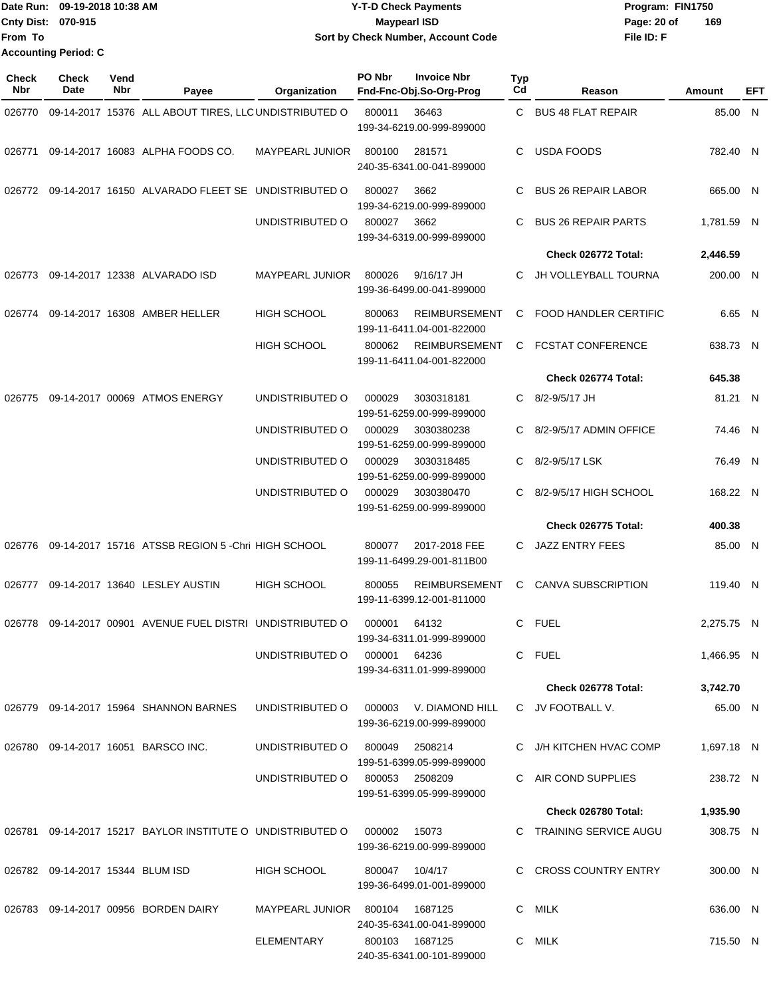|                           | Date Run: 09-19-2018 10:38 AM | <b>Y-T-D Check Payments</b>        | Program: FIN1750   |
|---------------------------|-------------------------------|------------------------------------|--------------------|
| <b>Cnty Dist: 070-915</b> |                               | <b>Mavpearl ISD</b>                | 169<br>Page: 20 of |
| lFrom To                  |                               | Sort by Check Number, Account Code | File ID: F         |
|                           | <b>Accounting Period: C</b>   |                                    |                    |

| Check<br>Nbr | <b>Check</b><br>Date             | Vend<br>Nbr | Payee                                                      | Organization                   | PO Nbr         | <b>Invoice Nbr</b><br>Fnd-Fnc-Obj.So-Org-Prog       | <b>Typ</b><br>Cd | Reason                       | Amount     | EFT |
|--------------|----------------------------------|-------------|------------------------------------------------------------|--------------------------------|----------------|-----------------------------------------------------|------------------|------------------------------|------------|-----|
| 026770       |                                  |             | 09-14-2017 15376 ALL ABOUT TIRES, LLC UNDISTRIBUTED O      |                                | 800011         | 36463<br>199-34-6219.00-999-899000                  | C                | <b>BUS 48 FLAT REPAIR</b>    | 85.00 N    |     |
| 026771       |                                  |             | 09-14-2017 16083 ALPHA FOODS CO.                           | <b>MAYPEARL JUNIOR</b>         | 800100         | 281571<br>240-35-6341.00-041-899000                 | C.               | <b>USDA FOODS</b>            | 782.40 N   |     |
| 026772       |                                  |             | 09-14-2017 16150 ALVARADO FLEET SE UNDISTRIBUTED O         |                                | 800027         | 3662<br>199-34-6219.00-999-899000                   | C                | <b>BUS 26 REPAIR LABOR</b>   | 665.00 N   |     |
|              |                                  |             |                                                            | UNDISTRIBUTED O                | 800027         | 3662<br>199-34-6319.00-999-899000                   | C                | <b>BUS 26 REPAIR PARTS</b>   | 1,781.59 N |     |
|              |                                  |             |                                                            |                                |                |                                                     |                  | Check 026772 Total:          | 2,446.59   |     |
| 026773       |                                  |             | 09-14-2017 12338 ALVARADO ISD                              | <b>MAYPEARL JUNIOR</b>         | 800026         | 9/16/17 JH<br>199-36-6499.00-041-899000             | C.               | JH VOLLEYBALL TOURNA         | 200.00 N   |     |
| 026774       |                                  |             | 09-14-2017 16308 AMBER HELLER                              | <b>HIGH SCHOOL</b>             | 800063         | <b>REIMBURSEMENT</b><br>199-11-6411.04-001-822000   | C                | <b>FOOD HANDLER CERTIFIC</b> | 6.65 N     |     |
|              |                                  |             |                                                            | <b>HIGH SCHOOL</b>             | 800062         | <b>REIMBURSEMENT</b><br>199-11-6411.04-001-822000   | C                | <b>FCSTAT CONFERENCE</b>     | 638.73 N   |     |
|              |                                  |             |                                                            |                                |                |                                                     |                  | Check 026774 Total:          | 645.38     |     |
| 026775       |                                  |             | 09-14-2017 00069 ATMOS ENERGY                              | UNDISTRIBUTED O                | 000029         | 3030318181<br>199-51-6259.00-999-899000             | C.               | 8/2-9/5/17 JH                | 81.21 N    |     |
|              |                                  |             |                                                            | UNDISTRIBUTED O                | 000029         | 3030380238<br>199-51-6259.00-999-899000             |                  | 8/2-9/5/17 ADMIN OFFICE      | 74.46 N    |     |
|              |                                  |             |                                                            | UNDISTRIBUTED O                | 000029         | 3030318485<br>199-51-6259.00-999-899000             | C.               | 8/2-9/5/17 LSK               | 76.49 N    |     |
|              |                                  |             |                                                            | UNDISTRIBUTED O                | 000029         | 3030380470<br>199-51-6259.00-999-899000             | C.               | 8/2-9/5/17 HIGH SCHOOL       | 168.22 N   |     |
|              |                                  |             |                                                            |                                |                |                                                     |                  | Check 026775 Total:          | 400.38     |     |
| 026776       |                                  |             | 09-14-2017 15716 ATSSB REGION 5 - Chri HIGH SCHOOL         |                                | 800077         | 2017-2018 FEE<br>199-11-6499.29-001-811B00          | C.               | <b>JAZZ ENTRY FEES</b>       | 85.00 N    |     |
| 026777       |                                  |             | 09-14-2017 13640 LESLEY AUSTIN                             | <b>HIGH SCHOOL</b>             | 800055         | <b>REIMBURSEMENT</b><br>199-11-6399.12-001-811000   | C                | <b>CANVA SUBSCRIPTION</b>    | 119.40 N   |     |
| 026778       |                                  |             | 09-14-2017 00901 AVENUE FUEL DISTRI UNDISTRIBUTED O        |                                | 000001         | 64132<br>199-34-6311.01-999-899000                  | C.               | <b>FUEL</b>                  | 2,275.75 N |     |
|              |                                  |             |                                                            | UNDISTRIBUTED O                | 000001 64236   | 199-34-6311.01-999-899000                           |                  | C FUEL                       | 1,466.95 N |     |
|              |                                  |             |                                                            |                                |                |                                                     |                  | Check 026778 Total:          | 3,742.70   |     |
|              |                                  |             | 026779 09-14-2017 15964 SHANNON BARNES                     | UNDISTRIBUTED O                |                | 000003 V. DIAMOND HILL<br>199-36-6219.00-999-899000 |                  | C JV FOOTBALL V.             | 65.00 N    |     |
|              |                                  |             | 026780 09-14-2017 16051 BARSCO INC.                        | UNDISTRIBUTED O                |                | 800049 2508214<br>199-51-6399.05-999-899000         |                  | C J/H KITCHEN HVAC COMP      | 1,697.18 N |     |
|              |                                  |             |                                                            | UNDISTRIBUTED O                |                | 800053 2508209<br>199-51-6399.05-999-899000         |                  | C AIR COND SUPPLIES          | 238.72 N   |     |
|              |                                  |             |                                                            |                                |                |                                                     |                  | Check 026780 Total:          | 1,935.90   |     |
|              |                                  |             | 026781 09-14-2017 15217 BAYLOR INSTITUTE O UNDISTRIBUTED O |                                | 000002         | 15073<br>199-36-6219.00-999-899000                  |                  | C TRAINING SERVICE AUGU      | 308.75 N   |     |
|              | 026782 09-14-2017 15344 BLUM ISD |             |                                                            | HIGH SCHOOL                    | 800047 10/4/17 | 199-36-6499.01-001-899000                           |                  | C CROSS COUNTRY ENTRY        | 300.00 N   |     |
|              |                                  |             | 026783 09-14-2017 00956 BORDEN DAIRY                       | MAYPEARL JUNIOR 800104 1687125 |                | 240-35-6341.00-041-899000                           |                  | C MILK                       | 636.00 N   |     |
|              |                                  |             |                                                            | ELEMENTARY                     |                | 800103 1687125<br>240-35-6341.00-101-899000         |                  | C MILK                       | 715.50 N   |     |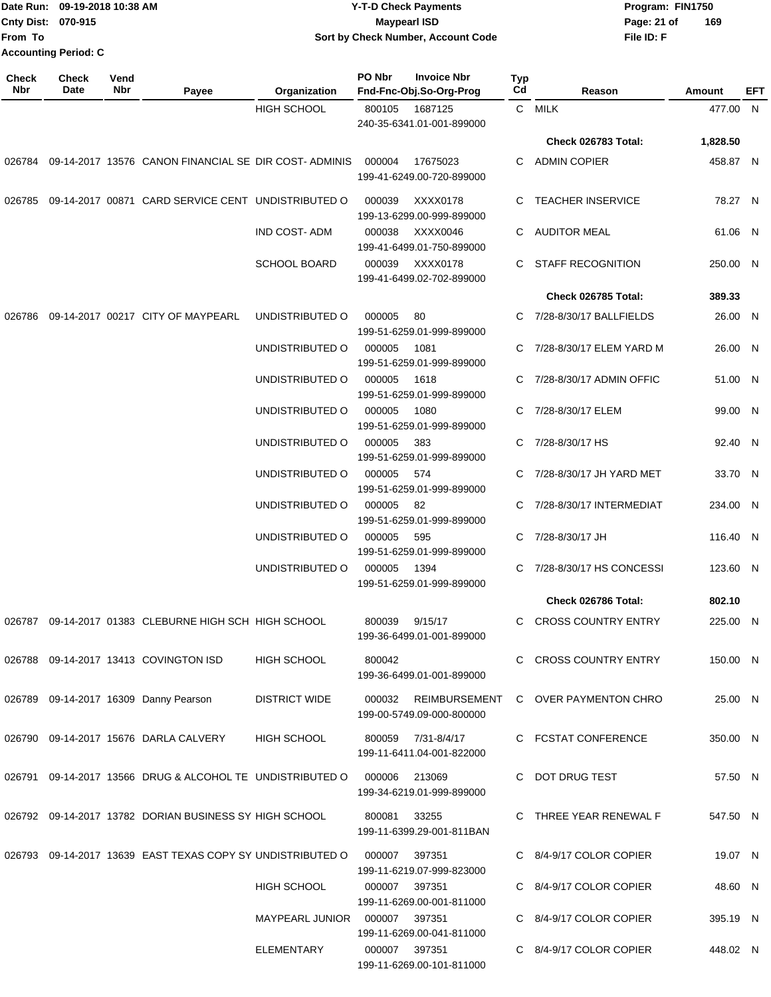|                             | Date Run: 09-19-2018 10:38 AM | <b>Y-T-D Check Payments</b>        | Program: FIN1750   |
|-----------------------------|-------------------------------|------------------------------------|--------------------|
| Cnty Dist: 070-915          |                               | <b>Maypearl ISD</b>                | 169<br>Page: 21 of |
| From To                     |                               | Sort by Check Number, Account Code | File ID: F         |
| <b>Accounting Period: C</b> |                               |                                    |                    |

| Check<br>Nbr | <b>Check</b><br>Date | Vend<br>Nbr | Payee                                                      | Organization         | PO Nbr        | <b>Invoice Nbr</b><br>Fnd-Fnc-Obj.So-Org-Prog   | Typ<br>Cd | Reason                    | Amount   | EFT |
|--------------|----------------------|-------------|------------------------------------------------------------|----------------------|---------------|-------------------------------------------------|-----------|---------------------------|----------|-----|
|              |                      |             |                                                            | <b>HIGH SCHOOL</b>   | 800105        | 1687125                                         |           | C MILK                    | 477.00 N |     |
|              |                      |             |                                                            |                      |               | 240-35-6341.01-001-899000                       |           |                           |          |     |
|              |                      |             |                                                            |                      |               |                                                 |           | Check 026783 Total:       | 1,828.50 |     |
| 026784       |                      |             | 09-14-2017 13576 CANON FINANCIAL SE DIR COST-ADMINIS       |                      | 000004        | 17675023<br>199-41-6249.00-720-899000           | С         | <b>ADMIN COPIER</b>       | 458.87 N |     |
| 026785       |                      |             | 09-14-2017 00871 CARD SERVICE CENT UNDISTRIBUTED O         |                      | 000039        | XXXX0178<br>199-13-6299.00-999-899000           | С         | <b>TEACHER INSERVICE</b>  | 78.27 N  |     |
|              |                      |             |                                                            | <b>IND COST-ADM</b>  | 000038        | XXXX0046<br>199-41-6499.01-750-899000           | С         | AUDITOR MEAL              | 61.06 N  |     |
|              |                      |             |                                                            | <b>SCHOOL BOARD</b>  | 000039        | XXXX0178<br>199-41-6499.02-702-899000           | С         | STAFF RECOGNITION         | 250.00 N |     |
|              |                      |             |                                                            |                      |               |                                                 |           | Check 026785 Total:       | 389.33   |     |
| 026786       |                      |             | 09-14-2017 00217 CITY OF MAYPEARL                          | UNDISTRIBUTED O      | 000005        | 80<br>199-51-6259.01-999-899000                 |           | C 7/28-8/30/17 BALLFIELDS | 26.00 N  |     |
|              |                      |             |                                                            | UNDISTRIBUTED O      | 000005        | 1081<br>199-51-6259.01-999-899000               | С         | 7/28-8/30/17 ELEM YARD M  | 26.00 N  |     |
|              |                      |             |                                                            | UNDISTRIBUTED O      | 000005        | 1618<br>199-51-6259.01-999-899000               | С         | 7/28-8/30/17 ADMIN OFFIC  | 51.00 N  |     |
|              |                      |             |                                                            | UNDISTRIBUTED O      | 000005        | 1080<br>199-51-6259.01-999-899000               |           | 7/28-8/30/17 ELEM         | 99.00 N  |     |
|              |                      |             |                                                            | UNDISTRIBUTED O      | 000005        | 383<br>199-51-6259.01-999-899000                | С         | 7/28-8/30/17 HS           | 92.40 N  |     |
|              |                      |             |                                                            | UNDISTRIBUTED O      | 000005        | 574<br>199-51-6259.01-999-899000                | C         | 7/28-8/30/17 JH YARD MET  | 33.70 N  |     |
|              |                      |             |                                                            | UNDISTRIBUTED O      | 000005        | 82<br>199-51-6259.01-999-899000                 |           | 7/28-8/30/17 INTERMEDIAT  | 234.00 N |     |
|              |                      |             |                                                            | UNDISTRIBUTED O      | 000005        | 595<br>199-51-6259.01-999-899000                | С         | 7/28-8/30/17 JH           | 116.40 N |     |
|              |                      |             |                                                            | UNDISTRIBUTED O      | 000005        | 1394<br>199-51-6259.01-999-899000               | C.        | 7/28-8/30/17 HS CONCESSI  | 123.60 N |     |
|              |                      |             |                                                            |                      |               |                                                 |           | Check 026786 Total:       | 802.10   |     |
|              |                      |             | 026787 09-14-2017 01383 CLEBURNE HIGH SCH HIGH SCHOOL      |                      | 800039        | 9/15/17<br>199-36-6499.01-001-899000            |           | C CROSS COUNTRY ENTRY     | 225.00 N |     |
|              |                      |             | 026788  09-14-2017  13413  COVINGTON ISD                   | HIGH SCHOOL          | 800042        | 199-36-6499.01-001-899000                       |           | C CROSS COUNTRY ENTRY     | 150.00 N |     |
|              |                      |             | 026789 09-14-2017 16309 Danny Pearson                      | <b>DISTRICT WIDE</b> | 000032        | REIMBURSEMENT<br>199-00-5749.09-000-800000      |           | C OVER PAYMENTON CHRO     | 25.00 N  |     |
|              |                      |             | 026790 09-14-2017 15676 DARLA CALVERY                      | <b>HIGH SCHOOL</b>   |               | 800059 7/31-8/4/17<br>199-11-6411.04-001-822000 |           | C FCSTAT CONFERENCE       | 350.00 N |     |
|              |                      |             | 026791 09-14-2017 13566 DRUG & ALCOHOL TE UNDISTRIBUTED O  |                      | 000006        | 213069                                          |           | C DOT DRUG TEST           | 57.50 N  |     |
|              |                      |             | 026792 09-14-2017 13782 DORIAN BUSINESS SY HIGH SCHOOL     |                      | 800081 33255  | 199-34-6219.01-999-899000                       |           | C THREE YEAR RENEWAL F    | 547.50 N |     |
|              |                      |             | 026793 09-14-2017 13639 EAST TEXAS COPY SY UNDISTRIBUTED O |                      | 000007        | 199-11-6399.29-001-811BAN<br>397351             |           | C 8/4-9/17 COLOR COPIER   | 19.07 N  |     |
|              |                      |             |                                                            | <b>HIGH SCHOOL</b>   | 000007        | 199-11-6219.07-999-823000<br>397351             |           | C 8/4-9/17 COLOR COPIER   | 48.60 N  |     |
|              |                      |             |                                                            | MAYPEARL JUNIOR      | 000007 397351 | 199-11-6269.00-001-811000                       |           | C 8/4-9/17 COLOR COPIER   | 395.19 N |     |
|              |                      |             |                                                            |                      |               | 199-11-6269.00-041-811000                       |           |                           |          |     |
|              |                      |             |                                                            | ELEMENTARY           | 000007 397351 | 199-11-6269.00-101-811000                       |           | C 8/4-9/17 COLOR COPIER   | 448.02 N |     |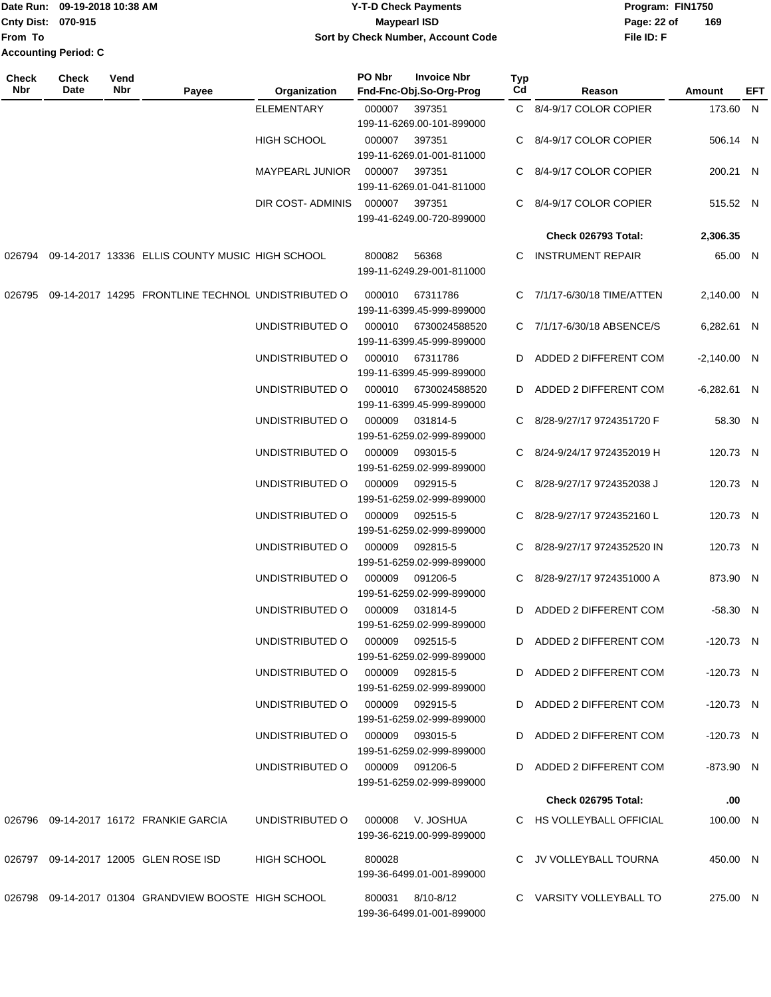### Date Run: 09-19-2018 10:38 AM **CONTEX 18 AM CONTEX 18 AM CONTEX 17-T-D** Check Payments **CONTEX 18 AM CONTEX 18 AM CONTEX 18 AM CONTEX 18 AM CONTEX 18 AM CONTEX 18 AM CONTEX 18 AM CONTEX 18 AM CONTEX 19 AM CONTEX 19 AM CONT Cnty Dist:** 070-915 **Page: 22 of MaypearI ISD Page: 22 of 09-19-2018 10:38 AM Y-T-D Check Payments 070-915 Maypearl ISD Sort by Check Number, Account Code**

| <b>Check</b><br>Nbr | <b>Check</b><br>Date | Vend<br>Nbr | Payee                                                | Organization                    | PO Nbr          | <b>Invoice Nbr</b><br>Fnd-Fnc-Obj.So-Org-Prog | <b>Typ</b><br>Cd | Reason                       | Amount        | EFT |
|---------------------|----------------------|-------------|------------------------------------------------------|---------------------------------|-----------------|-----------------------------------------------|------------------|------------------------------|---------------|-----|
|                     |                      |             |                                                      | ELEMENTARY                      | 000007          | 397351<br>199-11-6269.00-101-899000           |                  | C 8/4-9/17 COLOR COPIER      | 173.60 N      |     |
|                     |                      |             |                                                      | HIGH SCHOOL                     | 000007          | 397351<br>199-11-6269.01-001-811000           |                  | C 8/4-9/17 COLOR COPIER      | 506.14 N      |     |
|                     |                      |             |                                                      | MAYPEARL JUNIOR 000007          |                 | 397351<br>199-11-6269.01-041-811000           | C.               | 8/4-9/17 COLOR COPIER        | 200.21 N      |     |
|                     |                      |             |                                                      | DIR COST-ADMINIS 000007         |                 | 397351<br>199-41-6249.00-720-899000           |                  | C 8/4-9/17 COLOR COPIER      | 515.52 N      |     |
|                     |                      |             |                                                      |                                 |                 |                                               |                  | Check 026793 Total:          | 2,306.35      |     |
| 026794              |                      |             | 09-14-2017 13336 ELLIS COUNTY MUSIC HIGH SCHOOL      |                                 | 800082          | 56368<br>199-11-6249.29-001-811000            |                  | C INSTRUMENT REPAIR          | 65.00 N       |     |
| 026795              |                      |             | 09-14-2017 14295 FRONTLINE TECHNOL UNDISTRIBUTED O   |                                 | 000010          | 67311786<br>199-11-6399.45-999-899000         |                  | C 7/1/17-6/30/18 TIME/ATTEN  | 2,140.00 N    |     |
|                     |                      |             |                                                      | UNDISTRIBUTED O                 | 000010          | 6730024588520<br>199-11-6399.45-999-899000    |                  | C 7/1/17-6/30/18 ABSENCE/S   | 6,282.61 N    |     |
|                     |                      |             |                                                      | UNDISTRIBUTED O                 | 000010          | 67311786<br>199-11-6399.45-999-899000         |                  | D ADDED 2 DIFFERENT COM      | $-2,140.00$ N |     |
|                     |                      |             |                                                      | UNDISTRIBUTED O                 | 000010          | 6730024588520<br>199-11-6399.45-999-899000    |                  | D ADDED 2 DIFFERENT COM      | $-6,282.61$ N |     |
|                     |                      |             |                                                      | UNDISTRIBUTED O                 | 000009          | 031814-5<br>199-51-6259.02-999-899000         |                  | C 8/28-9/27/17 9724351720 F  | 58.30 N       |     |
|                     |                      |             |                                                      | UNDISTRIBUTED O                 | 000009          | 093015-5<br>199-51-6259.02-999-899000         |                  | C 8/24-9/24/17 9724352019 H  | 120.73 N      |     |
|                     |                      |             |                                                      | UNDISTRIBUTED O                 | 000009          | 092915-5<br>199-51-6259.02-999-899000         |                  | C 8/28-9/27/17 9724352038 J  | 120.73 N      |     |
|                     |                      |             |                                                      | UNDISTRIBUTED O                 | 000009          | 092515-5<br>199-51-6259.02-999-899000         |                  | C 8/28-9/27/17 9724352160 L  | 120.73 N      |     |
|                     |                      |             |                                                      | UNDISTRIBUTED O                 | 000009          | 092815-5<br>199-51-6259.02-999-899000         |                  | C 8/28-9/27/17 9724352520 IN | 120.73 N      |     |
|                     |                      |             |                                                      | UNDISTRIBUTED O                 | 000009          | 091206-5<br>199-51-6259.02-999-899000         |                  | C 8/28-9/27/17 9724351000 A  | 873.90 N      |     |
|                     |                      |             |                                                      | UNDISTRIBUTED O                 | 000009          | 031814-5<br>199-51-6259.02-999-899000         | D                | ADDED 2 DIFFERENT COM        | $-58.30$ N    |     |
|                     |                      |             |                                                      | UNDISTRIBUTED O                 | 000009          | 092515-5<br>199-51-6259.02-999-899000         |                  | D ADDED 2 DIFFERENT COM      | $-120.73$ N   |     |
|                     |                      |             |                                                      | UNDISTRIBUTED O                 | 000009 092815-5 | 199-51-6259.02-999-899000                     |                  | D ADDED 2 DIFFERENT COM      | $-120.73$ N   |     |
|                     |                      |             |                                                      | UNDISTRIBUTED O                 | 000009          | 092915-5<br>199-51-6259.02-999-899000         |                  | D ADDED 2 DIFFERENT COM      | $-120.73$ N   |     |
|                     |                      |             |                                                      | UNDISTRIBUTED O 000009 093015-5 |                 | 199-51-6259.02-999-899000                     |                  | D ADDED 2 DIFFERENT COM      | $-120.73$ N   |     |
|                     |                      |             |                                                      | UNDISTRIBUTED O 000009 091206-5 |                 | 199-51-6259.02-999-899000                     |                  | D ADDED 2 DIFFERENT COM      | -873.90 N     |     |
|                     |                      |             |                                                      |                                 |                 |                                               |                  | Check 026795 Total:          | .00           |     |
|                     |                      |             | 026796 09-14-2017 16172 FRANKIE GARCIA               | UNDISTRIBUTED O                 |                 | 000008 V. JOSHUA<br>199-36-6219.00-999-899000 |                  | C HS VOLLEYBALL OFFICIAL     | 100.00 N      |     |
|                     |                      |             | 026797 09-14-2017 12005 GLEN ROSE ISD                | <b>HIGH SCHOOL</b>              | 800028          | 199-36-6499.01-001-899000                     |                  | C JV VOLLEYBALL TOURNA       | 450.00 N      |     |
|                     |                      |             | 026798 09-14-2017 01304 GRANDVIEW BOOSTE HIGH SCHOOL |                                 |                 | 800031 8/10-8/12<br>199-36-6499.01-001-899000 |                  | C VARSITY VOLLEYBALL TO      | 275.00 N      |     |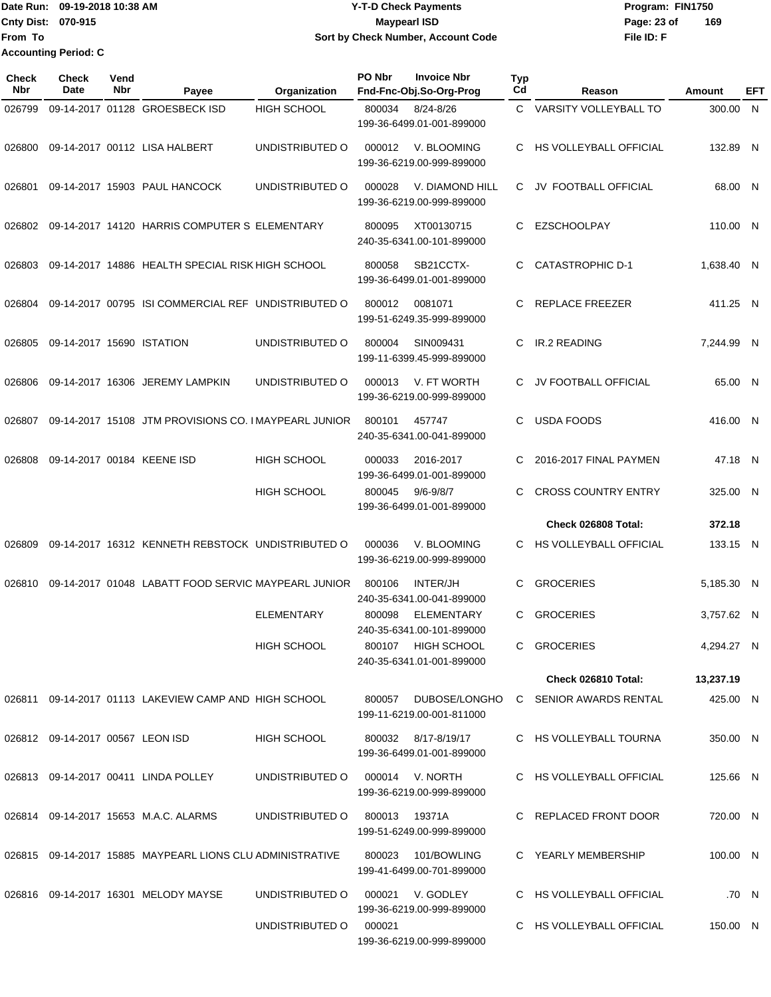### Date Run: 09-19-2018 10:38 AM **CONTEX 18 AM CONTEX 18 AM CONTEX 17-T-D** Check Payments **CONTEX 18 AM CONTEX 18 AM CONTEX 18 AM CONTEX 18 AM CONTEX 18 AM CONTEX 18 AM CONTEX 18 AM CONTEX 18 AM CONTEX 19 AM CONTEX 19 AM CONT Cnty Dist:** 070-915 **Page: 23 of Page: 23 of 09-19-2018 10:38 AM Y-T-D Check Payments 070-915 Maypearl ISD Sort by Check Number, Account Code**

| Check<br><b>Nbr</b> | <b>Check</b><br>Date             | Vend<br>Nbr | Payee                                                     | Organization       | PO Nbr         | <b>Invoice Nbr</b><br>Fnd-Fnc-Obj.So-Org-Prog          | Typ<br>Cd | Reason                        | <b>Amount</b> | EFT   |
|---------------------|----------------------------------|-------------|-----------------------------------------------------------|--------------------|----------------|--------------------------------------------------------|-----------|-------------------------------|---------------|-------|
| 026799              |                                  |             | 09-14-2017 01128 GROESBECK ISD                            | HIGH SCHOOL        | 800034         | $8/24 - 8/26$<br>199-36-6499.01-001-899000             |           | C VARSITY VOLLEYBALL TO       | 300.00 N      |       |
| 026800              |                                  |             | 09-14-2017 00112 LISA HALBERT                             | UNDISTRIBUTED O    | 000012         | V. BLOOMING<br>199-36-6219.00-999-899000               | C.        | <b>HS VOLLEYBALL OFFICIAL</b> | 132.89 N      |       |
| 026801              |                                  |             | 09-14-2017 15903 PAUL HANCOCK                             | UNDISTRIBUTED O    | 000028         | V. DIAMOND HILL<br>199-36-6219.00-999-899000           | C.        | JV FOOTBALL OFFICIAL          | 68.00 N       |       |
| 026802              |                                  |             | 09-14-2017 14120 HARRIS COMPUTER S ELEMENTARY             |                    | 800095         | XT00130715<br>240-35-6341.00-101-899000                | C         | <b>EZSCHOOLPAY</b>            | 110.00 N      |       |
| 026803              |                                  |             | 09-14-2017 14886 HEALTH SPECIAL RISK HIGH SCHOOL          |                    | 800058         | SB21CCTX-<br>199-36-6499.01-001-899000                 | C         | <b>CATASTROPHIC D-1</b>       | 1,638.40 N    |       |
| 026804              |                                  |             | 09-14-2017 00795 ISI COMMERCIAL REF UNDISTRIBUTED O       |                    | 800012         | 0081071<br>199-51-6249.35-999-899000                   | C         | REPLACE FREEZER               | 411.25 N      |       |
| 026805              | 09-14-2017 15690 ISTATION        |             |                                                           | UNDISTRIBUTED O    | 800004         | SIN009431<br>199-11-6399.45-999-899000                 | C         | IR.2 READING                  | 7,244.99 N    |       |
| 026806              |                                  |             | 09-14-2017 16306 JEREMY LAMPKIN                           | UNDISTRIBUTED O    | 000013         | V. FT WORTH<br>199-36-6219.00-999-899000               | C         | JV FOOTBALL OFFICIAL          | 65.00 N       |       |
| 026807              |                                  |             | 09-14-2017 15108 JTM PROVISIONS CO. IMAYPEARL JUNIOR      |                    | 800101         | 457747<br>240-35-6341.00-041-899000                    | C.        | <b>USDA FOODS</b>             | 416.00 N      |       |
| 026808              |                                  |             | 09-14-2017 00184 KEENE ISD                                | <b>HIGH SCHOOL</b> | 000033         | 2016-2017<br>199-36-6499.01-001-899000                 | C.        | 2016-2017 FINAL PAYMEN        | 47.18 N       |       |
|                     |                                  |             |                                                           | <b>HIGH SCHOOL</b> | 800045         | $9/6 - 9/8/7$<br>199-36-6499.01-001-899000             | C         | <b>CROSS COUNTRY ENTRY</b>    | 325.00 N      |       |
|                     |                                  |             |                                                           |                    |                |                                                        |           | Check 026808 Total:           | 372.18        |       |
| 026809              |                                  |             | 09-14-2017 16312 KENNETH REBSTOCK UNDISTRIBUTED O         |                    | 000036         | V. BLOOMING<br>199-36-6219.00-999-899000               | C.        | HS VOLLEYBALL OFFICIAL        | 133.15 N      |       |
| 026810              |                                  |             | 09-14-2017 01048 LABATT FOOD SERVIC MAYPEARL JUNIOR       |                    | 800106         | INTER/JH<br>240-35-6341.00-041-899000                  | C         | <b>GROCERIES</b>              | 5,185.30 N    |       |
|                     |                                  |             |                                                           | <b>ELEMENTARY</b>  | 800098         | <b>ELEMENTARY</b><br>240-35-6341.00-101-899000         | C.        | <b>GROCERIES</b>              | 3,757.62 N    |       |
|                     |                                  |             |                                                           | HIGH SCHOOL        |                | 800107 HIGH SCHOOL<br>240-35-6341.01-001-899000        |           | C GROCERIES                   | 4,294.27 N    |       |
|                     |                                  |             |                                                           |                    |                |                                                        |           | Check 026810 Total:           | 13,237.19     |       |
|                     |                                  |             | 026811 09-14-2017 01113 LAKEVIEW CAMP AND HIGH SCHOOL     |                    |                | 800057 DUBOSE/LONGHO<br>199-11-6219.00-001-811000      |           | C SENIOR AWARDS RENTAL        | 425.00 N      |       |
|                     | 026812 09-14-2017 00567 LEON ISD |             |                                                           | HIGH SCHOOL        |                | 800032 8/17-8/19/17<br>199-36-6499.01-001-899000       |           | C HS VOLLEYBALL TOURNA        | 350.00 N      |       |
|                     |                                  |             | 026813 09-14-2017 00411 LINDA POLLEY                      | UNDISTRIBUTED O    |                | 000014 V. NORTH<br>199-36-6219.00-999-899000           |           | C HS VOLLEYBALL OFFICIAL      | 125.66 N      |       |
|                     |                                  |             | 026814 09-14-2017 15653 M.A.C. ALARMS                     | UNDISTRIBUTED O    | 800013  19371A | 199-51-6249.00-999-899000                              |           | C REPLACED FRONT DOOR         | 720.00 N      |       |
|                     |                                  |             | 026815 09-14-2017 15885 MAYPEARL LIONS CLU ADMINISTRATIVE |                    |                | 800023 101/BOWLING<br>199-41-6499.00-701-899000        |           | C YEARLY MEMBERSHIP           | 100.00 N      |       |
|                     |                                  |             | 026816 09-14-2017 16301 MELODY MAYSE                      | UNDISTRIBUTED O    |                | 000021 V. GODLEY                                       |           | C HS VOLLEYBALL OFFICIAL      |               | .70 N |
|                     |                                  |             |                                                           | UNDISTRIBUTED O    | 000021         | 199-36-6219.00-999-899000<br>199-36-6219.00-999-899000 |           | C HS VOLLEYBALL OFFICIAL      | 150.00 N      |       |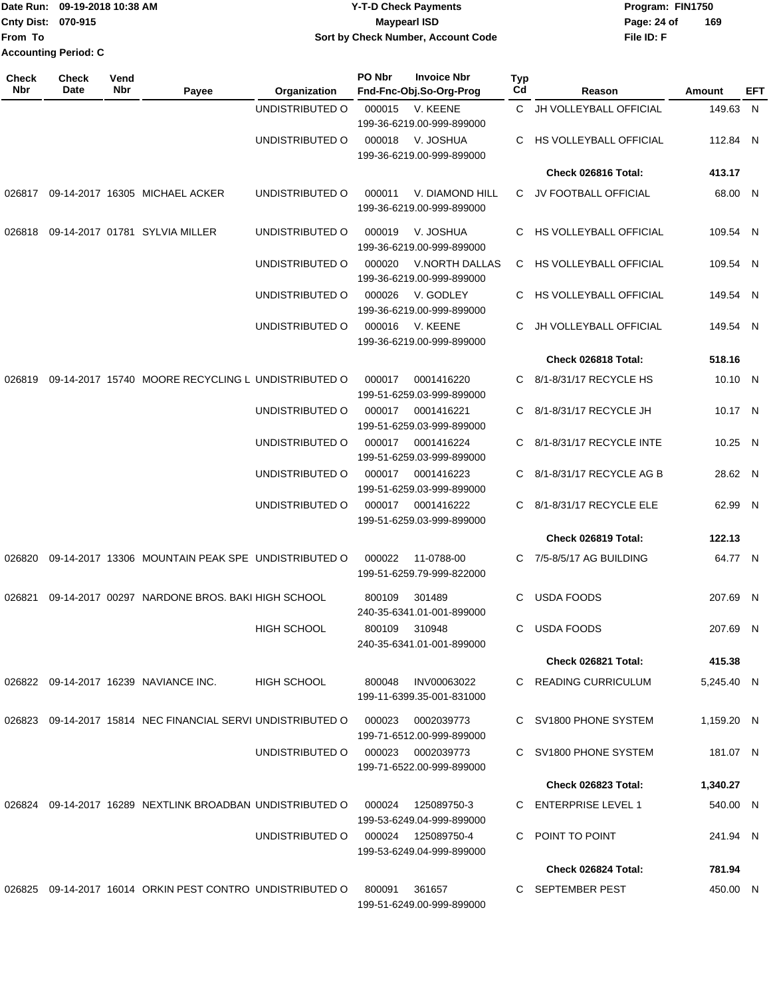|                           | Date Run: 09-19-2018 10:38 AM | <b>Y-T-D Check Payments</b>        | Program: FIN1750   |
|---------------------------|-------------------------------|------------------------------------|--------------------|
| <b>Cnty Dist: 070-915</b> |                               | <b>Mavpearl ISD</b>                | 169<br>Page: 24 of |
| lFrom To                  |                               | Sort by Check Number, Account Code | File ID: F         |
| Accounting Period: C      |                               |                                    |                    |

| <b>Check</b><br>Nbr | Check<br>Date | Vend<br>Nbr | Payee                                                     | Organization       | PO Nbr | <b>Invoice Nbr</b><br>Fnd-Fnc-Obj.So-Org-Prog | <b>Typ</b><br>Cd | Reason                        | Amount     | EFT |
|---------------------|---------------|-------------|-----------------------------------------------------------|--------------------|--------|-----------------------------------------------|------------------|-------------------------------|------------|-----|
|                     |               |             |                                                           | UNDISTRIBUTED O    | 000015 | V. KEENE                                      | C.               | JH VOLLEYBALL OFFICIAL        | 149.63 N   |     |
|                     |               |             |                                                           |                    |        | 199-36-6219.00-999-899000                     |                  |                               |            |     |
|                     |               |             |                                                           | UNDISTRIBUTED O    | 000018 | V. JOSHUA<br>199-36-6219.00-999-899000        | C.               | HS VOLLEYBALL OFFICIAL        | 112.84 N   |     |
|                     |               |             |                                                           |                    |        |                                               |                  | Check 026816 Total:           | 413.17     |     |
| 026817              |               |             | 09-14-2017 16305 MICHAEL ACKER                            | UNDISTRIBUTED O    | 000011 | V. DIAMOND HILL<br>199-36-6219.00-999-899000  |                  | C JV FOOTBALL OFFICIAL        | 68.00 N    |     |
| 026818              |               |             | 09-14-2017 01781 SYLVIA MILLER                            | UNDISTRIBUTED O    | 000019 | V. JOSHUA<br>199-36-6219.00-999-899000        |                  | C HS VOLLEYBALL OFFICIAL      | 109.54 N   |     |
|                     |               |             |                                                           | UNDISTRIBUTED O    | 000020 | V.NORTH DALLAS<br>199-36-6219.00-999-899000   |                  | C HS VOLLEYBALL OFFICIAL      | 109.54 N   |     |
|                     |               |             |                                                           | UNDISTRIBUTED O    | 000026 | V. GODLEY<br>199-36-6219.00-999-899000        | C                | HS VOLLEYBALL OFFICIAL        | 149.54 N   |     |
|                     |               |             |                                                           | UNDISTRIBUTED O    | 000016 | V. KEENE<br>199-36-6219.00-999-899000         | C                | <b>JH VOLLEYBALL OFFICIAL</b> | 149.54 N   |     |
|                     |               |             |                                                           |                    |        |                                               |                  | Check 026818 Total:           | 518.16     |     |
| 026819              |               |             | 09-14-2017 15740 MOORE RECYCLING L UNDISTRIBUTED O        |                    | 000017 | 0001416220<br>199-51-6259.03-999-899000       | C.               | 8/1-8/31/17 RECYCLE HS        | 10.10 N    |     |
|                     |               |             |                                                           | UNDISTRIBUTED O    | 000017 | 0001416221<br>199-51-6259.03-999-899000       | C.               | 8/1-8/31/17 RECYCLE JH        | 10.17 N    |     |
|                     |               |             |                                                           | UNDISTRIBUTED O    | 000017 | 0001416224<br>199-51-6259.03-999-899000       | C                | 8/1-8/31/17 RECYCLE INTE      | 10.25 N    |     |
|                     |               |             |                                                           | UNDISTRIBUTED O    | 000017 | 0001416223<br>199-51-6259.03-999-899000       | C                | 8/1-8/31/17 RECYCLE AG B      | 28.62 N    |     |
|                     |               |             |                                                           | UNDISTRIBUTED O    | 000017 | 0001416222<br>199-51-6259.03-999-899000       | C                | 8/1-8/31/17 RECYCLE ELE       | 62.99 N    |     |
|                     |               |             |                                                           |                    |        |                                               |                  | Check 026819 Total:           | 122.13     |     |
| 026820              |               |             | 09-14-2017 13306 MOUNTAIN PEAK SPE UNDISTRIBUTED O        |                    | 000022 | 11-0788-00<br>199-51-6259.79-999-822000       |                  | C 7/5-8/5/17 AG BUILDING      | 64.77 N    |     |
| 026821              |               |             | 09-14-2017 00297 NARDONE BROS, BAKI HIGH SCHOOL           |                    | 800109 | 301489<br>240-35-6341.01-001-899000           | C                | <b>USDA FOODS</b>             | 207.69 N   |     |
|                     |               |             |                                                           | <b>HIGH SCHOOL</b> | 800109 | 310948<br>240-35-6341.01-001-899000           | C.               | USDA FOODS                    | 207.69 N   |     |
|                     |               |             |                                                           |                    |        |                                               |                  | Check 026821 Total:           | 415.38     |     |
|                     |               |             | 026822 09-14-2017 16239 NAVIANCE INC.                     | <b>HIGH SCHOOL</b> | 800048 | INV00063022<br>199-11-6399.35-001-831000      |                  | C READING CURRICULUM          | 5,245.40 N |     |
| 026823              |               |             | 09-14-2017 15814 NEC FINANCIAL SERVI UNDISTRIBUTED O      |                    | 000023 | 0002039773<br>199-71-6512.00-999-899000       |                  | C SV1800 PHONE SYSTEM         | 1,159.20 N |     |
|                     |               |             |                                                           | UNDISTRIBUTED O    | 000023 | 0002039773<br>199-71-6522.00-999-899000       |                  | C SV1800 PHONE SYSTEM         | 181.07 N   |     |
|                     |               |             |                                                           |                    |        |                                               |                  | Check 026823 Total:           | 1,340.27   |     |
|                     |               |             | 026824 09-14-2017 16289 NEXTLINK BROADBAN UNDISTRIBUTED O |                    | 000024 | 125089750-3<br>199-53-6249.04-999-899000      |                  | C ENTERPRISE LEVEL 1          | 540.00 N   |     |
|                     |               |             |                                                           | UNDISTRIBUTED O    | 000024 | 125089750-4<br>199-53-6249.04-999-899000      |                  | C POINT TO POINT              | 241.94 N   |     |
|                     |               |             |                                                           |                    |        |                                               |                  | Check 026824 Total:           | 781.94     |     |
|                     |               |             | 026825 09-14-2017 16014 ORKIN PEST CONTRO UNDISTRIBUTED O |                    | 800091 | 361657<br>199-51-6249.00-999-899000           |                  | C SEPTEMBER PEST              | 450.00 N   |     |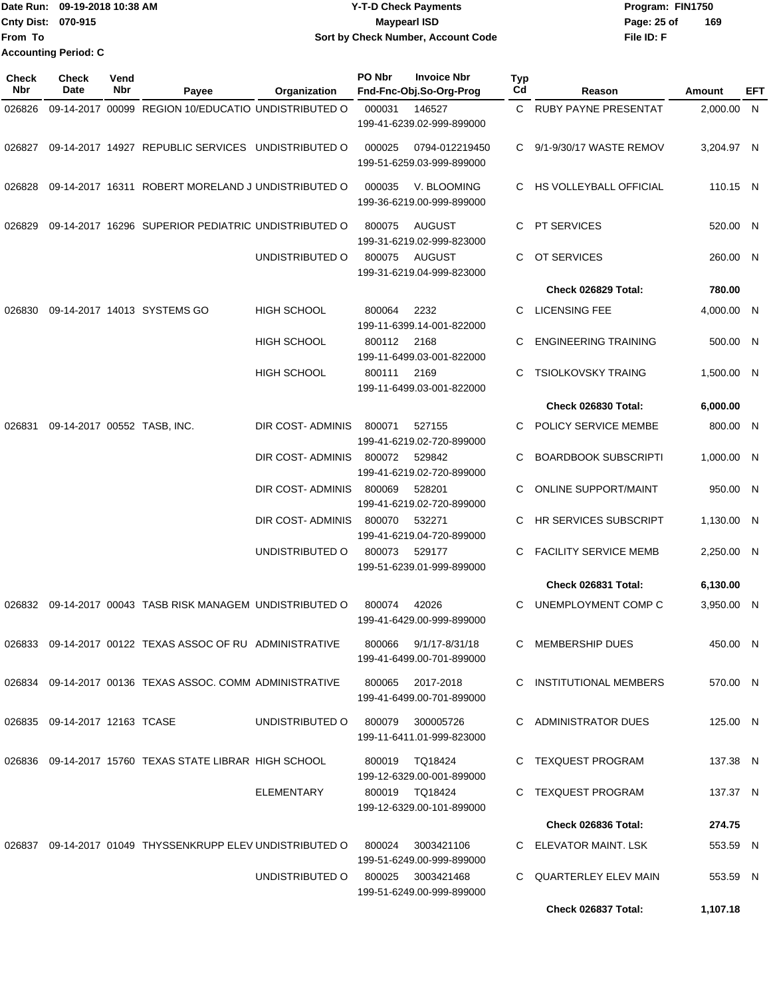|                           | 1Date Run: 09-19-2018 10:38 AM | <b>Y-T-D Check Payments</b>        | Program: FIN1750   |
|---------------------------|--------------------------------|------------------------------------|--------------------|
| <b>Cnty Dist: 070-915</b> |                                | <b>Mavpearl ISD</b>                | 169<br>Page: 25 of |
| <b>IFrom To</b>           |                                | Sort by Check Number, Account Code | File ID: F         |
|                           | <b>Accounting Period: C</b>    |                                    |                    |

| <b>Check</b><br><b>Nbr</b> | Check<br>Date                 | Vend<br>Nbr | Payee                                                     | Organization       | PO Nbr                              | <b>Invoice Nbr</b><br>Fnd-Fnc-Obj.So-Org-Prog  | Typ<br>Cd                    | Reason                       | Amount     | EFT |
|----------------------------|-------------------------------|-------------|-----------------------------------------------------------|--------------------|-------------------------------------|------------------------------------------------|------------------------------|------------------------------|------------|-----|
| 026826                     |                               |             | 09-14-2017 00099 REGION 10/EDUCATIO UNDISTRIBUTED O       |                    | 000031                              | 146527<br>199-41-6239.02-999-899000            |                              | C RUBY PAYNE PRESENTAT       | 2,000.00 N |     |
| 026827                     |                               |             | 09-14-2017 14927 REPUBLIC SERVICES UNDISTRIBUTED O        |                    | 000025                              | 0794-012219450<br>199-51-6259.03-999-899000    | C.                           | 9/1-9/30/17 WASTE REMOV      | 3,204.97 N |     |
| 026828                     |                               |             | 09-14-2017 16311 ROBERT MORELAND J UNDISTRIBUTED O        |                    | 000035                              | V. BLOOMING<br>199-36-6219.00-999-899000       | C.                           | HS VOLLEYBALL OFFICIAL       | 110.15 N   |     |
| 026829                     |                               |             | 09-14-2017 16296 SUPERIOR PEDIATRIC UNDISTRIBUTED O       |                    | 800075                              | <b>AUGUST</b><br>199-31-6219.02-999-823000     | C.                           | PT SERVICES                  | 520.00 N   |     |
|                            |                               |             |                                                           | UNDISTRIBUTED O    | 800075                              | AUGUST<br>199-31-6219.04-999-823000            | C.                           | OT SERVICES                  | 260.00 N   |     |
|                            |                               |             |                                                           |                    |                                     |                                                |                              | Check 026829 Total:          | 780.00     |     |
| 026830                     |                               |             | 09-14-2017 14013 SYSTEMS GO                               | <b>HIGH SCHOOL</b> | 800064                              | 2232<br>199-11-6399.14-001-822000              | C.                           | <b>LICENSING FEE</b>         | 4,000.00 N |     |
|                            |                               |             |                                                           | <b>HIGH SCHOOL</b> | 800112                              | 2168<br>199-11-6499.03-001-822000              | C                            | <b>ENGINEERING TRAINING</b>  | 500.00 N   |     |
|                            |                               |             |                                                           | <b>HIGH SCHOOL</b> | 800111                              | 2169<br>199-11-6499.03-001-822000              | C.                           | <b>TSIOLKOVSKY TRAING</b>    | 1,500.00 N |     |
|                            |                               |             |                                                           |                    |                                     |                                                |                              | Check 026830 Total:          | 6,000.00   |     |
| 026831                     |                               |             | 09-14-2017 00552 TASB, INC.                               | DIR COST- ADMINIS  | 800071                              | 527155<br>199-41-6219.02-720-899000            | C                            | POLICY SERVICE MEMBE         | 800.00 N   |     |
|                            |                               |             | DIR COST- ADMINIS                                         | 800072             | 529842<br>199-41-6219.02-720-899000 |                                                | <b>BOARDBOOK SUBSCRIPTI</b>  | 1,000.00 N                   |            |     |
|                            |                               |             | DIR COST- ADMINIS                                         | 800069             | 528201<br>199-41-6219.02-720-899000 | C                                              | <b>ONLINE SUPPORT/MAINT</b>  | 950.00 N                     |            |     |
|                            |                               |             | DIR COST- ADMINIS                                         | 800070             | 532271<br>199-41-6219.04-720-899000 | C.                                             | <b>HR SERVICES SUBSCRIPT</b> | 1,130.00 N                   |            |     |
|                            |                               |             |                                                           | UNDISTRIBUTED O    | 800073                              | 529177<br>199-51-6239.01-999-899000            | C.                           | <b>FACILITY SERVICE MEMB</b> | 2,250.00 N |     |
|                            |                               |             |                                                           |                    |                                     |                                                |                              | Check 026831 Total:          | 6,130.00   |     |
| 026832                     |                               |             | 09-14-2017 00043 TASB RISK MANAGEM UNDISTRIBUTED O        |                    | 800074                              | 42026<br>199-41-6429.00-999-899000             | C                            | UNEMPLOYMENT COMP C          | 3,950.00 N |     |
|                            |                               |             | 026833 09-14-2017 00122 TEXAS ASSOC OF RU ADMINISTRATIVE  |                    | 800066                              | 9/1/17-8/31/18<br>199-41-6499.00-701-899000    |                              | C MEMBERSHIP DUES            | 450.00 N   |     |
|                            |                               |             | 026834 09-14-2017 00136 TEXAS ASSOC. COMM ADMINISTRATIVE  |                    | 800065                              | 2017-2018<br>199-41-6499.00-701-899000         |                              | C INSTITUTIONAL MEMBERS      | 570.00 N   |     |
|                            | 026835 09-14-2017 12163 TCASE |             |                                                           | UNDISTRIBUTED O    | 800079                              | 300005726<br>199-11-6411.01-999-823000         |                              | C ADMINISTRATOR DUES         | 125.00 N   |     |
|                            |                               |             | 026836 09-14-2017 15760 TEXAS STATE LIBRAR HIGH SCHOOL    |                    |                                     | 800019 TQ18424<br>199-12-6329.00-001-899000    |                              | C TEXQUEST PROGRAM           | 137.38 N   |     |
|                            |                               |             |                                                           | ELEMENTARY         |                                     | 800019 TQ18424<br>199-12-6329.00-101-899000    |                              | C TEXQUEST PROGRAM           | 137.37 N   |     |
|                            |                               |             |                                                           |                    |                                     |                                                |                              | Check 026836 Total:          | 274.75     |     |
|                            |                               |             | 026837 09-14-2017 01049 THYSSENKRUPP ELEV UNDISTRIBUTED O |                    | 800024                              | 3003421106<br>199-51-6249.00-999-899000        |                              | C ELEVATOR MAINT. LSK        | 553.59 N   |     |
|                            |                               |             |                                                           | UNDISTRIBUTED O    |                                     | 800025 3003421468<br>199-51-6249.00-999-899000 |                              | C QUARTERLEY ELEV MAIN       | 553.59 N   |     |
|                            |                               |             |                                                           |                    |                                     |                                                |                              | Check 026837 Total:          | 1,107.18   |     |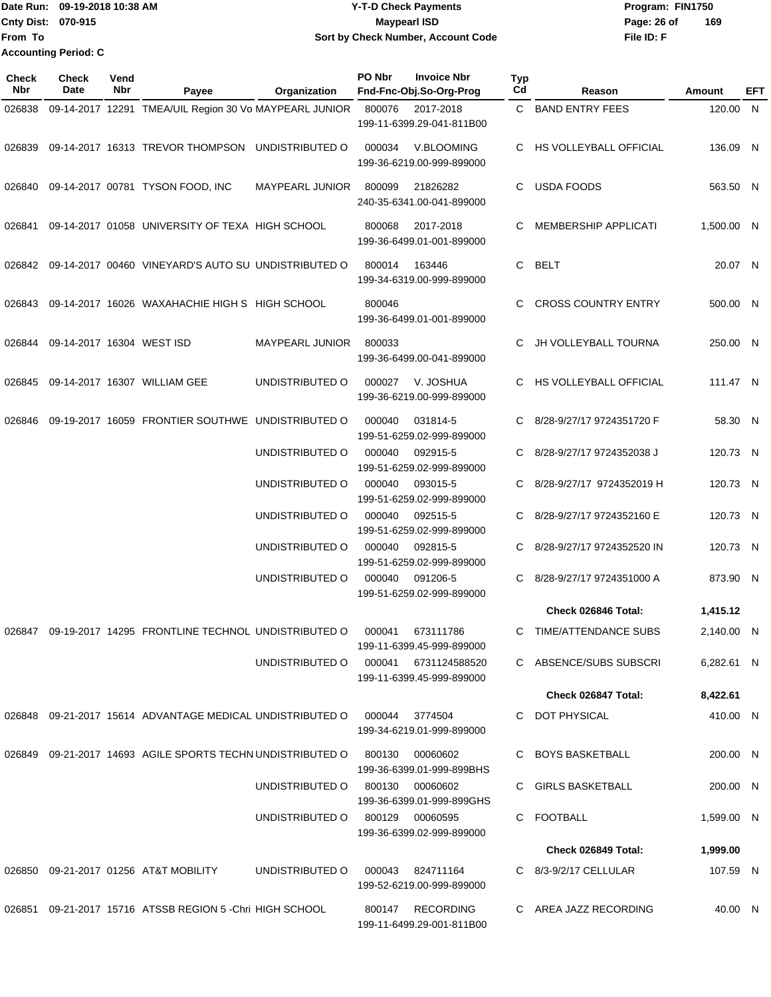Date Run: 09-19-2018 10:38 AM **CONTEX 18 AM CONTEX 18 AM CONTEX 17-T-D** Check Payments **CONTEX 18 AM CONTEX 18 AM CONTEX 18 AM CONTEX 18 AM CONTEX 18 AM CONTEX 18 AM CONTEX 18 AM CONTEX 18 AM CONTEX 19 AM CONTEX 19 AM CONT Cnty Dist:** 070-915 **Page: 26 of MaypearI ISD Page: 26 of From To 09-19-2018 10:38 AM Y-T-D Check Payments 070-915 Maypearl ISD Sort by Check Number, Account Code Accounting Period: C**

| <b>Check</b><br>Nbr | Check<br><b>Date</b>      | Vend<br>Nbr | Payee                                                        | Organization                         | PO Nbr | <b>Invoice Nbr</b><br>Fnd-Fnc-Obj.So-Org-Prog | <b>Typ</b><br>Cd | Reason                        | Amount     | <b>EFT</b> |
|---------------------|---------------------------|-------------|--------------------------------------------------------------|--------------------------------------|--------|-----------------------------------------------|------------------|-------------------------------|------------|------------|
| 026838              |                           |             | 09-14-2017 12291 TMEA/UIL Region 30 Vo MAYPEARL JUNIOR       |                                      | 800076 | 2017-2018<br>199-11-6399.29-041-811B00        |                  | C BAND ENTRY FEES             | 120.00 N   |            |
| 026839              |                           |             | 09-14-2017 16313 TREVOR THOMPSON                             | UNDISTRIBUTED O                      | 000034 | V.BLOOMING<br>199-36-6219.00-999-899000       | C                | <b>HS VOLLEYBALL OFFICIAL</b> | 136.09 N   |            |
| 026840              |                           |             | 09-14-2017 00781 TYSON FOOD, INC                             | <b>MAYPEARL JUNIOR</b>               | 800099 | 21826282<br>240-35-6341.00-041-899000         | C                | <b>USDA FOODS</b>             | 563.50 N   |            |
| 026841              |                           |             | 09-14-2017 01058 UNIVERSITY OF TEXA HIGH SCHOOL              |                                      | 800068 | 2017-2018<br>199-36-6499.01-001-899000        | C                | <b>MEMBERSHIP APPLICATI</b>   | 1,500.00 N |            |
|                     |                           |             | 026842 09-14-2017 00460 VINEYARD'S AUTO SU UNDISTRIBUTED O   |                                      | 800014 | 163446<br>199-34-6319.00-999-899000           | C                | <b>BELT</b>                   | 20.07 N    |            |
| 026843              |                           |             | 09-14-2017 16026 WAXAHACHIE HIGH S HIGH SCHOOL               |                                      | 800046 | 199-36-6499.01-001-899000                     |                  | <b>CROSS COUNTRY ENTRY</b>    | 500.00 N   |            |
| 026844              | 09-14-2017 16304 WEST ISD |             |                                                              | <b>MAYPEARL JUNIOR</b>               | 800033 | 199-36-6499.00-041-899000                     | C                | JH VOLLEYBALL TOURNA          | 250.00 N   |            |
| 026845              |                           |             | 09-14-2017 16307 WILLIAM GEE                                 | UNDISTRIBUTED O                      | 000027 | V. JOSHUA<br>199-36-6219.00-999-899000        | C                | HS VOLLEYBALL OFFICIAL        | 111.47 N   |            |
| 026846              |                           |             | 09-19-2017 16059 FRONTIER SOUTHWE UNDISTRIBUTED O            |                                      | 000040 | 031814-5<br>199-51-6259.02-999-899000         |                  | 8/28-9/27/17 9724351720 F     | 58.30 N    |            |
|                     |                           |             |                                                              | UNDISTRIBUTED O                      | 000040 | 092915-5<br>199-51-6259.02-999-899000         | C                | 8/28-9/27/17 9724352038 J     | 120.73 N   |            |
|                     |                           |             |                                                              | UNDISTRIBUTED O                      | 000040 | 093015-5<br>199-51-6259.02-999-899000         | C                | 8/28-9/27/17 9724352019 H     | 120.73 N   |            |
|                     |                           |             |                                                              | UNDISTRIBUTED O                      | 000040 | 092515-5<br>199-51-6259.02-999-899000         |                  | 8/28-9/27/17 9724352160 E     | 120.73 N   |            |
|                     |                           |             |                                                              | UNDISTRIBUTED O                      | 000040 | 092815-5<br>199-51-6259.02-999-899000         | C                | 8/28-9/27/17 9724352520 IN    | 120.73 N   |            |
|                     |                           |             |                                                              | UNDISTRIBUTED O                      | 000040 | 091206-5<br>199-51-6259.02-999-899000         | C                | 8/28-9/27/17 9724351000 A     | 873.90 N   |            |
|                     |                           |             |                                                              |                                      |        |                                               |                  | Check 026846 Total:           | 1,415.12   |            |
|                     |                           |             | 026847  09-19-2017  14295  FRONTLINE TECHNOL UNDISTRIBUTED O |                                      | 000041 | 673111786<br>199-11-6399.45-999-899000        |                  | C TIME/ATTENDANCE SUBS        | 2,140.00 N |            |
|                     |                           |             |                                                              | UNDISTRIBUTED O 000041 6731124588520 |        | 199-11-6399.45-999-899000                     |                  | C ABSENCE/SUBS SUBSCRI        | 6,282.61 N |            |
|                     |                           |             |                                                              |                                      |        |                                               |                  | Check 026847 Total:           | 8,422.61   |            |
|                     |                           |             | 026848 09-21-2017 15614 ADVANTAGE MEDICAL UNDISTRIBUTED O    |                                      | 000044 | 3774504<br>199-34-6219.01-999-899000          |                  | C DOT PHYSICAL                | 410.00 N   |            |
|                     |                           |             | 026849 09-21-2017 14693 AGILE SPORTS TECHN UNDISTRIBUTED O   |                                      | 800130 | 00060602<br>199-36-6399.01-999-899BHS         |                  | C BOYS BASKETBALL             | 200.00 N   |            |
|                     |                           |             |                                                              | UNDISTRIBUTED O                      | 800130 | 00060602<br>199-36-6399.01-999-899GHS         |                  | C GIRLS BASKETBALL            | 200.00 N   |            |
|                     |                           |             |                                                              | UNDISTRIBUTED O                      |        | 800129 00060595<br>199-36-6399.02-999-899000  |                  | C FOOTBALL                    | 1,599.00 N |            |
|                     |                           |             |                                                              |                                      |        |                                               |                  | Check 026849 Total:           | 1,999.00   |            |
|                     |                           |             | 026850 09-21-2017 01256 AT&T MOBILITY                        | UNDISTRIBUTED O                      | 000043 | 824711164<br>199-52-6219.00-999-899000        |                  | C 8/3-9/2/17 CELLULAR         | 107.59 N   |            |
|                     |                           |             | 026851 09-21-2017 15716 ATSSB REGION 5 - Chri HIGH SCHOOL    |                                      |        | 800147 RECORDING<br>199-11-6499.29-001-811B00 |                  | C AREA JAZZ RECORDING         | 40.00 N    |            |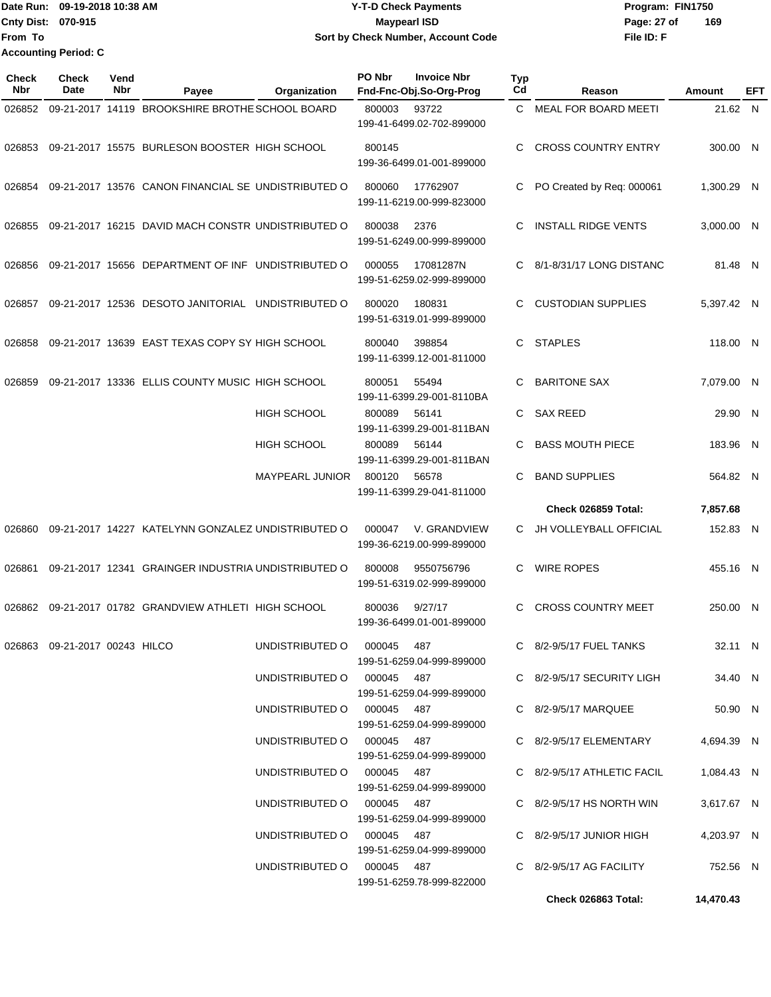Date Run: 09-19-2018 10:38 AM **CONTEX 18 AM CONTEX 18 AM CONTEX 18 AM CONTEX 18 AM CONTEX 19 AM CONTEX 19 AM CONTEX 19 AM CONTEX 19 AM CONTEX 19 AM CONTEX 19 AM CONTEX 19 AM CONTEX 19 AM CONTEX 19 AM CONTEX 19 AM CONTEX 19 Cnty Dist:** 070-915 **Page:** 27 of **File ID: F From To 09-19-2018 10:38 AM Y-T-D Check Payments 070-915 Maypearl ISD Sort by Check Number, Account Code 169 Accounting Period: C**

| Check<br>Nbr | <b>Check</b><br>Date          | Vend<br>Nbr | Payee                                               | Organization               | PO Nbr                                                                               | <b>Invoice Nbr</b><br>Fnd-Fnc-Obj.So-Org-Prog | <b>Typ</b><br>Cd | Reason                      | Amount     | EFT |
|--------------|-------------------------------|-------------|-----------------------------------------------------|----------------------------|--------------------------------------------------------------------------------------|-----------------------------------------------|------------------|-----------------------------|------------|-----|
| 026852       |                               |             | 09-21-2017 14119 BROOKSHIRE BROTHE SCHOOL BOARD     |                            | 800003                                                                               | 93722<br>199-41-6499.02-702-899000            | C                | <b>MEAL FOR BOARD MEETI</b> | 21.62 N    |     |
| 026853       |                               |             | 09-21-2017 15575 BURLESON BOOSTER HIGH SCHOOL       |                            | 800145                                                                               | 199-36-6499.01-001-899000                     | C                | <b>CROSS COUNTRY ENTRY</b>  | 300.00 N   |     |
| 026854       |                               |             | 09-21-2017 13576 CANON FINANCIAL SE UNDISTRIBUTED O |                            | 800060                                                                               | 17762907<br>199-11-6219.00-999-823000         |                  | PO Created by Req: 000061   | 1,300.29 N |     |
| 026855       |                               |             | 09-21-2017 16215 DAVID MACH CONSTR UNDISTRIBUTED O  |                            | 800038<br>2376<br>199-51-6249.00-999-899000                                          |                                               | C                | <b>INSTALL RIDGE VENTS</b>  | 3,000.00 N |     |
| 026856       |                               |             | 09-21-2017 15656 DEPARTMENT OF INF UNDISTRIBUTED O  |                            | 000055                                                                               | 17081287N<br>199-51-6259.02-999-899000        | C                | 8/1-8/31/17 LONG DISTANC    | 81.48 N    |     |
| 026857       |                               |             | 09-21-2017 12536 DESOTO JANITORIAL UNDISTRIBUTED O  |                            | 800020                                                                               | 180831<br>199-51-6319.01-999-899000           | C                | <b>CUSTODIAN SUPPLIES</b>   | 5,397.42 N |     |
| 026858       |                               |             | 09-21-2017 13639 EAST TEXAS COPY SY HIGH SCHOOL     |                            | 800040                                                                               | 398854<br>199-11-6399.12-001-811000           | C.               | <b>STAPLES</b>              | 118.00 N   |     |
| 026859       |                               |             | 09-21-2017 13336 ELLIS COUNTY MUSIC HIGH SCHOOL     |                            | 800051                                                                               | 55494<br>199-11-6399.29-001-8110BA            | C                | <b>BARITONE SAX</b>         | 7,079.00 N |     |
|              |                               |             |                                                     | <b>HIGH SCHOOL</b>         | 800089                                                                               | 56141<br>199-11-6399.29-001-811BAN            | C                | <b>SAX REED</b>             | 29.90 N    |     |
|              |                               |             |                                                     | <b>HIGH SCHOOL</b>         | 800089                                                                               | 56144<br>199-11-6399.29-001-811BAN            | C                | <b>BASS MOUTH PIECE</b>     | 183.96     | - N |
|              |                               |             |                                                     | <b>MAYPEARL JUNIOR</b>     | 800120                                                                               | 56578<br>199-11-6399.29-041-811000            | С                | <b>BAND SUPPLIES</b>        | 564.82 N   |     |
|              |                               |             |                                                     |                            |                                                                                      |                                               |                  | Check 026859 Total:         | 7,857.68   |     |
| 026860       |                               |             | 09-21-2017 14227 KATELYNN GONZALEZ UNDISTRIBUTED O  |                            | 000047                                                                               | V. GRANDVIEW<br>199-36-6219.00-999-899000     | C                | JH VOLLEYBALL OFFICIAL      | 152.83 N   |     |
| 026861       |                               |             | 09-21-2017 12341 GRAINGER INDUSTRIA UNDISTRIBUTED O |                            | 800008                                                                               | 9550756796<br>199-51-6319.02-999-899000       | C                | <b>WIRE ROPES</b>           | 455.16 N   |     |
| 026862       |                               |             | 09-21-2017 01782 GRANDVIEW ATHLETI HIGH SCHOOL      |                            | 800036                                                                               | 9/27/17<br>199-36-6499.01-001-899000          | C                | <b>CROSS COUNTRY MEET</b>   | 250.00 N   |     |
|              | 026863 09-21-2017 00243 HILCO |             |                                                     | UNDISTRIBUTED O 000045 487 |                                                                                      | 199-51-6259.04-999-899000                     |                  | C 8/2-9/5/17 FUEL TANKS     | 32.11 N    |     |
|              |                               |             |                                                     | UNDISTRIBUTED O 000045 487 |                                                                                      | 199-51-6259.04-999-899000                     |                  | C 8/2-9/5/17 SECURITY LIGH  | 34.40 N    |     |
|              |                               |             |                                                     | UNDISTRIBUTED O 000045 487 |                                                                                      | 199-51-6259.04-999-899000                     |                  | C 8/2-9/5/17 MARQUEE        | 50.90 N    |     |
|              |                               |             |                                                     | UNDISTRIBUTED O 000045 487 |                                                                                      | 199-51-6259.04-999-899000                     |                  | C 8/2-9/5/17 ELEMENTARY     | 4,694.39 N |     |
|              |                               |             |                                                     | UNDISTRIBUTED O 000045 487 |                                                                                      | 199-51-6259.04-999-899000                     |                  | C 8/2-9/5/17 ATHLETIC FACIL | 1,084.43 N |     |
|              |                               |             |                                                     | UNDISTRIBUTED O 000045 487 |                                                                                      | 199-51-6259.04-999-899000                     |                  | C $8/2-9/5/17$ HS NORTH WIN | 3,617.67 N |     |
|              |                               |             |                                                     | UNDISTRIBUTED O 000045 487 |                                                                                      |                                               |                  | $C$ 8/2-9/5/17 JUNIOR HIGH  | 4,203.97 N |     |
|              |                               |             |                                                     |                            | 199-51-6259.04-999-899000<br>UNDISTRIBUTED O 000045 487<br>199-51-6259.78-999-822000 |                                               |                  | C 8/2-9/5/17 AG FACILITY    | 752.56 N   |     |
|              |                               |             |                                                     |                            |                                                                                      |                                               |                  | Check 026863 Total:         | 14,470.43  |     |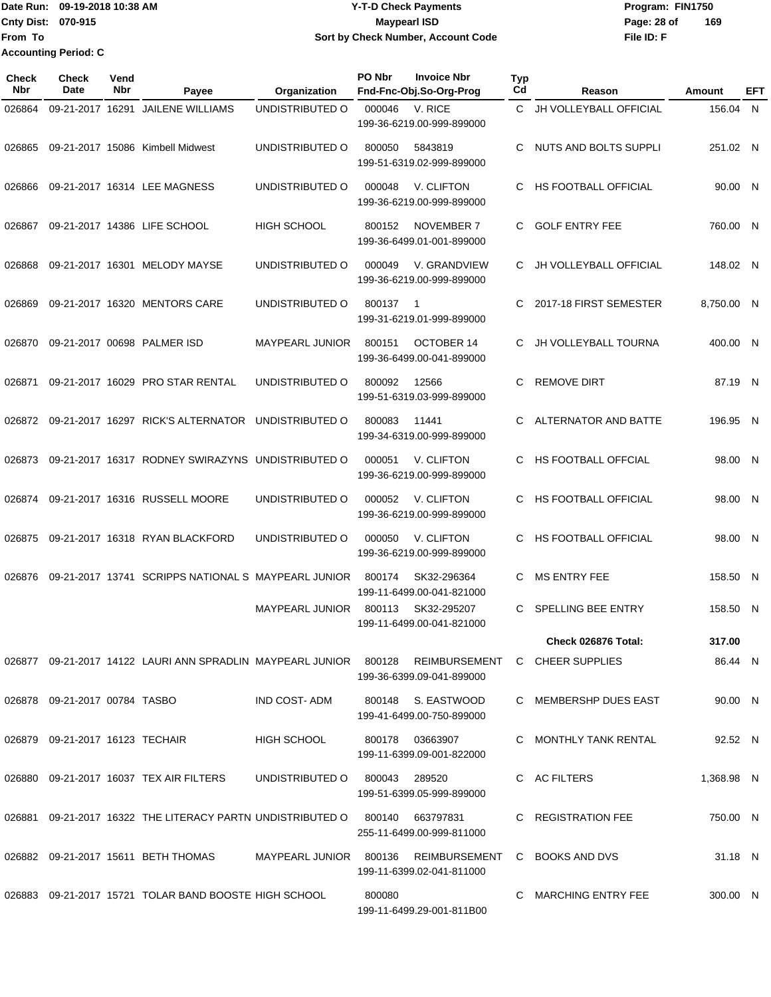## Date Run: 09-19-2018 10:38 AM **CONTEX 18 AM CONTEX 18 AM CONTEX 17-T-D** Check Payments **CONTEX 18 AM CONTEX 18 AM CONTEX 18 AM CONTEX 18 AM CONTEX 18 AM CONTEX 18 AM CONTEX 18 AM CONTEX 18 AM CONTEX 19 AM CONTEX 19 AM CONT Cnty Dist:** 070-915 **Page: 28 of MaypearI ISD Page: 28 of 09-19-2018 10:38 AM Y-T-D Check Payments 070-915 Maypearl ISD Sort by Check Number, Account Code**

| Check<br>Nbr | <b>Check</b><br><b>Date</b>     | Vend<br>Nbr | Payee                                                                                            | Organization           | PO Nbr        | <b>Invoice Nbr</b><br>Fnd-Fnc-Obj.So-Org-Prog              | Typ<br>Cd | Reason                        | Amount     | EFT |
|--------------|---------------------------------|-------------|--------------------------------------------------------------------------------------------------|------------------------|---------------|------------------------------------------------------------|-----------|-------------------------------|------------|-----|
| 026864       |                                 |             | 09-21-2017 16291 JAILENE WILLIAMS                                                                | UNDISTRIBUTED O        | 000046        | V. RICE<br>199-36-6219.00-999-899000                       | C         | JH VOLLEYBALL OFFICIAL        | 156.04 N   |     |
| 026865       |                                 |             | 09-21-2017 15086 Kimbell Midwest                                                                 | UNDISTRIBUTED O        | 800050        | 5843819<br>199-51-6319.02-999-899000                       | С         | <b>NUTS AND BOLTS SUPPLI</b>  | 251.02 N   |     |
| 026866       |                                 |             | 09-21-2017 16314 LEE MAGNESS                                                                     | UNDISTRIBUTED O        | 000048        | V. CLIFTON<br>199-36-6219.00-999-899000                    | С         | HS FOOTBALL OFFICIAL          | 90.00 N    |     |
| 026867       |                                 |             | 09-21-2017 14386 LIFE SCHOOL                                                                     | HIGH SCHOOL            | 800152        | <b>NOVEMBER 7</b><br>199-36-6499.01-001-899000             | C         | <b>GOLF ENTRY FEE</b>         | 760.00 N   |     |
| 026868       |                                 |             | 09-21-2017 16301 MELODY MAYSE                                                                    | UNDISTRIBUTED O        | 000049        | V. GRANDVIEW<br>199-36-6219.00-999-899000                  |           | <b>JH VOLLEYBALL OFFICIAL</b> | 148.02 N   |     |
| 026869       |                                 |             | 09-21-2017 16320 MENTORS CARE                                                                    | UNDISTRIBUTED O        | 800137        | -1<br>199-31-6219.01-999-899000                            | С         | 2017-18 FIRST SEMESTER        | 8,750.00 N |     |
| 026870       |                                 |             | 09-21-2017 00698 PALMER ISD                                                                      | <b>MAYPEARL JUNIOR</b> | 800151        | OCTOBER 14<br>199-36-6499.00-041-899000                    | С         | <b>JH VOLLEYBALL TOURNA</b>   | 400.00 N   |     |
| 026871       |                                 |             | 09-21-2017 16029 PRO STAR RENTAL                                                                 | UNDISTRIBUTED O        | 800092        | 12566<br>199-51-6319.03-999-899000                         | C         | <b>REMOVE DIRT</b>            | 87.19 N    |     |
| 026872       |                                 |             | 09-21-2017 16297 RICK'S ALTERNATOR                                                               | UNDISTRIBUTED O        | 800083        | 11441<br>199-34-6319.00-999-899000                         | С         | ALTERNATOR AND BATTE          | 196.95 N   |     |
| 026873       |                                 |             | 09-21-2017 16317 RODNEY SWIRAZYNS UNDISTRIBUTED O                                                |                        | 000051        | V. CLIFTON<br>199-36-6219.00-999-899000                    | С         | <b>HS FOOTBALL OFFCIAL</b>    | 98.00 N    |     |
| 026874       |                                 |             | 09-21-2017 16316 RUSSELL MOORE                                                                   | UNDISTRIBUTED O        | 000052        | V. CLIFTON<br>199-36-6219.00-999-899000                    | С         | HS FOOTBALL OFFICIAL          | 98.00 N    |     |
| 026875       |                                 |             | 09-21-2017 16318 RYAN BLACKFORD                                                                  | UNDISTRIBUTED O        | 000050        | V. CLIFTON<br>199-36-6219.00-999-899000                    | С         | HS FOOTBALL OFFICIAL          | 98.00 N    |     |
| 026876       |                                 |             | 09-21-2017 13741 SCRIPPS NATIONAL S MAYPEARL JUNIOR                                              |                        | 800174        | SK32-296364<br>199-11-6499.00-041-821000                   | С         | <b>MS ENTRY FEE</b>           | 158.50 N   |     |
|              |                                 |             |                                                                                                  | <b>MAYPEARL JUNIOR</b> | 800113        | SK32-295207<br>199-11-6499.00-041-821000                   | С         | SPELLING BEE ENTRY            | 158.50 N   |     |
|              |                                 |             |                                                                                                  |                        |               |                                                            |           | Check 026876 Total:           | 317.00     |     |
|              |                                 |             | 026877 09-21-2017 14122 LAURI ANN SPRADLIN MAYPEARL JUNIOR 800128 REIMBURSEMENT C CHEER SUPPLIES |                        |               | 199-36-6399.09-041-899000                                  |           |                               | 86.44 N    |     |
|              | 026878 09-21-2017 00784 TASBO   |             |                                                                                                  | IND COST-ADM           |               | 800148 S. EASTWOOD<br>199-41-6499.00-750-899000            |           | C MEMBERSHP DUES EAST         | 90.00 N    |     |
|              | 026879 09-21-2017 16123 TECHAIR |             |                                                                                                  | <b>HIGH SCHOOL</b>     |               | 800178 03663907<br>199-11-6399.09-001-822000               |           | C MONTHLY TANK RENTAL         | 92.52 N    |     |
|              |                                 |             | 026880 09-21-2017 16037 TEX AIR FILTERS                                                          | UNDISTRIBUTED O        | 800043 289520 | 199-51-6399.05-999-899000                                  |           | C AC FILTERS                  | 1,368.98 N |     |
|              |                                 |             | 026881 09-21-2017 16322 THE LITERACY PARTN UNDISTRIBUTED O 800140 663797831                      |                        |               | 255-11-6499.00-999-811000                                  |           | C REGISTRATION FEE            | 750.00 N   |     |
|              |                                 |             | 026882 09-21-2017 15611 BETH THOMAS                                                              | MAYPEARL JUNIOR 800136 |               | REIMBURSEMENT C BOOKS AND DVS<br>199-11-6399.02-041-811000 |           |                               | 31.18 N    |     |
|              |                                 |             | 026883 09-21-2017 15721 TOLAR BAND BOOSTE HIGH SCHOOL                                            |                        | 800080        | 199-11-6499.29-001-811B00                                  |           | C MARCHING ENTRY FEE          | 300.00 N   |     |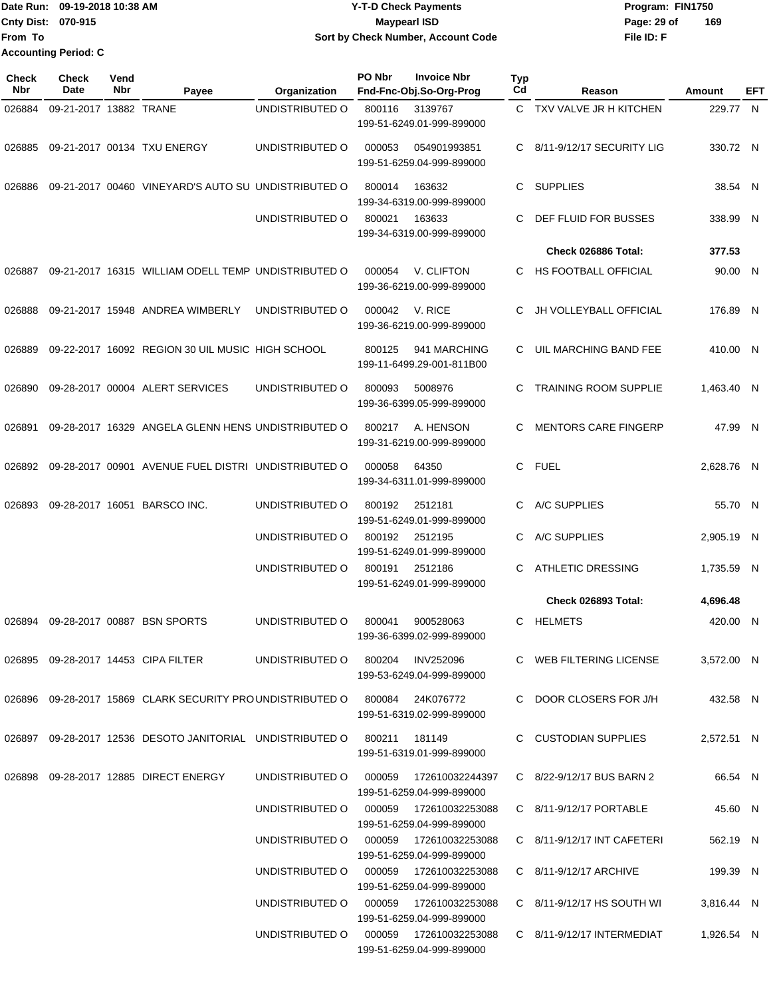#### Date Run: 09-19-2018 10:38 AM **CONTEX 18 AM CONTEX 18 AM CONTEX 17-T-D** Check Payments **CONTEX 18 AM CONTEX 18 AM CONTEX 18 AM CONTEX 18 AM CONTEX 18 AM CONTEX 18 AM CONTEX 18 AM CONTEX 18 AM CONTEX 19 AM CONTEX 19 AM CONT Cnty Dist:** 070-915 **Page: 29 of MaypearI ISD Page: 29 of 09-19-2018 10:38 AM Y-T-D Check Payments 070-915 Maypearl ISD Sort by Check Number, Account Code**

**File ID: F 169**

| <b>Check</b><br><b>Nbr</b> | Check<br>Date          | Vend<br>Nbr | Payee                                                                      | Organization                           | PO Nbr | <b>Invoice Nbr</b><br>Fnd-Fnc-Obj.So-Org-Prog | <b>Typ</b><br>Cd | Reason                                                                       | Amount     | EFT |
|----------------------------|------------------------|-------------|----------------------------------------------------------------------------|----------------------------------------|--------|-----------------------------------------------|------------------|------------------------------------------------------------------------------|------------|-----|
| 026884                     | 09-21-2017 13882 TRANE |             |                                                                            | UNDISTRIBUTED O                        | 800116 | 3139767<br>199-51-6249.01-999-899000          |                  | C TXV VALVE JR H KITCHEN                                                     | 229.77 N   |     |
| 026885                     |                        |             | 09-21-2017 00134 TXU ENERGY                                                | UNDISTRIBUTED O                        | 000053 | 054901993851<br>199-51-6259.04-999-899000     | C.               | 8/11-9/12/17 SECURITY LIG                                                    | 330.72 N   |     |
| 026886                     |                        |             | 09-21-2017 00460 VINEYARD'S AUTO SU UNDISTRIBUTED O                        |                                        | 800014 | 163632<br>199-34-6319.00-999-899000           | C                | <b>SUPPLIES</b>                                                              | 38.54 N    |     |
|                            |                        |             |                                                                            | UNDISTRIBUTED O                        | 800021 | 163633<br>199-34-6319.00-999-899000           | C                | DEF FLUID FOR BUSSES                                                         | 338.99 N   |     |
|                            |                        |             |                                                                            |                                        |        |                                               |                  | Check 026886 Total:                                                          | 377.53     |     |
| 026887                     |                        |             | 09-21-2017 16315 WILLIAM ODELL TEMP UNDISTRIBUTED O                        |                                        | 000054 | V. CLIFTON<br>199-36-6219.00-999-899000       | C                | HS FOOTBALL OFFICIAL                                                         | 90.00 N    |     |
| 026888                     |                        |             | 09-21-2017 15948 ANDREA WIMBERLY                                           | UNDISTRIBUTED O                        | 000042 | V. RICE<br>199-36-6219.00-999-899000          | С                | <b>JH VOLLEYBALL OFFICIAL</b>                                                | 176.89 N   |     |
| 026889                     |                        |             | 09-22-2017 16092 REGION 30 UIL MUSIC HIGH SCHOOL                           |                                        | 800125 | 941 MARCHING<br>199-11-6499.29-001-811B00     | C                | UIL MARCHING BAND FEE                                                        | 410.00 N   |     |
| 026890                     |                        |             | 09-28-2017 00004 ALERT SERVICES                                            | UNDISTRIBUTED O                        | 800093 | 5008976<br>199-36-6399.05-999-899000          | С                | <b>TRAINING ROOM SUPPLIE</b>                                                 | 1,463.40 N |     |
| 026891                     |                        |             | 09-28-2017 16329 ANGELA GLENN HENS UNDISTRIBUTED O                         |                                        | 800217 | A. HENSON<br>199-31-6219.00-999-899000        | С                | <b>MENTORS CARE FINGERP</b>                                                  | 47.99 N    |     |
| 026892                     |                        |             | 09-28-2017 00901 AVENUE FUEL DISTRI UNDISTRIBUTED O                        |                                        | 000058 | 64350<br>199-34-6311.01-999-899000            | C                | <b>FUEL</b>                                                                  | 2,628.76 N |     |
| 026893                     |                        |             | 09-28-2017 16051 BARSCO INC.                                               | UNDISTRIBUTED O                        | 800192 | 2512181<br>199-51-6249.01-999-899000          | С                | A/C SUPPLIES                                                                 | 55.70 N    |     |
|                            |                        |             |                                                                            | UNDISTRIBUTED O                        | 800192 | 2512195<br>199-51-6249.01-999-899000          | С                | A/C SUPPLIES                                                                 | 2,905.19 N |     |
|                            |                        |             |                                                                            | UNDISTRIBUTED O                        | 800191 | 2512186<br>199-51-6249.01-999-899000          | С                | <b>ATHLETIC DRESSING</b>                                                     | 1,735.59 N |     |
|                            |                        |             |                                                                            |                                        |        |                                               |                  | Check 026893 Total:                                                          | 4,696.48   |     |
| 026894                     |                        |             | 09-28-2017 00887 BSN SPORTS                                                | UNDISTRIBUTED O                        | 800041 | 900528063<br>199-36-6399.02-999-899000        | C                | <b>HELMETS</b>                                                               | 420.00 N   |     |
|                            |                        |             | 026895  09-28-2017  14453  CIPA FILTER                                     | UNDISTRIBUTED 0 800204 INV252096       |        | 199-53-6249.04-999-899000                     |                  | C WEB FILTERING LICENSE                                                      | 3,572.00 N |     |
|                            |                        |             | 026896 09-28-2017 15869 CLARK SECURITY PROUNDISTRIBUTED O 800084 24K076772 |                                        |        | 199-51-6319.02-999-899000                     |                  | C DOOR CLOSERS FOR J/H                                                       | 432.58 N   |     |
|                            |                        |             | 026897 09-28-2017 12536 DESOTO JANITORIAL UNDISTRIBUTED O 800211 181149    |                                        |        | 199-51-6319.01-999-899000                     |                  | C CUSTODIAN SUPPLIES                                                         | 2,572.51 N |     |
|                            |                        |             | 026898 09-28-2017 12885 DIRECT ENERGY                                      | UNDISTRIBUTED O 000059 172610032244397 |        | 199-51-6259.04-999-899000                     |                  | C 8/22-9/12/17 BUS BARN 2                                                    | 66.54 N    |     |
|                            |                        |             |                                                                            | UNDISTRIBUTED O 000059 172610032253088 |        | 199-51-6259.04-999-899000                     |                  | C 8/11-9/12/17 PORTABLE                                                      | 45.60 N    |     |
|                            |                        |             |                                                                            | UNDISTRIBUTED O 000059 172610032253088 |        | 199-51-6259.04-999-899000                     |                  | $C$ 8/11-9/12/17 INT CAFETERI                                                | 562.19 N   |     |
|                            |                        |             |                                                                            | UNDISTRIBUTED O 000059 172610032253088 |        | 199-51-6259.04-999-899000                     |                  | C 8/11-9/12/17 ARCHIVE                                                       | 199.39 N   |     |
|                            |                        |             |                                                                            | UNDISTRIBUTED O                        |        | 199-51-6259.04-999-899000                     |                  | C 8/11-9/12/17 HS SOUTH WI                                                   | 3,816.44 N |     |
|                            |                        |             |                                                                            |                                        |        |                                               |                  | UNDISTRIBUTED O 000059 172610032253088 C 8/11-9/12/17 INTERMEDIAT 1,926.54 N |            |     |

199-51-6259.04-999-899000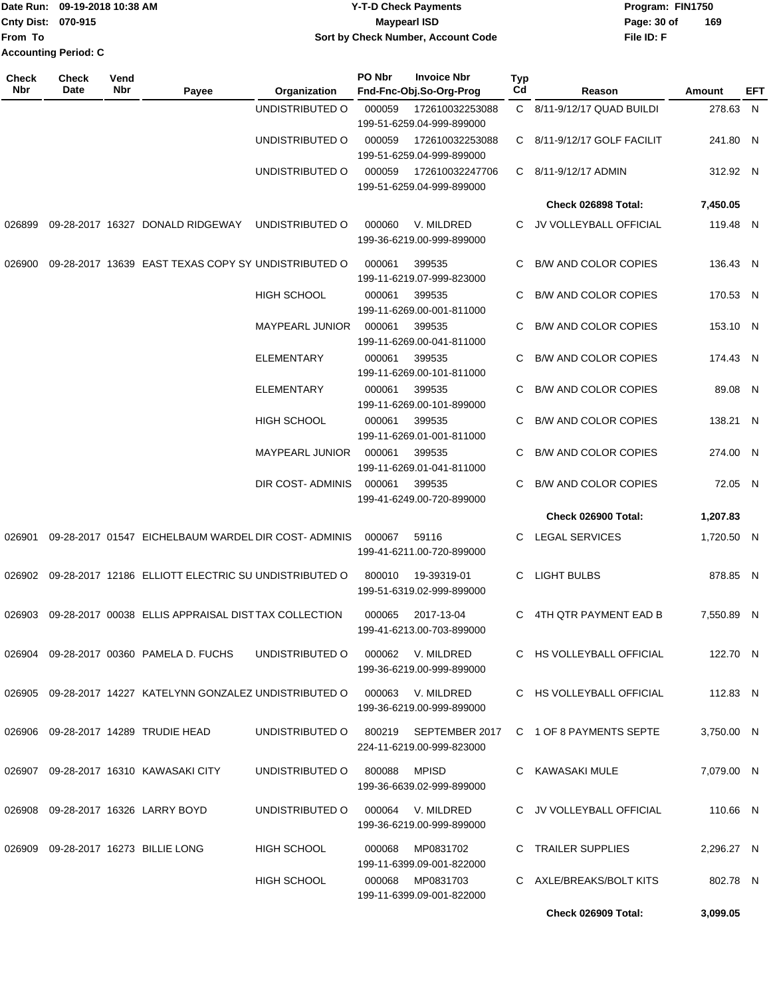|                             | Date Run: 09-19-2018 10:38 AM | <b>Y-T-D Check Payments</b>        | Program: FIN1750   |  |  |  |
|-----------------------------|-------------------------------|------------------------------------|--------------------|--|--|--|
| <b>Cnty Dist: 070-915</b>   |                               | Maypearl ISD                       | 169<br>Page: 30 of |  |  |  |
| lFrom To                    |                               | Sort by Check Number, Account Code | File ID: F         |  |  |  |
| <b>Accounting Period: C</b> |                               |                                    |                    |  |  |  |

| Check<br>Nbr | <b>Check</b><br>Date | Vend<br>Nbr | Payee                                                     | Organization                          | PO Nbr       | <b>Invoice Nbr</b><br>Fnd-Fnc-Obj.So-Org-Prog                              | <b>Typ</b><br>Cd | Reason                      | Amount     | EFT |
|--------------|----------------------|-------------|-----------------------------------------------------------|---------------------------------------|--------------|----------------------------------------------------------------------------|------------------|-----------------------------|------------|-----|
|              |                      |             |                                                           | UNDISTRIBUTED O                       | 000059       | 172610032253088<br>199-51-6259.04-999-899000                               |                  | C 8/11-9/12/17 QUAD BUILDI  | 278.63 N   |     |
|              |                      |             |                                                           | UNDISTRIBUTED O                       | 000059       | 172610032253088<br>199-51-6259.04-999-899000                               |                  | C 8/11-9/12/17 GOLF FACILIT | 241.80 N   |     |
|              |                      |             |                                                           | UNDISTRIBUTED O                       | 000059       | 172610032247706<br>199-51-6259.04-999-899000                               |                  | C 8/11-9/12/17 ADMIN        | 312.92 N   |     |
|              |                      |             |                                                           |                                       |              |                                                                            |                  | Check 026898 Total:         | 7,450.05   |     |
| 026899       |                      |             | 09-28-2017 16327 DONALD RIDGEWAY                          | UNDISTRIBUTED O                       | 000060       | V. MILDRED<br>199-36-6219.00-999-899000                                    | C.               | JV VOLLEYBALL OFFICIAL      | 119.48 N   |     |
| 026900       |                      |             | 09-28-2017 13639 EAST TEXAS COPY SY UNDISTRIBUTED O       |                                       | 000061       | 399535<br>199-11-6219.07-999-823000                                        | C                | <b>B/W AND COLOR COPIES</b> | 136.43 N   |     |
|              |                      |             |                                                           | <b>HIGH SCHOOL</b>                    | 000061       | 399535<br>199-11-6269.00-001-811000                                        | C                | <b>B/W AND COLOR COPIES</b> | 170.53 N   |     |
|              |                      |             |                                                           | <b>MAYPEARL JUNIOR</b>                | 000061       | 399535<br>199-11-6269.00-041-811000                                        | C                | <b>B/W AND COLOR COPIES</b> | 153.10 N   |     |
|              |                      |             |                                                           | <b>ELEMENTARY</b>                     | 000061       | 399535<br>199-11-6269.00-101-811000                                        | C                | <b>B/W AND COLOR COPIES</b> | 174.43 N   |     |
|              |                      |             |                                                           | ELEMENTARY                            | 000061       | 399535<br>199-11-6269.00-101-899000                                        | C.               | <b>B/W AND COLOR COPIES</b> | 89.08 N    |     |
|              |                      |             |                                                           | <b>HIGH SCHOOL</b>                    | 000061       | 399535<br>199-11-6269.01-001-811000                                        | C                | <b>B/W AND COLOR COPIES</b> | 138.21 N   |     |
|              |                      |             |                                                           | <b>MAYPEARL JUNIOR</b>                | 000061       | 399535<br>199-11-6269.01-041-811000                                        | C                | <b>B/W AND COLOR COPIES</b> | 274.00 N   |     |
|              |                      |             |                                                           | DIR COST- ADMINIS                     | 000061       | 399535<br>199-41-6249.00-720-899000                                        | C                | <b>B/W AND COLOR COPIES</b> | 72.05 N    |     |
|              |                      |             |                                                           |                                       |              |                                                                            |                  | Check 026900 Total:         | 1,207.83   |     |
| 026901       |                      |             | 09-28-2017 01547 EICHELBAUM WARDEL DIR COST-ADMINIS       |                                       | 000067       | 59116<br>199-41-6211.00-720-899000                                         | C.               | LEGAL SERVICES              | 1,720.50 N |     |
| 026902       |                      |             | 09-28-2017 12186 ELLIOTT ELECTRIC SU UNDISTRIBUTED O      |                                       | 800010       | 19-39319-01<br>199-51-6319.02-999-899000                                   | C                | LIGHT BULBS                 | 878.85 N   |     |
| 026903       |                      |             | 09-28-2017 00038 ELLIS APPRAISAL DISTTAX COLLECTION       |                                       | 000065       | 2017-13-04<br>199-41-6213.00-703-899000                                    | C.               | 4TH QTR PAYMENT EAD B       | 7,550.89 N |     |
|              |                      |             | 026904 09-28-2017 00360 PAMELA D. FUCHS                   | UNDISTRIBUTED O                       |              | 000062 V. MILDRED<br>199-36-6219.00-999-899000                             |                  | C HS VOLLEYBALL OFFICIAL    | 122.70 N   |     |
|              |                      |             | 026905 09-28-2017 14227 KATELYNN GONZALEZ UNDISTRIBUTED O |                                       |              | 000063 V. MILDRED<br>199-36-6219.00-999-899000                             |                  | C HS VOLLEYBALL OFFICIAL    | 112.83 N   |     |
|              |                      |             | 026906 09-28-2017 14289 TRUDIE HEAD                       | UNDISTRIBUTED O 800219 SEPTEMBER 2017 |              | 224-11-6219.00-999-823000                                                  |                  | C 1 OF 8 PAYMENTS SEPTE     | 3.750.00 N |     |
|              |                      |             | 026907 09-28-2017 16310 KAWASAKI CITY                     | UNDISTRIBUTED O                       | 800088 MPISD | 199-36-6639.02-999-899000                                                  |                  | C KAWASAKI MULE             | 7,079.00 N |     |
| 026908       |                      |             | 09-28-2017 16326 LARRY BOYD                               | UNDISTRIBUTED O                       |              | 000064 V. MILDRED<br>199-36-6219.00-999-899000                             |                  | C JV VOLLEYBALL OFFICIAL    | 110.66 N   |     |
| 026909       |                      |             | 09-28-2017 16273 BILLIE LONG                              | <b>HIGH SCHOOL</b>                    | 000068       | MP0831702                                                                  |                  | C TRAILER SUPPLIES          | 2,296.27 N |     |
|              |                      |             |                                                           | HIGH SCHOOL                           |              | 199-11-6399.09-001-822000<br>000068 MP0831703<br>199-11-6399.09-001-822000 |                  | C AXLE/BREAKS/BOLT KITS     | 802.78 N   |     |
|              |                      |             |                                                           |                                       |              |                                                                            |                  | Check 026909 Total:         | 3,099.05   |     |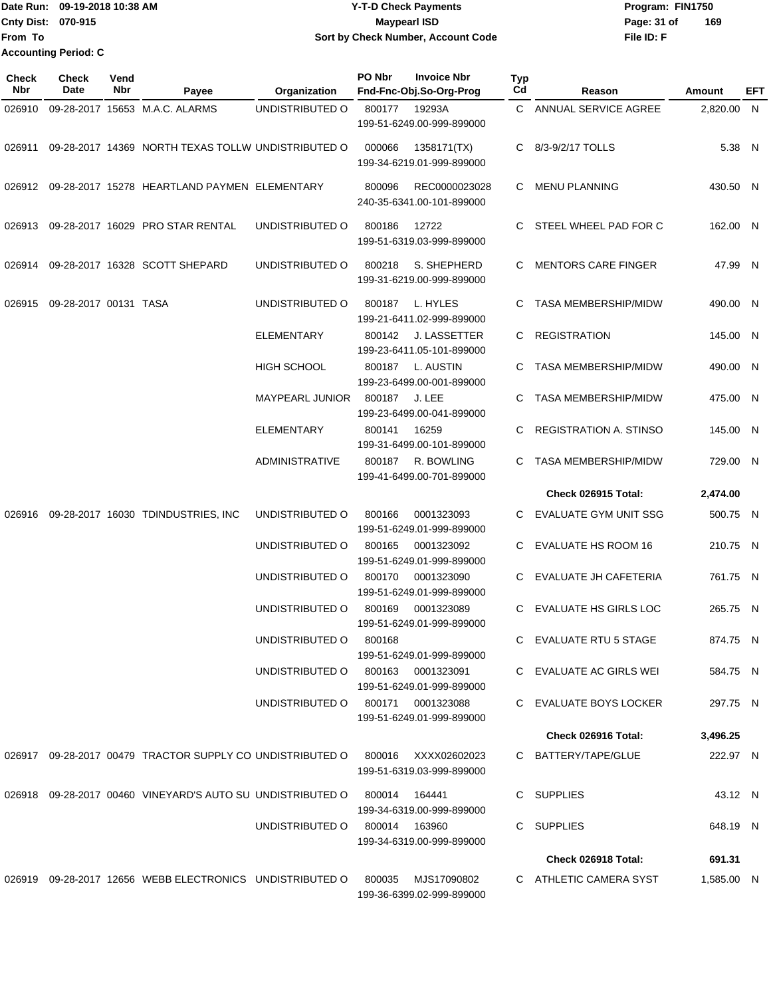Date Run: 09-19-2018 10:38 AM **CONTEX 18 AM CONTEX 18 AM CONTEX 17-T-D** Check Payments **CONTEX 18 AM CONTEX 18 AM CONTEX 18 AM CONTEX 18 AM CONTEX 18 AM CONTEX 18 AM CONTEX 18 AM CONTEX 18 AM CONTEX 19 AM CONTEX 19 AM CONT Cnty Dist:** 070-915 **Page: 31 of** Maypearl ISD **CONTEX 150 Page: 31 of File ID: F From To 09-19-2018 10:38 AM Y-T-D Check Payments 070-915 Maypearl ISD Sort by Check Number, Account Code 169 Accounting Period: C**

| Check<br>Nbr | <b>Check</b><br><b>Date</b> | Vend<br>Nbr | Payee                                                                         | Organization                      | PO Nbr        | <b>Invoice Nbr</b><br>Fnd-Fnc-Obj.So-Org-Prog    | Typ<br>Cd | Reason                        | Amount     | EFT |
|--------------|-----------------------------|-------------|-------------------------------------------------------------------------------|-----------------------------------|---------------|--------------------------------------------------|-----------|-------------------------------|------------|-----|
| 026910       |                             |             | 09-28-2017 15653 M.A.C. ALARMS                                                | UNDISTRIBUTED O                   | 800177        | 19293A<br>199-51-6249.00-999-899000              |           | C ANNUAL SERVICE AGREE        | 2,820.00 N |     |
| 026911       |                             |             | 09-28-2017 14369 NORTH TEXAS TOLLW UNDISTRIBUTED O                            |                                   | 000066        | 1358171(TX)<br>199-34-6219.01-999-899000         |           | C 8/3-9/2/17 TOLLS            | 5.38 N     |     |
|              |                             |             | 026912 09-28-2017 15278 HEARTLAND PAYMEN ELEMENTARY                           |                                   | 800096        | REC0000023028<br>240-35-6341.00-101-899000       | C.        | <b>MENU PLANNING</b>          | 430.50 N   |     |
| 026913       |                             |             | 09-28-2017 16029 PRO STAR RENTAL                                              | UNDISTRIBUTED O                   | 800186        | 12722<br>199-51-6319.03-999-899000               | C         | STEEL WHEEL PAD FOR C         | 162.00 N   |     |
| 026914       |                             |             | 09-28-2017 16328 SCOTT SHEPARD                                                | UNDISTRIBUTED O                   | 800218        | S. SHEPHERD<br>199-31-6219.00-999-899000         |           | C MENTORS CARE FINGER         | 47.99 N    |     |
| 026915       | 09-28-2017 00131 TASA       |             |                                                                               | UNDISTRIBUTED O                   | 800187        | L. HYLES<br>199-21-6411.02-999-899000            | C         | <b>TASA MEMBERSHIP/MIDW</b>   | 490.00 N   |     |
|              |                             |             |                                                                               | <b>ELEMENTARY</b>                 | 800142        | <b>J. LASSETTER</b><br>199-23-6411.05-101-899000 | C.        | <b>REGISTRATION</b>           | 145.00 N   |     |
|              |                             |             |                                                                               | HIGH SCHOOL                       | 800187        | L. AUSTIN<br>199-23-6499.00-001-899000           | C         | <b>TASA MEMBERSHIP/MIDW</b>   | 490.00 N   |     |
|              |                             |             |                                                                               | <b>MAYPEARL JUNIOR</b>            | 800187        | J. LEE<br>199-23-6499.00-041-899000              | C.        | <b>TASA MEMBERSHIP/MIDW</b>   | 475.00 N   |     |
|              |                             |             |                                                                               | <b>ELEMENTARY</b>                 | 800141        | 16259<br>199-31-6499.00-101-899000               | C.        | <b>REGISTRATION A. STINSO</b> | 145.00 N   |     |
|              |                             |             |                                                                               | <b>ADMINISTRATIVE</b>             | 800187        | R. BOWLING<br>199-41-6499.00-701-899000          | C.        | <b>TASA MEMBERSHIP/MIDW</b>   | 729.00 N   |     |
|              |                             |             |                                                                               |                                   |               |                                                  |           | Check 026915 Total:           | 2,474.00   |     |
| 026916       |                             |             | 09-28-2017 16030 TDINDUSTRIES, INC                                            | UNDISTRIBUTED O                   | 800166        | 0001323093<br>199-51-6249.01-999-899000          | C         | EVALUATE GYM UNIT SSG         | 500.75 N   |     |
|              |                             |             |                                                                               | UNDISTRIBUTED O                   | 800165        | 0001323092<br>199-51-6249.01-999-899000          | C         | <b>EVALUATE HS ROOM 16</b>    | 210.75 N   |     |
|              |                             |             |                                                                               | UNDISTRIBUTED O                   | 800170        | 0001323090<br>199-51-6249.01-999-899000          | C         | EVALUATE JH CAFETERIA         | 761.75 N   |     |
|              |                             |             |                                                                               | UNDISTRIBUTED O                   | 800169        | 0001323089<br>199-51-6249.01-999-899000          | C         | <b>EVALUATE HS GIRLS LOC</b>  | 265.75 N   |     |
|              |                             |             |                                                                               | UNDISTRIBUTED O                   | 800168        | 199-51-6249.01-999-899000                        |           | C EVALUATE RTU 5 STAGE        | 874.75 N   |     |
|              |                             |             |                                                                               | UNDISTRIBUTED O                   |               | 800163 0001323091<br>199-51-6249.01-999-899000   |           | C EVALUATE AC GIRLS WEI       | 584.75 N   |     |
|              |                             |             |                                                                               | UNDISTRIBUTED O 800171 0001323088 |               | 199-51-6249.01-999-899000                        |           | C EVALUATE BOYS LOCKER        | 297.75 N   |     |
|              |                             |             |                                                                               |                                   |               |                                                  |           | Check 026916 Total:           | 3,496.25   |     |
|              |                             |             | 026917 09-28-2017 00479 TRACTOR SUPPLY CO UNDISTRIBUTED O 800016 XXXX02602023 |                                   |               | 199-51-6319.03-999-899000                        |           | C BATTERY/TAPE/GLUE           | 222.97 N   |     |
|              |                             |             | 026918 09-28-2017 00460 VINEYARD'S AUTO SU UNDISTRIBUTED O                    |                                   | 800014        | 164441<br>199-34-6319.00-999-899000              |           | C SUPPLIES                    | 43.12 N    |     |
|              |                             |             |                                                                               | UNDISTRIBUTED O                   | 800014 163960 | 199-34-6319.00-999-899000                        |           | C SUPPLIES                    | 648.19 N   |     |
|              |                             |             |                                                                               |                                   |               |                                                  |           | Check 026918 Total:           | 691.31     |     |
|              |                             |             | 026919 09-28-2017 12656 WEBB ELECTRONICS UNDISTRIBUTED O                      |                                   | 800035        | MJS17090802                                      |           | C ATHLETIC CAMERA SYST        | 1,585.00 N |     |
|              |                             |             |                                                                               |                                   |               | 199-36-6399.02-999-899000                        |           |                               |            |     |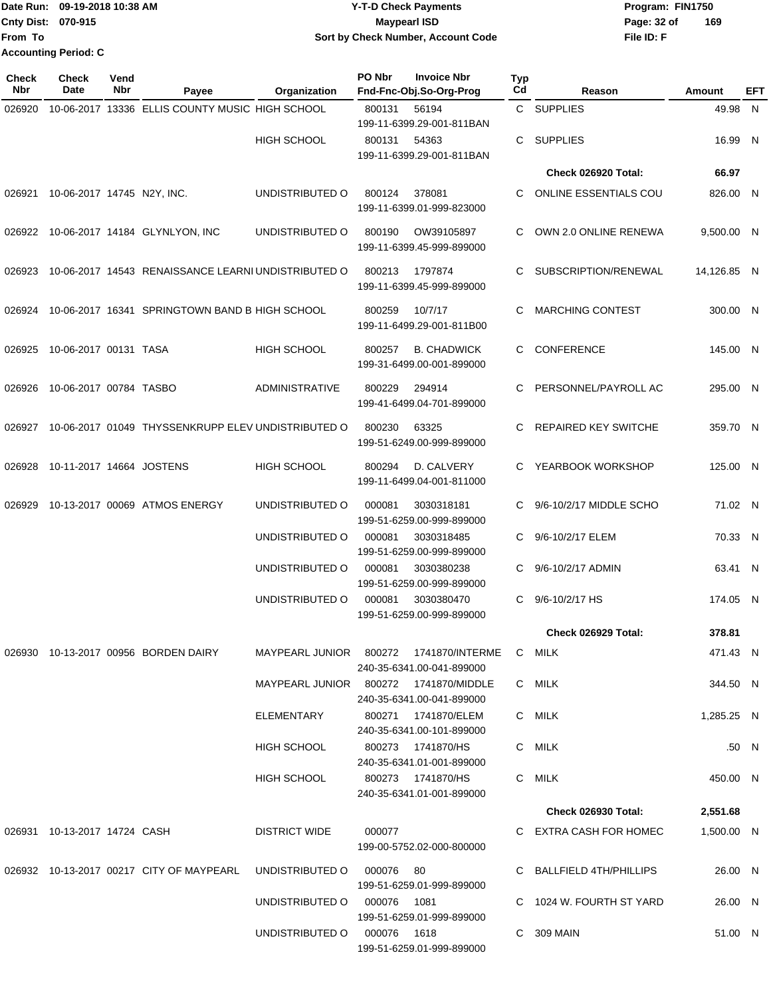Date Run: 09-19-2018 10:38 AM **CONTEX 18 AM CONTEX 18 AM CONTEX 17-T-D** Check Payments **CONTEX 18 AM CONTEX 18 AM CONTEX 18 AM CONTEX 18 AM CONTEX 18 AM CONTEX 18 AM CONTEX 18 AM CONTEX 18 AM CONTEX 19 AM CONTEX 19 AM CONT Cnty Dist:** 070-915 **Page: 32 of Page:** 32 of **File ID: F From To 09-19-2018 10:38 AM Y-T-D Check Payments 070-915 Maypearl ISD Sort by Check Number, Account Code 169 Accounting Period: C**

| <b>Check</b><br>Nbr | <b>Check</b><br>Date         | Vend<br>Nbr | Payee                                                                   | Organization                          | PO Nbr | <b>Invoice Nbr</b><br>Fnd-Fnc-Obj.So-Org-Prog                       | Typ<br>Cd | Reason                      | Amount      | EFT   |
|---------------------|------------------------------|-------------|-------------------------------------------------------------------------|---------------------------------------|--------|---------------------------------------------------------------------|-----------|-----------------------------|-------------|-------|
| 026920              |                              |             | 10-06-2017 13336 ELLIS COUNTY MUSIC HIGH SCHOOL                         |                                       | 800131 | 56194<br>199-11-6399.29-001-811BAN                                  |           | C SUPPLIES                  | 49.98 N     |       |
|                     |                              |             |                                                                         | <b>HIGH SCHOOL</b>                    | 800131 | 54363<br>199-11-6399.29-001-811BAN                                  | C.        | <b>SUPPLIES</b>             | 16.99 N     |       |
|                     |                              |             |                                                                         |                                       |        |                                                                     |           | Check 026920 Total:         | 66.97       |       |
| 026921              | 10-06-2017 14745 N2Y, INC.   |             |                                                                         | UNDISTRIBUTED O                       | 800124 | 378081<br>199-11-6399.01-999-823000                                 | C.        | ONLINE ESSENTIALS COU       | 826.00 N    |       |
| 026922              |                              |             | 10-06-2017 14184 GLYNLYON, INC                                          | UNDISTRIBUTED O                       | 800190 | OW39105897<br>199-11-6399.45-999-899000                             | C         | OWN 2.0 ONLINE RENEWA       | 9,500.00 N  |       |
| 026923              |                              |             | 10-06-2017 14543 RENAISSANCE LEARNI UNDISTRIBUTED O                     |                                       | 800213 | 1797874<br>199-11-6399.45-999-899000                                | C.        | SUBSCRIPTION/RENEWAL        | 14,126.85 N |       |
| 026924              |                              |             | 10-06-2017 16341 SPRINGTOWN BAND B HIGH SCHOOL                          |                                       | 800259 | 10/7/17<br>199-11-6499.29-001-811B00                                | C         | <b>MARCHING CONTEST</b>     | 300.00 N    |       |
| 026925              | 10-06-2017 00131 TASA        |             |                                                                         | <b>HIGH SCHOOL</b>                    | 800257 | <b>B. CHADWICK</b><br>199-31-6499.00-001-899000                     | C         | <b>CONFERENCE</b>           | 145.00 N    |       |
| 026926              | 10-06-2017 00784 TASBO       |             |                                                                         | <b>ADMINISTRATIVE</b>                 | 800229 | 294914<br>199-41-6499.04-701-899000                                 | C.        | PERSONNEL/PAYROLL AC        | 295.00 N    |       |
| 026927              |                              |             | 10-06-2017 01049 THYSSENKRUPP ELEV UNDISTRIBUTED O                      |                                       | 800230 | 63325<br>199-51-6249.00-999-899000                                  | C         | <b>REPAIRED KEY SWITCHE</b> | 359.70 N    |       |
| 026928              | 10-11-2017 14664 JOSTENS     |             |                                                                         | <b>HIGH SCHOOL</b>                    | 800294 | D. CALVERY<br>199-11-6499.04-001-811000                             | C.        | YEARBOOK WORKSHOP           | 125.00 N    |       |
| 026929              |                              |             | 10-13-2017 00069 ATMOS ENERGY                                           | UNDISTRIBUTED O                       | 000081 | 3030318181<br>199-51-6259.00-999-899000                             | C.        | 9/6-10/2/17 MIDDLE SCHO     | 71.02 N     |       |
|                     |                              |             |                                                                         | UNDISTRIBUTED O                       | 000081 | 3030318485<br>199-51-6259.00-999-899000                             | C.        | 9/6-10/2/17 ELEM            | 70.33 N     |       |
|                     |                              |             |                                                                         | UNDISTRIBUTED O                       | 000081 | 3030380238<br>199-51-6259.00-999-899000                             | C         | 9/6-10/2/17 ADMIN           | 63.41 N     |       |
|                     |                              |             |                                                                         | UNDISTRIBUTED O                       | 000081 | 3030380470<br>199-51-6259.00-999-899000                             | C         | 9/6-10/2/17 HS              | 174.05 N    |       |
|                     |                              |             |                                                                         |                                       |        |                                                                     |           | Check 026929 Total:         | 378.81      |       |
|                     |                              |             | 026930 10-13-2017 00956 BORDEN DAIRY                                    |                                       |        | MAYPEARL JUNIOR 800272 1741870/INTERME<br>240-35-6341.00-041-899000 |           | C MILK                      | 471.43 N    |       |
|                     |                              |             |                                                                         | MAYPEARL JUNIOR 800272 1741870/MIDDLE |        | 240-35-6341.00-041-899000                                           |           | C MILK                      | 344.50 N    |       |
|                     |                              |             |                                                                         | ELEMENTARY                            |        | 240-35-6341.00-101-899000                                           |           | C MILK                      | 1,285.25 N  |       |
|                     |                              |             |                                                                         | HIGH SCHOOL                           |        | 800273  1741870/HS<br>240-35-6341.01-001-899000                     |           | C MILK                      |             | .50 N |
|                     |                              |             |                                                                         | HIGH SCHOOL                           |        | 800273  1741870/HS<br>240-35-6341.01-001-899000                     |           | C MILK                      | 450.00 N    |       |
|                     |                              |             |                                                                         |                                       |        |                                                                     |           | Check 026930 Total:         | 2,551.68    |       |
|                     | 026931 10-13-2017 14724 CASH |             |                                                                         | DISTRICT WIDE                         | 000077 | 199-00-5752.02-000-800000                                           |           | C EXTRA CASH FOR HOMEC      | 1,500.00 N  |       |
|                     |                              |             | 026932  10-13-2017  00217  CITY OF MAYPEARL  UNDISTRIBUTED   000076  80 |                                       |        | 199-51-6259.01-999-899000                                           |           | C BALLFIELD 4TH/PHILLIPS    | 26.00 N     |       |
|                     |                              |             |                                                                         | UNDISTRIBUTED O 000076 1081           |        | 199-51-6259.01-999-899000                                           |           | C 1024 W. FOURTH ST YARD    | 26.00 N     |       |
|                     |                              |             |                                                                         | UNDISTRIBUTED O 000076 1618           |        | 199-51-6259.01-999-899000                                           |           | C 309 MAIN                  | 51.00 N     |       |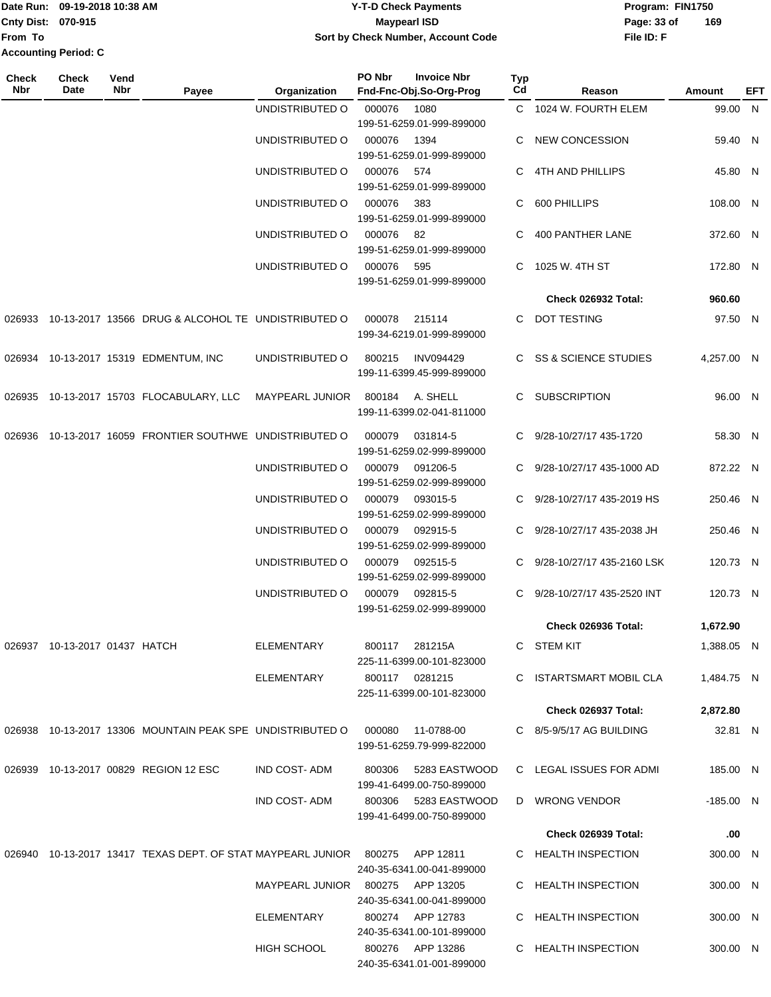|                           | Date Run: 09-19-2018 10:38 AM | <b>Y-T-D Check Payments</b>        | Program: FIN1750 |     |  |  |  |
|---------------------------|-------------------------------|------------------------------------|------------------|-----|--|--|--|
| <b>Cnty Dist: 070-915</b> |                               | Maypearl ISD                       | Page: 33 of      | 169 |  |  |  |
| <b>IFrom To</b>           |                               | Sort by Check Number, Account Code | File ID: F       |     |  |  |  |
|                           | <b>Accounting Period: C</b>   |                                    |                  |     |  |  |  |

| <b>Check</b><br>Nbr | <b>Check</b><br>Date          | Vend<br>Nbr | Payee                                                              | Organization        | PO Nbr | <b>Invoice Nbr</b><br>Fnd-Fnc-Obj.So-Org-Prog | Typ<br>Cd | Reason                       | Amount      | <b>EFT</b> |
|---------------------|-------------------------------|-------------|--------------------------------------------------------------------|---------------------|--------|-----------------------------------------------|-----------|------------------------------|-------------|------------|
|                     |                               |             |                                                                    | UNDISTRIBUTED O     | 000076 | 1080                                          |           | C 1024 W. FOURTH ELEM        | 99.00 N     |            |
|                     |                               |             |                                                                    |                     |        | 199-51-6259.01-999-899000                     |           |                              |             |            |
|                     |                               |             |                                                                    | UNDISTRIBUTED O     | 000076 | 1394                                          | C         | <b>NEW CONCESSION</b>        | 59.40 N     |            |
|                     |                               |             |                                                                    |                     |        | 199-51-6259.01-999-899000                     |           |                              |             |            |
|                     |                               |             |                                                                    | UNDISTRIBUTED O     | 000076 | 574<br>199-51-6259.01-999-899000              | C         | 4TH AND PHILLIPS             | 45.80 N     |            |
|                     |                               |             |                                                                    | UNDISTRIBUTED O     | 000076 | 383                                           | C.        | 600 PHILLIPS                 | 108.00 N    |            |
|                     |                               |             |                                                                    |                     |        | 199-51-6259.01-999-899000                     |           |                              |             |            |
|                     |                               |             |                                                                    | UNDISTRIBUTED O     | 000076 | -82                                           | C.        | 400 PANTHER LANE             | 372.60 N    |            |
|                     |                               |             |                                                                    |                     |        | 199-51-6259.01-999-899000                     |           |                              |             |            |
|                     |                               |             |                                                                    | UNDISTRIBUTED O     | 000076 | 595                                           | C.        | 1025 W. 4TH ST               | 172.80 N    |            |
|                     |                               |             |                                                                    |                     |        | 199-51-6259.01-999-899000                     |           |                              |             |            |
|                     |                               |             |                                                                    |                     |        |                                               |           | Check 026932 Total:          | 960.60      |            |
| 026933              |                               |             | 10-13-2017 13566 DRUG & ALCOHOL TE UNDISTRIBUTED O                 |                     | 000078 | 215114<br>199-34-6219.01-999-899000           |           | C DOT TESTING                | 97.50 N     |            |
|                     |                               |             | 026934 10-13-2017 15319 EDMENTUM, INC                              | UNDISTRIBUTED O     | 800215 | <b>INV094429</b>                              |           | C SS & SCIENCE STUDIES       | 4,257.00 N  |            |
|                     |                               |             |                                                                    |                     |        | 199-11-6399.45-999-899000                     |           |                              |             |            |
|                     |                               |             | 026935 10-13-2017 15703 FLOCABULARY, LLC                           | MAYPEARL JUNIOR     | 800184 | A. SHELL                                      | C.        | <b>SUBSCRIPTION</b>          | 96.00 N     |            |
|                     |                               |             |                                                                    |                     |        | 199-11-6399.02-041-811000                     |           |                              |             |            |
|                     |                               |             |                                                                    |                     | 000079 |                                               |           |                              |             |            |
| 026936              |                               |             | 10-13-2017 16059 FRONTIER SOUTHWE UNDISTRIBUTED O                  |                     |        | 031814-5<br>199-51-6259.02-999-899000         |           | C 9/28-10/27/17 435-1720     | 58.30 N     |            |
|                     |                               |             |                                                                    | UNDISTRIBUTED O     | 000079 | 091206-5                                      | C.        | 9/28-10/27/17 435-1000 AD    | 872.22 N    |            |
|                     |                               |             |                                                                    |                     |        | 199-51-6259.02-999-899000                     |           |                              |             |            |
|                     |                               |             |                                                                    | UNDISTRIBUTED O     | 000079 | 093015-5                                      | C.        | 9/28-10/27/17 435-2019 HS    | 250.46 N    |            |
|                     |                               |             |                                                                    |                     |        | 199-51-6259.02-999-899000                     |           |                              |             |            |
|                     |                               |             |                                                                    | UNDISTRIBUTED O     | 000079 | 092915-5                                      | C         | 9/28-10/27/17 435-2038 JH    | 250.46 N    |            |
|                     |                               |             |                                                                    |                     | 000079 | 199-51-6259.02-999-899000                     |           |                              |             |            |
|                     |                               |             |                                                                    | UNDISTRIBUTED O     |        | 092515-5<br>199-51-6259.02-999-899000         |           | C 9/28-10/27/17 435-2160 LSK | 120.73 N    |            |
|                     |                               |             |                                                                    | UNDISTRIBUTED O     | 000079 | 092815-5                                      | C         | 9/28-10/27/17 435-2520 INT   | 120.73 N    |            |
|                     |                               |             |                                                                    |                     |        | 199-51-6259.02-999-899000                     |           |                              |             |            |
|                     |                               |             |                                                                    |                     |        |                                               |           | Check 026936 Total:          | 1,672.90    |            |
|                     | 026937 10-13-2017 01437 HATCH |             |                                                                    | ELEMENTARY          | 800117 | 281215A                                       |           | C STEM KIT                   | 1,388.05 N  |            |
|                     |                               |             |                                                                    |                     |        | 225-11-6399.00-101-823000                     |           |                              |             |            |
|                     |                               |             |                                                                    | <b>ELEMENTARY</b>   |        | 800117 0281215                                |           | C ISTARTSMART MOBIL CLA      | 1,484.75 N  |            |
|                     |                               |             |                                                                    |                     |        | 225-11-6399.00-101-823000                     |           |                              |             |            |
|                     |                               |             |                                                                    |                     |        |                                               |           | Check 026937 Total:          | 2,872.80    |            |
|                     |                               |             | 026938 10-13-2017 13306 MOUNTAIN PEAK SPE UNDISTRIBUTED O          |                     | 000080 | 11-0788-00<br>199-51-6259.79-999-822000       |           | C 8/5-9/5/17 AG BUILDING     | 32.81 N     |            |
|                     |                               |             |                                                                    |                     |        |                                               |           |                              |             |            |
|                     |                               |             | 026939 10-13-2017 00829 REGION 12 ESC                              | <b>IND COST-ADM</b> | 800306 | 5283 EASTWOOD<br>199-41-6499.00-750-899000    |           | C LEGAL ISSUES FOR ADMI      | 185.00 N    |            |
|                     |                               |             |                                                                    | <b>IND COST-ADM</b> |        | 800306 5283 EASTWOOD                          |           | D WRONG VENDOR               | $-185.00$ N |            |
|                     |                               |             |                                                                    |                     |        | 199-41-6499.00-750-899000                     |           |                              |             |            |
|                     |                               |             |                                                                    |                     |        |                                               |           | Check 026939 Total:          | .00         |            |
|                     |                               |             | 026940 10-13-2017 13417 TEXAS DEPT. OF STAT MAYPEARL JUNIOR 800275 |                     |        | APP 12811                                     |           | C HEALTH INSPECTION          | 300.00 N    |            |
|                     |                               |             |                                                                    |                     |        | 240-35-6341.00-041-899000                     |           |                              |             |            |
|                     |                               |             |                                                                    | MAYPEARL JUNIOR     |        | 800275 APP 13205                              |           | C HEALTH INSPECTION          | 300.00 N    |            |
|                     |                               |             |                                                                    |                     |        | 240-35-6341.00-041-899000                     |           |                              |             |            |
|                     |                               |             |                                                                    | ELEMENTARY          |        | 800274 APP 12783                              |           | C HEALTH INSPECTION          | 300.00 N    |            |
|                     |                               |             |                                                                    | <b>HIGH SCHOOL</b>  |        | 240-35-6341.00-101-899000<br>800276 APP 13286 |           | C HEALTH INSPECTION          | 300.00 N    |            |
|                     |                               |             |                                                                    |                     |        | 240-35-6341.01-001-899000                     |           |                              |             |            |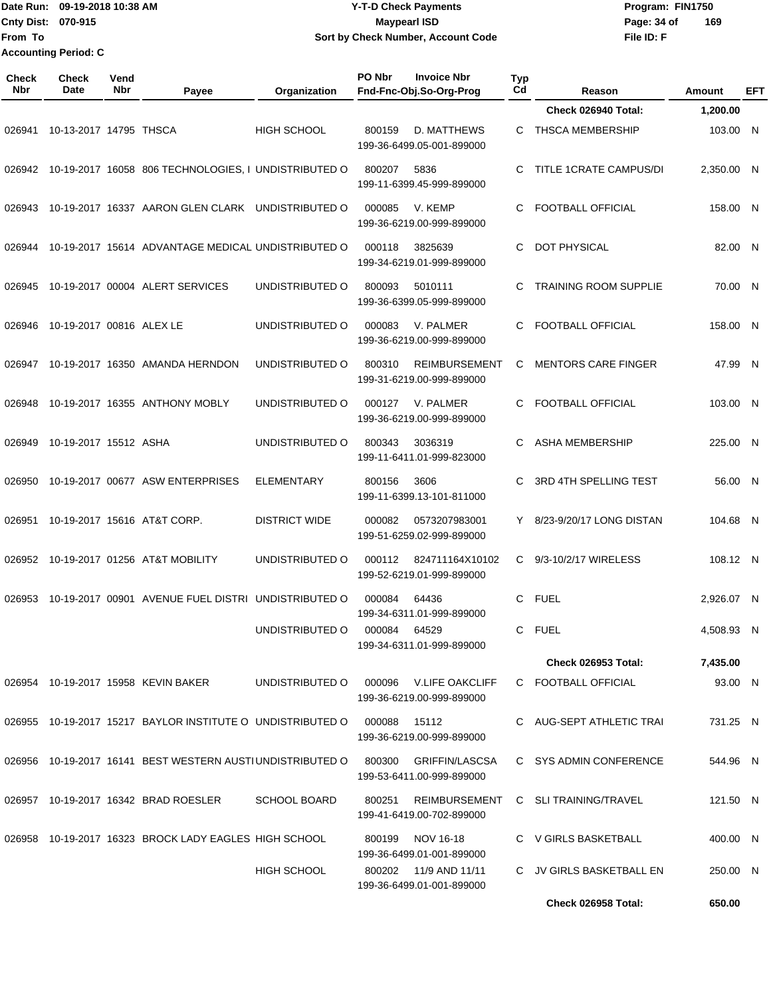## Date Run: 09-19-2018 10:38 AM **CONTEX 18 AM CONTEX 18 AM CONTEX 17-T-D** Check Payments **CONTEX 18 AM CONTEX 18 AM CONTEX 18 AM CONTEX 18 AM CONTEX 18 AM CONTEX 18 AM CONTEX 18 AM CONTEX 18 AM CONTEX 19 AM CONTEX 19 AM CONT Cnty Dist:** 070-915 **Page: 34 of MaypearI ISD Page: 34 of 09-19-2018 10:38 AM Y-T-D Check Payments 070-915 Maypearl ISD Sort by Check Number, Account Code**

| Check<br><b>Nbr</b> | Check<br>Date            | Vend<br>Nbr | Payee                                                      | Organization         | PO Nbr                                             | <b>Invoice Nbr</b><br>Fnd-Fnc-Obj.So-Org-Prog       | <b>Typ</b><br>Cd | Reason                       | Amount     | EFT |
|---------------------|--------------------------|-------------|------------------------------------------------------------|----------------------|----------------------------------------------------|-----------------------------------------------------|------------------|------------------------------|------------|-----|
|                     |                          |             |                                                            |                      |                                                    |                                                     |                  | Check 026940 Total:          | 1,200.00   |     |
| 026941              | 10-13-2017 14795 THSCA   |             |                                                            | <b>HIGH SCHOOL</b>   | 800159                                             | D. MATTHEWS<br>199-36-6499.05-001-899000            | C.               | THSCA MEMBERSHIP             | 103.00 N   |     |
| 026942              |                          |             | 10-19-2017 16058 806 TECHNOLOGIES, I UNDISTRIBUTED O       |                      | 800207                                             | 5836<br>199-11-6399.45-999-899000                   |                  | TITLE 1CRATE CAMPUS/DI       | 2,350.00 N |     |
| 026943              |                          |             | 10-19-2017 16337 AARON GLEN CLARK                          | UNDISTRIBUTED O      | 000085                                             | V. KEMP<br>199-36-6219.00-999-899000                | С                | <b>FOOTBALL OFFICIAL</b>     | 158.00 N   |     |
| 026944              |                          |             | 10-19-2017 15614 ADVANTAGE MEDICAL UNDISTRIBUTED O         |                      | 000118                                             | 3825639<br>199-34-6219.01-999-899000                | С                | <b>DOT PHYSICAL</b>          | 82.00 N    |     |
| 026945              |                          |             | 10-19-2017 00004 ALERT SERVICES                            | UNDISTRIBUTED O      | 800093                                             | 5010111<br>199-36-6399.05-999-899000                | С                | <b>TRAINING ROOM SUPPLIE</b> | 70.00 N    |     |
| 026946              | 10-19-2017 00816 ALEX LE |             |                                                            | UNDISTRIBUTED O      | 000083                                             | V. PALMER<br>199-36-6219.00-999-899000              | C                | <b>FOOTBALL OFFICIAL</b>     | 158.00 N   |     |
| 026947              |                          |             | 10-19-2017 16350 AMANDA HERNDON                            | UNDISTRIBUTED O      | 800310                                             | <b>REIMBURSEMENT</b><br>199-31-6219.00-999-899000   | C                | <b>MENTORS CARE FINGER</b>   | 47.99 N    |     |
| 026948              |                          |             | 10-19-2017 16355 ANTHONY MOBLY                             | UNDISTRIBUTED O      | 000127                                             | V. PALMER<br>199-36-6219.00-999-899000              | С                | <b>FOOTBALL OFFICIAL</b>     | 103.00 N   |     |
| 026949              | 10-19-2017 15512 ASHA    |             |                                                            | UNDISTRIBUTED O      | 800343                                             | 3036319<br>199-11-6411.01-999-823000                | С                | <b>ASHA MEMBERSHIP</b>       | 225.00 N   |     |
| 026950              |                          |             | 10-19-2017 00677 ASW ENTERPRISES                           | <b>ELEMENTARY</b>    | 800156                                             | 3606<br>199-11-6399.13-101-811000                   | С                | 3RD 4TH SPELLING TEST        | 56.00 N    |     |
| 026951              |                          |             | 10-19-2017 15616 AT&T CORP.                                | <b>DISTRICT WIDE</b> | 000082                                             | 0573207983001<br>199-51-6259.02-999-899000          | Y                | 8/23-9/20/17 LONG DISTAN     | 104.68 N   |     |
| 026952              |                          |             | 10-19-2017 01256 AT&T MOBILITY                             | UNDISTRIBUTED O      | 000112                                             | 824711164X10102<br>199-52-6219.01-999-899000        | C.               | 9/3-10/2/17 WIRELESS         | 108.12 N   |     |
| 026953              |                          |             | 10-19-2017 00901 AVENUE FUEL DISTRI UNDISTRIBUTED O        |                      | 000084                                             | 64436<br>199-34-6311.01-999-899000                  | C                | <b>FUEL</b>                  | 2,926.07 N |     |
|                     |                          |             |                                                            | UNDISTRIBUTED O      | 000084                                             | 64529<br>199-34-6311.01-999-899000                  | C.               | <b>FUEL</b>                  | 4,508.93 N |     |
|                     |                          |             |                                                            |                      |                                                    |                                                     |                  | <b>Check 026953 Total:</b>   | 7,435.00   |     |
|                     |                          |             | 026954 10-19-2017 15958 KEVIN BAKER                        | UNDISTRIBUTED O      |                                                    | 000096 V.LIFE OAKCLIFF<br>199-36-6219.00-999-899000 |                  | C FOOTBALL OFFICIAL          | 93.00 N    |     |
|                     |                          |             | 026955 10-19-2017 15217 BAYLOR INSTITUTE O UNDISTRIBUTED O |                      | 000088                                             | 15112<br>199-36-6219.00-999-899000                  |                  | C AUG-SEPT ATHLETIC TRAI     | 731.25 N   |     |
|                     |                          |             | 026956 10-19-2017 16141 BEST WESTERN AUSTIUNDISTRIBUTED O  |                      | 800300                                             | GRIFFIN/LASCSA<br>199-53-6411.00-999-899000         |                  | C SYS ADMIN CONFERENCE       | 544.96 N   |     |
|                     |                          |             | 026957 10-19-2017 16342 BRAD ROESLER                       | <b>SCHOOL BOARD</b>  | 800251                                             | REIMBURSEMENT<br>199-41-6419.00-702-899000          |                  | C SLI TRAINING/TRAVEL        | 121.50 N   |     |
|                     |                          |             | 026958 10-19-2017 16323 BROCK LADY EAGLES HIGH SCHOOL      |                      | 800199                                             | NOV 16-18<br>199-36-6499.01-001-899000              |                  | C V GIRLS BASKETBALL         | 400.00 N   |     |
|                     |                          |             |                                                            | HIGH SCHOOL          | 800202 11/9 AND 11/11<br>199-36-6499.01-001-899000 |                                                     |                  | C JV GIRLS BASKETBALL EN     | 250.00 N   |     |
|                     |                          |             |                                                            |                      |                                                    |                                                     |                  | Check 026958 Total:          | 650.00     |     |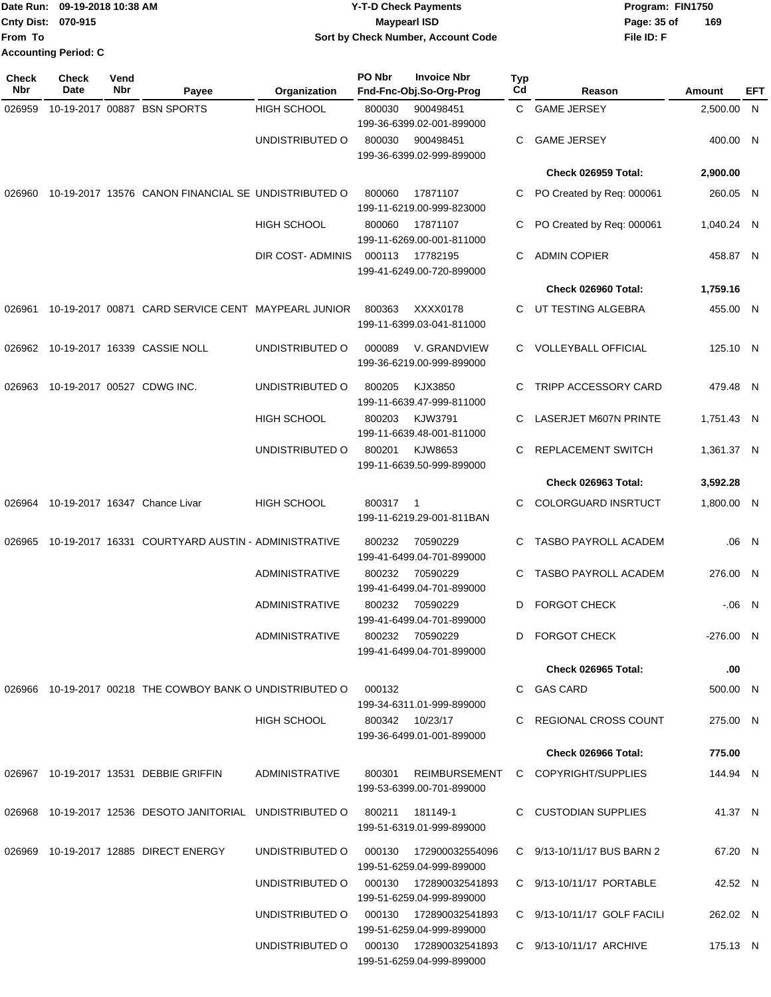| Date Run: 09-19-2018 10:38 AM |  | <b>Y-T-D Check Payments</b>        | Program: FIN1750   |  |  |
|-------------------------------|--|------------------------------------|--------------------|--|--|
| <b>Cnty Dist: 070-915</b>     |  | Maypearl ISD                       | 169<br>Page: 35 of |  |  |
| lFrom To                      |  | Sort by Check Number, Account Code | File ID: F         |  |  |
| <b>Accounting Period: C</b>   |  |                                    |                    |  |  |

| <b>Check</b><br>Nbr | Check<br>Date              | Vend<br>Nbr | Payee                                                                     | Organization                           | PO Nbr | <b>Invoice Nbr</b><br>Fnd-Fnc-Obj.So-Org-Prog     | Typ<br>Cd | Reason                       | Amount      | EFT   |
|---------------------|----------------------------|-------------|---------------------------------------------------------------------------|----------------------------------------|--------|---------------------------------------------------|-----------|------------------------------|-------------|-------|
| 026959              |                            |             | 10-19-2017 00887 BSN SPORTS                                               | <b>HIGH SCHOOL</b>                     | 800030 | 900498451                                         | C.        | <b>GAME JERSEY</b>           | 2,500.00 N  |       |
|                     |                            |             |                                                                           |                                        |        | 199-36-6399.02-001-899000                         |           |                              |             |       |
|                     |                            |             |                                                                           | UNDISTRIBUTED O                        | 800030 | 900498451<br>199-36-6399.02-999-899000            | С         | <b>GAME JERSEY</b>           | 400.00 N    |       |
|                     |                            |             |                                                                           |                                        |        |                                                   |           | Check 026959 Total:          | 2,900.00    |       |
|                     |                            |             | 026960 10-19-2017 13576 CANON FINANCIAL SE UNDISTRIBUTED O                |                                        | 800060 | 17871107                                          | С         |                              | 260.05 N    |       |
|                     |                            |             |                                                                           |                                        |        | 199-11-6219.00-999-823000                         |           | PO Created by Req: 000061    |             |       |
|                     |                            |             |                                                                           | <b>HIGH SCHOOL</b>                     | 800060 | 17871107                                          | С         | PO Created by Req: 000061    | 1,040.24 N  |       |
|                     |                            |             |                                                                           | DIR COST- ADMINIS                      | 000113 | 199-11-6269.00-001-811000<br>17782195             | С         | <b>ADMIN COPIER</b>          | 458.87 N    |       |
|                     |                            |             |                                                                           |                                        |        | 199-41-6249.00-720-899000                         |           |                              |             |       |
|                     |                            |             |                                                                           |                                        |        |                                                   |           | Check 026960 Total:          | 1,759.16    |       |
| 026961              |                            |             | 10-19-2017 00871 CARD SERVICE CENT MAYPEARL JUNIOR                        |                                        | 800363 | XXXX0178<br>199-11-6399.03-041-811000             | C.        | UT TESTING ALGEBRA           | 455.00 N    |       |
|                     |                            |             | 026962 10-19-2017 16339 CASSIE NOLL                                       | UNDISTRIBUTED O                        | 000089 | V. GRANDVIEW                                      | C.        | <b>VOLLEYBALL OFFICIAL</b>   | 125.10 N    |       |
|                     |                            |             |                                                                           |                                        |        | 199-36-6219.00-999-899000                         |           |                              |             |       |
| 026963              | 10-19-2017 00527 CDWG INC. |             |                                                                           | UNDISTRIBUTED O                        | 800205 | KJX3850<br>199-11-6639.47-999-811000              | С         | <b>TRIPP ACCESSORY CARD</b>  | 479.48 N    |       |
|                     |                            |             |                                                                           | HIGH SCHOOL                            | 800203 | KJW3791<br>199-11-6639.48-001-811000              | С         | <b>LASERJET M607N PRINTE</b> | 1,751.43 N  |       |
|                     |                            |             |                                                                           | UNDISTRIBUTED O                        | 800201 | KJW8653                                           | С         | REPLACEMENT SWITCH           | 1,361.37 N  |       |
|                     |                            |             |                                                                           |                                        |        | 199-11-6639.50-999-899000                         |           | Check 026963 Total:          | 3,592.28    |       |
|                     |                            |             |                                                                           |                                        |        |                                                   |           |                              |             |       |
| 026964              |                            |             | 10-19-2017 16347 Chance Livar                                             | <b>HIGH SCHOOL</b>                     | 800317 | $\overline{1}$<br>199-11-6219.29-001-811BAN       | С         | COLORGUARD INSRTUCT          | 1,800.00 N  |       |
| 026965              |                            |             | 10-19-2017 16331 COURTYARD AUSTIN - ADMINISTRATIVE                        |                                        | 800232 | 70590229<br>199-41-6499.04-701-899000             | C.        | <b>TASBO PAYROLL ACADEM</b>  |             | .06 N |
|                     |                            |             |                                                                           | <b>ADMINISTRATIVE</b>                  | 800232 | 70590229<br>199-41-6499.04-701-899000             | C         | TASBO PAYROLL ACADEM         | 276.00 N    |       |
|                     |                            |             |                                                                           | <b>ADMINISTRATIVE</b>                  | 800232 | 70590229<br>199-41-6499.04-701-899000             | D         | FORGOT CHECK                 | $-.06$ N    |       |
|                     |                            |             |                                                                           | ADMINISTRATIVE                         |        | 800232 70590229                                   | D         | <b>FORGOT CHECK</b>          | $-276.00$ N |       |
|                     |                            |             |                                                                           |                                        |        | 199-41-6499.04-701-899000                         |           |                              |             |       |
|                     |                            |             |                                                                           |                                        |        |                                                   |           | <b>Check 026965 Total:</b>   | .00         |       |
|                     |                            |             | 026966 10-19-2017 00218 THE COWBOY BANK O UNDISTRIBUTED O 000132          |                                        |        | 199-34-6311.01-999-899000                         |           | C GAS CARD                   | 500.00 N    |       |
|                     |                            |             |                                                                           | HIGH SCHOOL                            |        | 800342 10/23/17<br>199-36-6499.01-001-899000      |           | C REGIONAL CROSS COUNT       | 275.00 N    |       |
|                     |                            |             |                                                                           |                                        |        |                                                   |           | Check 026966 Total:          | 775.00      |       |
|                     |                            |             | 026967 10-19-2017 13531 DEBBIE GRIFFIN                                    | <b>ADMINISTRATIVE</b>                  |        | 800301 REIMBURSEMENT<br>199-53-6399.00-701-899000 |           | C COPYRIGHT/SUPPLIES         | 144.94 N    |       |
|                     |                            |             | 026968 10-19-2017 12536 DESOTO JANITORIAL UNDISTRIBUTED O 800211 181149-1 |                                        |        |                                                   |           | C CUSTODIAN SUPPLIES         | 41.37 N     |       |
|                     |                            |             |                                                                           |                                        |        | 199-51-6319.01-999-899000                         |           |                              |             |       |
|                     |                            |             | 026969 10-19-2017 12885 DIRECT ENERGY                                     | UNDISTRIBUTED O                        |        | 199-51-6259.04-999-899000                         |           | C 9/13-10/11/17 BUS BARN 2   | 67.20 N     |       |
|                     |                            |             |                                                                           | UNDISTRIBUTED O 000130 172890032541893 |        | 199-51-6259.04-999-899000                         |           | C 9/13-10/11/17 PORTABLE     | 42.52 N     |       |
|                     |                            |             |                                                                           | UNDISTRIBUTED O 000130 172890032541893 |        | 199-51-6259.04-999-899000                         |           | C 9/13-10/11/17 GOLF FACILI  | 262.02 N    |       |
|                     |                            |             |                                                                           | UNDISTRIBUTED O 000130 172890032541893 |        | 199-51-6259.04-999-899000                         |           | C 9/13-10/11/17 ARCHIVE      | 175.13 N    |       |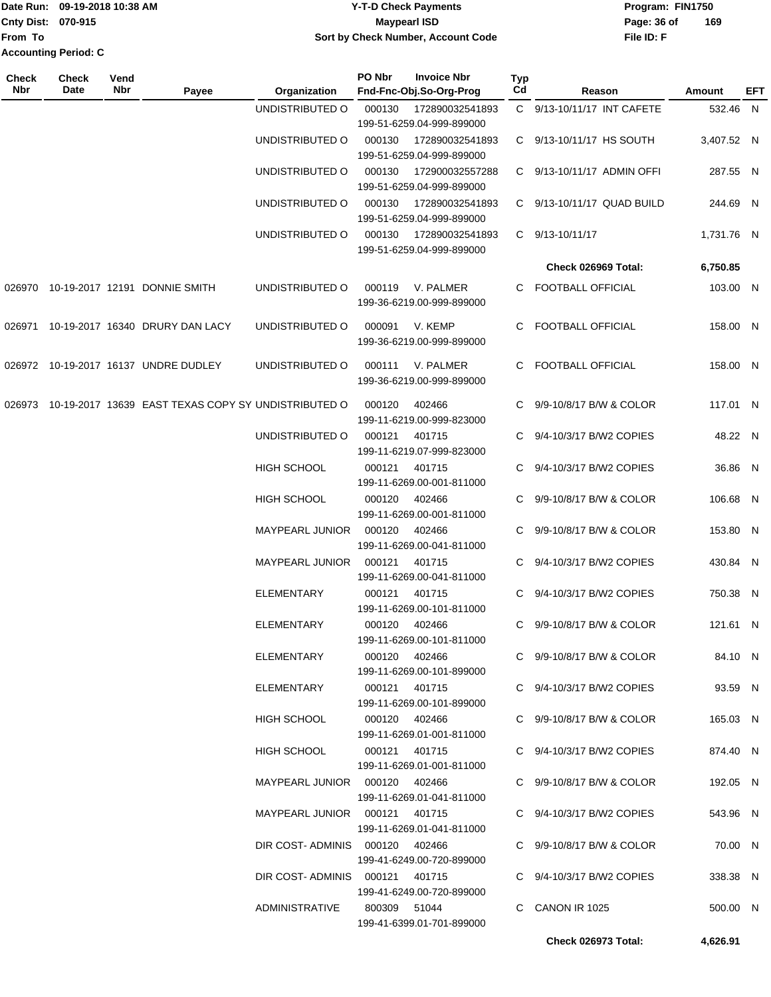| Date Run: 09-19-2018 10:38 AM |  | <b>Y-T-D Check Payments</b>        |             | Program: FIN1750 |  |  |
|-------------------------------|--|------------------------------------|-------------|------------------|--|--|
| <b>Cnty Dist: 070-915</b>     |  | Maypearl ISD                       | Page: 36 of | 169              |  |  |
| From To                       |  | Sort by Check Number, Account Code | File ID: F  |                  |  |  |
| <b>Accounting Period: C</b>   |  |                                    |             |                  |  |  |

| <b>Check</b><br><b>Nbr</b> | <b>Check</b><br>Date | Vend<br>Nbr | Payee                                                      | Organization                    | PO Nbr                    | <b>Invoice Nbr</b><br>Fnd-Fnc-Obj.So-Org-Prog | Typ<br>Cd | Reason                        | Amount     | EFT |
|----------------------------|----------------------|-------------|------------------------------------------------------------|---------------------------------|---------------------------|-----------------------------------------------|-----------|-------------------------------|------------|-----|
|                            |                      |             |                                                            | UNDISTRIBUTED O                 | 000130<br>172890032541893 |                                               |           | C 9/13-10/11/17 INT CAFETE    | 532.46 N   |     |
|                            |                      |             |                                                            |                                 |                           | 199-51-6259.04-999-899000                     |           |                               |            |     |
|                            |                      |             |                                                            | UNDISTRIBUTED O                 | 000130                    | 172890032541893<br>199-51-6259.04-999-899000  |           | C 9/13-10/11/17 HS SOUTH      | 3,407.52 N |     |
|                            |                      |             |                                                            | UNDISTRIBUTED O                 | 000130                    | 172900032557288                               |           | C 9/13-10/11/17 ADMIN OFFI    | 287.55 N   |     |
|                            |                      |             |                                                            |                                 |                           | 199-51-6259.04-999-899000                     |           |                               |            |     |
|                            |                      |             |                                                            | UNDISTRIBUTED O                 | 000130                    | 172890032541893                               |           | C 9/13-10/11/17 QUAD BUILD    | 244.69 N   |     |
|                            |                      |             |                                                            |                                 |                           | 199-51-6259.04-999-899000                     |           |                               |            |     |
|                            |                      |             |                                                            | UNDISTRIBUTED O                 | 000130                    | 172890032541893<br>199-51-6259.04-999-899000  |           | C 9/13-10/11/17               | 1,731.76 N |     |
|                            |                      |             |                                                            |                                 |                           |                                               |           | Check 026969 Total:           | 6,750.85   |     |
|                            |                      |             | 026970 10-19-2017 12191 DONNIE SMITH                       | UNDISTRIBUTED O                 | 000119                    | V. PALMER                                     |           | C FOOTBALL OFFICIAL           | 103.00 N   |     |
|                            |                      |             |                                                            |                                 |                           | 199-36-6219.00-999-899000                     |           |                               |            |     |
| 026971                     |                      |             | 10-19-2017 16340 DRURY DAN LACY                            | UNDISTRIBUTED O                 | 000091                    | V. KEMP                                       | C.        | <b>FOOTBALL OFFICIAL</b>      | 158.00 N   |     |
|                            |                      |             |                                                            |                                 |                           | 199-36-6219.00-999-899000                     |           |                               |            |     |
|                            |                      |             | 026972 10-19-2017 16137 UNDRE DUDLEY                       | UNDISTRIBUTED O                 | 000111                    | V. PALMER                                     |           | C FOOTBALL OFFICIAL           | 158.00 N   |     |
|                            |                      |             |                                                            |                                 |                           | 199-36-6219.00-999-899000                     |           |                               |            |     |
|                            |                      |             | 026973 10-19-2017 13639 EAST TEXAS COPY SY UNDISTRIBUTED O |                                 | 000120                    | 402466                                        |           | C 9/9-10/8/17 B/W & COLOR     | 117.01 N   |     |
|                            |                      |             |                                                            |                                 |                           | 199-11-6219.00-999-823000                     |           |                               |            |     |
|                            |                      |             |                                                            | UNDISTRIBUTED O                 | 000121                    | 401715                                        |           | C 9/4-10/3/17 B/W2 COPIES     | 48.22 N    |     |
|                            |                      |             |                                                            |                                 |                           | 199-11-6219.07-999-823000                     |           |                               |            |     |
|                            |                      |             |                                                            | <b>HIGH SCHOOL</b>              | 000121                    | 401715                                        |           | C 9/4-10/3/17 B/W2 COPIES     | 36.86 N    |     |
|                            |                      |             |                                                            | <b>HIGH SCHOOL</b>              | 000120                    | 199-11-6269.00-001-811000<br>402466           | C.        | 9/9-10/8/17 B/W & COLOR       | 106.68 N   |     |
|                            |                      |             |                                                            |                                 |                           | 199-11-6269.00-001-811000                     |           |                               |            |     |
|                            |                      |             |                                                            | MAYPEARL JUNIOR                 | 000120                    | 402466                                        | C.        | 9/9-10/8/17 B/W & COLOR       | 153.80 N   |     |
|                            |                      |             |                                                            |                                 |                           | 199-11-6269.00-041-811000                     |           |                               |            |     |
|                            |                      |             |                                                            | <b>MAYPEARL JUNIOR</b>          | 000121                    | 401715                                        | C.        | 9/4-10/3/17 B/W2 COPIES       | 430.84 N   |     |
|                            |                      |             |                                                            | <b>ELEMENTARY</b>               | 000121                    | 199-11-6269.00-041-811000<br>401715           |           | 9/4-10/3/17 B/W2 COPIES       | 750.38 N   |     |
|                            |                      |             |                                                            |                                 |                           | 199-11-6269.00-101-811000                     |           |                               |            |     |
|                            |                      |             |                                                            | <b>ELEMENTARY</b>               | 000120                    | 402466                                        |           | C 9/9-10/8/17 B/W & COLOR     | 121.61 N   |     |
|                            |                      |             |                                                            |                                 |                           | 199-11-6269.00-101-811000                     |           |                               |            |     |
|                            |                      |             |                                                            | ELEMENTARY                      |                           | 000120 402466<br>199-11-6269.00-101-899000    |           | C $9/9 - 10/8/17$ B/W & COLOR | 84.10 N    |     |
|                            |                      |             |                                                            | ELEMENTARY                      |                           | 000121 401715                                 |           | C 9/4-10/3/17 B/W2 COPIES     | 93.59 N    |     |
|                            |                      |             |                                                            |                                 |                           | 199-11-6269.00-101-899000                     |           |                               |            |     |
|                            |                      |             |                                                            | <b>HIGH SCHOOL</b>              |                           | 000120 402466                                 |           | C 9/9-10/8/17 B/W & COLOR     | 165.03 N   |     |
|                            |                      |             |                                                            |                                 |                           | 199-11-6269.01-001-811000                     |           |                               |            |     |
|                            |                      |             |                                                            | HIGH SCHOOL                     |                           | 000121 401715<br>199-11-6269.01-001-811000    |           | C 9/4-10/3/17 B/W2 COPIES     | 874.40 N   |     |
|                            |                      |             |                                                            | MAYPEARL JUNIOR  000120  402466 |                           |                                               |           | C 9/9-10/8/17 B/W & COLOR     | 192.05 N   |     |
|                            |                      |             |                                                            |                                 |                           | 199-11-6269.01-041-811000                     |           |                               |            |     |
|                            |                      |             |                                                            | MAYPEARL JUNIOR 000121 401715   |                           |                                               |           | C 9/4-10/3/17 B/W2 COPIES     | 543.96 N   |     |
|                            |                      |             |                                                            |                                 |                           | 199-11-6269.01-041-811000                     |           |                               |            |     |
|                            |                      |             |                                                            | DIR COST-ADMINIS 000120 402466  |                           | 199-41-6249.00-720-899000                     |           | C 9/9-10/8/17 B/W & COLOR     | 70.00 N    |     |
|                            |                      |             |                                                            | DIR COST-ADMINIS 000121 401715  |                           |                                               |           | C 9/4-10/3/17 B/W2 COPIES     | 338.38 N   |     |
|                            |                      |             |                                                            |                                 |                           | 199-41-6249.00-720-899000                     |           |                               |            |     |
|                            |                      |             |                                                            | ADMINISTRATIVE                  |                           | 800309 51044                                  |           | C CANON IR 1025               | 500.00 N   |     |
|                            |                      |             |                                                            |                                 |                           | 199-41-6399.01-701-899000                     |           |                               |            |     |
|                            |                      |             |                                                            |                                 |                           |                                               |           | Check 026973 Total:           | 4,626.91   |     |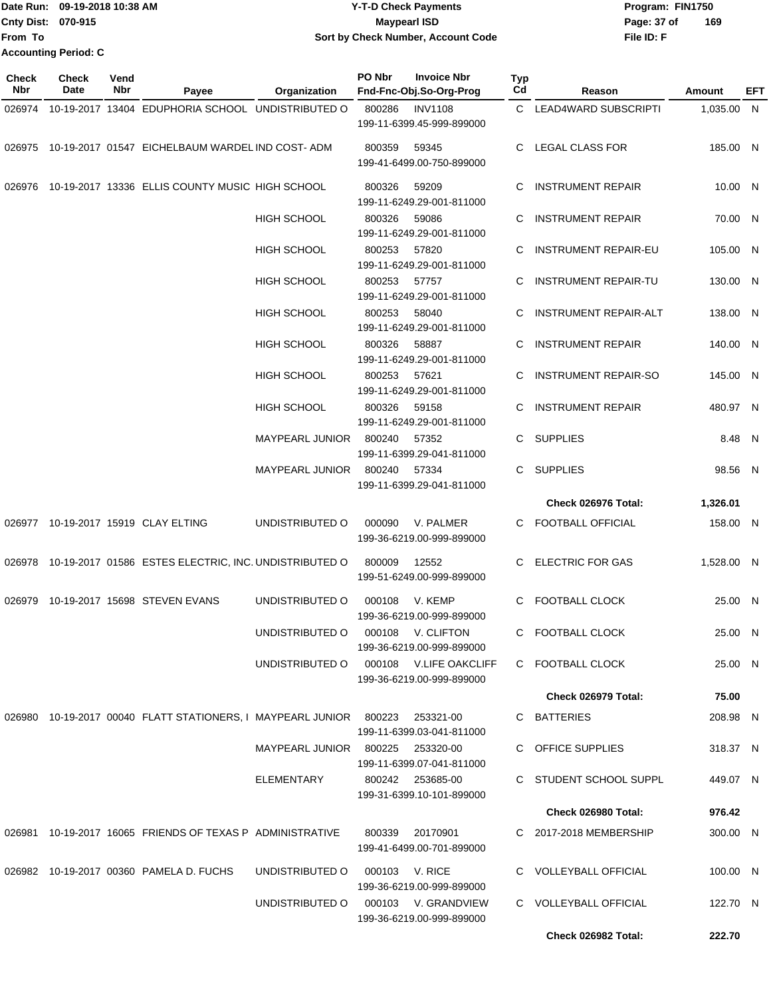|                           | Date Run: 09-19-2018 10:38 AM | <b>Y-T-D Check Payments</b>        | Program: FIN1750   |
|---------------------------|-------------------------------|------------------------------------|--------------------|
| <b>Cnty Dist: 070-915</b> |                               | Mavpearl ISD                       | 169<br>Page: 37 of |
| 'From To                  |                               | Sort by Check Number, Account Code | File ID: F         |
|                           | <b>Accounting Period: C</b>   |                                    |                    |

| <b>Check</b><br>Nbr | <b>Check</b><br>Date | Vend<br>Nbr | Payee                                                                  | Organization                     | PO Nbr | <b>Invoice Nbr</b><br>Fnd-Fnc-Obj.So-Org-Prog | Typ<br>Cd | Reason                       | Amount     | EFT |
|---------------------|----------------------|-------------|------------------------------------------------------------------------|----------------------------------|--------|-----------------------------------------------|-----------|------------------------------|------------|-----|
| 026974              |                      |             | 10-19-2017 13404 EDUPHORIA SCHOOL UNDISTRIBUTED O                      |                                  | 800286 | <b>INV1108</b>                                |           | C LEAD4WARD SUBSCRIPTI       | 1,035.00 N |     |
|                     |                      |             |                                                                        |                                  |        | 199-11-6399.45-999-899000                     |           |                              |            |     |
|                     |                      |             | 026975 10-19-2017 01547 EICHELBAUM WARDEL IND COST-ADM                 |                                  | 800359 | 59345                                         |           | C LEGAL CLASS FOR            | 185.00 N   |     |
|                     |                      |             |                                                                        |                                  |        | 199-41-6499.00-750-899000                     |           |                              |            |     |
| 026976              |                      |             | 10-19-2017 13336 ELLIS COUNTY MUSIC HIGH SCHOOL                        |                                  | 800326 | 59209                                         | C         | <b>INSTRUMENT REPAIR</b>     | 10.00 N    |     |
|                     |                      |             |                                                                        |                                  |        | 199-11-6249.29-001-811000                     |           |                              |            |     |
|                     |                      |             |                                                                        | HIGH SCHOOL                      | 800326 | 59086                                         | C.        | <b>INSTRUMENT REPAIR</b>     | 70.00 N    |     |
|                     |                      |             |                                                                        |                                  |        | 199-11-6249.29-001-811000                     |           |                              |            |     |
|                     |                      |             |                                                                        | HIGH SCHOOL                      | 800253 | 57820                                         | C         | <b>INSTRUMENT REPAIR-EU</b>  | 105.00 N   |     |
|                     |                      |             |                                                                        |                                  |        | 199-11-6249.29-001-811000                     |           |                              |            |     |
|                     |                      |             |                                                                        | <b>HIGH SCHOOL</b>               | 800253 | 57757<br>199-11-6249.29-001-811000            | C         | <b>INSTRUMENT REPAIR-TU</b>  | 130.00 N   |     |
|                     |                      |             |                                                                        | <b>HIGH SCHOOL</b>               | 800253 | 58040                                         | C.        | <b>INSTRUMENT REPAIR-ALT</b> | 138.00 N   |     |
|                     |                      |             |                                                                        |                                  |        | 199-11-6249.29-001-811000                     |           |                              |            |     |
|                     |                      |             |                                                                        | <b>HIGH SCHOOL</b>               | 800326 | 58887                                         | C.        | <b>INSTRUMENT REPAIR</b>     | 140.00 N   |     |
|                     |                      |             |                                                                        |                                  |        | 199-11-6249.29-001-811000                     |           |                              |            |     |
|                     |                      |             |                                                                        | HIGH SCHOOL                      | 800253 | 57621                                         | C.        | <b>INSTRUMENT REPAIR-SO</b>  | 145.00 N   |     |
|                     |                      |             |                                                                        |                                  |        | 199-11-6249.29-001-811000                     |           |                              |            |     |
|                     |                      |             |                                                                        | HIGH SCHOOL                      | 800326 | 59158                                         | C         | <b>INSTRUMENT REPAIR</b>     | 480.97 N   |     |
|                     |                      |             |                                                                        |                                  |        | 199-11-6249.29-001-811000                     |           |                              |            |     |
|                     |                      |             |                                                                        | <b>MAYPEARL JUNIOR</b>           | 800240 | 57352                                         | C         | <b>SUPPLIES</b>              | 8.48 N     |     |
|                     |                      |             |                                                                        |                                  |        | 199-11-6399.29-041-811000                     |           |                              |            |     |
|                     |                      |             |                                                                        | <b>MAYPEARL JUNIOR</b>           | 800240 | 57334                                         | C.        | <b>SUPPLIES</b>              | 98.56 N    |     |
|                     |                      |             |                                                                        |                                  |        | 199-11-6399.29-041-811000                     |           |                              |            |     |
|                     |                      |             |                                                                        |                                  |        |                                               |           | Check 026976 Total:          | 1,326.01   |     |
|                     |                      |             | 026977 10-19-2017 15919 CLAY ELTING                                    | UNDISTRIBUTED O                  | 000090 | V. PALMER<br>199-36-6219.00-999-899000        |           | C FOOTBALL OFFICIAL          | 158.00 N   |     |
|                     |                      |             | 026978 10-19-2017 01586 ESTES ELECTRIC, INC. UNDISTRIBUTED O           |                                  | 800009 | 12552                                         |           | C ELECTRIC FOR GAS           | 1,528.00 N |     |
|                     |                      |             |                                                                        |                                  |        | 199-51-6249.00-999-899000                     |           |                              |            |     |
|                     |                      |             |                                                                        |                                  |        |                                               |           |                              |            |     |
|                     |                      |             | 026979 10-19-2017 15698 STEVEN EVANS                                   | UNDISTRIBUTED O                  | 000108 | V. KEMP                                       |           | C FOOTBALL CLOCK             | 25.00 N    |     |
|                     |                      |             |                                                                        |                                  |        | 199-36-6219.00-999-899000                     |           |                              |            |     |
|                     |                      |             |                                                                        | UNDISTRIBUTED O                  | 000108 | V. CLIFTON<br>199-36-6219.00-999-899000       |           | C FOOTBALL CLOCK             | 25.00 N    |     |
|                     |                      |             |                                                                        | UNDISTRIBUTED O                  |        | 000108 V.LIFE OAKCLIFF                        |           | C FOOTBALL CLOCK             | 25.00 N    |     |
|                     |                      |             |                                                                        |                                  |        | 199-36-6219.00-999-899000                     |           |                              |            |     |
|                     |                      |             |                                                                        |                                  |        |                                               |           | Check 026979 Total:          | 75.00      |     |
|                     |                      |             | 026980  10-19-2017  00040  FLATT STATIONERS, I MAYPEARL JUNIOR  800223 |                                  |        | 253321-00                                     |           | C BATTERIES                  | 208.98 N   |     |
|                     |                      |             |                                                                        |                                  |        | 199-11-6399.03-041-811000                     |           |                              |            |     |
|                     |                      |             |                                                                        | MAYPEARL JUNIOR 800225 253320-00 |        |                                               |           | C OFFICE SUPPLIES            | 318.37 N   |     |
|                     |                      |             |                                                                        |                                  |        | 199-11-6399.07-041-811000                     |           |                              |            |     |
|                     |                      |             |                                                                        | ELEMENTARY                       |        | 800242 253685-00<br>199-31-6399.10-101-899000 |           | C STUDENT SCHOOL SUPPL       | 449.07 N   |     |
|                     |                      |             |                                                                        |                                  |        |                                               |           | Check 026980 Total:          | 976.42     |     |
|                     |                      |             | 026981 10-19-2017 16065 FRIENDS OF TEXAS P ADMINISTRATIVE              |                                  | 800339 | 20170901                                      |           | C 2017-2018 MEMBERSHIP       | 300.00 N   |     |
|                     |                      |             |                                                                        |                                  |        | 199-41-6499.00-701-899000                     |           |                              |            |     |
|                     |                      |             | 026982 10-19-2017 00360 PAMELA D. FUCHS                                | UNDISTRIBUTED O                  |        | 000103 V. RICE                                |           | C VOLLEYBALL OFFICIAL        |            |     |
|                     |                      |             |                                                                        |                                  |        | 199-36-6219.00-999-899000                     |           |                              | 100.00 N   |     |
|                     |                      |             |                                                                        | UNDISTRIBUTED O                  |        | 000103 V. GRANDVIEW                           |           | C VOLLEYBALL OFFICIAL        | 122.70 N   |     |
|                     |                      |             |                                                                        |                                  |        | 199-36-6219.00-999-899000                     |           |                              |            |     |
|                     |                      |             |                                                                        |                                  |        |                                               |           | Check 026982 Total:          | 222.70     |     |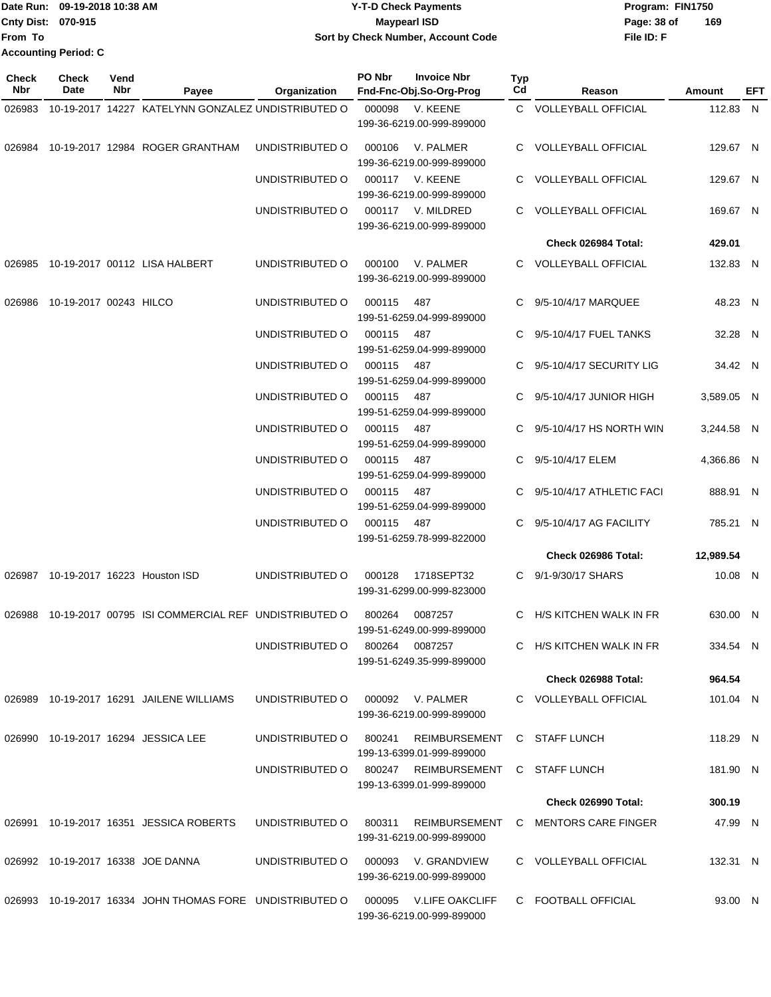|                           | Date Run: 09-19-2018 10:38 AM | <b>Y-T-D Check Payments</b>        | Program: FIN1750   |
|---------------------------|-------------------------------|------------------------------------|--------------------|
| <b>Cnty Dist: 070-915</b> |                               | <b>Mavpearl ISD</b>                | 169<br>Page: 38 of |
| <b>From To</b>            |                               | Sort by Check Number, Account Code | File ID: F         |
|                           | <b>Accounting Period: C</b>   |                                    |                    |

| Check<br>Nbr | <b>Check</b><br>Date   | Vend<br>Nbr | Payee                                                    | Organization    | PO Nbr | <b>Invoice Nbr</b><br>Fnd-Fnc-Obj.So-Org-Prog       | Typ<br>Cd    | Reason                    | Amount     | EFT |
|--------------|------------------------|-------------|----------------------------------------------------------|-----------------|--------|-----------------------------------------------------|--------------|---------------------------|------------|-----|
| 026983       |                        |             | 10-19-2017 14227 KATELYNN GONZALEZ UNDISTRIBUTED O       |                 | 000098 | V. KEENE                                            |              | C VOLLEYBALL OFFICIAL     | 112.83 N   |     |
|              |                        |             |                                                          |                 |        | 199-36-6219.00-999-899000                           |              |                           |            |     |
|              |                        |             | 026984 10-19-2017 12984 ROGER GRANTHAM                   | UNDISTRIBUTED O | 000106 | V. PALMER<br>199-36-6219.00-999-899000              |              | C VOLLEYBALL OFFICIAL     | 129.67 N   |     |
|              |                        |             |                                                          | UNDISTRIBUTED O | 000117 | V. KEENE<br>199-36-6219.00-999-899000               |              | C VOLLEYBALL OFFICIAL     | 129.67 N   |     |
|              |                        |             |                                                          | UNDISTRIBUTED O |        | 000117 V. MILDRED<br>199-36-6219.00-999-899000      |              | C VOLLEYBALL OFFICIAL     | 169.67 N   |     |
|              |                        |             |                                                          |                 |        |                                                     |              | Check 026984 Total:       | 429.01     |     |
| 026985       |                        |             | 10-19-2017 00112 LISA HALBERT                            | UNDISTRIBUTED O | 000100 | V. PALMER<br>199-36-6219.00-999-899000              |              | C VOLLEYBALL OFFICIAL     | 132.83 N   |     |
| 026986       | 10-19-2017 00243 HILCO |             |                                                          | UNDISTRIBUTED O | 000115 | 487<br>199-51-6259.04-999-899000                    | $\mathbf{C}$ | 9/5-10/4/17 MARQUEE       | 48.23 N    |     |
|              |                        |             |                                                          | UNDISTRIBUTED O | 000115 | 487<br>199-51-6259.04-999-899000                    | C.           | 9/5-10/4/17 FUEL TANKS    | 32.28 N    |     |
|              |                        |             |                                                          | UNDISTRIBUTED O | 000115 | 487<br>199-51-6259.04-999-899000                    | C            | 9/5-10/4/17 SECURITY LIG  | 34.42 N    |     |
|              |                        |             |                                                          | UNDISTRIBUTED O | 000115 | 487<br>199-51-6259.04-999-899000                    | C            | 9/5-10/4/17 JUNIOR HIGH   | 3,589.05 N |     |
|              |                        |             |                                                          | UNDISTRIBUTED O | 000115 | 487<br>199-51-6259.04-999-899000                    | C            | 9/5-10/4/17 HS NORTH WIN  | 3,244.58 N |     |
|              |                        |             |                                                          | UNDISTRIBUTED O | 000115 | 487<br>199-51-6259.04-999-899000                    | C.           | 9/5-10/4/17 ELEM          | 4,366.86 N |     |
|              |                        |             |                                                          | UNDISTRIBUTED O | 000115 | 487<br>199-51-6259.04-999-899000                    | C.           | 9/5-10/4/17 ATHLETIC FACI | 888.91 N   |     |
|              |                        |             |                                                          | UNDISTRIBUTED O | 000115 | 487<br>199-51-6259.78-999-822000                    | C            | 9/5-10/4/17 AG FACILITY   | 785.21 N   |     |
|              |                        |             |                                                          |                 |        |                                                     |              | Check 026986 Total:       | 12,989.54  |     |
| 026987       |                        |             | 10-19-2017 16223 Houston ISD                             | UNDISTRIBUTED O | 000128 | 1718SEPT32<br>199-31-6299.00-999-823000             | C.           | 9/1-9/30/17 SHARS         | 10.08 N    |     |
| 026988       |                        |             | 10-19-2017 00795 ISI COMMERCIAL REF UNDISTRIBUTED O      |                 | 800264 | 0087257<br>199-51-6249.00-999-899000                | C            | H/S KITCHEN WALK IN FR    | 630.00 N   |     |
|              |                        |             |                                                          | UNDISTRIBUTED O | 800264 | 0087257<br>199-51-6249.35-999-899000                |              | C H/S KITCHEN WALK IN FR  | 334.54 N   |     |
|              |                        |             |                                                          |                 |        |                                                     |              | Check 026988 Total:       | 964.54     |     |
|              |                        |             | 026989 10-19-2017 16291 JAILENE WILLIAMS                 | UNDISTRIBUTED O |        | 000092 V. PALMER<br>199-36-6219.00-999-899000       |              | C VOLLEYBALL OFFICIAL     | 101.04 N   |     |
|              |                        |             | 026990 10-19-2017 16294 JESSICA LEE                      | UNDISTRIBUTED O | 800241 | REIMBURSEMENT<br>199-13-6399.01-999-899000          |              | C STAFF LUNCH             | 118.29 N   |     |
|              |                        |             |                                                          | UNDISTRIBUTED O | 800247 | REIMBURSEMENT<br>199-13-6399.01-999-899000          |              | C STAFF LUNCH             | 181.90 N   |     |
|              |                        |             |                                                          |                 |        |                                                     |              | Check 026990 Total:       | 300.19     |     |
|              |                        |             | 026991 10-19-2017 16351 JESSICA ROBERTS                  | UNDISTRIBUTED O | 800311 | REIMBURSEMENT<br>199-31-6219.00-999-899000          |              | C MENTORS CARE FINGER     | 47.99 N    |     |
|              |                        |             | 026992 10-19-2017 16338 JOE DANNA                        | UNDISTRIBUTED O | 000093 | V. GRANDVIEW<br>199-36-6219.00-999-899000           |              | C VOLLEYBALL OFFICIAL     | 132.31 N   |     |
|              |                        |             | 026993 10-19-2017 16334 JOHN THOMAS FORE UNDISTRIBUTED O |                 | 000095 | <b>V.LIFE OAKCLIFF</b><br>199-36-6219.00-999-899000 |              | C FOOTBALL OFFICIAL       | 93.00 N    |     |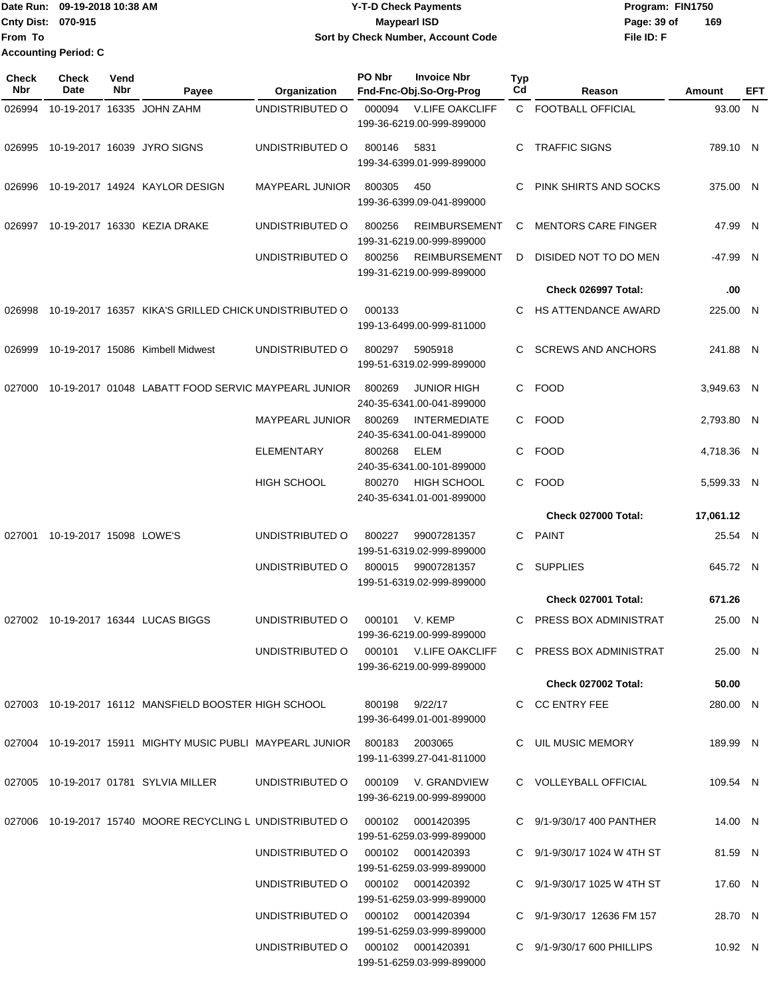Date Run: 09-19-2018 10:38 AM **Program:** FIN1750 **Cnty Dist: 070-915 File ID: F From To 09-19-2018 10:38 AM Y-T-D Check Payments 070-915 Maypearl ISD Sort by Check Number, Account Code** Page: 39 of 169 **Accounting Period: C**

| Check<br>Nbr | Check<br>Date           | Vend<br>Nbr | Payee                                                                         | Organization           | PO Nbr | <b>Invoice Nbr</b><br>Fnd-Fnc-Obj.So-Org-Prog       | <b>Typ</b><br>Cd | Reason                          | Amount     | EFT |
|--------------|-------------------------|-------------|-------------------------------------------------------------------------------|------------------------|--------|-----------------------------------------------------|------------------|---------------------------------|------------|-----|
| 026994       |                         |             | 10-19-2017 16335 JOHN ZAHM                                                    | UNDISTRIBUTED O        | 000094 | <b>V.LIFE OAKCLIFF</b>                              |                  | C FOOTBALL OFFICIAL             | 93.00 N    |     |
|              |                         |             |                                                                               |                        |        | 199-36-6219.00-999-899000                           |                  |                                 |            |     |
| 026995       |                         |             | 10-19-2017 16039 JYRO SIGNS                                                   | UNDISTRIBUTED O        | 800146 | 5831<br>199-34-6399.01-999-899000                   | C                | <b>TRAFFIC SIGNS</b>            | 789.10 N   |     |
| 026996       |                         |             | 10-19-2017 14924 KAYLOR DESIGN                                                | <b>MAYPEARL JUNIOR</b> | 800305 | 450<br>199-36-6399.09-041-899000                    | C                | PINK SHIRTS AND SOCKS           | 375.00 N   |     |
| 026997       |                         |             | 10-19-2017 16330 KEZIA DRAKE                                                  | UNDISTRIBUTED O        | 800256 | <b>REIMBURSEMENT</b><br>199-31-6219.00-999-899000   | C                | <b>MENTORS CARE FINGER</b>      | 47.99 N    |     |
|              |                         |             |                                                                               | UNDISTRIBUTED O        | 800256 | <b>REIMBURSEMENT</b><br>199-31-6219.00-999-899000   | D                | DISIDED NOT TO DO MEN           | -47.99 N   |     |
|              |                         |             |                                                                               |                        |        |                                                     |                  | Check 026997 Total:             | .00        |     |
| 026998       |                         |             | 10-19-2017 16357 KIKA'S GRILLED CHICK UNDISTRIBUTED O                         |                        | 000133 | 199-13-6499.00-999-811000                           | C                | HS ATTENDANCE AWARD             | 225.00 N   |     |
| 026999       |                         |             | 10-19-2017 15086 Kimbell Midwest                                              | UNDISTRIBUTED O        | 800297 | 5905918<br>199-51-6319.02-999-899000                | C.               | <b>SCREWS AND ANCHORS</b>       | 241.88 N   |     |
| 027000       |                         |             | 10-19-2017 01048 LABATT FOOD SERVIC MAYPEARL JUNIOR                           |                        | 800269 | <b>JUNIOR HIGH</b><br>240-35-6341.00-041-899000     |                  | C FOOD                          | 3,949.63 N |     |
|              |                         |             |                                                                               | MAYPEARL JUNIOR        | 800269 | <b>INTERMEDIATE</b><br>240-35-6341.00-041-899000    |                  | C FOOD                          | 2,793.80 N |     |
|              |                         |             |                                                                               | <b>ELEMENTARY</b>      | 800268 | ELEM<br>240-35-6341.00-101-899000                   |                  | C FOOD                          | 4,718.36 N |     |
|              |                         |             |                                                                               | <b>HIGH SCHOOL</b>     | 800270 | HIGH SCHOOL<br>240-35-6341.01-001-899000            |                  | C FOOD                          | 5,599.33 N |     |
|              |                         |             |                                                                               |                        |        |                                                     |                  | <b>Check 027000 Total:</b>      | 17,061.12  |     |
| 027001       | 10-19-2017 15098 LOWE'S |             |                                                                               | UNDISTRIBUTED O        | 800227 | 99007281357<br>199-51-6319.02-999-899000            | C.               | <b>PAINT</b>                    | 25.54 N    |     |
|              |                         |             |                                                                               | UNDISTRIBUTED O        | 800015 | 99007281357<br>199-51-6319.02-999-899000            | C.               | <b>SUPPLIES</b>                 | 645.72 N   |     |
|              |                         |             |                                                                               |                        |        |                                                     |                  | <b>Check 027001 Total:</b>      | 671.26     |     |
| 027002       |                         |             | 10-19-2017 16344 LUCAS BIGGS                                                  | UNDISTRIBUTED O        | 000101 | V. KEMP<br>199-36-6219.00-999-899000                | C                | PRESS BOX ADMINISTRAT           | 25.00 N    |     |
|              |                         |             |                                                                               | UNDISTRIBUTED O        |        | 000101 V.LIFE OAKCLIFF<br>199-36-6219.00-999-899000 |                  | C PRESS BOX ADMINISTRAT         | 25.00 N    |     |
|              |                         |             |                                                                               |                        |        |                                                     |                  | <b>Check 027002 Total:</b>      | 50.00      |     |
|              |                         |             | 027003 10-19-2017 16112 MANSFIELD BOOSTER HIGH SCHOOL                         |                        | 800198 | 9/22/17<br>199-36-6499.01-001-899000                |                  | C CC ENTRY FEE                  | 280.00 N   |     |
|              |                         |             | 027004 10-19-2017 15911 MIGHTY MUSIC PUBLI MAYPEARL JUNIOR 800183 2003065     |                        |        | 199-11-6399.27-041-811000                           |                  | C UIL MUSIC MEMORY              | 189.99 N   |     |
|              |                         |             | 027005 10-19-2017 01781 SYLVIA MILLER                                         | UNDISTRIBUTED O        |        | 000109 V. GRANDVIEW<br>199-36-6219.00-999-899000    |                  | C VOLLEYBALL OFFICIAL           | 109.54 N   |     |
|              |                         |             | 027006 10-19-2017 15740 MOORE RECYCLING L UNDISTRIBUTED O  000102  0001420395 |                        |        | 199-51-6259.03-999-899000                           |                  | C 9/1-9/30/17 400 PANTHER       | 14.00 N    |     |
|              |                         |             |                                                                               | UNDISTRIBUTED O        |        | 000102 0001420393<br>199-51-6259.03-999-899000      |                  | C $9/1 - 9/30/17$ 1024 W 4TH ST | 81.59 N    |     |
|              |                         |             |                                                                               | UNDISTRIBUTED O        |        | 000102 0001420392<br>199-51-6259.03-999-899000      |                  | C 9/1-9/30/17 1025 W 4TH ST     | 17.60 N    |     |
|              |                         |             |                                                                               | UNDISTRIBUTED O        |        | 000102 0001420394<br>199-51-6259.03-999-899000      |                  | C 9/1-9/30/17 12636 FM 157      | 28.70 N    |     |
|              |                         |             |                                                                               | UNDISTRIBUTED O        |        | 000102 0001420391<br>199-51-6259.03-999-899000      |                  | C 9/1-9/30/17 600 PHILLIPS      | 10.92 N    |     |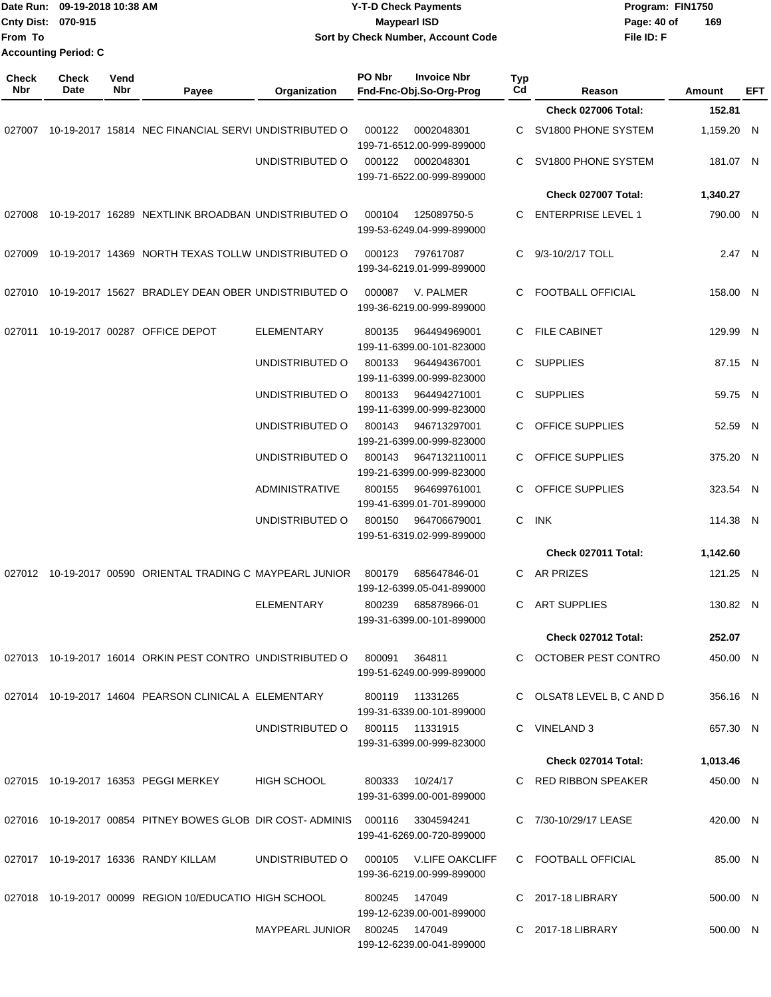| From To | Date Run: 09-19-2018 10:38 AM<br>Cnty Dist: 070-915<br><b>Accounting Period: C</b> |            |                                                                                |                               | <b>Y-T-D Check Payments</b><br><b>Maypearl ISD</b> | Sort by Check Number, Account Code |                |                           | Program: FIN1750<br>Page: 40 of<br>File ID: F | 169        |     |
|---------|------------------------------------------------------------------------------------|------------|--------------------------------------------------------------------------------|-------------------------------|----------------------------------------------------|------------------------------------|----------------|---------------------------|-----------------------------------------------|------------|-----|
| Check   | <b>Check</b>                                                                       | Vend       |                                                                                |                               | PO Nbr                                             | <b>Invoice Nbr</b>                 | Typ            |                           |                                               |            |     |
| Nbr     | Date                                                                               | <b>Nbr</b> | Payee                                                                          | Organization                  | Fnd-Fnc-Obj.So-Org-Prog                            |                                    | C <sub>d</sub> | Reason                    |                                               | Amount     | EFT |
|         |                                                                                    |            |                                                                                |                               |                                                    |                                    |                | Check 027006 Total:       |                                               | 152.81     |     |
| 027007  |                                                                                    |            | 10-19-2017 15814 NEC FINANCIAL SERVI UNDISTRIBUTED O                           |                               | 000122<br>199-71-6512.00-999-899000                | 0002048301                         | C              | SV1800 PHONE SYSTEM       |                                               | 1,159.20 N |     |
|         |                                                                                    |            |                                                                                | UNDISTRIBUTED O               | 000122<br>199-71-6522.00-999-899000                | 0002048301                         | C.             | SV1800 PHONE SYSTEM       |                                               | 181.07 N   |     |
|         |                                                                                    |            |                                                                                |                               |                                                    |                                    |                | Check 027007 Total:       |                                               | 1,340.27   |     |
| 027008  |                                                                                    |            | 10-19-2017 16289 NEXTLINK BROADBAN UNDISTRIBUTED O                             |                               | 000104<br>199-53-6249.04-999-899000                | 125089750-5                        | C.             | <b>ENTERPRISE LEVEL 1</b> |                                               | 790.00 N   |     |
| 027009  |                                                                                    |            | 10-19-2017 14369 NORTH TEXAS TOLLW UNDISTRIBUTED O                             |                               | 000123<br>199-34-6219.01-999-899000                | 797617087                          | C              | 9/3-10/2/17 TOLL          |                                               | 2.47 N     |     |
| 027010  |                                                                                    |            | 10-19-2017 15627 BRADLEY DEAN OBER UNDISTRIBUTED O                             |                               | 000087<br>199-36-6219.00-999-899000                | V. PALMER                          | C              | FOOTBALL OFFICIAL         |                                               | 158.00 N   |     |
|         |                                                                                    |            | 027011 10-19-2017 00287 OFFICE DEPOT                                           | <b>ELEMENTARY</b>             | 800135<br>199-11-6399.00-101-823000                | 964494969001                       | С              | <b>FILE CABINET</b>       |                                               | 129.99 N   |     |
|         |                                                                                    |            |                                                                                | UNDISTRIBUTED O               | 800133<br>199-11-6399.00-999-823000                | 964494367001                       | C              | <b>SUPPLIES</b>           |                                               | 87.15 N    |     |
|         |                                                                                    |            |                                                                                | UNDISTRIBUTED O               | 800133<br>199-11-6399.00-999-823000                | 964494271001                       | C.             | <b>SUPPLIES</b>           |                                               | 59.75 N    |     |
|         |                                                                                    |            |                                                                                | UNDISTRIBUTED O               | 800143<br>199-21-6399.00-999-823000                | 946713297001                       | C              | <b>OFFICE SUPPLIES</b>    |                                               | 52.59 N    |     |
|         |                                                                                    |            |                                                                                | UNDISTRIBUTED O               | 800143<br>199-21-6399.00-999-823000                | 9647132110011                      | C              | <b>OFFICE SUPPLIES</b>    |                                               | 375.20 N   |     |
|         |                                                                                    |            |                                                                                | ADMINISTRATIVE                | 800155<br>199-41-6399.01-701-899000                | 964699761001                       | C              | <b>OFFICE SUPPLIES</b>    |                                               | 323.54 N   |     |
|         |                                                                                    |            |                                                                                | UNDISTRIBUTED O               | 800150<br>199-51-6319.02-999-899000                | 964706679001                       | С              | <b>INK</b>                |                                               | 114.38 N   |     |
|         |                                                                                    |            |                                                                                |                               |                                                    |                                    |                | Check 027011 Total:       |                                               | 1,142.60   |     |
|         |                                                                                    |            | 027012 10-19-2017 00590 ORIENTAL TRADING C MAYPEARL JUNIOR 800179 685647846-01 |                               | 199-12-6399.05-041-899000                          |                                    |                | C AR PRIZES               |                                               | 121.25 N   |     |
|         |                                                                                    |            |                                                                                | <b>ELEMENTARY</b>             | 800239 685878966-01<br>199-31-6399.00-101-899000   |                                    |                | C ART SUPPLIES            |                                               | 130.82 N   |     |
|         |                                                                                    |            |                                                                                |                               |                                                    |                                    |                | Check 027012 Total:       |                                               | 252.07     |     |
|         |                                                                                    |            | 027013 10-19-2017 16014 ORKIN PEST CONTRO UNDISTRIBUTED O                      |                               | 800091<br>199-51-6249.00-999-899000                | 364811                             |                | C OCTOBER PEST CONTRO     |                                               | 450.00 N   |     |
|         |                                                                                    |            | 027014 10-19-2017 14604 PEARSON CLINICAL A ELEMENTARY                          |                               | 800119 11331265<br>199-31-6339.00-101-899000       |                                    |                | C OLSAT8 LEVEL B, C AND D |                                               | 356.16 N   |     |
|         |                                                                                    |            |                                                                                | UNDISTRIBUTED O               | 800115 11331915<br>199-31-6399.00-999-823000       |                                    |                | C VINELAND 3              |                                               | 657.30 N   |     |
|         |                                                                                    |            |                                                                                |                               |                                                    |                                    |                | Check 027014 Total:       |                                               | 1,013.46   |     |
|         |                                                                                    |            | 027015 10-19-2017 16353 PEGGI MERKEY                                           | <b>HIGH SCHOOL</b>            | 800333<br>199-31-6399.00-001-899000                | 10/24/17                           |                | C RED RIBBON SPEAKER      |                                               | 450.00 N   |     |
|         |                                                                                    |            | 027016 10-19-2017 00854 PITNEY BOWES GLOB DIR COST-ADMINIS 000116 3304594241   |                               | 199-41-6269.00-720-899000                          |                                    |                | C 7/30-10/29/17 LEASE     |                                               | 420.00 N   |     |
|         |                                                                                    |            | 027017 10-19-2017 16336 RANDY KILLAM                                           | UNDISTRIBUTED O               | 199-36-6219.00-999-899000                          | 000105 V.LIFE OAKCLIFF             |                | C FOOTBALL OFFICIAL       |                                               | 85.00 N    |     |
|         |                                                                                    |            | 027018 10-19-2017 00099 REGION 10/EDUCATIO HIGH SCHOOL                         |                               | 800245 147049<br>199-12-6239.00-001-899000         |                                    |                | C 2017-18 LIBRARY         |                                               | 500.00 N   |     |
|         |                                                                                    |            |                                                                                | MAYPEARL JUNIOR 800245 147049 | 199-12-6239.00-041-899000                          |                                    |                | C 2017-18 LIBRARY         |                                               | 500.00 N   |     |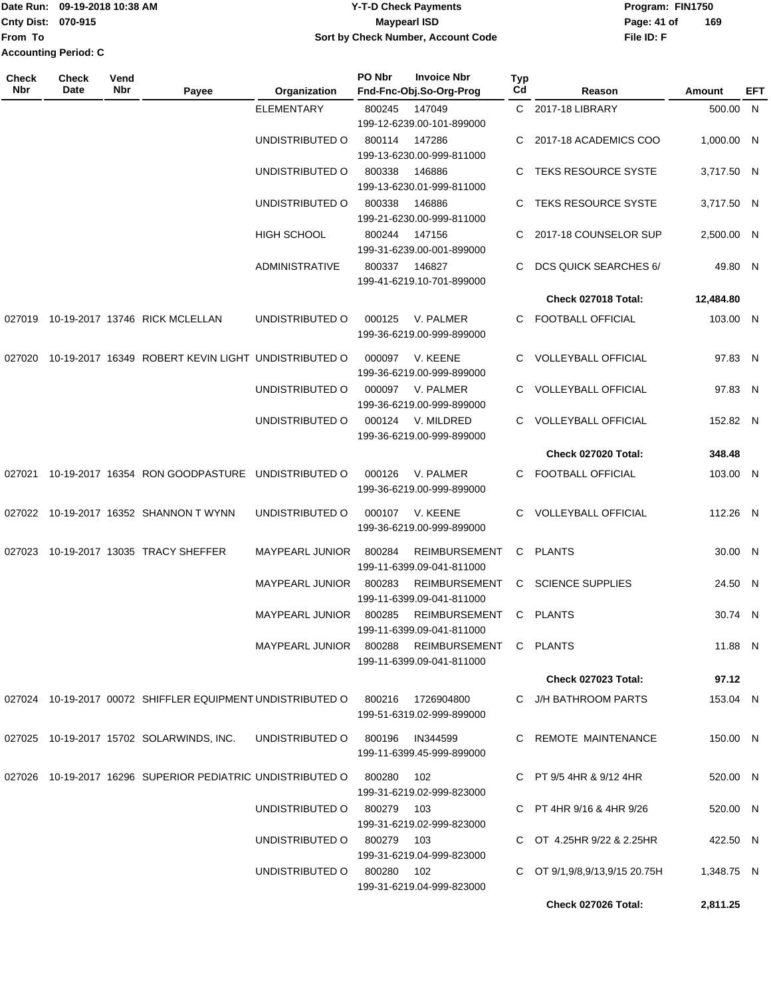Date Run: 09-19-2018 10:38 AM **CONTEX 18 AM CONTEX 18 AM CONTEX 17-T-D** Check Payments **CONTEX 18 AM CONTEX 18 AM CONTEX 18 AM CONTEX 18 AM CONTEX 18 AM CONTEX 18 AM CONTEX 18 AM CONTEX 18 AM CONTEX 19 AM CONTEX 19 AM CONT Cnty Dist:** 070-915 **Page: 41 of Page: 41 of Page: 41 of From To Accounting Period: C**

## **09-19-2018 10:38 AM Y-T-D Check Payments 070-915 Maypearl ISD Sort by Check Number, Account Code**

| Check<br><b>Nbr</b> | <b>Check</b><br>Date | Vend<br>Nbr | Payee                                                                        | Organization                                  | PO Nbr          | <b>Invoice Nbr</b><br>Fnd-Fnc-Obj.So-Org-Prog     | Typ<br>Cd | Reason                          | Amount     | EFT |
|---------------------|----------------------|-------------|------------------------------------------------------------------------------|-----------------------------------------------|-----------------|---------------------------------------------------|-----------|---------------------------------|------------|-----|
|                     |                      |             |                                                                              | <b>ELEMENTARY</b>                             | 800245          | 147049<br>199-12-6239.00-101-899000               |           | C 2017-18 LIBRARY               | 500.00 N   |     |
|                     |                      |             |                                                                              | UNDISTRIBUTED O                               | 800114          | 147286<br>199-13-6230.00-999-811000               |           | C 2017-18 ACADEMICS COO         | 1.000.00 N |     |
|                     |                      |             |                                                                              | UNDISTRIBUTED O                               | 800338          | 146886<br>199-13-6230.01-999-811000               |           | C TEKS RESOURCE SYSTE           | 3,717.50 N |     |
|                     |                      |             |                                                                              | UNDISTRIBUTED O                               | 800338          | 146886<br>199-21-6230.00-999-811000               |           | C TEKS RESOURCE SYSTE           | 3.717.50 N |     |
|                     |                      |             |                                                                              | <b>HIGH SCHOOL</b>                            | 800244          | 147156<br>199-31-6239.00-001-899000               |           | C 2017-18 COUNSELOR SUP         | 2,500.00 N |     |
|                     |                      |             |                                                                              | <b>ADMINISTRATIVE</b>                         | 800337          | 146827<br>199-41-6219.10-701-899000               | C.        | <b>DCS QUICK SEARCHES 6/</b>    | 49.80 N    |     |
|                     |                      |             |                                                                              |                                               |                 |                                                   |           | Check 027018 Total:             | 12,484.80  |     |
|                     |                      |             | 027019 10-19-2017 13746 RICK MCLELLAN                                        | UNDISTRIBUTED O                               | 000125          | V. PALMER<br>199-36-6219.00-999-899000            |           | C FOOTBALL OFFICIAL             | 103.00 N   |     |
| 027020              |                      |             | 10-19-2017 16349 ROBERT KEVIN LIGHT UNDISTRIBUTED O                          |                                               | 000097          | V. KEENE<br>199-36-6219.00-999-899000             | C.        | <b>VOLLEYBALL OFFICIAL</b>      | 97.83 N    |     |
|                     |                      |             |                                                                              | UNDISTRIBUTED O                               |                 | 000097 V. PALMER<br>199-36-6219.00-999-899000     |           | <b>VOLLEYBALL OFFICIAL</b>      | 97.83 N    |     |
|                     |                      |             |                                                                              | UNDISTRIBUTED O                               |                 | 000124 V. MILDRED<br>199-36-6219.00-999-899000    |           | C VOLLEYBALL OFFICIAL           | 152.82 N   |     |
|                     |                      |             |                                                                              |                                               |                 |                                                   |           | Check 027020 Total:             | 348.48     |     |
| 027021              |                      |             | 10-19-2017 16354 RON GOODPASTURE UNDISTRIBUTED O                             |                                               | 000126          | V. PALMER<br>199-36-6219.00-999-899000            |           | C FOOTBALL OFFICIAL             | 103.00 N   |     |
|                     |                      |             | 027022 10-19-2017 16352 SHANNON TWYNN                                        | UNDISTRIBUTED O                               | 000107          | V. KEENE<br>199-36-6219.00-999-899000             |           | C VOLLEYBALL OFFICIAL           | 112.26 N   |     |
|                     |                      |             | 027023 10-19-2017 13035 TRACY SHEFFER                                        | <b>MAYPEARL JUNIOR</b>                        | 800284          | <b>REIMBURSEMENT</b><br>199-11-6399.09-041-811000 | C.        | <b>PLANTS</b>                   | 30.00 N    |     |
|                     |                      |             |                                                                              | MAYPEARL JUNIOR                               | 800283          | REIMBURSEMENT<br>199-11-6399.09-041-811000        | C.        | <b>SCIENCE SUPPLIES</b>         | 24.50 N    |     |
|                     |                      |             |                                                                              | MAYPEARL JUNIOR 800285                        |                 | REIMBURSEMENT<br>199-11-6399.09-041-811000        |           | C PLANTS                        | 30.74 N    |     |
|                     |                      |             |                                                                              | MAYPEARL JUNIOR 800288 REIMBURSEMENT C PLANTS |                 | 199-11-6399.09-041-811000                         |           |                                 | 11.88 N    |     |
|                     |                      |             |                                                                              |                                               |                 |                                                   |           | <b>Check 027023 Total:</b>      | 97.12      |     |
|                     |                      |             | 027024 10-19-2017 00072 SHIFFLER EQUIPMENT UNDISTRIBUTED O 800216 1726904800 |                                               |                 | 199-51-6319.02-999-899000                         |           | C J/H BATHROOM PARTS            | 153.04 N   |     |
|                     |                      |             | 027025 10-19-2017 15702 SOLARWINDS, INC.                                     | UNDISTRIBUTED O                               | 800196 IN344599 | 199-11-6399.45-999-899000                         |           | C REMOTE MAINTENANCE            | 150.00 N   |     |
|                     |                      |             | 027026 10-19-2017 16296 SUPERIOR PEDIATRIC UNDISTRIBUTED O                   |                                               | 800280          | 102<br>199-31-6219.02-999-823000                  |           | C PT $9/5$ 4HR & $9/12$ 4HR     | 520.00 N   |     |
|                     |                      |             |                                                                              | UNDISTRIBUTED O                               | 800279 103      | 199-31-6219.02-999-823000                         |           | C PT 4HR $9/16$ & 4HR $9/26$    | 520.00 N   |     |
|                     |                      |             |                                                                              | UNDISTRIBUTED O 800279 103                    |                 | 199-31-6219.04-999-823000                         |           | C OT 4.25HR 9/22 & 2.25HR       | 422.50 N   |     |
|                     |                      |             |                                                                              | UNDISTRIBUTED O 800280 102                    |                 | 199-31-6219.04-999-823000                         |           | C OT $9/1,9/8,9/13,9/15$ 20.75H | 1,348.75 N |     |
|                     |                      |             |                                                                              |                                               |                 |                                                   |           | Check 027026 Total:             | 2,811.25   |     |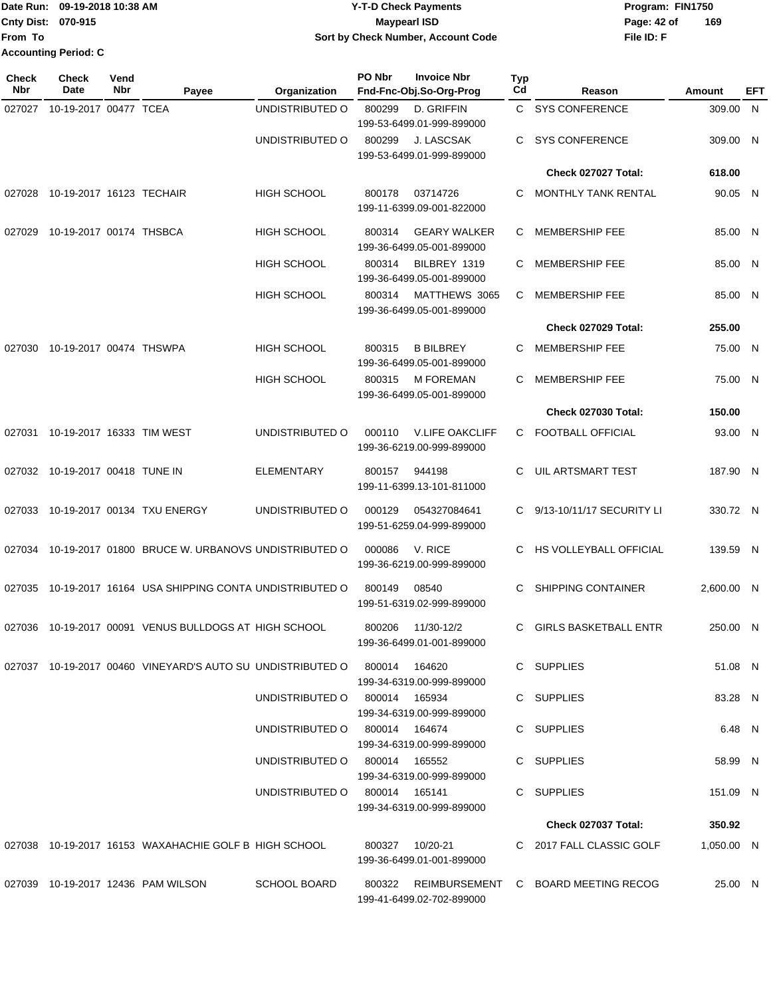|                           | Date Run: 09-19-2018 10:38 AM | <b>Y-T-D Check Payments</b>        | Program: FIN1750   |
|---------------------------|-------------------------------|------------------------------------|--------------------|
| <b>Cnty Dist: 070-915</b> |                               | Maypearl ISD                       | 169<br>Page: 42 of |
| From To                   |                               | Sort by Check Number, Account Code | File ID: F         |
|                           | <b>Accounting Period: C</b>   |                                    |                    |

| Check<br>Nbr | <b>Check</b><br>Date      | Vend<br>Nbr | Payee                                                                    | Organization                  | PO Nbr | <b>Invoice Nbr</b><br>Fnd-Fnc-Obj.So-Org-Prog       | <b>Typ</b><br>Cd | Reason                                     | Amount     | EFT |
|--------------|---------------------------|-------------|--------------------------------------------------------------------------|-------------------------------|--------|-----------------------------------------------------|------------------|--------------------------------------------|------------|-----|
| 027027       | 10-19-2017 00477 TCEA     |             |                                                                          | UNDISTRIBUTED O               | 800299 | D. GRIFFIN<br>199-53-6499.01-999-899000             | C.               | <b>SYS CONFERENCE</b>                      | 309.00 N   |     |
|              |                           |             |                                                                          | UNDISTRIBUTED O               | 800299 | <b>J. LASCSAK</b><br>199-53-6499.01-999-899000      | C.               | <b>SYS CONFERENCE</b>                      | 309.00 N   |     |
|              |                           |             |                                                                          |                               |        |                                                     |                  | Check 027027 Total:                        | 618.00     |     |
| 027028       | 10-19-2017 16123 TECHAIR  |             |                                                                          | <b>HIGH SCHOOL</b>            | 800178 | 03714726<br>199-11-6399.09-001-822000               | C                | <b>MONTHLY TANK RENTAL</b>                 | 90.05 N    |     |
| 027029       | 10-19-2017 00174 THSBCA   |             |                                                                          | <b>HIGH SCHOOL</b>            | 800314 | <b>GEARY WALKER</b><br>199-36-6499.05-001-899000    | C                | <b>MEMBERSHIP FEE</b>                      | 85.00 N    |     |
|              |                           |             |                                                                          | <b>HIGH SCHOOL</b>            | 800314 | BILBREY 1319<br>199-36-6499.05-001-899000           | C                | <b>MEMBERSHIP FEE</b>                      | 85.00 N    |     |
|              |                           |             |                                                                          | <b>HIGH SCHOOL</b>            | 800314 | MATTHEWS 3065<br>199-36-6499.05-001-899000          | C                | <b>MEMBERSHIP FEE</b>                      | 85.00 N    |     |
|              |                           |             |                                                                          |                               |        |                                                     |                  | Check 027029 Total:                        | 255.00     |     |
| 027030       | 10-19-2017 00474 THSWPA   |             |                                                                          | <b>HIGH SCHOOL</b>            | 800315 | <b>B BILBREY</b><br>199-36-6499.05-001-899000       | C                | <b>MEMBERSHIP FEE</b>                      | 75.00 N    |     |
|              |                           |             |                                                                          | <b>HIGH SCHOOL</b>            | 800315 | <b>M FOREMAN</b><br>199-36-6499.05-001-899000       | C                | <b>MEMBERSHIP FEE</b>                      | 75.00 N    |     |
|              |                           |             |                                                                          |                               |        |                                                     |                  | Check 027030 Total:                        | 150.00     |     |
| 027031       | 10-19-2017 16333 TIM WEST |             |                                                                          | UNDISTRIBUTED O               | 000110 | <b>V.LIFE OAKCLIFF</b><br>199-36-6219.00-999-899000 | C                | <b>FOOTBALL OFFICIAL</b>                   | 93.00 N    |     |
| 027032       | 10-19-2017 00418 TUNE IN  |             |                                                                          | <b>ELEMENTARY</b>             | 800157 | 944198<br>199-11-6399.13-101-811000                 | C.               | <b>UIL ARTSMART TEST</b>                   | 187.90 N   |     |
| 027033       |                           |             | 10-19-2017 00134 TXU ENERGY                                              | UNDISTRIBUTED O               | 000129 | 054327084641<br>199-51-6259.04-999-899000           | C.               | 9/13-10/11/17 SECURITY LI                  | 330.72 N   |     |
| 027034       |                           |             | 10-19-2017 01800 BRUCE W. URBANOVS UNDISTRIBUTED O                       |                               | 000086 | V. RICE<br>199-36-6219.00-999-899000                | C                | <b>HS VOLLEYBALL OFFICIAL</b>              | 139.59 N   |     |
| 027035       |                           |             | 10-19-2017 16164 USA SHIPPING CONTA UNDISTRIBUTED O                      |                               | 800149 | 08540<br>199-51-6319.02-999-899000                  | C                | <b>SHIPPING CONTAINER</b>                  | 2,600.00 N |     |
|              |                           |             | 027036 10-19-2017 00091 VENUS BULLDOGS AT HIGH SCHOOL                    |                               | 800206 | 11/30-12/2<br>199-36-6499.01-001-899000             | C                | <b>GIRLS BASKETBALL ENTR</b>               | 250.00 N   |     |
|              |                           |             | 027037 10-19-2017 00460 VINEYARD'S AUTO SU UNDISTRIBUTED O 800014 164620 |                               |        | 199-34-6319.00-999-899000                           |                  | C SUPPLIES                                 | 51.08 N    |     |
|              |                           |             |                                                                          | UNDISTRIBUTED O 800014 165934 |        | 199-34-6319.00-999-899000                           |                  | C SUPPLIES                                 | 83.28 N    |     |
|              |                           |             |                                                                          | UNDISTRIBUTED 0 800014 164674 |        | 199-34-6319.00-999-899000                           |                  | C SUPPLIES                                 | 6.48 N     |     |
|              |                           |             |                                                                          | UNDISTRIBUTED 0 800014 165552 |        | 199-34-6319.00-999-899000                           |                  | C SUPPLIES                                 | 58.99 N    |     |
|              |                           |             |                                                                          | UNDISTRIBUTED O 800014 165141 |        | 199-34-6319.00-999-899000                           |                  | C SUPPLIES                                 | 151.09 N   |     |
|              |                           |             |                                                                          |                               |        |                                                     |                  | Check 027037 Total:                        | 350.92     |     |
|              |                           |             | 027038 10-19-2017 16153 WAXAHACHIE GOLF B HIGH SCHOOL                    |                               |        | 199-36-6499.01-001-899000                           |                  | C 2017 FALL CLASSIC GOLF                   | 1,050.00 N |     |
|              |                           |             | 027039 10-19-2017 12436 PAM WILSON                                       | <b>SCHOOL BOARD</b>           |        | 199-41-6499.02-702-899000                           |                  | 800322 REIMBURSEMENT C BOARD MEETING RECOG | 25.00 N    |     |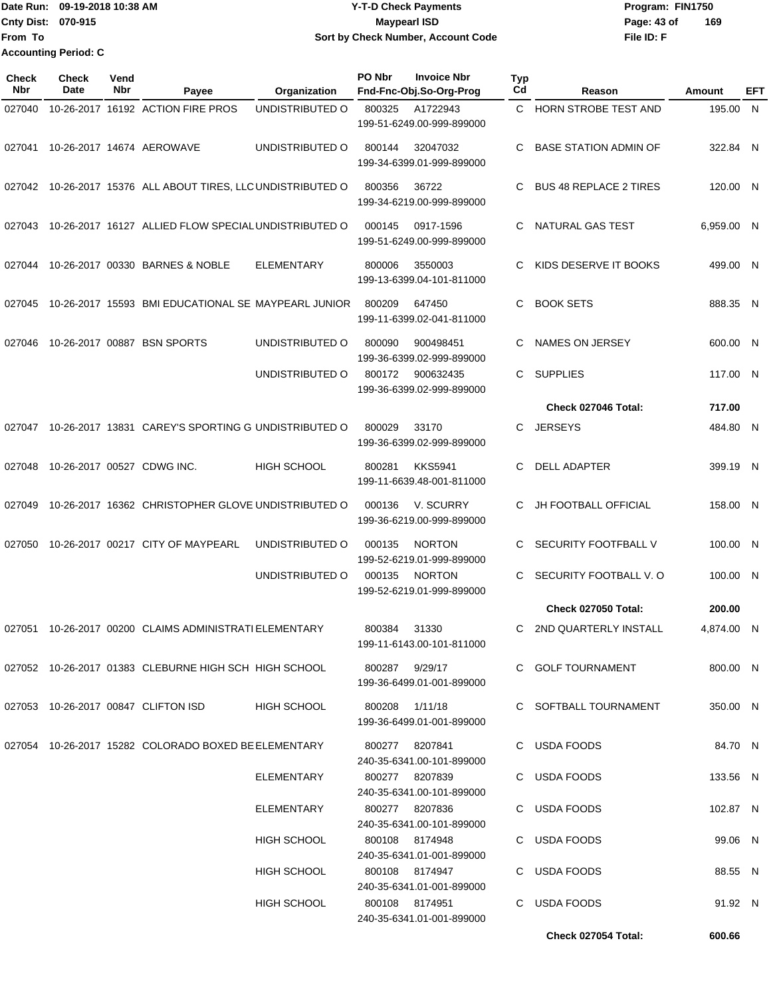**From To Accounting Period: C**

## Date Run: 09-19-2018 10:38 AM **CONTEX 18 AM CONTEX 18 AM CONTEX 17-T-D** Check Payments **CONTEX 18 AM CONTEX 18 AM CONTEX 18 AM CONTEX 18 AM CONTEX 18 AM CONTEX 18 AM CONTEX 18 AM CONTEX 18 AM CONTEX 19 AM CONTEX 19 AM CONT Cnty Dist:** 070-915 **Page: 43 of MaypearI ISD Page: 43 of 09-19-2018 10:38 AM Y-T-D Check Payments 070-915 Maypearl ISD Sort by Check Number, Account Code**

| Check<br><b>Nbr</b> | <b>Check</b><br>Date | Vend<br>Nbr | Payee                                                        | Organization       | PO Nbr | <b>Invoice Nbr</b><br>Fnd-Fnc-Obj.So-Org-Prog | <b>Typ</b><br>Cd | Reason                        | <b>Amount</b> | EFT |
|---------------------|----------------------|-------------|--------------------------------------------------------------|--------------------|--------|-----------------------------------------------|------------------|-------------------------------|---------------|-----|
| 027040              |                      |             | 10-26-2017 16192 ACTION FIRE PROS                            | UNDISTRIBUTED O    | 800325 | A1722943<br>199-51-6249.00-999-899000         |                  | C HORN STROBE TEST AND        | 195.00 N      |     |
| 027041              |                      |             | 10-26-2017 14674 AEROWAVE                                    | UNDISTRIBUTED O    | 800144 | 32047032<br>199-34-6399.01-999-899000         | C                | <b>BASE STATION ADMIN OF</b>  | 322.84 N      |     |
|                     |                      |             | 027042 10-26-2017 15376 ALL ABOUT TIRES, LLC UNDISTRIBUTED O |                    | 800356 | 36722<br>199-34-6219.00-999-899000            | C                | <b>BUS 48 REPLACE 2 TIRES</b> | 120.00 N      |     |
| 027043              |                      |             | 10-26-2017 16127 ALLIED FLOW SPECIAL UNDISTRIBUTED O         |                    | 000145 | 0917-1596<br>199-51-6249.00-999-899000        | C                | NATURAL GAS TEST              | 6,959.00 N    |     |
| 027044              |                      |             | 10-26-2017 00330 BARNES & NOBLE                              | <b>ELEMENTARY</b>  | 800006 | 3550003<br>199-13-6399.04-101-811000          | C.               | KIDS DESERVE IT BOOKS         | 499.00 N      |     |
| 027045              |                      |             | 10-26-2017 15593 BMI EDUCATIONAL SE MAYPEARL JUNIOR          |                    | 800209 | 647450<br>199-11-6399.02-041-811000           | C                | <b>BOOK SETS</b>              | 888.35 N      |     |
| 027046              |                      |             | 10-26-2017 00887 BSN SPORTS                                  | UNDISTRIBUTED O    | 800090 | 900498451<br>199-36-6399.02-999-899000        | C                | NAMES ON JERSEY               | 600.00 N      |     |
|                     |                      |             |                                                              | UNDISTRIBUTED O    | 800172 | 900632435<br>199-36-6399.02-999-899000        | C.               | <b>SUPPLIES</b>               | 117.00 N      |     |
|                     |                      |             |                                                              |                    |        |                                               |                  | Check 027046 Total:           | 717.00        |     |
|                     |                      |             | 027047 10-26-2017 13831 CAREY'S SPORTING G UNDISTRIBUTED O   |                    | 800029 | 33170<br>199-36-6399.02-999-899000            | C                | <b>JERSEYS</b>                | 484.80 N      |     |
| 027048              |                      |             | 10-26-2017 00527 CDWG INC.                                   | <b>HIGH SCHOOL</b> | 800281 | <b>KKS5941</b><br>199-11-6639.48-001-811000   | C                | DELL ADAPTER                  | 399.19 N      |     |
| 027049              |                      |             | 10-26-2017 16362 CHRISTOPHER GLOVE UNDISTRIBUTED O           |                    | 000136 | V. SCURRY<br>199-36-6219.00-999-899000        | C                | JH FOOTBALL OFFICIAL          | 158.00 N      |     |
| 027050              |                      |             | 10-26-2017 00217 CITY OF MAYPEARL                            | UNDISTRIBUTED O    | 000135 | <b>NORTON</b><br>199-52-6219.01-999-899000    | C                | SECURITY FOOTFBALL V          | 100.00 N      |     |
|                     |                      |             |                                                              | UNDISTRIBUTED O    | 000135 | <b>NORTON</b><br>199-52-6219.01-999-899000    |                  | SECURITY FOOTBALL V.O         | 100.00 N      |     |
|                     |                      |             |                                                              |                    |        |                                               |                  | <b>Check 027050 Total:</b>    | 200.00        |     |
| 027051              |                      |             | 10-26-2017 00200 CLAIMS ADMINISTRATI ELEMENTARY              |                    | 800384 | 31330<br>199-11-6143.00-101-811000            |                  | C 2ND QUARTERLY INSTALL       | 4,874.00 N    |     |
|                     |                      |             | 027052 10-26-2017 01383 CLEBURNE HIGH SCH HIGH SCHOOL        |                    |        | 800287 9/29/17<br>199-36-6499.01-001-899000   |                  | C GOLF TOURNAMENT             | 800.00 N      |     |
|                     |                      |             | 027053 10-26-2017 00847 CLIFTON ISD                          | <b>HIGH SCHOOL</b> |        | 800208 1/11/18<br>199-36-6499.01-001-899000   |                  | C SOFTBALL TOURNAMENT         | 350.00 N      |     |
|                     |                      |             | 027054 10-26-2017 15282 COLORADO BOXED BE ELEMENTARY         |                    |        | 800277 8207841<br>240-35-6341.00-101-899000   |                  | C USDA FOODS                  | 84.70 N       |     |
|                     |                      |             |                                                              | ELEMENTARY         |        | 800277 8207839<br>240-35-6341.00-101-899000   |                  | C USDA FOODS                  | 133.56 N      |     |
|                     |                      |             |                                                              | ELEMENTARY         |        | 800277 8207836<br>240-35-6341.00-101-899000   |                  | C USDA FOODS                  | 102.87 N      |     |
|                     |                      |             |                                                              | <b>HIGH SCHOOL</b> |        | 800108 8174948<br>240-35-6341.01-001-899000   |                  | C USDA FOODS                  | 99.06 N       |     |
|                     |                      |             |                                                              | HIGH SCHOOL        |        | 800108 8174947<br>240-35-6341.01-001-899000   |                  | C USDA FOODS                  | 88.55 N       |     |
|                     |                      |             |                                                              | <b>HIGH SCHOOL</b> |        | 800108 8174951<br>240-35-6341.01-001-899000   |                  | C USDA FOODS                  | 91.92 N       |     |
|                     |                      |             |                                                              |                    |        |                                               |                  | Check 027054 Total:           | 600.66        |     |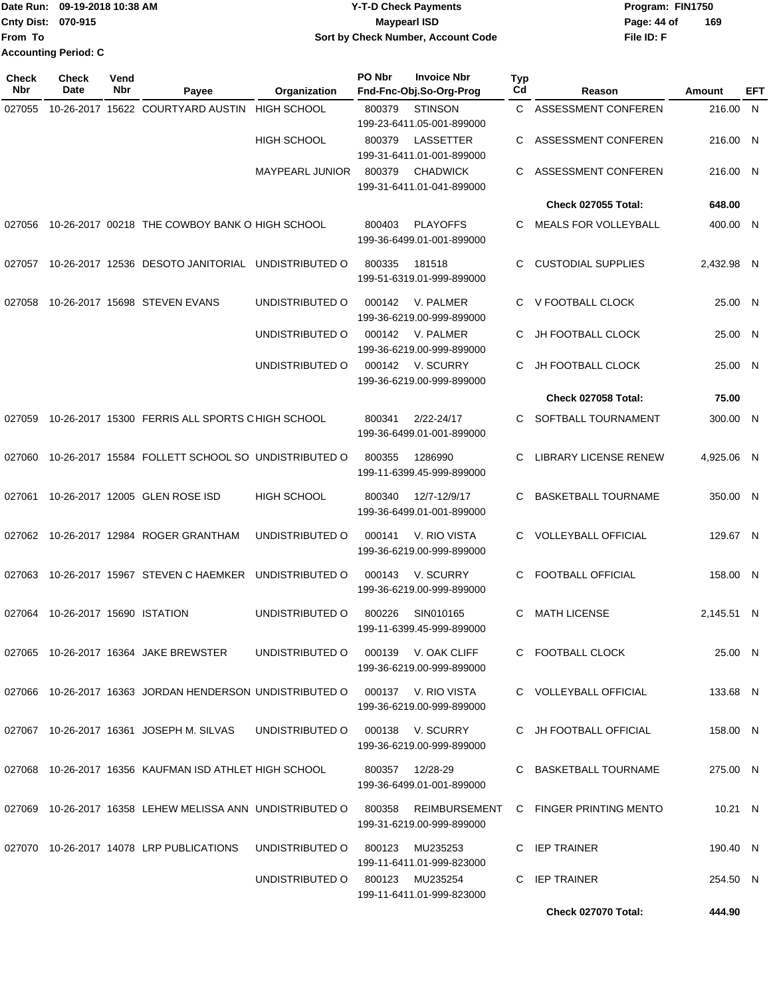Date Run: 09-19-2018 10:38 AM **CONTEX 18 AM CONTEX 18 AM CONTEX 17-T-D** Check Payments **CONTEX 18 AM CONTEX 18 AM CONTEX 18 AM CONTEX 18 AM CONTEX 18 AM CONTEX 18 AM CONTEX 18 AM CONTEX 18 AM CONTEX 19 AM CONTEX 19 AM CONT Cnty Dist:** 070-915 **Page: 44 of MaypearI ISD Page: 44 of From To 09-19-2018 10:38 AM Y-T-D Check Payments 070-915 Maypearl ISD Sort by Check Number, Account Code Accounting Period: C**

| <b>Check</b><br>Nbr | Check<br>Date             | Vend<br>Nbr | Payee                                                     | Organization           | PO Nbr | <b>Invoice Nbr</b><br>Fnd-Fnc-Obj.So-Org-Prog    | <b>Typ</b><br>Cd | Reason                       | Amount     | EFT |
|---------------------|---------------------------|-------------|-----------------------------------------------------------|------------------------|--------|--------------------------------------------------|------------------|------------------------------|------------|-----|
| 027055              |                           |             | 10-26-2017 15622 COURTYARD AUSTIN                         | <b>HIGH SCHOOL</b>     | 800379 | <b>STINSON</b><br>199-23-6411.05-001-899000      | C.               | ASSESSMENT CONFEREN          | 216.00 N   |     |
|                     |                           |             |                                                           | <b>HIGH SCHOOL</b>     | 800379 | LASSETTER<br>199-31-6411.01-001-899000           | C.               | ASSESSMENT CONFEREN          | 216.00 N   |     |
|                     |                           |             |                                                           | <b>MAYPEARL JUNIOR</b> | 800379 | <b>CHADWICK</b><br>199-31-6411.01-041-899000     | C                | ASSESSMENT CONFEREN          | 216.00 N   |     |
|                     |                           |             |                                                           |                        |        |                                                  |                  | <b>Check 027055 Total:</b>   | 648.00     |     |
| 027056              |                           |             | 10-26-2017 00218 THE COWBOY BANK O HIGH SCHOOL            |                        | 800403 | <b>PLAYOFFS</b><br>199-36-6499.01-001-899000     | C                | <b>MEALS FOR VOLLEYBALL</b>  | 400.00 N   |     |
| 027057              |                           |             | 10-26-2017 12536 DESOTO JANITORIAL UNDISTRIBUTED O        |                        | 800335 | 181518<br>199-51-6319.01-999-899000              | C                | <b>CUSTODIAL SUPPLIES</b>    | 2,432.98 N |     |
| 027058              |                           |             | 10-26-2017 15698 STEVEN EVANS                             | UNDISTRIBUTED O        | 000142 | V. PALMER<br>199-36-6219.00-999-899000           | C                | V FOOTBALL CLOCK             | 25.00 N    |     |
|                     |                           |             |                                                           | UNDISTRIBUTED O        | 000142 | V. PALMER<br>199-36-6219.00-999-899000           | C                | <b>JH FOOTBALL CLOCK</b>     | 25.00 N    |     |
|                     |                           |             |                                                           | UNDISTRIBUTED O        | 000142 | V. SCURRY<br>199-36-6219.00-999-899000           | С                | <b>JH FOOTBALL CLOCK</b>     | 25.00 N    |     |
|                     |                           |             |                                                           |                        |        |                                                  |                  | Check 027058 Total:          | 75.00      |     |
| 027059              |                           |             | 10-26-2017 15300 FERRIS ALL SPORTS CHIGH SCHOOL           |                        | 800341 | 2/22-24/17<br>199-36-6499.01-001-899000          | C.               | SOFTBALL TOURNAMENT          | 300.00 N   |     |
| 027060              |                           |             | 10-26-2017 15584 FOLLETT SCHOOL SO UNDISTRIBUTED O        |                        | 800355 | 1286990<br>199-11-6399.45-999-899000             | С                | <b>LIBRARY LICENSE RENEW</b> | 4,925.06 N |     |
| 027061              |                           |             | 10-26-2017 12005 GLEN ROSE ISD                            | <b>HIGH SCHOOL</b>     | 800340 | 12/7-12/9/17<br>199-36-6499.01-001-899000        | C                | <b>BASKETBALL TOURNAME</b>   | 350.00 N   |     |
|                     |                           |             | 027062 10-26-2017 12984 ROGER GRANTHAM                    | UNDISTRIBUTED O        | 000141 | V. RIO VISTA<br>199-36-6219.00-999-899000        | C.               | <b>VOLLEYBALL OFFICIAL</b>   | 129.67 N   |     |
| 027063              |                           |             | 10-26-2017 15967 STEVEN C HAEMKER                         | UNDISTRIBUTED O        | 000143 | V. SCURRY<br>199-36-6219.00-999-899000           | C                | <b>FOOTBALL OFFICIAL</b>     | 158.00 N   |     |
| 027064              | 10-26-2017 15690 ISTATION |             |                                                           | UNDISTRIBUTED O        | 800226 | SIN010165<br>199-11-6399.45-999-899000           | C                | <b>MATH LICENSE</b>          | 2,145.51 N |     |
|                     |                           |             | 027065 10-26-2017 16364 JAKE BREWSTER                     | UNDISTRIBUTED O        |        | 000139 V. OAK CLIFF<br>199-36-6219.00-999-899000 |                  | C FOOTBALL CLOCK             | 25.00 N    |     |
|                     |                           |             | 027066 10-26-2017 16363 JORDAN HENDERSON UNDISTRIBUTED O  |                        |        | 000137 V. RIO VISTA<br>199-36-6219.00-999-899000 |                  | C VOLLEYBALL OFFICIAL        | 133.68 N   |     |
|                     |                           |             | 027067 10-26-2017 16361 JOSEPH M. SILVAS                  | UNDISTRIBUTED O        |        | 000138 V. SCURRY<br>199-36-6219.00-999-899000    |                  | C JH FOOTBALL OFFICIAL       | 158.00 N   |     |
|                     |                           |             | 027068 10-26-2017 16356 KAUFMAN ISD ATHLET HIGH SCHOOL    |                        |        | 800357 12/28-29<br>199-36-6499.01-001-899000     |                  | C BASKETBALL TOURNAME        | 275.00 N   |     |
|                     |                           |             | 027069 10-26-2017 16358 LEHEW MELISSA ANN UNDISTRIBUTED O |                        | 800358 | REIMBURSEMENT<br>199-31-6219.00-999-899000       |                  | C FINGER PRINTING MENTO      | 10.21 N    |     |
|                     |                           |             | 027070 10-26-2017 14078 LRP PUBLICATIONS                  | UNDISTRIBUTED O        | 800123 | MU235253<br>199-11-6411.01-999-823000            |                  | C IEP TRAINER                | 190.40 N   |     |
|                     |                           |             |                                                           | UNDISTRIBUTED O        |        | 800123 MU235254<br>199-11-6411.01-999-823000     | C.               | <b>IEP TRAINER</b>           | 254.50 N   |     |
|                     |                           |             |                                                           |                        |        |                                                  |                  | Check 027070 Total:          | 444.90     |     |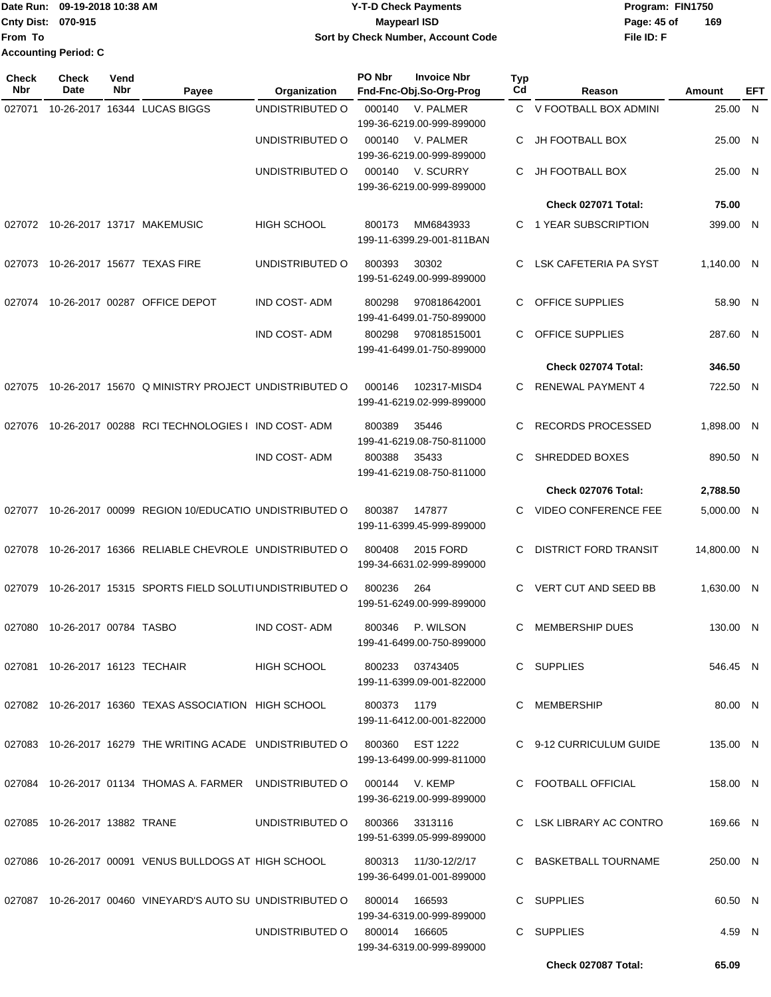|                             | Date Run: 09-19-2018 10:38 AM | <b>Y-T-D Check Payments</b>        | Program: FIN1750   |  |  |
|-----------------------------|-------------------------------|------------------------------------|--------------------|--|--|
| <b>Cnty Dist: 070-915</b>   |                               | Maypearl ISD                       | 169<br>Page: 45 of |  |  |
| <b>From To</b>              |                               | Sort by Check Number, Account Code | File ID: F         |  |  |
| <b>Accounting Period: C</b> |                               |                                    |                    |  |  |

| <b>Check</b><br>Nbr | <b>Check</b><br>Date            | Vend<br>Nbr | Payee                                                                     | Organization                   | PO Nbr        | <b>Invoice Nbr</b><br>Fnd-Fnc-Obj.So-Org-Prog     | <b>Typ</b><br>Cd | Reason                       | Amount      | EFT |
|---------------------|---------------------------------|-------------|---------------------------------------------------------------------------|--------------------------------|---------------|---------------------------------------------------|------------------|------------------------------|-------------|-----|
| 027071              |                                 |             | 10-26-2017 16344 LUCAS BIGGS                                              | UNDISTRIBUTED O                | 000140        | V. PALMER<br>199-36-6219.00-999-899000            |                  | C V FOOTBALL BOX ADMINI      | 25.00       | N   |
|                     |                                 |             |                                                                           | UNDISTRIBUTED O                | 000140        | V. PALMER<br>199-36-6219.00-999-899000            | C                | <b>JH FOOTBALL BOX</b>       | 25.00 N     |     |
|                     |                                 |             |                                                                           | UNDISTRIBUTED O                | 000140        | V. SCURRY<br>199-36-6219.00-999-899000            | С                | <b>JH FOOTBALL BOX</b>       | 25.00 N     |     |
|                     |                                 |             |                                                                           |                                |               |                                                   |                  | Check 027071 Total:          | 75.00       |     |
| 027072              |                                 |             | 10-26-2017 13717 MAKEMUSIC                                                | <b>HIGH SCHOOL</b>             | 800173        | MM6843933<br>199-11-6399.29-001-811BAN            | C.               | 1 YEAR SUBSCRIPTION          | 399.00 N    |     |
| 027073              |                                 |             | 10-26-2017 15677 TEXAS FIRE                                               | UNDISTRIBUTED O                | 800393        | 30302<br>199-51-6249.00-999-899000                | C                | LSK CAFETERIA PA SYST        | 1,140.00 N  |     |
| 027074              |                                 |             | 10-26-2017 00287 OFFICE DEPOT                                             | <b>IND COST-ADM</b>            | 800298        | 970818642001<br>199-41-6499.01-750-899000         | C.               | OFFICE SUPPLIES              | 58.90 N     |     |
|                     |                                 |             |                                                                           | <b>IND COST-ADM</b>            | 800298        | 970818515001<br>199-41-6499.01-750-899000         | C.               | OFFICE SUPPLIES              | 287.60 N    |     |
|                     |                                 |             |                                                                           |                                |               |                                                   |                  | Check 027074 Total:          | 346.50      |     |
| 027075              |                                 |             | 10-26-2017 15670 Q MINISTRY PROJECT UNDISTRIBUTED O                       |                                | 000146        | 102317-MISD4<br>199-41-6219.02-999-899000         | C.               | <b>RENEWAL PAYMENT 4</b>     | 722.50 N    |     |
| 027076              |                                 |             | 10-26-2017 00288 RCI TECHNOLOGIES I IND COST-ADM                          |                                | 800389        | 35446<br>199-41-6219.08-750-811000                | C                | RECORDS PROCESSED            | 1,898.00 N  |     |
|                     |                                 |             |                                                                           | <b>IND COST-ADM</b>            | 800388        | 35433<br>199-41-6219.08-750-811000                | C                | SHREDDED BOXES               | 890.50 N    |     |
|                     |                                 |             |                                                                           |                                |               |                                                   |                  | Check 027076 Total:          | 2,788.50    |     |
| 027077              |                                 |             | 10-26-2017 00099 REGION 10/EDUCATIO UNDISTRIBUTED O                       |                                | 800387        | 147877<br>199-11-6399.45-999-899000               | С                | VIDEO CONFERENCE FEE         | 5,000.00 N  |     |
| 027078              |                                 |             | 10-26-2017 16366 RELIABLE CHEVROLE UNDISTRIBUTED O                        |                                | 800408        | 2015 FORD<br>199-34-6631.02-999-899000            | С                | <b>DISTRICT FORD TRANSIT</b> | 14,800.00 N |     |
| 027079              |                                 |             | 10-26-2017 15315 SPORTS FIELD SOLUTIUNDISTRIBUTED O                       |                                | 800236        | 264<br>199-51-6249.00-999-899000                  | C                | VERT CUT AND SEED BB         | 1,630.00 N  |     |
| 027080              | 10-26-2017 00784 TASBO          |             |                                                                           | <b>IND COST-ADM</b>            | 800346        | P. WILSON<br>199-41-6499.00-750-899000            | С                | <b>MEMBERSHIP DUES</b>       | 130.00 N    |     |
|                     | 027081 10-26-2017 16123 TECHAIR |             |                                                                           | HIGH SCHOOL                    |               | 800233 03743405<br>199-11-6399.09-001-822000      |                  | C SUPPLIES                   | 546.45 N    |     |
|                     |                                 |             | 027082 10-26-2017 16360 TEXAS ASSOCIATION HIGH SCHOOL                     |                                | 800373 1179   | 199-11-6412.00-001-822000                         |                  | C MEMBERSHIP                 | 80.00 N     |     |
|                     |                                 |             | 027083 10-26-2017 16279 THE WRITING ACADE UNDISTRIBUTED O 800360 EST 1222 |                                |               | 199-13-6499.00-999-811000                         |                  | C 9-12 CURRICULUM GUIDE      | 135.00 N    |     |
|                     |                                 |             | 027084 10-26-2017 01134 THOMAS A. FARMER UNDISTRIBUTED O 000144 V. KEMP   |                                |               | 199-36-6219.00-999-899000                         |                  | C FOOTBALL OFFICIAL          | 158.00 N    |     |
|                     | 027085 10-26-2017 13882 TRANE   |             |                                                                           | UNDISTRIBUTED O 800366 3313116 |               | 199-51-6399.05-999-899000                         |                  | C LSK LIBRARY AC CONTRO      | 169.66 N    |     |
|                     |                                 |             | 027086 10-26-2017 00091 VENUS BULLDOGS AT HIGH SCHOOL                     |                                |               | 800313 11/30-12/2/17<br>199-36-6499.01-001-899000 |                  | C BASKETBALL TOURNAME        | 250.00 N    |     |
|                     |                                 |             | 027087 10-26-2017 00460 VINEYARD'S AUTO SU UNDISTRIBUTED O                |                                | 800014 166593 |                                                   |                  | C SUPPLIES                   | 60.50 N     |     |
|                     |                                 |             |                                                                           | UNDISTRIBUTED O                | 800014 166605 | 199-34-6319.00-999-899000                         |                  | C SUPPLIES                   | 4.59 N      |     |
|                     |                                 |             |                                                                           |                                |               | 199-34-6319.00-999-899000                         |                  | Check 027087 Total:          | 65.09       |     |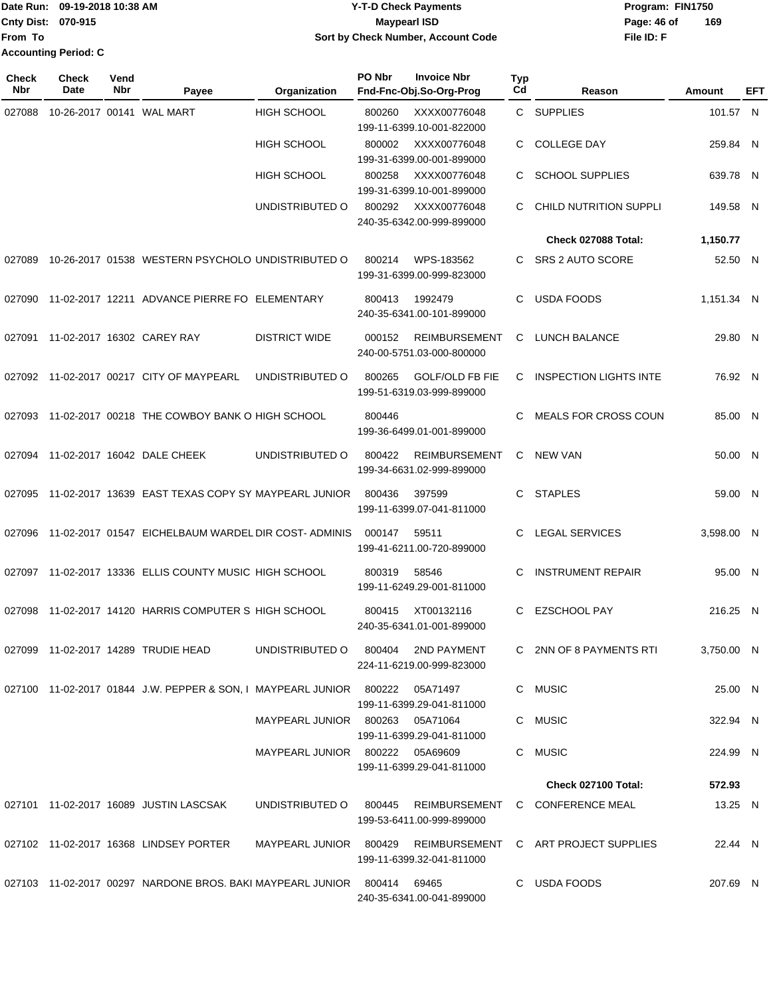**From To Accounting Period: C**

## Date Run: 09-19-2018 10:38 AM **CONTEX 18 AM CONTEX 18 AM CONTEX 17-T-D** Check Payments **CONTEX 18 AM CONTEX 18 AM CONTEX 18 AM CONTEX 18 AM CONTEX 18 AM CONTEX 18 AM CONTEX 18 AM CONTEX 18 AM CONTEX 19 AM CONTEX 19 AM CONT Cnty Dist:** 070-915 **Page: 46 of MaypearI ISD Page: 46 of 09-19-2018 10:38 AM Y-T-D Check Payments 070-915 Maypearl ISD Sort by Check Number, Account Code**

**File ID: F 169**

| <b>Check</b><br><b>Nbr</b> | <b>Check</b><br><b>Date</b> | Vend<br>Nbr | Payee                                                                        | Organization                       | PO Nbr | <b>Invoice Nbr</b><br>Fnd-Fnc-Obj.So-Org-Prog       | <b>Typ</b><br>Cd | Reason                                                 | Amount     | EFT |
|----------------------------|-----------------------------|-------------|------------------------------------------------------------------------------|------------------------------------|--------|-----------------------------------------------------|------------------|--------------------------------------------------------|------------|-----|
| 027088                     |                             |             | 10-26-2017 00141 WAL MART                                                    | HIGH SCHOOL                        | 800260 | XXXX00776048<br>199-11-6399.10-001-822000           |                  | C SUPPLIES                                             | 101.57 N   |     |
|                            |                             |             |                                                                              | <b>HIGH SCHOOL</b>                 | 800002 | XXXX00776048<br>199-31-6399.00-001-899000           | C                | <b>COLLEGE DAY</b>                                     | 259.84 N   |     |
|                            |                             |             |                                                                              | <b>HIGH SCHOOL</b>                 | 800258 | XXXX00776048<br>199-31-6399.10-001-899000           | C                | <b>SCHOOL SUPPLIES</b>                                 | 639.78 N   |     |
|                            |                             |             |                                                                              | UNDISTRIBUTED O                    | 800292 | XXXX00776048<br>240-35-6342.00-999-899000           | C                | <b>CHILD NUTRITION SUPPLI</b>                          | 149.58 N   |     |
|                            |                             |             |                                                                              |                                    |        |                                                     |                  | Check 027088 Total:                                    | 1,150.77   |     |
| 027089                     |                             |             | 10-26-2017 01538 WESTERN PSYCHOLO UNDISTRIBUTED O                            |                                    | 800214 | WPS-183562<br>199-31-6399.00-999-823000             | C.               | SRS 2 AUTO SCORE                                       | 52.50 N    |     |
| 027090                     |                             |             | 11-02-2017 12211 ADVANCE PIERRE FO ELEMENTARY                                |                                    | 800413 | 1992479<br>240-35-6341.00-101-899000                | C.               | <b>USDA FOODS</b>                                      | 1,151.34 N |     |
| 027091                     |                             |             | 11-02-2017 16302 CAREY RAY                                                   | <b>DISTRICT WIDE</b>               | 000152 | <b>REIMBURSEMENT</b><br>240-00-5751.03-000-800000   | C.               | <b>LUNCH BALANCE</b>                                   | 29.80 N    |     |
|                            |                             |             | 027092 11-02-2017 00217 CITY OF MAYPEARL                                     | UNDISTRIBUTED O                    | 800265 | <b>GOLF/OLD FB FIE</b><br>199-51-6319.03-999-899000 | C                | <b>INSPECTION LIGHTS INTE</b>                          | 76.92 N    |     |
| 027093                     |                             |             | 11-02-2017 00218 THE COWBOY BANK O HIGH SCHOOL                               |                                    | 800446 | 199-36-6499.01-001-899000                           |                  | <b>MEALS FOR CROSS COUN</b>                            | 85.00 N    |     |
| 027094                     |                             |             | 11-02-2017 16042 DALE CHEEK                                                  | UNDISTRIBUTED O                    | 800422 | <b>REIMBURSEMENT</b><br>199-34-6631.02-999-899000   | C.               | <b>NEW VAN</b>                                         | 50.00 N    |     |
| 027095                     |                             |             | 11-02-2017 13639 EAST TEXAS COPY SY MAYPEARL JUNIOR                          |                                    | 800436 | 397599<br>199-11-6399.07-041-811000                 | C.               | <b>STAPLES</b>                                         | 59.00 N    |     |
| 027096                     |                             |             | 11-02-2017 01547 EICHELBAUM WARDEL DIR COST-ADMINIS                          |                                    | 000147 | 59511<br>199-41-6211.00-720-899000                  | C                | <b>LEGAL SERVICES</b>                                  | 3,598.00 N |     |
| 027097                     |                             |             | 11-02-2017 13336 ELLIS COUNTY MUSIC HIGH SCHOOL                              |                                    | 800319 | 58546<br>199-11-6249.29-001-811000                  | C                | <b>INSTRUMENT REPAIR</b>                               | 95.00 N    |     |
| 027098                     |                             |             | 11-02-2017 14120 HARRIS COMPUTER S HIGH SCHOOL                               |                                    | 800415 | XT00132116<br>240-35-6341.01-001-899000             | C                | <b>EZSCHOOL PAY</b>                                    | 216.25 N   |     |
|                            |                             |             | 027099 11-02-2017 14289 TRUDIE HEAD                                          | UNDISTRIBUTED O 800404 2ND PAYMENT |        | 224-11-6219.00-999-823000                           |                  | C 2NN OF 8 PAYMENTS RTI                                | 3,750.00 N |     |
|                            |                             |             | 027100 11-02-2017 01844 J.W. PEPPER & SON, I MAYPEARL JUNIOR 800222 05A71497 |                                    |        | 199-11-6399.29-041-811000                           |                  | C MUSIC                                                | 25.00 N    |     |
|                            |                             |             |                                                                              | MAYPEARL JUNIOR 800263 05A71064    |        | 199-11-6399.29-041-811000                           |                  | C MUSIC                                                | 322.94 N   |     |
|                            |                             |             |                                                                              | MAYPEARL JUNIOR 800222 05A69609    |        | 199-11-6399.29-041-811000                           |                  | C MUSIC                                                | 224.99 N   |     |
|                            |                             |             |                                                                              |                                    |        |                                                     |                  | Check 027100 Total:                                    | 572.93     |     |
|                            |                             |             | 027101  11-02-2017  16089  JUSTIN LASCSAK                                    |                                    |        | 199-53-6411.00-999-899000                           |                  | UNDISTRIBUTED O 800445 REIMBURSEMENT C CONFERENCE MEAL | 13.25 N    |     |
|                            |                             |             | 027102 11-02-2017 16368 LINDSEY PORTER                                       | MAYPEARL JUNIOR 800429             |        | 199-11-6399.32-041-811000                           |                  | REIMBURSEMENT C ART PROJECT SUPPLIES                   | 22.44 N    |     |
|                            |                             |             | 027103 11-02-2017 00297 NARDONE BROS. BAKI MAYPEARL JUNIOR 800414            |                                    |        | 69465                                               |                  | C USDA FOODS                                           | 207.69 N   |     |

240-35-6341.00-041-899000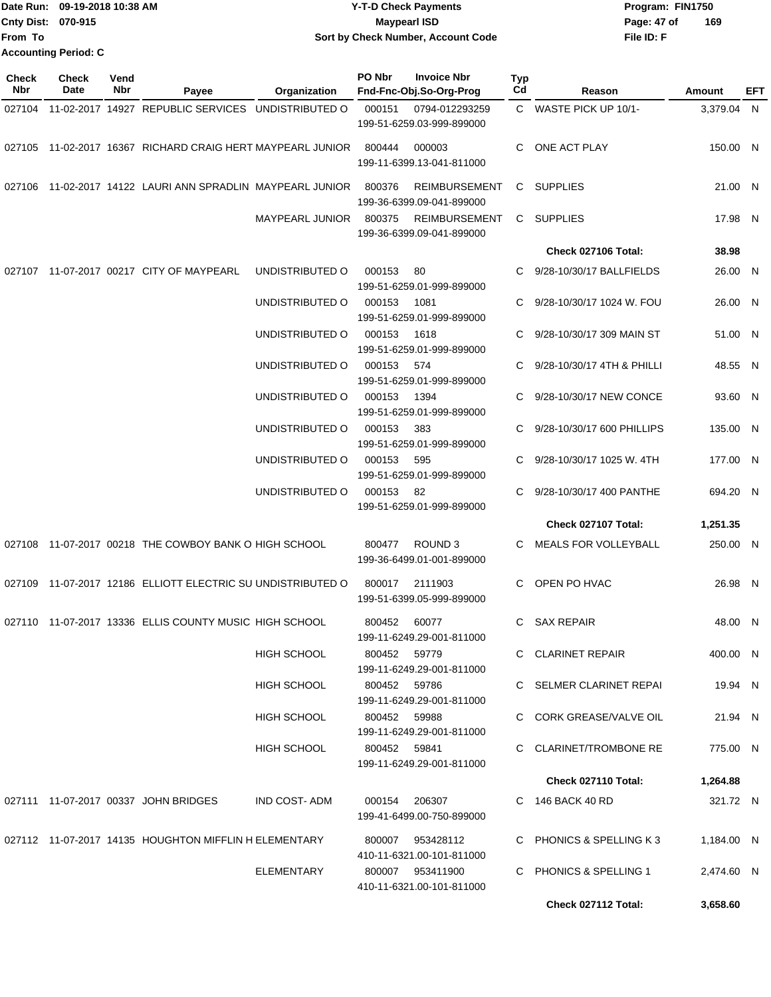| Date Run: 09-19-2018 10:38 AM | <b>Y-T-D Check Payments</b>        | Program: FIN1750   |
|-------------------------------|------------------------------------|--------------------|
| Cnty Dist: 070-915            | <b>Mavpearl ISD</b>                | 169<br>Page: 47 of |
| lFrom To                      | Sort by Check Number, Account Code | File ID: F         |
| <b>Accounting Period: C</b>   |                                    |                    |

| <b>Check</b><br>Nbr | Check<br>Date | Vend<br>Nbr | Payee                                                       | Organization           | PO Nbr       | <b>Invoice Nbr</b><br>Fnd-Fnc-Obj.So-Org-Prog     | Typ<br>Cd | Reason                      | Amount     | EFT |
|---------------------|---------------|-------------|-------------------------------------------------------------|------------------------|--------------|---------------------------------------------------|-----------|-----------------------------|------------|-----|
|                     |               |             | 027104 11-02-2017 14927 REPUBLIC SERVICES UNDISTRIBUTED O   |                        | 000151       | 0794-012293259<br>199-51-6259.03-999-899000       |           | C WASTE PICK UP 10/1-       | 3,379.04 N |     |
|                     |               |             | 027105 11-02-2017 16367 RICHARD CRAIG HERT MAYPEARL JUNIOR  |                        | 800444       | 000003<br>199-11-6399.13-041-811000               | C.        | ONE ACT PLAY                | 150.00 N   |     |
| 027106              |               |             | 11-02-2017 14122 LAURI ANN SPRADLIN MAYPEARL JUNIOR         |                        | 800376       | <b>REIMBURSEMENT</b><br>199-36-6399.09-041-899000 |           | C SUPPLIES                  | 21.00 N    |     |
|                     |               |             |                                                             | <b>MAYPEARL JUNIOR</b> | 800375       | <b>REIMBURSEMENT</b><br>199-36-6399.09-041-899000 |           | C SUPPLIES                  | 17.98 N    |     |
|                     |               |             |                                                             |                        |              |                                                   |           | Check 027106 Total:         | 38.98      |     |
|                     |               |             | 027107 11-07-2017 00217 CITY OF MAYPEARL                    | UNDISTRIBUTED O        | 000153       | 80<br>199-51-6259.01-999-899000                   | C.        | 9/28-10/30/17 BALLFIELDS    | 26.00 N    |     |
|                     |               |             |                                                             | UNDISTRIBUTED O        | 000153       | 1081<br>199-51-6259.01-999-899000                 | C         | 9/28-10/30/17 1024 W. FOU   | 26.00 N    |     |
|                     |               |             |                                                             | UNDISTRIBUTED O        | 000153       | 1618<br>199-51-6259.01-999-899000                 | C.        | 9/28-10/30/17 309 MAIN ST   | 51.00 N    |     |
|                     |               |             |                                                             | UNDISTRIBUTED O        | 000153       | 574<br>199-51-6259.01-999-899000                  | C.        | 9/28-10/30/17 4TH & PHILLI  | 48.55 N    |     |
|                     |               |             |                                                             | UNDISTRIBUTED O        | 000153       | 1394<br>199-51-6259.01-999-899000                 | C         | 9/28-10/30/17 NEW CONCE     | 93.60 N    |     |
|                     |               |             |                                                             | UNDISTRIBUTED O        | 000153       | 383<br>199-51-6259.01-999-899000                  | C.        | 9/28-10/30/17 600 PHILLIPS  | 135.00 N   |     |
|                     |               |             |                                                             | UNDISTRIBUTED O        | 000153       | 595<br>199-51-6259.01-999-899000                  |           | 9/28-10/30/17 1025 W. 4TH   | 177.00 N   |     |
|                     |               |             |                                                             | UNDISTRIBUTED O        | 000153 82    | 199-51-6259.01-999-899000                         |           | 9/28-10/30/17 400 PANTHE    | 694.20 N   |     |
|                     |               |             |                                                             |                        |              |                                                   |           | Check 027107 Total:         | 1,251.35   |     |
|                     |               |             | 027108 11-07-2017 00218 THE COWBOY BANK O HIGH SCHOOL       |                        | 800477       | ROUND <sub>3</sub><br>199-36-6499.01-001-899000   | C         | <b>MEALS FOR VOLLEYBALL</b> | 250.00 N   |     |
|                     |               |             | 027109 11-07-2017 12186 ELLIOTT ELECTRIC SU UNDISTRIBUTED O |                        | 800017       | 2111903<br>199-51-6399.05-999-899000              | C.        | OPEN PO HVAC                | 26.98 N    |     |
|                     |               |             | 027110 11-07-2017 13336 ELLIS COUNTY MUSIC HIGH SCHOOL      |                        | 800452       | 60077<br>199-11-6249.29-001-811000                | C.        | <b>SAX REPAIR</b>           | 48.00 N    |     |
|                     |               |             |                                                             | HIGH SCHOOL            | 800452 59779 | 199-11-6249.29-001-811000                         |           | C CLARINET REPAIR           | 400.00 N   |     |
|                     |               |             |                                                             | HIGH SCHOOL            | 800452 59786 | 199-11-6249.29-001-811000                         |           | C SELMER CLARINET REPAI     | 19.94 N    |     |
|                     |               |             |                                                             | HIGH SCHOOL            | 800452 59988 | 199-11-6249.29-001-811000                         |           | C CORK GREASE/VALVE OIL     | 21.94 N    |     |
|                     |               |             |                                                             | HIGH SCHOOL            | 800452 59841 | 199-11-6249.29-001-811000                         |           | C CLARINET/TROMBONE RE      | 775.00 N   |     |
|                     |               |             |                                                             |                        |              |                                                   |           | Check 027110 Total:         | 1,264.88   |     |
|                     |               |             | 027111 11-07-2017 00337 JOHN BRIDGES                        | IND COST- ADM          |              | 000154 206307<br>199-41-6499.00-750-899000        |           | C 146 BACK 40 RD            | 321.72 N   |     |
|                     |               |             | 027112 11-07-2017 14135 HOUGHTON MIFFLIN H ELEMENTARY       |                        |              | 800007 953428112<br>410-11-6321.00-101-811000     |           | C PHONICS & SPELLING K3     | 1,184.00 N |     |
|                     |               |             |                                                             | ELEMENTARY             |              | 800007 953411900<br>410-11-6321.00-101-811000     |           | C PHONICS & SPELLING 1      | 2,474.60 N |     |
|                     |               |             |                                                             |                        |              |                                                   |           | Check 027112 Total:         | 3,658.60   |     |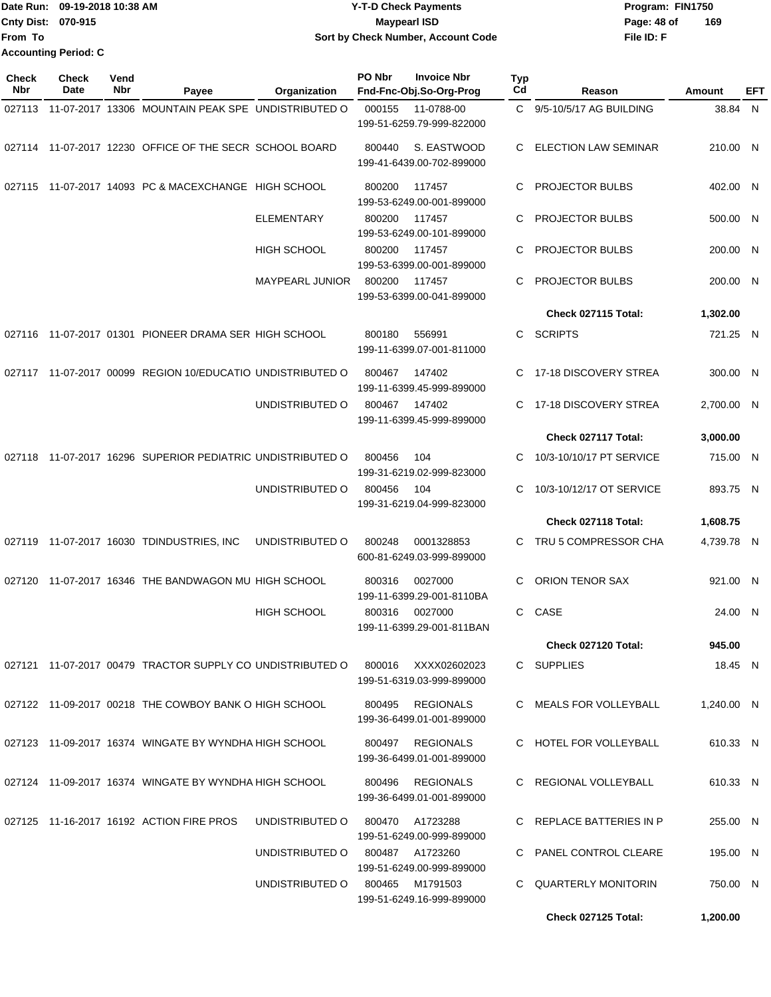|                             | Date Run: 09-19-2018 10:38 AM | <b>Y-T-D Check Payments</b>        | Program: FIN1750 |     |  |
|-----------------------------|-------------------------------|------------------------------------|------------------|-----|--|
| <b>Cnty Dist: 070-915</b>   |                               | <b>Maypearl ISD</b>                | Page: 48 of      | 169 |  |
| <b>From To</b>              |                               | Sort by Check Number, Account Code | File ID: F       |     |  |
| <b>Accounting Period: C</b> |                               |                                    |                  |     |  |

| <b>Check</b><br>Nbr | Check<br>Date | Vend<br>Nbr | Payee                                                      | Organization           | PO Nbr | <b>Invoice Nbr</b><br>Fnd-Fnc-Obj.So-Org-Prog | <b>Typ</b><br>Cd | Reason                      | Amount     | EFT |
|---------------------|---------------|-------------|------------------------------------------------------------|------------------------|--------|-----------------------------------------------|------------------|-----------------------------|------------|-----|
|                     |               |             | 027113 11-07-2017 13306 MOUNTAIN PEAK SPE UNDISTRIBUTED O  |                        | 000155 | 11-0788-00<br>199-51-6259.79-999-822000       |                  | C 9/5-10/5/17 AG BUILDING   | 38.84 N    |     |
|                     |               |             | 027114 11-07-2017 12230 OFFICE OF THE SECR SCHOOL BOARD    |                        | 800440 | S. EASTWOOD<br>199-41-6439.00-702-899000      | C                | <b>ELECTION LAW SEMINAR</b> | 210.00 N   |     |
| 027115              |               |             | 11-07-2017 14093 PC & MACEXCHANGE HIGH SCHOOL              |                        | 800200 | 117457<br>199-53-6249.00-001-899000           | С                | <b>PROJECTOR BULBS</b>      | 402.00 N   |     |
|                     |               |             |                                                            | <b>ELEMENTARY</b>      | 800200 | 117457<br>199-53-6249.00-101-899000           | C.               | <b>PROJECTOR BULBS</b>      | 500.00 N   |     |
|                     |               |             |                                                            | <b>HIGH SCHOOL</b>     | 800200 | 117457<br>199-53-6399.00-001-899000           | С                | <b>PROJECTOR BULBS</b>      | 200.00 N   |     |
|                     |               |             |                                                            | <b>MAYPEARL JUNIOR</b> | 800200 | 117457<br>199-53-6399.00-041-899000           | С                | <b>PROJECTOR BULBS</b>      | 200.00 N   |     |
|                     |               |             |                                                            |                        |        |                                               |                  | Check 027115 Total:         | 1,302.00   |     |
| 027116              |               |             | 11-07-2017 01301 PIONEER DRAMA SER HIGH SCHOOL             |                        | 800180 | 556991<br>199-11-6399.07-001-811000           | C.               | <b>SCRIPTS</b>              | 721.25 N   |     |
|                     |               |             | 027117 11-07-2017 00099 REGION 10/EDUCATIO UNDISTRIBUTED O |                        | 800467 | 147402<br>199-11-6399.45-999-899000           | C                | 17-18 DISCOVERY STREA       | 300.00 N   |     |
|                     |               |             |                                                            | UNDISTRIBUTED O        | 800467 | 147402<br>199-11-6399.45-999-899000           | С                | 17-18 DISCOVERY STREA       | 2,700.00 N |     |
|                     |               |             |                                                            |                        |        |                                               |                  | Check 027117 Total:         | 3,000.00   |     |
| 027118              |               |             | 11-07-2017 16296 SUPERIOR PEDIATRIC UNDISTRIBUTED O        |                        | 800456 | 104<br>199-31-6219.02-999-823000              | С                | 10/3-10/10/17 PT SERVICE    | 715.00 N   |     |
|                     |               |             |                                                            | UNDISTRIBUTED O        | 800456 | 104<br>199-31-6219.04-999-823000              | С                | 10/3-10/12/17 OT SERVICE    | 893.75 N   |     |
|                     |               |             |                                                            |                        |        |                                               |                  | Check 027118 Total:         | 1,608.75   |     |
|                     |               |             | 027119 11-07-2017 16030 TDINDUSTRIES, INC                  | UNDISTRIBUTED O        | 800248 | 0001328853<br>600-81-6249.03-999-899000       | C.               | TRU 5 COMPRESSOR CHA        | 4,739.78 N |     |
| 027120              |               |             | 11-07-2017 16346 THE BANDWAGON MU HIGH SCHOOL              |                        | 800316 | 0027000<br>199-11-6399.29-001-8110BA          | С                | ORION TENOR SAX             | 921.00 N   |     |
|                     |               |             |                                                            | <b>HIGH SCHOOL</b>     | 800316 | 0027000<br>199-11-6399.29-001-811BAN          | C                | CASE                        | 24.00 N    |     |
|                     |               |             |                                                            |                        |        |                                               |                  | Check 027120 Total:         | 945.00     |     |
|                     |               |             | 027121 11-07-2017 00479 TRACTOR SUPPLY CO UNDISTRIBUTED O  |                        | 800016 | XXXX02602023<br>199-51-6319.03-999-899000     |                  | C SUPPLIES                  | 18.45 N    |     |
|                     |               |             | 027122 11-09-2017 00218 THE COWBOY BANK O HIGH SCHOOL      |                        | 800495 | REGIONALS<br>199-36-6499.01-001-899000        |                  | C MEALS FOR VOLLEYBALL      | 1,240.00 N |     |
|                     |               |             | 027123 11-09-2017 16374 WINGATE BY WYNDHA HIGH SCHOOL      |                        |        | 800497 REGIONALS<br>199-36-6499.01-001-899000 |                  | C HOTEL FOR VOLLEYBALL      | 610.33 N   |     |
|                     |               |             | 027124 11-09-2017 16374 WINGATE BY WYNDHA HIGH SCHOOL      |                        | 800496 | REGIONALS<br>199-36-6499.01-001-899000        |                  | C REGIONAL VOLLEYBALL       | 610.33 N   |     |
|                     |               |             | 027125 11-16-2017 16192 ACTION FIRE PROS                   | UNDISTRIBUTED O        | 800470 | A1723288<br>199-51-6249.00-999-899000         |                  | C REPLACE BATTERIES IN P    | 255.00 N   |     |
|                     |               |             |                                                            | UNDISTRIBUTED O        |        | 800487 A1723260<br>199-51-6249.00-999-899000  |                  | C PANEL CONTROL CLEARE      | 195.00 N   |     |
|                     |               |             |                                                            | UNDISTRIBUTED O        | 800465 | M1791503<br>199-51-6249.16-999-899000         |                  | C QUARTERLY MONITORIN       | 750.00 N   |     |
|                     |               |             |                                                            |                        |        |                                               |                  | Check 027125 Total:         | 1,200.00   |     |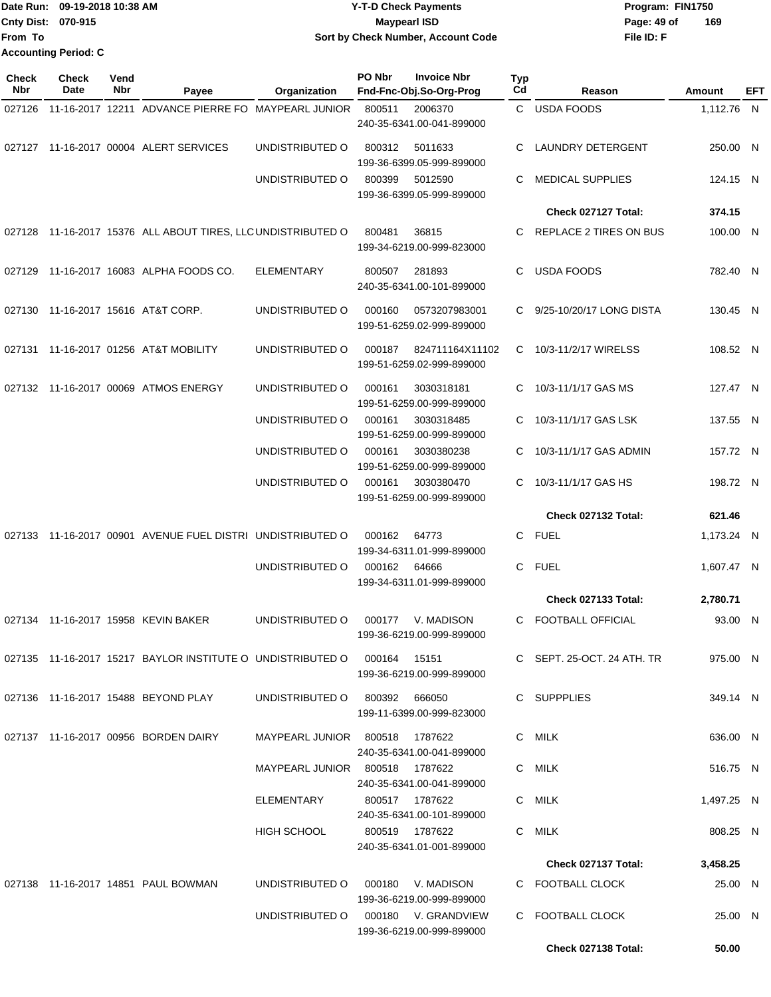|                           | Date Run: 09-19-2018 10:38 AM | <b>Y-T-D Check Payments</b>        | Program: FIN1750   |
|---------------------------|-------------------------------|------------------------------------|--------------------|
| <b>Cnty Dist: 070-915</b> |                               | <b>Mavpearl ISD</b>                | 169<br>Page: 49 of |
| lFrom To                  |                               | Sort by Check Number, Account Code | File ID: F         |
|                           | <b>Accounting Period: C</b>   |                                    |                    |

| <b>Check</b><br>Nbr | <b>Check</b><br>Date | Vend<br>Nbr | Payee                                                                 | Organization                        | PO Nbr | <b>Invoice Nbr</b><br>Fnd-Fnc-Obj.So-Org-Prog | <b>Typ</b><br>Cd | Reason                     | Amount     | EFT |
|---------------------|----------------------|-------------|-----------------------------------------------------------------------|-------------------------------------|--------|-----------------------------------------------|------------------|----------------------------|------------|-----|
| 027126              |                      |             | 11-16-2017 12211 ADVANCE PIERRE FO MAYPEARL JUNIOR                    |                                     | 800511 | 2006370                                       |                  | C USDA FOODS               | 1,112.76 N |     |
|                     |                      |             |                                                                       |                                     |        | 240-35-6341.00-041-899000                     |                  |                            |            |     |
|                     |                      |             | 027127 11-16-2017 00004 ALERT SERVICES                                | UNDISTRIBUTED O                     | 800312 | 5011633<br>199-36-6399.05-999-899000          | C                | <b>LAUNDRY DETERGENT</b>   | 250.00 N   |     |
|                     |                      |             |                                                                       | UNDISTRIBUTED O                     | 800399 | 5012590<br>199-36-6399.05-999-899000          | C                | <b>MEDICAL SUPPLIES</b>    | 124.15 N   |     |
|                     |                      |             |                                                                       |                                     |        |                                               |                  | Check 027127 Total:        | 374.15     |     |
|                     |                      |             | 027128 11-16-2017 15376 ALL ABOUT TIRES, LLC UNDISTRIBUTED O          |                                     | 800481 | 36815<br>199-34-6219.00-999-823000            | C                | REPLACE 2 TIRES ON BUS     | 100.00 N   |     |
|                     |                      |             | 027129 11-16-2017 16083 ALPHA FOODS CO.                               | <b>ELEMENTARY</b>                   | 800507 | 281893<br>240-35-6341.00-101-899000           | C.               | <b>USDA FOODS</b>          | 782.40 N   |     |
|                     |                      |             | 027130 11-16-2017 15616 AT&T CORP.                                    | UNDISTRIBUTED O                     | 000160 | 0573207983001<br>199-51-6259.02-999-899000    | C.               | 9/25-10/20/17 LONG DISTA   | 130.45 N   |     |
| 027131              |                      |             | 11-16-2017 01256 AT&T MOBILITY                                        | UNDISTRIBUTED O                     | 000187 | 824711164X11102<br>199-51-6259.02-999-899000  | C.               | 10/3-11/2/17 WIRELSS       | 108.52 N   |     |
|                     |                      |             | 027132 11-16-2017 00069 ATMOS ENERGY                                  | UNDISTRIBUTED O                     | 000161 | 3030318181<br>199-51-6259.00-999-899000       | C                | 10/3-11/1/17 GAS MS        | 127.47 N   |     |
|                     |                      |             |                                                                       | UNDISTRIBUTED O                     | 000161 | 3030318485<br>199-51-6259.00-999-899000       | C                | 10/3-11/1/17 GAS LSK       | 137.55 N   |     |
|                     |                      |             |                                                                       | UNDISTRIBUTED O                     | 000161 | 3030380238<br>199-51-6259.00-999-899000       | C.               | 10/3-11/1/17 GAS ADMIN     | 157.72 N   |     |
|                     |                      |             |                                                                       | UNDISTRIBUTED O                     | 000161 | 3030380470<br>199-51-6259.00-999-899000       | C.               | 10/3-11/1/17 GAS HS        | 198.72 N   |     |
|                     |                      |             |                                                                       |                                     |        |                                               |                  | Check 027132 Total:        | 621.46     |     |
|                     |                      |             | 027133 11-16-2017 00901 AVENUE FUEL DISTRI UNDISTRIBUTED O            |                                     | 000162 | 64773<br>199-34-6311.01-999-899000            |                  | C FUEL                     | 1,173.24 N |     |
|                     |                      |             |                                                                       | UNDISTRIBUTED O                     | 000162 | 64666<br>199-34-6311.01-999-899000            | C.               | <b>FUEL</b>                | 1,607.47 N |     |
|                     |                      |             |                                                                       |                                     |        |                                               |                  | Check 027133 Total:        | 2,780.71   |     |
|                     |                      |             | 027134 11-16-2017 15958 KEVIN BAKER                                   | UNDISTRIBUTED O                     | 000177 | V. MADISON<br>199-36-6219.00-999-899000       | C.               | <b>FOOTBALL OFFICIAL</b>   | 93.00 N    |     |
|                     |                      |             | 027135  11-16-2017  15217  BAYLOR INSTITUTE O UNDISTRIBUTED O  000164 |                                     |        | 15151<br>199-36-6219.00-999-899000            |                  | C SEPT. 25-OCT. 24 ATH. TR | 975.00 N   |     |
|                     |                      |             | 027136 11-16-2017 15488 BEYOND PLAY                                   | UNDISTRIBUTED O 800392 666050       |        | 199-11-6399.00-999-823000                     |                  | C SUPPPLIES                | 349.14 N   |     |
|                     |                      |             | 027137 11-16-2017 00956 BORDEN DAIRY                                  | MAYPEARL JUNIOR 800518 1787622      |        | 240-35-6341.00-041-899000                     |                  | C MILK                     | 636.00 N   |     |
|                     |                      |             |                                                                       | MAYPEARL JUNIOR 800518 1787622      |        | 240-35-6341.00-041-899000                     |                  | C MILK                     | 516.75 N   |     |
|                     |                      |             |                                                                       | ELEMENTARY                          |        | 800517 1787622<br>240-35-6341.00-101-899000   |                  | C MILK                     | 1,497.25 N |     |
|                     |                      |             |                                                                       | <b>HIGH SCHOOL</b>                  |        | 800519 1787622<br>240-35-6341.01-001-899000   |                  | C MILK                     | 808.25 N   |     |
|                     |                      |             |                                                                       |                                     |        |                                               |                  | Check 027137 Total:        | 3,458.25   |     |
|                     |                      |             | 027138 11-16-2017 14851 PAUL BOWMAN                                   | UNDISTRIBUTED O                     | 000180 | V. MADISON<br>199-36-6219.00-999-899000       |                  | C FOOTBALL CLOCK           | 25.00 N    |     |
|                     |                      |             |                                                                       | UNDISTRIBUTED O 000180 V. GRANDVIEW |        | 199-36-6219.00-999-899000                     |                  | C FOOTBALL CLOCK           | 25.00 N    |     |
|                     |                      |             |                                                                       |                                     |        |                                               |                  | Check 027138 Total:        | 50.00      |     |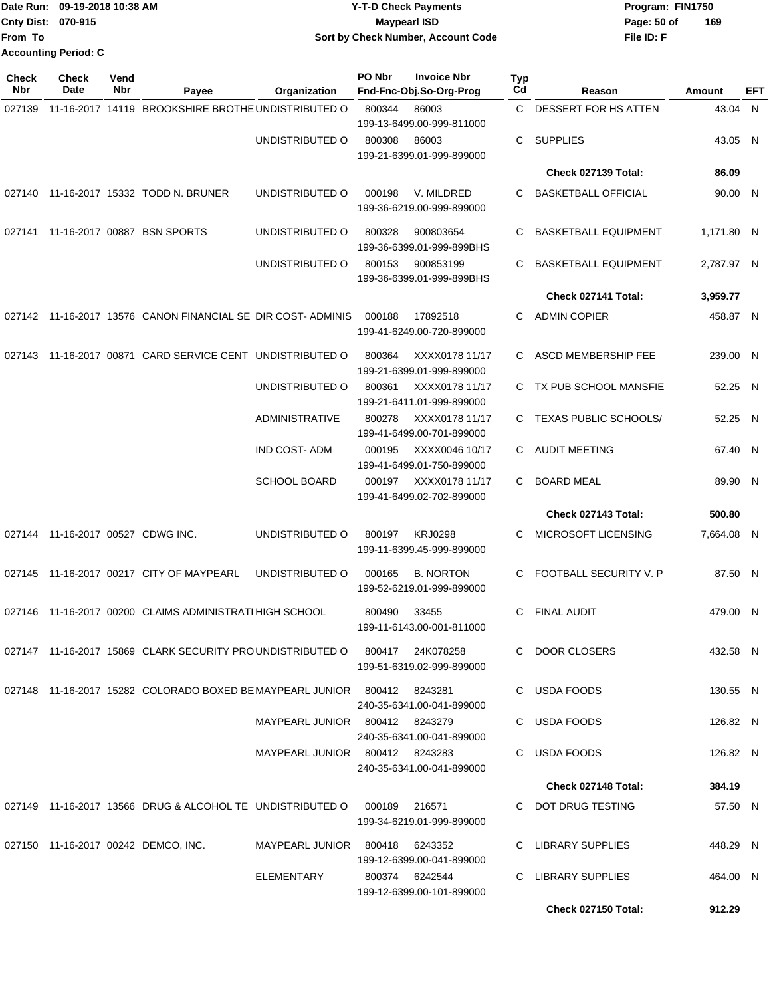|                    | Date Run: 09-19-2018 10:38 AM | <b>Y-T-D Check Payments</b>        | Program: FIN1750   |
|--------------------|-------------------------------|------------------------------------|--------------------|
| Cnty Dist: 070-915 |                               | Maypearl ISD                       | 169<br>Page: 50 of |
| From To            |                               | Sort by Check Number, Account Code | File ID: F         |
|                    | <b>Accounting Period: C</b>   |                                    |                    |

| <b>Check</b><br>Nbr | <b>Check</b><br>Date              | Vend<br>Nbr | Payee                                                                      | Organization                   | PO Nbr        | <b>Invoice Nbr</b><br>Fnd-Fnc-Obj.So-Org-Prog | Typ<br>Cd    | Reason                      | Amount     | EFT |
|---------------------|-----------------------------------|-------------|----------------------------------------------------------------------------|--------------------------------|---------------|-----------------------------------------------|--------------|-----------------------------|------------|-----|
| 027139              |                                   |             | 11-16-2017 14119 BROOKSHIRE BROTHE UNDISTRIBUTED O                         |                                | 800344        | 86003<br>199-13-6499.00-999-811000            | $\mathbf{C}$ | DESSERT FOR HS ATTEN        | 43.04 N    |     |
|                     |                                   |             |                                                                            | UNDISTRIBUTED O                | 800308        | 86003<br>199-21-6399.01-999-899000            | C            | <b>SUPPLIES</b>             | 43.05 N    |     |
|                     |                                   |             |                                                                            |                                |               |                                               |              | Check 027139 Total:         | 86.09      |     |
|                     |                                   |             | 027140 11-16-2017 15332 TODD N. BRUNER                                     | UNDISTRIBUTED O                | 000198        | V. MILDRED<br>199-36-6219.00-999-899000       | C            | <b>BASKETBALL OFFICIAL</b>  | 90.00 N    |     |
| 027141              |                                   |             | 11-16-2017 00887 BSN SPORTS                                                | UNDISTRIBUTED O                | 800328        | 900803654<br>199-36-6399.01-999-899BHS        | C            | <b>BASKETBALL EQUIPMENT</b> | 1.171.80 N |     |
|                     |                                   |             |                                                                            | UNDISTRIBUTED O                | 800153        | 900853199<br>199-36-6399.01-999-899BHS        | C.           | <b>BASKETBALL EQUIPMENT</b> | 2,787.97 N |     |
|                     |                                   |             |                                                                            |                                |               |                                               |              | Check 027141 Total:         | 3,959.77   |     |
|                     |                                   |             | 027142 11-16-2017 13576 CANON FINANCIAL SE DIR COST-ADMINIS                |                                | 000188        | 17892518<br>199-41-6249.00-720-899000         | C.           | <b>ADMIN COPIER</b>         | 458.87 N   |     |
|                     |                                   |             | 027143 11-16-2017 00871 CARD SERVICE CENT UNDISTRIBUTED O                  |                                | 800364        | XXXX0178 11/17<br>199-21-6399.01-999-899000   | C.           | ASCD MEMBERSHIP FEE         | 239.00 N   |     |
|                     |                                   |             |                                                                            | UNDISTRIBUTED O                | 800361        | XXXX0178 11/17<br>199-21-6411.01-999-899000   |              | C TX PUB SCHOOL MANSFIE     | 52.25 N    |     |
|                     |                                   |             |                                                                            | <b>ADMINISTRATIVE</b>          | 800278        | XXXX0178 11/17<br>199-41-6499.00-701-899000   |              | C TEXAS PUBLIC SCHOOLS/     | 52.25 N    |     |
|                     |                                   |             |                                                                            | <b>IND COST-ADM</b>            | 000195        | XXXX0046 10/17<br>199-41-6499.01-750-899000   | C.           | <b>AUDIT MEETING</b>        | 67.40 N    |     |
|                     |                                   |             |                                                                            | <b>SCHOOL BOARD</b>            | 000197        | XXXX0178 11/17<br>199-41-6499.02-702-899000   | C            | <b>BOARD MEAL</b>           | 89.90 N    |     |
|                     |                                   |             |                                                                            |                                |               |                                               |              | Check 027143 Total:         | 500.80     |     |
|                     | 027144 11-16-2017 00527 CDWG INC. |             |                                                                            | UNDISTRIBUTED O                | 800197        | <b>KRJ0298</b><br>199-11-6399.45-999-899000   | C            | MICROSOFT LICENSING         | 7,664.08 N |     |
| 027145              |                                   |             | 11-16-2017 00217 CITY OF MAYPEARL                                          | UNDISTRIBUTED O                | 000165        | <b>B. NORTON</b><br>199-52-6219.01-999-899000 | C.           | FOOTBALL SECURITY V. P      | 87.50 N    |     |
|                     |                                   |             | 027146 11-16-2017 00200 CLAIMS ADMINISTRATI HIGH SCHOOL                    |                                | 800490        | 33455<br>199-11-6143.00-001-811000            | C.           | <b>FINAL AUDIT</b>          | 479.00 N   |     |
|                     |                                   |             | 027147 11-16-2017 15869 CLARK SECURITY PROUNDISTRIBUTED O 800417 24K078258 |                                |               | 199-51-6319.02-999-899000                     |              | C DOOR CLOSERS              | 432.58 N   |     |
|                     |                                   |             | 027148 11-16-2017 15282 COLORADO BOXED BE MAYPEARL JUNIOR 800412 8243281   |                                |               | 240-35-6341.00-041-899000                     |              | C USDA FOODS                | 130.55 N   |     |
|                     |                                   |             |                                                                            | MAYPEARL JUNIOR 800412 8243279 |               | 240-35-6341.00-041-899000                     |              | C USDA FOODS                | 126.82 N   |     |
|                     |                                   |             |                                                                            | MAYPEARL JUNIOR 800412 8243283 |               | 240-35-6341.00-041-899000                     |              | C USDA FOODS                | 126.82 N   |     |
|                     |                                   |             |                                                                            |                                |               |                                               |              | Check 027148 Total:         | 384.19     |     |
|                     |                                   |             | 027149  11-16-2017  13566  DRUG & ALCOHOL TE UNDISTRIBUTED O               |                                | 000189 216571 | 199-34-6219.01-999-899000                     |              | C DOT DRUG TESTING          | 57.50 N    |     |
|                     |                                   |             | 027150 11-16-2017 00242 DEMCO, INC.                                        | MAYPEARL JUNIOR 800418 6243352 |               | 199-12-6399.00-041-899000                     |              | C LIBRARY SUPPLIES          | 448.29 N   |     |
|                     |                                   |             |                                                                            | ELEMENTARY                     |               | 800374 6242544<br>199-12-6399.00-101-899000   |              | C LIBRARY SUPPLIES          | 464.00 N   |     |
|                     |                                   |             |                                                                            |                                |               |                                               |              | <b>Check 027150 Total:</b>  | 912.29     |     |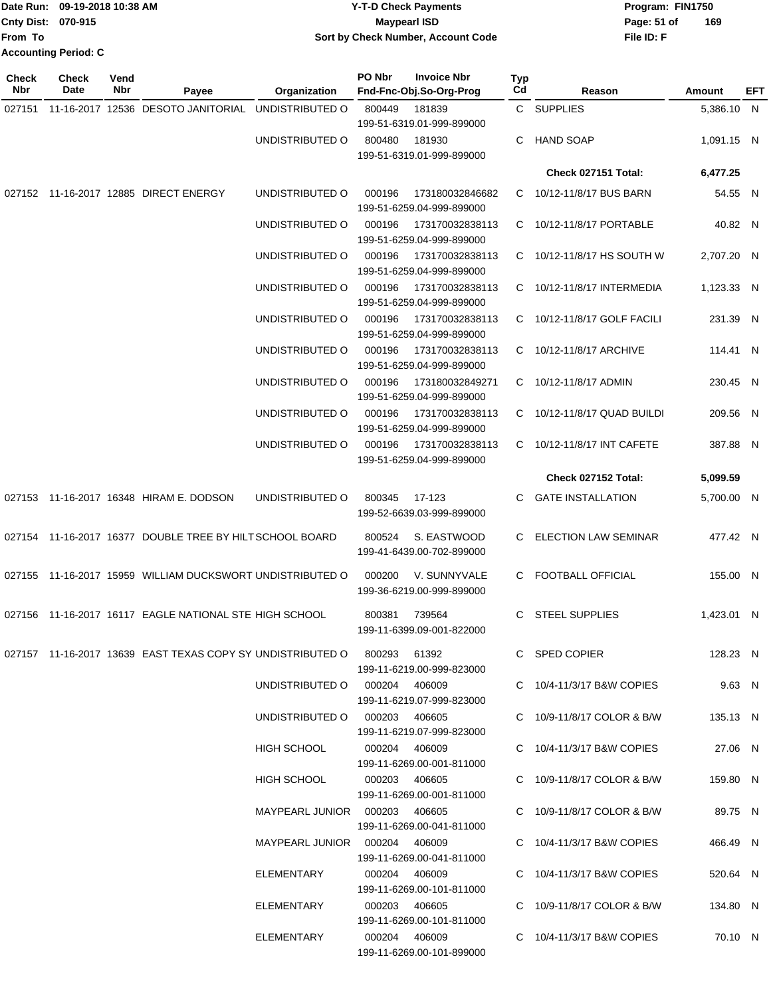|                    | Date Run: 09-19-2018 10:38 AM | <b>Y-T-D Check Payments</b>        | Program: FIN1750   |
|--------------------|-------------------------------|------------------------------------|--------------------|
| Cnty Dist: 070-915 |                               | <b>Mavpearl ISD</b>                | 169<br>Page: 51 of |
| From To            |                               | Sort by Check Number, Account Code | File ID: F         |
|                    | <b>Accounting Period: C</b>   |                                    |                    |

| Check<br><b>Nbr</b> | <b>Check</b><br>Date | Vend<br>Nbr | Payee                                                                 | Organization                    | PO Nbr        | <b>Invoice Nbr</b><br>Fnd-Fnc-Obj.So-Org-Prog | Typ<br>Cd | Reason                      | Amount     | EFT |
|---------------------|----------------------|-------------|-----------------------------------------------------------------------|---------------------------------|---------------|-----------------------------------------------|-----------|-----------------------------|------------|-----|
| 027151              |                      |             | 11-16-2017 12536 DESOTO JANITORIAL UNDISTRIBUTED O                    |                                 | 800449        | 181839<br>199-51-6319.01-999-899000           |           | C SUPPLIES                  | 5,386.10 N |     |
|                     |                      |             |                                                                       | UNDISTRIBUTED O                 | 800480        | 181930<br>199-51-6319.01-999-899000           | C         | <b>HAND SOAP</b>            | 1,091.15 N |     |
|                     |                      |             |                                                                       |                                 |               |                                               |           | Check 027151 Total:         | 6,477.25   |     |
|                     |                      |             | 027152 11-16-2017 12885 DIRECT ENERGY                                 | UNDISTRIBUTED O                 | 000196        | 173180032846682<br>199-51-6259.04-999-899000  |           | C 10/12-11/8/17 BUS BARN    | 54.55 N    |     |
|                     |                      |             |                                                                       | UNDISTRIBUTED O                 | 000196        | 173170032838113<br>199-51-6259.04-999-899000  |           | C 10/12-11/8/17 PORTABLE    | 40.82 N    |     |
|                     |                      |             |                                                                       | UNDISTRIBUTED O                 | 000196        | 173170032838113<br>199-51-6259.04-999-899000  | C         | 10/12-11/8/17 HS SOUTH W    | 2,707.20 N |     |
|                     |                      |             |                                                                       | UNDISTRIBUTED O                 | 000196        | 173170032838113<br>199-51-6259.04-999-899000  | C.        | 10/12-11/8/17 INTERMEDIA    | 1,123.33 N |     |
|                     |                      |             |                                                                       | UNDISTRIBUTED O                 | 000196        | 173170032838113<br>199-51-6259.04-999-899000  | C.        | 10/12-11/8/17 GOLF FACILI   | 231.39 N   |     |
|                     |                      |             |                                                                       | UNDISTRIBUTED O                 | 000196        | 173170032838113<br>199-51-6259.04-999-899000  |           | C 10/12-11/8/17 ARCHIVE     | 114.41 N   |     |
|                     |                      |             |                                                                       | UNDISTRIBUTED O                 | 000196        | 173180032849271<br>199-51-6259.04-999-899000  |           | C 10/12-11/8/17 ADMIN       | 230.45 N   |     |
|                     |                      |             |                                                                       | UNDISTRIBUTED O                 | 000196        | 173170032838113<br>199-51-6259.04-999-899000  |           | C 10/12-11/8/17 QUAD BUILDI | 209.56 N   |     |
|                     |                      |             |                                                                       | UNDISTRIBUTED O                 | 000196        | 173170032838113<br>199-51-6259.04-999-899000  | C.        | 10/12-11/8/17 INT CAFETE    | 387.88 N   |     |
|                     |                      |             |                                                                       |                                 |               |                                               |           | Check 027152 Total:         | 5,099.59   |     |
|                     |                      |             | 027153 11-16-2017 16348 HIRAM E. DODSON                               | UNDISTRIBUTED O                 | 800345        | 17-123<br>199-52-6639.03-999-899000           | C.        | <b>GATE INSTALLATION</b>    | 5,700.00 N |     |
|                     |                      |             | 027154 11-16-2017 16377 DOUBLE TREE BY HILT SCHOOL BOARD              |                                 | 800524        | S. EASTWOOD<br>199-41-6439.00-702-899000      |           | C ELECTION LAW SEMINAR      | 477.42 N   |     |
|                     |                      |             | 027155 11-16-2017 15959 WILLIAM DUCKSWORT UNDISTRIBUTED O             |                                 | 000200        | V. SUNNYVALE<br>199-36-6219.00-999-899000     | C.        | <b>FOOTBALL OFFICIAL</b>    | 155.00 N   |     |
| 027156              |                      |             | 11-16-2017 16117 EAGLE NATIONAL STE HIGH SCHOOL                       |                                 | 800381        | 739564<br>199-11-6399.09-001-822000           | C.        | <b>STEEL SUPPLIES</b>       | 1.423.01 N |     |
|                     |                      |             | 027157  11-16-2017  13639  EAST TEXAS COPY SY UNDISTRIBUTED O  800293 |                                 |               | 61392<br>199-11-6219.00-999-823000            |           | C SPED COPIER               | 128.23 N   |     |
|                     |                      |             |                                                                       | UNDISTRIBUTED O 000204 406009   |               | 199-11-6219.07-999-823000                     |           | C 10/4-11/3/17 B&W COPIES   | 9.63 N     |     |
|                     |                      |             |                                                                       | UNDISTRIBUTED O 000203 406605   |               | 199-11-6219.07-999-823000                     |           | C 10/9-11/8/17 COLOR & B/W  | 135.13 N   |     |
|                     |                      |             |                                                                       | <b>HIGH SCHOOL</b>              | 000204 406009 | 199-11-6269.00-001-811000                     |           | C 10/4-11/3/17 B&W COPIES   | 27.06 N    |     |
|                     |                      |             |                                                                       | <b>HIGH SCHOOL</b>              | 000203 406605 | 199-11-6269.00-001-811000                     |           | C 10/9-11/8/17 COLOR & B/W  | 159.80 N   |     |
|                     |                      |             |                                                                       | MAYPEARL JUNIOR  000203  406605 |               | 199-11-6269.00-041-811000                     |           | C 10/9-11/8/17 COLOR & B/W  | 89.75 N    |     |
|                     |                      |             |                                                                       | MAYPEARL JUNIOR  000204  406009 |               | 199-11-6269.00-041-811000                     |           | C 10/4-11/3/17 B&W COPIES   | 466.49 N   |     |
|                     |                      |             |                                                                       | ELEMENTARY                      | 000204 406009 | 199-11-6269.00-101-811000                     |           | C 10/4-11/3/17 B&W COPIES   | 520.64 N   |     |
|                     |                      |             |                                                                       | ELEMENTARY                      | 000203 406605 | 199-11-6269.00-101-811000                     |           | C 10/9-11/8/17 COLOR & B/W  | 134.80 N   |     |
|                     |                      |             |                                                                       | ELEMENTARY                      | 000204 406009 | 199-11-6269.00-101-899000                     |           | C 10/4-11/3/17 B&W COPIES   | 70.10 N    |     |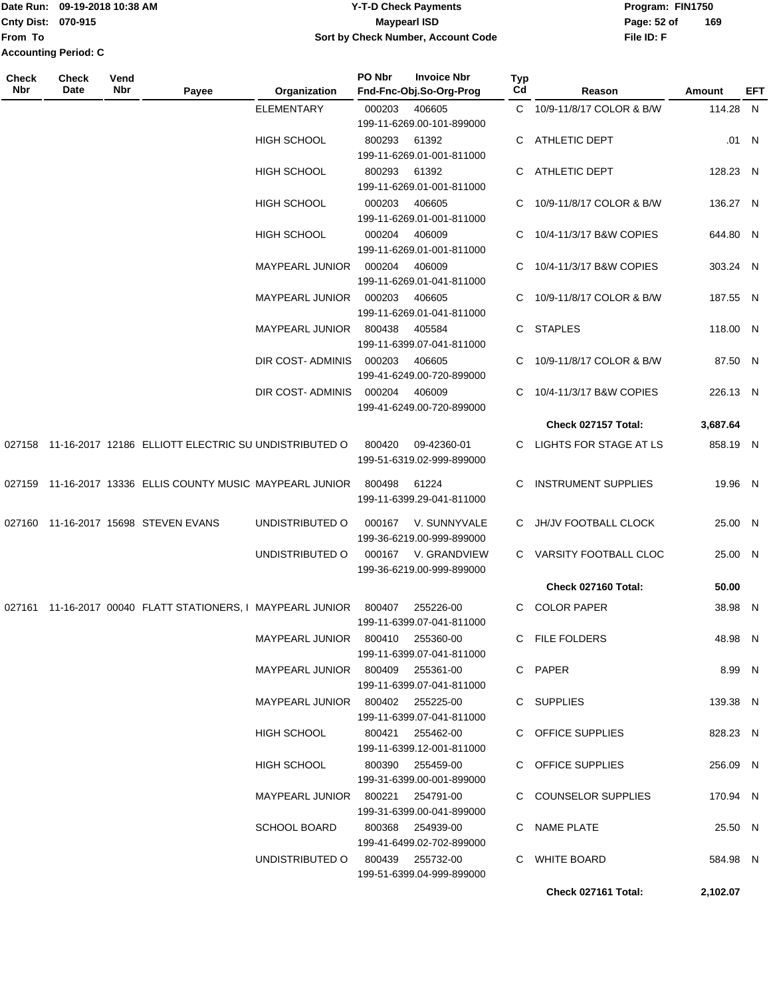|                             | Date Run: 09-19-2018 10:38 AM | <b>Y-T-D Check Payments</b>        | Program: FIN1750              |  |  |  |
|-----------------------------|-------------------------------|------------------------------------|-------------------------------|--|--|--|
| <b>Cnty Dist: 070-915</b>   |                               | <b>Mavpearl ISD</b>                | $\overline{1}$<br>Page: 52 of |  |  |  |
| From To                     |                               | Sort by Check Number, Account Code | File ID: F                    |  |  |  |
| <b>Accounting Period: C</b> |                               |                                    |                               |  |  |  |

| <b>Maypearl ISD</b>                | Page: 52 of | 169 |
|------------------------------------|-------------|-----|
| Sort by Check Number, Account Code | File ID: F  |     |
|                                    |             |     |
|                                    |             |     |

| Check<br>Nbr | <b>Check</b><br>Date | Vend<br>Nbr | Payee                                                       | Organization                     | PO Nbr           | <b>Invoice Nbr</b><br>Fnd-Fnc-Obj.So-Org-Prog | Typ<br>Cd | Reason                     | Amount   | EFT   |
|--------------|----------------------|-------------|-------------------------------------------------------------|----------------------------------|------------------|-----------------------------------------------|-----------|----------------------------|----------|-------|
|              |                      |             |                                                             | <b>ELEMENTARY</b>                | 000203           | 406605<br>199-11-6269.00-101-899000           |           | C 10/9-11/8/17 COLOR & B/W | 114.28 N |       |
|              |                      |             |                                                             | <b>HIGH SCHOOL</b>               | 800293           | 61392<br>199-11-6269.01-001-811000            |           | C ATHLETIC DEPT            |          | .01 N |
|              |                      |             |                                                             | HIGH SCHOOL                      | 800293           | 61392<br>199-11-6269.01-001-811000            |           | C ATHLETIC DEPT            | 128.23 N |       |
|              |                      |             |                                                             | HIGH SCHOOL                      | 000203           | 406605<br>199-11-6269.01-001-811000           | C.        | 10/9-11/8/17 COLOR & B/W   | 136.27 N |       |
|              |                      |             |                                                             | <b>HIGH SCHOOL</b>               | 000204           | 406009<br>199-11-6269.01-001-811000           | C.        | 10/4-11/3/17 B&W COPIES    | 644.80 N |       |
|              |                      |             |                                                             | MAYPEARL JUNIOR                  | 000204           | 406009<br>199-11-6269.01-041-811000           |           | C 10/4-11/3/17 B&W COPIES  | 303.24 N |       |
|              |                      |             |                                                             | MAYPEARL JUNIOR                  | 000203           | 406605<br>199-11-6269.01-041-811000           |           | C 10/9-11/8/17 COLOR & B/W | 187.55 N |       |
|              |                      |             |                                                             | <b>MAYPEARL JUNIOR</b>           | 800438           | 405584<br>199-11-6399.07-041-811000           |           | C STAPLES                  | 118.00 N |       |
|              |                      |             |                                                             | DIR COST- ADMINIS                | 000203           | 406605<br>199-41-6249.00-720-899000           | C         | 10/9-11/8/17 COLOR & B/W   | 87.50 N  |       |
|              |                      |             |                                                             | DIR COST- ADMINIS                | 000204           | 406009<br>199-41-6249.00-720-899000           | C.        | 10/4-11/3/17 B&W COPIES    | 226.13 N |       |
|              |                      |             |                                                             |                                  |                  |                                               |           | Check 027157 Total:        | 3,687.64 |       |
|              |                      |             | 027158 11-16-2017 12186 ELLIOTT ELECTRIC SU UNDISTRIBUTED O |                                  | 800420           | 09-42360-01<br>199-51-6319.02-999-899000      |           | C LIGHTS FOR STAGE AT LS   | 858.19 N |       |
|              |                      |             | 027159 11-16-2017 13336 ELLIS COUNTY MUSIC MAYPEARL JUNIOR  |                                  | 800498           | 61224<br>199-11-6399.29-041-811000            | C.        | <b>INSTRUMENT SUPPLIES</b> | 19.96 N  |       |
|              |                      |             | 027160 11-16-2017 15698 STEVEN EVANS                        | UNDISTRIBUTED O                  | 000167           | V. SUNNYVALE<br>199-36-6219.00-999-899000     |           | C JH/JV FOOTBALL CLOCK     | 25.00 N  |       |
|              |                      |             |                                                             | UNDISTRIBUTED O                  | 000167           | V. GRANDVIEW<br>199-36-6219.00-999-899000     |           | C VARSITY FOOTBALL CLOC    | 25.00 N  |       |
|              |                      |             |                                                             |                                  |                  |                                               |           | Check 027160 Total:        | 50.00    |       |
|              |                      |             | 027161 11-16-2017 00040 FLATT STATIONERS, I MAYPEARL JUNIOR |                                  | 800407           | 255226-00<br>199-11-6399.07-041-811000        |           | C COLOR PAPER              | 38.98 N  |       |
|              |                      |             |                                                             | MAYPEARL JUNIOR 800410 255360-00 |                  | 199-11-6399.07-041-811000                     |           | C FILE FOLDERS             | 48.98 N  |       |
|              |                      |             |                                                             | MAYPEARL JUNIOR 800409 255361-00 |                  | 199-11-6399.07-041-811000                     |           | C PAPER                    | 8.99 N   |       |
|              |                      |             |                                                             | MAYPEARL JUNIOR 800402 255225-00 |                  | 199-11-6399.07-041-811000                     |           | C SUPPLIES                 | 139.38 N |       |
|              |                      |             |                                                             | HIGH SCHOOL                      | 800421 255462-00 | 199-11-6399.12-001-811000                     |           | C OFFICE SUPPLIES          | 828.23 N |       |
|              |                      |             |                                                             | HIGH SCHOOL                      | 800390 255459-00 | 199-31-6399.00-001-899000                     |           | C OFFICE SUPPLIES          | 256.09 N |       |
|              |                      |             |                                                             | MAYPEARL JUNIOR 800221 254791-00 |                  | 199-31-6399.00-041-899000                     |           | C COUNSELOR SUPPLIES       | 170.94 N |       |
|              |                      |             |                                                             | SCHOOL BOARD                     |                  | 800368 254939-00<br>199-41-6499.02-702-899000 |           | C NAME PLATE               | 25.50 N  |       |
|              |                      |             |                                                             | UNDISTRIBUTED 0 800439 255732-00 |                  | 199-51-6399.04-999-899000                     |           | C WHITE BOARD              | 584.98 N |       |
|              |                      |             |                                                             |                                  |                  |                                               |           | Check 027161 Total:        | 2,102.07 |       |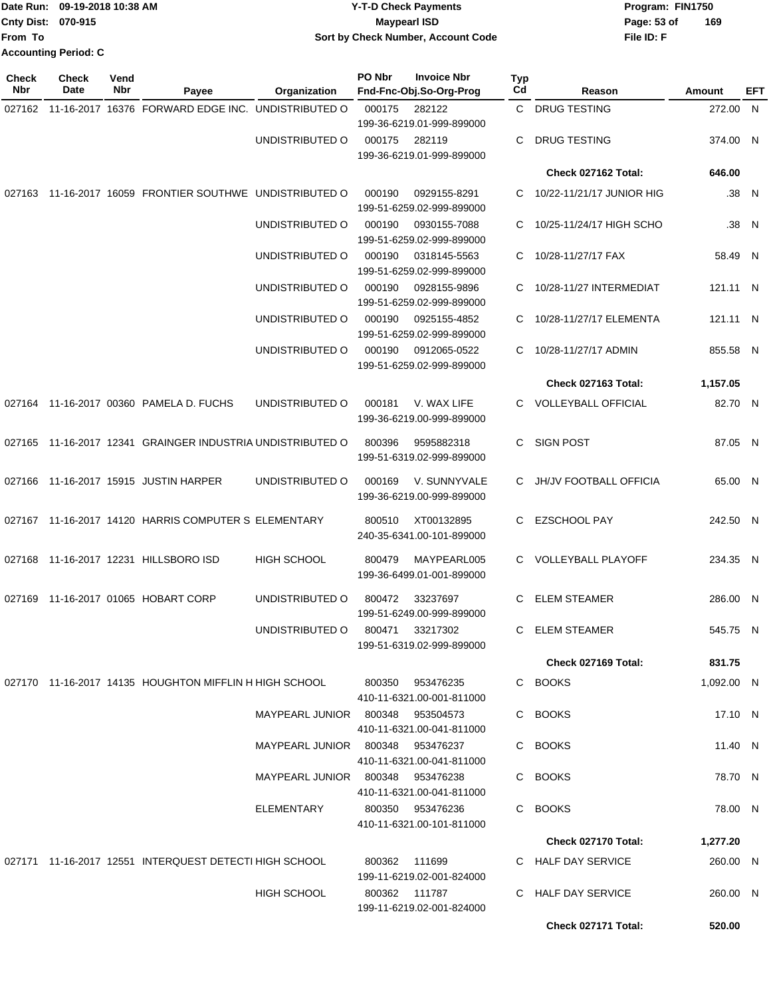|                             | Date Run: 09-19-2018 10:38 AM | <b>Y-T-D Check Payments</b>        | Program: FIN1750   |  |  |
|-----------------------------|-------------------------------|------------------------------------|--------------------|--|--|
| Cnty Dist: 070-915          |                               | <b>Mavpearl ISD</b>                | 169<br>Page: 53 of |  |  |
| From To                     |                               | Sort by Check Number, Account Code | File ID: F         |  |  |
| <b>Accounting Period: C</b> |                               |                                    |                    |  |  |

| <b>Check</b><br>Nbr | Check<br>Date | Vend<br>Nbr | Payee                                                      | Organization                     | PO Nbr | <b>Invoice Nbr</b><br>Fnd-Fnc-Obj.So-Org-Prog | Typ<br>Cd | Reason                      | Amount     | EFT   |
|---------------------|---------------|-------------|------------------------------------------------------------|----------------------------------|--------|-----------------------------------------------|-----------|-----------------------------|------------|-------|
|                     |               |             | 027162 11-16-2017 16376 FORWARD EDGE INC. UNDISTRIBUTED O  |                                  | 000175 | 282122                                        | C.        | <b>DRUG TESTING</b>         | 272.00 N   |       |
|                     |               |             |                                                            |                                  |        | 199-36-6219.01-999-899000                     |           |                             |            |       |
|                     |               |             |                                                            | UNDISTRIBUTED O                  | 000175 | 282119                                        | С         | <b>DRUG TESTING</b>         | 374.00 N   |       |
|                     |               |             |                                                            |                                  |        | 199-36-6219.01-999-899000                     |           |                             |            |       |
|                     |               |             |                                                            |                                  |        |                                               |           | Check 027162 Total:         | 646.00     |       |
|                     |               |             | 027163 11-16-2017 16059 FRONTIER SOUTHWE UNDISTRIBUTED O   |                                  | 000190 | 0929155-8291<br>199-51-6259.02-999-899000     |           | C 10/22-11/21/17 JUNIOR HIG |            | .38 N |
|                     |               |             |                                                            | UNDISTRIBUTED O                  | 000190 | 0930155-7088<br>199-51-6259.02-999-899000     |           | C 10/25-11/24/17 HIGH SCHO  |            | .38 N |
|                     |               |             |                                                            | UNDISTRIBUTED O                  | 000190 | 0318145-5563<br>199-51-6259.02-999-899000     | C.        | 10/28-11/27/17 FAX          | 58.49 N    |       |
|                     |               |             |                                                            | UNDISTRIBUTED O                  | 000190 | 0928155-9896<br>199-51-6259.02-999-899000     | C.        | 10/28-11/27 INTERMEDIAT     | 121.11 N   |       |
|                     |               |             |                                                            | UNDISTRIBUTED O                  | 000190 | 0925155-4852<br>199-51-6259.02-999-899000     |           | C 10/28-11/27/17 ELEMENTA   | 121.11 N   |       |
|                     |               |             |                                                            | UNDISTRIBUTED O                  | 000190 | 0912065-0522<br>199-51-6259.02-999-899000     | C.        | 10/28-11/27/17 ADMIN        | 855.58 N   |       |
|                     |               |             |                                                            |                                  |        |                                               |           | Check 027163 Total:         | 1,157.05   |       |
|                     |               |             | 027164 11-16-2017 00360 PAMELA D. FUCHS                    | UNDISTRIBUTED O                  | 000181 | V. WAX LIFE                                   |           | C VOLLEYBALL OFFICIAL       | 82.70 N    |       |
|                     |               |             |                                                            |                                  |        | 199-36-6219.00-999-899000                     |           |                             |            |       |
|                     |               |             | 027165 11-16-2017 12341 GRAINGER INDUSTRIA UNDISTRIBUTED O |                                  | 800396 | 9595882318<br>199-51-6319.02-999-899000       | C.        | <b>SIGN POST</b>            | 87.05 N    |       |
|                     |               |             | 027166 11-16-2017 15915 JUSTIN HARPER                      | UNDISTRIBUTED O                  | 000169 | V. SUNNYVALE<br>199-36-6219.00-999-899000     |           | C JH/JV FOOTBALL OFFICIA    | 65.00 N    |       |
|                     |               |             | 027167 11-16-2017 14120 HARRIS COMPUTER S ELEMENTARY       |                                  | 800510 | XT00132895<br>240-35-6341.00-101-899000       | C         | <b>EZSCHOOL PAY</b>         | 242.50 N   |       |
|                     |               |             | 027168 11-16-2017 12231 HILLSBORO ISD                      | <b>HIGH SCHOOL</b>               | 800479 | MAYPEARL005<br>199-36-6499.01-001-899000      | C.        | <b>VOLLEYBALL PLAYOFF</b>   | 234.35 N   |       |
|                     |               |             | 027169 11-16-2017 01065 HOBART CORP                        | UNDISTRIBUTED O                  | 800472 | 33237697<br>199-51-6249.00-999-899000         | С         | <b>ELEM STEAMER</b>         | 286.00 N   |       |
|                     |               |             |                                                            | UNDISTRIBUTED O                  | 800471 | 33217302<br>199-51-6319.02-999-899000         | C         | <b>ELEM STEAMER</b>         | 545.75 N   |       |
|                     |               |             |                                                            |                                  |        |                                               |           | <b>Check 027169 Total:</b>  | 831.75     |       |
|                     |               |             | 027170 11-16-2017 14135 HOUGHTON MIFFLIN H HIGH SCHOOL     |                                  |        | 800350 953476235                              |           | C BOOKS                     |            |       |
|                     |               |             |                                                            |                                  |        | 410-11-6321.00-001-811000                     |           |                             | 1,092.00 N |       |
|                     |               |             |                                                            | MAYPEARL JUNIOR 800348 953504573 |        | 410-11-6321.00-041-811000                     | C.        | <b>BOOKS</b>                | 17.10 N    |       |
|                     |               |             |                                                            | MAYPEARL JUNIOR 800348 953476237 |        | 410-11-6321.00-041-811000                     |           | C BOOKS                     | 11.40 N    |       |
|                     |               |             |                                                            | MAYPEARL JUNIOR 800348 953476238 |        | 410-11-6321.00-041-811000                     |           | C BOOKS                     | 78.70 N    |       |
|                     |               |             |                                                            | ELEMENTARY                       |        | 800350 953476236<br>410-11-6321.00-101-811000 |           | C BOOKS                     | 78.00 N    |       |
|                     |               |             |                                                            |                                  |        |                                               |           | <b>Check 027170 Total:</b>  | 1,277.20   |       |
|                     |               |             | 027171 11-16-2017 12551 INTERQUEST DETECTI HIGH SCHOOL     |                                  | 800362 | 111699                                        |           | C HALF DAY SERVICE          |            |       |
|                     |               |             |                                                            |                                  |        | 199-11-6219.02-001-824000                     |           |                             | 260.00 N   |       |
|                     |               |             |                                                            | <b>HIGH SCHOOL</b>               |        | 800362 111787<br>199-11-6219.02-001-824000    |           | C HALF DAY SERVICE          | 260.00 N   |       |
|                     |               |             |                                                            |                                  |        |                                               |           | Check 027171 Total:         | 520.00     |       |
|                     |               |             |                                                            |                                  |        |                                               |           |                             |            |       |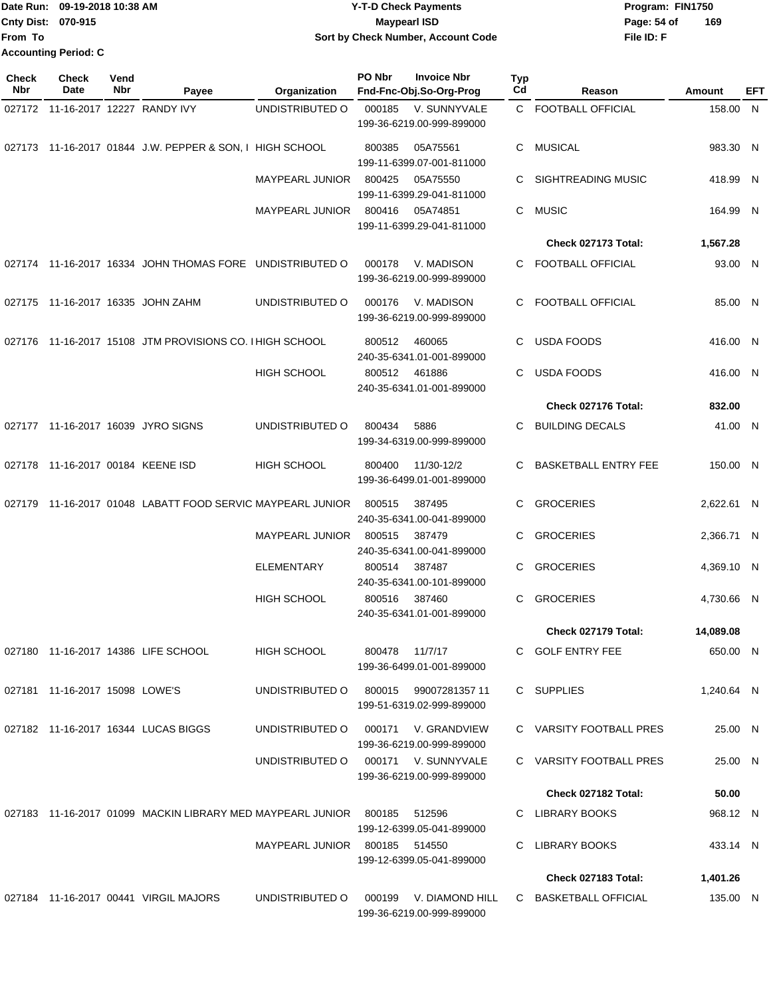Date Run: 09-19-2018 10:38 AM **CONTEX 18 AM CONTEX 18 AM CONTEX 17-T-D** Check Payments **CONTEX 18 AM CONTEX 18 AM CONTEX 18 AM CONTEX 18 AM CONTEX 18 AM CONTEX 18 AM CONTEX 18 AM CONTEX 18 AM CONTEX 19 AM CONTEX 19 AM CONT Cnty Dist:** 070-915 **Page: 54 of Page: 54 of Page: 54 of File ID: F From To 09-19-2018 10:38 AM Y-T-D Check Payments 070-915 Maypearl ISD Sort by Check Number, Account Code 169 Accounting Period: C**

| Check<br>Nbr | <b>Check</b><br>Date              | Vend<br>Nbr | Payee                                                      | Organization           | PO Nbr        | <b>Invoice Nbr</b><br>Fnd-Fnc-Obj.So-Org-Prog    | Typ<br>Cd | Reason                      | Amount     | EFT |
|--------------|-----------------------------------|-------------|------------------------------------------------------------|------------------------|---------------|--------------------------------------------------|-----------|-----------------------------|------------|-----|
|              | 027172 11-16-2017 12227 RANDY IVY |             |                                                            | UNDISTRIBUTED O        | 000185        | V. SUNNYVALE                                     |           | C FOOTBALL OFFICIAL         | 158.00 N   |     |
|              |                                   |             |                                                            |                        |               | 199-36-6219.00-999-899000                        |           |                             |            |     |
|              |                                   |             | 027173 11-16-2017 01844 J.W. PEPPER & SON, I HIGH SCHOOL   |                        | 800385        | 05A75561<br>199-11-6399.07-001-811000            | C         | <b>MUSICAL</b>              | 983.30 N   |     |
|              |                                   |             |                                                            | MAYPEARL JUNIOR        | 800425        | 05A75550                                         | С         | <b>SIGHTREADING MUSIC</b>   | 418.99 N   |     |
|              |                                   |             |                                                            | MAYPEARL JUNIOR        | 800416        | 199-11-6399.29-041-811000<br>05A74851            | C         | <b>MUSIC</b>                | 164.99 N   |     |
|              |                                   |             |                                                            |                        |               | 199-11-6399.29-041-811000                        |           |                             |            |     |
|              |                                   |             |                                                            |                        |               |                                                  |           | Check 027173 Total:         | 1,567.28   |     |
|              |                                   |             | 027174 11-16-2017 16334 JOHN THOMAS FORE UNDISTRIBUTED O   |                        | 000178        | V. MADISON<br>199-36-6219.00-999-899000          | С         | <b>FOOTBALL OFFICIAL</b>    | 93.00 N    |     |
|              |                                   |             | 027175 11-16-2017 16335 JOHN ZAHM                          | UNDISTRIBUTED O        | 000176        | V. MADISON                                       | C.        | FOOTBALL OFFICIAL           | 85.00 N    |     |
|              |                                   |             |                                                            |                        |               | 199-36-6219.00-999-899000                        |           |                             |            |     |
|              |                                   |             | 027176 11-16-2017 15108 JTM PROVISIONS CO. I HIGH SCHOOL   |                        | 800512        | 460065                                           | С         | <b>USDA FOODS</b>           | 416.00 N   |     |
|              |                                   |             |                                                            |                        |               | 240-35-6341.01-001-899000                        |           |                             |            |     |
|              |                                   |             |                                                            | HIGH SCHOOL            | 800512        | 461886<br>240-35-6341.01-001-899000              | С         | <b>USDA FOODS</b>           | 416.00 N   |     |
|              |                                   |             |                                                            |                        |               |                                                  |           | Check 027176 Total:         | 832.00     |     |
|              |                                   |             | 027177 11-16-2017 16039 JYRO SIGNS                         | UNDISTRIBUTED O        | 800434        | 5886                                             | С         | <b>BUILDING DECALS</b>      | 41.00 N    |     |
|              |                                   |             |                                                            |                        |               | 199-34-6319.00-999-899000                        |           |                             |            |     |
|              | 027178 11-16-2017 00184 KEENE ISD |             |                                                            | <b>HIGH SCHOOL</b>     | 800400        | 11/30-12/2                                       | С         | <b>BASKETBALL ENTRY FEE</b> | 150.00 N   |     |
|              |                                   |             |                                                            |                        |               | 199-36-6499.01-001-899000                        |           |                             |            |     |
| 027179       |                                   |             | 11-16-2017 01048 LABATT FOOD SERVIC MAYPEARL JUNIOR        |                        | 800515        | 387495                                           | C         | <b>GROCERIES</b>            | 2,622.61 N |     |
|              |                                   |             |                                                            |                        |               | 240-35-6341.00-041-899000                        |           |                             |            |     |
|              |                                   |             |                                                            | <b>MAYPEARL JUNIOR</b> | 800515        | 387479<br>240-35-6341.00-041-899000              | С         | <b>GROCERIES</b>            | 2,366.71 N |     |
|              |                                   |             |                                                            | <b>ELEMENTARY</b>      | 800514        | 387487                                           | С         | <b>GROCERIES</b>            | 4,369.10 N |     |
|              |                                   |             |                                                            |                        |               | 240-35-6341.00-101-899000                        |           |                             |            |     |
|              |                                   |             |                                                            | <b>HIGH SCHOOL</b>     | 800516        | 387460<br>240-35-6341.01-001-899000              | С         | <b>GROCERIES</b>            | 4,730.66 N |     |
|              |                                   |             |                                                            |                        |               |                                                  |           | Check 027179 Total:         | 14,089.08  |     |
|              |                                   |             | 027180 11-16-2017 14386 LIFE SCHOOL                        | HIGH SCHOOL            |               | 800478 11/7/17                                   |           | C GOLF ENTRY FEE            | 650.00 N   |     |
|              |                                   |             |                                                            |                        |               | 199-36-6499.01-001-899000                        |           |                             |            |     |
|              | 027181 11-16-2017 15098 LOWE'S    |             |                                                            | UNDISTRIBUTED O        |               | 800015 99007281357 11                            |           | C SUPPLIES                  | 1,240.64 N |     |
|              |                                   |             |                                                            |                        |               | 199-51-6319.02-999-899000                        |           |                             |            |     |
|              |                                   |             | 027182 11-16-2017 16344 LUCAS BIGGS                        | UNDISTRIBUTED O        |               | 000171 V. GRANDVIEW                              |           | C VARSITY FOOTBALL PRES     | 25.00 N    |     |
|              |                                   |             |                                                            |                        |               | 199-36-6219.00-999-899000                        |           |                             |            |     |
|              |                                   |             |                                                            | UNDISTRIBUTED O        |               | 000171 V. SUNNYVALE<br>199-36-6219.00-999-899000 |           | C VARSITY FOOTBALL PRES     | 25.00 N    |     |
|              |                                   |             |                                                            |                        |               |                                                  |           | Check 027182 Total:         | 50.00      |     |
|              |                                   |             | 027183 11-16-2017 01099 MACKIN LIBRARY MED MAYPEARL JUNIOR |                        | 800185        | 512596                                           |           | C LIBRARY BOOKS             | 968.12 N   |     |
|              |                                   |             |                                                            |                        |               | 199-12-6399.05-041-899000                        |           |                             |            |     |
|              |                                   |             |                                                            | MAYPEARL JUNIOR        | 800185 514550 | 199-12-6399.05-041-899000                        |           | C LIBRARY BOOKS             | 433.14 N   |     |
|              |                                   |             |                                                            |                        |               |                                                  |           | Check 027183 Total:         | 1,401.26   |     |
|              |                                   |             | 027184 11-16-2017 00441 VIRGIL MAJORS                      | UNDISTRIBUTED O        | 000199        | V. DIAMOND HILL                                  |           | C BASKETBALL OFFICIAL       | 135.00 N   |     |
|              |                                   |             |                                                            |                        |               | 199-36-6219.00-999-899000                        |           |                             |            |     |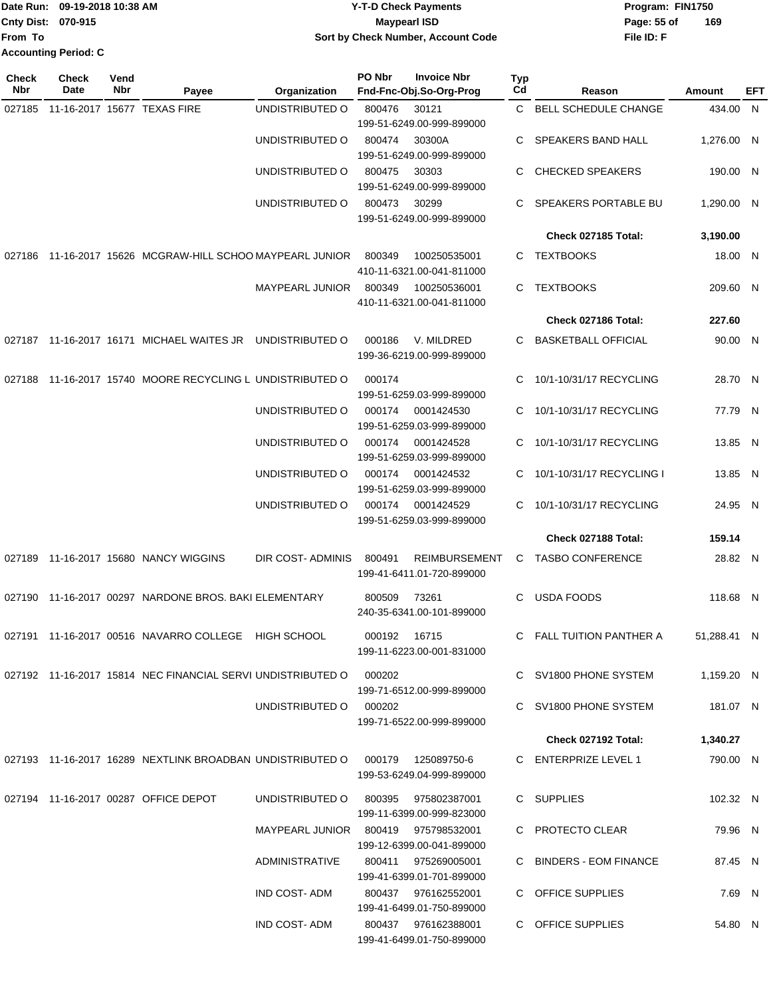|                             | Date Run: 09-19-2018 10:38 AM | <b>Y-T-D Check Payments</b>        | Program: FIN1750   |  |  |
|-----------------------------|-------------------------------|------------------------------------|--------------------|--|--|
| Cnty Dist: 070-915          |                               | <b>Maypearl ISD</b>                | 169<br>Page: 55 of |  |  |
| From To                     |                               | Sort by Check Number, Account Code | File ID: F         |  |  |
| <b>Accounting Period: C</b> |                               |                                    |                    |  |  |

**PO Nbr Invoice Nbr**

**Check**

| Check<br>Nbr | <b>Check</b><br>Date | Vend<br>Nbr | Payee                                                                        | Organization                        | PO Nbr       | <b>Invoice Nbr</b><br>Fnd-Fnc-Obj.So-Org-Prog    | <b>Typ</b><br>Cd | Reason                           | Amount      | EFT |
|--------------|----------------------|-------------|------------------------------------------------------------------------------|-------------------------------------|--------------|--------------------------------------------------|------------------|----------------------------------|-------------|-----|
| 027185       |                      |             | 11-16-2017 15677 TEXAS FIRE                                                  | UNDISTRIBUTED O                     | 800476       | 30121                                            | C.               | BELL SCHEDULE CHANGE             | 434.00 N    |     |
|              |                      |             |                                                                              |                                     |              | 199-51-6249.00-999-899000                        |                  |                                  |             |     |
|              |                      |             |                                                                              | UNDISTRIBUTED O                     | 800474       | 30300A                                           | C                | SPEAKERS BAND HALL               | 1,276.00 N  |     |
|              |                      |             |                                                                              |                                     |              | 199-51-6249.00-999-899000                        |                  |                                  |             |     |
|              |                      |             |                                                                              | UNDISTRIBUTED O                     | 800475       | 30303                                            | C                | <b>CHECKED SPEAKERS</b>          | 190.00 N    |     |
|              |                      |             |                                                                              | UNDISTRIBUTED O                     | 800473       | 199-51-6249.00-999-899000<br>30299               | C                | SPEAKERS PORTABLE BU             | 1,290.00 N  |     |
|              |                      |             |                                                                              |                                     |              | 199-51-6249.00-999-899000                        |                  |                                  |             |     |
|              |                      |             |                                                                              |                                     |              |                                                  |                  | Check 027185 Total:              | 3,190.00    |     |
| 027186       |                      |             | 11-16-2017 15626 MCGRAW-HILL SCHOO MAYPEARL JUNIOR                           |                                     | 800349       | 100250535001                                     | C.               | <b>TEXTBOOKS</b>                 | 18.00 N     |     |
|              |                      |             |                                                                              |                                     |              | 410-11-6321.00-041-811000                        |                  |                                  |             |     |
|              |                      |             |                                                                              | <b>MAYPEARL JUNIOR</b>              | 800349       | 100250536001                                     | C.               | <b>TEXTBOOKS</b>                 | 209.60 N    |     |
|              |                      |             |                                                                              |                                     |              | 410-11-6321.00-041-811000                        |                  |                                  |             |     |
|              |                      |             |                                                                              |                                     |              |                                                  |                  | Check 027186 Total:              | 227.60      |     |
| 027187       |                      |             | 11-16-2017 16171 MICHAEL WAITES JR                                           | UNDISTRIBUTED O                     | 000186       | V. MILDRED                                       | C                | <b>BASKETBALL OFFICIAL</b>       | 90.00 N     |     |
|              |                      |             |                                                                              |                                     |              | 199-36-6219.00-999-899000                        |                  |                                  |             |     |
| 027188       |                      |             | 11-16-2017 15740 MOORE RECYCLING L UNDISTRIBUTED O                           |                                     | 000174       |                                                  | C                | 10/1-10/31/17 RECYCLING          | 28.70 N     |     |
|              |                      |             |                                                                              |                                     |              | 199-51-6259.03-999-899000                        |                  |                                  |             |     |
|              |                      |             |                                                                              | UNDISTRIBUTED O                     | 000174       | 0001424530                                       | C                | 10/1-10/31/17 RECYCLING          | 77.79 N     |     |
|              |                      |             |                                                                              |                                     |              | 199-51-6259.03-999-899000                        |                  |                                  |             |     |
|              |                      |             |                                                                              | UNDISTRIBUTED O                     | 000174       | 0001424528<br>199-51-6259.03-999-899000          | C                | 10/1-10/31/17 RECYCLING          | 13.85 N     |     |
|              |                      |             |                                                                              | UNDISTRIBUTED O                     | 000174       | 0001424532                                       | C                | 10/1-10/31/17 RECYCLING I        | 13.85 N     |     |
|              |                      |             |                                                                              |                                     |              | 199-51-6259.03-999-899000                        |                  |                                  |             |     |
|              |                      |             |                                                                              | UNDISTRIBUTED O                     | 000174       | 0001424529                                       | C.               | 10/1-10/31/17 RECYCLING          | 24.95 N     |     |
|              |                      |             |                                                                              |                                     |              | 199-51-6259.03-999-899000                        |                  |                                  |             |     |
|              |                      |             |                                                                              |                                     |              |                                                  |                  | Check 027188 Total:              | 159.14      |     |
| 027189       |                      |             | 11-16-2017 15680 NANCY WIGGINS                                               | DIR COST-ADMINIS                    | 800491       | <b>REIMBURSEMENT</b>                             | C                | <b>TASBO CONFERENCE</b>          | 28.82 N     |     |
|              |                      |             |                                                                              |                                     |              | 199-41-6411.01-720-899000                        |                  |                                  |             |     |
| 027190       |                      |             | 11-16-2017 00297 NARDONE BROS. BAKI ELEMENTARY                               |                                     | 800509       | 73261                                            | C                | <b>USDA FOODS</b>                | 118.68 N    |     |
|              |                      |             |                                                                              |                                     |              | 240-35-6341.00-101-899000                        |                  |                                  |             |     |
|              |                      |             | 027191 11-16-2017 00516 NAVARRO COLLEGE HIGH SCHOOL                          |                                     | 000192 16715 |                                                  |                  | FALL TUITION PANTHER A           | 51,288.41 N |     |
|              |                      |             |                                                                              |                                     |              | 199-11-6223.00-001-831000                        |                  |                                  |             |     |
|              |                      |             |                                                                              |                                     |              |                                                  |                  |                                  |             |     |
|              |                      |             | 027192 11-16-2017 15814 NEC FINANCIAL SERVI UNDISTRIBUTED O 000202           |                                     |              | 199-71-6512.00-999-899000                        |                  | C SV1800 PHONE SYSTEM 1,159.20 N |             |     |
|              |                      |             |                                                                              | UNDISTRIBUTED O                     | 000202       |                                                  |                  | C SV1800 PHONE SYSTEM            | 181.07 N    |     |
|              |                      |             |                                                                              |                                     |              | 199-71-6522.00-999-899000                        |                  |                                  |             |     |
|              |                      |             |                                                                              |                                     |              |                                                  |                  | Check 027192 Total:              | 1,340.27    |     |
|              |                      |             | 027193 11-16-2017 16289 NEXTLINK BROADBAN UNDISTRIBUTED O 000179 125089750-6 |                                     |              |                                                  |                  | C ENTERPRIZE LEVEL 1             | 790.00 N    |     |
|              |                      |             |                                                                              |                                     |              | 199-53-6249.04-999-899000                        |                  |                                  |             |     |
|              |                      |             | 027194 11-16-2017 00287 OFFICE DEPOT                                         | UNDISTRIBUTED O 800395 975802387001 |              |                                                  |                  | C SUPPLIES                       | 102.32 N    |     |
|              |                      |             |                                                                              |                                     |              | 199-11-6399.00-999-823000                        |                  |                                  |             |     |
|              |                      |             |                                                                              | MAYPEARL JUNIOR 800419 975798532001 |              |                                                  |                  | C PROTECTO CLEAR                 | 79.96 N     |     |
|              |                      |             |                                                                              |                                     |              | 199-12-6399.00-041-899000                        |                  |                                  |             |     |
|              |                      |             |                                                                              | ADMINISTRATIVE                      |              | 800411 975269005001                              |                  | C BINDERS - EOM FINANCE          | 87.45 N     |     |
|              |                      |             |                                                                              |                                     |              | 199-41-6399.01-701-899000                        |                  |                                  |             |     |
|              |                      |             |                                                                              | IND COST- ADM                       |              | 800437 976162552001<br>199-41-6499.01-750-899000 |                  | C OFFICE SUPPLIES                | 7.69 N      |     |
|              |                      |             |                                                                              | IND COST-ADM                        |              | 800437 976162388001                              |                  | C OFFICE SUPPLIES                | 54.80 N     |     |
|              |                      |             |                                                                              |                                     |              | 199-41-6499.01-750-899000                        |                  |                                  |             |     |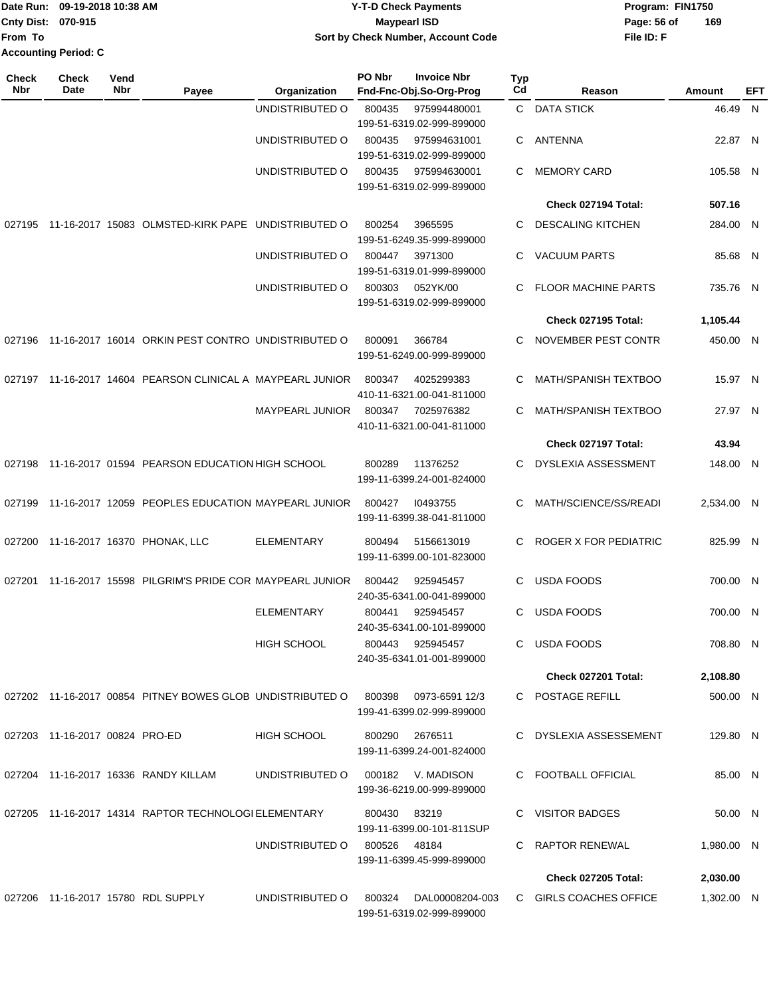|                             | Date Run: 09-19-2018 10:38 AM | <b>Y-T-D Check Payments</b>               | Program: FIN1750 |     |  |
|-----------------------------|-------------------------------|-------------------------------------------|------------------|-----|--|
| Cnty Dist: 070-915          |                               | <b>Mavpearl ISD</b>                       | Page: 56 of      | 169 |  |
| From To                     |                               | <b>Sort by Check Number, Account Code</b> | File ID: F       |     |  |
| <b>Accounting Period: C</b> |                               |                                           |                  |     |  |

| Check<br><b>Nbr</b> | <b>Check</b><br>Date           | Vend<br>Nbr | Payee                                                     | Organization       | PO Nbr       | <b>Invoice Nbr</b><br>Fnd-Fnc-Obj.So-Org-Prog  | Typ<br>Cd | Reason                      | Amount     | EFT |
|---------------------|--------------------------------|-------------|-----------------------------------------------------------|--------------------|--------------|------------------------------------------------|-----------|-----------------------------|------------|-----|
|                     |                                |             |                                                           | UNDISTRIBUTED O    | 800435       | 975994480001<br>199-51-6319.02-999-899000      |           | C DATA STICK                | 46.49 N    |     |
|                     |                                |             |                                                           | UNDISTRIBUTED O    | 800435       | 975994631001<br>199-51-6319.02-999-899000      | C.        | <b>ANTENNA</b>              | 22.87 N    |     |
|                     |                                |             |                                                           | UNDISTRIBUTED O    | 800435       | 975994630001<br>199-51-6319.02-999-899000      | C.        | <b>MEMORY CARD</b>          | 105.58 N   |     |
|                     |                                |             |                                                           |                    |              |                                                |           | Check 027194 Total:         | 507.16     |     |
| 027195              |                                |             | 11-16-2017 15083 OLMSTED-KIRK PAPE UNDISTRIBUTED O        |                    | 800254       | 3965595<br>199-51-6249.35-999-899000           | C.        | <b>DESCALING KITCHEN</b>    | 284.00 N   |     |
|                     |                                |             |                                                           | UNDISTRIBUTED O    | 800447       | 3971300<br>199-51-6319.01-999-899000           | C.        | <b>VACUUM PARTS</b>         | 85.68 N    |     |
|                     |                                |             |                                                           | UNDISTRIBUTED O    | 800303       | 052YK/00<br>199-51-6319.02-999-899000          | C         | <b>FLOOR MACHINE PARTS</b>  | 735.76 N   |     |
|                     |                                |             |                                                           |                    |              |                                                |           | Check 027195 Total:         | 1,105.44   |     |
|                     |                                |             | 027196 11-16-2017 16014 ORKIN PEST CONTRO UNDISTRIBUTED O |                    | 800091       | 366784<br>199-51-6249.00-999-899000            | C         | NOVEMBER PEST CONTR         | 450.00 N   |     |
| 027197              |                                |             | 11-16-2017 14604 PEARSON CLINICAL A MAYPEARL JUNIOR       |                    | 800347       | 4025299383<br>410-11-6321.00-041-811000        | C         | <b>MATH/SPANISH TEXTBOO</b> | 15.97 N    |     |
|                     |                                |             |                                                           | MAYPEARL JUNIOR    | 800347       | 7025976382<br>410-11-6321.00-041-811000        | C         | MATH/SPANISH TEXTBOO        | 27.97 N    |     |
|                     |                                |             |                                                           |                    |              |                                                |           | Check 027197 Total:         | 43.94      |     |
| 027198              |                                |             | 11-16-2017 01594 PEARSON EDUCATION HIGH SCHOOL            |                    | 800289       | 11376252<br>199-11-6399.24-001-824000          | C.        | <b>DYSLEXIA ASSESSMENT</b>  | 148.00 N   |     |
| 027199              |                                |             | 11-16-2017 12059 PEOPLES EDUCATION MAYPEARL JUNIOR        |                    | 800427       | 10493755<br>199-11-6399.38-041-811000          | C         | MATH/SCIENCE/SS/READI       | 2,534.00 N |     |
| 027200              |                                |             | 11-16-2017 16370 PHONAK, LLC                              | <b>ELEMENTARY</b>  | 800494       | 5156613019<br>199-11-6399.00-101-823000        | C.        | ROGER X FOR PEDIATRIC       | 825.99 N   |     |
| 027201              |                                |             | 11-16-2017 15598 PILGRIM'S PRIDE COR MAYPEARL JUNIOR      |                    | 800442       | 925945457<br>240-35-6341.00-041-899000         | C         | <b>USDA FOODS</b>           | 700.00 N   |     |
|                     |                                |             |                                                           | <b>ELEMENTARY</b>  | 800441       | 925945457<br>240-35-6341.00-101-899000         | C         | <b>USDA FOODS</b>           | 700.00 N   |     |
|                     |                                |             |                                                           | <b>HIGH SCHOOL</b> | 800443       | 925945457<br>240-35-6341.01-001-899000         |           | C USDA FOODS                | 708.80 N   |     |
|                     |                                |             |                                                           |                    |              |                                                |           | Check 027201 Total:         | 2,108.80   |     |
|                     |                                |             | 027202 11-16-2017 00854 PITNEY BOWES GLOB UNDISTRIBUTED O |                    | 800398       | 0973-6591 12/3<br>199-41-6399.02-999-899000    |           | C POSTAGE REFILL            | 500.00 N   |     |
|                     | 027203 11-16-2017 00824 PRO-ED |             |                                                           | <b>HIGH SCHOOL</b> | 800290       | 2676511<br>199-11-6399.24-001-824000           |           | C DYSLEXIA ASSESSEMENT      | 129.80 N   |     |
|                     |                                |             | 027204 11-16-2017 16336 RANDY KILLAM                      | UNDISTRIBUTED O    |              | 000182 V. MADISON<br>199-36-6219.00-999-899000 |           | C FOOTBALL OFFICIAL         | 85.00 N    |     |
|                     |                                |             | 027205 11-16-2017 14314 RAPTOR TECHNOLOGI ELEMENTARY      |                    | 800430       | 83219<br>199-11-6399.00-101-811SUP             |           | C VISITOR BADGES            | 50.00 N    |     |
|                     |                                |             |                                                           | UNDISTRIBUTED O    | 800526 48184 | 199-11-6399.45-999-899000                      |           | C RAPTOR RENEWAL            | 1,980.00 N |     |
|                     |                                |             |                                                           |                    |              |                                                |           | Check 027205 Total:         | 2,030.00   |     |
|                     |                                |             | 027206 11-16-2017 15780 RDL SUPPLY                        | UNDISTRIBUTED O    | 800324       | DAL00008204-003<br>199-51-6319.02-999-899000   |           | C GIRLS COACHES OFFICE      | 1,302.00 N |     |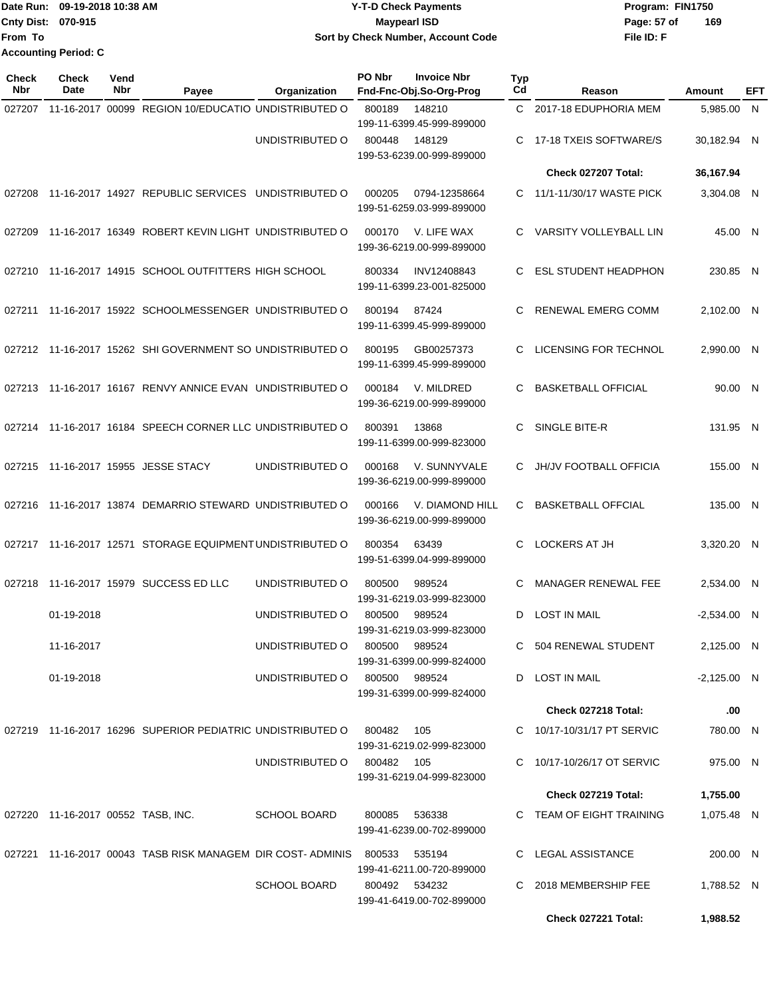|                             | Date Run: 09-19-2018 10:38 AM | <b>Y-T-D Check Payments</b>        | Program: FIN1750   |  |
|-----------------------------|-------------------------------|------------------------------------|--------------------|--|
| Cnty Dist: 070-915          |                               | Maypearl ISD                       | 169<br>Page: 57 of |  |
| <b>From To</b>              |                               | Sort by Check Number, Account Code | File ID: F         |  |
| <b>Accounting Period: C</b> |                               |                                    |                    |  |

| Check<br><b>Nbr</b> | <b>Check</b><br>Date               | Vend<br>Nbr | Payee                                                                    | Organization                  | PO Nbr        | <b>Invoice Nbr</b><br>Fnd-Fnc-Obj.So-Org-Prog | <b>Typ</b><br>Cd | Reason                        | Amount        | EFT          |
|---------------------|------------------------------------|-------------|--------------------------------------------------------------------------|-------------------------------|---------------|-----------------------------------------------|------------------|-------------------------------|---------------|--------------|
| 027207              |                                    |             | 11-16-2017 00099 REGION 10/EDUCATIO UNDISTRIBUTED O                      |                               | 800189        | 148210<br>199-11-6399.45-999-899000           | C.               | 2017-18 EDUPHORIA MEM         | 5,985.00      | $\mathsf{N}$ |
|                     |                                    |             |                                                                          | UNDISTRIBUTED O               | 800448        | 148129<br>199-53-6239.00-999-899000           | C                | 17-18 TXEIS SOFTWARE/S        | 30,182.94 N   |              |
|                     |                                    |             |                                                                          |                               |               |                                               |                  | Check 027207 Total:           | 36,167.94     |              |
| 027208              |                                    |             | 11-16-2017 14927 REPUBLIC SERVICES                                       | UNDISTRIBUTED O               | 000205        | 0794-12358664<br>199-51-6259.03-999-899000    | C.               | 11/1-11/30/17 WASTE PICK      | 3,304.08 N    |              |
| 027209              |                                    |             | 11-16-2017 16349 ROBERT KEVIN LIGHT UNDISTRIBUTED O                      |                               | 000170        | V. LIFE WAX<br>199-36-6219.00-999-899000      | C.               | VARSITY VOLLEYBALL LIN        | 45.00 N       |              |
| 027210              |                                    |             | 11-16-2017 14915 SCHOOL OUTFITTERS HIGH SCHOOL                           |                               | 800334        | INV12408843<br>199-11-6399.23-001-825000      | C.               | <b>ESL STUDENT HEADPHON</b>   | 230.85 N      |              |
| 027211              |                                    |             | 11-16-2017 15922 SCHOOLMESSENGER UNDISTRIBUTED O                         |                               | 800194        | 87424<br>199-11-6399.45-999-899000            | C                | RENEWAL EMERG COMM            | 2,102.00 N    |              |
|                     |                                    |             | 027212 11-16-2017 15262 SHI GOVERNMENT SO UNDISTRIBUTED O                |                               | 800195        | GB00257373<br>199-11-6399.45-999-899000       | C                | <b>LICENSING FOR TECHNOL</b>  | 2,990.00 N    |              |
| 027213              |                                    |             | 11-16-2017 16167 RENVY ANNICE EVAN UNDISTRIBUTED O                       |                               | 000184        | V. MILDRED<br>199-36-6219.00-999-899000       | C                | <b>BASKETBALL OFFICIAL</b>    | 90.00 N       |              |
|                     |                                    |             | 027214 11-16-2017 16184 SPEECH CORNER LLC UNDISTRIBUTED O                |                               | 800391        | 13868<br>199-11-6399.00-999-823000            | C                | SINGLE BITE-R                 | 131.95 N      |              |
| 027215              |                                    |             | 11-16-2017 15955 JESSE STACY                                             | UNDISTRIBUTED O               | 000168        | V. SUNNYVALE<br>199-36-6219.00-999-899000     | C.               | <b>JH/JV FOOTBALL OFFICIA</b> | 155.00 N      |              |
| 027216              |                                    |             | 11-16-2017 13874 DEMARRIO STEWARD UNDISTRIBUTED O                        |                               | 000166        | V. DIAMOND HILL<br>199-36-6219.00-999-899000  | C                | <b>BASKETBALL OFFCIAL</b>     | 135.00 N      |              |
| 027217              |                                    |             | 11-16-2017 12571 STORAGE EQUIPMENT UNDISTRIBUTED O                       |                               | 800354        | 63439<br>199-51-6399.04-999-899000            | C                | <b>LOCKERS AT JH</b>          | 3,320.20 N    |              |
| 027218              |                                    |             | 11-16-2017 15979 SUCCESS ED LLC                                          | UNDISTRIBUTED O               | 800500        | 989524<br>199-31-6219.03-999-823000           | C                | MANAGER RENEWAL FEE           | 2,534.00 N    |              |
|                     | 01-19-2018                         |             |                                                                          | UNDISTRIBUTED O               | 800500        | 989524<br>199-31-6219.03-999-823000           | D                | <b>LOST IN MAIL</b>           | $-2,534.00$ N |              |
|                     | 11-16-2017                         |             |                                                                          | UNDISTRIBUTED O               | 800500        | 989524<br>199-31-6399.00-999-824000           |                  | C 504 RENEWAL STUDENT         | 2,125.00 N    |              |
|                     | 01-19-2018                         |             |                                                                          | UNDISTRIBUTED O 800500 989524 |               | 199-31-6399.00-999-824000                     |                  | D LOST IN MAIL                | $-2,125.00$ N |              |
|                     |                                    |             |                                                                          |                               |               |                                               |                  | Check 027218 Total:           | .00           |              |
|                     |                                    |             |                                                                          |                               | 800482        | 105<br>199-31-6219.02-999-823000              |                  | C 10/17-10/31/17 PT SERVIC    | 780.00 N      |              |
|                     |                                    |             |                                                                          | UNDISTRIBUTED O 800482 105    |               | 199-31-6219.04-999-823000                     |                  | C 10/17-10/26/17 OT SERVIC    | 975.00 N      |              |
|                     |                                    |             |                                                                          |                               |               |                                               |                  | Check 027219 Total:           | 1,755.00      |              |
|                     | 027220 11-16-2017 00552 TASB, INC. |             |                                                                          | <b>SCHOOL BOARD</b>           | 800085 536338 | 199-41-6239.00-702-899000                     |                  | C TEAM OF EIGHT TRAINING      | 1,075.48 N    |              |
|                     |                                    |             | 027221 11-16-2017 00043 TASB RISK MANAGEM DIR COST-ADMINIS 800533 535194 |                               |               | 199-41-6211.00-720-899000                     |                  | C LEGAL ASSISTANCE            | 200.00 N      |              |
|                     |                                    |             |                                                                          | <b>SCHOOL BOARD</b>           | 800492 534232 | 199-41-6419.00-702-899000                     |                  | C 2018 MEMBERSHIP FEE         | 1,788.52 N    |              |
|                     |                                    |             |                                                                          |                               |               |                                               |                  | Check 027221 Total:           | 1,988.52      |              |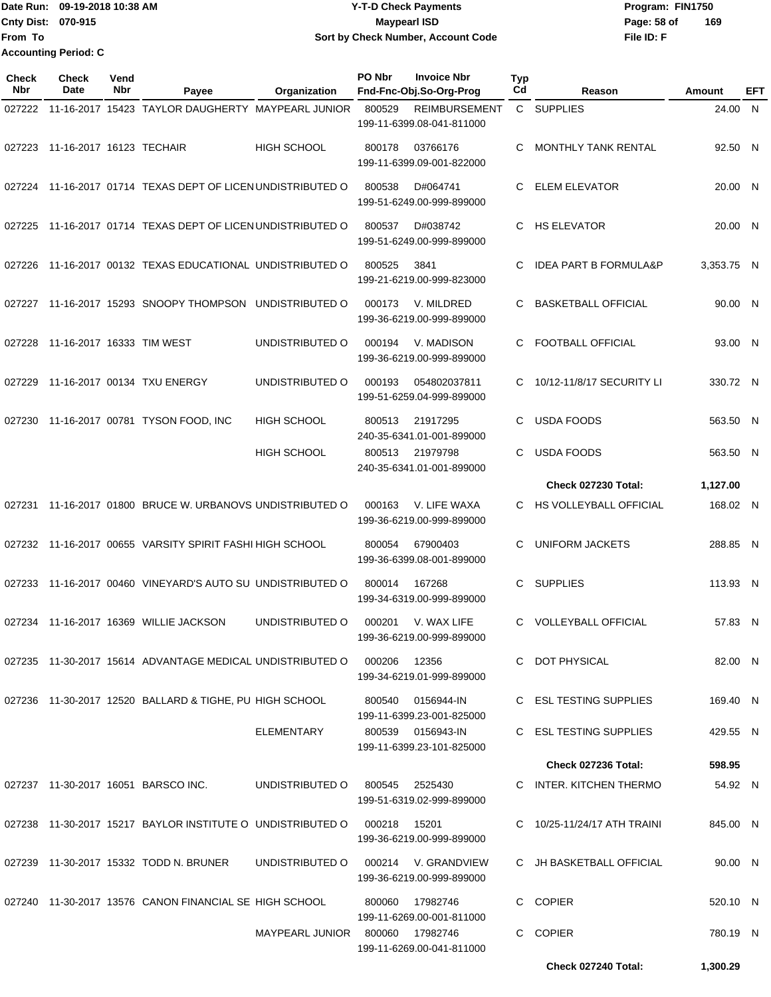Date Run: 09-19-2018 10:38 AM **Date Runity Constructs** Program: FIN1750 **Cnty Dist:** 070-915 **Page: 58 of MaypearI ISD Page: 58 of File ID: F From To 09-19-2018 10:38 AM Y-T-D Check Payments 070-915 Maypearl ISD Sort by Check Number, Account Code 169 Accounting Period: C**

| <b>Check</b><br><b>Nbr</b> | <b>Check</b><br>Date      | Vend<br>Nbr | Payee                                                      | Organization           | PO Nbr        | <b>Invoice Nbr</b><br>Fnd-Fnc-Obj.So-Org-Prog     | Typ<br>Cd | Reason                           | Amount     | EFT          |
|----------------------------|---------------------------|-------------|------------------------------------------------------------|------------------------|---------------|---------------------------------------------------|-----------|----------------------------------|------------|--------------|
| 027222                     |                           |             | 11-16-2017 15423 TAYLOR DAUGHERTY MAYPEARL JUNIOR          |                        | 800529        | <b>REIMBURSEMENT</b><br>199-11-6399.08-041-811000 |           | C SUPPLIES                       | 24.00      | N            |
| 027223                     | 11-16-2017 16123 TECHAIR  |             |                                                            | <b>HIGH SCHOOL</b>     | 800178        | 03766176<br>199-11-6399.09-001-822000             | C         | <b>MONTHLY TANK RENTAL</b>       | 92.50 N    |              |
| 027224                     |                           |             | 11-16-2017 01714 TEXAS DEPT OF LICEN UNDISTRIBUTED O       |                        | 800538        | D#064741<br>199-51-6249.00-999-899000             | C         | <b>ELEM ELEVATOR</b>             | 20.00 N    |              |
| 027225                     |                           |             | 11-16-2017 01714 TEXAS DEPT OF LICEN UNDISTRIBUTED O       |                        | 800537        | D#038742<br>199-51-6249.00-999-899000             | C         | <b>HS ELEVATOR</b>               | 20.00 N    |              |
| 027226                     |                           |             | 11-16-2017 00132 TEXAS EDUCATIONAL UNDISTRIBUTED O         |                        | 800525        | 3841<br>199-21-6219.00-999-823000                 | C         | <b>IDEA PART B FORMULA&amp;P</b> | 3,353.75 N |              |
| 027227                     |                           |             | 11-16-2017 15293 SNOOPY THOMPSON                           | UNDISTRIBUTED O        | 000173        | V. MILDRED<br>199-36-6219.00-999-899000           | C         | <b>BASKETBALL OFFICIAL</b>       | 90.00 N    |              |
| 027228                     | 11-16-2017 16333 TIM WEST |             |                                                            | UNDISTRIBUTED O        | 000194        | V. MADISON<br>199-36-6219.00-999-899000           | C         | FOOTBALL OFFICIAL                | 93.00 N    |              |
| 027229                     |                           |             | 11-16-2017 00134 TXU ENERGY                                | UNDISTRIBUTED O        | 000193        | 054802037811<br>199-51-6259.04-999-899000         | C         | 10/12-11/8/17 SECURITY LI        | 330.72 N   |              |
| 027230                     |                           |             | 11-16-2017 00781 TYSON FOOD, INC                           | <b>HIGH SCHOOL</b>     | 800513        | 21917295<br>240-35-6341.01-001-899000             | C         | <b>USDA FOODS</b>                | 563.50 N   |              |
|                            |                           |             |                                                            | <b>HIGH SCHOOL</b>     | 800513        | 21979798<br>240-35-6341.01-001-899000             | C         | <b>USDA FOODS</b>                | 563.50 N   |              |
|                            |                           |             |                                                            |                        |               |                                                   |           | <b>Check 027230 Total:</b>       | 1,127.00   |              |
| 027231                     |                           |             | 11-16-2017 01800 BRUCE W. URBANOVS UNDISTRIBUTED O         |                        | 000163        | V. LIFE WAXA<br>199-36-6219.00-999-899000         | C.        | HS VOLLEYBALL OFFICIAL           | 168.02 N   |              |
|                            |                           |             | 027232 11-16-2017 00655 VARSITY SPIRIT FASHI HIGH SCHOOL   |                        | 800054        | 67900403<br>199-36-6399.08-001-899000             | С         | UNIFORM JACKETS                  | 288.85     | $\mathsf{N}$ |
| 027233                     |                           |             | 11-16-2017 00460 VINEYARD'S AUTO SU UNDISTRIBUTED O        |                        | 800014        | 167268<br>199-34-6319.00-999-899000               | С         | <b>SUPPLIES</b>                  | 113.93 N   |              |
| 027234                     |                           |             | 11-16-2017 16369 WILLIE JACKSON                            | UNDISTRIBUTED O        | 000201        | V. WAX LIFE<br>199-36-6219.00-999-899000          | C         | <b>VOLLEYBALL OFFICIAL</b>       | 57.83 N    |              |
|                            |                           |             | 027235 11-30-2017 15614 ADVANTAGE MEDICAL UNDISTRIBUTED O  |                        | 000206        | 12356<br>199-34-6219.01-999-899000                |           | C DOT PHYSICAL                   | 82.00 N    |              |
|                            |                           |             | 027236 11-30-2017 12520 BALLARD & TIGHE, PU HIGH SCHOOL    |                        | 800540        | 0156944-IN<br>199-11-6399.23-001-825000           |           | C ESL TESTING SUPPLIES           | 169.40 N   |              |
|                            |                           |             |                                                            | ELEMENTARY             |               | 800539 0156943-IN<br>199-11-6399.23-101-825000    |           | C ESL TESTING SUPPLIES           | 429.55 N   |              |
|                            |                           |             |                                                            |                        |               |                                                   |           | <b>Check 027236 Total:</b>       | 598.95     |              |
|                            |                           |             | 027237 11-30-2017 16051 BARSCO INC.                        | UNDISTRIBUTED O        |               | 800545 2525430<br>199-51-6319.02-999-899000       |           | C INTER. KITCHEN THERMO          | 54.92 N    |              |
|                            |                           |             | 027238 11-30-2017 15217 BAYLOR INSTITUTE O UNDISTRIBUTED O |                        | 000218  15201 | 199-36-6219.00-999-899000                         |           | C 10/25-11/24/17 ATH TRAINI      | 845.00 N   |              |
|                            |                           |             | 027239 11-30-2017 15332 TODD N. BRUNER                     | UNDISTRIBUTED O        |               | 000214 V. GRANDVIEW<br>199-36-6219.00-999-899000  |           | C JH BASKETBALL OFFICIAL         | 90.00 N    |              |
|                            |                           |             | 027240 11-30-2017 13576 CANON FINANCIAL SE HIGH SCHOOL     |                        | 800060        | 17982746<br>199-11-6269.00-001-811000             |           | C COPIER                         | 520.10 N   |              |
|                            |                           |             |                                                            | MAYPEARL JUNIOR 800060 |               | 17982746<br>199-11-6269.00-041-811000             |           | C COPIER                         | 780.19 N   |              |
|                            |                           |             |                                                            |                        |               |                                                   |           | Check 027240 Total:              | 1,300.29   |              |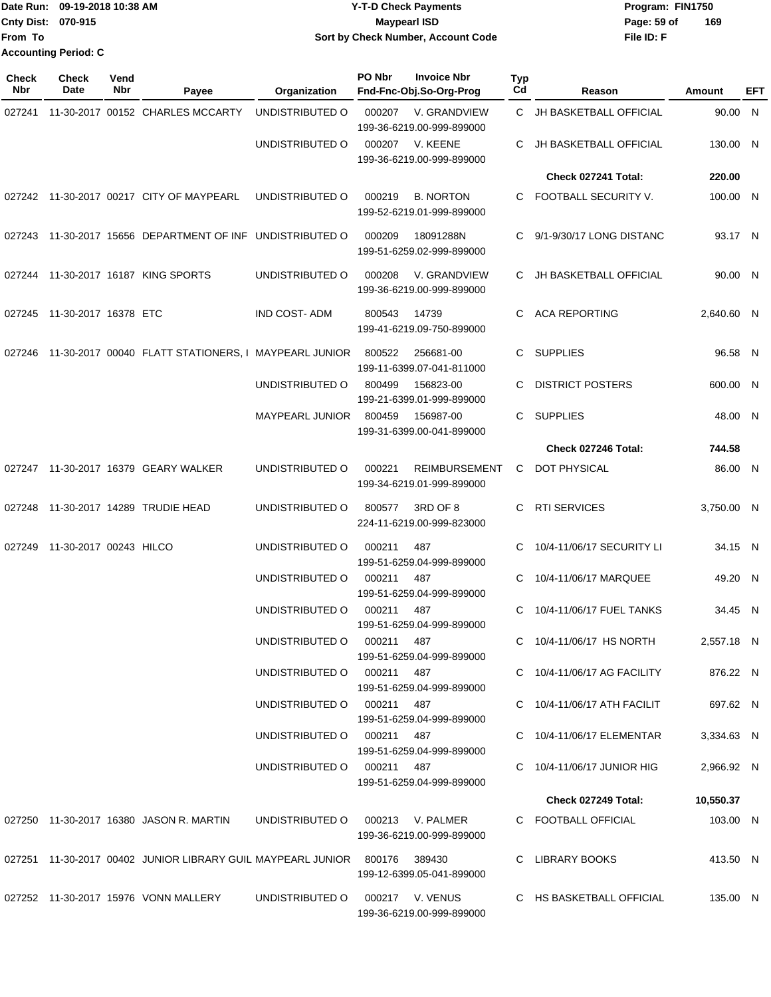Date Run: 09-19-2018 10:38 AM **CONTEX 18 AM CONTEX 18 AM CONTEX 17-T-D** Check Payments **CONTEX 18 AM CONTEX 18 AM CONTEX 18 AM CONTEX 18 AM CONTEX 18 AM CONTEX 18 AM CONTEX 18 AM CONTEX 18 AM CONTEX 19 AM CONTEX 19 AM CONT Cnty Dist:** 070-915 **Page: 59 of Page: 59 of File ID: F From To 09-19-2018 10:38 AM Y-T-D Check Payments 070-915 Maypearl ISD Sort by Check Number, Account Code 169 Accounting Period: C**

| <b>Check</b><br>Nbr | <b>Check</b><br>Date        | Vend<br>Nbr | Payee                                                                     | Organization                     | PO Nbr | <b>Invoice Nbr</b><br>Fnd-Fnc-Obj.So-Org-Prog     | Typ<br>Cd | Reason                        | Amount     | EFT |
|---------------------|-----------------------------|-------------|---------------------------------------------------------------------------|----------------------------------|--------|---------------------------------------------------|-----------|-------------------------------|------------|-----|
| 027241              |                             |             | 11-30-2017 00152 CHARLES MCCARTY                                          | UNDISTRIBUTED O                  | 000207 | V. GRANDVIEW<br>199-36-6219.00-999-899000         | C.        | JH BASKETBALL OFFICIAL        | 90.00 N    |     |
|                     |                             |             |                                                                           | UNDISTRIBUTED O                  | 000207 | V. KEENE<br>199-36-6219.00-999-899000             | C         | <b>JH BASKETBALL OFFICIAL</b> | 130.00 N   |     |
|                     |                             |             |                                                                           |                                  |        |                                                   |           | Check 027241 Total:           | 220.00     |     |
|                     |                             |             | 027242 11-30-2017 00217 CITY OF MAYPEARL                                  | UNDISTRIBUTED O                  | 000219 | <b>B. NORTON</b><br>199-52-6219.01-999-899000     | C.        | FOOTBALL SECURITY V.          | 100.00 N   |     |
|                     |                             |             | 027243 11-30-2017 15656 DEPARTMENT OF INF UNDISTRIBUTED O                 |                                  | 000209 | 18091288N<br>199-51-6259.02-999-899000            | C         | 9/1-9/30/17 LONG DISTANC      | 93.17 N    |     |
| 027244              |                             |             | 11-30-2017 16187 KING SPORTS                                              | UNDISTRIBUTED O                  | 000208 | V. GRANDVIEW<br>199-36-6219.00-999-899000         | C         | <b>JH BASKETBALL OFFICIAL</b> | 90.00 N    |     |
|                     | 027245 11-30-2017 16378 ETC |             |                                                                           | <b>IND COST-ADM</b>              | 800543 | 14739<br>199-41-6219.09-750-899000                | C.        | ACA REPORTING                 | 2,640.60 N |     |
| 027246              |                             |             | 11-30-2017 00040 FLATT STATIONERS, I MAYPEARL JUNIOR                      |                                  | 800522 | 256681-00<br>199-11-6399.07-041-811000            | C         | <b>SUPPLIES</b>               | 96.58 N    |     |
|                     |                             |             |                                                                           | UNDISTRIBUTED O                  | 800499 | 156823-00<br>199-21-6399.01-999-899000            | C         | <b>DISTRICT POSTERS</b>       | 600.00 N   |     |
|                     |                             |             |                                                                           | <b>MAYPEARL JUNIOR</b>           | 800459 | 156987-00<br>199-31-6399.00-041-899000            | C.        | <b>SUPPLIES</b>               | 48.00 N    |     |
|                     |                             |             |                                                                           |                                  |        |                                                   |           | Check 027246 Total:           | 744.58     |     |
|                     |                             |             | 027247 11-30-2017 16379 GEARY WALKER                                      | UNDISTRIBUTED O                  | 000221 | <b>REIMBURSEMENT</b><br>199-34-6219.01-999-899000 | C         | DOT PHYSICAL                  | 86.00 N    |     |
| 027248              |                             |             | 11-30-2017 14289 TRUDIE HEAD                                              | UNDISTRIBUTED O                  | 800577 | 3RD OF 8<br>224-11-6219.00-999-823000             | C         | <b>RTI SERVICES</b>           | 3,750.00 N |     |
| 027249              | 11-30-2017 00243 HILCO      |             |                                                                           | UNDISTRIBUTED O                  | 000211 | 487<br>199-51-6259.04-999-899000                  | C         | 10/4-11/06/17 SECURITY LI     | 34.15 N    |     |
|                     |                             |             |                                                                           | UNDISTRIBUTED O                  | 000211 | 487<br>199-51-6259.04-999-899000                  | C         | 10/4-11/06/17 MARQUEE         | 49.20 N    |     |
|                     |                             |             |                                                                           | UNDISTRIBUTED O                  | 000211 | 487<br>199-51-6259.04-999-899000                  | C         | 10/4-11/06/17 FUEL TANKS      | 34.45 N    |     |
|                     |                             |             |                                                                           | UNDISTRIBUTED O 000211 487       |        | 199-51-6259.04-999-899000                         |           | C 10/4-11/06/17 HS NORTH      | 2,557.18 N |     |
|                     |                             |             |                                                                           | UNDISTRIBUTED O 000211 487       |        | 199-51-6259.04-999-899000                         |           | C 10/4-11/06/17 AG FACILITY   | 876.22 N   |     |
|                     |                             |             |                                                                           | UNDISTRIBUTED O 000211 487       |        | 199-51-6259.04-999-899000                         |           | C 10/4-11/06/17 ATH FACILIT   | 697.62 N   |     |
|                     |                             |             |                                                                           | UNDISTRIBUTED O 000211 487       |        | 199-51-6259.04-999-899000                         |           | C 10/4-11/06/17 ELEMENTAR     | 3,334.63 N |     |
|                     |                             |             |                                                                           | UNDISTRIBUTED O 000211 487       |        | 199-51-6259.04-999-899000                         |           | C 10/4-11/06/17 JUNIOR HIG    | 2,966.92 N |     |
|                     |                             |             |                                                                           |                                  |        |                                                   |           | Check 027249 Total:           | 10,550.37  |     |
|                     |                             |             | 027250  11-30-2017  16380  JASON R. MARTIN                                | UNDISTRIBUTED O 000213 V. PALMER |        | 199-36-6219.00-999-899000                         |           | C FOOTBALL OFFICIAL           | 103.00 N   |     |
|                     |                             |             | 027251 11-30-2017 00402 JUNIOR LIBRARY GUIL MAYPEARL JUNIOR 800176 389430 |                                  |        | 199-12-6399.05-041-899000                         |           | C LIBRARY BOOKS               | 413.50 N   |     |
|                     |                             |             | 027252 11-30-2017 15976 VONN MALLERY                                      | UNDISTRIBUTED 0 000217 V. VENUS  |        | 199-36-6219.00-999-899000                         |           | C HS BASKETBALL OFFICIAL      | 135.00 N   |     |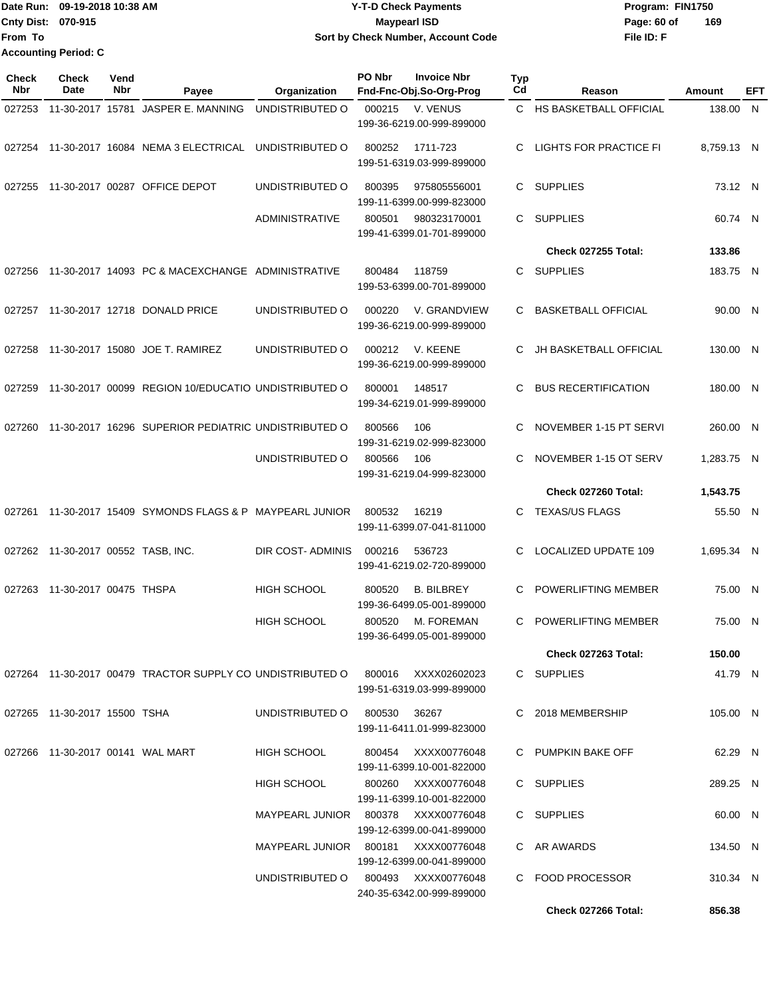Date Run: 09-19-2018 10:38 AM **CONTEX 18 AM CONTEX 18 AM CONTEX 17-T-D** Check Payments **CONTEX 18 AM CONTEX 18 AM CONTEX 18 AM CONTEX 18 AM CONTEX 18 AM CONTEX 18 AM CONTEX 18 AM CONTEX 18 AM CONTEX 19 AM CONTEX 19 AM CONT Cnty Dist:** 070-915 **Page: 60 of MaypearI ISD Page: 60 of File ID: F From To 09-19-2018 10:38 AM Y-T-D Check Payments 070-915 Maypearl ISD Sort by Check Number, Account Code 169 Accounting Period: C**

| Check<br><b>Nbr</b> | <b>Check</b><br>Date               | Vend<br>Nbr | Payee                                                                              | Organization                        | PO Nbr | <b>Invoice Nbr</b><br>Fnd-Fnc-Obj.So-Org-Prog    | <b>Typ</b><br>Cd | Reason                        | Amount     | EFT |
|---------------------|------------------------------------|-------------|------------------------------------------------------------------------------------|-------------------------------------|--------|--------------------------------------------------|------------------|-------------------------------|------------|-----|
| 027253              |                                    |             | 11-30-2017 15781 JASPER E. MANNING                                                 | UNDISTRIBUTED O                     | 000215 | V. VENUS<br>199-36-6219.00-999-899000            |                  | C HS BASKETBALL OFFICIAL      | 138.00 N   |     |
| 027254              |                                    |             | 11-30-2017 16084 NEMA 3 ELECTRICAL                                                 | UNDISTRIBUTED O                     | 800252 | 1711-723<br>199-51-6319.03-999-899000            | C                | <b>LIGHTS FOR PRACTICE FI</b> | 8,759.13 N |     |
| 027255              |                                    |             | 11-30-2017 00287 OFFICE DEPOT                                                      | UNDISTRIBUTED O                     | 800395 | 975805556001<br>199-11-6399.00-999-823000        | C                | <b>SUPPLIES</b>               | 73.12 N    |     |
|                     |                                    |             |                                                                                    | <b>ADMINISTRATIVE</b>               | 800501 | 980323170001<br>199-41-6399.01-701-899000        | C                | <b>SUPPLIES</b>               | 60.74 N    |     |
|                     |                                    |             |                                                                                    |                                     |        |                                                  |                  | <b>Check 027255 Total:</b>    | 133.86     |     |
| 027256              |                                    |             | 11-30-2017 14093 PC & MACEXCHANGE ADMINISTRATIVE                                   |                                     | 800484 | 118759<br>199-53-6399.00-701-899000              | C.               | <b>SUPPLIES</b>               | 183.75 N   |     |
| 027257              |                                    |             | 11-30-2017 12718 DONALD PRICE                                                      | UNDISTRIBUTED O                     | 000220 | V. GRANDVIEW<br>199-36-6219.00-999-899000        | C.               | <b>BASKETBALL OFFICIAL</b>    | 90.00 N    |     |
| 027258              |                                    |             | 11-30-2017 15080 JOE T. RAMIREZ                                                    | UNDISTRIBUTED O                     | 000212 | V. KEENE<br>199-36-6219.00-999-899000            | C                | <b>JH BASKETBALL OFFICIAL</b> | 130.00 N   |     |
| 027259              |                                    |             | 11-30-2017 00099 REGION 10/EDUCATIO UNDISTRIBUTED O                                |                                     | 800001 | 148517<br>199-34-6219.01-999-899000              | C                | <b>BUS RECERTIFICATION</b>    | 180.00 N   |     |
| 027260              |                                    |             | 11-30-2017 16296 SUPERIOR PEDIATRIC UNDISTRIBUTED O                                |                                     | 800566 | 106<br>199-31-6219.02-999-823000                 | C                | NOVEMBER 1-15 PT SERVI        | 260.00 N   |     |
|                     |                                    |             |                                                                                    | UNDISTRIBUTED O                     | 800566 | 106<br>199-31-6219.04-999-823000                 | C.               | NOVEMBER 1-15 OT SERV         | 1,283.75 N |     |
|                     |                                    |             |                                                                                    |                                     |        |                                                  |                  | Check 027260 Total:           | 1,543.75   |     |
| 027261              |                                    |             | 11-30-2017 15409 SYMONDS FLAGS & P MAYPEARL JUNIOR                                 |                                     | 800532 | 16219<br>199-11-6399.07-041-811000               | C.               | <b>TEXAS/US FLAGS</b>         | 55.50 N    |     |
|                     | 027262 11-30-2017 00552 TASB, INC. |             |                                                                                    | DIR COST-ADMINIS                    | 000216 | 536723<br>199-41-6219.02-720-899000              | C.               | LOCALIZED UPDATE 109          | 1,695.34 N |     |
| 027263              | 11-30-2017 00475 THSPA             |             |                                                                                    | <b>HIGH SCHOOL</b>                  | 800520 | <b>B. BILBREY</b><br>199-36-6499.05-001-899000   | C                | POWERLIFTING MEMBER           | 75.00 N    |     |
|                     |                                    |             |                                                                                    | <b>HIGH SCHOOL</b>                  | 800520 | M. FOREMAN<br>199-36-6499.05-001-899000          | C                | POWERLIFTING MEMBER           | 75.00 N    |     |
|                     |                                    |             |                                                                                    |                                     |        |                                                  |                  | Check 027263 Total:           | 150.00     |     |
|                     |                                    |             | 027264  11-30-2017  00479  TRACTOR SUPPLY CO UNDISTRIBUTED O  800016  XXXX02602023 |                                     |        | 199-51-6319.03-999-899000                        |                  | C SUPPLIES                    | 41.79 N    |     |
|                     | 027265 11-30-2017 15500 TSHA       |             |                                                                                    | UNDISTRIBUTED O                     | 800530 | 36267<br>199-11-6411.01-999-823000               |                  | C 2018 MEMBERSHIP             | 105.00 N   |     |
|                     | 027266 11-30-2017 00141 WAL MART   |             |                                                                                    | <b>HIGH SCHOOL</b>                  |        | 800454 XXXX00776048<br>199-11-6399.10-001-822000 |                  | C PUMPKIN BAKE OFF            | 62.29 N    |     |
|                     |                                    |             |                                                                                    | HIGH SCHOOL                         |        | 800260 XXXX00776048<br>199-11-6399.10-001-822000 |                  | C SUPPLIES                    | 289.25 N   |     |
|                     |                                    |             |                                                                                    | MAYPEARL JUNIOR 800378 XXXX00776048 |        | 199-12-6399.00-041-899000                        |                  | C SUPPLIES                    | 60.00 N    |     |
|                     |                                    |             |                                                                                    | MAYPEARL JUNIOR 800181 XXXX00776048 |        | 199-12-6399.00-041-899000                        |                  | C AR AWARDS                   | 134.50 N   |     |
|                     |                                    |             |                                                                                    | UNDISTRIBUTED O 800493 XXXX00776048 |        | 240-35-6342.00-999-899000                        |                  | C FOOD PROCESSOR              | 310.34 N   |     |
|                     |                                    |             |                                                                                    |                                     |        |                                                  |                  | Check 027266 Total:           | 856.38     |     |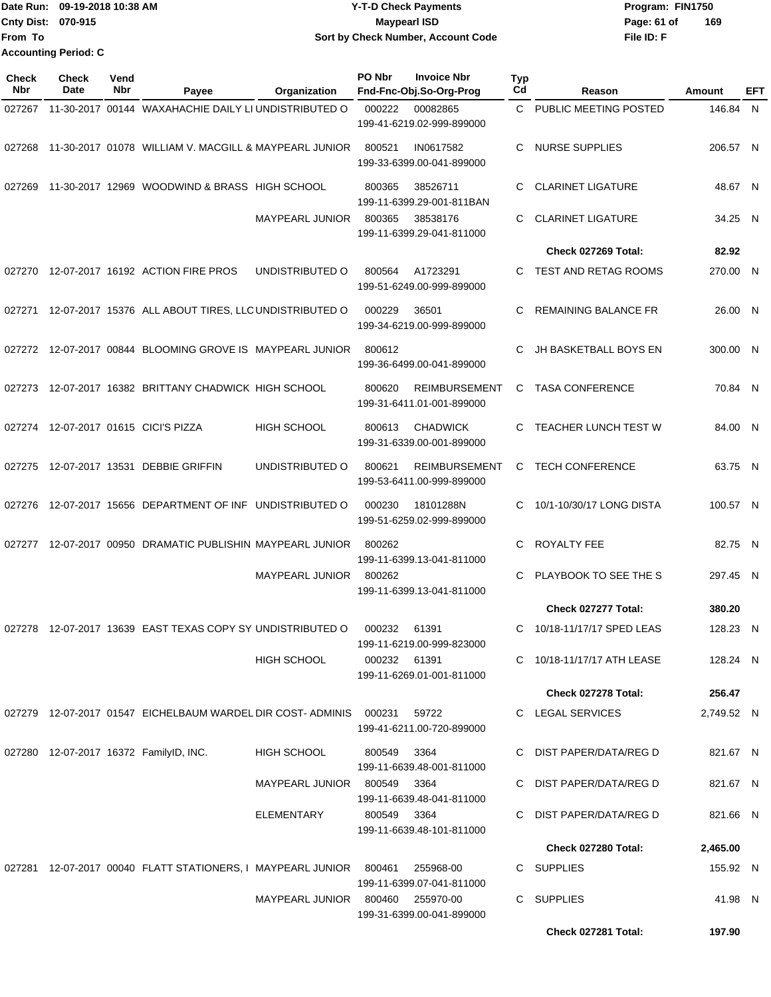|                             | Date Run: 09-19-2018 10:38 AM | <b>Y-T-D Check Payments</b>        | Program: FIN1750   |  |  |
|-----------------------------|-------------------------------|------------------------------------|--------------------|--|--|
| <b>Cnty Dist: 070-915</b>   |                               | <b>Mavpearl ISD</b>                | 169<br>Page: 61 of |  |  |
| lFrom To                    |                               | Sort by Check Number, Account Code | File ID: F         |  |  |
| <b>Accounting Period: C</b> |                               |                                    |                    |  |  |

| Check<br><b>Nbr</b> | <b>Check</b><br>Date | Vend<br>Nbr | Payee                                                                  | Organization           | PO Nbr       | <b>Invoice Nbr</b><br>Fnd-Fnc-Obj.So-Org-Prog     | Typ<br>Cd | Reason                      | Amount     | EFT |
|---------------------|----------------------|-------------|------------------------------------------------------------------------|------------------------|--------------|---------------------------------------------------|-----------|-----------------------------|------------|-----|
| 027267              |                      |             | 11-30-2017 00144 WAXAHACHIE DAILY LI UNDISTRIBUTED O                   |                        | 000222       | 00082865                                          | C.        | PUBLIC MEETING POSTED       | 146.84 N   |     |
|                     |                      |             |                                                                        |                        |              | 199-41-6219.02-999-899000                         |           |                             |            |     |
| 027268              |                      |             | 11-30-2017 01078 WILLIAM V. MACGILL & MAYPEARL JUNIOR                  |                        | 800521       | IN0617582<br>199-33-6399.00-041-899000            | C         | <b>NURSE SUPPLIES</b>       | 206.57 N   |     |
| 027269              |                      |             | 11-30-2017 12969 WOODWIND & BRASS HIGH SCHOOL                          |                        | 800365       | 38526711<br>199-11-6399.29-001-811BAN             | C         | <b>CLARINET LIGATURE</b>    | 48.67 N    |     |
|                     |                      |             |                                                                        | <b>MAYPEARL JUNIOR</b> | 800365       | 38538176<br>199-11-6399.29-041-811000             | C.        | <b>CLARINET LIGATURE</b>    | 34.25 N    |     |
|                     |                      |             |                                                                        |                        |              |                                                   |           | Check 027269 Total:         | 82.92      |     |
| 027270              |                      |             | 12-07-2017 16192 ACTION FIRE PROS                                      | UNDISTRIBUTED O        | 800564       | A1723291<br>199-51-6249.00-999-899000             | C.        | TEST AND RETAG ROOMS        | 270.00 N   |     |
| 027271              |                      |             | 12-07-2017 15376 ALL ABOUT TIRES, LLC UNDISTRIBUTED O                  |                        | 000229       | 36501<br>199-34-6219.00-999-899000                | C         | REMAINING BALANCE FR        | 26.00 N    |     |
|                     |                      |             | 027272 12-07-2017 00844 BLOOMING GROVE IS MAYPEARL JUNIOR              |                        | 800612       | 199-36-6499.00-041-899000                         | C         | JH BASKETBALL BOYS EN       | 300.00 N   |     |
| 027273              |                      |             | 12-07-2017 16382 BRITTANY CHADWICK HIGH SCHOOL                         |                        | 800620       | <b>REIMBURSEMENT</b><br>199-31-6411.01-001-899000 | C         | <b>TASA CONFERENCE</b>      | 70.84 N    |     |
|                     |                      |             | 027274 12-07-2017 01615 CICI'S PIZZA                                   | <b>HIGH SCHOOL</b>     | 800613       | <b>CHADWICK</b><br>199-31-6339.00-001-899000      | С         | <b>TEACHER LUNCH TEST W</b> | 84.00 N    |     |
| 027275              |                      |             | 12-07-2017 13531 DEBBIE GRIFFIN                                        | UNDISTRIBUTED O        | 800621       | <b>REIMBURSEMENT</b><br>199-53-6411.00-999-899000 | C         | <b>TECH CONFERENCE</b>      | 63.75 N    |     |
| 027276              |                      |             | 12-07-2017 15656 DEPARTMENT OF INF UNDISTRIBUTED O                     |                        | 000230       | 18101288N<br>199-51-6259.02-999-899000            | C         | 10/1-10/30/17 LONG DISTA    | 100.57 N   |     |
| 027277              |                      |             | 12-07-2017 00950 DRAMATIC PUBLISHIN MAYPEARL JUNIOR                    |                        | 800262       | 199-11-6399.13-041-811000                         | C         | ROYALTY FEE                 | 82.75 N    |     |
|                     |                      |             |                                                                        | <b>MAYPEARL JUNIOR</b> | 800262       | 199-11-6399.13-041-811000                         | C         | PLAYBOOK TO SEE THE S       | 297.45 N   |     |
|                     |                      |             |                                                                        |                        |              |                                                   |           | Check 027277 Total:         | 380.20     |     |
| 027278              |                      |             | 12-07-2017 13639 EAST TEXAS COPY SY UNDISTRIBUTED O                    |                        | 000232       | 61391<br>199-11-6219.00-999-823000                | C         | 10/18-11/17/17 SPED LEAS    | 128.23 N   |     |
|                     |                      |             |                                                                        | <b>HIGH SCHOOL</b>     | 000232 61391 | 199-11-6269.01-001-811000                         |           | C 10/18-11/17/17 ATH LEASE  | 128.24 N   |     |
|                     |                      |             |                                                                        |                        |              |                                                   |           | Check 027278 Total:         | 256.47     |     |
|                     |                      |             | 027279  12-07-2017  01547  EICHELBAUM WARDEL DIR COST- ADMINIS  000231 |                        |              | 59722<br>199-41-6211.00-720-899000                |           | C LEGAL SERVICES            | 2,749.52 N |     |
|                     |                      |             | 027280 12-07-2017 16372 FamilyID, INC.                                 | <b>HIGH SCHOOL</b>     | 800549       | 3364<br>199-11-6639.48-001-811000                 |           | C DIST PAPER/DATA/REG D     | 821.67 N   |     |
|                     |                      |             |                                                                        | MAYPEARL JUNIOR 800549 |              | 3364<br>199-11-6639.48-041-811000                 |           | C DIST PAPER/DATA/REG D     | 821.67 N   |     |
|                     |                      |             |                                                                        | ELEMENTARY             | 800549 3364  | 199-11-6639.48-101-811000                         |           | C DIST PAPER/DATA/REG D     | 821.66 N   |     |
|                     |                      |             |                                                                        |                        |              |                                                   |           | Check 027280 Total:         | 2,465.00   |     |
|                     |                      |             | 027281  12-07-2017  00040  FLATT STATIONERS, I MAYPEARL JUNIOR  800461 |                        |              | 255968-00<br>199-11-6399.07-041-811000            |           | C SUPPLIES                  | 155.92 N   |     |
|                     |                      |             |                                                                        | MAYPEARL JUNIOR 800460 |              | 255970-00<br>199-31-6399.00-041-899000            |           | C SUPPLIES                  | 41.98 N    |     |
|                     |                      |             |                                                                        |                        |              |                                                   |           | Check 027281 Total:         | 197.90     |     |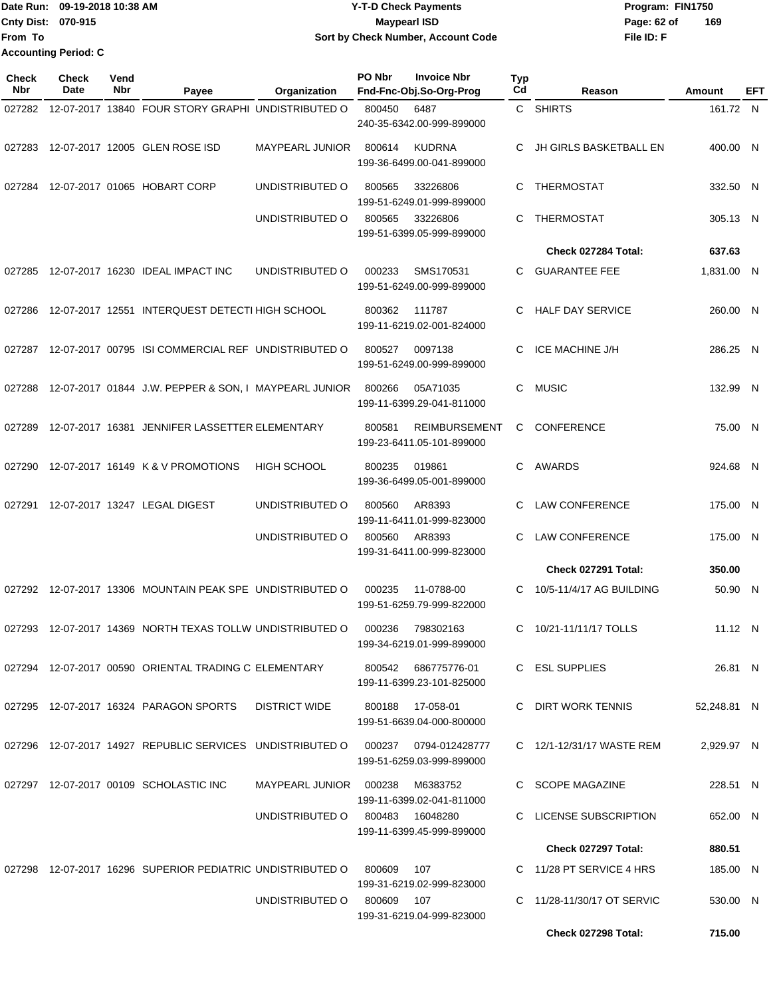|                             | Date Run: 09-19-2018 10:38 AM | <b>Y-T-D Check Payments</b>        | Program: FIN1750   |
|-----------------------------|-------------------------------|------------------------------------|--------------------|
| <b>Cnty Dist: 070-915</b>   |                               | Maypearl ISD                       | 169<br>Page: 62 of |
| lFrom To                    |                               | Sort by Check Number, Account Code | File ID: F         |
| <b>Accounting Period: C</b> |                               |                                    |                    |

| <b>Check</b><br>Nbr | <b>Check</b><br>Date | Vend<br><b>Nbr</b> | Payee                                                      | Organization           | PO Nbr     | <b>Invoice Nbr</b><br>Fnd-Fnc-Obj.So-Org-Prog     | Typ<br>Cd | Reason                     | Amount      | EFT |
|---------------------|----------------------|--------------------|------------------------------------------------------------|------------------------|------------|---------------------------------------------------|-----------|----------------------------|-------------|-----|
| 027282              |                      |                    | 12-07-2017 13840 FOUR STORY GRAPHI UNDISTRIBUTED O         |                        | 800450     | 6487                                              |           | C SHIRTS                   | 161.72 N    |     |
|                     |                      |                    |                                                            |                        |            | 240-35-6342.00-999-899000                         |           |                            |             |     |
| 027283              |                      |                    | 12-07-2017 12005 GLEN ROSE ISD                             | MAYPEARL JUNIOR        | 800614     | <b>KUDRNA</b>                                     | C.        | JH GIRLS BASKETBALL EN     | 400.00 N    |     |
|                     |                      |                    |                                                            |                        |            | 199-36-6499.00-041-899000                         |           |                            |             |     |
| 027284              |                      |                    | 12-07-2017 01065 HOBART CORP                               | UNDISTRIBUTED O        | 800565     | 33226806                                          | C         | <b>THERMOSTAT</b>          | 332.50 N    |     |
|                     |                      |                    |                                                            |                        |            | 199-51-6249.01-999-899000                         |           |                            |             |     |
|                     |                      |                    |                                                            | UNDISTRIBUTED O        | 800565     | 33226806                                          | C.        | <b>THERMOSTAT</b>          | 305.13 N    |     |
|                     |                      |                    |                                                            |                        |            | 199-51-6399.05-999-899000                         |           |                            |             |     |
|                     |                      |                    |                                                            |                        |            |                                                   |           | Check 027284 Total:        | 637.63      |     |
| 027285              |                      |                    | 12-07-2017 16230 IDEAL IMPACT INC                          | UNDISTRIBUTED O        | 000233     | SMS170531<br>199-51-6249.00-999-899000            | C.        | <b>GUARANTEE FEE</b>       | 1,831.00 N  |     |
|                     |                      |                    |                                                            |                        |            |                                                   |           |                            |             |     |
| 027286              |                      |                    | 12-07-2017 12551 INTERQUEST DETECTI HIGH SCHOOL            |                        | 800362     | 111787<br>199-11-6219.02-001-824000               | C         | <b>HALF DAY SERVICE</b>    | 260.00 N    |     |
|                     |                      |                    |                                                            |                        |            |                                                   |           |                            |             |     |
| 027287              |                      |                    | 12-07-2017 00795 ISI COMMERCIAL REF UNDISTRIBUTED O        |                        | 800527     | 0097138<br>199-51-6249.00-999-899000              | C         | <b>ICE MACHINE J/H</b>     | 286.25 N    |     |
|                     |                      |                    |                                                            |                        |            |                                                   |           |                            |             |     |
| 027288              |                      |                    | 12-07-2017 01844 J.W. PEPPER & SON, I MAYPEARL JUNIOR      |                        | 800266     | 05A71035<br>199-11-6399.29-041-811000             | C         | <b>MUSIC</b>               | 132.99 N    |     |
|                     |                      |                    |                                                            |                        |            |                                                   |           |                            |             |     |
| 027289              |                      |                    | 12-07-2017 16381 JENNIFER LASSETTER ELEMENTARY             |                        | 800581     | <b>REIMBURSEMENT</b><br>199-23-6411.05-101-899000 | C         | <b>CONFERENCE</b>          | 75.00 N     |     |
|                     |                      |                    |                                                            |                        |            |                                                   |           |                            |             |     |
| 027290              |                      |                    | 12-07-2017 16149 K & V PROMOTIONS                          | <b>HIGH SCHOOL</b>     | 800235     | 019861                                            | C.        | AWARDS                     | 924.68 N    |     |
|                     |                      |                    |                                                            |                        |            | 199-36-6499.05-001-899000                         |           |                            |             |     |
| 027291              |                      |                    | 12-07-2017 13247 LEGAL DIGEST                              | UNDISTRIBUTED O        | 800560     | AR8393                                            | C         | <b>LAW CONFERENCE</b>      | 175.00 N    |     |
|                     |                      |                    |                                                            | UNDISTRIBUTED O        | 800560     | 199-11-6411.01-999-823000<br>AR8393               | C         | <b>LAW CONFERENCE</b>      | 175.00 N    |     |
|                     |                      |                    |                                                            |                        |            | 199-31-6411.00-999-823000                         |           |                            |             |     |
|                     |                      |                    |                                                            |                        |            |                                                   |           | Check 027291 Total:        | 350.00      |     |
|                     |                      |                    | 027292 12-07-2017 13306 MOUNTAIN PEAK SPE UNDISTRIBUTED O  |                        | 000235     | 11-0788-00                                        | C         | 10/5-11/4/17 AG BUILDING   | 50.90 N     |     |
|                     |                      |                    |                                                            |                        |            | 199-51-6259.79-999-822000                         |           |                            |             |     |
| 027293              |                      |                    | 12-07-2017 14369 NORTH TEXAS TOLLW UNDISTRIBUTED O         |                        | 000236     | 798302163                                         | C         | 10/21-11/11/17 TOLLS       | 11.12 N     |     |
|                     |                      |                    |                                                            |                        |            | 199-34-6219.01-999-899000                         |           |                            |             |     |
|                     |                      |                    | 027294 12-07-2017 00590 ORIENTAL TRADING C ELEMENTARY      |                        |            | 800542 686775776-01                               |           | C ESL SUPPLIES             | 26.81 N     |     |
|                     |                      |                    |                                                            |                        |            | 199-11-6399.23-101-825000                         |           |                            |             |     |
|                     |                      |                    | 027295 12-07-2017 16324 PARAGON SPORTS                     | <b>DISTRICT WIDE</b>   |            | 800188 17-058-01                                  |           | C DIRT WORK TENNIS         | 52,248.81 N |     |
|                     |                      |                    |                                                            |                        |            | 199-51-6639.04-000-800000                         |           |                            |             |     |
|                     |                      |                    | 027296 12-07-2017 14927 REPUBLIC SERVICES UNDISTRIBUTED O  |                        |            |                                                   |           | C 12/1-12/31/17 WASTE REM  | 2,929.97 N  |     |
|                     |                      |                    |                                                            |                        |            | 199-51-6259.03-999-899000                         |           |                            |             |     |
|                     |                      |                    | 027297 12-07-2017 00109 SCHOLASTIC INC                     | MAYPEARL JUNIOR 000238 |            | M6383752                                          |           | C SCOPE MAGAZINE           | 228.51 N    |     |
|                     |                      |                    |                                                            |                        |            | 199-11-6399.02-041-811000                         |           |                            |             |     |
|                     |                      |                    |                                                            | UNDISTRIBUTED O        |            | 800483 16048280                                   |           | C LICENSE SUBSCRIPTION     | 652.00 N    |     |
|                     |                      |                    |                                                            |                        |            | 199-11-6399.45-999-899000                         |           | Check 027297 Total:        | 880.51      |     |
|                     |                      |                    |                                                            |                        |            |                                                   |           |                            |             |     |
|                     |                      |                    | 027298 12-07-2017 16296 SUPERIOR PEDIATRIC UNDISTRIBUTED O |                        | 800609     | 107<br>199-31-6219.02-999-823000                  |           | C 11/28 PT SERVICE 4 HRS   | 185.00 N    |     |
|                     |                      |                    |                                                            | UNDISTRIBUTED O        | 800609 107 |                                                   |           | C 11/28-11/30/17 OT SERVIC | 530.00 N    |     |
|                     |                      |                    |                                                            |                        |            | 199-31-6219.04-999-823000                         |           |                            |             |     |
|                     |                      |                    |                                                            |                        |            |                                                   |           | Check 027298 Total:        | 715.00      |     |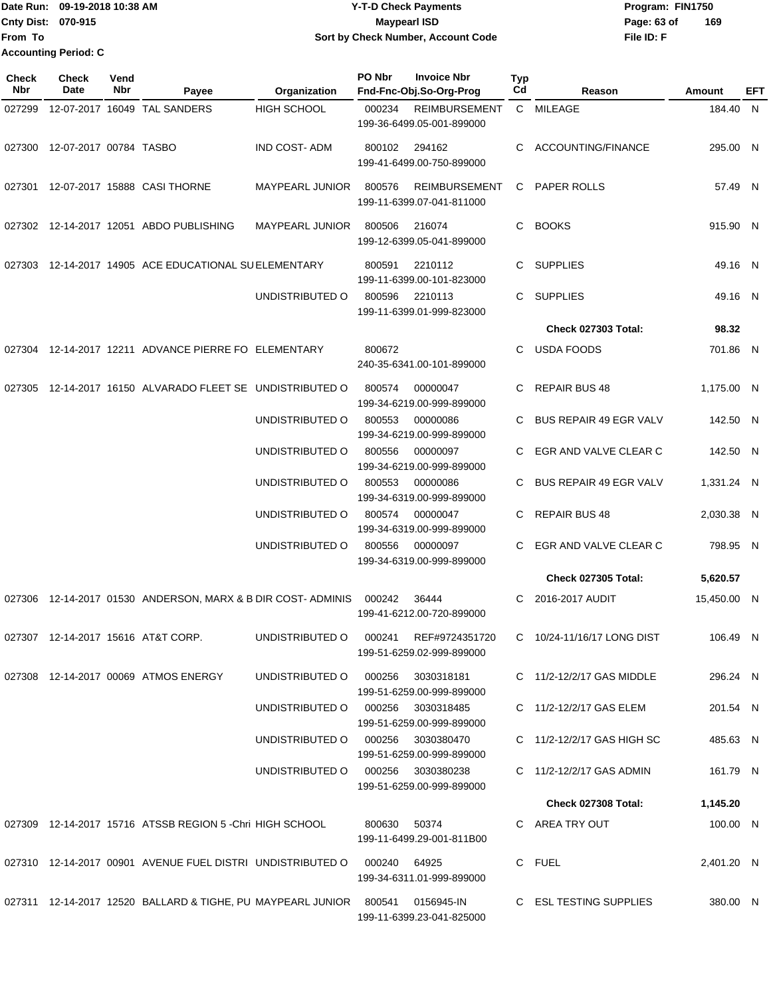Date Run: 09-19-2018 10:38 AM **CONTEX 18 AM CONTEX 18 AM CONTEX 17-T-D** Check Payments **CONTEX 18 AM CONTEX 18 AM CONTEX 18 AM CONTEX 18 AM CONTEX 18 AM CONTEX 18 AM CONTEX 18 AM CONTEX 18 AM CONTEX 19 AM CONTEX 19 AM CONT Cnty Dist:** 070-915 **Page: 63 of MaypearI ISD Page: 63 of From To Accounting Period: C**

## **09-19-2018 10:38 AM Y-T-D Check Payments 070-915 Maypearl ISD Sort by Check Number, Account Code**

| Check<br><b>Nbr</b> | Check<br>Date          | Vend<br><b>Nbr</b> | Payee                                                                         | Organization                      | PO Nbr       | <b>Invoice Nbr</b><br>Fnd-Fnc-Obj.So-Org-Prog     | <b>Typ</b><br>Cd | Reason                        | Amount      | EFT |
|---------------------|------------------------|--------------------|-------------------------------------------------------------------------------|-----------------------------------|--------------|---------------------------------------------------|------------------|-------------------------------|-------------|-----|
| 027299              |                        |                    | 12-07-2017 16049 TAL SANDERS                                                  | HIGH SCHOOL                       | 000234       | <b>REIMBURSEMENT</b><br>199-36-6499.05-001-899000 |                  | C MILEAGE                     | 184.40 N    |     |
| 027300              | 12-07-2017 00784 TASBO |                    |                                                                               | <b>IND COST-ADM</b>               | 800102       | 294162<br>199-41-6499.00-750-899000               | C                | ACCOUNTING/FINANCE            | 295.00 N    |     |
| 027301              |                        |                    | 12-07-2017 15888 CASI THORNE                                                  | MAYPEARL JUNIOR                   | 800576       | <b>REIMBURSEMENT</b><br>199-11-6399.07-041-811000 | C.               | PAPER ROLLS                   | 57.49 N     |     |
|                     |                        |                    | 027302 12-14-2017 12051 ABDO PUBLISHING                                       | <b>MAYPEARL JUNIOR</b>            | 800506       | 216074<br>199-12-6399.05-041-899000               | C.               | <b>BOOKS</b>                  | 915.90 N    |     |
|                     |                        |                    | 027303 12-14-2017 14905 ACE EDUCATIONAL SUELEMENTARY                          |                                   | 800591       | 2210112<br>199-11-6399.00-101-823000              | C.               | <b>SUPPLIES</b>               | 49.16 N     |     |
|                     |                        |                    |                                                                               | UNDISTRIBUTED O                   | 800596       | 2210113<br>199-11-6399.01-999-823000              | C.               | <b>SUPPLIES</b>               | 49.16 N     |     |
|                     |                        |                    |                                                                               |                                   |              |                                                   |                  | <b>Check 027303 Total:</b>    | 98.32       |     |
|                     |                        |                    | 027304 12-14-2017 12211 ADVANCE PIERRE FO ELEMENTARY                          |                                   | 800672       | 240-35-6341.00-101-899000                         | C.               | <b>USDA FOODS</b>             | 701.86 N    |     |
| 027305              |                        |                    | 12-14-2017 16150 ALVARADO FLEET SE UNDISTRIBUTED O                            |                                   | 800574       | 00000047<br>199-34-6219.00-999-899000             | C                | <b>REPAIR BUS 48</b>          | 1,175.00 N  |     |
|                     |                        |                    |                                                                               | UNDISTRIBUTED O                   | 800553       | 00000086<br>199-34-6219.00-999-899000             | C.               | <b>BUS REPAIR 49 EGR VALV</b> | 142.50 N    |     |
|                     |                        |                    |                                                                               | UNDISTRIBUTED O                   | 800556       | 00000097<br>199-34-6219.00-999-899000             | C                | EGR AND VALVE CLEAR C         | 142.50 N    |     |
|                     |                        |                    |                                                                               | UNDISTRIBUTED O                   | 800553       | 00000086<br>199-34-6319.00-999-899000             |                  | <b>BUS REPAIR 49 EGR VALV</b> | 1,331.24 N  |     |
|                     |                        |                    |                                                                               | UNDISTRIBUTED O                   | 800574       | 00000047<br>199-34-6319.00-999-899000             | C                | <b>REPAIR BUS 48</b>          | 2,030.38 N  |     |
|                     |                        |                    |                                                                               | UNDISTRIBUTED O                   | 800556       | 00000097<br>199-34-6319.00-999-899000             | C.               | EGR AND VALVE CLEAR C         | 798.95 N    |     |
|                     |                        |                    |                                                                               |                                   |              |                                                   |                  | <b>Check 027305 Total:</b>    | 5,620.57    |     |
| 027306              |                        |                    | 12-14-2017 01530 ANDERSON, MARX & B DIR COST-ADMINIS                          |                                   | 000242       | 36444<br>199-41-6212.00-720-899000                | C.               | 2016-2017 AUDIT               | 15,450.00 N |     |
|                     |                        |                    | 027307 12-14-2017 15616 AT&T CORP.                                            | UNDISTRIBUTED O 000241            |              | REF#9724351720<br>199-51-6259.02-999-899000       |                  | C 10/24-11/16/17 LONG DIST    | 106.49 N    |     |
|                     |                        |                    | 027308 12-14-2017 00069 ATMOS ENERGY                                          | UNDISTRIBUTED O                   |              | 000256 3030318181<br>199-51-6259.00-999-899000    |                  | C 11/2-12/2/17 GAS MIDDLE     | 296.24 N    |     |
|                     |                        |                    |                                                                               | UNDISTRIBUTED O                   |              | 000256 3030318485<br>199-51-6259.00-999-899000    |                  | C 11/2-12/2/17 GAS ELEM       | 201.54 N    |     |
|                     |                        |                    |                                                                               | UNDISTRIBUTED O                   | 000256       | 3030380470<br>199-51-6259.00-999-899000           |                  | C 11/2-12/2/17 GAS HIGH SC    | 485.63 N    |     |
|                     |                        |                    |                                                                               | UNDISTRIBUTED O 000256 3030380238 |              | 199-51-6259.00-999-899000                         |                  | C 11/2-12/2/17 GAS ADMIN      | 161.79 N    |     |
|                     |                        |                    |                                                                               |                                   |              |                                                   |                  | <b>Check 027308 Total:</b>    | 1,145.20    |     |
|                     |                        |                    | 027309 12-14-2017 15716 ATSSB REGION 5 - Chri HIGH SCHOOL                     |                                   | 800630 50374 | 199-11-6499.29-001-811B00                         |                  | C AREA TRY OUT                | 100.00 N    |     |
|                     |                        |                    | 027310 12-14-2017 00901 AVENUE FUEL DISTRI UNDISTRIBUTED O 000240 64925       |                                   |              | 199-34-6311.01-999-899000                         |                  | C FUEL                        | 2,401.20 N  |     |
|                     |                        |                    | 027311 12-14-2017 12520 BALLARD & TIGHE, PU MAYPEARL JUNIOR 800541 0156945-IN |                                   |              | 199-11-6399.23-041-825000                         |                  | C ESL TESTING SUPPLIES        | 380.00 N    |     |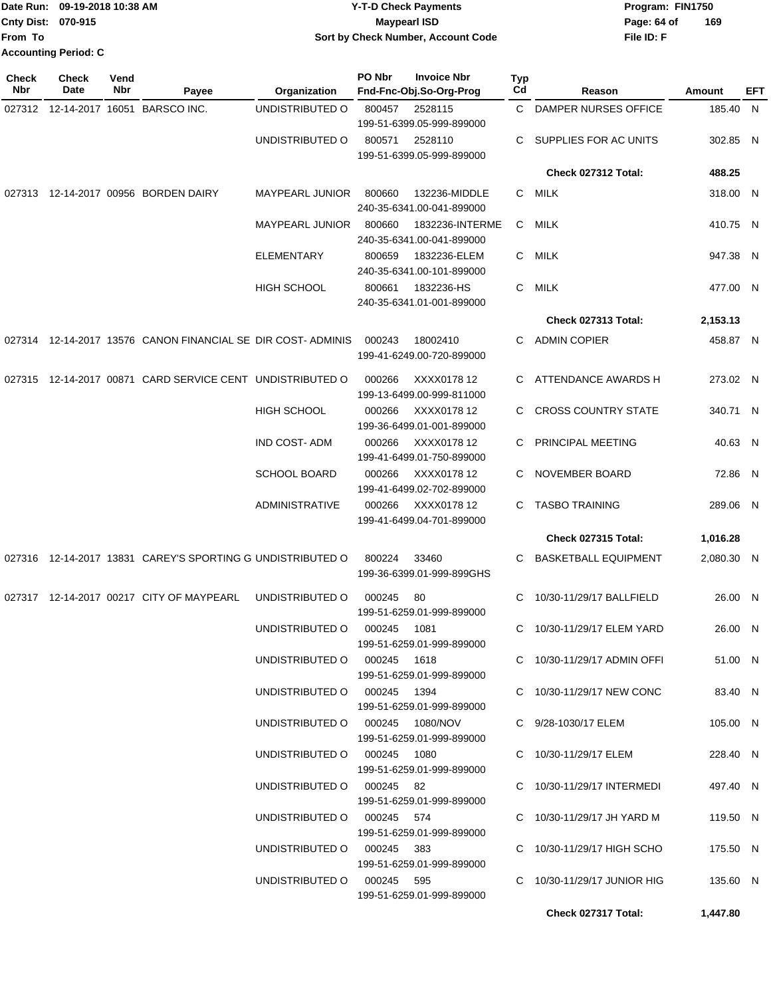|                            | Date Run: 09-19-2018 10:38 AM |                    |                                                      |                        | <b>Y-T-D Check Payments</b><br>Program: FIN1750 |                                               |                  |                            |          |            |
|----------------------------|-------------------------------|--------------------|------------------------------------------------------|------------------------|-------------------------------------------------|-----------------------------------------------|------------------|----------------------------|----------|------------|
| <b>Cnty Dist:</b>          | 070-915                       |                    |                                                      |                        | <b>Maypearl ISD</b><br>Page: 64 of              |                                               |                  |                            | 169      |            |
| From To                    |                               |                    |                                                      |                        |                                                 | Sort by Check Number, Account Code            |                  | File ID: F                 |          |            |
|                            | <b>Accounting Period: C</b>   |                    |                                                      |                        |                                                 |                                               |                  |                            |          |            |
| <b>Check</b><br><b>Nbr</b> | Check<br>Date                 | Vend<br><b>Nbr</b> | Payee                                                | Organization           | PO Nbr                                          | <b>Invoice Nbr</b><br>Fnd-Fnc-Obj.So-Org-Prog | <b>Typ</b><br>Cd | Reason                     | Amount   | <b>EFT</b> |
| 027312                     |                               |                    | 12-14-2017 16051 BARSCO INC.                         | UNDISTRIBUTED O        | 800457                                          | 2528115                                       | $\mathbf{C}$     | DAMPER NURSES OFFICE       | 185.40 N |            |
|                            |                               |                    |                                                      |                        |                                                 | 199-51-6399.05-999-899000                     |                  |                            |          |            |
|                            |                               |                    |                                                      | UNDISTRIBUTED O        | 800571                                          | 2528110                                       | C.               | SUPPLIES FOR AC UNITS      | 302.85 N |            |
|                            |                               |                    |                                                      |                        |                                                 | 199-51-6399.05-999-899000                     |                  |                            |          |            |
|                            |                               |                    |                                                      |                        |                                                 |                                               |                  | Check 027312 Total:        | 488.25   |            |
| 027313                     |                               |                    | 12-14-2017 00956 BORDEN DAIRY                        | <b>MAYPEARL JUNIOR</b> | 800660                                          | 132236-MIDDLE                                 | C.               | <b>MILK</b>                | 318.00 N |            |
|                            |                               |                    |                                                      |                        |                                                 | 240-35-6341.00-041-899000                     |                  |                            |          |            |
|                            |                               |                    |                                                      | <b>MAYPEARL JUNIOR</b> | 800660                                          | 1832236-INTERME                               | C                | <b>MILK</b>                | 410.75 N |            |
|                            |                               |                    |                                                      |                        |                                                 | 240-35-6341.00-041-899000                     |                  |                            |          |            |
|                            |                               |                    |                                                      | <b>ELEMENTARY</b>      | 800659                                          | 1832236-ELEM                                  | C                | <b>MILK</b>                | 947.38 N |            |
|                            |                               |                    |                                                      |                        |                                                 | 240-35-6341.00-101-899000                     |                  |                            |          |            |
|                            |                               |                    |                                                      | <b>HIGH SCHOOL</b>     | 800661                                          | 1832236-HS                                    | C                | <b>MILK</b>                | 477.00 N |            |
|                            |                               |                    |                                                      |                        |                                                 | 240-35-6341.01-001-899000                     |                  |                            |          |            |
|                            |                               |                    |                                                      |                        |                                                 |                                               |                  | Check 027313 Total:        | 2,153.13 |            |
| 027314                     |                               |                    | 12-14-2017 13576 CANON FINANCIAL SE DIR COST-ADMINIS |                        | 000243                                          | 18002410                                      | C.               | <b>ADMIN COPIER</b>        | 458.87 N |            |
|                            |                               |                    |                                                      |                        |                                                 | 199-41-6249.00-720-899000                     |                  |                            |          |            |
| 027315                     |                               |                    | 12-14-2017 00871 CARD SERVICE CENT UNDISTRIBUTED O   |                        | 000266                                          | XXXX0178 12                                   | C                | ATTENDANCE AWARDS H        | 273.02 N |            |
|                            |                               |                    |                                                      |                        |                                                 | 199-13-6499.00-999-811000                     |                  |                            |          |            |
|                            |                               |                    |                                                      | <b>HIGH SCHOOL</b>     | 000266                                          | XXXX0178 12                                   | C.               | <b>CROSS COUNTRY STATE</b> | 340.71 N |            |
|                            |                               |                    |                                                      |                        |                                                 | 199-36-6499.01-001-899000                     |                  |                            |          |            |
|                            |                               |                    |                                                      | <b>IND COST-ADM</b>    | 000266                                          | XXXX0178 12                                   | C                | PRINCIPAL MEETING          | 40.63    | N,         |

199-41-6499.01-750-899000

|  |                                                                                    | <b>SCHOOL BOARD</b>             | 000266 XXXX0178 12        | C NOVEMBER BOARD            | 72.86 N    |  |
|--|------------------------------------------------------------------------------------|---------------------------------|---------------------------|-----------------------------|------------|--|
|  |                                                                                    |                                 | 199-41-6499.02-702-899000 |                             |            |  |
|  |                                                                                    | ADMINISTRATIVE                  | 000266 XXXX0178 12        | C TASBO TRAINING            | 289.06 N   |  |
|  |                                                                                    |                                 | 199-41-6499.04-701-899000 |                             |            |  |
|  |                                                                                    |                                 |                           | <b>Check 027315 Total:</b>  | 1,016.28   |  |
|  | 027316 12-14-2017 13831 CAREY'S SPORTING G UNDISTRIBUTED O 800224 33460            |                                 |                           | C BASKETBALL EQUIPMENT      | 2,080.30 N |  |
|  |                                                                                    |                                 | 199-36-6399.01-999-899GHS |                             |            |  |
|  | 027317 12-14-2017  00217  CITY OF MAYPEARL      UNDISTRIBUTED O      000245     80 |                                 |                           | C 10/30-11/29/17 BALLFIELD  | 26.00 N    |  |
|  |                                                                                    |                                 | 199-51-6259.01-999-899000 |                             |            |  |
|  |                                                                                    | UNDISTRIBUTED O 000245 1081     |                           | C 10/30-11/29/17 ELEM YARD  | 26.00 N    |  |
|  |                                                                                    |                                 | 199-51-6259.01-999-899000 |                             |            |  |
|  |                                                                                    | UNDISTRIBUTED O 000245 1618     |                           | C 10/30-11/29/17 ADMIN OFFI | 51.00 N    |  |
|  |                                                                                    |                                 | 199-51-6259.01-999-899000 |                             |            |  |
|  |                                                                                    | UNDISTRIBUTED O 000245 1394     |                           | C 10/30-11/29/17 NEW CONC   | 83.40 N    |  |
|  |                                                                                    |                                 | 199-51-6259.01-999-899000 |                             |            |  |
|  |                                                                                    | UNDISTRIBUTED O 000245 1080/NOV |                           | C 9/28-1030/17 ELEM         | 105.00 N   |  |
|  |                                                                                    |                                 | 199-51-6259.01-999-899000 |                             |            |  |
|  |                                                                                    | UNDISTRIBUTED O 000245 1080     |                           | C 10/30-11/29/17 ELEM       | 228.40 N   |  |
|  |                                                                                    |                                 | 199-51-6259.01-999-899000 |                             |            |  |
|  |                                                                                    | UNDISTRIBUTED O 000245 82       |                           | C 10/30-11/29/17 INTERMEDI  | 497.40 N   |  |
|  |                                                                                    |                                 | 199-51-6259.01-999-899000 |                             |            |  |
|  |                                                                                    | UNDISTRIBUTED O 000245 574      |                           | C 10/30-11/29/17 JH YARD M  | 119.50 N   |  |
|  |                                                                                    |                                 | 199-51-6259.01-999-899000 |                             |            |  |
|  |                                                                                    | UNDISTRIBUTED O 000245 383      |                           | C 10/30-11/29/17 HIGH SCHO  | 175.50 N   |  |
|  |                                                                                    |                                 | 199-51-6259.01-999-899000 |                             |            |  |
|  |                                                                                    | UNDISTRIBUTED O 000245 595      |                           | C 10/30-11/29/17 JUNIOR HIG | 135.60 N   |  |
|  |                                                                                    |                                 | 199-51-6259.01-999-899000 |                             |            |  |
|  |                                                                                    |                                 |                           | Check 027317 Total:         | 1,447.80   |  |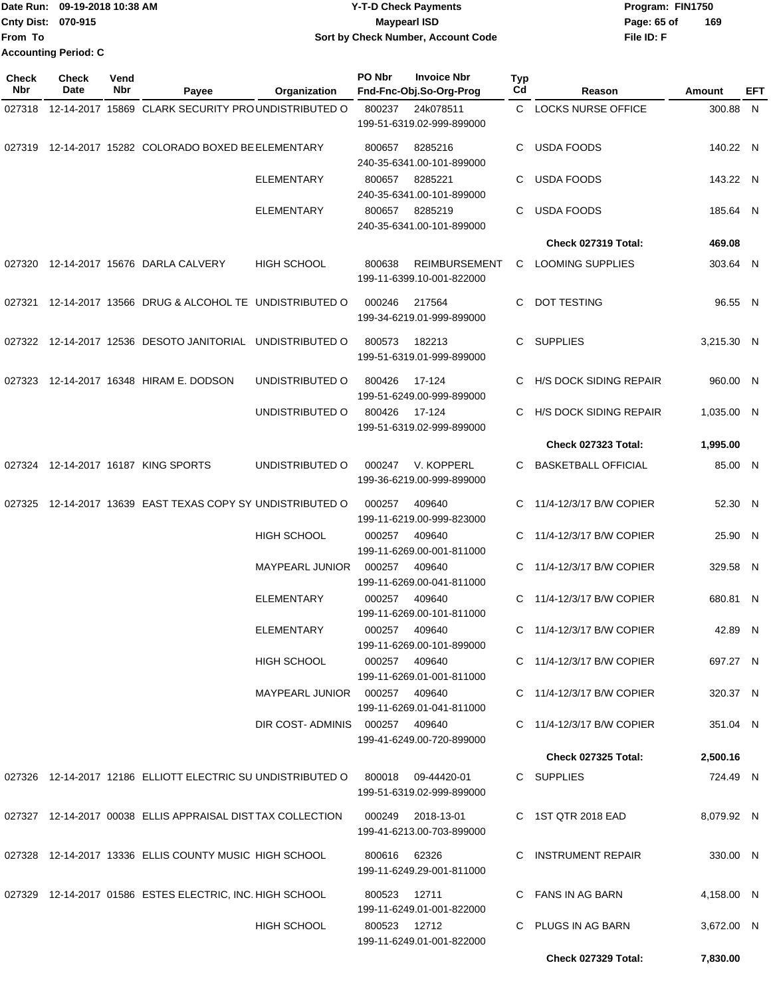|                           | Date Run: 09-19-2018 10:38 AM | <b>Y-T-D Check Payments</b>        | Program: FIN1750   |
|---------------------------|-------------------------------|------------------------------------|--------------------|
| <b>Cnty Dist: 070-915</b> |                               | <b>Maypearl ISD</b>                | 169<br>Page: 65 of |
| lFrom To                  |                               | Sort by Check Number, Account Code | File ID: F         |
|                           | <b>Accounting Period: C</b>   |                                    |                    |

| <b>Check</b><br>Nbr | <b>Check</b><br>Date | Vend<br>Nbr | Payee                                                       | Organization                   | PO Nbr       | <b>Invoice Nbr</b><br>Fnd-Fnc-Obj.So-Org-Prog     | <b>Typ</b><br>Cd | Reason                        | Amount     | EFT |
|---------------------|----------------------|-------------|-------------------------------------------------------------|--------------------------------|--------------|---------------------------------------------------|------------------|-------------------------------|------------|-----|
| 027318              |                      |             | 12-14-2017 15869 CLARK SECURITY PROUNDISTRIBUTED O          |                                | 800237       | 24k078511                                         | C.               | <b>LOCKS NURSE OFFICE</b>     | 300.88 N   |     |
|                     |                      |             |                                                             |                                |              | 199-51-6319.02-999-899000                         |                  |                               |            |     |
|                     |                      |             | 027319 12-14-2017 15282 COLORADO BOXED BE ELEMENTARY        |                                | 800657       | 8285216<br>240-35-6341.00-101-899000              | C                | <b>USDA FOODS</b>             | 140.22 N   |     |
|                     |                      |             |                                                             | <b>ELEMENTARY</b>              | 800657       | 8285221<br>240-35-6341.00-101-899000              | C                | <b>USDA FOODS</b>             | 143.22 N   |     |
|                     |                      |             |                                                             | <b>ELEMENTARY</b>              | 800657       | 8285219<br>240-35-6341.00-101-899000              | C                | USDA FOODS                    | 185.64 N   |     |
|                     |                      |             |                                                             |                                |              |                                                   |                  | Check 027319 Total:           | 469.08     |     |
| 027320              |                      |             | 12-14-2017 15676 DARLA CALVERY                              | <b>HIGH SCHOOL</b>             | 800638       | <b>REIMBURSEMENT</b><br>199-11-6399.10-001-822000 | C                | <b>LOOMING SUPPLIES</b>       | 303.64 N   |     |
|                     |                      |             | 027321 12-14-2017 13566 DRUG & ALCOHOL TE UNDISTRIBUTED O   |                                | 000246       | 217564<br>199-34-6219.01-999-899000               | C                | <b>DOT TESTING</b>            | 96.55 N    |     |
|                     |                      |             | 027322 12-14-2017 12536 DESOTO JANITORIAL UNDISTRIBUTED O   |                                | 800573       | 182213<br>199-51-6319.01-999-899000               | C.               | SUPPLIES                      | 3,215.30 N |     |
| 027323              |                      |             | 12-14-2017 16348 HIRAM E. DODSON                            | UNDISTRIBUTED O                | 800426       | 17-124<br>199-51-6249.00-999-899000               | C.               | H/S DOCK SIDING REPAIR        | 960.00 N   |     |
|                     |                      |             |                                                             | UNDISTRIBUTED O                | 800426       | 17-124<br>199-51-6319.02-999-899000               | C                | <b>H/S DOCK SIDING REPAIR</b> | 1,035.00 N |     |
|                     |                      |             |                                                             |                                |              |                                                   |                  | Check 027323 Total:           | 1,995.00   |     |
|                     |                      |             | 027324 12-14-2017 16187 KING SPORTS                         | UNDISTRIBUTED O                | 000247       | V. KOPPERL<br>199-36-6219.00-999-899000           | C                | <b>BASKETBALL OFFICIAL</b>    | 85.00 N    |     |
| 027325              |                      |             | 12-14-2017 13639 EAST TEXAS COPY SY UNDISTRIBUTED O         |                                | 000257       | 409640<br>199-11-6219.00-999-823000               | C                | 11/4-12/3/17 B/W COPIER       | 52.30 N    |     |
|                     |                      |             |                                                             | <b>HIGH SCHOOL</b>             | 000257       | 409640<br>199-11-6269.00-001-811000               | C                | 11/4-12/3/17 B/W COPIER       | 25.90 N    |     |
|                     |                      |             |                                                             | <b>MAYPEARL JUNIOR</b>         | 000257       | 409640<br>199-11-6269.00-041-811000               | C                | 11/4-12/3/17 B/W COPIER       | 329.58 N   |     |
|                     |                      |             |                                                             | <b>ELEMENTARY</b>              | 000257       | 409640<br>199-11-6269.00-101-811000               | C.               | 11/4-12/3/17 B/W COPIER       | 680.81 N   |     |
|                     |                      |             |                                                             | <b>ELEMENTARY</b>              | 000257       | 409640<br>199-11-6269.00-101-899000               | C.               | 11/4-12/3/17 B/W COPIER       | 42.89 N    |     |
|                     |                      |             |                                                             | <b>HIGH SCHOOL</b>             |              | 000257 409640<br>199-11-6269.01-001-811000        |                  | C 11/4-12/3/17 B/W COPIER     | 697.27 N   |     |
|                     |                      |             |                                                             | MAYPEARL JUNIOR 000257 409640  |              | 199-11-6269.01-041-811000                         |                  | C 11/4-12/3/17 B/W COPIER     | 320.37 N   |     |
|                     |                      |             |                                                             | DIR COST-ADMINIS 000257 409640 |              | 199-41-6249.00-720-899000                         |                  | C 11/4-12/3/17 B/W COPIER     | 351.04 N   |     |
|                     |                      |             |                                                             |                                |              |                                                   |                  | <b>Check 027325 Total:</b>    | 2,500.16   |     |
|                     |                      |             | 027326 12-14-2017 12186 ELLIOTT ELECTRIC SU UNDISTRIBUTED O |                                |              | 800018 09-44420-01<br>199-51-6319.02-999-899000   |                  | C SUPPLIES                    | 724.49 N   |     |
|                     |                      |             | 027327 12-14-2017 00038 ELLIS APPRAISAL DISTTAX COLLECTION  |                                | 000249       | 2018-13-01<br>199-41-6213.00-703-899000           |                  | C 1ST QTR 2018 EAD            | 8,079.92 N |     |
|                     |                      |             | 027328 12-14-2017 13336 ELLIS COUNTY MUSIC HIGH SCHOOL      |                                | 800616 62326 | 199-11-6249.29-001-811000                         |                  | C INSTRUMENT REPAIR           | 330.00 N   |     |
|                     |                      |             | 027329 12-14-2017 01586 ESTES ELECTRIC, INC. HIGH SCHOOL    |                                | 800523       | 12711<br>199-11-6249.01-001-822000                |                  | C FANS IN AG BARN             | 4,158.00 N |     |
|                     |                      |             |                                                             | <b>HIGH SCHOOL</b>             | 800523 12712 | 199-11-6249.01-001-822000                         | C.               | PLUGS IN AG BARN              | 3,672.00 N |     |
|                     |                      |             |                                                             |                                |              |                                                   |                  | Check 027329 Total:           | 7,830.00   |     |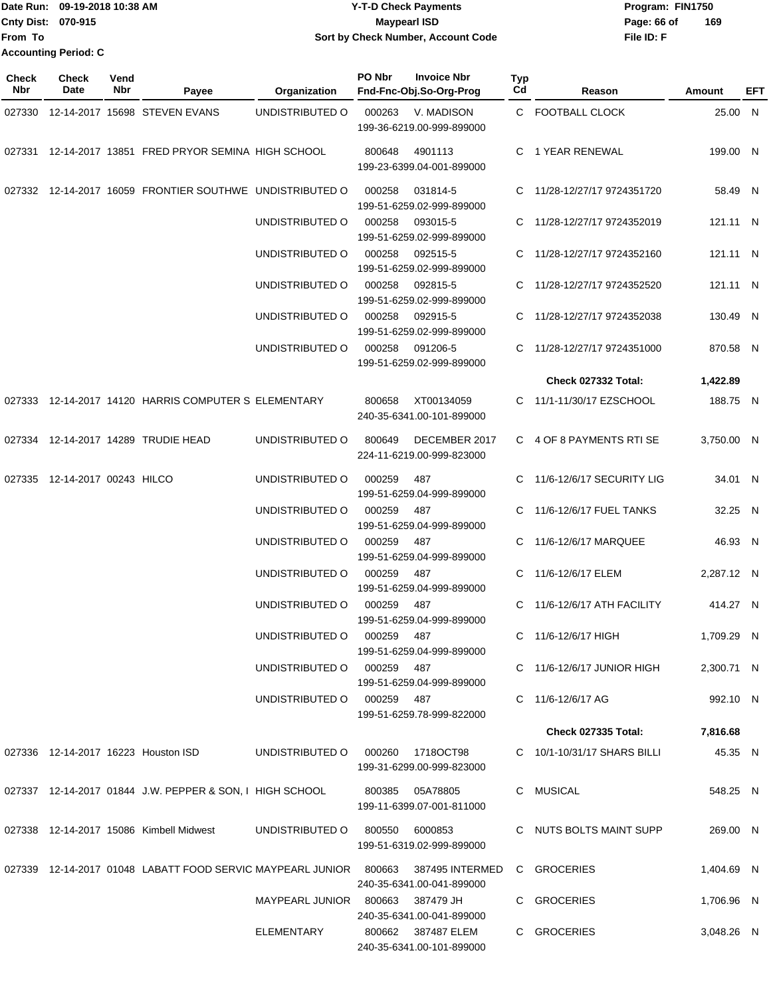|                           | Date Run: 09-19-2018 10:38 AM | <b>Y-T-D Check Payments</b>        | Program: FIN1750   |
|---------------------------|-------------------------------|------------------------------------|--------------------|
| <b>Cnty Dist: 070-915</b> |                               | <b>Mavpearl ISD</b>                | 169<br>Page: 66 of |
| <b>From To</b>            |                               | Sort by Check Number, Account Code | File ID: F         |
|                           | <b>Accounting Period: C</b>   |                                    |                    |

| Check<br>Nbr | <b>Check</b><br>Date          | Vend<br>Nbr | Payee                                                    | Organization               | PO Nbr<br><b>Invoice Nbr</b><br>Fnd-Fnc-Obj.So-Org-Prog                                                                    | Typ<br>Cd | Reason                       | Amount     | EFT |
|--------------|-------------------------------|-------------|----------------------------------------------------------|----------------------------|----------------------------------------------------------------------------------------------------------------------------|-----------|------------------------------|------------|-----|
|              |                               |             | 027330 12-14-2017 15698 STEVEN EVANS                     | UNDISTRIBUTED O            | 000263<br>V. MADISON<br>199-36-6219.00-999-899000                                                                          |           | C FOOTBALL CLOCK             | 25.00 N    |     |
|              |                               |             | 027331 12-14-2017 13851 FRED PRYOR SEMINA HIGH SCHOOL    |                            | 4901113<br>800648<br>199-23-6399.04-001-899000                                                                             |           | C 1 YEAR RENEWAL             | 199.00 N   |     |
|              |                               |             | 027332 12-14-2017 16059 FRONTIER SOUTHWE UNDISTRIBUTED O |                            | 000258<br>031814-5<br>199-51-6259.02-999-899000                                                                            |           | C 11/28-12/27/17 9724351720  | 58.49 N    |     |
|              |                               |             |                                                          | UNDISTRIBUTED O            | 000258<br>093015-5<br>199-51-6259.02-999-899000                                                                            |           | C 11/28-12/27/17 9724352019  | 121.11 N   |     |
|              |                               |             |                                                          | UNDISTRIBUTED O            | 000258<br>092515-5<br>199-51-6259.02-999-899000                                                                            |           | C 11/28-12/27/17 9724352160  | 121.11 N   |     |
|              |                               |             |                                                          | UNDISTRIBUTED O            | 092815-5<br>000258<br>199-51-6259.02-999-899000                                                                            |           | C 11/28-12/27/17 9724352520  | 121.11 N   |     |
|              |                               |             |                                                          | UNDISTRIBUTED O            | 000258<br>092915-5<br>199-51-6259.02-999-899000                                                                            |           | C 11/28-12/27/17 9724352038  | 130.49 N   |     |
|              |                               |             |                                                          | UNDISTRIBUTED O            | 000258<br>091206-5<br>199-51-6259.02-999-899000                                                                            |           | C 11/28-12/27/17 9724351000  | 870.58 N   |     |
|              |                               |             |                                                          |                            |                                                                                                                            |           | Check 027332 Total:          | 1,422.89   |     |
|              |                               |             | 027333 12-14-2017 14120 HARRIS COMPUTER S ELEMENTARY     |                            | XT00134059<br>800658<br>240-35-6341.00-101-899000                                                                          |           | C 11/1-11/30/17 EZSCHOOL     | 188.75 N   |     |
| 027334       |                               |             | 12-14-2017 14289 TRUDIE HEAD                             | UNDISTRIBUTED O            | 800649<br>DECEMBER 2017<br>224-11-6219.00-999-823000                                                                       |           | C 4 OF 8 PAYMENTS RTISE      | 3,750.00 N |     |
|              | 027335 12-14-2017 00243 HILCO |             |                                                          | UNDISTRIBUTED O            | 000259<br>487<br>199-51-6259.04-999-899000                                                                                 |           | C 11/6-12/6/17 SECURITY LIG  | 34.01 N    |     |
|              |                               |             |                                                          | UNDISTRIBUTED O            | 000259<br>487<br>199-51-6259.04-999-899000                                                                                 |           | C 11/6-12/6/17 FUEL TANKS    | 32.25 N    |     |
|              |                               |             |                                                          | UNDISTRIBUTED O            | 000259<br>487<br>199-51-6259.04-999-899000                                                                                 |           | C 11/6-12/6/17 MARQUEE       | 46.93 N    |     |
|              |                               |             |                                                          | UNDISTRIBUTED O            | 000259<br>487<br>199-51-6259.04-999-899000                                                                                 |           | C 11/6-12/6/17 ELEM          | 2,287.12 N |     |
|              |                               |             |                                                          | UNDISTRIBUTED O            | 000259<br>487<br>199-51-6259.04-999-899000                                                                                 |           | C 11/6-12/6/17 ATH FACILITY  | 414.27 N   |     |
|              |                               |             |                                                          | UNDISTRIBUTED O            | 000259 487<br>199-51-6259.04-999-899000                                                                                    |           | C 11/6-12/6/17 HIGH          | 1,709.29 N |     |
|              |                               |             |                                                          | UNDISTRIBUTED O 000259 487 | 199-51-6259.04-999-899000                                                                                                  |           | C 11/6-12/6/17 JUNIOR HIGH   | 2,300.71 N |     |
|              |                               |             |                                                          | UNDISTRIBUTED O 000259 487 | 199-51-6259.78-999-822000                                                                                                  |           | C 11/6-12/6/17 AG            | 992.10 N   |     |
|              |                               |             |                                                          |                            |                                                                                                                            |           | Check 027335 Total: 7,816.68 |            |     |
|              |                               |             | 027336 12-14-2017 16223 Houston ISD                      |                            | UNDISTRIBUTED O 000260 1718OCT98<br>199-31-6299.00-999-823000                                                              |           | C 10/1-10/31/17 SHARS BILLI  | 45.35 N    |     |
|              |                               |             | 027337 12-14-2017 01844 J.W. PEPPER & SON, I HIGH SCHOOL |                            | 800385 05A78805<br>199-11-6399.07-001-811000                                                                               |           | C MUSICAL                    | 548.25 N   |     |
|              |                               |             | 027338 12-14-2017 15086 Kimbell Midwest                  | UNDISTRIBUTED O            | 800550 6000853<br>199-51-6319.02-999-899000                                                                                |           | C NUTS BOLTS MAINT SUPP      | 269.00 N   |     |
|              |                               |             |                                                          |                            | 027339 12-14-2017 01048 LABATT FOOD SERVIC MAYPEARL JUNIOR 800663 387495 INTERMED C GROCERIES<br>240-35-6341.00-041-899000 |           |                              | 1,404.69 N |     |
|              |                               |             |                                                          |                            | MAYPEARL JUNIOR 800663 387479 JH<br>240-35-6341.00-041-899000                                                              |           | C GROCERIES                  | 1,706.96 N |     |
|              |                               |             |                                                          | ELEMENTARY                 | 800662 387487 ELEM<br>240-35-6341.00-101-899000                                                                            |           | C GROCERIES                  | 3,048.26 N |     |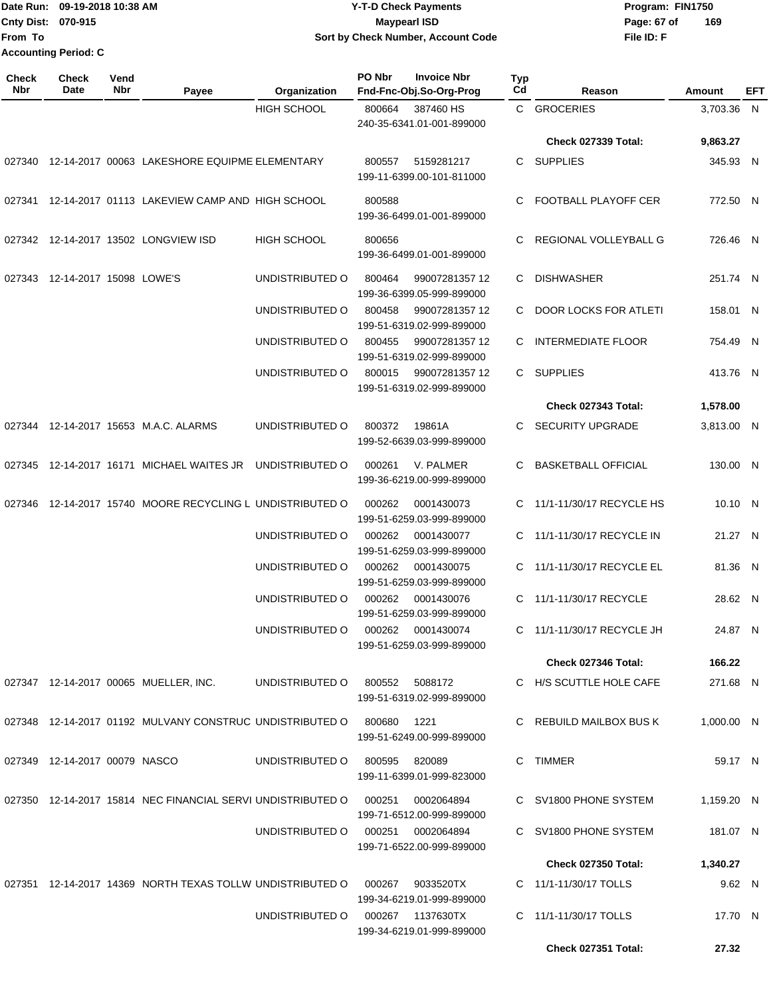Date Run: 09-19-2018 10:38 AM **CONTEX 18 AM CONTEX 18 AM CONTEX 17-T-D** Check Payments **CONTEX 18 AM CONTEX 18 AM CONTEX 18 AM CONTEX 18 AM CONTEX 18 AM CONTEX 18 AM CONTEX 18 AM CONTEX 18 AM CONTEX 19 AM CONTEX 19 AM CONT Cnty Dist:** 070-915 **Page: 67 of Page: 67 of Page: 67 of From To 09-19-2018 10:38 AM Y-T-D Check Payments 070-915 Maypearl ISD Sort by Check Number, Account Code Accounting Period: C**

| Check<br>Nbr | <b>Check</b><br>Date           | Vend<br>Nbr | Payee                                                       | Organization       | PO Nbr | <b>Invoice Nbr</b><br>Fnd-Fnc-Obj.So-Org-Prog  | Typ<br>Cd | Reason                      | Amount     | EFT |
|--------------|--------------------------------|-------------|-------------------------------------------------------------|--------------------|--------|------------------------------------------------|-----------|-----------------------------|------------|-----|
|              |                                |             |                                                             | <b>HIGH SCHOOL</b> | 800664 | 387460 HS<br>240-35-6341.01-001-899000         |           | C GROCERIES                 | 3,703.36 N |     |
|              |                                |             |                                                             |                    |        |                                                |           | <b>Check 027339 Total:</b>  | 9,863.27   |     |
| 027340       |                                |             | 12-14-2017 00063 LAKESHORE EQUIPME ELEMENTARY               |                    | 800557 | 5159281217<br>199-11-6399.00-101-811000        | C.        | SUPPLIES                    | 345.93 N   |     |
| 027341       |                                |             | 12-14-2017 01113 LAKEVIEW CAMP AND HIGH SCHOOL              |                    | 800588 | 199-36-6499.01-001-899000                      | C         | <b>FOOTBALL PLAYOFF CER</b> | 772.50 N   |     |
| 027342       |                                |             | 12-14-2017 13502 LONGVIEW ISD                               | <b>HIGH SCHOOL</b> | 800656 | 199-36-6499.01-001-899000                      | C         | REGIONAL VOLLEYBALL G       | 726.46 N   |     |
|              | 027343 12-14-2017 15098 LOWE'S |             |                                                             | UNDISTRIBUTED O    | 800464 | 99007281357 12<br>199-36-6399.05-999-899000    | C         | <b>DISHWASHER</b>           | 251.74 N   |     |
|              |                                |             |                                                             | UNDISTRIBUTED O    | 800458 | 99007281357 12<br>199-51-6319.02-999-899000    | C         | DOOR LOCKS FOR ATLETI       | 158.01 N   |     |
|              |                                |             |                                                             | UNDISTRIBUTED O    | 800455 | 99007281357 12<br>199-51-6319.02-999-899000    | C         | <b>INTERMEDIATE FLOOR</b>   | 754.49 N   |     |
|              |                                |             |                                                             | UNDISTRIBUTED O    | 800015 | 99007281357 12<br>199-51-6319.02-999-899000    |           | C SUPPLIES                  | 413.76 N   |     |
|              |                                |             |                                                             |                    |        |                                                |           | Check 027343 Total:         | 1,578.00   |     |
|              |                                |             | 027344 12-14-2017 15653 M.A.C. ALARMS                       | UNDISTRIBUTED O    | 800372 | 19861A<br>199-52-6639.03-999-899000            |           | <b>SECURITY UPGRADE</b>     | 3,813.00 N |     |
| 027345       |                                |             | 12-14-2017 16171 MICHAEL WAITES JR                          | UNDISTRIBUTED O    | 000261 | V. PALMER<br>199-36-6219.00-999-899000         | C         | <b>BASKETBALL OFFICIAL</b>  | 130.00 N   |     |
| 027346       |                                |             | 12-14-2017 15740 MOORE RECYCLING L UNDISTRIBUTED O          |                    | 000262 | 0001430073<br>199-51-6259.03-999-899000        | C         | 11/1-11/30/17 RECYCLE HS    | 10.10 N    |     |
|              |                                |             |                                                             | UNDISTRIBUTED O    | 000262 | 0001430077<br>199-51-6259.03-999-899000        | C         | 11/1-11/30/17 RECYCLE IN    | 21.27 N    |     |
|              |                                |             |                                                             | UNDISTRIBUTED O    | 000262 | 0001430075<br>199-51-6259.03-999-899000        |           | C 11/1-11/30/17 RECYCLE EL  | 81.36 N    |     |
|              |                                |             |                                                             | UNDISTRIBUTED O    | 000262 | 0001430076<br>199-51-6259.03-999-899000        | C.        | 11/1-11/30/17 RECYCLE       | 28.62 N    |     |
|              |                                |             |                                                             | UNDISTRIBUTED O    | 000262 | 0001430074<br>199-51-6259.03-999-899000        |           | C 11/1-11/30/17 RECYCLE JH  | 24.87 N    |     |
|              |                                |             |                                                             |                    |        |                                                |           | Check 027346 Total:         | 166.22     |     |
|              |                                |             | 027347 12-14-2017 00065 MUELLER, INC.                       | UNDISTRIBUTED O    | 800552 | 5088172<br>199-51-6319.02-999-899000           |           | C H/S SCUTTLE HOLE CAFE     | 271.68 N   |     |
|              |                                |             | 027348 12-14-2017 01192 MULVANY CONSTRUC UNDISTRIBUTED O    |                    | 800680 | 1221<br>199-51-6249.00-999-899000              |           | REBUILD MAILBOX BUS K       | 1,000.00 N |     |
|              | 027349 12-14-2017 00079 NASCO  |             |                                                             | UNDISTRIBUTED O    | 800595 | 820089<br>199-11-6399.01-999-823000            | C.        | TIMMER                      | 59.17 N    |     |
|              |                                |             | 027350 12-14-2017 15814 NEC FINANCIAL SERVI UNDISTRIBUTED O |                    | 000251 | 0002064894<br>199-71-6512.00-999-899000        |           | C SV1800 PHONE SYSTEM       | 1,159.20 N |     |
|              |                                |             |                                                             | UNDISTRIBUTED O    |        | 000251 0002064894<br>199-71-6522.00-999-899000 |           | C SV1800 PHONE SYSTEM       | 181.07 N   |     |
|              |                                |             |                                                             |                    |        |                                                |           | <b>Check 027350 Total:</b>  | 1,340.27   |     |
|              |                                |             | 027351 12-14-2017 14369 NORTH TEXAS TOLLW UNDISTRIBUTED O   |                    | 000267 | 9033520TX<br>199-34-6219.01-999-899000         |           | C 11/1-11/30/17 TOLLS       | 9.62 N     |     |
|              |                                |             |                                                             | UNDISTRIBUTED O    | 000267 | 1137630TX<br>199-34-6219.01-999-899000         |           | C 11/1-11/30/17 TOLLS       | 17.70 N    |     |
|              |                                |             |                                                             |                    |        |                                                |           | Check 027351 Total:         | 27.32      |     |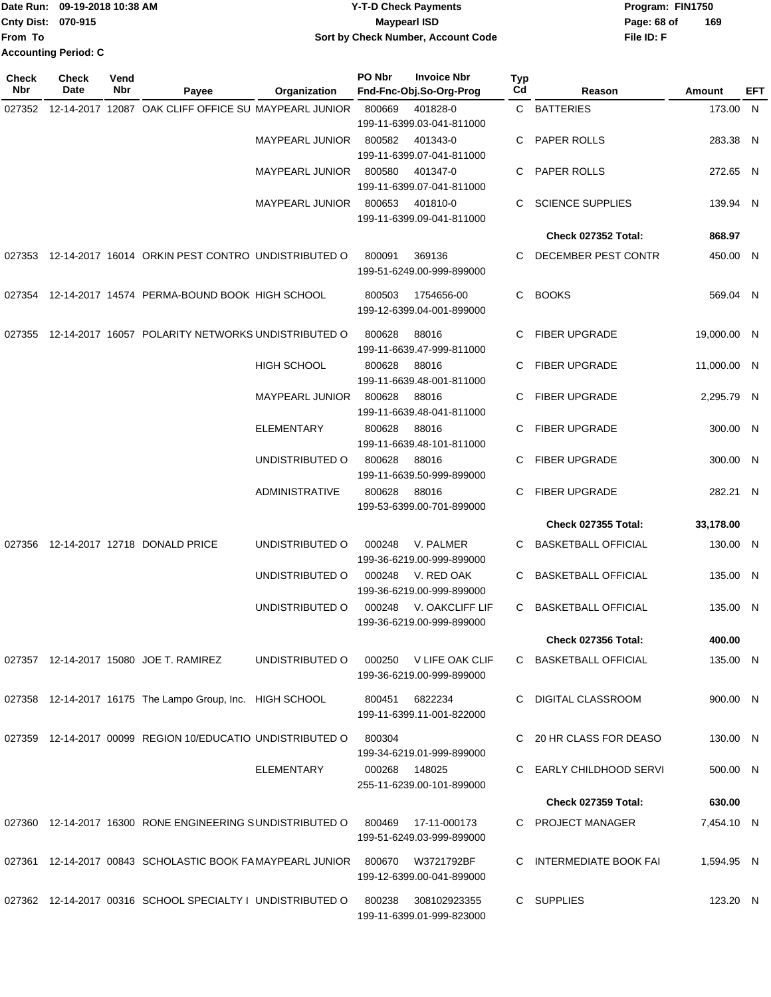|                           | IDate Run: 09-19-2018 10:38 AM | <b>Y-T-D Check Payments</b>        | Program: FIN1750   |
|---------------------------|--------------------------------|------------------------------------|--------------------|
| <b>Cnty Dist: 070-915</b> |                                | <b>Maypearl ISD</b>                | 169<br>Page: 68 of |
| lFrom To                  |                                | Sort by Check Number, Account Code | File ID: F         |
|                           | <b>Accounting Period: C</b>    |                                    |                    |

| <b>Check</b><br>Nbr | <b>Check</b><br><b>Date</b> | Vend<br>Nbr | Payee                                                      | Organization           | PO Nbr        | <b>Invoice Nbr</b><br>Fnd-Fnc-Obj.So-Org-Prog | Typ<br>Cd | Reason                     | Amount      | EFT |
|---------------------|-----------------------------|-------------|------------------------------------------------------------|------------------------|---------------|-----------------------------------------------|-----------|----------------------------|-------------|-----|
| 027352              |                             |             | 12-14-2017 12087 OAK CLIFF OFFICE SU MAYPEARL JUNIOR       |                        | 800669        | 401828-0<br>199-11-6399.03-041-811000         |           | C BATTERIES                | 173.00 N    |     |
|                     |                             |             |                                                            | MAYPEARL JUNIOR        | 800582        | 401343-0<br>199-11-6399.07-041-811000         | C         | PAPER ROLLS                | 283.38 N    |     |
|                     |                             |             |                                                            | <b>MAYPEARL JUNIOR</b> | 800580        | 401347-0<br>199-11-6399.07-041-811000         | C         | PAPER ROLLS                | 272.65 N    |     |
|                     |                             |             |                                                            | MAYPEARL JUNIOR        | 800653        | 401810-0<br>199-11-6399.09-041-811000         | C         | <b>SCIENCE SUPPLIES</b>    | 139.94 N    |     |
|                     |                             |             |                                                            |                        |               |                                               |           | Check 027352 Total:        | 868.97      |     |
| 027353              |                             |             | 12-14-2017 16014 ORKIN PEST CONTRO UNDISTRIBUTED O         |                        | 800091        | 369136<br>199-51-6249.00-999-899000           | C         | DECEMBER PEST CONTR        | 450.00 N    |     |
|                     |                             |             | 027354 12-14-2017 14574 PERMA-BOUND BOOK HIGH SCHOOL       |                        | 800503        | 1754656-00<br>199-12-6399.04-001-899000       | C.        | <b>BOOKS</b>               | 569.04 N    |     |
| 027355              |                             |             | 12-14-2017 16057 POLARITY NETWORKS UNDISTRIBUTED O         |                        | 800628        | 88016<br>199-11-6639.47-999-811000            | C         | <b>FIBER UPGRADE</b>       | 19,000.00 N |     |
|                     |                             |             |                                                            | <b>HIGH SCHOOL</b>     | 800628        | 88016<br>199-11-6639.48-001-811000            | C         | <b>FIBER UPGRADE</b>       | 11,000.00 N |     |
|                     |                             |             |                                                            | MAYPEARL JUNIOR        | 800628        | 88016<br>199-11-6639.48-041-811000            | С         | <b>FIBER UPGRADE</b>       | 2,295.79 N  |     |
|                     |                             |             |                                                            | <b>ELEMENTARY</b>      | 800628        | 88016<br>199-11-6639.48-101-811000            | C         | <b>FIBER UPGRADE</b>       | 300.00 N    |     |
|                     |                             |             |                                                            | UNDISTRIBUTED O        | 800628        | 88016<br>199-11-6639.50-999-899000            | C         | <b>FIBER UPGRADE</b>       | 300.00 N    |     |
|                     |                             |             |                                                            | <b>ADMINISTRATIVE</b>  | 800628        | 88016<br>199-53-6399.00-701-899000            | C         | <b>FIBER UPGRADE</b>       | 282.21 N    |     |
|                     |                             |             |                                                            |                        |               |                                               |           | <b>Check 027355 Total:</b> | 33,178.00   |     |
| 027356              |                             |             | 12-14-2017 12718 DONALD PRICE                              | UNDISTRIBUTED O        | 000248        | V. PALMER<br>199-36-6219.00-999-899000        | C         | <b>BASKETBALL OFFICIAL</b> | 130.00 N    |     |
|                     |                             |             |                                                            | UNDISTRIBUTED O        | 000248        | V. RED OAK<br>199-36-6219.00-999-899000       | C         | <b>BASKETBALL OFFICIAL</b> | 135.00 N    |     |
|                     |                             |             |                                                            | UNDISTRIBUTED O        | 000248        | V. OAKCLIFF LIF<br>199-36-6219.00-999-899000  | C         | <b>BASKETBALL OFFICIAL</b> | 135.00 N    |     |
|                     |                             |             |                                                            |                        |               |                                               |           | Check 027356 Total:        | 400.00      |     |
|                     |                             |             | 027357 12-14-2017 15080 JOE T. RAMIREZ                     | UNDISTRIBUTED O        | 000250        | V LIFE OAK CLIF<br>199-36-6219.00-999-899000  |           | C BASKETBALL OFFICIAL      | 135.00 N    |     |
|                     |                             |             | 027358 12-14-2017 16175 The Lampo Group, Inc. HIGH SCHOOL  |                        | 800451        | 6822234<br>199-11-6399.11-001-822000          | C.        | DIGITAL CLASSROOM          | 900.00 N    |     |
|                     |                             |             | 027359 12-14-2017 00099 REGION 10/EDUCATIO UNDISTRIBUTED O |                        | 800304        | 199-34-6219.01-999-899000                     | C.        | 20 HR CLASS FOR DEASO      | 130.00 N    |     |
|                     |                             |             |                                                            | <b>ELEMENTARY</b>      | 000268 148025 | 255-11-6239.00-101-899000                     | C.        | EARLY CHILDHOOD SERVI      | 500.00 N    |     |
|                     |                             |             |                                                            |                        |               |                                               |           | <b>Check 027359 Total:</b> | 630.00      |     |
|                     |                             |             | 027360 12-14-2017 16300 RONE ENGINEERING SUNDISTRIBUTED O  |                        | 800469        | 17-11-000173<br>199-51-6249.03-999-899000     |           | C PROJECT MANAGER          | 7,454.10 N  |     |
|                     |                             |             | 027361 12-14-2017 00843 SCHOLASTIC BOOK FAMAYPEARL JUNIOR  |                        | 800670        | W3721792BF<br>199-12-6399.00-041-899000       |           | C INTERMEDIATE BOOK FAI    | 1,594.95 N  |     |
|                     |                             |             | 027362 12-14-2017 00316 SCHOOL SPECIALTY I UNDISTRIBUTED O |                        | 800238        | 308102923355<br>199-11-6399.01-999-823000     |           | C SUPPLIES                 | 123.20 N    |     |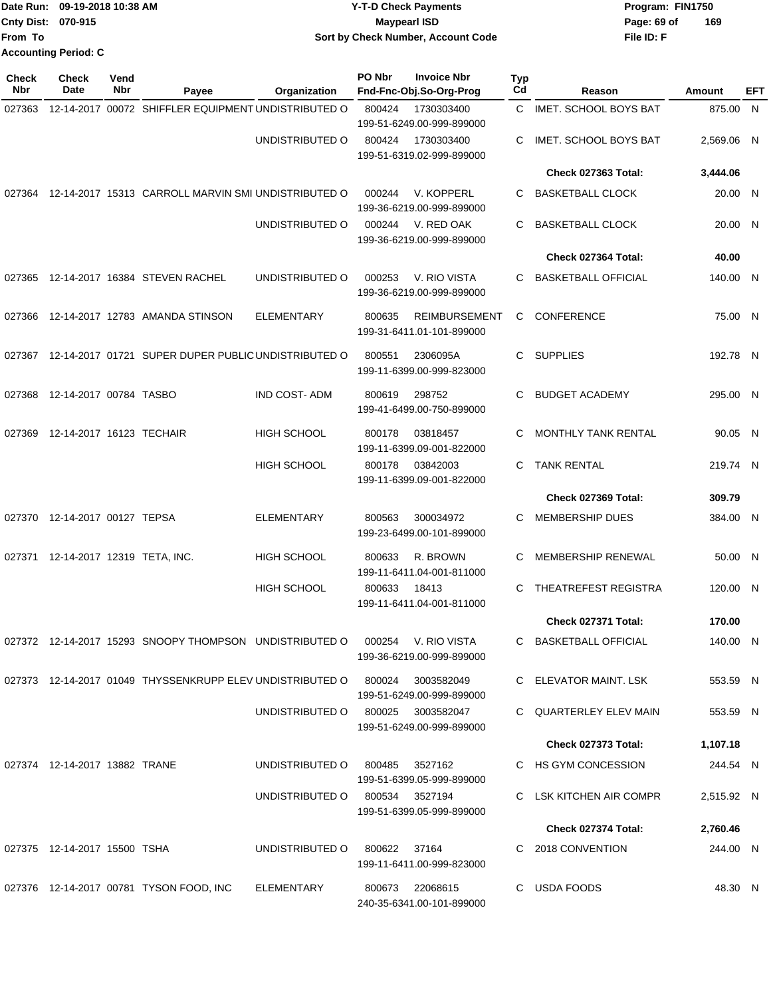|                           | Date Run: 09-19-2018 10:38 AM | <b>Y-T-D Check Payments</b>        | Program: FIN1750   |
|---------------------------|-------------------------------|------------------------------------|--------------------|
| <b>Cnty Dist: 070-915</b> |                               | <b>Mavpearl ISD</b>                | 169<br>Page: 69 of |
| <b>IFrom To</b>           |                               | Sort by Check Number, Account Code | File ID: F         |
|                           | <b>Accounting Period: C</b>   |                                    |                    |

| <b>Check</b><br>Nbr | <b>Check</b><br>Date          | Vend<br>Nbr | Payee                                                                       | Organization                      | PO Nbr       | <b>Invoice Nbr</b><br>Fnd-Fnc-Obj.So-Org-Prog     | Typ<br>Cd | Reason                       | Amount     | EFT |
|---------------------|-------------------------------|-------------|-----------------------------------------------------------------------------|-----------------------------------|--------------|---------------------------------------------------|-----------|------------------------------|------------|-----|
| 027363              |                               |             | 12-14-2017 00072 SHIFFLER EQUIPMENT UNDISTRIBUTED O                         |                                   | 800424       | 1730303400<br>199-51-6249.00-999-899000           | C.        | <b>IMET. SCHOOL BOYS BAT</b> | 875.00 N   |     |
|                     |                               |             |                                                                             | UNDISTRIBUTED O                   | 800424       | 1730303400<br>199-51-6319.02-999-899000           | С         | IMET. SCHOOL BOYS BAT        | 2,569.06 N |     |
|                     |                               |             |                                                                             |                                   |              |                                                   |           | Check 027363 Total:          | 3,444.06   |     |
|                     |                               |             | 027364 12-14-2017 15313 CARROLL MARVIN SMI UNDISTRIBUTED O                  |                                   | 000244       | V. KOPPERL<br>199-36-6219.00-999-899000           | С         | <b>BASKETBALL CLOCK</b>      | 20.00 N    |     |
|                     |                               |             |                                                                             | UNDISTRIBUTED O                   | 000244       | V. RED OAK<br>199-36-6219.00-999-899000           | С         | <b>BASKETBALL CLOCK</b>      | 20.00 N    |     |
|                     |                               |             |                                                                             |                                   |              |                                                   |           | Check 027364 Total:          | 40.00      |     |
| 027365              |                               |             | 12-14-2017 16384 STEVEN RACHEL                                              | UNDISTRIBUTED O                   | 000253       | V. RIO VISTA<br>199-36-6219.00-999-899000         | С         | <b>BASKETBALL OFFICIAL</b>   | 140.00 N   |     |
| 027366              |                               |             | 12-14-2017 12783 AMANDA STINSON                                             | <b>ELEMENTARY</b>                 | 800635       | <b>REIMBURSEMENT</b><br>199-31-6411.01-101-899000 | C.        | CONFERENCE                   | 75.00 N    |     |
| 027367              |                               |             | 12-14-2017 01721 SUPER DUPER PUBLIC UNDISTRIBUTED O                         |                                   | 800551       | 2306095A<br>199-11-6399.00-999-823000             | C.        | <b>SUPPLIES</b>              | 192.78 N   |     |
| 027368              | 12-14-2017 00784 TASBO        |             |                                                                             | <b>IND COST-ADM</b>               | 800619       | 298752<br>199-41-6499.00-750-899000               | С         | <b>BUDGET ACADEMY</b>        | 295.00 N   |     |
| 027369              | 12-14-2017 16123 TECHAIR      |             |                                                                             | <b>HIGH SCHOOL</b>                | 800178       | 03818457<br>199-11-6399.09-001-822000             | С         | <b>MONTHLY TANK RENTAL</b>   | 90.05 N    |     |
|                     |                               |             |                                                                             | <b>HIGH SCHOOL</b>                | 800178       | 03842003<br>199-11-6399.09-001-822000             | С         | <b>TANK RENTAL</b>           | 219.74 N   |     |
|                     |                               |             |                                                                             |                                   |              |                                                   |           | Check 027369 Total:          | 309.79     |     |
|                     | 027370 12-14-2017 00127 TEPSA |             |                                                                             | <b>ELEMENTARY</b>                 | 800563       | 300034972<br>199-23-6499.00-101-899000            | С         | <b>MEMBERSHIP DUES</b>       | 384.00 N   |     |
| 027371              | 12-14-2017 12319 TETA, INC.   |             |                                                                             | <b>HIGH SCHOOL</b>                | 800633       | R. BROWN<br>199-11-6411.04-001-811000             | С         | MEMBERSHIP RENEWAL           | 50.00 N    |     |
|                     |                               |             |                                                                             | HIGH SCHOOL                       | 800633       | 18413<br>199-11-6411.04-001-811000                | С         | <b>THEATREFEST REGISTRA</b>  | 120.00 N   |     |
|                     |                               |             |                                                                             |                                   |              |                                                   |           | Check 027371 Total:          | 170.00     |     |
|                     |                               |             | 027372 12-14-2017 15293 SNOOPY THOMPSON UNDISTRIBUTED O 000254              |                                   |              | V. RIO VISTA<br>199-36-6219.00-999-899000         |           | C BASKETBALL OFFICIAL        | 140.00 N   |     |
|                     |                               |             | 027373 12-14-2017 01049 THYSSENKRUPP ELEV UNDISTRIBUTED O 800024 3003582049 |                                   |              | 199-51-6249.00-999-899000                         |           | C ELEVATOR MAINT. LSK        | 553.59 N   |     |
|                     |                               |             |                                                                             | UNDISTRIBUTED O 800025 3003582047 |              | 199-51-6249.00-999-899000                         |           | C QUARTERLEY ELEV MAIN       | 553.59 N   |     |
|                     |                               |             |                                                                             |                                   |              |                                                   |           | Check 027373 Total:          | 1,107.18   |     |
|                     | 027374 12-14-2017 13882 TRANE |             |                                                                             | UNDISTRIBUTED O                   |              | 800485 3527162<br>199-51-6399.05-999-899000       |           | C HS GYM CONCESSION          | 244.54 N   |     |
|                     |                               |             |                                                                             | UNDISTRIBUTED O 800534 3527194    |              | 199-51-6399.05-999-899000                         |           | C LSK KITCHEN AIR COMPR      | 2,515.92 N |     |
|                     |                               |             |                                                                             |                                   |              |                                                   |           | Check 027374 Total:          | 2,760.46   |     |
|                     | 027375 12-14-2017 15500 TSHA  |             |                                                                             | UNDISTRIBUTED O                   | 800622 37164 | 199-11-6411.00-999-823000                         |           | C 2018 CONVENTION            | 244.00 N   |     |
|                     |                               |             | 027376 12-14-2017 00781 TYSON FOOD, INC                                     | ELEMENTARY                        |              | 800673 22068615<br>240-35-6341.00-101-899000      |           | C USDA FOODS                 | 48.30 N    |     |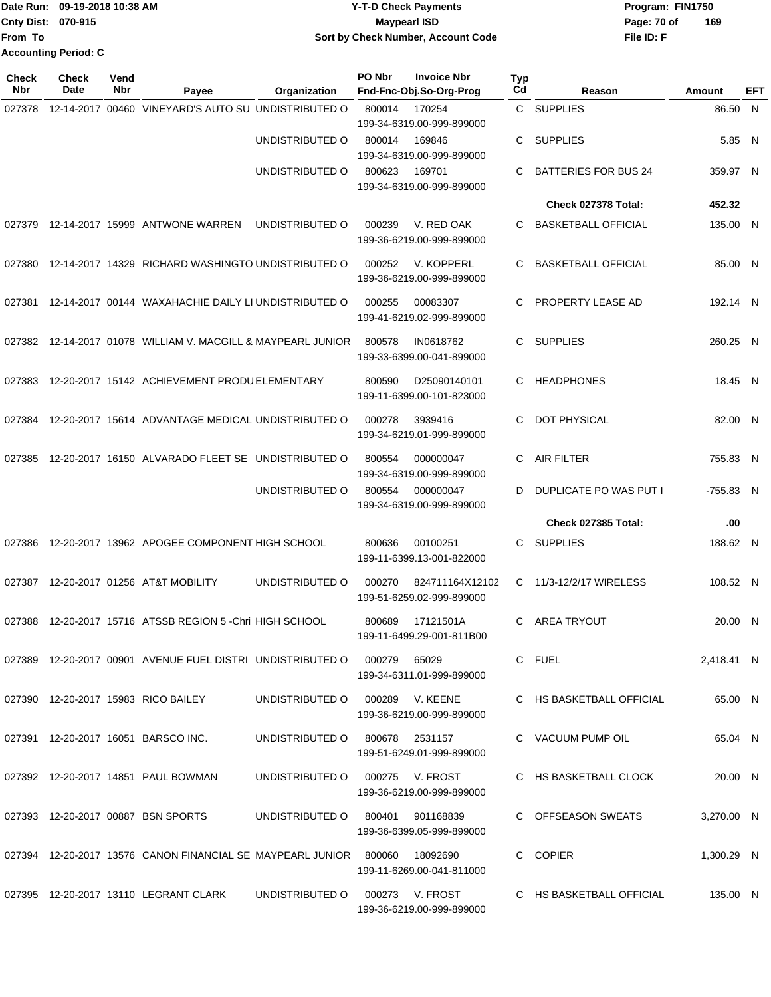|                           | Date Run: 09-19-2018 10:38 AM | <b>Y-T-D Check Payments</b>        | Program: FIN1750   |
|---------------------------|-------------------------------|------------------------------------|--------------------|
| <b>Cnty Dist: 070-915</b> |                               | Maypearl ISD                       | 169<br>Page: 70 of |
| lFrom To                  |                               | Sort by Check Number, Account Code | File ID: F         |
|                           | <b>Accounting Period: C</b>   |                                    |                    |

| <b>Check</b><br><b>Nbr</b> | Check<br>Date | Vend<br>Nbr | Payee                                                             | Organization                     | PO Nbr | <b>Invoice Nbr</b><br>Fnd-Fnc-Obj.So-Org-Prog | <b>Typ</b><br>Cd | Reason                      | Amount     | EFT |
|----------------------------|---------------|-------------|-------------------------------------------------------------------|----------------------------------|--------|-----------------------------------------------|------------------|-----------------------------|------------|-----|
| 027378                     |               |             | 12-14-2017 00460 VINEYARD'S AUTO SU UNDISTRIBUTED O               |                                  | 800014 | 170254<br>199-34-6319.00-999-899000           |                  | C SUPPLIES                  | 86.50 N    |     |
|                            |               |             |                                                                   | UNDISTRIBUTED O                  | 800014 | 169846<br>199-34-6319.00-999-899000           | C                | <b>SUPPLIES</b>             | 5.85 N     |     |
|                            |               |             |                                                                   | UNDISTRIBUTED O                  | 800623 | 169701<br>199-34-6319.00-999-899000           | C                | <b>BATTERIES FOR BUS 24</b> | 359.97 N   |     |
|                            |               |             |                                                                   |                                  |        |                                               |                  | Check 027378 Total:         | 452.32     |     |
| 027379                     |               |             | 12-14-2017 15999 ANTWONE WARREN                                   | UNDISTRIBUTED O                  | 000239 | V. RED OAK<br>199-36-6219.00-999-899000       | C                | <b>BASKETBALL OFFICIAL</b>  | 135.00 N   |     |
| 027380                     |               |             | 12-14-2017 14329 RICHARD WASHINGTO UNDISTRIBUTED O                |                                  | 000252 | V. KOPPERL<br>199-36-6219.00-999-899000       | C                | <b>BASKETBALL OFFICIAL</b>  | 85.00 N    |     |
| 027381                     |               |             | 12-14-2017 00144 WAXAHACHIE DAILY LI UNDISTRIBUTED O              |                                  | 000255 | 00083307<br>199-41-6219.02-999-899000         | C                | PROPERTY LEASE AD           | 192.14 N   |     |
| 027382                     |               |             | 12-14-2017 01078 WILLIAM V. MACGILL & MAYPEARL JUNIOR             |                                  | 800578 | IN0618762<br>199-33-6399.00-041-899000        | C.               | <b>SUPPLIES</b>             | 260.25 N   |     |
| 027383                     |               |             | 12-20-2017 15142 ACHIEVEMENT PRODU ELEMENTARY                     |                                  | 800590 | D25090140101<br>199-11-6399.00-101-823000     | C                | <b>HEADPHONES</b>           | 18.45 N    |     |
| 027384                     |               |             | 12-20-2017 15614 ADVANTAGE MEDICAL UNDISTRIBUTED O                |                                  | 000278 | 3939416<br>199-34-6219.01-999-899000          | C                | <b>DOT PHYSICAL</b>         | 82.00 N    |     |
| 027385                     |               |             | 12-20-2017 16150 ALVARADO FLEET SE UNDISTRIBUTED O                |                                  | 800554 | 000000047<br>199-34-6319.00-999-899000        | C                | <b>AIR FILTER</b>           | 755.83 N   |     |
|                            |               |             |                                                                   | UNDISTRIBUTED O                  | 800554 | 000000047<br>199-34-6319.00-999-899000        | D                | DUPLICATE PO WAS PUT I      | -755.83 N  |     |
|                            |               |             |                                                                   |                                  |        |                                               |                  | Check 027385 Total:         | .00        |     |
| 027386                     |               |             | 12-20-2017 13962 APOGEE COMPONENT HIGH SCHOOL                     |                                  | 800636 | 00100251<br>199-11-6399.13-001-822000         | C                | <b>SUPPLIES</b>             | 188.62 N   |     |
| 027387                     |               |             | 12-20-2017 01256 AT&T MOBILITY                                    | UNDISTRIBUTED O                  | 000270 | 824711164X12102<br>199-51-6259.02-999-899000  | C                | 11/3-12/2/17 WIRELESS       | 108.52 N   |     |
| 027388                     |               |             | 12-20-2017 15716 ATSSB REGION 5 - Chri HIGH SCHOOL                |                                  | 800689 | 17121501A<br>199-11-6499.29-001-811B00        | C                | <b>AREA TRYOUT</b>          | 20.00 N    |     |
|                            |               |             | 027389 12-20-2017 00901 AVENUE FUEL DISTRI UNDISTRIBUTED O        |                                  | 000279 | 65029<br>199-34-6311.01-999-899000            |                  | C FUEL                      | 2,418.41 N |     |
|                            |               |             | 027390 12-20-2017 15983 RICO BAILEY                               | UNDISTRIBUTED O                  |        | 000289 V. KEENE<br>199-36-6219.00-999-899000  |                  | C HS BASKETBALL OFFICIAL    | 65.00 N    |     |
|                            |               |             | 027391 12-20-2017 16051 BARSCO INC.                               | UNDISTRIBUTED O 800678 2531157   |        | 199-51-6249.01-999-899000                     |                  | C VACUUM PUMP OIL           | 65.04 N    |     |
|                            |               |             | 027392 12-20-2017 14851 PAUL BOWMAN                               | UNDISTRIBUTED O 000275 V. FROST  |        | 199-36-6219.00-999-899000                     |                  | C HS BASKETBALL CLOCK       | 20.00 N    |     |
|                            |               |             | 027393 12-20-2017 00887 BSN SPORTS                                | UNDISTRIBUTED 0 800401 901168839 |        | 199-36-6399.05-999-899000                     |                  | C OFFSEASON SWEATS          | 3,270.00 N |     |
|                            |               |             | 027394 12-20-2017 13576 CANON FINANCIAL SE MAYPEARL JUNIOR 800060 |                                  |        | 18092690<br>199-11-6269.00-041-811000         |                  | C COPIER                    | 1,300.29 N |     |
|                            |               |             | 027395 12-20-2017 13110 LEGRANT CLARK                             | UNDISTRIBUTED O                  |        | 000273 V. FROST<br>199-36-6219.00-999-899000  |                  | C HS BASKETBALL OFFICIAL    | 135.00 N   |     |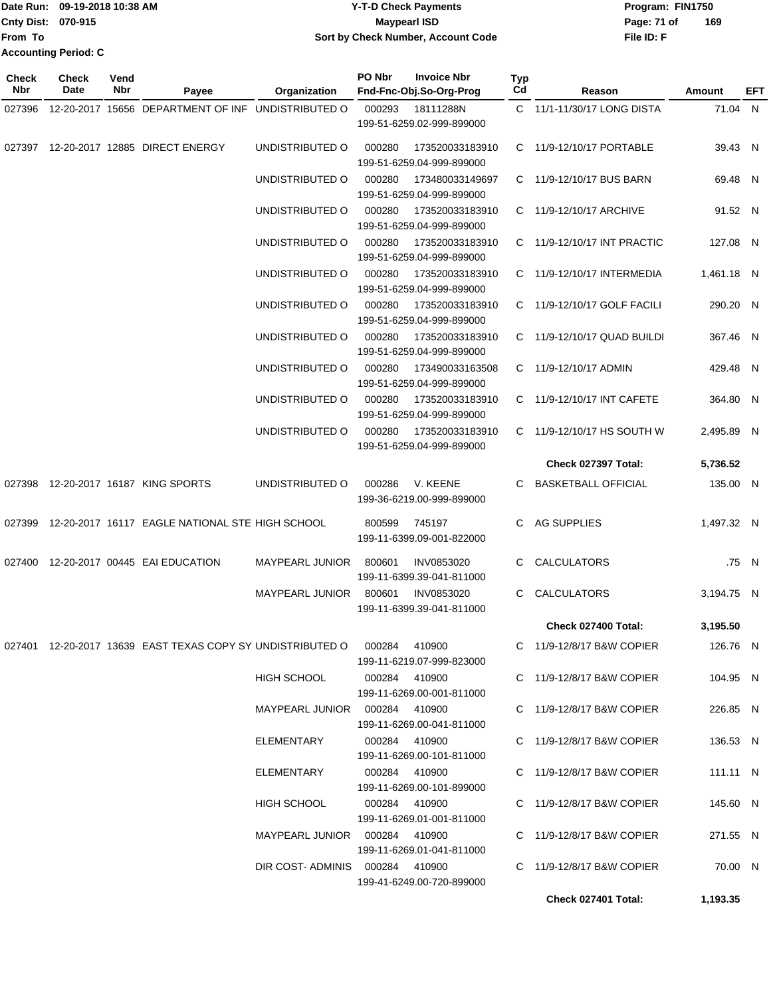|                           | TDate Run: 09-19-2018 10:38 AM | <b>Y-T-D Check Payments</b>        | Program: FIN1750   |
|---------------------------|--------------------------------|------------------------------------|--------------------|
| <b>Cnty Dist: 070-915</b> |                                | <b>Mavpearl ISD</b>                | 169<br>Page: 71 of |
| <b>From To</b>            |                                | Sort by Check Number, Account Code | File ID: F         |
|                           | <b>Accounting Period: C</b>    |                                    |                    |

| <b>Check</b><br>Nbr | <b>Check</b><br>Date | Vend<br>Nbr | Payee                                                      | Organization                    | PO Nbr | <b>Invoice Nbr</b><br>Fnd-Fnc-Obj.So-Org-Prog          | Typ<br>Cd | Reason                      | Amount     | EFT   |
|---------------------|----------------------|-------------|------------------------------------------------------------|---------------------------------|--------|--------------------------------------------------------|-----------|-----------------------------|------------|-------|
| 027396              |                      |             | 12-20-2017 15656 DEPARTMENT OF INF UNDISTRIBUTED O         |                                 | 000293 | 18111288N                                              |           | C 11/1-11/30/17 LONG DISTA  | 71.04 N    |       |
|                     |                      |             |                                                            |                                 |        | 199-51-6259.02-999-899000                              |           |                             |            |       |
|                     |                      |             | 027397 12-20-2017 12885 DIRECT ENERGY                      | UNDISTRIBUTED O                 | 000280 | 173520033183910<br>199-51-6259.04-999-899000           |           | C 11/9-12/10/17 PORTABLE    | 39.43 N    |       |
|                     |                      |             |                                                            | UNDISTRIBUTED O                 | 000280 | 173480033149697                                        |           | C 11/9-12/10/17 BUS BARN    | 69.48 N    |       |
|                     |                      |             |                                                            | UNDISTRIBUTED O                 | 000280 | 199-51-6259.04-999-899000<br>173520033183910           |           | C 11/9-12/10/17 ARCHIVE     | 91.52 N    |       |
|                     |                      |             |                                                            |                                 |        | 199-51-6259.04-999-899000                              |           |                             |            |       |
|                     |                      |             |                                                            | UNDISTRIBUTED O                 | 000280 | 173520033183910<br>199-51-6259.04-999-899000           |           | C 11/9-12/10/17 INT PRACTIC | 127.08 N   |       |
|                     |                      |             |                                                            | UNDISTRIBUTED O                 | 000280 | 173520033183910<br>199-51-6259.04-999-899000           |           | C 11/9-12/10/17 INTERMEDIA  | 1,461.18 N |       |
|                     |                      |             |                                                            | UNDISTRIBUTED O                 | 000280 | 173520033183910<br>199-51-6259.04-999-899000           |           | C 11/9-12/10/17 GOLF FACILI | 290.20 N   |       |
|                     |                      |             |                                                            | UNDISTRIBUTED O                 | 000280 | 173520033183910                                        |           | C 11/9-12/10/17 QUAD BUILDI | 367.46 N   |       |
|                     |                      |             |                                                            |                                 |        | 199-51-6259.04-999-899000                              |           |                             |            |       |
|                     |                      |             |                                                            | UNDISTRIBUTED O                 | 000280 | 173490033163508<br>199-51-6259.04-999-899000           |           | C 11/9-12/10/17 ADMIN       | 429.48 N   |       |
|                     |                      |             |                                                            | UNDISTRIBUTED O                 | 000280 | 173520033183910<br>199-51-6259.04-999-899000           |           | C 11/9-12/10/17 INT CAFETE  | 364.80 N   |       |
|                     |                      |             |                                                            | UNDISTRIBUTED O                 | 000280 | 173520033183910<br>199-51-6259.04-999-899000           |           | C 11/9-12/10/17 HS SOUTH W  | 2,495.89 N |       |
|                     |                      |             |                                                            |                                 |        |                                                        |           | Check 027397 Total:         | 5,736.52   |       |
|                     |                      |             | 027398 12-20-2017 16187 KING SPORTS                        | UNDISTRIBUTED O                 | 000286 | V. KEENE<br>199-36-6219.00-999-899000                  | C         | <b>BASKETBALL OFFICIAL</b>  | 135.00 N   |       |
|                     |                      |             | 027399 12-20-2017 16117 EAGLE NATIONAL STE HIGH SCHOOL     |                                 | 800599 | 745197<br>199-11-6399.09-001-822000                    | C.        | AG SUPPLIES                 | 1,497.32 N |       |
| 027400              |                      |             | 12-20-2017 00445 EAI EDUCATION                             | <b>MAYPEARL JUNIOR</b>          | 800601 | INV0853020<br>199-11-6399.39-041-811000                | C.        | CALCULATORS                 |            | .75 N |
|                     |                      |             |                                                            | <b>MAYPEARL JUNIOR</b>          | 800601 | <b>INV0853020</b><br>199-11-6399.39-041-811000         | C         | <b>CALCULATORS</b>          | 3,194.75 N |       |
|                     |                      |             |                                                            |                                 |        |                                                        |           | Check 027400 Total:         | 3,195.50   |       |
|                     |                      |             | 027401 12-20-2017 13639 EAST TEXAS COPY SY UNDISTRIBUTED O |                                 |        | 000284 410900<br>199-11-6219.07-999-823000             |           | C 11/9-12/8/17 B&W COPIER   | 126.76 N   |       |
|                     |                      |             |                                                            | <b>HIGH SCHOOL</b>              |        | 000284 410900<br>199-11-6269.00-001-811000             |           | C 11/9-12/8/17 B&W COPIER   | 104.95 N   |       |
|                     |                      |             |                                                            | MAYPEARL JUNIOR 000284 410900   |        | 199-11-6269.00-041-811000                              |           | C 11/9-12/8/17 B&W COPIER   | 226.85 N   |       |
|                     |                      |             |                                                            | ELEMENTARY                      |        | 000284 410900<br>199-11-6269.00-101-811000             |           | C 11/9-12/8/17 B&W COPIER   | 136.53 N   |       |
|                     |                      |             |                                                            | ELEMENTARY                      |        | 000284 410900<br>199-11-6269.00-101-899000             |           | C 11/9-12/8/17 B&W COPIER   | 111.11 N   |       |
|                     |                      |             |                                                            | HIGH SCHOOL                     |        | 000284 410900                                          |           | C 11/9-12/8/17 B&W COPIER   | 145.60 N   |       |
|                     |                      |             |                                                            | MAYPEARL JUNIOR  000284  410900 |        | 199-11-6269.01-001-811000                              |           | C 11/9-12/8/17 B&W COPIER   | 271.55 N   |       |
|                     |                      |             |                                                            | DIR COST-ADMINIS 000284 410900  |        | 199-11-6269.01-041-811000<br>199-41-6249.00-720-899000 |           | C 11/9-12/8/17 B&W COPIER   | 70.00 N    |       |
|                     |                      |             |                                                            |                                 |        |                                                        |           | Check 027401 Total:         | 1,193.35   |       |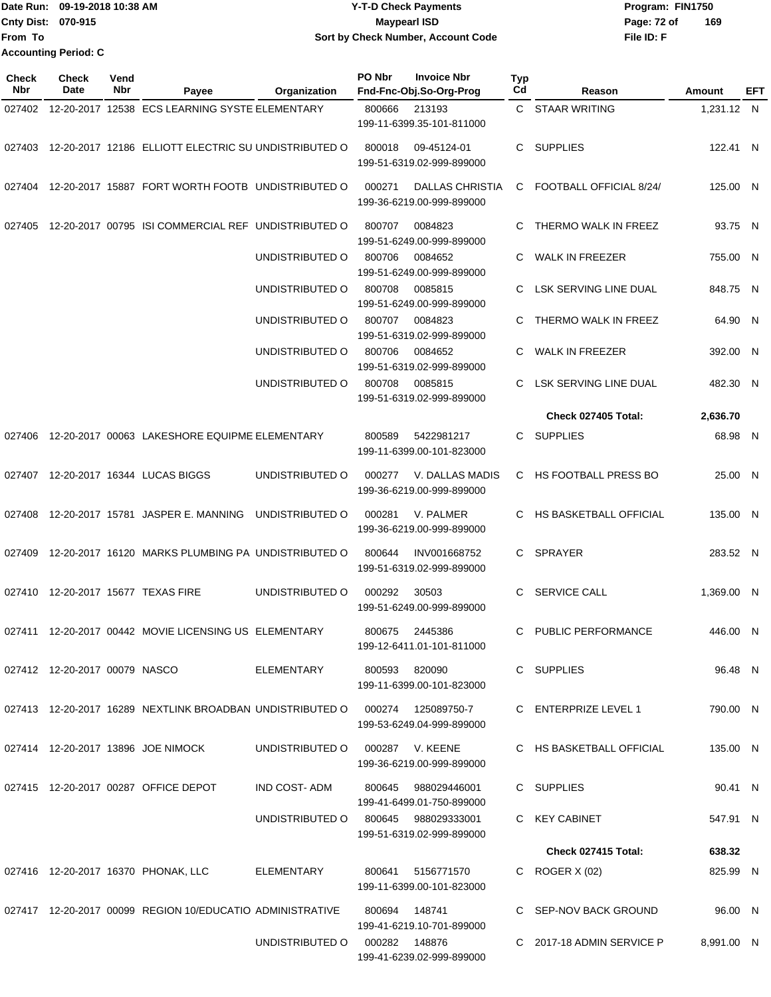|                           | IDate Run: 09-19-2018 10:38 AM | <b>Y-T-D Check Payments</b>        | Program: FIN1750   |
|---------------------------|--------------------------------|------------------------------------|--------------------|
| <b>Cnty Dist: 070-915</b> |                                | <b>Mavpearl ISD</b>                | 169<br>Page: 72 of |
| lFrom To                  |                                | Sort by Check Number, Account Code | File ID: F         |
|                           | <b>Accounting Period: C</b>    |                                    |                    |

| <b>Check</b><br>Nbr | Check<br>Date                 | Vend<br>Nbr | Payee                                                                        | Organization    | PO Nbr                                         | <b>Invoice Nbr</b><br>Fnd-Fnc-Obj.So-Org-Prog                     | <b>Typ</b><br>Cd | Reason                     | Amount     | EFT |
|---------------------|-------------------------------|-------------|------------------------------------------------------------------------------|-----------------|------------------------------------------------|-------------------------------------------------------------------|------------------|----------------------------|------------|-----|
|                     |                               |             | 027402 12-20-2017 12538 ECS LEARNING SYSTE ELEMENTARY                        |                 | 800666<br>213193<br>199-11-6399.35-101-811000  |                                                                   |                  | C STAAR WRITING            | 1,231.12 N |     |
|                     |                               |             | 027403 12-20-2017 12186 ELLIOTT ELECTRIC SU UNDISTRIBUTED O                  |                 | 800018                                         | 09-45124-01<br>199-51-6319.02-999-899000                          | C.               | <b>SUPPLIES</b>            | 122.41 N   |     |
|                     |                               |             | 027404 12-20-2017 15887 FORT WORTH FOOTB UNDISTRIBUTED O                     |                 | 000271                                         | <b>DALLAS CHRISTIA</b><br>199-36-6219.00-999-899000               | C                | FOOTBALL OFFICIAL 8/24/    | 125.00 N   |     |
| 027405              |                               |             | 12-20-2017 00795 ISI COMMERCIAL REF UNDISTRIBUTED O                          |                 | 800707                                         | 0084823<br>199-51-6249.00-999-899000                              | C                | THERMO WALK IN FREEZ       | 93.75 N    |     |
|                     |                               |             |                                                                              | UNDISTRIBUTED O | 800706                                         | 0084652<br>199-51-6249.00-999-899000                              | C                | <b>WALK IN FREEZER</b>     | 755.00 N   |     |
|                     |                               |             |                                                                              | UNDISTRIBUTED O | 0085815<br>800708                              |                                                                   | C                | LSK SERVING LINE DUAL      | 848.75 N   |     |
|                     |                               |             |                                                                              | UNDISTRIBUTED O | 800707                                         | 199-51-6249.00-999-899000<br>0084823<br>199-51-6319.02-999-899000 | C                | THERMO WALK IN FREEZ       | 64.90 N    |     |
|                     |                               |             |                                                                              | UNDISTRIBUTED O | 800706                                         | 0084652<br>199-51-6319.02-999-899000                              |                  | <b>WALK IN FREEZER</b>     | 392.00 N   |     |
|                     |                               |             |                                                                              | UNDISTRIBUTED O | 800708<br>0085815<br>199-51-6319.02-999-899000 |                                                                   | C                | LSK SERVING LINE DUAL      | 482.30 N   |     |
|                     |                               |             |                                                                              |                 |                                                |                                                                   |                  | Check 027405 Total:        | 2,636.70   |     |
| 027406              |                               |             | 12-20-2017 00063 LAKESHORE EQUIPME ELEMENTARY                                |                 | 800589                                         | 5422981217<br>199-11-6399.00-101-823000                           | C.               | <b>SUPPLIES</b>            | 68.98 N    |     |
|                     |                               |             | 027407 12-20-2017 16344 LUCAS BIGGS                                          | UNDISTRIBUTED O | 000277                                         | V. DALLAS MADIS<br>199-36-6219.00-999-899000                      | C.               | HS FOOTBALL PRESS BO       | 25.00 N    |     |
| 027408              |                               |             | 12-20-2017 15781 JASPER E. MANNING                                           | UNDISTRIBUTED O | 000281                                         | V. PALMER<br>199-36-6219.00-999-899000                            | C.               | HS BASKETBALL OFFICIAL     | 135.00 N   |     |
| 027409              |                               |             | 12-20-2017 16120 MARKS PLUMBING PA UNDISTRIBUTED O                           |                 | 800644                                         | INV001668752<br>199-51-6319.02-999-899000                         | C.               | <b>SPRAYER</b>             | 283.52 N   |     |
|                     |                               |             | 027410 12-20-2017 15677 TEXAS FIRE                                           | UNDISTRIBUTED O | 000292                                         | 30503<br>199-51-6249.00-999-899000                                | C                | <b>SERVICE CALL</b>        | 1,369.00 N |     |
| 027411              |                               |             | 12-20-2017 00442 MOVIE LICENSING US ELEMENTARY                               |                 | 800675                                         | 2445386<br>199-12-6411.01-101-811000                              | C.               | PUBLIC PERFORMANCE         | 446.00 N   |     |
|                     | 027412 12-20-2017 00079 NASCO |             |                                                                              | ELEMENTARY      |                                                | 800593 820090<br>199-11-6399.00-101-823000                        |                  | C SUPPLIES                 | 96.48 N    |     |
|                     |                               |             | 027413 12-20-2017 16289 NEXTLINK BROADBAN UNDISTRIBUTED O 000274 125089750-7 |                 |                                                | 199-53-6249.04-999-899000                                         |                  | C ENTERPRIZE LEVEL 1       | 790.00 N   |     |
|                     |                               |             | 027414 12-20-2017 13896 JOE NIMOCK                                           | UNDISTRIBUTED O |                                                | 000287 V. KEENE<br>199-36-6219.00-999-899000                      |                  | C HS BASKETBALL OFFICIAL   | 135.00 N   |     |
|                     |                               |             | 027415 12-20-2017 00287 OFFICE DEPOT                                         | IND COST-ADM    | 800645                                         | 988029446001<br>199-41-6499.01-750-899000                         |                  | C SUPPLIES                 | 90.41 N    |     |
|                     |                               |             |                                                                              | UNDISTRIBUTED O |                                                | 800645 988029333001<br>199-51-6319.02-999-899000                  |                  | C KEY CABINET              | 547.91 N   |     |
|                     |                               |             |                                                                              |                 |                                                |                                                                   |                  | <b>Check 027415 Total:</b> | 638.32     |     |
|                     |                               |             | 027416 12-20-2017 16370 PHONAK, LLC                                          | ELEMENTARY      | 800641                                         | 5156771570<br>199-11-6399.00-101-823000                           |                  | C ROGER $X(02)$            | 825.99 N   |     |
|                     |                               |             | 027417 12-20-2017 00099 REGION 10/EDUCATIO ADMINISTRATIVE                    |                 | 800694                                         | 148741<br>199-41-6219.10-701-899000                               |                  | C SEP-NOV BACK GROUND      | 96.00 N    |     |
|                     |                               |             |                                                                              | UNDISTRIBUTED O | 000282 148876                                  | 199-41-6239.02-999-899000                                         |                  | C 2017-18 ADMIN SERVICE P  | 8,991.00 N |     |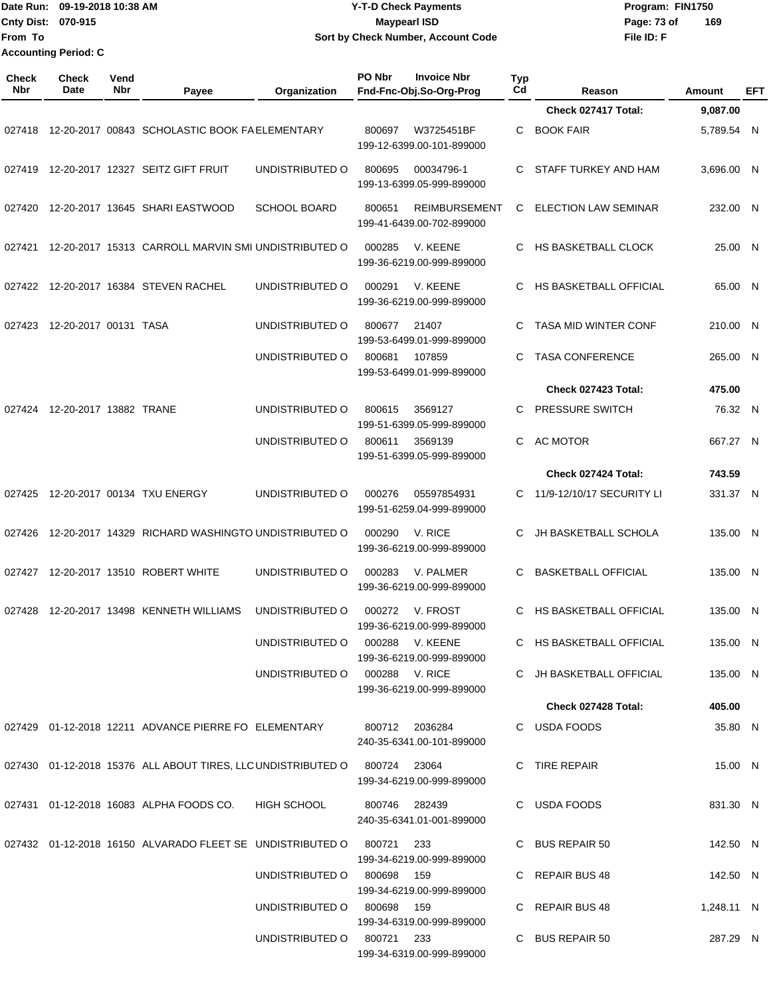Date Run: 09-19-2018 10:38 AM **CONTEX 18 AM CONTEX 18 AM CONTEX 17-T-D** Check Payments **CONTEX 18 AM CONTEX 18 AM CONTEX 18 AM CONTEX 18 AM CONTEX 18 AM CONTEX 18 AM CONTEX 18 AM CONTEX 18 AM CONTEX 19 AM CONTEX 19 AM CONT Cnty Dist:** 070-915 **Page: 73 of MaypearI ISD Page: 73 of From To 09-19-2018 10:38 AM Y-T-D Check Payments 070-915 Maypearl ISD Sort by Check Number, Account Code Accounting Period: C**

| <b>Check</b><br><b>Nbr</b> | Check<br>Date          | Vend<br>Nbr | Payee                                                                          | Organization                   | PO Nbr        | <b>Invoice Nbr</b><br>Fnd-Fnc-Obj.So-Org-Prog     | <b>Typ</b><br>Cd | Reason                      | Amount     | <b>EFT</b> |
|----------------------------|------------------------|-------------|--------------------------------------------------------------------------------|--------------------------------|---------------|---------------------------------------------------|------------------|-----------------------------|------------|------------|
|                            |                        |             |                                                                                |                                |               |                                                   |                  | Check 027417 Total:         | 9,087.00   |            |
| 027418                     |                        |             | 12-20-2017 00843 SCHOLASTIC BOOK FAELEMENTARY                                  |                                | 800697        | W3725451BF<br>199-12-6399.00-101-899000           | C                | <b>BOOK FAIR</b>            | 5,789.54 N |            |
| 027419                     |                        |             | 12-20-2017 12327 SEITZ GIFT FRUIT                                              | UNDISTRIBUTED O                | 800695        | 00034796-1<br>199-13-6399.05-999-899000           | C                | STAFF TURKEY AND HAM        | 3,696.00 N |            |
| 027420                     |                        |             | 12-20-2017 13645 SHARI EASTWOOD                                                | <b>SCHOOL BOARD</b>            | 800651        | <b>REIMBURSEMENT</b><br>199-41-6439.00-702-899000 | C                | <b>ELECTION LAW SEMINAR</b> | 232.00 N   |            |
| 027421                     |                        |             | 12-20-2017 15313 CARROLL MARVIN SMI UNDISTRIBUTED O                            |                                | 000285        | V. KEENE<br>199-36-6219.00-999-899000             | C                | <b>HS BASKETBALL CLOCK</b>  | 25.00 N    |            |
| 027422                     |                        |             | 12-20-2017 16384 STEVEN RACHEL                                                 | UNDISTRIBUTED O                | 000291        | V. KEENE<br>199-36-6219.00-999-899000             | C                | HS BASKETBALL OFFICIAL      | 65.00 N    |            |
| 027423                     | 12-20-2017 00131 TASA  |             |                                                                                | UNDISTRIBUTED O                | 800677        | 21407<br>199-53-6499.01-999-899000                | C                | <b>TASA MID WINTER CONF</b> | 210.00 N   |            |
|                            |                        |             |                                                                                | UNDISTRIBUTED O                | 800681        | 107859<br>199-53-6499.01-999-899000               | C                | <b>TASA CONFERENCE</b>      | 265.00 N   |            |
|                            |                        |             |                                                                                |                                |               |                                                   |                  | Check 027423 Total:         | 475.00     |            |
| 027424                     | 12-20-2017 13882 TRANE |             |                                                                                | UNDISTRIBUTED O                | 800615        | 3569127<br>199-51-6399.05-999-899000              |                  | PRESSURE SWITCH             | 76.32 N    |            |
|                            |                        |             |                                                                                | UNDISTRIBUTED O                | 800611        | 3569139<br>199-51-6399.05-999-899000              | C                | <b>AC MOTOR</b>             | 667.27 N   |            |
|                            |                        |             |                                                                                |                                |               |                                                   |                  | Check 027424 Total:         | 743.59     |            |
| 027425                     |                        |             | 12-20-2017 00134 TXU ENERGY                                                    | UNDISTRIBUTED O                | 000276        | 05597854931<br>199-51-6259.04-999-899000          | C                | 11/9-12/10/17 SECURITY LI   | 331.37 N   |            |
| 027426                     |                        |             | 12-20-2017 14329 RICHARD WASHINGTO UNDISTRIBUTED O                             |                                | 000290        | V. RICE<br>199-36-6219.00-999-899000              | C                | JH BASKETBALL SCHOLA        | 135.00 N   |            |
| 027427                     |                        |             | 12-20-2017 13510 ROBERT WHITE                                                  | UNDISTRIBUTED O                | 000283        | V. PALMER<br>199-36-6219.00-999-899000            | C                | <b>BASKETBALL OFFICIAL</b>  | 135.00 N   |            |
| 027428                     |                        |             | 12-20-2017 13498 KENNETH WILLIAMS                                              | UNDISTRIBUTED O                | 000272        | V. FROST<br>199-36-6219.00-999-899000             | C                | HS BASKETBALL OFFICIAL      | 135.00 N   |            |
|                            |                        |             |                                                                                | UNDISTRIBUTED O                | 000288        | V. KEENE<br>199-36-6219.00-999-899000             |                  | C HS BASKETBALL OFFICIAL    | 135.00 N   |            |
|                            |                        |             |                                                                                | UNDISTRIBUTED O 000288 V. RICE |               | 199-36-6219.00-999-899000                         |                  | C JH BASKETBALL OFFICIAL    | 135.00 N   |            |
|                            |                        |             |                                                                                |                                |               |                                                   |                  | Check 027428 Total:         | 405.00     |            |
|                            |                        |             | 027429 01-12-2018 12211 ADVANCE PIERRE FO ELEMENTARY                           |                                |               | 800712 2036284<br>240-35-6341.00-101-899000       |                  | C USDA FOODS                | 35.80 N    |            |
|                            |                        |             | 027430  01-12-2018  15376  ALL ABOUT TIRES, LLC UNDISTRIBUTED O  800724  23064 |                                |               | 199-34-6219.00-999-899000                         |                  | C TIRE REPAIR               | 15.00 N    |            |
|                            |                        |             | 027431 01-12-2018 16083 ALPHA FOODS CO.                                        | HIGH SCHOOL                    | 800746 282439 | 240-35-6341.01-001-899000                         |                  | C USDA FOODS                | 831.30 N   |            |
|                            |                        |             | 027432  01-12-2018  16150  ALVARADO FLEET SE  UNDISTRIBUTED O  800721          |                                |               | 233<br>199-34-6219.00-999-899000                  |                  | C BUS REPAIR 50             | 142.50 N   |            |
|                            |                        |             |                                                                                | UNDISTRIBUTED O                | 800698        | 159<br>199-34-6219.00-999-899000                  |                  | C REPAIR BUS 48             | 142.50 N   |            |
|                            |                        |             |                                                                                | UNDISTRIBUTED O                | 800698        | 159<br>199-34-6319.00-999-899000                  |                  | C REPAIR BUS 48             | 1,248.11 N |            |
|                            |                        |             |                                                                                | UNDISTRIBUTED O                | 800721 233    | 199-34-6319.00-999-899000                         |                  | C BUS REPAIR 50             | 287.29 N   |            |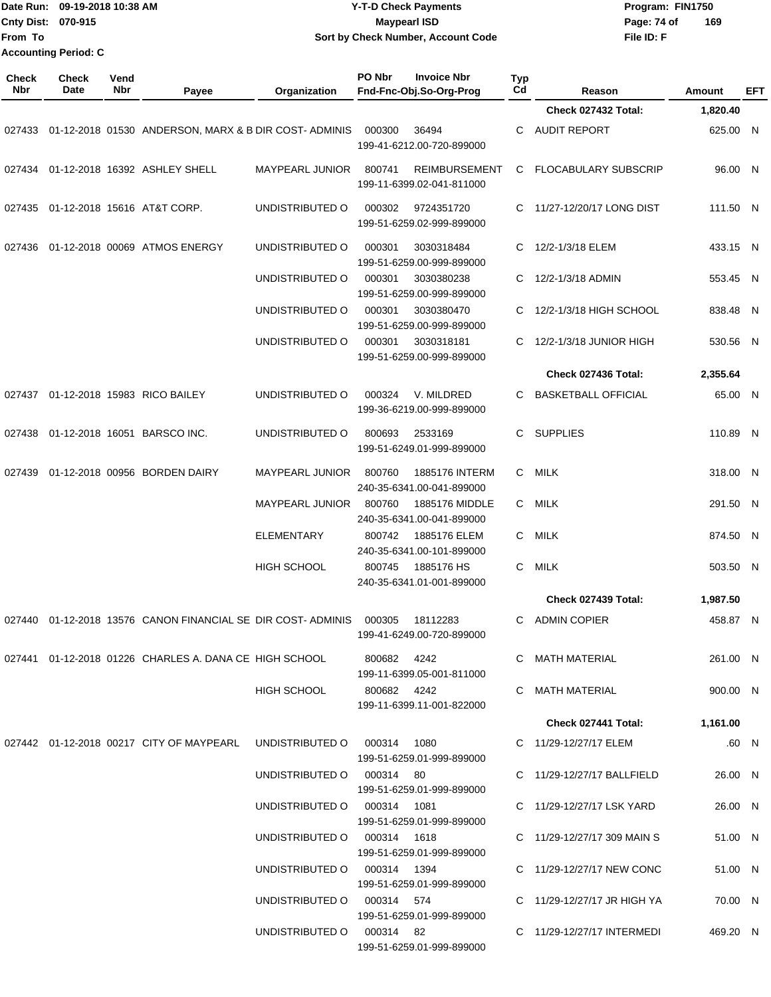|                            | Date Run: 09-19-2018 10:38 AM |             |                                                      |                        |        | <b>Y-T-D Check Payments</b>                       |           | Program: FIN1750            |          |            |  |
|----------------------------|-------------------------------|-------------|------------------------------------------------------|------------------------|--------|---------------------------------------------------|-----------|-----------------------------|----------|------------|--|
|                            | Cnty Dist: 070-915            |             |                                                      |                        |        | <b>Maypearl ISD</b>                               |           | Page: 74 of                 | 169      |            |  |
| From To                    |                               |             |                                                      |                        |        | Sort by Check Number, Account Code                |           | File ID: F                  |          |            |  |
|                            | <b>Accounting Period: C</b>   |             |                                                      |                        |        |                                                   |           |                             |          |            |  |
| <b>Check</b><br><b>Nbr</b> | <b>Check</b><br>Date          | Vend<br>Nbr | Payee                                                | Organization           | PO Nbr | <b>Invoice Nbr</b><br>Fnd-Fnc-Obj.So-Org-Prog     | Typ<br>Cd | Reason                      | Amount   | <b>EFT</b> |  |
|                            |                               |             |                                                      |                        |        |                                                   |           | Check 027432 Total:         | 1,820.40 |            |  |
| 027433                     |                               |             | 01-12-2018 01530 ANDERSON, MARX & B DIR COST-ADMINIS |                        | 000300 | 36494<br>199-41-6212.00-720-899000                | C         | <b>AUDIT REPORT</b>         | 625.00 N |            |  |
|                            |                               |             | 027434 01-12-2018 16392 ASHLEY SHELL                 | <b>MAYPEARL JUNIOR</b> | 800741 | <b>REIMBURSEMENT</b><br>199-11-6399.02-041-811000 | C.        | <b>FLOCABULARY SUBSCRIP</b> | 96.00 N  |            |  |
| 027435                     |                               |             | 01-12-2018 15616 AT&T CORP.                          | UNDISTRIBUTED O        | 000302 | 9724351720<br>199-51-6259.02-999-899000           | C         | 11/27-12/20/17 LONG DIST    | 111.50 N |            |  |
| 027436                     |                               |             | 01-12-2018 00069 ATMOS ENERGY                        | UNDISTRIBUTED O        | 000301 | 3030318484<br>199-51-6259.00-999-899000           | C         | 12/2-1/3/18 ELEM            | 433.15 N |            |  |
|                            |                               |             |                                                      | UNDISTRIBUTED O        | 000301 | 3030380238<br>199-51-6259.00-999-899000           | C         | 12/2-1/3/18 ADMIN           | 553.45 N |            |  |
|                            |                               |             |                                                      | UNDISTRIBUTED O        | 000301 | 3030380470<br>199-51-6259.00-999-899000           | C         | 12/2-1/3/18 HIGH SCHOOL     | 838.48 N |            |  |
|                            |                               |             |                                                      | UNDISTRIBUTED O        | 000301 | 3030318181<br>199-51-6259.00-999-899000           | C         | 12/2-1/3/18 JUNIOR HIGH     | 530.56 N |            |  |
|                            |                               |             |                                                      |                        |        |                                                   |           | Check 027436 Total:         | 2,355.64 |            |  |
| 027437                     |                               |             | 01-12-2018 15983 RICO BAILEY                         | UNDISTRIBUTED O        | 000324 | V. MILDRED<br>199-36-6219.00-999-899000           | C         | <b>BASKETBALL OFFICIAL</b>  | 65.00 N  |            |  |
|                            |                               |             | 027438 01-12-2018 16051 BARSCO INC.                  | UNDISTRIBUTED O        | 800693 | 2533169                                           | C.        | <b>SUPPLIES</b>             | 110.89 N |            |  |

199-51-6249.01-999-899000

240-35-6341.00-041-899000

MAYPEARL JUNIOR 800760 1885176 MIDDLE C MILK 240-35-6341.00-041-899000

ELEMENTARY 800742 1885176 ELEM C MILK 240-35-6341.00-101-899000

HIGH SCHOOL 800745 1885176 HS C MILK 240-35-6341.01-001-899000

318.00 N

291.50 N

874.50 N

503.50 N

N

N

N

N

N

|        |  |                                                      |                    |        |                           |    | Check 027439 Total:       | 1,987.50 |
|--------|--|------------------------------------------------------|--------------------|--------|---------------------------|----|---------------------------|----------|
| 027440 |  | 01-12-2018 13576 CANON FINANCIAL SE DIR COST-ADMINIS |                    | 000305 | 18112283                  | C. | ADMIN COPIER              | 458.87   |
|        |  |                                                      |                    |        | 199-41-6249.00-720-899000 |    |                           |          |
| 027441 |  | 01-12-2018 01226 CHARLES A. DANA CE HIGH SCHOOL      |                    | 800682 | 4242                      | C. | MATH MATERIAL             | 261.00   |
|        |  |                                                      |                    |        | 199-11-6399.05-001-811000 |    |                           |          |
|        |  |                                                      | <b>HIGH SCHOOL</b> | 800682 | 4242                      | C. | MATH MATERIAL             | 900.00   |
|        |  |                                                      |                    |        | 199-11-6399.11-001-822000 |    |                           |          |
|        |  |                                                      |                    |        |                           |    | Check 027441 Total:       | 1,161.00 |
| 027442 |  | 01-12-2018 00217 CITY OF MAYPEARL                    | UNDISTRIBUTED O    | 000314 | 1080                      |    | C 11/29-12/27/17 ELEM     | .60      |
|        |  |                                                      |                    |        | 199-51-6259.01-999-899000 |    |                           |          |
|        |  |                                                      | UNDISTRIBUTED O    | 000314 | -80                       | C. | 11/29-12/27/17 BALLFIELD  | 26.00    |
|        |  |                                                      |                    |        | 199-51-6259.01-999-899000 |    |                           |          |
|        |  |                                                      | UNDISTRIBUTED O    | 000314 | 1081                      |    | C 11/29-12/27/17 LSK YARD | 26.00    |

027439 01-12-2018 00956 BORDEN DAIRY MAYPEARL JUNIOR 800760 1885176 INTERM C MILK 318.00

| UNDISTRIBUTED O | 000314 | 1081                      |    | C 11/29-12/27/17 LSK YARD   | 26.00 N  |  |
|-----------------|--------|---------------------------|----|-----------------------------|----------|--|
|                 |        | 199-51-6259.01-999-899000 |    |                             |          |  |
| UNDISTRIBUTED O | 000314 | 1618                      |    | C 11/29-12/27/17 309 MAIN S | 51.00 N  |  |
|                 |        | 199-51-6259.01-999-899000 |    |                             |          |  |
| UNDISTRIBUTED O | 000314 | 1394                      |    | C 11/29-12/27/17 NEW CONC   | 51.00 N  |  |
|                 |        | 199-51-6259.01-999-899000 |    |                             |          |  |
| UNDISTRIBUTED O | 000314 | 574                       |    | C 11/29-12/27/17 JR HIGH YA | 70.00 N  |  |
|                 |        | 199-51-6259.01-999-899000 |    |                             |          |  |
| UNDISTRIBUTED O | 000314 | -82                       | C. | 11/29-12/27/17 INTERMEDI    | 469.20 N |  |
|                 |        | 199-51-6259.01-999-899000 |    |                             |          |  |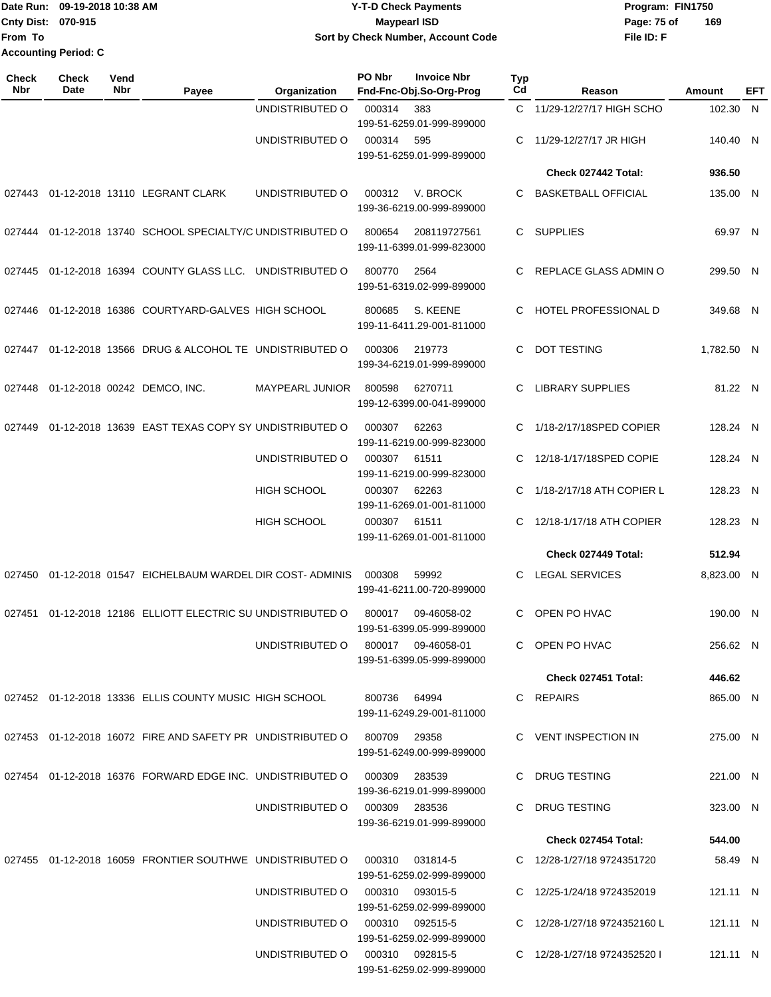## **Date Run: Program: FIN1750 Cnty Dist: Page: 75 of 09-19-2018 10:38 AM Y-T-D Check Payments 070-915 Maypearl ISD Sort by Check Number, Account Code**

**File ID: F 169**

**Check Nbr Check Date Reason Fnd-Fnc-Obj.So-Org-Prog Typ Reason Amount Vend Payee Organization PO Nbr Invoice Nbr EFT** UNDISTRIBUTED O 000314 383 C 11/29-12/27/17 HIGH SCHO 102.30 199-51-6259.01-999-899000 N UNDISTRIBUTED O 000314 595 C 11/29-12/27/17 JR HIGH 140.40 199-51-6259.01-999-899000 140.40 N **Check 027442 Total: 936.50** 027443 01-12-2018 13110 LEGRANT CLARK UNDISTRIBUTED O 000312 V. BROCK C BASKETBALL OFFICIAL 199-36-6219.00-999-899000 135.00 N 027444 01-12-2018 13740 SCHOOL SPECIALTY/C UNDISTRIBUTED 0 800654 208119727561 C SUPPLIES 199-11-6399.01-999-823000 69.97 N 027445 01-12-2018 16394 COUNTY GLASS LLC. UNDISTRIBUTED O 800770 2564 C REPLACE GLASS ADMIN O 299.50 199-51-6319.02-999-899000 N 027446 01-12-2018 16386 COURTYARD-GALVES HIGH SCHOOL 800685 S. KEENE C HOTEL PROFESSIONAL D 349.68 199-11-6411.29-001-811000 N 027447 01-12-2018 13566 DRUG & ALCOHOL TE UNDISTRIBUTED O 000306 219773 C DOT TESTING 1,782.50 199-34-6219.01-999-899000 N 027448 01-12-2018 00242 DEMCO, INC. MAYPEARL JUNIOR 800598 6270711 C LIBRARY SUPPLIES 81.22 199-12-6399.00-041-899000 81.22 N 027449 01-12-2018 13639 EAST TEXAS COPY SY UNDISTRIBUTED O 000307 62263 C 1/18-2/17/18SPED COPIER 128.24 199-11-6219.00-999-823000 N UNDISTRIBUTED O 000307 61511 C 12/18-1/17/18SPED COPIE 128.24 199-11-6219.00-999-823000 N HIGH SCHOOL 000307 62263 C 1/18-2/17/18 ATH COPIER L 128.23 199-11-6269.01-001-811000 N HIGH SCHOOL 000307 61511 C 12/18-1/17/18 ATH COPIER 128.23 199-11-6269.01-001-811000 N **Check 027449 Total: 512.94** 027450 01-12-2018 01547 EICHELBAUM WARDEL DIR COST- ADMINIS 000308 59992 C LEGAL SERVICES 8,823.00 199-41-6211.00-720-899000 N 027451 01-12-2018 12186 ELLIOTT ELECTRIC SU UNDISTRIBUTED O 800017 09-46058-02 C OPEN PO HVAC 190.00 199-51-6399.05-999-899000 N UNDISTRIBUTED O 800017 09-46058-01 C OPEN PO HVAC 199-51-6399.05-999-899000 256.62 N **Check 027451 Total: 446.62** 027452 01-12-2018 13336 ELLIS COUNTY MUSIC HIGH SCHOOL 800736 64994 C REPAIRS 199-11-6249.29-001-811000 865.00 N 027453 01-12-2018 16072 FIRE AND SAFETY PR UNDISTRIBUTED O 800709 29358 C VENT INSPECTION IN 199-51-6249.00-999-899000 275.00 N 027454 01-12-2018 16376 FORWARD EDGE INC. UNDISTRIBUTED O 000309 283539 C DRUG TESTING 221.00 199-36-6219.01-999-899000 N UNDISTRIBUTED O 000309 283536 C DRUG TESTING 199-36-6219.01-999-899000 323.00 N **Check 027454 Total: 544.00** 027455 01-12-2018 16059 FRONTIER SOUTHWE UNDISTRIBUTED O 000310 031814-5 C 12/28-1/27/18 9724351720 58.49 199-51-6259.02-999-899000 N UNDISTRIBUTED O 000310 093015-5 C 12/25-1/24/18 9724352019 199-51-6259.02-999-899000 121 11 N UNDISTRIBUTED O 000310 092515-5 C 12/28-1/27/18 9724352160 L 199-51-6259.02-999-899000 121.11 N UNDISTRIBUTED O 000310 092815-5 C 12/28-1/27/18 9724352520 I 121.11 N

199-51-6259.02-999-899000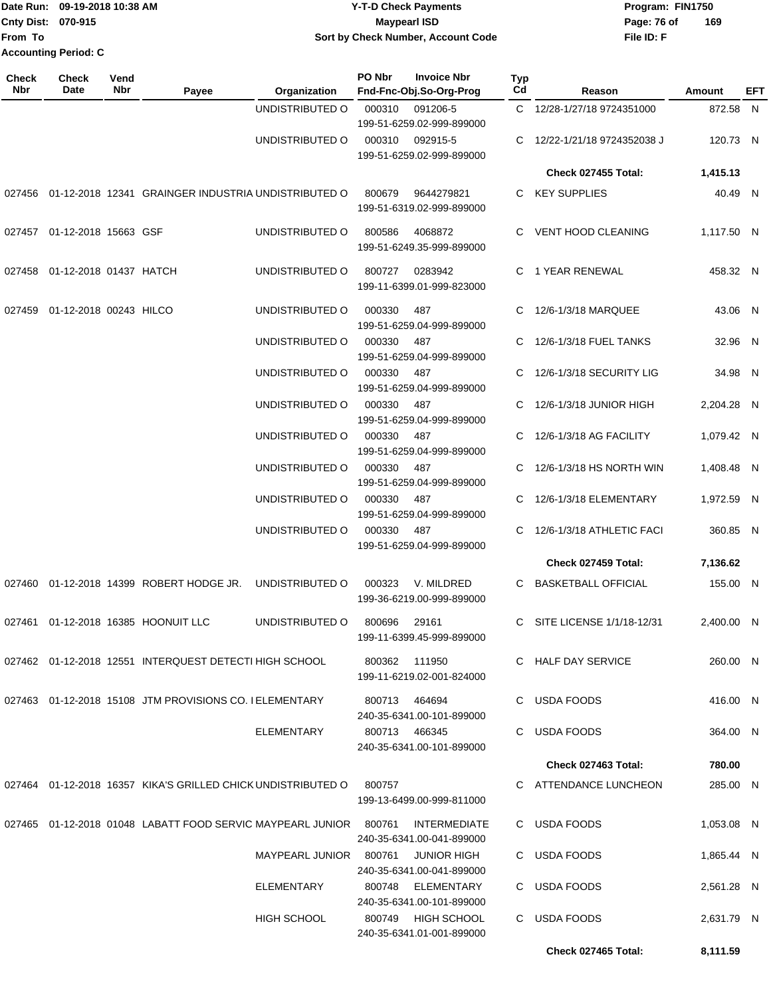|                             | TDate Run: 09-19-2018 10:38 AM | <b>Y-T-D Check Payments</b>        | Program: FIN1750 |     |
|-----------------------------|--------------------------------|------------------------------------|------------------|-----|
| <b>Cnty Dist: 070-915</b>   |                                | Maypearl ISD                       | Page: 76 of      | 169 |
| lFrom To                    |                                | Sort by Check Number, Account Code | File ID: F       |     |
| <b>Accounting Period: C</b> |                                |                                    |                  |     |

| Check<br><b>Nbr</b> | <b>Check</b><br>Date          | Vend<br>Nbr | Payee                                                             | Organization           | PO Nbr | <b>Invoice Nbr</b><br>Fnd-Fnc-Obj.So-Org-Prog    | <b>Typ</b><br>Cd | Reason                       | <b>Amount</b> | EFT |
|---------------------|-------------------------------|-------------|-------------------------------------------------------------------|------------------------|--------|--------------------------------------------------|------------------|------------------------------|---------------|-----|
|                     |                               |             |                                                                   | UNDISTRIBUTED O        | 000310 | 091206-5<br>199-51-6259.02-999-899000            |                  | C 12/28-1/27/18 9724351000   | 872.58 N      |     |
|                     |                               |             |                                                                   | UNDISTRIBUTED O        | 000310 | 092915-5<br>199-51-6259.02-999-899000            |                  | C 12/22-1/21/18 9724352038 J | 120.73 N      |     |
|                     |                               |             |                                                                   |                        |        |                                                  |                  | <b>Check 027455 Total:</b>   | 1,415.13      |     |
|                     |                               |             | 027456 01-12-2018 12341 GRAINGER INDUSTRIA UNDISTRIBUTED O        |                        | 800679 | 9644279821<br>199-51-6319.02-999-899000          |                  | C KEY SUPPLIES               | 40.49 N       |     |
| 027457              | 01-12-2018 15663 GSF          |             |                                                                   | UNDISTRIBUTED O        | 800586 | 4068872<br>199-51-6249.35-999-899000             |                  | C VENT HOOD CLEANING         | 1,117.50 N    |     |
| 027458              | 01-12-2018 01437 HATCH        |             |                                                                   | UNDISTRIBUTED O        | 800727 | 0283942<br>199-11-6399.01-999-823000             |                  | C 1 YEAR RENEWAL             | 458.32 N      |     |
|                     | 027459 01-12-2018 00243 HILCO |             |                                                                   | UNDISTRIBUTED O        | 000330 | 487<br>199-51-6259.04-999-899000                 |                  | 12/6-1/3/18 MARQUEE          | 43.06 N       |     |
|                     |                               |             |                                                                   | UNDISTRIBUTED O        | 000330 | 487<br>199-51-6259.04-999-899000                 | C                | 12/6-1/3/18 FUEL TANKS       | 32.96 N       |     |
|                     |                               |             |                                                                   | UNDISTRIBUTED O        | 000330 | 487<br>199-51-6259.04-999-899000                 | C.               | 12/6-1/3/18 SECURITY LIG     | 34.98 N       |     |
|                     |                               |             |                                                                   | UNDISTRIBUTED O        | 000330 | 487<br>199-51-6259.04-999-899000                 |                  | C 12/6-1/3/18 JUNIOR HIGH    | 2,204.28 N    |     |
|                     |                               |             |                                                                   | UNDISTRIBUTED O        | 000330 | 487<br>199-51-6259.04-999-899000                 | C.               | 12/6-1/3/18 AG FACILITY      | 1.079.42 N    |     |
|                     |                               |             |                                                                   | UNDISTRIBUTED O        | 000330 | 487<br>199-51-6259.04-999-899000                 |                  | C 12/6-1/3/18 HS NORTH WIN   | 1,408.48 N    |     |
|                     |                               |             |                                                                   | UNDISTRIBUTED O        | 000330 | 487<br>199-51-6259.04-999-899000                 |                  | C 12/6-1/3/18 ELEMENTARY     | 1,972.59 N    |     |
|                     |                               |             |                                                                   | UNDISTRIBUTED O        | 000330 | 487<br>199-51-6259.04-999-899000                 | C.               | 12/6-1/3/18 ATHLETIC FACI    | 360.85 N      |     |
|                     |                               |             |                                                                   |                        |        |                                                  |                  | Check 027459 Total:          | 7,136.62      |     |
|                     |                               |             | 027460 01-12-2018 14399 ROBERT HODGE JR.                          | UNDISTRIBUTED O        | 000323 | V. MILDRED<br>199-36-6219.00-999-899000          |                  | C BASKETBALL OFFICIAL        | 155.00 N      |     |
|                     |                               |             | 027461 01-12-2018 16385 HOONUIT LLC                               | UNDISTRIBUTED O        | 800696 | 29161<br>199-11-6399.45-999-899000               | C                | SITE LICENSE 1/1/18-12/31    | 2,400.00 N    |     |
|                     |                               |             | 027462 01-12-2018 12551 INTERQUEST DETECTI HIGH SCHOOL            |                        |        | 800362 111950<br>199-11-6219.02-001-824000       |                  | C HALF DAY SERVICE           | 260.00 N      |     |
|                     |                               |             | 027463 01-12-2018 15108 JTM PROVISIONS CO. I ELEMENTARY           |                        |        | 800713 464694<br>240-35-6341.00-101-899000       |                  | C USDA FOODS                 | 416.00 N      |     |
|                     |                               |             |                                                                   | ELEMENTARY             |        | 800713 466345<br>240-35-6341.00-101-899000       |                  | C USDA FOODS                 | 364.00 N      |     |
|                     |                               |             |                                                                   |                        |        |                                                  |                  | Check 027463 Total:          | 780.00        |     |
|                     |                               |             | 027464 01-12-2018 16357 KIKA'S GRILLED CHICK UNDISTRIBUTED O      |                        | 800757 | 199-13-6499.00-999-811000                        |                  | C ATTENDANCE LUNCHEON        | 285.00 N      |     |
|                     |                               |             | 027465 01-12-2018 01048 LABATT FOOD SERVIC MAYPEARL JUNIOR 800761 |                        |        | <b>INTERMEDIATE</b><br>240-35-6341.00-041-899000 |                  | C USDA FOODS                 | 1,053.08 N    |     |
|                     |                               |             |                                                                   | MAYPEARL JUNIOR 800761 |        | <b>JUNIOR HIGH</b><br>240-35-6341.00-041-899000  |                  | C USDA FOODS                 | 1,865.44 N    |     |
|                     |                               |             |                                                                   | ELEMENTARY             |        | 800748 ELEMENTARY<br>240-35-6341.00-101-899000   |                  | C USDA FOODS                 | 2,561.28 N    |     |
|                     |                               |             |                                                                   | <b>HIGH SCHOOL</b>     |        | 800749 HIGH SCHOOL<br>240-35-6341.01-001-899000  |                  | C USDA FOODS                 | 2,631.79 N    |     |
|                     |                               |             |                                                                   |                        |        |                                                  |                  | Check 027465 Total:          | 8,111.59      |     |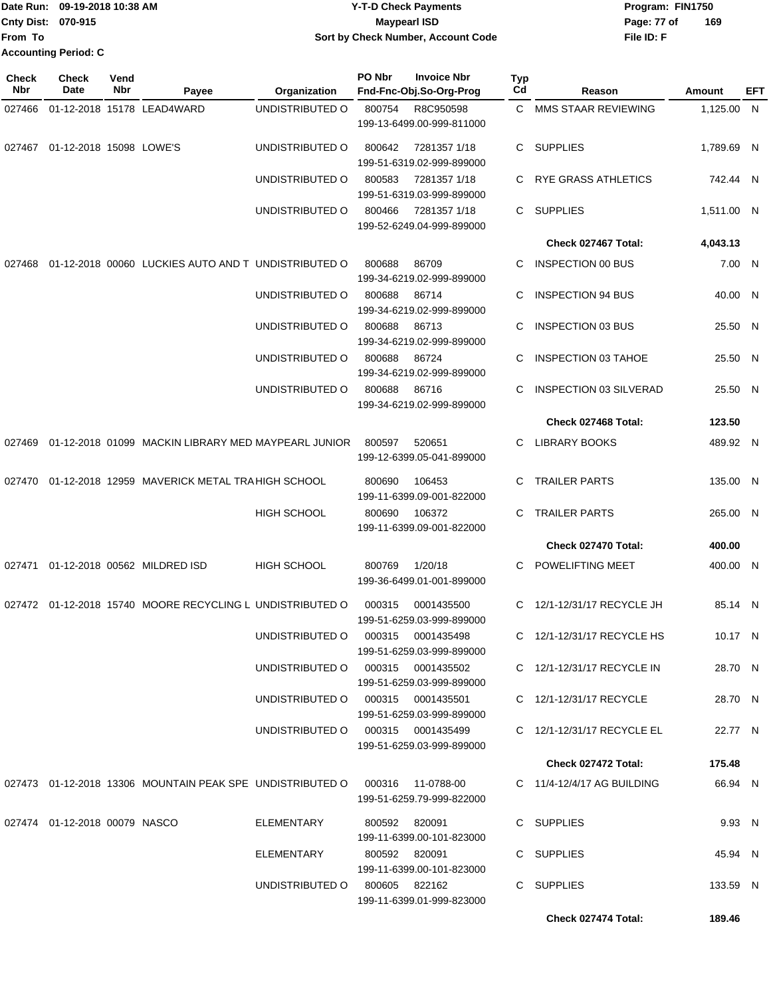|                             | Date Run: 09-19-2018 10:38 AM | <b>Y-T-D Check Payments</b>        | Program: FIN1750   |
|-----------------------------|-------------------------------|------------------------------------|--------------------|
| <b>Cnty Dist: 070-915</b>   |                               | <b>Mavpearl ISD</b>                | 169<br>Page: 77 of |
| lFrom To                    |                               | Sort by Check Number, Account Code | File ID: F         |
| <b>Accounting Period: C</b> |                               |                                    |                    |

| Check<br>Nbr | Check<br>Date                    | Vend<br>Nbr | Payee                                                                           | Organization                      | PO Nbr        | <b>Invoice Nbr</b><br>Fnd-Fnc-Obj.So-Org-Prog | <b>Typ</b><br>Cd | Reason                           | Amount     | EFT |
|--------------|----------------------------------|-------------|---------------------------------------------------------------------------------|-----------------------------------|---------------|-----------------------------------------------|------------------|----------------------------------|------------|-----|
| 027466       |                                  |             | 01-12-2018 15178 LEAD4WARD                                                      | UNDISTRIBUTED O                   | 800754        | R8C950598                                     | C.               | MMS STAAR REVIEWING              | 1,125.00 N |     |
|              |                                  |             |                                                                                 |                                   |               | 199-13-6499.00-999-811000                     |                  |                                  |            |     |
| 027467       | 01-12-2018 15098 LOWE'S          |             |                                                                                 | UNDISTRIBUTED O                   | 800642        | 7281357 1/18<br>199-51-6319.02-999-899000     | C.               | SUPPLIES                         | 1,789.69 N |     |
|              |                                  |             |                                                                                 | UNDISTRIBUTED O                   | 800583        | 7281357 1/18                                  | C                | <b>RYE GRASS ATHLETICS</b>       | 742.44 N   |     |
|              |                                  |             |                                                                                 | UNDISTRIBUTED O                   | 800466        | 199-51-6319.03-999-899000<br>7281357 1/18     | C                | <b>SUPPLIES</b>                  | 1,511.00 N |     |
|              |                                  |             |                                                                                 |                                   |               | 199-52-6249.04-999-899000                     |                  |                                  |            |     |
|              |                                  |             |                                                                                 |                                   |               |                                               |                  | Check 027467 Total:              | 4,043.13   |     |
| 027468       |                                  |             | 01-12-2018 00060 LUCKIES AUTO AND T UNDISTRIBUTED O                             |                                   | 800688        | 86709<br>199-34-6219.02-999-899000            | C                | <b>INSPECTION 00 BUS</b>         | 7.00 N     |     |
|              |                                  |             |                                                                                 | UNDISTRIBUTED O                   | 800688        | 86714<br>199-34-6219.02-999-899000            | C                | <b>INSPECTION 94 BUS</b>         | 40.00 N    |     |
|              |                                  |             |                                                                                 | UNDISTRIBUTED O                   | 800688        | 86713                                         | C                | <b>INSPECTION 03 BUS</b>         | 25.50 N    |     |
|              |                                  |             |                                                                                 |                                   |               | 199-34-6219.02-999-899000                     |                  |                                  |            |     |
|              |                                  |             |                                                                                 | UNDISTRIBUTED O                   | 800688        | 86724<br>199-34-6219.02-999-899000            | C                | <b>INSPECTION 03 TAHOE</b>       | 25.50 N    |     |
|              |                                  |             |                                                                                 | UNDISTRIBUTED O                   | 800688        | 86716<br>199-34-6219.02-999-899000            | C.               | <b>INSPECTION 03 SILVERAD</b>    | 25.50 N    |     |
|              |                                  |             |                                                                                 |                                   |               |                                               |                  | Check 027468 Total:              | 123.50     |     |
| 027469       |                                  |             | 01-12-2018 01099 MACKIN LIBRARY MED MAYPEARL JUNIOR                             |                                   | 800597        | 520651                                        | C                | <b>LIBRARY BOOKS</b>             | 489.92 N   |     |
|              |                                  |             |                                                                                 |                                   |               | 199-12-6399.05-041-899000                     |                  |                                  |            |     |
| 027470       |                                  |             | 01-12-2018 12959 MAVERICK METAL TRA HIGH SCHOOL                                 |                                   | 800690        | 106453<br>199-11-6399.09-001-822000           | C                | <b>TRAILER PARTS</b>             | 135.00 N   |     |
|              |                                  |             |                                                                                 | <b>HIGH SCHOOL</b>                | 800690        | 106372<br>199-11-6399.09-001-822000           | C                | <b>TRAILER PARTS</b>             | 265.00 N   |     |
|              |                                  |             |                                                                                 |                                   |               |                                               |                  | Check 027470 Total:              | 400.00     |     |
| 027471       |                                  |             | 01-12-2018 00562 MILDRED ISD                                                    | <b>HIGH SCHOOL</b>                | 800769        | 1/20/18                                       | C                | POWELIFTING MEET                 | 400.00 N   |     |
|              |                                  |             |                                                                                 |                                   |               | 199-36-6499.01-001-899000                     |                  |                                  |            |     |
|              |                                  |             | 027472 01-12-2018 15740 MOORE RECYCLING L UNDISTRIBUTED O                       |                                   | 000315        | 0001435500<br>199-51-6259.03-999-899000       | C                | 12/1-12/31/17 RECYCLE JH         | 85.14 N    |     |
|              |                                  |             |                                                                                 | UNDISTRIBUTED O 000315 0001435498 |               | 199-51-6259.03-999-899000                     |                  | C 12/1-12/31/17 RECYCLE HS       | 10.17 N    |     |
|              |                                  |             |                                                                                 | UNDISTRIBUTED O 000315 0001435502 |               |                                               |                  | C 12/1-12/31/17 RECYCLE IN       | 28.70 N    |     |
|              |                                  |             |                                                                                 | UNDISTRIBUTED 0 000315 0001435501 |               | 199-51-6259.03-999-899000                     |                  | C 12/1-12/31/17 RECYCLE          | 28.70 N    |     |
|              |                                  |             |                                                                                 |                                   |               | 199-51-6259.03-999-899000                     |                  |                                  |            |     |
|              |                                  |             |                                                                                 | UNDISTRIBUTED O 000315 0001435499 |               | 199-51-6259.03-999-899000                     |                  | C 12/1-12/31/17 RECYCLE EL       | 22.77 N    |     |
|              |                                  |             |                                                                                 |                                   |               |                                               |                  | Check 027472 Total:              | 175.48     |     |
|              |                                  |             | 027473  01-12-2018  13306  MOUNTAIN PEAK SPE UNDISTRIBUTED   000316  11-0788-00 |                                   |               |                                               |                  | $C = 11/4 - 12/4/17$ AG BUILDING | 66.94 N    |     |
|              |                                  |             |                                                                                 |                                   |               | 199-51-6259.79-999-822000                     |                  |                                  |            |     |
|              | 027474  01-12-2018  00079  NASCO |             |                                                                                 | ELEMENTARY                        | 800592 820091 | 199-11-6399.00-101-823000                     |                  | C SUPPLIES                       | 9.93 N     |     |
|              |                                  |             |                                                                                 | ELEMENTARY                        | 800592 820091 |                                               |                  | C SUPPLIES                       | 45.94 N    |     |
|              |                                  |             |                                                                                 |                                   |               | 199-11-6399.00-101-823000                     |                  |                                  |            |     |
|              |                                  |             |                                                                                 | UNDISTRIBUTED 0 800605 822162     |               | 199-11-6399.01-999-823000                     |                  | C SUPPLIES                       | 133.59 N   |     |
|              |                                  |             |                                                                                 |                                   |               |                                               |                  | Check 027474 Total:              | 189.46     |     |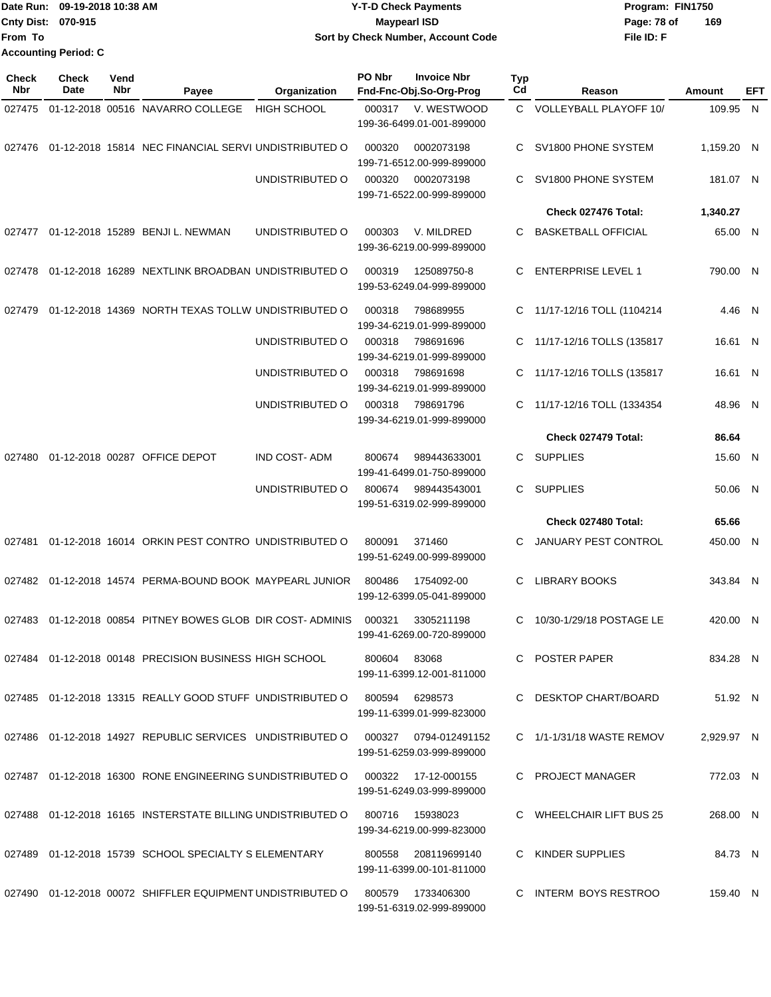|                             | Date Run: 09-19-2018 10:38 AM | <b>Y-T-D Check Payments</b>        | Program: FIN1750   |
|-----------------------------|-------------------------------|------------------------------------|--------------------|
| Cnty Dist: 070-915          |                               | <b>Mavpearl ISD</b>                | 169<br>Page: 78 of |
| lFrom To                    |                               | Sort by Check Number, Account Code | File ID: F         |
| <b>Accounting Period: C</b> |                               |                                    |                    |

| <b>Check</b><br><b>Nbr</b> | Check<br>Date | Vend<br>Nbr | Payee                                                       | Organization         | PO Nbr | <b>Invoice Nbr</b><br>Fnd-Fnc-Obj.So-Org-Prog    | <b>Typ</b><br>Cd | Reason                      | Amount     | EFT |
|----------------------------|---------------|-------------|-------------------------------------------------------------|----------------------|--------|--------------------------------------------------|------------------|-----------------------------|------------|-----|
| 027475                     |               |             | 01-12-2018 00516 NAVARRO COLLEGE                            | <b>HIGH SCHOOL</b>   | 000317 | V. WESTWOOD<br>199-36-6499.01-001-899000         |                  | C VOLLEYBALL PLAYOFF 10/    | 109.95 N   |     |
| 027476                     |               |             | 01-12-2018 15814 NEC FINANCIAL SERVI UNDISTRIBUTED O        |                      | 000320 | 0002073198<br>199-71-6512.00-999-899000          | C.               | SV1800 PHONE SYSTEM         | 1,159.20 N |     |
|                            |               |             |                                                             | UNDISTRIBUTED O      | 000320 | 0002073198<br>199-71-6522.00-999-899000          | C                | SV1800 PHONE SYSTEM         | 181.07 N   |     |
|                            |               |             |                                                             |                      |        |                                                  |                  | Check 027476 Total:         | 1,340.27   |     |
|                            |               |             | 027477 01-12-2018 15289 BENJI L. NEWMAN                     | UNDISTRIBUTED O      | 000303 | V. MILDRED<br>199-36-6219.00-999-899000          | C                | <b>BASKETBALL OFFICIAL</b>  | 65.00 N    |     |
| 027478                     |               |             | 01-12-2018 16289 NEXTLINK BROADBAN UNDISTRIBUTED O          |                      | 000319 | 125089750-8<br>199-53-6249.04-999-899000         | C                | <b>ENTERPRISE LEVEL 1</b>   | 790.00 N   |     |
| 027479                     |               |             | 01-12-2018 14369 NORTH TEXAS TOLLW UNDISTRIBUTED O          |                      | 000318 | 798689955<br>199-34-6219.01-999-899000           | C.               | 11/17-12/16 TOLL (1104214   | 4.46 N     |     |
|                            |               |             |                                                             | UNDISTRIBUTED O      | 000318 | 798691696<br>199-34-6219.01-999-899000           | C.               | 11/17-12/16 TOLLS (135817   | 16.61 N    |     |
|                            |               |             |                                                             | UNDISTRIBUTED O      | 000318 | 798691698<br>199-34-6219.01-999-899000           | C.               | 11/17-12/16 TOLLS (135817   | 16.61 N    |     |
|                            |               |             |                                                             | UNDISTRIBUTED O      | 000318 | 798691796<br>199-34-6219.01-999-899000           | C.               | 11/17-12/16 TOLL (1334354   | 48.96 N    |     |
|                            |               |             |                                                             |                      |        |                                                  |                  | Check 027479 Total:         | 86.64      |     |
| 027480                     |               |             | 01-12-2018 00287 OFFICE DEPOT                               | <b>IND COST- ADM</b> | 800674 | 989443633001<br>199-41-6499.01-750-899000        | C.               | <b>SUPPLIES</b>             | 15.60 N    |     |
|                            |               |             |                                                             | UNDISTRIBUTED O      | 800674 | 989443543001<br>199-51-6319.02-999-899000        | C.               | <b>SUPPLIES</b>             | 50.06 N    |     |
|                            |               |             |                                                             |                      |        |                                                  |                  | Check 027480 Total:         | 65.66      |     |
| 027481                     |               |             | 01-12-2018 16014 ORKIN PEST CONTRO UNDISTRIBUTED O          |                      | 800091 | 371460<br>199-51-6249.00-999-899000              | С                | <b>JANUARY PEST CONTROL</b> | 450.00 N   |     |
|                            |               |             | 027482 01-12-2018 14574 PERMA-BOUND BOOK MAYPEARL JUNIOR    |                      | 800486 | 1754092-00<br>199-12-6399.05-041-899000          | C                | <b>LIBRARY BOOKS</b>        | 343.84 N   |     |
|                            |               |             | 027483 01-12-2018 00854 PITNEY BOWES GLOB DIR COST-ADMINIS  |                      | 000321 | 3305211198<br>199-41-6269.00-720-899000          | C                | 10/30-1/29/18 POSTAGE LE    | 420.00 N   |     |
|                            |               |             | 027484 01-12-2018 00148 PRECISION BUSINESS HIGH SCHOOL      |                      | 800604 | 83068<br>199-11-6399.12-001-811000               |                  | C POSTER PAPER              | 834.28 N   |     |
|                            |               |             | 027485 01-12-2018 13315 REALLY GOOD STUFF UNDISTRIBUTED O   |                      | 800594 | 6298573<br>199-11-6399.01-999-823000             |                  | C DESKTOP CHART/BOARD       | 51.92 N    |     |
|                            |               |             | 027486 01-12-2018 14927 REPUBLIC SERVICES UNDISTRIBUTED O   |                      | 000327 | 0794-012491152<br>199-51-6259.03-999-899000      |                  | $C$ 1/1-1/31/18 WASTE REMOV | 2,929.97 N |     |
|                            |               |             | 027487 01-12-2018 16300 RONE ENGINEERING SUNDISTRIBUTED O   |                      |        | 000322 17-12-000155<br>199-51-6249.03-999-899000 |                  | C PROJECT MANAGER           | 772.03 N   |     |
|                            |               |             | 027488 01-12-2018 16165 INSTERSTATE BILLING UNDISTRIBUTED O |                      | 800716 | 15938023<br>199-34-6219.00-999-823000            |                  | C WHEELCHAIR LIFT BUS 25    | 268.00 N   |     |
|                            |               |             | 027489 01-12-2018 15739 SCHOOL SPECIALTY S ELEMENTARY       |                      | 800558 | 208119699140<br>199-11-6399.00-101-811000        |                  | C KINDER SUPPLIES           | 84.73 N    |     |
|                            |               |             | 027490 01-12-2018 00072 SHIFFLER EQUIPMENT UNDISTRIBUTED O  |                      | 800579 | 1733406300<br>199-51-6319.02-999-899000          |                  | C INTERM BOYS RESTROO       | 159.40 N   |     |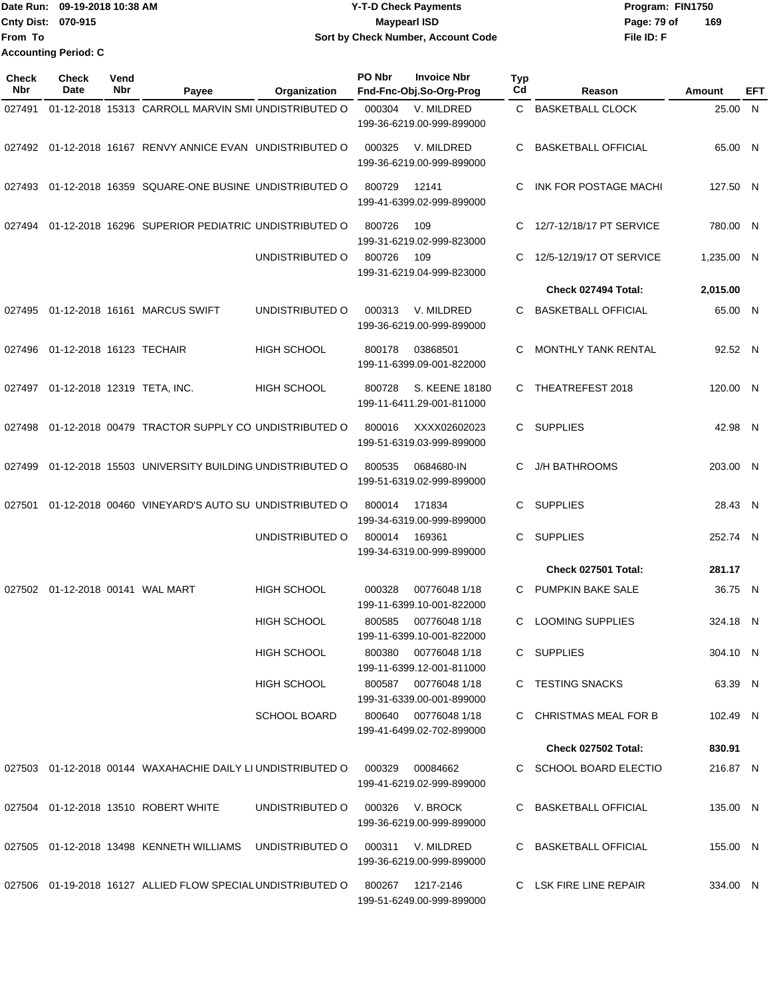|                           | 1Date Run: 09-19-2018 10:38 AM | Y-T-D Check Payments               | Program: FIN1750   |
|---------------------------|--------------------------------|------------------------------------|--------------------|
| <b>Cnty Dist: 070-915</b> |                                | <b>Mavpearl ISD</b>                | 169<br>Page: 79 of |
| lFrom To                  |                                | Sort by Check Number, Account Code | File ID: F         |
|                           | <b>Accounting Period: C</b>    |                                    |                    |

| <b>Check</b><br>Nbr | <b>Check</b><br>Date                | Vend<br>Nbr | Payee                                                       | Organization        | PO Nbr | <b>Invoice Nbr</b><br>Fnd-Fnc-Obj.So-Org-Prog     | Typ<br>Cd | Reason                     | Amount     | EFT |
|---------------------|-------------------------------------|-------------|-------------------------------------------------------------|---------------------|--------|---------------------------------------------------|-----------|----------------------------|------------|-----|
| 027491              |                                     |             | 01-12-2018 15313 CARROLL MARVIN SMI UNDISTRIBUTED O         |                     | 000304 | V. MILDRED<br>199-36-6219.00-999-899000           |           | C BASKETBALL CLOCK         | 25.00 N    |     |
|                     |                                     |             | 027492 01-12-2018 16167 RENVY ANNICE EVAN UNDISTRIBUTED O   |                     | 000325 | V. MILDRED<br>199-36-6219.00-999-899000           | C.        | <b>BASKETBALL OFFICIAL</b> | 65.00 N    |     |
| 027493              |                                     |             | 01-12-2018 16359 SQUARE-ONE BUSINE UNDISTRIBUTED O          |                     | 800729 | 12141<br>199-41-6399.02-999-899000                | C.        | INK FOR POSTAGE MACHI      | 127.50 N   |     |
| 027494              |                                     |             | 01-12-2018 16296 SUPERIOR PEDIATRIC UNDISTRIBUTED O         |                     | 800726 | 109<br>199-31-6219.02-999-823000                  | C.        | 12/7-12/18/17 PT SERVICE   | 780.00 N   |     |
|                     |                                     |             |                                                             | UNDISTRIBUTED O     | 800726 | 109<br>199-31-6219.04-999-823000                  | C         | 12/5-12/19/17 OT SERVICE   | 1,235.00 N |     |
|                     |                                     |             |                                                             |                     |        |                                                   |           | Check 027494 Total:        | 2,015.00   |     |
|                     |                                     |             | 027495  01-12-2018  16161  MARCUS SWIFT                     | UNDISTRIBUTED O     | 000313 | V. MILDRED<br>199-36-6219.00-999-899000           | C         | <b>BASKETBALL OFFICIAL</b> | 65.00 N    |     |
|                     | 027496 01-12-2018 16123 TECHAIR     |             |                                                             | <b>HIGH SCHOOL</b>  | 800178 | 03868501<br>199-11-6399.09-001-822000             | C         | <b>MONTHLY TANK RENTAL</b> | 92.52 N    |     |
|                     | 027497 01-12-2018 12319 TETA, INC.  |             |                                                             | <b>HIGH SCHOOL</b>  | 800728 | S. KEENE 18180<br>199-11-6411.29-001-811000       | C         | THEATREFEST 2018           | 120.00 N   |     |
| 027498              |                                     |             | 01-12-2018 00479 TRACTOR SUPPLY CO UNDISTRIBUTED O          |                     | 800016 | XXXX02602023<br>199-51-6319.03-999-899000         | C.        | <b>SUPPLIES</b>            | 42.98 N    |     |
| 027499              |                                     |             | 01-12-2018 15503 UNIVERSITY BUILDING UNDISTRIBUTED O        |                     | 800535 | 0684680-IN<br>199-51-6319.02-999-899000           | C.        | <b>J/H BATHROOMS</b>       | 203.00 N   |     |
| 027501              |                                     |             | 01-12-2018 00460 VINEYARD'S AUTO SU UNDISTRIBUTED O         |                     | 800014 | 171834<br>199-34-6319.00-999-899000               | C.        | <b>SUPPLIES</b>            | 28.43 N    |     |
|                     |                                     |             |                                                             | UNDISTRIBUTED O     | 800014 | 169361<br>199-34-6319.00-999-899000               | C.        | <b>SUPPLIES</b>            | 252.74 N   |     |
|                     |                                     |             |                                                             |                     |        |                                                   |           | Check 027501 Total:        | 281.17     |     |
|                     | 027502  01-12-2018  00141  WAL MART |             |                                                             | HIGH SCHOOL         | 000328 | 00776048 1/18<br>199-11-6399.10-001-822000        | C.        | PUMPKIN BAKE SALE          | 36.75 N    |     |
|                     |                                     |             |                                                             | <b>HIGH SCHOOL</b>  | 800585 | 00776048 1/18<br>199-11-6399.10-001-822000        | C.        | <b>LOOMING SUPPLIES</b>    | 324.18 N   |     |
|                     |                                     |             |                                                             | HIGH SCHOOL         |        | 800380 00776048 1/18<br>199-11-6399.12-001-811000 |           | C SUPPLIES                 | 304.10 N   |     |
|                     |                                     |             |                                                             | HIGH SCHOOL         |        | 800587 00776048 1/18<br>199-31-6339.00-001-899000 |           | C TESTING SNACKS           | 63.39 N    |     |
|                     |                                     |             |                                                             | <b>SCHOOL BOARD</b> |        | 800640 00776048 1/18<br>199-41-6499.02-702-899000 |           | C CHRISTMAS MEAL FOR B     | 102.49 N   |     |
|                     |                                     |             |                                                             |                     |        |                                                   |           | Check 027502 Total:        | 830.91     |     |
|                     |                                     |             | 027503 01-12-2018 00144 WAXAHACHIE DAILY LI UNDISTRIBUTED O |                     | 000329 | 00084662<br>199-41-6219.02-999-899000             |           | C SCHOOL BOARD ELECTIO     | 216.87 N   |     |
|                     |                                     |             | 027504 01-12-2018 13510 ROBERT WHITE                        | UNDISTRIBUTED O     |        | 000326 V. BROCK<br>199-36-6219.00-999-899000      |           | C BASKETBALL OFFICIAL      | 135.00 N   |     |
|                     |                                     |             | 027505 01-12-2018 13498 KENNETH WILLIAMS UNDISTRIBUTED O    |                     |        | 000311 V. MILDRED<br>199-36-6219.00-999-899000    |           | C BASKETBALL OFFICIAL      | 155.00 N   |     |
|                     |                                     |             | 027506 01-19-2018 16127 ALLIED FLOW SPECIAL UNDISTRIBUTED O |                     |        | 800267 1217-2146<br>199-51-6249.00-999-899000     |           | C LSK FIRE LINE REPAIR     | 334.00 N   |     |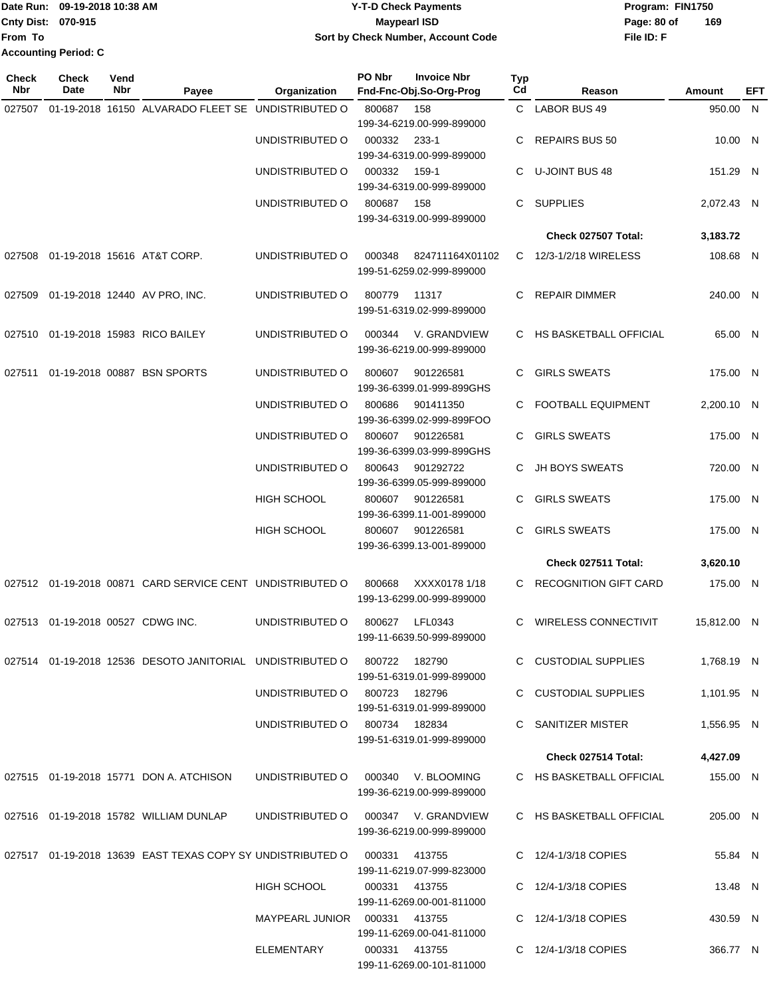|                             | Date Run: 09-19-2018 10:38 AM | <b>Y-T-D Check Payments</b>        | Program: FIN1750   |  |  |
|-----------------------------|-------------------------------|------------------------------------|--------------------|--|--|
| <b>Cnty Dist: 070-915</b>   |                               | Maypearl ISD                       | 169<br>Page: 80 of |  |  |
| lFrom To                    |                               | Sort by Check Number, Account Code | File ID: F         |  |  |
| <b>Accounting Period: C</b> |                               |                                    |                    |  |  |

| <b>Check</b><br>Nbr | Check<br>Date                     | Vend<br>Nbr | Payee                                                      | Organization                        | PO Nbr | <b>Invoice Nbr</b><br>Fnd-Fnc-Obj.So-Org-Prog   | <b>Typ</b><br>Cd | Reason                      | Amount      | EFT |
|---------------------|-----------------------------------|-------------|------------------------------------------------------------|-------------------------------------|--------|-------------------------------------------------|------------------|-----------------------------|-------------|-----|
| 027507              |                                   |             | 01-19-2018 16150 ALVARADO FLEET SE UNDISTRIBUTED O         |                                     | 800687 | 158                                             |                  | C LABOR BUS 49              | 950.00 N    |     |
|                     |                                   |             |                                                            |                                     |        | 199-34-6219.00-999-899000                       |                  |                             |             |     |
|                     |                                   |             |                                                            | UNDISTRIBUTED O                     | 000332 | $233 - 1$                                       | C                | <b>REPAIRS BUS 50</b>       | 10.00 N     |     |
|                     |                                   |             |                                                            |                                     |        | 199-34-6319.00-999-899000                       |                  |                             |             |     |
|                     |                                   |             |                                                            | UNDISTRIBUTED O                     | 000332 | 159-1                                           | C                | U-JOINT BUS 48              | 151.29 N    |     |
|                     |                                   |             |                                                            |                                     |        | 199-34-6319.00-999-899000                       |                  |                             |             |     |
|                     |                                   |             |                                                            | UNDISTRIBUTED O                     | 800687 | 158                                             | C                | <b>SUPPLIES</b>             | 2,072.43 N  |     |
|                     |                                   |             |                                                            |                                     |        | 199-34-6319.00-999-899000                       |                  |                             |             |     |
|                     |                                   |             |                                                            |                                     |        |                                                 |                  | <b>Check 027507 Total:</b>  | 3,183.72    |     |
| 027508              |                                   |             | 01-19-2018 15616 AT&T CORP.                                | UNDISTRIBUTED O                     | 000348 | 824711164X01102                                 |                  | C 12/3-1/2/18 WIRELESS      | 108.68 N    |     |
|                     |                                   |             |                                                            |                                     |        | 199-51-6259.02-999-899000                       |                  |                             |             |     |
| 027509              |                                   |             | 01-19-2018 12440 AV PRO, INC.                              | UNDISTRIBUTED O                     | 800779 | 11317                                           | C                | <b>REPAIR DIMMER</b>        | 240.00 N    |     |
|                     |                                   |             |                                                            |                                     |        | 199-51-6319.02-999-899000                       |                  |                             |             |     |
| 027510              |                                   |             | 01-19-2018 15983 RICO BAILEY                               | UNDISTRIBUTED O                     | 000344 | V. GRANDVIEW                                    |                  | C HS BASKETBALL OFFICIAL    | 65.00 N     |     |
|                     |                                   |             |                                                            |                                     |        | 199-36-6219.00-999-899000                       |                  |                             |             |     |
|                     |                                   |             |                                                            |                                     |        |                                                 |                  | <b>GIRLS SWEATS</b>         |             |     |
| 027511              |                                   |             | 01-19-2018 00887 BSN SPORTS                                | UNDISTRIBUTED O                     | 800607 | 901226581<br>199-36-6399.01-999-899GHS          | C                |                             | 175.00 N    |     |
|                     |                                   |             |                                                            | UNDISTRIBUTED O                     | 800686 | 901411350                                       | C                | <b>FOOTBALL EQUIPMENT</b>   | 2,200.10 N  |     |
|                     |                                   |             |                                                            |                                     |        | 199-36-6399.02-999-899FOO                       |                  |                             |             |     |
|                     |                                   |             |                                                            | UNDISTRIBUTED O                     | 800607 | 901226581                                       | C                | <b>GIRLS SWEATS</b>         | 175.00 N    |     |
|                     |                                   |             |                                                            |                                     |        | 199-36-6399.03-999-899GHS                       |                  |                             |             |     |
|                     |                                   |             |                                                            | UNDISTRIBUTED O                     | 800643 | 901292722                                       |                  | JH BOYS SWEATS              | 720.00 N    |     |
|                     |                                   |             |                                                            |                                     |        | 199-36-6399.05-999-899000                       |                  |                             |             |     |
|                     |                                   |             |                                                            | HIGH SCHOOL                         | 800607 | 901226581                                       | C                | <b>GIRLS SWEATS</b>         | 175.00 N    |     |
|                     |                                   |             |                                                            |                                     |        | 199-36-6399.11-001-899000                       |                  |                             |             |     |
|                     |                                   |             |                                                            | HIGH SCHOOL                         | 800607 | 901226581                                       | C                | <b>GIRLS SWEATS</b>         | 175.00 N    |     |
|                     |                                   |             |                                                            |                                     |        | 199-36-6399.13-001-899000                       |                  |                             |             |     |
|                     |                                   |             |                                                            |                                     |        |                                                 |                  | Check 027511 Total:         | 3,620.10    |     |
|                     |                                   |             | 027512 01-19-2018 00871 CARD SERVICE CENT UNDISTRIBUTED O  |                                     | 800668 | XXXX0178 1/18                                   |                  | C RECOGNITION GIFT CARD     | 175.00 N    |     |
|                     |                                   |             |                                                            |                                     |        | 199-13-6299.00-999-899000                       |                  |                             |             |     |
|                     | 027513 01-19-2018 00527 CDWG INC. |             |                                                            | UNDISTRIBUTED O                     | 800627 | LFL0343                                         |                  | <b>WIRELESS CONNECTIVIT</b> | 15,812.00 N |     |
|                     |                                   |             |                                                            |                                     |        | 199-11-6639.50-999-899000                       |                  |                             |             |     |
|                     |                                   |             | 027514 01-19-2018 12536 DESOTO JANITORIAL UNDISTRIBUTED O  |                                     |        | 800722 182790                                   |                  | C CUSTODIAL SUPPLIES        | 1,768.19 N  |     |
|                     |                                   |             |                                                            |                                     |        | 199-51-6319.01-999-899000                       |                  |                             |             |     |
|                     |                                   |             |                                                            | UNDISTRIBUTED O                     | 800723 | 182796                                          |                  | C CUSTODIAL SUPPLIES        | 1,101.95 N  |     |
|                     |                                   |             |                                                            |                                     |        | 199-51-6319.01-999-899000                       |                  |                             |             |     |
|                     |                                   |             |                                                            | UNDISTRIBUTED 0 800734 182834       |        |                                                 |                  | C SANITIZER MISTER          | 1,556.95 N  |     |
|                     |                                   |             |                                                            |                                     |        | 199-51-6319.01-999-899000                       |                  |                             |             |     |
|                     |                                   |             |                                                            |                                     |        |                                                 |                  | Check 027514 Total:         | 4,427.09    |     |
|                     |                                   |             | 027515 01-19-2018 15771 DON A. ATCHISON                    | UNDISTRIBUTED O                     |        | 000340 V. BLOOMING<br>199-36-6219.00-999-899000 |                  | C HS BASKETBALL OFFICIAL    | 155.00 N    |     |
|                     |                                   |             | 027516 01-19-2018 15782 WILLIAM DUNLAP                     | UNDISTRIBUTED O 000347 V. GRANDVIEW |        |                                                 |                  | C HS BASKETBALL OFFICIAL    | 205.00 N    |     |
|                     |                                   |             |                                                            |                                     |        | 199-36-6219.00-999-899000                       |                  |                             |             |     |
|                     |                                   |             |                                                            |                                     |        |                                                 |                  |                             |             |     |
|                     |                                   |             | 027517 01-19-2018 13639 EAST TEXAS COPY SY UNDISTRIBUTED O |                                     | 000331 | 413755                                          |                  | C 12/4-1/3/18 COPIES        | 55.84 N     |     |
|                     |                                   |             |                                                            | HIGH SCHOOL                         |        | 199-11-6219.07-999-823000<br>000331 413755      |                  | C 12/4-1/3/18 COPIES        | 13.48 N     |     |
|                     |                                   |             |                                                            |                                     |        | 199-11-6269.00-001-811000                       |                  |                             |             |     |
|                     |                                   |             |                                                            | MAYPEARL JUNIOR                     |        | 000331 413755                                   |                  | C 12/4-1/3/18 COPIES        | 430.59 N    |     |
|                     |                                   |             |                                                            |                                     |        | 199-11-6269.00-041-811000                       |                  |                             |             |     |
|                     |                                   |             |                                                            | ELEMENTARY                          |        | 000331 413755                                   |                  | C 12/4-1/3/18 COPIES        | 366.77 N    |     |
|                     |                                   |             |                                                            |                                     |        | 199-11-6269.00-101-811000                       |                  |                             |             |     |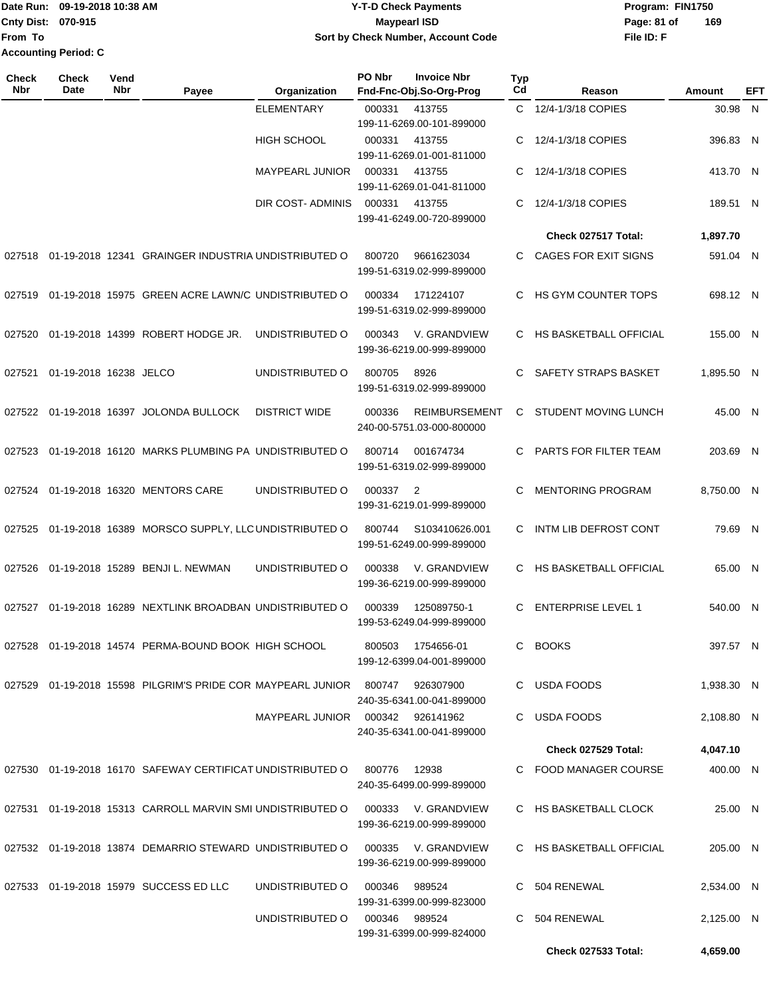## Date Run: 09-19-2018 10:38 AM **CONTEX 18 AM CONTEX 18 AM CONTEX 17-T-D** Check Payments **CONTEX 18 AM CONTEX 18 AM CONTEX 18 AM CONTEX 18 AM CONTEX 18 AM CONTEX 18 AM CONTEX 18 AM CONTEX 18 AM CONTEX 19 AM CONTEX 19 AM CONT Cnty Dist:** 070-915 **Page: 81 of** Maypearl ISD **Contract Contract Page: 81 of 09-19-2018 10:38 AM Y-T-D Check Payments 070-915 Maypearl ISD Sort by Check Number, Account Code**

**File ID: F 169**

**Check 027533 Total: 4,659.00**

| <b>Check</b><br>Nbr | Check<br>Date          | Vend<br><b>Nbr</b> | Payee                                                                             | Organization                  | PO Nbr | <b>Invoice Nbr</b><br>Fnd-Fnc-Obj.So-Org-Prog         | <b>Typ</b><br>Cd | Reason                     | Amount     | EFT |
|---------------------|------------------------|--------------------|-----------------------------------------------------------------------------------|-------------------------------|--------|-------------------------------------------------------|------------------|----------------------------|------------|-----|
|                     |                        |                    |                                                                                   | <b>ELEMENTARY</b>             | 000331 | 413755<br>199-11-6269.00-101-899000                   |                  | C 12/4-1/3/18 COPIES       | 30.98 N    |     |
|                     |                        |                    |                                                                                   | <b>HIGH SCHOOL</b>            | 000331 | 413755<br>199-11-6269.01-001-811000                   | C                | 12/4-1/3/18 COPIES         | 396.83 N   |     |
|                     |                        |                    |                                                                                   | MAYPEARL JUNIOR               | 000331 | 413755<br>199-11-6269.01-041-811000                   | С                | 12/4-1/3/18 COPIES         | 413.70 N   |     |
|                     |                        |                    |                                                                                   | DIR COST- ADMINIS             | 000331 | 413755<br>199-41-6249.00-720-899000                   | C.               | 12/4-1/3/18 COPIES         | 189.51 N   |     |
|                     |                        |                    |                                                                                   |                               |        |                                                       |                  | Check 027517 Total:        | 1,897.70   |     |
|                     |                        |                    | 027518 01-19-2018 12341 GRAINGER INDUSTRIA UNDISTRIBUTED O                        |                               | 800720 | 9661623034<br>199-51-6319.02-999-899000               | C.               | CAGES FOR EXIT SIGNS       | 591.04 N   |     |
|                     |                        |                    | 027519 01-19-2018 15975 GREEN ACRE LAWN/C UNDISTRIBUTED O                         |                               | 000334 | 171224107<br>199-51-6319.02-999-899000                | C                | HS GYM COUNTER TOPS        | 698.12 N   |     |
|                     |                        |                    | 027520 01-19-2018 14399 ROBERT HODGE JR.                                          | UNDISTRIBUTED O               | 000343 | V. GRANDVIEW<br>199-36-6219.00-999-899000             |                  | C HS BASKETBALL OFFICIAL   | 155.00 N   |     |
| 027521              | 01-19-2018 16238 JELCO |                    |                                                                                   | UNDISTRIBUTED O               | 800705 | 8926<br>199-51-6319.02-999-899000                     | C                | SAFETY STRAPS BASKET       | 1,895.50 N |     |
|                     |                        |                    | 027522 01-19-2018 16397 JOLONDA BULLOCK                                           | <b>DISTRICT WIDE</b>          | 000336 | <b>REIMBURSEMENT</b><br>240-00-5751.03-000-800000     | C                | STUDENT MOVING LUNCH       | 45.00 N    |     |
|                     |                        |                    | 027523 01-19-2018 16120 MARKS PLUMBING PA UNDISTRIBUTED O                         |                               | 800714 | 001674734<br>199-51-6319.02-999-899000                | C                | PARTS FOR FILTER TEAM      | 203.69 N   |     |
|                     |                        |                    | 027524 01-19-2018 16320 MENTORS CARE                                              | UNDISTRIBUTED O               | 000337 | 2<br>199-31-6219.01-999-899000                        | C                | <b>MENTORING PROGRAM</b>   | 8,750.00 N |     |
|                     |                        |                    | 027525 01-19-2018 16389 MORSCO SUPPLY, LLC UNDISTRIBUTED O                        |                               | 800744 | S103410626.001<br>199-51-6249.00-999-899000           | C                | INTM LIB DEFROST CONT      | 79.69 N    |     |
|                     |                        |                    | 027526 01-19-2018 15289 BENJI L. NEWMAN                                           | UNDISTRIBUTED O               | 000338 | V. GRANDVIEW<br>199-36-6219.00-999-899000             |                  | C HS BASKETBALL OFFICIAL   | 65.00 N    |     |
|                     |                        |                    | 027527 01-19-2018 16289 NEXTLINK BROADBAN UNDISTRIBUTED O                         |                               | 000339 | 125089750-1<br>199-53-6249.04-999-899000              | C                | <b>ENTERPRISE LEVEL 1</b>  | 540.00 N   |     |
|                     |                        |                    | 027528 01-19-2018 14574 PERMA-BOUND BOOK HIGH SCHOOL                              |                               |        | 800503 1754656-01<br>199-12-6399.04-001-899000        |                  | C BOOKS                    | 397.57 N   |     |
|                     |                        |                    | 027529  01-19-2018  15598  PILGRIM'S PRIDE COR MAYPEARL JUNIOR  800747  926307900 |                               |        | 240-35-6341.00-041-899000                             |                  | C USDA FOODS               | 1,938.30 N |     |
|                     |                        |                    |                                                                                   |                               |        | 240-35-6341.00-041-899000                             |                  | C USDA FOODS               | 2,108.80 N |     |
|                     |                        |                    |                                                                                   |                               |        |                                                       |                  | <b>Check 027529 Total:</b> | 4,047.10   |     |
|                     |                        |                    | 027530 01-19-2018 16170 SAFEWAY CERTIFICAT UNDISTRIBUTED O 800776 12938           |                               |        | 240-35-6499.00-999-899000                             |                  | C FOOD MANAGER COURSE      | 400.00 N   |     |
|                     |                        |                    | 027531 01-19-2018 15313 CARROLL MARVIN SMI UNDISTRIBUTED O                        |                               |        | 000333 V. GRANDVIEW<br>199-36-6219.00-999-899000      |                  | C HS BASKETBALL CLOCK      | 25.00 N    |     |
|                     |                        |                    | 027532 01-19-2018 13874 DEMARRIO STEWARD UNDISTRIBUTED O                          |                               |        | 000335      V. GRANDVIEW<br>199-36-6219.00-999-899000 |                  | C HS BASKETBALL OFFICIAL   | 205.00 N   |     |
|                     |                        |                    | 027533 01-19-2018 15979 SUCCESS ED LLC                                            | UNDISTRIBUTED O               | 000346 | 989524<br>199-31-6399.00-999-823000                   |                  | C 504 RENEWAL              | 2,534.00 N |     |
|                     |                        |                    |                                                                                   | UNDISTRIBUTED O 000346 989524 |        | 199-31-6399.00-999-824000                             |                  | C 504 RENEWAL              | 2,125.00 N |     |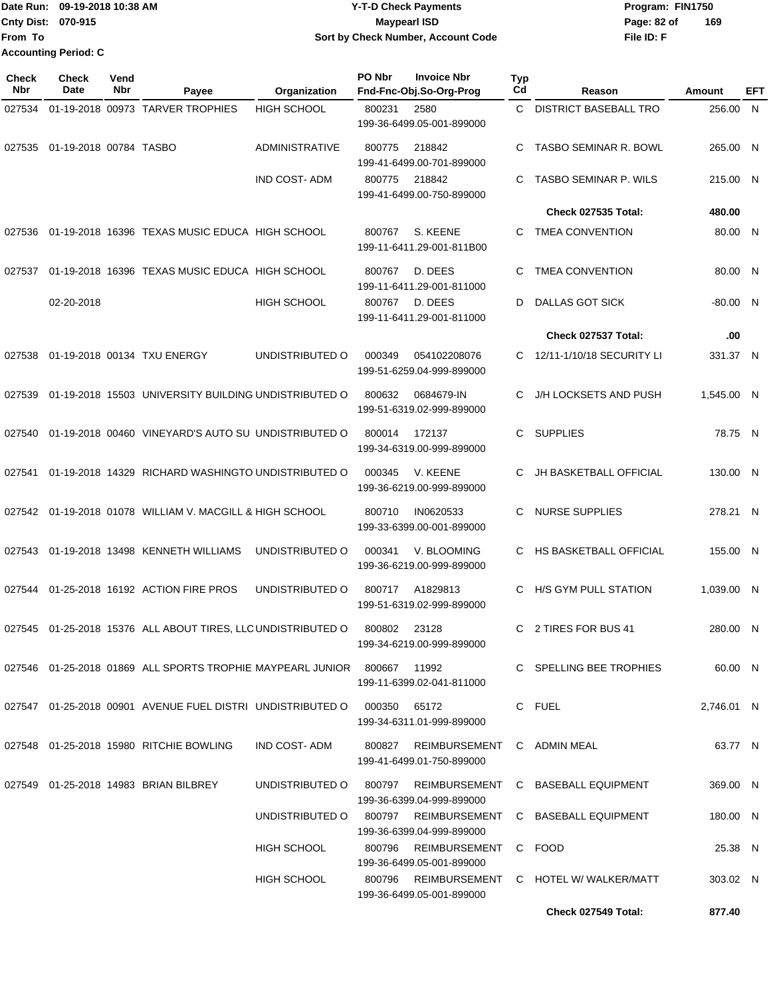## Date Run: 09-19-2018 10:38 AM **CONTEX 18 AM CONTEX 18 AM CONTEX 17-T-D** Check Payments **CONTEX 18 AM CONTEX 18 AM CONTEX 18 AM CONTEX 18 AM CONTEX 18 AM CONTEX 18 AM CONTEX 18 AM CONTEX 18 AM CONTEX 19 AM CONTEX 19 AM CONT Cnty Dist:** 070-915 **Page: 82 of MaypearI ISD Page: 82 of 09-19-2018 10:38 AM Y-T-D Check Payments 070-915 Maypearl ISD Sort by Check Number, Account Code**

**File ID: F 169**

| <b>Check</b><br>Nbr | <b>Check</b><br>Date   | Vend<br>Nbr | Payee                                                                                   | Organization          | PO Nbr | <b>Invoice Nbr</b><br>Fnd-Fnc-Obj.So-Org-Prog            | Typ<br>Cd | Reason                                                    | Amount     | EFT |
|---------------------|------------------------|-------------|-----------------------------------------------------------------------------------------|-----------------------|--------|----------------------------------------------------------|-----------|-----------------------------------------------------------|------------|-----|
| 027534              |                        |             | 01-19-2018 00973 TARVER TROPHIES                                                        | <b>HIGH SCHOOL</b>    | 800231 | 2580<br>199-36-6499.05-001-899000                        |           | C DISTRICT BASEBALL TRO                                   | 256.00     | N   |
| 027535              | 01-19-2018 00784 TASBO |             |                                                                                         | <b>ADMINISTRATIVE</b> | 800775 | 218842<br>199-41-6499.00-701-899000                      | C         | <b>TASBO SEMINAR R. BOWL</b>                              | 265.00 N   |     |
|                     |                        |             |                                                                                         | <b>IND COST-ADM</b>   | 800775 | 218842<br>199-41-6499.00-750-899000                      | C         | <b>TASBO SEMINAR P. WILS</b>                              | 215.00 N   |     |
|                     |                        |             |                                                                                         |                       |        |                                                          |           | <b>Check 027535 Total:</b>                                | 480.00     |     |
|                     |                        |             | 027536 01-19-2018  16396  TEXAS MUSIC EDUCA  HIGH SCHOOL                                |                       | 800767 | S. KEENE<br>199-11-6411.29-001-811B00                    | C         | <b>TMEA CONVENTION</b>                                    | 80.00 N    |     |
| 027537              |                        |             | 01-19-2018 16396 TEXAS MUSIC EDUCA HIGH SCHOOL                                          |                       | 800767 | D. DEES<br>199-11-6411.29-001-811000                     | C         | <b>TMEA CONVENTION</b>                                    | 80.00 N    |     |
|                     | 02-20-2018             |             |                                                                                         | <b>HIGH SCHOOL</b>    | 800767 | D. DEES<br>199-11-6411.29-001-811000                     | D         | DALLAS GOT SICK                                           | $-80.00$ N |     |
|                     |                        |             |                                                                                         |                       |        |                                                          |           | Check 027537 Total:                                       | .00        |     |
| 027538              |                        |             | 01-19-2018 00134 TXU ENERGY                                                             | UNDISTRIBUTED O       | 000349 | 054102208076<br>199-51-6259.04-999-899000                |           | 12/11-1/10/18 SECURITY LI                                 | 331.37 N   |     |
| 027539              |                        |             | 01-19-2018 15503 UNIVERSITY BUILDING UNDISTRIBUTED O                                    |                       | 800632 | 0684679-IN<br>199-51-6319.02-999-899000                  | C         | J/H LOCKSETS AND PUSH                                     | 1,545.00 N |     |
| 027540              |                        |             | 01-19-2018 00460 VINEYARD'S AUTO SU UNDISTRIBUTED O                                     |                       | 800014 | 172137<br>199-34-6319.00-999-899000                      | С         | <b>SUPPLIES</b>                                           | 78.75 N    |     |
| 027541              |                        |             | 01-19-2018 14329 RICHARD WASHINGTO UNDISTRIBUTED O                                      |                       | 000345 | V. KEENE<br>199-36-6219.00-999-899000                    |           | <b>JH BASKETBALL OFFICIAL</b>                             | 130.00 N   |     |
|                     |                        |             | 027542 01-19-2018  01078  WILLIAM V. MACGILL & HIGH SCHOOL                              |                       | 800710 | IN0620533<br>199-33-6399.00-001-899000                   | C         | <b>NURSE SUPPLIES</b>                                     | 278.21 N   |     |
|                     |                        |             |                                                                                         | UNDISTRIBUTED O       | 000341 | V. BLOOMING<br>199-36-6219.00-999-899000                 | C         | HS BASKETBALL OFFICIAL                                    | 155.00 N   |     |
|                     |                        |             | 027544   01-25-2018   16192   ACTION   FIRE   PROS                                      | UNDISTRIBUTED O       | 800717 | A1829813<br>199-51-6319.02-999-899000                    | C         | H/S GYM PULL STATION                                      | 1,039.00 N |     |
|                     |                        |             | 027545 01-25-2018  15376   ALL ABOUT TIRES, LLC UNDISTRIBUTED O                         |                       | 800802 | 23128<br>199-34-6219.00-999-899000                       | C.        | 2 TIRES FOR BUS 41                                        | 280.00 N   |     |
|                     |                        |             | 027546 01-25-2018  01869  ALL SPORTS TROPHIE MAYPEARL JUNIOR     800667     11992       |                       |        | 199-11-6399.02-041-811000                                |           | C SPELLING BEE TROPHIES                                   | 60.00 N    |     |
|                     |                        |             | 027547 01-25-2018  00901   AVENUE FUEL DISTRI   UNDISTRIBUTED O       000350      65172 |                       |        | 199-34-6311.01-999-899000                                |           | C FUEL                                                    | 2,746.01 N |     |
|                     |                        |             | 027548   01-25-2018   15980   RITCHIE   BOWLING                                         | IND COST- ADM         | 800827 | REIMBURSEMENT C ADMIN MEAL<br>199-41-6499.01-750-899000  |           |                                                           | 63.77 N    |     |
|                     |                        |             | 027549 01-25-2018 14983 BRIAN BILBREY                                                   | UNDISTRIBUTED O       |        | 199-36-6399.04-999-899000                                |           | 800797 REIMBURSEMENT C BASEBALL EQUIPMENT                 | 369.00 N   |     |
|                     |                        |             |                                                                                         |                       |        | 199-36-6399.04-999-899000                                |           | UNDISTRIBUTED O 800797 REIMBURSEMENT C BASEBALL EQUIPMENT | 180.00 N   |     |
|                     |                        |             |                                                                                         | <b>HIGH SCHOOL</b>    |        | 800796 REIMBURSEMENT C FOOD<br>199-36-6499.05-001-899000 |           |                                                           | 25.38 N    |     |
|                     |                        |             |                                                                                         | HIGH SCHOOL           |        | 199-36-6499.05-001-899000                                |           | 800796 REIMBURSEMENT C HOTEL W/WALKER/MATT                | 303.02 N   |     |

**Check 027549 Total: 877.40**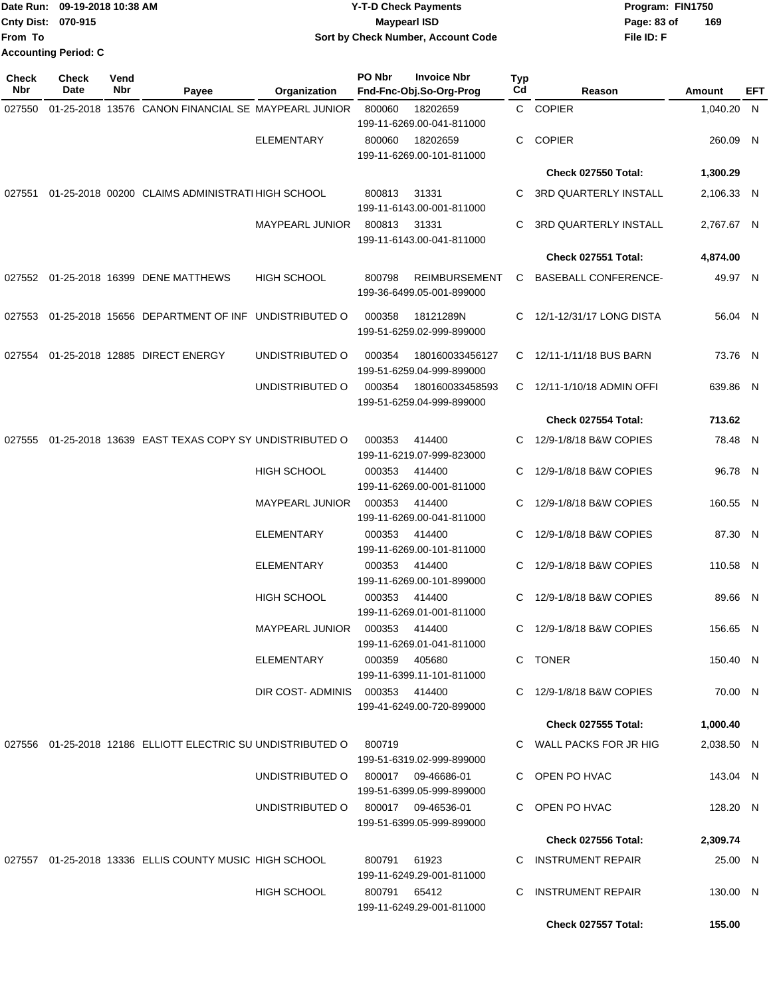|                           | Date Run: 09-19-2018 10:38 AM | <b>Y-T-D Check Payments</b>        | Program: FIN1750   |  |  |  |
|---------------------------|-------------------------------|------------------------------------|--------------------|--|--|--|
| <b>Cnty Dist: 070-915</b> |                               | <b>Mavpearl ISD</b>                | 169<br>Page: 83 of |  |  |  |
| lFrom To                  |                               | Sort by Check Number, Account Code | File ID: F         |  |  |  |
|                           | <b>Accounting Period: C</b>   |                                    |                    |  |  |  |

| Check<br>Nbr | <b>Check</b><br>Date | Vend<br>Nbr | Payee                                                       | <b>Organization</b>            | PO Nbr       | <b>Invoice Nbr</b><br>Fnd-Fnc-Obj.So-Org-Prog     | Typ<br>Cd | Reason                       | Amount     | EFT |
|--------------|----------------------|-------------|-------------------------------------------------------------|--------------------------------|--------------|---------------------------------------------------|-----------|------------------------------|------------|-----|
| 027550       |                      |             | 01-25-2018 13576 CANON FINANCIAL SE MAYPEARL JUNIOR         |                                | 800060       | 18202659<br>199-11-6269.00-041-811000             |           | C COPIER                     | 1,040.20 N |     |
|              |                      |             |                                                             | <b>ELEMENTARY</b>              | 800060       | 18202659<br>199-11-6269.00-101-811000             | C         | <b>COPIER</b>                | 260.09 N   |     |
|              |                      |             |                                                             |                                |              |                                                   |           | Check 027550 Total:          | 1,300.29   |     |
|              |                      |             | 027551 01-25-2018 00200 CLAIMS ADMINISTRATI HIGH SCHOOL     |                                | 800813       | 31331<br>199-11-6143.00-001-811000                | C         | <b>3RD QUARTERLY INSTALL</b> | 2,106.33 N |     |
|              |                      |             |                                                             | <b>MAYPEARL JUNIOR</b>         | 800813       | 31331<br>199-11-6143.00-041-811000                | C         | 3RD QUARTERLY INSTALL        | 2,767.67 N |     |
|              |                      |             |                                                             |                                |              |                                                   |           | Check 027551 Total:          | 4,874.00   |     |
| 027552       |                      |             | 01-25-2018 16399 DENE MATTHEWS                              | <b>HIGH SCHOOL</b>             | 800798       | <b>REIMBURSEMENT</b><br>199-36-6499.05-001-899000 | C         | <b>BASEBALL CONFERENCE-</b>  | 49.97 N    |     |
| 027553       |                      |             | 01-25-2018 15656 DEPARTMENT OF INF UNDISTRIBUTED O          |                                | 000358       | 18121289N<br>199-51-6259.02-999-899000            | C.        | 12/1-12/31/17 LONG DISTA     | 56.04 N    |     |
| 027554       |                      |             | 01-25-2018 12885 DIRECT ENERGY                              | UNDISTRIBUTED O                | 000354       | 180160033456127<br>199-51-6259.04-999-899000      |           | C 12/11-1/11/18 BUS BARN     | 73.76 N    |     |
|              |                      |             |                                                             | UNDISTRIBUTED O                | 000354       | 180160033458593<br>199-51-6259.04-999-899000      |           | C 12/11-1/10/18 ADMIN OFFI   | 639.86 N   |     |
|              |                      |             |                                                             |                                |              |                                                   |           | Check 027554 Total:          | 713.62     |     |
| 027555       |                      |             | 01-25-2018 13639 EAST TEXAS COPY SY UNDISTRIBUTED O         |                                | 000353       | 414400<br>199-11-6219.07-999-823000               |           | C 12/9-1/8/18 B&W COPIES     | 78.48 N    |     |
|              |                      |             |                                                             | <b>HIGH SCHOOL</b>             | 000353       | 414400<br>199-11-6269.00-001-811000               | С         | 12/9-1/8/18 B&W COPIES       | 96.78 N    |     |
|              |                      |             |                                                             | <b>MAYPEARL JUNIOR</b>         | 000353       | 414400<br>199-11-6269.00-041-811000               | С         | 12/9-1/8/18 B&W COPIES       | 160.55 N   |     |
|              |                      |             |                                                             | <b>ELEMENTARY</b>              | 000353       | 414400<br>199-11-6269.00-101-811000               | C         | 12/9-1/8/18 B&W COPIES       | 87.30 N    |     |
|              |                      |             |                                                             | <b>ELEMENTARY</b>              | 000353       | 414400<br>199-11-6269.00-101-899000               | С         | 12/9-1/8/18 B&W COPIES       | 110.58 N   |     |
|              |                      |             |                                                             | <b>HIGH SCHOOL</b>             | 000353       | 414400<br>199-11-6269.01-001-811000               | C         | 12/9-1/8/18 B&W COPIES       | 89.66 N    |     |
|              |                      |             |                                                             | <b>MAYPEARL JUNIOR</b>         | 000353       | 414400<br>199-11-6269.01-041-811000               | C.        | 12/9-1/8/18 B&W COPIES       | 156.65 N   |     |
|              |                      |             |                                                             | <b>ELEMENTARY</b>              | 000359       | 405680<br>199-11-6399.11-101-811000               |           | C TONER                      | 150.40 N   |     |
|              |                      |             |                                                             | DIR COST-ADMINIS 000353 414400 |              | 199-41-6249.00-720-899000                         |           | C 12/9-1/8/18 B&W COPIES     | 70.00 N    |     |
|              |                      |             |                                                             |                                |              |                                                   |           | <b>Check 027555 Total:</b>   | 1,000.40   |     |
|              |                      |             | 027556 01-25-2018 12186 ELLIOTT ELECTRIC SU UNDISTRIBUTED O |                                | 800719       | 199-51-6319.02-999-899000                         |           | C WALL PACKS FOR JR HIG      | 2,038.50 N |     |
|              |                      |             |                                                             | UNDISTRIBUTED O                |              | 800017 09-46686-01<br>199-51-6399.05-999-899000   |           | C OPEN PO HVAC               | 143.04 N   |     |
|              |                      |             |                                                             | UNDISTRIBUTED O                |              | 800017 09-46536-01<br>199-51-6399.05-999-899000   |           | C OPEN PO HVAC               | 128.20 N   |     |
|              |                      |             |                                                             |                                |              |                                                   |           | Check 027556 Total:          | 2,309.74   |     |
|              |                      |             | 027557 01-25-2018 13336 ELLIS COUNTY MUSIC HIGH SCHOOL      |                                | 800791       | 61923<br>199-11-6249.29-001-811000                |           | C INSTRUMENT REPAIR          | 25.00 N    |     |
|              |                      |             |                                                             | HIGH SCHOOL                    | 800791 65412 | 199-11-6249.29-001-811000                         | C         | <b>INSTRUMENT REPAIR</b>     | 130.00 N   |     |
|              |                      |             |                                                             |                                |              |                                                   |           | <b>Check 027557 Total:</b>   | 155.00     |     |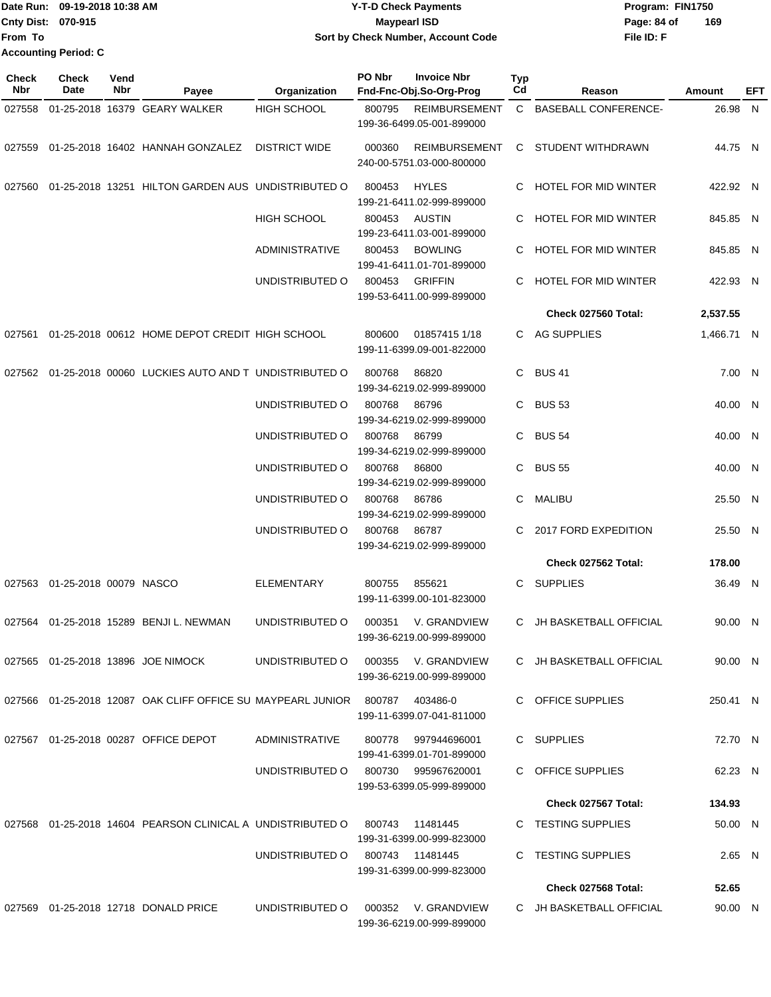Date Run: 09-19-2018 10:38 AM **CONTEX 18 AM CONTEX 18 AM CONTEX 17-T-D** Check Payments **CONTEX 18 AM CONTEX 18 AM CONTEX 18 AM CONTEX 18 AM CONTEX 18 AM CONTEX 18 AM CONTEX 18 AM CONTEX 18 AM CONTEX 19 AM CONTEX 19 AM CONT Cnty Dist:** 070-915 **Page: 84 of MaypearI ISD Page: 84 of File ID: F From To 09-19-2018 10:38 AM Y-T-D Check Payments 070-915 Maypearl ISD Sort by Check Number, Account Code Accounting Period: C**

**169**

| <b>Check</b><br>Nbr | <b>Check</b><br>Date          | Vend<br>Nbr | Payee                                                                  | Organization                        | PO Nbr | <b>Invoice Nbr</b><br>Fnd-Fnc-Obj.So-Org-Prog     | Typ<br>Cd | Reason                      | Amount     | EFT |
|---------------------|-------------------------------|-------------|------------------------------------------------------------------------|-------------------------------------|--------|---------------------------------------------------|-----------|-----------------------------|------------|-----|
| 027558              |                               |             | 01-25-2018 16379 GEARY WALKER                                          | <b>HIGH SCHOOL</b>                  | 800795 | <b>REIMBURSEMENT</b><br>199-36-6499.05-001-899000 |           | C BASEBALL CONFERENCE-      | 26.98 N    |     |
| 027559              |                               |             | 01-25-2018 16402 HANNAH GONZALEZ                                       | <b>DISTRICT WIDE</b>                | 000360 | <b>REIMBURSEMENT</b><br>240-00-5751.03-000-800000 |           | C STUDENT WITHDRAWN         | 44.75 N    |     |
| 027560              |                               |             | 01-25-2018 13251 HILTON GARDEN AUS UNDISTRIBUTED O                     |                                     | 800453 | <b>HYLES</b><br>199-21-6411.02-999-899000         | C.        | HOTEL FOR MID WINTER        | 422.92 N   |     |
|                     |                               |             |                                                                        | <b>HIGH SCHOOL</b>                  | 800453 | AUSTIN<br>199-23-6411.03-001-899000               |           | HOTEL FOR MID WINTER        | 845.85 N   |     |
|                     |                               |             |                                                                        | <b>ADMINISTRATIVE</b>               | 800453 | <b>BOWLING</b><br>199-41-6411.01-701-899000       | C.        | <b>HOTEL FOR MID WINTER</b> | 845.85 N   |     |
|                     |                               |             |                                                                        | UNDISTRIBUTED O                     | 800453 | <b>GRIFFIN</b><br>199-53-6411.00-999-899000       | C.        | HOTEL FOR MID WINTER        | 422.93 N   |     |
|                     |                               |             |                                                                        |                                     |        |                                                   |           | Check 027560 Total:         | 2,537.55   |     |
| 027561              |                               |             | 01-25-2018 00612 HOME DEPOT CREDIT HIGH SCHOOL                         |                                     | 800600 | 01857415 1/18<br>199-11-6399.09-001-822000        |           | C AG SUPPLIES               | 1,466.71 N |     |
|                     |                               |             | 027562 01-25-2018 00060 LUCKIES AUTO AND T UNDISTRIBUTED O             |                                     | 800768 | 86820<br>199-34-6219.02-999-899000                |           | C BUS 41                    | 7.00 N     |     |
|                     |                               |             |                                                                        | UNDISTRIBUTED O                     | 800768 | 86796<br>199-34-6219.02-999-899000                |           | C BUS 53                    | 40.00 N    |     |
|                     |                               |             |                                                                        | UNDISTRIBUTED O                     | 800768 | 86799<br>199-34-6219.02-999-899000                |           | C BUS 54                    | 40.00 N    |     |
|                     |                               |             |                                                                        | UNDISTRIBUTED O                     | 800768 | 86800<br>199-34-6219.02-999-899000                | C.        | <b>BUS 55</b>               | 40.00 N    |     |
|                     |                               |             |                                                                        | UNDISTRIBUTED O                     | 800768 | 86786<br>199-34-6219.02-999-899000                | C.        | <b>MALIBU</b>               | 25.50 N    |     |
|                     |                               |             |                                                                        | UNDISTRIBUTED O                     | 800768 | 86787<br>199-34-6219.02-999-899000                | C.        | 2017 FORD EXPEDITION        | 25.50 N    |     |
|                     |                               |             |                                                                        |                                     |        |                                                   |           | Check 027562 Total:         | 178.00     |     |
|                     | 027563 01-25-2018 00079 NASCO |             |                                                                        | ELEMENTARY                          | 800755 | 855621<br>199-11-6399.00-101-823000               | C         | <b>SUPPLIES</b>             | 36.49 N    |     |
|                     |                               |             | 027564 01-25-2018 15289 BENJI L. NEWMAN                                | UNDISTRIBUTED O                     | 000351 | V. GRANDVIEW<br>199-36-6219.00-999-899000         |           | C JH BASKETBALL OFFICIAL    | 90.00 N    |     |
|                     |                               |             | 027565 01-25-2018 13896 JOE NIMOCK                                     | UNDISTRIBUTED O                     |        | 000355 V. GRANDVIEW<br>199-36-6219.00-999-899000  |           | C JH BASKETBALL OFFICIAL    | 90.00 N    |     |
|                     |                               |             | 027566  01-25-2018  12087  OAK CLIFF OFFICE SU MAYPEARL JUNIOR  800787 |                                     |        | 403486-0<br>199-11-6399.07-041-811000             |           | C OFFICE SUPPLIES           | 250.41 N   |     |
|                     |                               |             | 027567  01-25-2018  00287  OFFICE DEPOT                                | ADMINISTRATIVE                      |        | 800778 997944696001<br>199-41-6399.01-701-899000  |           | C SUPPLIES                  | 72.70 N    |     |
|                     |                               |             |                                                                        | UNDISTRIBUTED O 800730 995967620001 |        | 199-53-6399.05-999-899000                         |           | C OFFICE SUPPLIES           | 62.23 N    |     |
|                     |                               |             |                                                                        |                                     |        |                                                   |           | Check 027567 Total:         | 134.93     |     |
|                     |                               |             | 027568 01-25-2018  14604  PEARSON CLINICAL A  UNDISTRIBUTED O          |                                     | 800743 | 11481445<br>199-31-6399.00-999-823000             |           | C TESTING SUPPLIES          | 50.00 N    |     |
|                     |                               |             |                                                                        | UNDISTRIBUTED O 800743 11481445     |        | 199-31-6399.00-999-823000                         |           | C TESTING SUPPLIES          | 2.65 N     |     |
|                     |                               |             |                                                                        |                                     |        |                                                   |           | Check 027568 Total:         | 52.65      |     |
|                     |                               |             | 027569 01-25-2018 12718 DONALD PRICE                                   | UNDISTRIBUTED O                     |        | 000352 V. GRANDVIEW<br>199-36-6219.00-999-899000  |           | C JH BASKETBALL OFFICIAL    | 90.00 N    |     |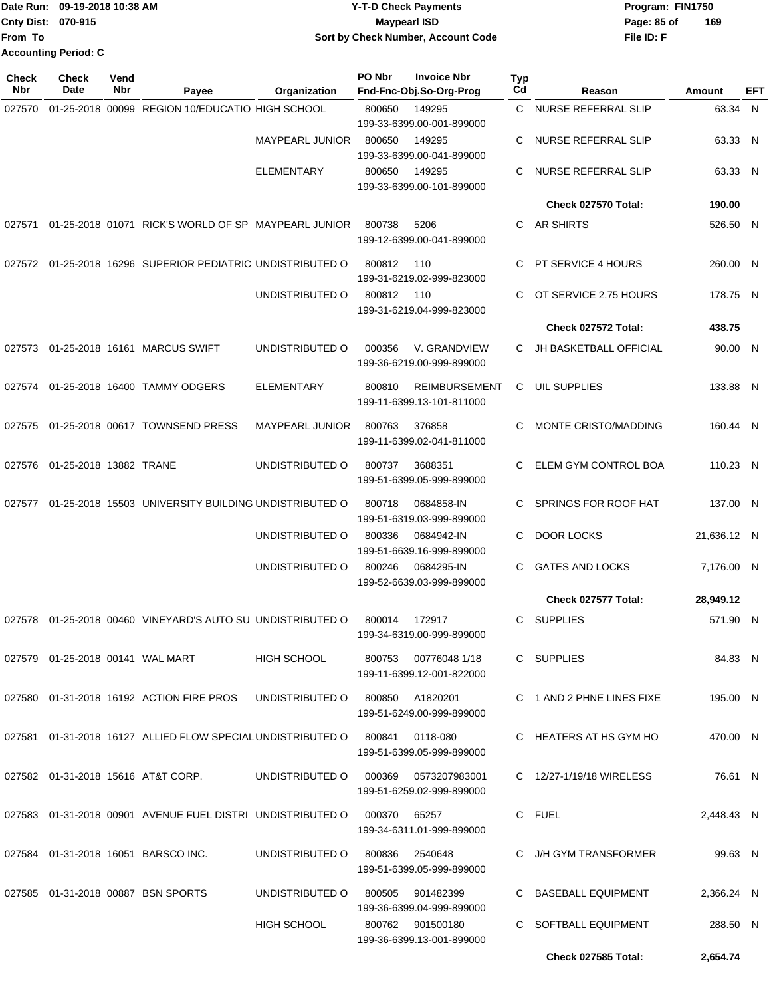|                    | Date Run: 09-19-2018 10:38 AM | <b>Y-T-D Check Payments</b>        | Program: FIN1750   |  |  |
|--------------------|-------------------------------|------------------------------------|--------------------|--|--|
| Cnty Dist: 070-915 |                               | <b>Mavpearl ISD</b>                | 169<br>Page: 85 of |  |  |
| lFrom To           |                               | Sort by Check Number, Account Code | File ID: F         |  |  |
|                    | <b>Accounting Period: C</b>   |                                    |                    |  |  |

| <b>Check</b><br>Nbr | <b>Check</b><br><b>Date</b>            | Vend<br>Nbr | Payee                                                                            | Organization                    | PO Nbr | <b>Invoice Nbr</b><br>Fnd-Fnc-Obj.So-Org-Prog | <b>Typ</b><br>Cd | Reason                    | Amount      | EFT |
|---------------------|----------------------------------------|-------------|----------------------------------------------------------------------------------|---------------------------------|--------|-----------------------------------------------|------------------|---------------------------|-------------|-----|
| 027570              |                                        |             | 01-25-2018 00099 REGION 10/EDUCATIO HIGH SCHOOL                                  |                                 | 800650 | 149295                                        | C.               | NURSE REFERRAL SLIP       | 63.34 N     |     |
|                     |                                        |             |                                                                                  |                                 |        | 199-33-6399.00-001-899000                     |                  |                           |             |     |
|                     |                                        |             |                                                                                  | <b>MAYPEARL JUNIOR</b>          | 800650 | 149295                                        | C.               | NURSE REFERRAL SLIP       | 63.33 N     |     |
|                     |                                        |             |                                                                                  |                                 |        | 199-33-6399.00-041-899000<br>149295           |                  |                           |             |     |
|                     |                                        |             |                                                                                  | <b>ELEMENTARY</b>               | 800650 | 199-33-6399.00-101-899000                     | C                | NURSE REFERRAL SLIP       | 63.33 N     |     |
|                     |                                        |             |                                                                                  |                                 |        |                                               |                  | Check 027570 Total:       | 190.00      |     |
| 027571              |                                        |             | 01-25-2018 01071 RICK'S WORLD OF SP MAYPEARL JUNIOR                              |                                 | 800738 | 5206                                          | C.               | AR SHIRTS                 | 526.50 N    |     |
|                     |                                        |             |                                                                                  |                                 |        | 199-12-6399.00-041-899000                     |                  |                           |             |     |
| 027572              |                                        |             | 01-25-2018 16296 SUPERIOR PEDIATRIC UNDISTRIBUTED O                              |                                 | 800812 | 110                                           | C                | PT SERVICE 4 HOURS        | 260.00 N    |     |
|                     |                                        |             |                                                                                  |                                 |        | 199-31-6219.02-999-823000                     |                  |                           |             |     |
|                     |                                        |             |                                                                                  | UNDISTRIBUTED O                 | 800812 | 110                                           | C                | OT SERVICE 2.75 HOURS     | 178.75 N    |     |
|                     |                                        |             |                                                                                  |                                 |        | 199-31-6219.04-999-823000                     |                  | Check 027572 Total:       |             |     |
|                     |                                        |             |                                                                                  |                                 |        |                                               |                  |                           | 438.75      |     |
|                     |                                        |             | 027573 01-25-2018 16161 MARCUS SWIFT                                             | UNDISTRIBUTED O                 | 000356 | V. GRANDVIEW<br>199-36-6219.00-999-899000     | C.               | JH BASKETBALL OFFICIAL    | 90.00 N     |     |
|                     |                                        |             | 027574 01-25-2018 16400 TAMMY ODGERS                                             | <b>ELEMENTARY</b>               | 800810 | <b>REIMBURSEMENT</b>                          | C                | UIL SUPPLIES              | 133.88 N    |     |
|                     |                                        |             |                                                                                  |                                 |        | 199-11-6399.13-101-811000                     |                  |                           |             |     |
| 027575              |                                        |             | 01-25-2018 00617 TOWNSEND PRESS                                                  | <b>MAYPEARL JUNIOR</b>          | 800763 | 376858                                        | C                | MONTE CRISTO/MADDING      | 160.44 N    |     |
|                     |                                        |             |                                                                                  |                                 |        | 199-11-6399.02-041-811000                     |                  |                           |             |     |
| 027576              | 01-25-2018 13882 TRANE                 |             |                                                                                  | UNDISTRIBUTED O                 | 800737 | 3688351                                       | C                | ELEM GYM CONTROL BOA      | 110.23 N    |     |
|                     |                                        |             |                                                                                  |                                 |        | 199-51-6399.05-999-899000                     |                  |                           |             |     |
| 027577              |                                        |             | 01-25-2018 15503 UNIVERSITY BUILDING UNDISTRIBUTED O                             |                                 | 800718 | 0684858-IN                                    | C                | SPRINGS FOR ROOF HAT      | 137.00 N    |     |
|                     |                                        |             |                                                                                  |                                 |        | 199-51-6319.03-999-899000                     |                  |                           |             |     |
|                     |                                        |             |                                                                                  | UNDISTRIBUTED O                 | 800336 | 0684942-IN                                    | C                | <b>DOOR LOCKS</b>         | 21,636.12 N |     |
|                     |                                        |             |                                                                                  | UNDISTRIBUTED O                 | 800246 | 199-51-6639.16-999-899000<br>0684295-IN       | C                | <b>GATES AND LOCKS</b>    | 7,176.00 N  |     |
|                     |                                        |             |                                                                                  |                                 |        | 199-52-6639.03-999-899000                     |                  |                           |             |     |
|                     |                                        |             |                                                                                  |                                 |        |                                               |                  | Check 027577 Total:       | 28,949.12   |     |
| 027578              |                                        |             | 01-25-2018 00460 VINEYARD'S AUTO SU UNDISTRIBUTED O                              |                                 | 800014 | 172917                                        | C.               | <b>SUPPLIES</b>           | 571.90 N    |     |
|                     |                                        |             |                                                                                  |                                 |        | 199-34-6319.00-999-899000                     |                  |                           |             |     |
|                     | 027579   01-25-2018   00141   WAL MART |             |                                                                                  | <b>HIGH SCHOOL</b>              |        | 800753 00776048 1/18                          |                  | C SUPPLIES                | 84.83 N     |     |
|                     |                                        |             |                                                                                  |                                 |        | 199-11-6399.12-001-822000                     |                  |                           |             |     |
|                     |                                        |             | 027580 01-31-2018 16192 ACTION FIRE PROS                                         | UNDISTRIBUTED O 800850 A1820201 |        |                                               |                  | C 1 AND 2 PHNE LINES FIXE | 195.00 N    |     |
|                     |                                        |             |                                                                                  |                                 |        | 199-51-6249.00-999-899000                     |                  |                           |             |     |
|                     |                                        |             | 027581  01-31-2018  16127  ALLIED FLOW SPECIAL UNDISTRIBUTED O  800841  0118-080 |                                 |        |                                               |                  | C HEATERS AT HS GYM HO    | 470.00 N    |     |
|                     |                                        |             |                                                                                  |                                 |        | 199-51-6399.05-999-899000                     |                  |                           |             |     |
|                     |                                        |             | 027582  01-31-2018  15616  AT&T CORP.                                            | UNDISTRIBUTED O                 | 000369 | 0573207983001                                 |                  | C 12/27-1/19/18 WIRELESS  | 76.61 N     |     |
|                     |                                        |             |                                                                                  |                                 |        | 199-51-6259.02-999-899000                     |                  |                           |             |     |
|                     |                                        |             | 027583  01-31-2018  00901  AVENUE FUEL DISTRI  UNDISTRIBUTED O                   |                                 | 000370 | 65257                                         |                  | C FUEL                    | 2,448.43 N  |     |
|                     |                                        |             |                                                                                  |                                 |        | 199-34-6311.01-999-899000                     |                  |                           |             |     |
|                     |                                        |             | 027584 01-31-2018 16051 BARSCO INC.                                              | UNDISTRIBUTED O                 | 800836 | 2540648                                       |                  | C J/H GYM TRANSFORMER     | 99.63 N     |     |
|                     |                                        |             |                                                                                  |                                 |        | 199-51-6399.05-999-899000                     |                  |                           |             |     |
|                     |                                        |             | 027585  01-31-2018  00887  BSN SPORTS                                            | UNDISTRIBUTED O                 | 800505 | 901482399                                     |                  | C BASEBALL EQUIPMENT      | 2,366.24 N  |     |
|                     |                                        |             |                                                                                  |                                 |        | 199-36-6399.04-999-899000                     |                  | C SOFTBALL EQUIPMENT      |             |     |
|                     |                                        |             |                                                                                  | <b>HIGH SCHOOL</b>              |        | 800762 901500180<br>199-36-6399.13-001-899000 |                  |                           | 288.50 N    |     |
|                     |                                        |             |                                                                                  |                                 |        |                                               |                  | Check 027585 Total:       | 2,654.74    |     |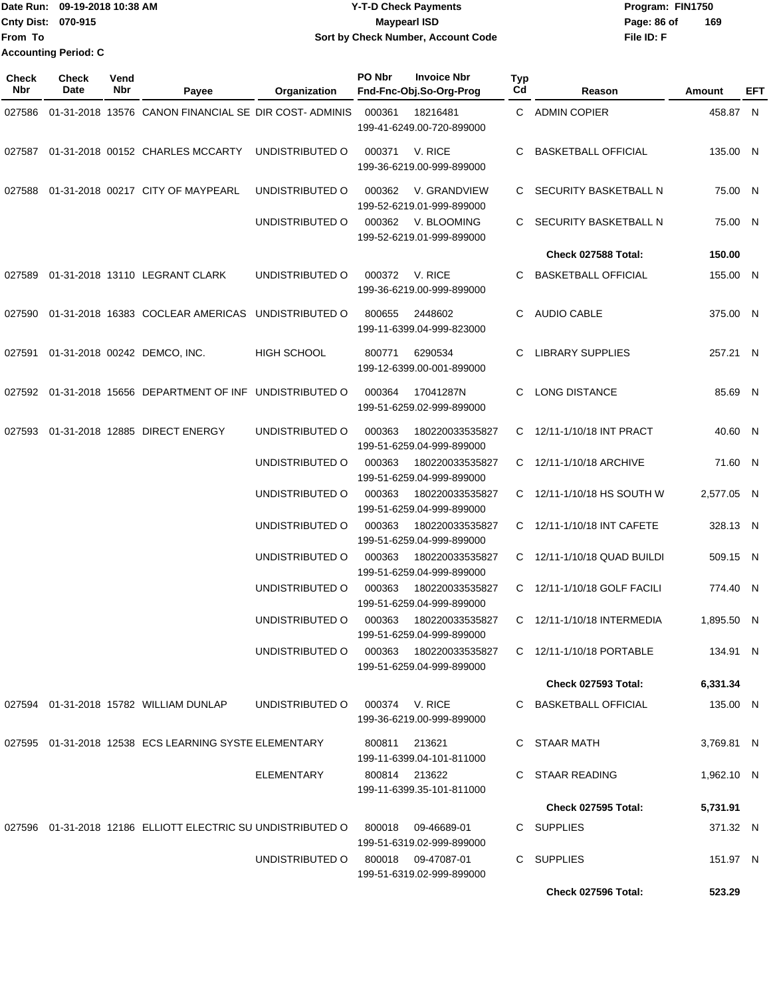Date Run: 09-19-2018 10:38 AM **CONTEX 18 AM CONTEX 18 AM CONTEX 18 AM CONTEX 18 AM CONTEX 19 AM CONTEX 19 AM CONTEX 19 AM CONTEX 19 AM CONTEX 19 AM CONTEX 19 AM CONTEX 19 AM CONTEX 19 AM CONTEX 19 AM CONTEX 19 AM CONTEX 19 Cnty Dist:** 070-915 **Page: 86 of MaypearI ISD Page: 86 of File ID: F From To 09-19-2018 10:38 AM Y-T-D Check Payments 070-915 Maypearl ISD Sort by Check Number, Account Code 169 Accounting Period: C**

| Check<br><b>Nbr</b> | Check<br>Date | Vend<br>Nbr | Payee                                                       | Organization       | PO Nbr | <b>Invoice Nbr</b><br>Fnd-Fnc-Obj.So-Org-Prog     | <b>Typ</b><br>Cd | Reason                      | Amount     | EFT |
|---------------------|---------------|-------------|-------------------------------------------------------------|--------------------|--------|---------------------------------------------------|------------------|-----------------------------|------------|-----|
| 027586              |               |             | 01-31-2018 13576 CANON FINANCIAL SE DIR COST-ADMINIS        |                    | 000361 | 18216481<br>199-41-6249.00-720-899000             |                  | C ADMIN COPIER              | 458.87 N   |     |
| 027587              |               |             | 01-31-2018 00152 CHARLES MCCARTY                            | UNDISTRIBUTED O    | 000371 | V. RICE<br>199-36-6219.00-999-899000              | C.               | <b>BASKETBALL OFFICIAL</b>  | 135.00 N   |     |
| 027588              |               |             | 01-31-2018 00217 CITY OF MAYPEARL                           | UNDISTRIBUTED O    | 000362 | V. GRANDVIEW<br>199-52-6219.01-999-899000         |                  | C SECURITY BASKETBALL N     | 75.00 N    |     |
|                     |               |             |                                                             | UNDISTRIBUTED O    | 000362 | V. BLOOMING<br>199-52-6219.01-999-899000          | C.               | SECURITY BASKETBALL N       | 75.00 N    |     |
|                     |               |             |                                                             |                    |        |                                                   |                  | Check 027588 Total:         | 150.00     |     |
| 027589              |               |             | 01-31-2018 13110 LEGRANT CLARK                              | UNDISTRIBUTED O    | 000372 | V. RICE<br>199-36-6219.00-999-899000              | C                | <b>BASKETBALL OFFICIAL</b>  | 155.00 N   |     |
| 027590              |               |             | 01-31-2018 16383 COCLEAR AMERICAS UNDISTRIBUTED O           |                    | 800655 | 2448602<br>199-11-6399.04-999-823000              | C                | <b>AUDIO CABLE</b>          | 375.00 N   |     |
| 027591              |               |             | 01-31-2018 00242 DEMCO, INC.                                | <b>HIGH SCHOOL</b> | 800771 | 6290534<br>199-12-6399.00-001-899000              | C                | <b>LIBRARY SUPPLIES</b>     | 257.21 N   |     |
|                     |               |             | 027592 01-31-2018 15656 DEPARTMENT OF INF UNDISTRIBUTED O   |                    | 000364 | 17041287N<br>199-51-6259.02-999-899000            | C                | <b>LONG DISTANCE</b>        | 85.69 N    |     |
| 027593              |               |             | 01-31-2018 12885 DIRECT ENERGY                              | UNDISTRIBUTED O    | 000363 | 180220033535827<br>199-51-6259.04-999-899000      |                  | C 12/11-1/10/18 INT PRACT   | 40.60 N    |     |
|                     |               |             |                                                             | UNDISTRIBUTED O    | 000363 | 180220033535827<br>199-51-6259.04-999-899000      |                  | C 12/11-1/10/18 ARCHIVE     | 71.60 N    |     |
|                     |               |             |                                                             | UNDISTRIBUTED O    | 000363 | 180220033535827<br>199-51-6259.04-999-899000      |                  | C 12/11-1/10/18 HS SOUTH W  | 2,577.05 N |     |
|                     |               |             |                                                             | UNDISTRIBUTED O    | 000363 | 180220033535827<br>199-51-6259.04-999-899000      |                  | C 12/11-1/10/18 INT CAFETE  | 328.13 N   |     |
|                     |               |             |                                                             | UNDISTRIBUTED O    | 000363 | 180220033535827<br>199-51-6259.04-999-899000      |                  | C 12/11-1/10/18 QUAD BUILDI | 509.15 N   |     |
|                     |               |             |                                                             | UNDISTRIBUTED O    | 000363 | 180220033535827<br>199-51-6259.04-999-899000      |                  | C 12/11-1/10/18 GOLF FACILI | 774.40 N   |     |
|                     |               |             |                                                             | UNDISTRIBUTED O    | 000363 | 180220033535827<br>199-51-6259.04-999-899000      |                  | C 12/11-1/10/18 INTERMEDIA  | 1,895.50 N |     |
|                     |               |             |                                                             | UNDISTRIBUTED O    | 000363 | 180220033535827<br>199-51-6259.04-999-899000      |                  | C 12/11-1/10/18 PORTABLE    | 134.91 N   |     |
|                     |               |             |                                                             |                    |        |                                                   |                  | <b>Check 027593 Total:</b>  | 6,331.34   |     |
|                     |               |             | 027594 01-31-2018 15782 WILLIAM DUNLAP                      | UNDISTRIBUTED O    |        | 000374 V. RICE<br>199-36-6219.00-999-899000       |                  | C BASKETBALL OFFICIAL       | 135.00 N   |     |
|                     |               |             | 027595  01-31-2018  12538  ECS LEARNING SYSTE ELEMENTARY    |                    |        | 800811 213621<br>199-11-6399.04-101-811000        |                  | C STAAR MATH                | 3,769.81 N |     |
|                     |               |             |                                                             | ELEMENTARY         |        | 800814 213622<br>199-11-6399.35-101-811000        |                  | C STAAR READING             | 1,962.10 N |     |
|                     |               |             |                                                             |                    |        |                                                   |                  | <b>Check 027595 Total:</b>  | 5,731.91   |     |
|                     |               |             | 027596 01-31-2018 12186 ELLIOTT ELECTRIC SU UNDISTRIBUTED O |                    | 800018 | 09-46689-01<br>199-51-6319.02-999-899000          |                  | C SUPPLIES                  | 371.32 N   |     |
|                     |               |             |                                                             | UNDISTRIBUTED O    |        | 800018   09-47087-01<br>199-51-6319.02-999-899000 |                  | C SUPPLIES                  | 151.97 N   |     |
|                     |               |             |                                                             |                    |        |                                                   |                  | <b>Check 027596 Total:</b>  | 523.29     |     |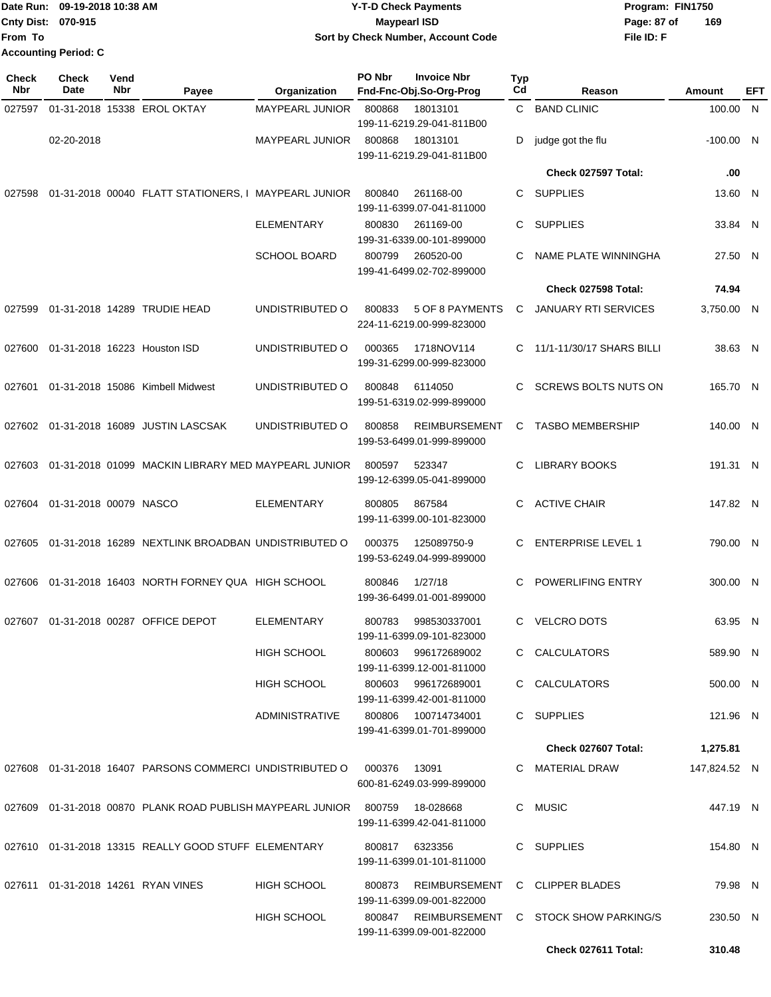|                             | Date Run: 09-19-2018 10:38 AM | Y-T-D Check Payments               | Program: FIN1750 |     |  |  |
|-----------------------------|-------------------------------|------------------------------------|------------------|-----|--|--|
| <b>Cnty Dist: 070-915</b>   |                               | <b>Maypearl ISD</b>                | Page: 87 of      | 169 |  |  |
| From To                     |                               | Sort by Check Number, Account Code | File ID: F       |     |  |  |
| <b>Accounting Period: C</b> |                               |                                    |                  |     |  |  |

| <b>Check</b><br>Nbr | <b>Check</b><br>Date   | Vend<br>Nbr | Payee                                                      | Organization           | PO Nbr | <b>Invoice Nbr</b><br>Fnd-Fnc-Obj.So-Org-Prog     | Typ<br>Cd | Reason                                      | Amount       | EFT |
|---------------------|------------------------|-------------|------------------------------------------------------------|------------------------|--------|---------------------------------------------------|-----------|---------------------------------------------|--------------|-----|
| 027597              |                        |             | 01-31-2018 15338 EROL OKTAY                                | <b>MAYPEARL JUNIOR</b> | 800868 | 18013101                                          | C.        | <b>BAND CLINIC</b>                          | 100.00 N     |     |
|                     | 02-20-2018             |             |                                                            | <b>MAYPEARL JUNIOR</b> | 800868 | 199-11-6219.29-041-811B00<br>18013101             | D         |                                             | $-100.00$ N  |     |
|                     |                        |             |                                                            |                        |        | 199-11-6219.29-041-811B00                         |           | judge got the flu                           |              |     |
|                     |                        |             |                                                            |                        |        |                                                   |           | Check 027597 Total:                         | .00          |     |
| 027598              |                        |             | 01-31-2018 00040 FLATT STATIONERS, I MAYPEARL JUNIOR       |                        | 800840 | 261168-00<br>199-11-6399.07-041-811000            | С         | <b>SUPPLIES</b>                             | 13.60 N      |     |
|                     |                        |             |                                                            | <b>ELEMENTARY</b>      | 800830 | 261169-00<br>199-31-6339.00-101-899000            | С         | <b>SUPPLIES</b>                             | 33.84 N      |     |
|                     |                        |             |                                                            | <b>SCHOOL BOARD</b>    | 800799 | 260520-00<br>199-41-6499.02-702-899000            | С         | NAME PLATE WINNINGHA                        | 27.50 N      |     |
|                     |                        |             |                                                            |                        |        |                                                   |           | <b>Check 027598 Total:</b>                  | 74.94        |     |
| 027599              |                        |             | 01-31-2018 14289 TRUDIE HEAD                               | UNDISTRIBUTED O        | 800833 | 5 OF 8 PAYMENTS<br>224-11-6219.00-999-823000      | C         | <b>JANUARY RTI SERVICES</b>                 | 3,750.00 N   |     |
| 027600              |                        |             | 01-31-2018 16223 Houston ISD                               | UNDISTRIBUTED O        | 000365 | 1718NOV114<br>199-31-6299.00-999-823000           |           | C 11/1-11/30/17 SHARS BILLI                 | 38.63 N      |     |
| 027601              |                        |             | 01-31-2018 15086 Kimbell Midwest                           | UNDISTRIBUTED O        | 800848 | 6114050<br>199-51-6319.02-999-899000              | С         | <b>SCREWS BOLTS NUTS ON</b>                 | 165.70 N     |     |
| 027602              |                        |             | 01-31-2018 16089 JUSTIN LASCSAK                            | UNDISTRIBUTED O        | 800858 | <b>REIMBURSEMENT</b><br>199-53-6499.01-999-899000 | C         | <b>TASBO MEMBERSHIP</b>                     | 140.00 N     |     |
| 027603              |                        |             | 01-31-2018 01099 MACKIN LIBRARY MED MAYPEARL JUNIOR        |                        | 800597 | 523347<br>199-12-6399.05-041-899000               | С         | <b>LIBRARY BOOKS</b>                        | 191.31 N     |     |
| 027604              | 01-31-2018 00079 NASCO |             |                                                            | <b>ELEMENTARY</b>      | 800805 | 867584<br>199-11-6399.00-101-823000               | С         | <b>ACTIVE CHAIR</b>                         | 147.82 N     |     |
| 027605              |                        |             | 01-31-2018 16289 NEXTLINK BROADBAN UNDISTRIBUTED O         |                        | 000375 | 125089750-9<br>199-53-6249.04-999-899000          |           | <b>ENTERPRISE LEVEL 1</b>                   | 790.00 N     |     |
| 027606              |                        |             | 01-31-2018 16403 NORTH FORNEY QUA HIGH SCHOOL              |                        | 800846 | 1/27/18<br>199-36-6499.01-001-899000              | С         | POWERLIFING ENTRY                           | 300.00 N     |     |
| 027607              |                        |             | 01-31-2018 00287 OFFICE DEPOT                              | <b>ELEMENTARY</b>      | 800783 | 998530337001<br>199-11-6399.09-101-823000         | C.        | <b>VELCRO DOTS</b>                          | 63.95 N      |     |
|                     |                        |             |                                                            | HIGH SCHOOL            |        | 800603 996172689002<br>199-11-6399.12-001-811000  |           | C CALCULATORS                               | 589.90 N     |     |
|                     |                        |             |                                                            | HIGH SCHOOL            |        | 800603 996172689001<br>199-11-6399.42-001-811000  |           | C CALCULATORS                               | 500.00 N     |     |
|                     |                        |             |                                                            | <b>ADMINISTRATIVE</b>  |        | 800806 100714734001<br>199-41-6399.01-701-899000  |           | C SUPPLIES                                  | 121.96 N     |     |
|                     |                        |             |                                                            |                        |        |                                                   |           | Check 027607 Total:                         | 1,275.81     |     |
|                     |                        |             | 027608 01-31-2018 16407 PARSONS COMMERCI UNDISTRIBUTED O   |                        | 000376 | 13091<br>600-81-6249.03-999-899000                |           | C MATERIAL DRAW                             | 147,824.52 N |     |
|                     |                        |             | 027609 01-31-2018 00870 PLANK ROAD PUBLISH MAYPEARL JUNIOR |                        |        | 800759 18-028668<br>199-11-6399.42-041-811000     |           | C MUSIC                                     | 447.19 N     |     |
|                     |                        |             | 027610  01-31-2018  13315  REALLY GOOD STUFF  ELEMENTARY   |                        |        | 800817 6323356<br>199-11-6399.01-101-811000       |           | C SUPPLIES                                  | 154.80 N     |     |
|                     |                        |             | 027611  01-31-2018  14261  RYAN VINES                      | HIGH SCHOOL            |        | 800873 REIMBURSEMENT<br>199-11-6399.09-001-822000 |           | C CLIPPER BLADES                            | 79.98 N      |     |
|                     |                        |             |                                                            | <b>HIGH SCHOOL</b>     |        | 199-11-6399.09-001-822000                         |           | 800847 REIMBURSEMENT C STOCK SHOW PARKING/S | 230.50 N     |     |
|                     |                        |             |                                                            |                        |        |                                                   |           | Check 027611 Total:                         | 310.48       |     |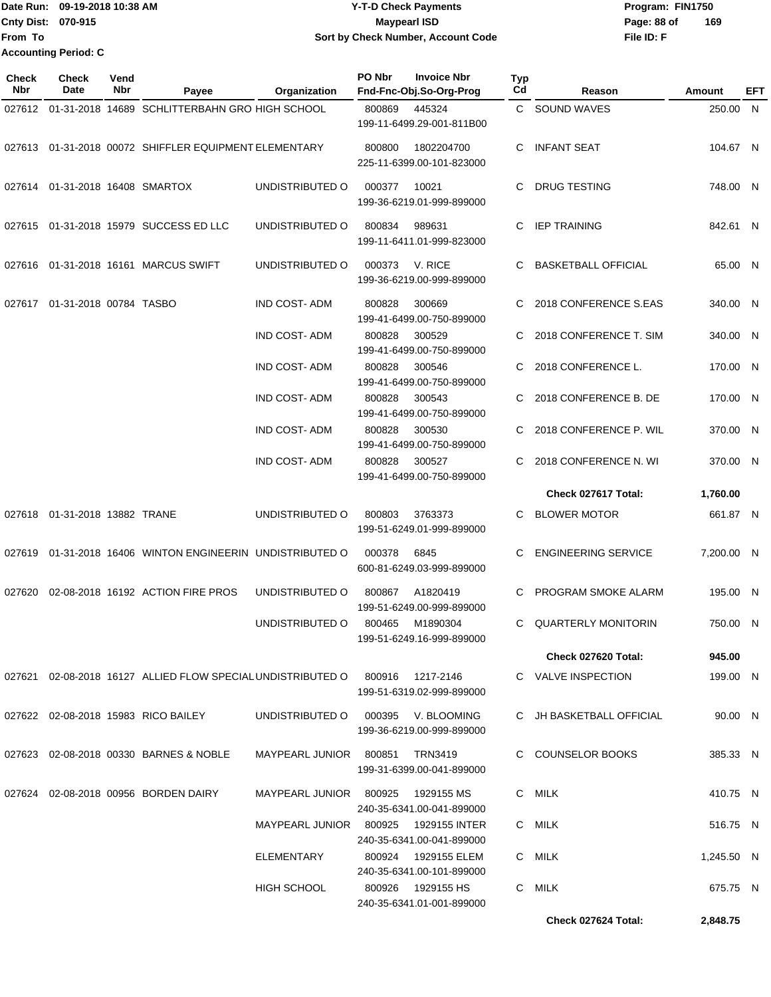|                           | 1Date Run: 09-19-2018 10:38 AM | <b>Y-T-D Check Payments</b>        | Program: FIN1750   |
|---------------------------|--------------------------------|------------------------------------|--------------------|
| <b>Cnty Dist: 070-915</b> |                                | Mavpearl ISD                       | 169<br>Page: 88 of |
| <b>IFrom To</b>           |                                | Sort by Check Number, Account Code | File ID: F         |
|                           | <b>Accounting Period: C</b>    |                                    |                    |

| <b>Check</b><br><b>Nbr</b> | <b>Check</b><br><b>Date</b>        | Vend<br>Nbr | Payee                                                                        | Organization                       | PO Nbr | <b>Invoice Nbr</b><br>Fnd-Fnc-Obj.So-Org-Prog      | <b>Typ</b><br>Cd | Reason                     | Amount     | EFT |
|----------------------------|------------------------------------|-------------|------------------------------------------------------------------------------|------------------------------------|--------|----------------------------------------------------|------------------|----------------------------|------------|-----|
|                            |                                    |             | 027612 01-31-2018 14689 SCHLITTERBAHN GRO HIGH SCHOOL                        |                                    | 800869 | 445324                                             |                  | C SOUND WAVES              | 250.00 N   |     |
|                            |                                    |             |                                                                              |                                    |        | 199-11-6499.29-001-811B00                          |                  |                            |            |     |
|                            |                                    |             | 027613 01-31-2018 00072 SHIFFLER EQUIPMENT ELEMENTARY                        |                                    | 800800 | 1802204700<br>225-11-6399.00-101-823000            | С                | <b>INFANT SEAT</b>         | 104.67 N   |     |
|                            | 027614  01-31-2018  16408  SMARTOX |             |                                                                              | UNDISTRIBUTED O                    | 000377 | 10021<br>199-36-6219.01-999-899000                 | C                | <b>DRUG TESTING</b>        | 748.00 N   |     |
|                            |                                    |             | 027615  01-31-2018  15979  SUCCESS ED LLC                                    | UNDISTRIBUTED O                    | 800834 | 989631<br>199-11-6411.01-999-823000                | C                | <b>IEP TRAINING</b>        | 842.61 N   |     |
|                            |                                    |             | 027616  01-31-2018  16161  MARCUS SWIFT                                      | UNDISTRIBUTED O                    | 000373 | V. RICE<br>199-36-6219.00-999-899000               |                  | <b>BASKETBALL OFFICIAL</b> | 65.00 N    |     |
| 027617                     | 01-31-2018 00784 TASBO             |             |                                                                              | <b>IND COST-ADM</b>                | 800828 | 300669                                             | C                | 2018 CONFERENCE S.EAS      | 340.00 N   |     |
|                            |                                    |             |                                                                              |                                    |        | 199-41-6499.00-750-899000                          |                  |                            |            |     |
|                            |                                    |             |                                                                              | <b>IND COST-ADM</b>                | 800828 | 300529<br>199-41-6499.00-750-899000                | C.               | 2018 CONFERENCE T. SIM     | 340.00 N   |     |
|                            |                                    |             |                                                                              | <b>IND COST-ADM</b>                | 800828 | 300546<br>199-41-6499.00-750-899000                | C                | 2018 CONFERENCE L.         | 170.00 N   |     |
|                            |                                    |             |                                                                              | <b>IND COST-ADM</b>                | 800828 | 300543<br>199-41-6499.00-750-899000                | C                | 2018 CONFERENCE B. DE      | 170.00 N   |     |
|                            |                                    |             |                                                                              | <b>IND COST-ADM</b>                | 800828 | 300530<br>199-41-6499.00-750-899000                |                  | 2018 CONFERENCE P. WIL     | 370.00 N   |     |
|                            |                                    |             |                                                                              | <b>IND COST-ADM</b>                | 800828 | 300527                                             | C                | 2018 CONFERENCE N. WI      | 370.00 N   |     |
|                            |                                    |             |                                                                              |                                    |        | 199-41-6499.00-750-899000                          |                  |                            |            |     |
|                            |                                    |             |                                                                              |                                    |        |                                                    |                  | Check 027617 Total:        | 1,760.00   |     |
|                            | 027618  01-31-2018  13882  TRANE   |             |                                                                              | UNDISTRIBUTED O                    | 800803 | 3763373<br>199-51-6249.01-999-899000               | С                | <b>BLOWER MOTOR</b>        | 661.87 N   |     |
|                            |                                    |             | 027619 01-31-2018 16406 WINTON ENGINEERIN UNDISTRIBUTED O                    |                                    | 000378 | 6845<br>600-81-6249.03-999-899000                  |                  | <b>ENGINEERING SERVICE</b> | 7,200.00 N |     |
| 027620                     |                                    |             | 02-08-2018 16192 ACTION FIRE PROS                                            | UNDISTRIBUTED O                    | 800867 | A1820419<br>199-51-6249.00-999-899000              | C.               | PROGRAM SMOKE ALARM        | 195.00 N   |     |
|                            |                                    |             |                                                                              | UNDISTRIBUTED O                    | 800465 | M1890304                                           | C                | QUARTERLY MONITORIN        | 750.00 N   |     |
|                            |                                    |             |                                                                              |                                    |        | 199-51-6249.16-999-899000                          |                  | Check 027620 Total:        | 945.00     |     |
|                            |                                    |             |                                                                              |                                    |        |                                                    |                  |                            |            |     |
|                            |                                    |             | 027621 02-08-2018 16127 ALLIED FLOW SPECIAL UNDISTRIBUTED O 800916 1217-2146 |                                    |        | 199-51-6319.02-999-899000                          |                  | C VALVE INSPECTION         | 199.00 N   |     |
|                            |                                    |             | 027622 02-08-2018 15983 RICO BAILEY                                          | UNDISTRIBUTED O 000395 V. BLOOMING |        | 199-36-6219.00-999-899000                          |                  | C JH BASKETBALL OFFICIAL   | 90.00 N    |     |
|                            |                                    |             | 027623 02-08-2018 00330 BARNES & NOBLE                                       | MAYPEARL JUNIOR 800851 TRN3419     |        | 199-31-6399.00-041-899000                          |                  | C COUNSELOR BOOKS          | 385.33 N   |     |
|                            |                                    |             | 027624 02-08-2018 00956 BORDEN DAIRY                                         | MAYPEARL JUNIOR 800925             |        | 1929155 MS<br>240-35-6341.00-041-899000            |                  | C MILK                     | 410.75 N   |     |
|                            |                                    |             |                                                                              | MAYPEARL JUNIOR 800925             |        | 1929155 INTER<br>240-35-6341.00-041-899000         |                  | C MILK                     | 516.75 N   |     |
|                            |                                    |             |                                                                              | ELEMENTARY                         |        | 800924   1929155 ELEM<br>240-35-6341.00-101-899000 |                  | C MILK                     | 1,245.50 N |     |
|                            |                                    |             |                                                                              | HIGH SCHOOL                        |        | 800926   1929155 HS                                |                  | C MILK                     | 675.75 N   |     |
|                            |                                    |             |                                                                              |                                    |        | 240-35-6341.01-001-899000                          |                  | Check 027624 Total:        | 2,848.75   |     |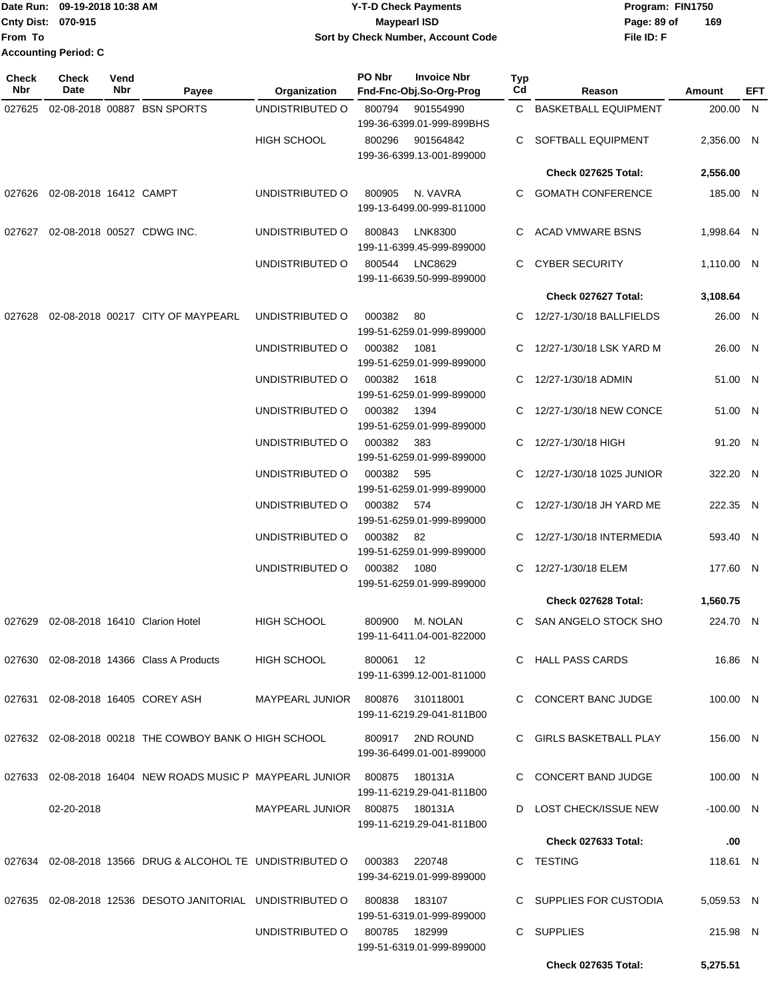Date Run: 09-19-2018 10:38 AM **CONTEX 18 AM CONTEX 18 AM CONTEX 17-T-D** Check Payments **CONTEX 18 AM CONTEX 18 AM CONTEX 18 AM CONTEX 18 AM CONTEX 18 AM CONTEX 18 AM CONTEX 18 AM CONTEX 18 AM CONTEX 19 AM CONTEX 19 AM CONT Cnty Dist:** 070-915 **Page: 89 of Maypearl ISD Page: 89 of From To 09-19-2018 10:38 AM Y-T-D Check Payments 070-915 Maypearl ISD Sort by Check Number, Account Code Accounting Period: C**

| <b>Check</b><br>Nbr | Check<br>Date              | Vend<br>Nbr | Payee                                                                 | Organization                   | PO Nbr        | <b>Invoice Nbr</b><br>Fnd-Fnc-Obj.So-Org-Prog | Typ<br>Cd | Reason                     | <b>Amount</b> | EFT |
|---------------------|----------------------------|-------------|-----------------------------------------------------------------------|--------------------------------|---------------|-----------------------------------------------|-----------|----------------------------|---------------|-----|
| 027625              |                            |             | 02-08-2018 00887 BSN SPORTS                                           | UNDISTRIBUTED O                | 800794        | 901554990                                     |           | C BASKETBALL EQUIPMENT     | 200.00 N      |     |
|                     |                            |             |                                                                       |                                |               | 199-36-6399.01-999-899BHS                     |           |                            |               |     |
|                     |                            |             |                                                                       | <b>HIGH SCHOOL</b>             | 800296        | 901564842<br>199-36-6399.13-001-899000        |           | SOFTBALL EQUIPMENT         | 2,356.00 N    |     |
|                     |                            |             |                                                                       |                                |               |                                               |           | Check 027625 Total:        | 2,556.00      |     |
| 027626              | 02-08-2018 16412 CAMPT     |             |                                                                       | UNDISTRIBUTED O                | 800905        | N. VAVRA                                      |           | <b>GOMATH CONFERENCE</b>   | 185.00 N      |     |
|                     |                            |             |                                                                       |                                |               | 199-13-6499.00-999-811000                     |           |                            |               |     |
| 027627              | 02-08-2018 00527 CDWG INC. |             |                                                                       | UNDISTRIBUTED O                | 800843        | LNK8300<br>199-11-6399.45-999-899000          | C         | <b>ACAD VMWARE BSNS</b>    | 1,998.64 N    |     |
|                     |                            |             |                                                                       | UNDISTRIBUTED O                | 800544        | LNC8629<br>199-11-6639.50-999-899000          | С         | <b>CYBER SECURITY</b>      | 1,110.00 N    |     |
|                     |                            |             |                                                                       |                                |               |                                               |           | Check 027627 Total:        | 3,108.64      |     |
| 027628              |                            |             | 02-08-2018 00217 CITY OF MAYPEARL                                     | UNDISTRIBUTED O                | 000382        | 80                                            | С         | 12/27-1/30/18 BALLFIELDS   | 26.00 N       |     |
|                     |                            |             |                                                                       |                                |               | 199-51-6259.01-999-899000                     |           |                            |               |     |
|                     |                            |             |                                                                       | UNDISTRIBUTED O                | 000382        | 1081<br>199-51-6259.01-999-899000             | С         | 12/27-1/30/18 LSK YARD M   | 26.00 N       |     |
|                     |                            |             |                                                                       | UNDISTRIBUTED O                | 000382        | 1618                                          |           | 12/27-1/30/18 ADMIN        | 51.00 N       |     |
|                     |                            |             |                                                                       |                                |               | 199-51-6259.01-999-899000                     |           |                            |               |     |
|                     |                            |             |                                                                       | UNDISTRIBUTED O                | 000382        | 1394                                          |           | 12/27-1/30/18 NEW CONCE    | 51.00 N       |     |
|                     |                            |             |                                                                       | UNDISTRIBUTED O                | 000382        | 199-51-6259.01-999-899000<br>383              |           | 12/27-1/30/18 HIGH         | 91.20 N       |     |
|                     |                            |             |                                                                       |                                |               | 199-51-6259.01-999-899000                     |           |                            |               |     |
|                     |                            |             |                                                                       | UNDISTRIBUTED O                | 000382        | 595                                           | C         | 12/27-1/30/18 1025 JUNIOR  | 322.20 N      |     |
|                     |                            |             |                                                                       |                                |               | 199-51-6259.01-999-899000                     |           |                            |               |     |
|                     |                            |             |                                                                       | UNDISTRIBUTED O                | 000382        | 574<br>199-51-6259.01-999-899000              |           | 12/27-1/30/18 JH YARD ME   | 222.35 N      |     |
|                     |                            |             |                                                                       | UNDISTRIBUTED O                | 000382 82     |                                               |           | 12/27-1/30/18 INTERMEDIA   | 593.40 N      |     |
|                     |                            |             |                                                                       |                                |               | 199-51-6259.01-999-899000                     |           |                            |               |     |
|                     |                            |             |                                                                       | UNDISTRIBUTED O                | 000382        | 1080                                          | С         | 12/27-1/30/18 ELEM         | 177.60 N      |     |
|                     |                            |             |                                                                       |                                |               | 199-51-6259.01-999-899000                     |           | Check 027628 Total:        |               |     |
|                     |                            |             |                                                                       |                                |               |                                               |           |                            | 1,560.75      |     |
| 027629              |                            |             | 02-08-2018 16410 Clarion Hotel                                        | <b>HIGH SCHOOL</b>             | 800900        | M. NOLAN<br>199-11-6411.04-001-822000         |           | C SAN ANGELO STOCK SHO     | 224.70 N      |     |
|                     |                            |             | 027630 02-08-2018 14366 Class A Products                              | <b>HIGH SCHOOL</b>             | 800061        | 12                                            |           | C HALL PASS CARDS          | 16.86 N       |     |
|                     |                            |             |                                                                       |                                |               | 199-11-6399.12-001-811000                     |           |                            |               |     |
|                     |                            |             | 027631 02-08-2018 16405 COREY ASH                                     | <b>MAYPEARL JUNIOR</b>         | 800876        | 310118001<br>199-11-6219.29-041-811B00        |           | C CONCERT BANC JUDGE       | 100.00 N      |     |
|                     |                            |             | 027632 02-08-2018 00218 THE COWBOY BANK O HIGH SCHOOL                 |                                | 800917        | 2ND ROUND                                     |           | C GIRLS BASKETBALL PLAY    | 156.00 N      |     |
|                     |                            |             |                                                                       |                                |               | 199-36-6499.01-001-899000                     |           |                            |               |     |
|                     |                            |             | 027633  02-08-2018  16404  NEW ROADS MUSIC P  MAYPEARL JUNIOR  800875 |                                |               | 180131A<br>199-11-6219.29-041-811B00          |           | C CONCERT BAND JUDGE       | 100.00 N      |     |
|                     | 02-20-2018                 |             |                                                                       | MAYPEARL JUNIOR 800875 180131A |               |                                               |           | D LOST CHECK/ISSUE NEW     | $-100.00$ N   |     |
|                     |                            |             |                                                                       |                                |               | 199-11-6219.29-041-811B00                     |           |                            |               |     |
|                     |                            |             |                                                                       |                                |               |                                               |           | <b>Check 027633 Total:</b> | .00           |     |
|                     |                            |             | 027634 02-08-2018 13566 DRUG & ALCOHOL TE UNDISTRIBUTED O             |                                | 000383 220748 | 199-34-6219.01-999-899000                     |           | C TESTING                  | 118.61 N      |     |
|                     |                            |             | 027635 02-08-2018 12536 DESOTO JANITORIAL UNDISTRIBUTED O             |                                | 800838        | 183107                                        |           | C SUPPLIES FOR CUSTODIA    | 5,059.53 N    |     |
|                     |                            |             |                                                                       |                                |               | 199-51-6319.01-999-899000                     |           |                            |               |     |
|                     |                            |             |                                                                       | UNDISTRIBUTED O                | 800785        | 182999<br>199-51-6319.01-999-899000           |           | C SUPPLIES                 | 215.98 N      |     |
|                     |                            |             |                                                                       |                                |               |                                               |           | <b>Check 027635 Total:</b> | 5,275.51      |     |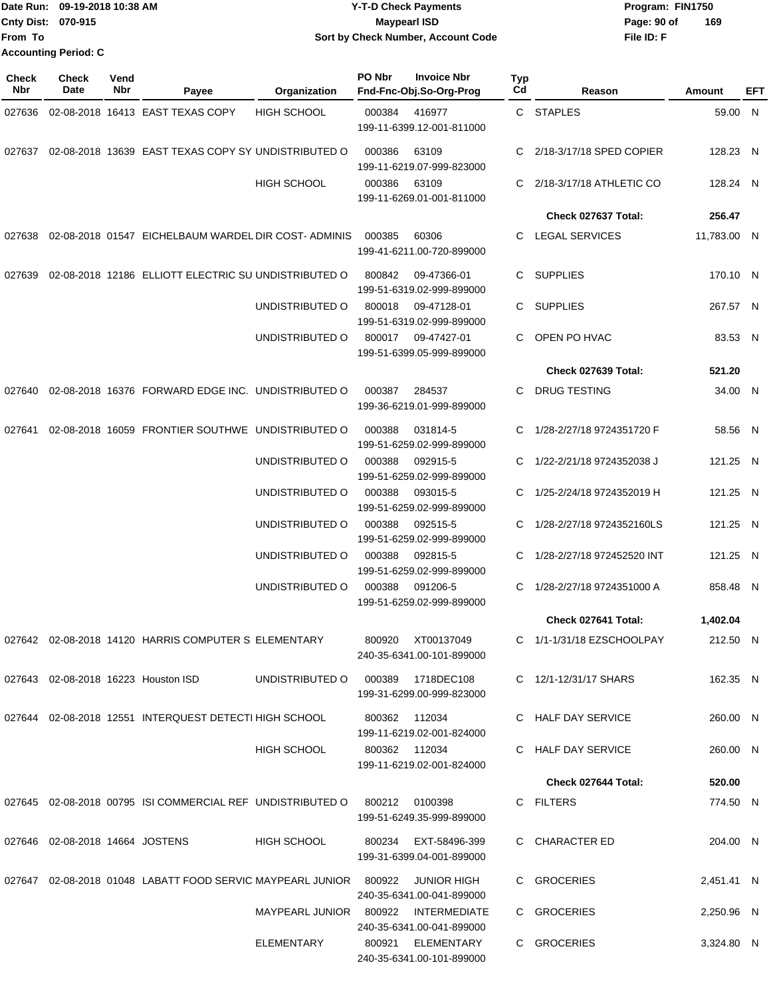|                           | Date Run: 09-19-2018 10:38 AM | <b>Y-T-D Check Payments</b>        | Program: FIN1750   |
|---------------------------|-------------------------------|------------------------------------|--------------------|
| <b>Cnty Dist: 070-915</b> |                               | <b>Mavpearl ISD</b>                | 169<br>Page: 90 of |
| lFrom To                  |                               | Sort by Check Number, Account Code | File ID: F         |
|                           | <b>Accounting Period: C</b>   |                                    |                    |

| <b>Check</b><br>Nbr | <b>Check</b><br>Date               | Vend<br>Nbr | Payee                                                                     | Organization                        | PO Nbr        | <b>Invoice Nbr</b><br>Fnd-Fnc-Obj.So-Org-Prog     | Typ<br>Cd | Reason                                           | Amount      | EFT |
|---------------------|------------------------------------|-------------|---------------------------------------------------------------------------|-------------------------------------|---------------|---------------------------------------------------|-----------|--------------------------------------------------|-------------|-----|
| 027636              |                                    |             | 02-08-2018 16413 EAST TEXAS COPY                                          | <b>HIGH SCHOOL</b>                  | 000384        | 416977<br>199-11-6399.12-001-811000               |           | C STAPLES                                        | 59.00 N     |     |
| 027637              |                                    |             | 02-08-2018 13639 EAST TEXAS COPY SY UNDISTRIBUTED O                       |                                     | 000386        | 63109<br>199-11-6219.07-999-823000                | C         | 2/18-3/17/18 SPED COPIER                         | 128.23 N    |     |
|                     |                                    |             |                                                                           | <b>HIGH SCHOOL</b>                  | 000386        | 63109<br>199-11-6269.01-001-811000                | C         | 2/18-3/17/18 ATHLETIC CO                         | 128.24 N    |     |
|                     |                                    |             |                                                                           |                                     |               |                                                   |           | Check 027637 Total:                              | 256.47      |     |
| 027638              |                                    |             | 02-08-2018 01547 EICHELBAUM WARDEL DIR COST-ADMINIS                       |                                     | 000385        | 60306<br>199-41-6211.00-720-899000                | C.        | <b>LEGAL SERVICES</b>                            | 11,783.00 N |     |
| 027639              |                                    |             | 02-08-2018 12186 ELLIOTT ELECTRIC SU UNDISTRIBUTED O                      |                                     | 800842        | 09-47366-01<br>199-51-6319.02-999-899000          | C.        | <b>SUPPLIES</b>                                  | 170.10 N    |     |
|                     |                                    |             |                                                                           | UNDISTRIBUTED O                     | 800018        | 09-47128-01<br>199-51-6319.02-999-899000          | C.        | <b>SUPPLIES</b>                                  | 267.57 N    |     |
|                     |                                    |             |                                                                           | UNDISTRIBUTED O                     | 800017        | 09-47427-01<br>199-51-6399.05-999-899000          | C.        | OPEN PO HVAC                                     | 83.53 N     |     |
|                     |                                    |             |                                                                           |                                     |               |                                                   |           | Check 027639 Total:                              | 521.20      |     |
| 027640              |                                    |             | 02-08-2018 16376 FORWARD EDGE INC. UNDISTRIBUTED O                        |                                     | 000387        | 284537<br>199-36-6219.01-999-899000               | C.        | <b>DRUG TESTING</b>                              | 34.00 N     |     |
| 027641              |                                    |             | 02-08-2018 16059 FRONTIER SOUTHWE UNDISTRIBUTED O                         |                                     | 000388        | 031814-5<br>199-51-6259.02-999-899000             | C         | 1/28-2/27/18 9724351720 F                        | 58.56 N     |     |
|                     |                                    |             |                                                                           | UNDISTRIBUTED O                     | 000388        | 092915-5<br>199-51-6259.02-999-899000             | C         | 1/22-2/21/18 9724352038 J                        | 121.25 N    |     |
|                     |                                    |             |                                                                           | UNDISTRIBUTED O                     | 000388        | 093015-5<br>199-51-6259.02-999-899000             | C         | 1/25-2/24/18 9724352019 H                        | 121.25 N    |     |
|                     |                                    |             |                                                                           | UNDISTRIBUTED O                     | 000388        | 092515-5<br>199-51-6259.02-999-899000             | C         | 1/28-2/27/18 9724352160LS                        | 121.25 N    |     |
|                     |                                    |             |                                                                           | UNDISTRIBUTED O                     | 000388        | 092815-5<br>199-51-6259.02-999-899000             | C         | 1/28-2/27/18 972452520 INT                       | 121.25 N    |     |
|                     |                                    |             |                                                                           | UNDISTRIBUTED O                     | 000388        | 091206-5<br>199-51-6259.02-999-899000             | C         | 1/28-2/27/18 9724351000 A<br>Check 027641 Total: | 858.48 N    |     |
|                     |                                    |             |                                                                           |                                     |               |                                                   |           |                                                  | 1,402.04    |     |
|                     |                                    |             | 027642 02-08-2018 14120 HARRIS COMPUTER S ELEMENTARY                      |                                     |               | 800920 XT00137049<br>240-35-6341.00-101-899000    |           | C 1/1-1/31/18 EZSCHOOLPAY                        | 212.50 N    |     |
|                     |                                    |             | 027643 02-08-2018 16223 Houston ISD                                       | UNDISTRIBUTED O 000389 1718DEC108   |               | 199-31-6299.00-999-823000                         |           | C 12/1-12/31/17 SHARS                            | 162.35 N    |     |
|                     |                                    |             | 027644 02-08-2018 12551 INTERQUEST DETECTI HIGH SCHOOL                    |                                     | 800362 112034 | 199-11-6219.02-001-824000                         |           | C HALF DAY SERVICE                               | 260.00 N    |     |
|                     |                                    |             |                                                                           | HIGH SCHOOL                         | 800362 112034 | 199-11-6219.02-001-824000                         |           | C HALF DAY SERVICE                               | 260.00 N    |     |
|                     |                                    |             |                                                                           |                                     |               |                                                   |           | Check 027644 Total:                              | 520.00      |     |
|                     |                                    |             | 027645 02-08-2018 00795 ISI COMMERCIAL REF UNDISTRIBUTED O 800212 0100398 |                                     |               | 199-51-6249.35-999-899000                         |           | C FILTERS                                        | 774.50 N    |     |
|                     | 027646  02-08-2018  14664  JOSTENS |             |                                                                           | HIGH SCHOOL                         |               | 800234 EXT-58496-399<br>199-31-6399.04-001-899000 |           | C CHARACTER ED                                   | 204.00 N    |     |
|                     |                                    |             | 027647  02-08-2018  01048  LABATT FOOD SERVIC MAYPEARL JUNIOR  800922     |                                     |               | JUNIOR HIGH<br>240-35-6341.00-041-899000          |           | C GROCERIES                                      | 2,451.41 N  |     |
|                     |                                    |             |                                                                           | MAYPEARL JUNIOR 800922 INTERMEDIATE |               | 240-35-6341.00-041-899000                         |           | C GROCERIES                                      | 2,250.96 N  |     |
|                     |                                    |             |                                                                           | ELEMENTARY                          | 800921        | ELEMENTARY<br>240-35-6341.00-101-899000           |           | C GROCERIES                                      | 3,324.80 N  |     |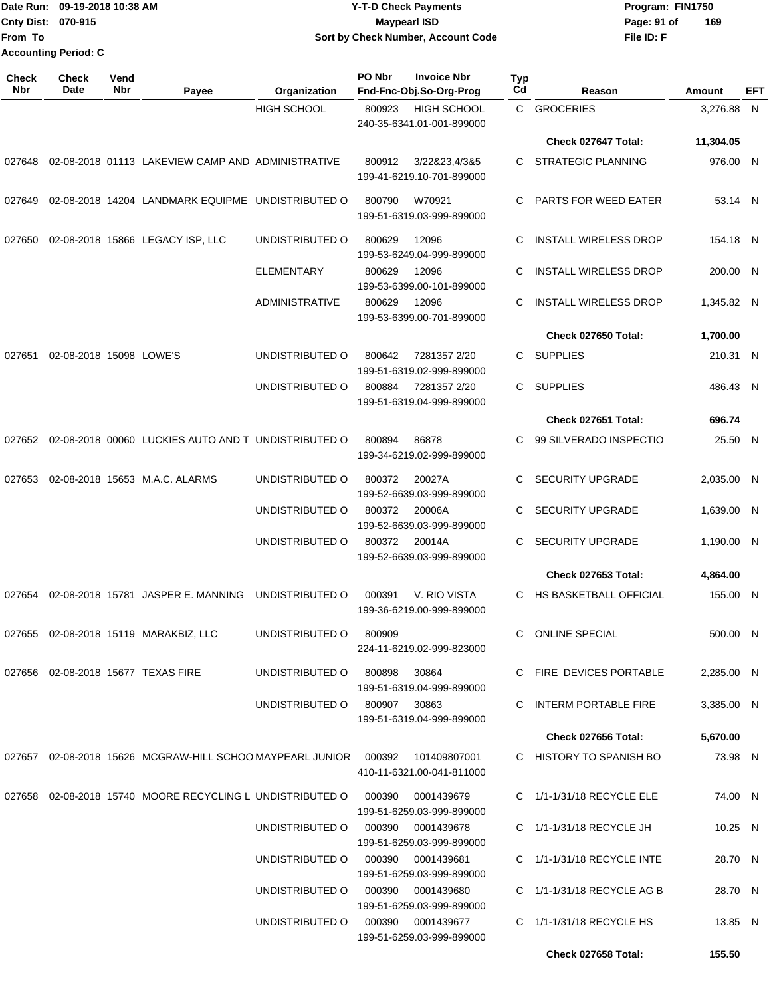|                    | Date Run: 09-19-2018 10:38 AM | <b>Y-T-D Check Payments</b>        | Program: FIN1750   |  |  |  |
|--------------------|-------------------------------|------------------------------------|--------------------|--|--|--|
| Cnty Dist: 070-915 |                               | Maypearl ISD                       | 169<br>Page: 91 of |  |  |  |
| From To            |                               | Sort by Check Number, Account Code | File ID: F         |  |  |  |
|                    | <b>Accounting Period: C</b>   |                                    |                    |  |  |  |

| <b>Check</b><br>Nbr | <b>Check</b><br><b>Date</b>    | Vend<br>Nbr | Payee                                                                | Organization                                  | PO Nbr<br><b>Invoice Nbr</b><br>Fnd-Fnc-Obj.So-Org-Prog   | Typ<br>Cd               | Reason                          | Amount     | <b>EFT</b> |
|---------------------|--------------------------------|-------------|----------------------------------------------------------------------|-----------------------------------------------|-----------------------------------------------------------|-------------------------|---------------------------------|------------|------------|
|                     |                                |             |                                                                      | <b>HIGH SCHOOL</b>                            | <b>HIGH SCHOOL</b><br>800923<br>240-35-6341.01-001-899000 |                         | C GROCERIES                     | 3,276.88 N |            |
|                     |                                |             |                                                                      |                                               |                                                           |                         | Check 027647 Total:             | 11,304.05  |            |
| 027648              |                                |             | 02-08-2018 01113 LAKEVIEW CAMP AND ADMINISTRATIVE                    |                                               | 3/22&23,4/3&5<br>800912<br>199-41-6219.10-701-899000      | C                       | STRATEGIC PLANNING              | 976.00 N   |            |
| 027649              |                                |             | 02-08-2018 14204 LANDMARK EQUIPME UNDISTRIBUTED O                    |                                               | 800790<br>W70921<br>199-51-6319.03-999-899000             | C                       | PARTS FOR WEED EATER            | 53.14 N    |            |
| 027650              |                                |             | 02-08-2018 15866 LEGACY ISP, LLC                                     | UNDISTRIBUTED O                               | 800629<br>12096<br>199-53-6249.04-999-899000              | C                       | <b>INSTALL WIRELESS DROP</b>    | 154.18 N   |            |
|                     |                                |             |                                                                      | <b>ELEMENTARY</b>                             | 800629<br>12096<br>199-53-6399.00-101-899000              | C                       | <b>INSTALL WIRELESS DROP</b>    | 200.00 N   |            |
|                     |                                |             |                                                                      | <b>ADMINISTRATIVE</b>                         | 800629<br>12096<br>199-53-6399.00-701-899000              | C                       | <b>INSTALL WIRELESS DROP</b>    | 1,345.82 N |            |
|                     |                                |             |                                                                      |                                               |                                                           |                         | Check 027650 Total:             | 1,700.00   |            |
| 027651              | 02-08-2018 15098 LOWE'S        |             |                                                                      | UNDISTRIBUTED O                               | 7281357 2/20<br>800642<br>199-51-6319.02-999-899000       | C                       | SUPPLIES                        | 210.31 N   |            |
|                     |                                |             |                                                                      | UNDISTRIBUTED O                               | 800884<br>7281357 2/20<br>199-51-6319.04-999-899000       | C                       | <b>SUPPLIES</b>                 | 486.43 N   |            |
|                     |                                |             |                                                                      |                                               |                                                           |                         | Check 027651 Total:             | 696.74     |            |
|                     |                                |             | 027652 02-08-2018 00060 LUCKIES AUTO AND T UNDISTRIBUTED O           |                                               | 800894<br>86878<br>199-34-6219.02-999-899000              | C                       | 99 SILVERADO INSPECTIO          | 25.50 N    |            |
| 027653              | 02-08-2018 15653 M.A.C. ALARMS |             | UNDISTRIBUTED O                                                      | 800372<br>20027A<br>199-52-6639.03-999-899000 | C                                                         | <b>SECURITY UPGRADE</b> | 2,035.00 N                      |            |            |
|                     |                                |             | UNDISTRIBUTED O                                                      | 800372<br>20006A<br>199-52-6639.03-999-899000 | C                                                         | <b>SECURITY UPGRADE</b> | 1,639.00 N                      |            |            |
|                     |                                |             |                                                                      | UNDISTRIBUTED O                               | 800372<br>20014A<br>199-52-6639.03-999-899000             | C                       | <b>SECURITY UPGRADE</b>         | 1,190.00 N |            |
|                     |                                |             |                                                                      |                                               |                                                           |                         | Check 027653 Total:             | 4,864.00   |            |
| 027654              |                                |             | 02-08-2018 15781 JASPER E. MANNING                                   | UNDISTRIBUTED O                               | V. RIO VISTA<br>000391<br>199-36-6219.00-999-899000       | C                       | HS BASKETBALL OFFICIAL          | 155.00 N   |            |
| 027655              |                                |             | 02-08-2018 15119 MARAKBIZ, LLC                                       | UNDISTRIBUTED O                               | 800909<br>224-11-6219.02-999-823000                       | C                       | <b>ONLINE SPECIAL</b>           | 500.00 N   |            |
|                     |                                |             | 027656 02-08-2018 15677 TEXAS FIRE                                   | UNDISTRIBUTED O                               | 800898<br>30864<br>199-51-6319.04-999-899000              |                         | C FIRE DEVICES PORTABLE         | 2,285.00 N |            |
|                     |                                |             |                                                                      | UNDISTRIBUTED O                               | 800907<br>30863<br>199-51-6319.04-999-899000              |                         | C INTERM PORTABLE FIRE          | 3,385.00 N |            |
|                     |                                |             |                                                                      |                                               |                                                           |                         | Check 027656 Total:             | 5,670.00   |            |
|                     |                                |             | 027657  02-08-2018  15626  MCGRAW-HILL SCHOO MAYPEARL JUNIOR  000392 |                                               | 101409807001<br>410-11-6321.00-041-811000                 |                         | C HISTORY TO SPANISH BO         | 73.98 N    |            |
| 027658              |                                |             | 02-08-2018 15740 MOORE RECYCLING L UNDISTRIBUTED O                   |                                               | 000390<br>0001439679<br>199-51-6259.03-999-899000         |                         | $C = 1/1 - 1/31/18$ RECYCLE ELE | 74.00 N    |            |
|                     |                                |             |                                                                      | UNDISTRIBUTED O                               | 000390<br>0001439678<br>199-51-6259.03-999-899000         |                         | C 1/1-1/31/18 RECYCLE JH        | $10.25$ N  |            |
|                     |                                |             |                                                                      | UNDISTRIBUTED O                               | 000390<br>0001439681<br>199-51-6259.03-999-899000         |                         | $C$ 1/1-1/31/18 RECYCLE INTE    | 28.70 N    |            |
|                     |                                |             |                                                                      | UNDISTRIBUTED O                               | 000390<br>0001439680<br>199-51-6259.03-999-899000         |                         | $C$ 1/1-1/31/18 RECYCLE AG B    | 28.70 N    |            |
|                     |                                |             |                                                                      | UNDISTRIBUTED O                               | 000390<br>0001439677<br>199-51-6259.03-999-899000         |                         | $C$ 1/1-1/31/18 RECYCLE HS      | 13.85 N    |            |
|                     |                                |             |                                                                      |                                               |                                                           |                         | Check 027658 Total:             | 155.50     |            |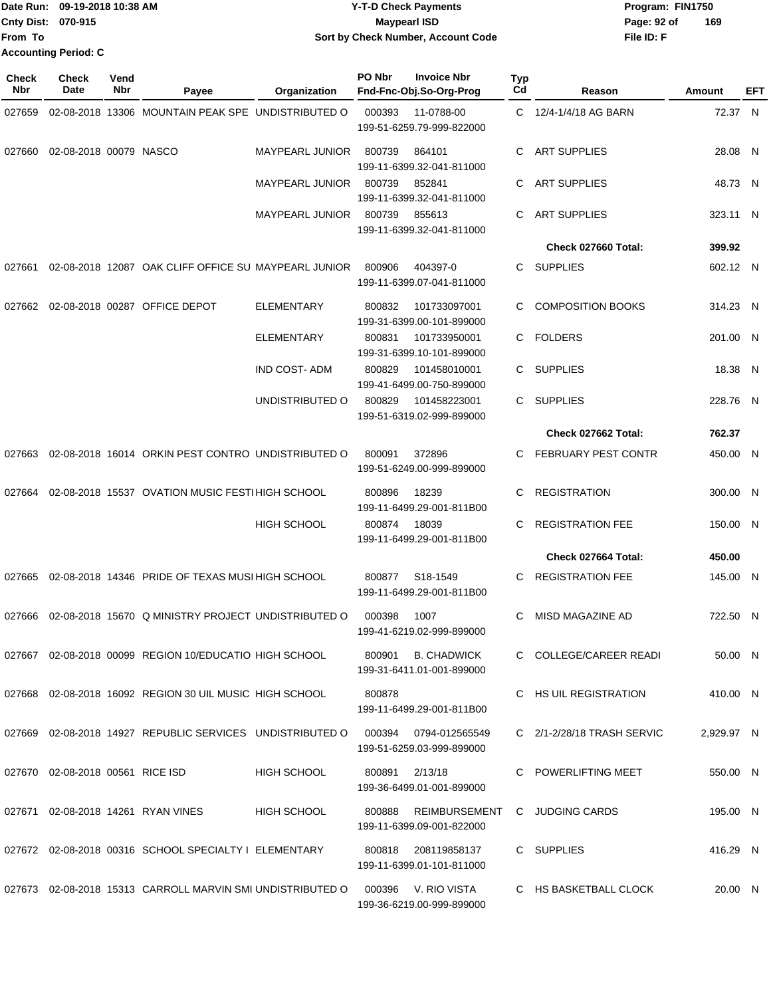|                             | Date Run: 09-19-2018 10:38 AM | <b>Y-T-D Check Payments</b>        | Program: FIN1750   |
|-----------------------------|-------------------------------|------------------------------------|--------------------|
| <b>Cnty Dist: 070-915</b>   |                               | Maypearl ISD                       | 169<br>Page: 92 of |
| lFrom To                    |                               | Sort by Check Number, Account Code | File ID: F         |
| <b>Accounting Period: C</b> |                               |                                    |                    |

| <b>Check</b><br>Nbr | Check<br>Date                    | Vend<br>Nbr | Payee                                                       | Organization           | PO Nbr<br>Fnd-Fnc-Obj.So-Org-Prog                | <b>Invoice Nbr</b>   | <b>Typ</b><br>Cd | Reason                     | Amount     | EFT |
|---------------------|----------------------------------|-------------|-------------------------------------------------------------|------------------------|--------------------------------------------------|----------------------|------------------|----------------------------|------------|-----|
| 027659              |                                  |             | 02-08-2018 13306 MOUNTAIN PEAK SPE UNDISTRIBUTED O          |                        | 000393<br>199-51-6259.79-999-822000              | 11-0788-00           | C.               | 12/4-1/4/18 AG BARN        | 72.37 N    |     |
| 027660              | 02-08-2018 00079 NASCO           |             |                                                             | <b>MAYPEARL JUNIOR</b> | 800739<br>864101<br>199-11-6399.32-041-811000    |                      | С                | <b>ART SUPPLIES</b>        | 28.08 N    |     |
|                     |                                  |             |                                                             | <b>MAYPEARL JUNIOR</b> | 800739<br>852841<br>199-11-6399.32-041-811000    |                      | С                | <b>ART SUPPLIES</b>        | 48.73 N    |     |
|                     |                                  |             |                                                             | <b>MAYPEARL JUNIOR</b> | 800739<br>855613<br>199-11-6399.32-041-811000    |                      | С                | <b>ART SUPPLIES</b>        | 323.11 N   |     |
|                     |                                  |             |                                                             |                        |                                                  |                      |                  | Check 027660 Total:        | 399.92     |     |
| 027661              |                                  |             | 02-08-2018 12087 OAK CLIFF OFFICE SU MAYPEARL JUNIOR        |                        | 800906<br>199-11-6399.07-041-811000              | 404397-0             | С                | <b>SUPPLIES</b>            | 602.12 N   |     |
| 027662              |                                  |             | 02-08-2018 00287 OFFICE DEPOT                               | <b>ELEMENTARY</b>      | 800832<br>199-31-6399.00-101-899000              | 101733097001         | С                | <b>COMPOSITION BOOKS</b>   | 314.23 N   |     |
|                     |                                  |             |                                                             | <b>ELEMENTARY</b>      | 800831<br>199-31-6399.10-101-899000              | 101733950001         | C.               | <b>FOLDERS</b>             | 201.00 N   |     |
|                     |                                  |             |                                                             | <b>IND COST-ADM</b>    | 800829<br>199-41-6499.00-750-899000              | 101458010001         | C                | <b>SUPPLIES</b>            | 18.38 N    |     |
|                     |                                  |             |                                                             | UNDISTRIBUTED O        | 800829<br>199-51-6319.02-999-899000              | 101458223001         | C.               | <b>SUPPLIES</b>            | 228.76 N   |     |
|                     |                                  |             |                                                             |                        |                                                  |                      |                  | Check 027662 Total:        | 762.37     |     |
| 027663              |                                  |             | 02-08-2018 16014 ORKIN PEST CONTRO UNDISTRIBUTED O          |                        | 800091<br>372896<br>199-51-6249.00-999-899000    |                      | C                | <b>FEBRUARY PEST CONTR</b> | 450.00 N   |     |
| 027664              |                                  |             | 02-08-2018 15537 OVATION MUSIC FESTI HIGH SCHOOL            |                        | 800896<br>18239<br>199-11-6499.29-001-811B00     |                      | С                | <b>REGISTRATION</b>        | 300.00 N   |     |
|                     |                                  |             |                                                             | <b>HIGH SCHOOL</b>     | 800874<br>18039<br>199-11-6499.29-001-811B00     |                      | С                | <b>REGISTRATION FEE</b>    | 150.00 N   |     |
|                     |                                  |             |                                                             |                        |                                                  |                      |                  | Check 027664 Total:        | 450.00     |     |
| 027665              |                                  |             | 02-08-2018 14346 PRIDE OF TEXAS MUSI HIGH SCHOOL            |                        | 800877<br>199-11-6499.29-001-811B00              | S18-1549             | С                | <b>REGISTRATION FEE</b>    | 145.00 N   |     |
| 027666              |                                  |             | 02-08-2018 15670 Q MINISTRY PROJECT UNDISTRIBUTED O         |                        | 000398<br>1007<br>199-41-6219.02-999-899000      |                      | С                | MISD MAGAZINE AD           | 722.50 N   |     |
|                     |                                  |             | 027667  02-08-2018  00099  REGION  10/EDUCATIO  HIGH SCHOOL |                        | 800901 B. CHADWICK<br>199-31-6411.01-001-899000  |                      |                  | C COLLEGE/CAREER READI     | 50.00 N    |     |
|                     |                                  |             | 027668 02-08-2018 16092 REGION 30 UIL MUSIC HIGH SCHOOL     |                        | 800878<br>199-11-6499.29-001-811B00              |                      |                  | C HS UIL REGISTRATION      | 410.00 N   |     |
|                     |                                  |             | 027669 02-08-2018 14927 REPUBLIC SERVICES UNDISTRIBUTED O   |                        | 000394<br>199-51-6259.03-999-899000              | 0794-012565549       |                  | C 2/1-2/28/18 TRASH SERVIC | 2,929.97 N |     |
|                     | 027670 02-08-2018 00561 RICE ISD |             |                                                             | <b>HIGH SCHOOL</b>     | 2/13/18<br>800891<br>199-36-6499.01-001-899000   |                      |                  | C POWERLIFTING MEET        | 550.00 N   |     |
|                     |                                  |             | 027671 02-08-2018 14261 RYAN VINES                          | <b>HIGH SCHOOL</b>     | 199-11-6399.09-001-822000                        | 800888 REIMBURSEMENT |                  | C JUDGING CARDS            | 195.00 N   |     |
|                     |                                  |             | 027672 02-08-2018 00316 SCHOOL SPECIALTY I ELEMENTARY       |                        | 199-11-6399.01-101-811000                        |                      |                  | C SUPPLIES                 | 416.29 N   |     |
|                     |                                  |             | 027673 02-08-2018 15313 CARROLL MARVIN SMI UNDISTRIBUTED O  |                        | 000396 V. RIO VISTA<br>199-36-6219.00-999-899000 |                      |                  | C HS BASKETBALL CLOCK      | 20.00 N    |     |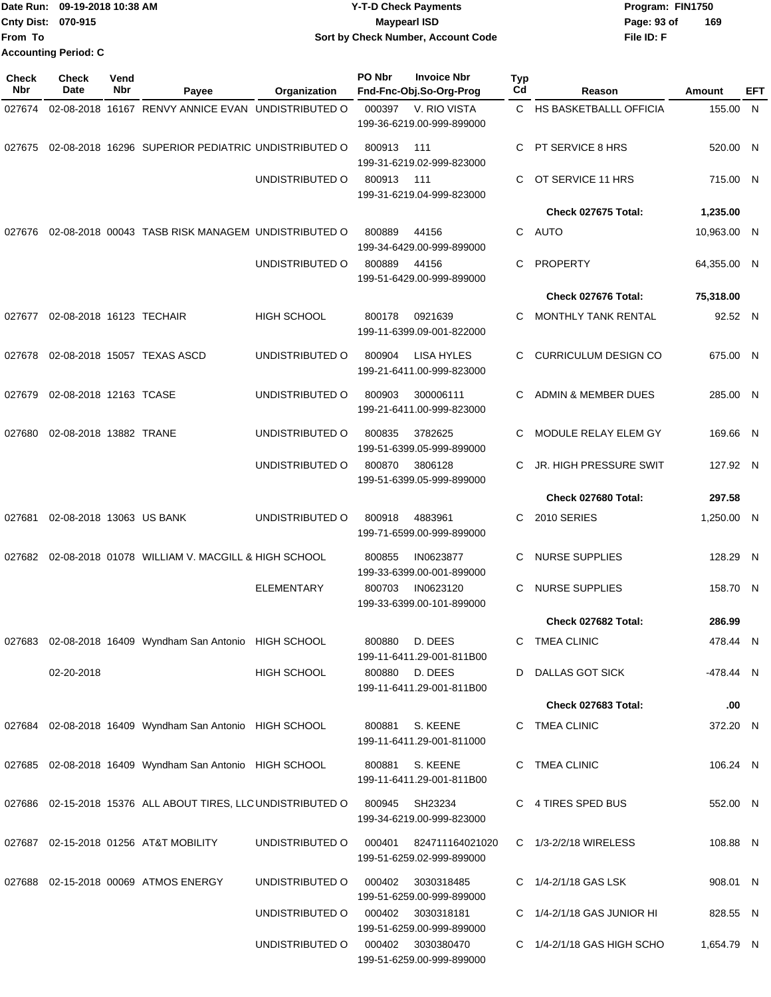|                    | Date Run: 09-19-2018 10:38 AM | <b>Y-T-D Check Payments</b>        | Program: FIN1750   |
|--------------------|-------------------------------|------------------------------------|--------------------|
| Cnty Dist: 070-915 |                               | <b>Mavpearl ISD</b>                | 169<br>Page: 93 of |
| lFrom To           |                               | Sort by Check Number, Account Code | File ID: F         |
|                    | <b>Accounting Period: C</b>   |                                    |                    |

| <b>Check</b><br><b>Nbr</b> | Check<br>Date            | Vend<br>Nbr | Payee                                                        | Organization       | PO Nbr | <b>Invoice Nbr</b><br>Fnd-Fnc-Obj.So-Org-Prog  | <b>Typ</b><br>Cd | Reason                      | Amount      | EFT |
|----------------------------|--------------------------|-------------|--------------------------------------------------------------|--------------------|--------|------------------------------------------------|------------------|-----------------------------|-------------|-----|
| 027674                     |                          |             | 02-08-2018 16167 RENVY ANNICE EVAN UNDISTRIBUTED O           |                    | 000397 | V. RIO VISTA<br>199-36-6219.00-999-899000      | $\mathbf{C}$     | HS BASKETBALLL OFFICIA      | 155.00 N    |     |
| 027675                     |                          |             | 02-08-2018 16296 SUPERIOR PEDIATRIC UNDISTRIBUTED O          |                    | 800913 | 111<br>199-31-6219.02-999-823000               | C                | PT SERVICE 8 HRS            | 520.00 N    |     |
|                            |                          |             |                                                              | UNDISTRIBUTED O    | 800913 | 111<br>199-31-6219.04-999-823000               | C                | OT SERVICE 11 HRS           | 715.00 N    |     |
|                            |                          |             |                                                              |                    |        |                                                |                  | Check 027675 Total:         | 1,235.00    |     |
| 027676                     |                          |             | 02-08-2018 00043 TASB RISK MANAGEM UNDISTRIBUTED O           |                    | 800889 | 44156<br>199-34-6429.00-999-899000             | C.               | AUTO                        | 10,963.00 N |     |
|                            |                          |             |                                                              | UNDISTRIBUTED O    | 800889 | 44156<br>199-51-6429.00-999-899000             | C                | PROPERTY                    | 64,355.00 N |     |
|                            |                          |             |                                                              |                    |        |                                                |                  | Check 027676 Total:         | 75,318.00   |     |
| 027677                     | 02-08-2018 16123 TECHAIR |             |                                                              | <b>HIGH SCHOOL</b> | 800178 | 0921639<br>199-11-6399.09-001-822000           | C                | <b>MONTHLY TANK RENTAL</b>  | 92.52 N     |     |
| 027678                     |                          |             | 02-08-2018 15057 TEXAS ASCD                                  | UNDISTRIBUTED O    | 800904 | <b>LISA HYLES</b><br>199-21-6411.00-999-823000 | C                | <b>CURRICULUM DESIGN CO</b> | 675.00 N    |     |
| 027679                     | 02-08-2018 12163 TCASE   |             |                                                              | UNDISTRIBUTED O    | 800903 | 300006111<br>199-21-6411.00-999-823000         | C.               | ADMIN & MEMBER DUES         | 285.00 N    |     |
| 027680                     | 02-08-2018 13882 TRANE   |             |                                                              | UNDISTRIBUTED O    | 800835 | 3782625<br>199-51-6399.05-999-899000           | C                | MODULE RELAY ELEM GY        | 169.66 N    |     |
|                            |                          |             |                                                              | UNDISTRIBUTED O    | 800870 | 3806128<br>199-51-6399.05-999-899000           | C                | JR. HIGH PRESSURE SWIT      | 127.92 N    |     |
|                            |                          |             |                                                              |                    |        |                                                |                  | Check 027680 Total:         | 297.58      |     |
| 027681                     | 02-08-2018 13063 US BANK |             |                                                              | UNDISTRIBUTED O    | 800918 | 4883961<br>199-71-6599.00-999-899000           | C                | <b>2010 SERIES</b>          | 1,250.00 N  |     |
| 027682                     |                          |             | 02-08-2018 01078 WILLIAM V. MACGILL & HIGH SCHOOL            |                    | 800855 | IN0623877<br>199-33-6399.00-001-899000         | C                | <b>NURSE SUPPLIES</b>       | 128.29 N    |     |
|                            |                          |             |                                                              | <b>ELEMENTARY</b>  | 800703 | IN0623120<br>199-33-6399.00-101-899000         | C                | NURSE SUPPLIES              | 158.70 N    |     |
|                            |                          |             |                                                              |                    |        |                                                |                  | Check 027682 Total:         | 286.99      |     |
|                            |                          |             | 027683 02-08-2018 16409 Wyndham San Antonio HIGH SCHOOL      |                    | 800880 | D. DEES<br>199-11-6411.29-001-811B00           |                  | C TMEA CLINIC               | 478.44 N    |     |
|                            | 02-20-2018               |             |                                                              | <b>HIGH SCHOOL</b> |        | 800880 D. DEES<br>199-11-6411.29-001-811B00    |                  | D DALLAS GOT SICK           | -478.44 N   |     |
|                            |                          |             |                                                              |                    |        |                                                |                  | Check 027683 Total:         | .00         |     |
|                            |                          |             | 027684 02-08-2018 16409 Wyndham San Antonio HIGH SCHOOL      |                    |        | 800881 S. KEENE<br>199-11-6411.29-001-811000   |                  | C TMEA CLINIC               | 372.20 N    |     |
|                            |                          |             | 027685 02-08-2018 16409 Wyndham San Antonio HIGH SCHOOL      |                    | 800881 | S. KEENE<br>199-11-6411.29-001-811B00          |                  | C TMEA CLINIC               | 106.24 N    |     |
|                            |                          |             | 027686 02-15-2018 15376 ALL ABOUT TIRES, LLC UNDISTRIBUTED O |                    | 800945 | SH23234<br>199-34-6219.00-999-823000           |                  | C 4 TIRES SPED BUS          | 552.00 N    |     |
|                            |                          |             | 027687  02-15-2018  01256  AT&T MOBILITY                     | UNDISTRIBUTED O    | 000401 | 824711164021020<br>199-51-6259.02-999-899000   |                  | C 1/3-2/2/18 WIRELESS       | 108.88 N    |     |
|                            |                          |             | 027688 02-15-2018 00069 ATMOS ENERGY                         | UNDISTRIBUTED O    | 000402 | 3030318485<br>199-51-6259.00-999-899000        |                  | C 1/4-2/1/18 GAS LSK        | 908.01 N    |     |
|                            |                          |             |                                                              | UNDISTRIBUTED O    |        | 000402 3030318181<br>199-51-6259.00-999-899000 |                  | C 1/4-2/1/18 GAS JUNIOR HI  | 828.55 N    |     |
|                            |                          |             |                                                              | UNDISTRIBUTED O    |        | 000402 3030380470<br>199-51-6259.00-999-899000 |                  | C 1/4-2/1/18 GAS HIGH SCHO  | 1,654.79 N  |     |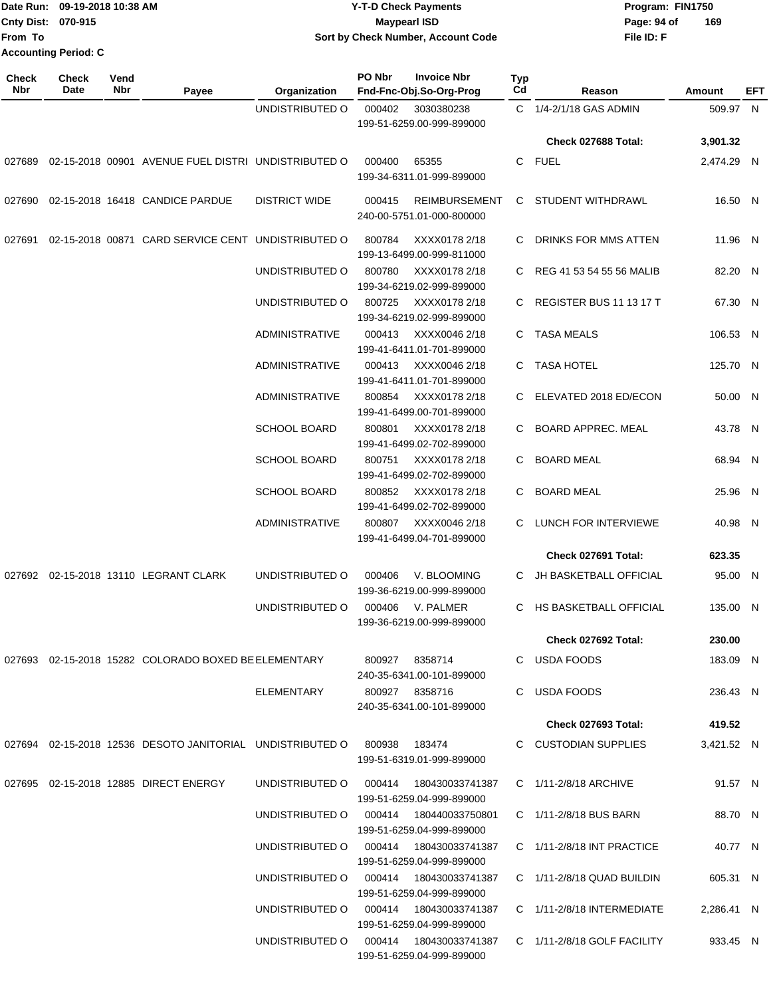| Date Run:           | 09-19-2018 10:38 AM         |             | <b>Y-T-D Check Payments</b>     |                      |                                    |                                               |                       | Program: FIN1750           |                    |      |  |
|---------------------|-----------------------------|-------------|---------------------------------|----------------------|------------------------------------|-----------------------------------------------|-----------------------|----------------------------|--------------------|------|--|
|                     | Cnty Dist: 070-915          |             |                                 | <b>Maypearl ISD</b>  |                                    |                                               |                       |                            | Page: 94 of<br>169 |      |  |
| From To             |                             |             |                                 |                      | Sort by Check Number, Account Code |                                               | File ID: F            |                            |                    |      |  |
|                     | <b>Accounting Period: C</b> |             |                                 |                      |                                    |                                               |                       |                            |                    |      |  |
| <b>Check</b><br>Nbr | <b>Check</b><br>Date        | Vend<br>Nbr | Payee                           | Organization         | <b>PO Nbr</b>                      | <b>Invoice Nbr</b><br>Fnd-Fnc-Obj.So-Org-Prog | Typ<br>C <sub>d</sub> | Reason                     | Amount             | EFT. |  |
|                     |                             |             |                                 | UNDISTRIBUTED O      | 000402                             | 3030380238<br>199-51-6259.00-999-899000       | C.                    | 1/4-2/1/18 GAS ADMIN       | 509.97             | N    |  |
|                     |                             |             |                                 |                      |                                    |                                               |                       | <b>Check 027688 Total:</b> | 3,901.32           |      |  |
| 027689              | 02-15-2018 00901            |             | AVENUE FUEL DISTRI              | UNDISTRIBUTED O      | 000400                             | 65355<br>199-34-6311.01-999-899000            | C.                    | <b>FUEL</b>                | 2,474.29           | N    |  |
| 027690              |                             |             | 02-15-2018 16418 CANDICE PARDUE | <b>DISTRICT WIDE</b> | 000415                             | <b>REIMBURSEMENT</b>                          | C.                    | STUDENT WITHDRAWL          | 16.50              | N    |  |

|                                          |                                                                  |                                        |        | 240-00-5751.01-000-800000                         |                            |            |  |
|------------------------------------------|------------------------------------------------------------------|----------------------------------------|--------|---------------------------------------------------|----------------------------|------------|--|
|                                          | 027691  02-15-2018  00871  CARD SERVICE CENT  UNDISTRIBUTED    O |                                        | 800784 | XXXX0178 2/18<br>199-13-6499.00-999-811000        | C DRINKS FOR MMS ATTEN     | 11.96 N    |  |
|                                          |                                                                  | UNDISTRIBUTED O                        | 800780 | XXXX0178 2/18<br>199-34-6219.02-999-899000        | C REG 41 53 54 55 56 MALIB | 82.20 N    |  |
|                                          |                                                                  | UNDISTRIBUTED O                        | 800725 | XXXX0178 2/18<br>199-34-6219.02-999-899000        | C REGISTER BUS 11 13 17 T  | 67.30 N    |  |
|                                          |                                                                  | <b>ADMINISTRATIVE</b>                  |        | 000413 XXXX0046 2/18<br>199-41-6411.01-701-899000 | C TASA MEALS               | 106.53 N   |  |
|                                          |                                                                  | <b>ADMINISTRATIVE</b>                  |        | 000413 XXXX0046 2/18<br>199-41-6411.01-701-899000 | C TASA HOTEL               | 125.70 N   |  |
|                                          |                                                                  | <b>ADMINISTRATIVE</b>                  |        | 800854 XXXX0178 2/18<br>199-41-6499.00-701-899000 | C ELEVATED 2018 ED/ECON    | 50.00 N    |  |
|                                          |                                                                  | <b>SCHOOL BOARD</b>                    | 800801 | XXXX0178 2/18<br>199-41-6499.02-702-899000        | C BOARD APPREC. MEAL       | 43.78 N    |  |
|                                          |                                                                  | <b>SCHOOL BOARD</b>                    | 800751 | XXXX0178 2/18<br>199-41-6499.02-702-899000        | C BOARD MEAL               | 68.94 N    |  |
|                                          |                                                                  | <b>SCHOOL BOARD</b>                    | 800852 | XXXX0178 2/18<br>199-41-6499.02-702-899000        | C BOARD MEAL               | 25.96 N    |  |
|                                          |                                                                  | <b>ADMINISTRATIVE</b>                  |        | 800807 XXXX0046 2/18<br>199-41-6499.04-701-899000 | C LUNCH FOR INTERVIEWE     | 40.98 N    |  |
|                                          |                                                                  |                                        |        |                                                   | Check 027691 Total:        | 623.35     |  |
| 027692  02-15-2018  13110  LEGRANT CLARK |                                                                  | UNDISTRIBUTED O                        | 000406 | V. BLOOMING<br>199-36-6219.00-999-899000          | C JH BASKETBALL OFFICIAL   | 95.00 N    |  |
|                                          |                                                                  | UNDISTRIBUTED O                        |        | 000406 V. PALMER<br>199-36-6219.00-999-899000     | C HS BASKETBALL OFFICIAL   | 135.00 N   |  |
|                                          |                                                                  |                                        |        |                                                   | <b>Check 027692 Total:</b> | 230.00     |  |
|                                          | 027693 02-15-2018 15282 COLORADO BOXED BE ELEMENTARY             |                                        |        | 800927 8358714<br>240-35-6341.00-101-899000       | C USDA FOODS               | 183.09 N   |  |
|                                          |                                                                  | <b>ELEMENTARY</b>                      |        | 800927 8358716<br>240-35-6341.00-101-899000       | C USDA FOODS               | 236.43 N   |  |
|                                          |                                                                  |                                        |        |                                                   | <b>Check 027693 Total:</b> | 419.52     |  |
|                                          | 027694  02-15-2018  12536  DESOTO JANITORIAL  UNDISTRIBUTED  O   |                                        | 800938 | 183474<br>199-51-6319.01-999-899000               | C CUSTODIAN SUPPLIES       | 3,421.52 N |  |
| 027695 02-15-2018 12885 DIRECT ENERGY    |                                                                  | UNDISTRIBUTED O                        | 000414 | 180430033741387<br>199-51-6259.04-999-899000      | C 1/11-2/8/18 ARCHIVE      | 91.57 N    |  |
|                                          |                                                                  | UNDISTRIBUTED O 000414 180440033750801 |        | 199-51-6259.04-999-899000                         | C 1/11-2/8/18 BUS BARN     | 88.70 N    |  |
|                                          |                                                                  |                                        |        | 199-51-6259.04-999-899000                         | C 1/11-2/8/18 INT PRACTICE | 40.77 N    |  |
|                                          |                                                                  | UNDISTRIBUTED O                        |        | 000414 180430033741387                            | C 1/11-2/8/18 QUAD BUILDIN | 605.31 N   |  |

199-51-6259.04-999-899000

199-51-6259.04-999-899000

199-51-6259.04-999-899000

UNDISTRIBUTED O 000414 180430033741387 C 1/11-2/8/18 INTERMEDIATE

UNDISTRIBUTED O 000414 180430033741387 C 1/11-2/8/18 GOLF FACILITY

2,286.41 N

933.45 N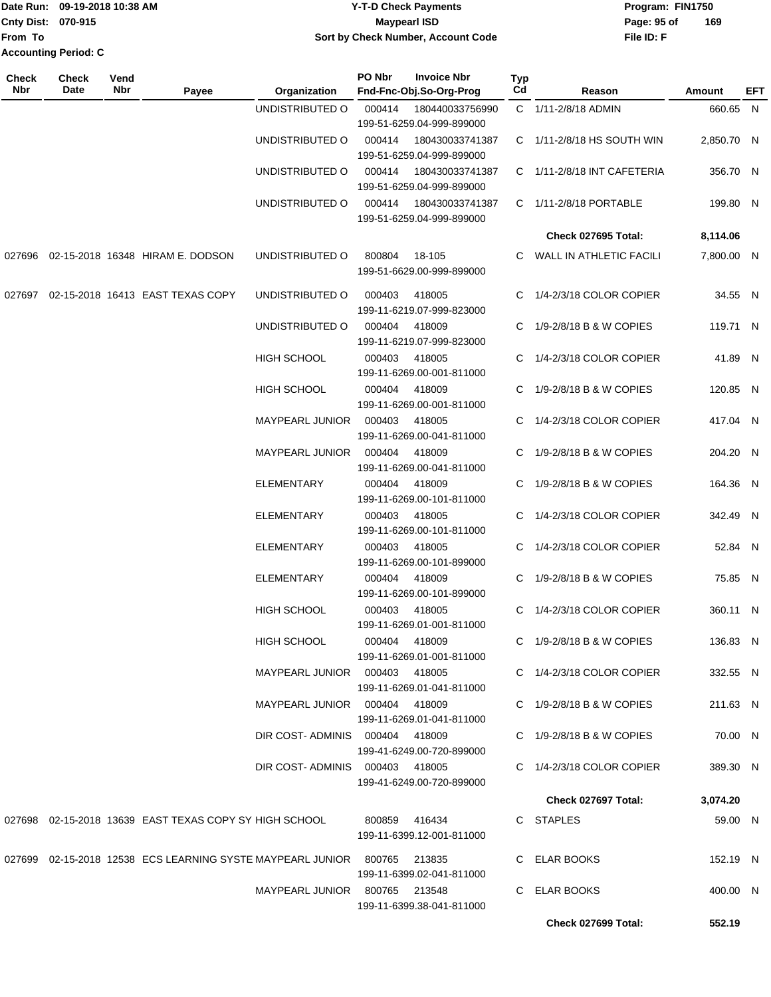|                             | Date Run: 09-19-2018 10:38 AM | <b>Y-T-D Check Payments</b>               | Program: FIN1750   |
|-----------------------------|-------------------------------|-------------------------------------------|--------------------|
| <b>Cnty Dist: 070-915</b>   |                               | Maypearl ISD                              | 169<br>Page: 95 of |
| lFrom To                    |                               | <b>Sort by Check Number, Account Code</b> | File ID: F         |
| <b>Accounting Period: C</b> |                               |                                           |                    |

| Check<br>Nbr | <b>Check</b><br>Date | Vend<br>Nbr | Payee                                                                    | Organization                    | PO Nbr        | <b>Invoice Nbr</b><br>Fnd-Fnc-Obj.So-Org-Prog | Typ<br>Cd | Reason                          | Amount     | EFT |
|--------------|----------------------|-------------|--------------------------------------------------------------------------|---------------------------------|---------------|-----------------------------------------------|-----------|---------------------------------|------------|-----|
|              |                      |             |                                                                          | UNDISTRIBUTED O                 | 000414        | 180440033756990                               |           | C 1/11-2/8/18 ADMIN             | 660.65 N   |     |
|              |                      |             |                                                                          |                                 |               | 199-51-6259.04-999-899000                     |           |                                 |            |     |
|              |                      |             |                                                                          | UNDISTRIBUTED O                 | 000414        | 180430033741387                               |           | C 1/11-2/8/18 HS SOUTH WIN      | 2,850.70 N |     |
|              |                      |             |                                                                          |                                 |               | 199-51-6259.04-999-899000                     |           |                                 |            |     |
|              |                      |             |                                                                          | UNDISTRIBUTED O                 | 000414        | 180430033741387                               |           | C 1/11-2/8/18 INT CAFETERIA     | 356.70 N   |     |
|              |                      |             |                                                                          |                                 |               | 199-51-6259.04-999-899000                     |           |                                 |            |     |
|              |                      |             |                                                                          | UNDISTRIBUTED O                 | 000414        | 180430033741387                               |           | C 1/11-2/8/18 PORTABLE          | 199.80 N   |     |
|              |                      |             |                                                                          |                                 |               | 199-51-6259.04-999-899000                     |           |                                 |            |     |
|              |                      |             |                                                                          |                                 |               |                                               |           | Check 027695 Total:             | 8,114.06   |     |
|              |                      |             | 027696 02-15-2018 16348 HIRAM E. DODSON                                  | UNDISTRIBUTED O                 | 800804        | 18-105                                        |           | C WALL IN ATHLETIC FACILI       | 7,800.00 N |     |
|              |                      |             |                                                                          |                                 |               | 199-51-6629.00-999-899000                     |           |                                 |            |     |
|              |                      |             |                                                                          |                                 |               |                                               |           |                                 |            |     |
|              |                      |             | 027697 02-15-2018 16413 EAST TEXAS COPY                                  | UNDISTRIBUTED O                 | 000403        | 418005                                        |           | C 1/4-2/3/18 COLOR COPIER       | 34.55 N    |     |
|              |                      |             |                                                                          |                                 |               | 199-11-6219.07-999-823000                     |           |                                 |            |     |
|              |                      |             |                                                                          | UNDISTRIBUTED O                 | 000404        | 418009                                        |           | C 1/9-2/8/18 B & W COPIES       | 119.71 N   |     |
|              |                      |             |                                                                          |                                 |               | 199-11-6219.07-999-823000                     |           |                                 |            |     |
|              |                      |             |                                                                          | HIGH SCHOOL                     | 000403        | 418005<br>199-11-6269.00-001-811000           |           | C 1/4-2/3/18 COLOR COPIER       | 41.89 N    |     |
|              |                      |             |                                                                          |                                 |               |                                               |           |                                 |            |     |
|              |                      |             |                                                                          | <b>HIGH SCHOOL</b>              |               | 000404 418009<br>199-11-6269.00-001-811000    |           | C 1/9-2/8/18 B & W COPIES       | 120.85 N   |     |
|              |                      |             |                                                                          | MAYPEARL JUNIOR                 | 000403        | 418005                                        |           | C 1/4-2/3/18 COLOR COPIER       | 417.04 N   |     |
|              |                      |             |                                                                          |                                 |               | 199-11-6269.00-041-811000                     |           |                                 |            |     |
|              |                      |             |                                                                          | MAYPEARL JUNIOR                 | 000404        | 418009                                        |           | C 1/9-2/8/18 B & W COPIES       | 204.20 N   |     |
|              |                      |             |                                                                          |                                 |               | 199-11-6269.00-041-811000                     |           |                                 |            |     |
|              |                      |             |                                                                          | <b>ELEMENTARY</b>               | 000404        | 418009                                        |           | C $1/9 - 2/8/18$ B & W COPIES   | 164.36 N   |     |
|              |                      |             |                                                                          |                                 |               | 199-11-6269.00-101-811000                     |           |                                 |            |     |
|              |                      |             |                                                                          | <b>ELEMENTARY</b>               | 000403        | 418005                                        |           | C 1/4-2/3/18 COLOR COPIER       | 342.49 N   |     |
|              |                      |             |                                                                          |                                 |               | 199-11-6269.00-101-811000                     |           |                                 |            |     |
|              |                      |             |                                                                          | ELEMENTARY                      | 000403        | 418005                                        |           | C 1/4-2/3/18 COLOR COPIER       | 52.84 N    |     |
|              |                      |             |                                                                          |                                 |               | 199-11-6269.00-101-899000                     |           |                                 |            |     |
|              |                      |             |                                                                          | ELEMENTARY                      | 000404        | 418009                                        |           | C 1/9-2/8/18 B & W COPIES       | 75.85 N    |     |
|              |                      |             |                                                                          |                                 |               | 199-11-6269.00-101-899000                     |           |                                 |            |     |
|              |                      |             |                                                                          | HIGH SCHOOL                     | 000403        | 418005                                        |           | C 1/4-2/3/18 COLOR COPIER       | 360.11 N   |     |
|              |                      |             |                                                                          |                                 |               | 199-11-6269.01-001-811000                     |           |                                 |            |     |
|              |                      |             |                                                                          | HIGH SCHOOL                     | 000404 418009 |                                               |           | C 1/9-2/8/18 B & W COPIES       | 136.83 N   |     |
|              |                      |             |                                                                          |                                 |               | 199-11-6269.01-001-811000                     |           |                                 |            |     |
|              |                      |             |                                                                          | MAYPEARL JUNIOR  000403  418005 |               |                                               |           | C 1/4-2/3/18 COLOR COPIER       | 332.55 N   |     |
|              |                      |             |                                                                          |                                 |               | 199-11-6269.01-041-811000                     |           |                                 |            |     |
|              |                      |             |                                                                          | MAYPEARL JUNIOR 000404 418009   |               |                                               |           | C $1/9 - 2/8/18$ B & W COPIES   | 211.63 N   |     |
|              |                      |             |                                                                          |                                 |               | 199-11-6269.01-041-811000                     |           |                                 |            |     |
|              |                      |             |                                                                          | DIR COST-ADMINIS 000404 418009  |               |                                               |           | $C = 1/9 - 2/8/18 B$ & W COPIES | 70.00 N    |     |
|              |                      |             |                                                                          |                                 |               | 199-41-6249.00-720-899000                     |           |                                 |            |     |
|              |                      |             |                                                                          | DIR COST-ADMINIS 000403 418005  |               |                                               |           | C 1/4-2/3/18 COLOR COPIER       | 389.30 N   |     |
|              |                      |             |                                                                          |                                 |               | 199-41-6249.00-720-899000                     |           |                                 |            |     |
|              |                      |             |                                                                          |                                 |               |                                               |           | Check 027697 Total:             | 3,074.20   |     |
|              |                      |             | 027698 02-15-2018 13639 EAST TEXAS COPY SY HIGH SCHOOL                   |                                 |               | 800859  416434                                |           | C STAPLES                       | 59.00 N    |     |
|              |                      |             |                                                                          |                                 |               | 199-11-6399.12-001-811000                     |           |                                 |            |     |
|              |                      |             |                                                                          |                                 |               |                                               |           |                                 |            |     |
|              |                      |             | 027699 02-15-2018 12538 ECS LEARNING SYSTE MAYPEARL JUNIOR 800765 213835 |                                 |               |                                               |           | C ELAR BOOKS                    | 152.19 N   |     |
|              |                      |             |                                                                          |                                 |               | 199-11-6399.02-041-811000                     |           |                                 |            |     |
|              |                      |             |                                                                          | MAYPEARL JUNIOR 800765 213548   |               |                                               |           | C ELAR BOOKS                    | 400.00 N   |     |
|              |                      |             |                                                                          |                                 |               | 199-11-6399.38-041-811000                     |           |                                 |            |     |
|              |                      |             |                                                                          |                                 |               |                                               |           | Check 027699 Total:             | 552.19     |     |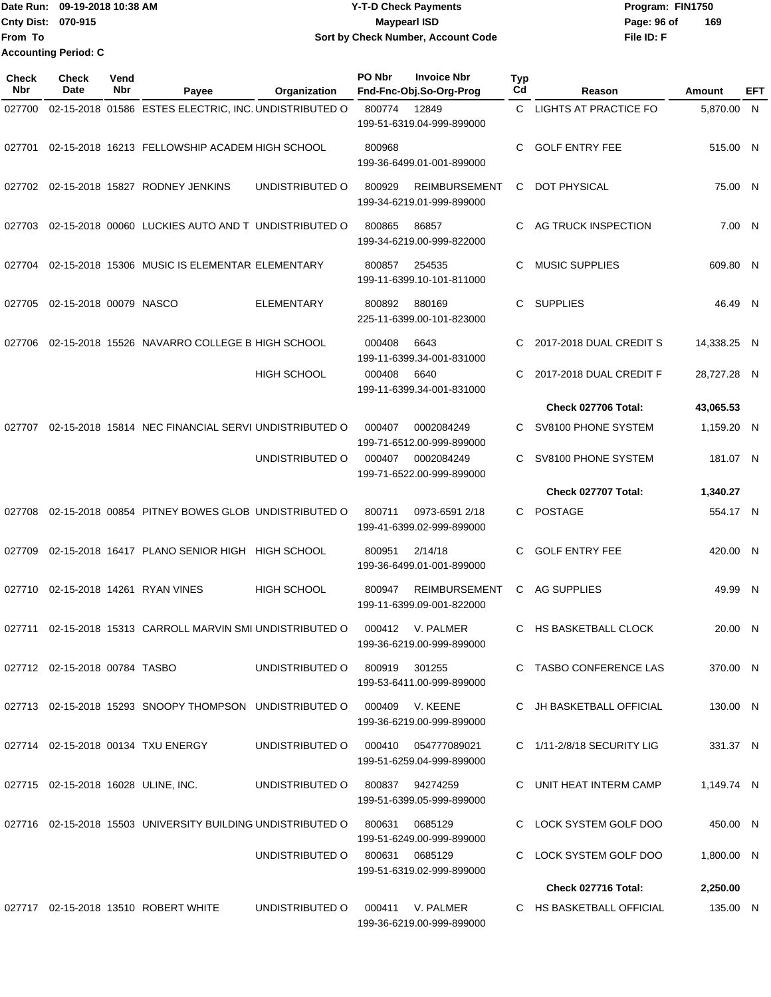|                           | Date Run: 09-19-2018 10:38 AM | Y-T-D Check Payments               | Program: FIN1750   |
|---------------------------|-------------------------------|------------------------------------|--------------------|
| <b>Cnty Dist: 070-915</b> |                               | <b>Mavpearl ISD</b>                | 169<br>Page: 96 of |
| lFrom To                  |                               | Sort by Check Number, Account Code | File ID: F         |
|                           | <b>Accounting Period: C</b>   |                                    |                    |

| Check<br>Nbr | <b>Check</b><br>Date          | Vend<br>Nbr | Payee                                                                   | Organization       | PO Nbr        | <b>Invoice Nbr</b><br>Fnd-Fnc-Obj.So-Org-Prog     | Typ<br>Cd | Reason                       | Amount      | EFT |
|--------------|-------------------------------|-------------|-------------------------------------------------------------------------|--------------------|---------------|---------------------------------------------------|-----------|------------------------------|-------------|-----|
| 027700       |                               |             | 02-15-2018 01586 ESTES ELECTRIC, INC. UNDISTRIBUTED O                   |                    | 800774        | 12849<br>199-51-6319.04-999-899000                | C.        | <b>LIGHTS AT PRACTICE FO</b> | 5,870.00 N  |     |
| 027701       |                               |             | 02-15-2018 16213 FELLOWSHIP ACADEM HIGH SCHOOL                          |                    | 800968        | 199-36-6499.01-001-899000                         | C.        | <b>GOLF ENTRY FEE</b>        | 515.00 N    |     |
|              |                               |             | 027702 02-15-2018 15827 RODNEY JENKINS                                  | UNDISTRIBUTED O    | 800929        | <b>REIMBURSEMENT</b><br>199-34-6219.01-999-899000 | C         | <b>DOT PHYSICAL</b>          | 75.00 N     |     |
| 027703       |                               |             | 02-15-2018 00060 LUCKIES AUTO AND T UNDISTRIBUTED O                     |                    | 800865        | 86857<br>199-34-6219.00-999-822000                | C.        | AG TRUCK INSPECTION          | 7.00 N      |     |
| 027704       |                               |             | 02-15-2018 15306 MUSIC IS ELEMENTAR ELEMENTARY                          |                    | 800857        | 254535<br>199-11-6399.10-101-811000               | C         | <b>MUSIC SUPPLIES</b>        | 609.80 N    |     |
| 027705       | 02-15-2018 00079 NASCO        |             |                                                                         | <b>ELEMENTARY</b>  | 800892        | 880169<br>225-11-6399.00-101-823000               | C         | <b>SUPPLIES</b>              | 46.49 N     |     |
| 027706       |                               |             | 02-15-2018 15526 NAVARRO COLLEGE B HIGH SCHOOL                          |                    | 000408        | 6643<br>199-11-6399.34-001-831000                 | C         | 2017-2018 DUAL CREDIT S      | 14,338.25 N |     |
|              |                               |             |                                                                         | <b>HIGH SCHOOL</b> | 000408        | 6640<br>199-11-6399.34-001-831000                 | C.        | 2017-2018 DUAL CREDIT F      | 28,727.28 N |     |
|              |                               |             |                                                                         |                    |               |                                                   |           | Check 027706 Total:          | 43,065.53   |     |
| 027707       |                               |             | 02-15-2018 15814 NEC FINANCIAL SERVI UNDISTRIBUTED O                    |                    | 000407        | 0002084249<br>199-71-6512.00-999-899000           | C.        | SV8100 PHONE SYSTEM          | 1,159.20 N  |     |
|              |                               |             |                                                                         | UNDISTRIBUTED O    | 000407        | 0002084249<br>199-71-6522.00-999-899000           | C.        | SV8100 PHONE SYSTEM          | 181.07 N    |     |
|              |                               |             |                                                                         |                    |               |                                                   |           | Check 027707 Total:          | 1,340.27    |     |
| 027708       |                               |             | 02-15-2018 00854 PITNEY BOWES GLOB UNDISTRIBUTED O                      |                    | 800711        | 0973-6591 2/18<br>199-41-6399.02-999-899000       | C.        | <b>POSTAGE</b>               | 554.17 N    |     |
| 027709       |                               |             | 02-15-2018 16417 PLANO SENIOR HIGH HIGH SCHOOL                          |                    | 800951        | 2/14/18<br>199-36-6499.01-001-899000              | C.        | <b>GOLF ENTRY FEE</b>        | 420.00 N    |     |
| 027710       |                               |             | 02-15-2018 14261 RYAN VINES                                             | <b>HIGH SCHOOL</b> | 800947        | <b>REIMBURSEMENT</b><br>199-11-6399.09-001-822000 | C         | <b>AG SUPPLIES</b>           | 49.99 N     |     |
| 027711       |                               |             | 02-15-2018 15313 CARROLL MARVIN SMI UNDISTRIBUTED O                     |                    | 000412        | V. PALMER<br>199-36-6219.00-999-899000            | C         | HS BASKETBALL CLOCK          | 20.00 N     |     |
|              | 027712 02-15-2018 00784 TASBO |             |                                                                         | UNDISTRIBUTED O    | 800919 301255 | 199-53-6411.00-999-899000                         |           | C TASBO CONFERENCE LAS       | 370.00 N    |     |
|              |                               |             | 027713 02-15-2018 15293 SNOOPY THOMPSON UNDISTRIBUTED O 000409 V. KEENE |                    |               | 199-36-6219.00-999-899000                         |           | C JH BASKETBALL OFFICIAL     | 130.00 N    |     |
|              |                               |             | 027714 02-15-2018 00134 TXU ENERGY                                      | UNDISTRIBUTED O    |               | 199-51-6259.04-999-899000                         |           | C 1/11-2/8/18 SECURITY LIG   | 331.37 N    |     |
|              |                               |             | 027715 02-15-2018 16028 ULINE, INC.                                     | UNDISTRIBUTED O    |               | 800837 94274259<br>199-51-6399.05-999-899000      |           | C UNIT HEAT INTERM CAMP      | 1,149.74 N  |     |
|              |                               |             | 027716 02-15-2018 15503 UNIVERSITY BUILDING UNDISTRIBUTED O             |                    | 800631        | 0685129<br>199-51-6249.00-999-899000              |           | C LOCK SYSTEM GOLF DOO       | 450.00 N    |     |
|              |                               |             |                                                                         | UNDISTRIBUTED O    | 800631        | 0685129<br>199-51-6319.02-999-899000              |           | C LOCK SYSTEM GOLF DOO       | 1,800.00 N  |     |
|              |                               |             |                                                                         |                    |               |                                                   |           | Check 027716 Total:          | 2,250.00    |     |
|              |                               |             | 027717  02-15-2018  13510  ROBERT WHITE                                 | UNDISTRIBUTED O    |               | 000411 V. PALMER<br>199-36-6219.00-999-899000     |           | C HS BASKETBALL OFFICIAL     | 135.00 N    |     |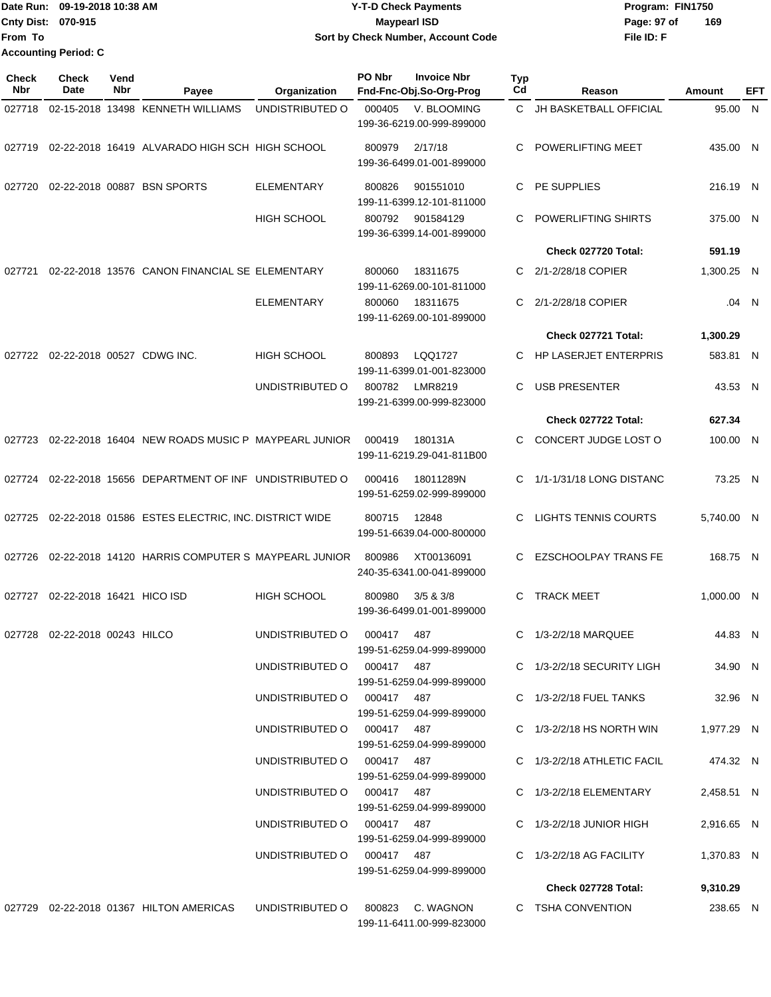|                    | Date Run: 09-19-2018 10:38 AM | <b>Y-T-D Check Payments</b>        | Program: FIN1750   |
|--------------------|-------------------------------|------------------------------------|--------------------|
| Cnty Dist: 070-915 |                               | <b>Mavpearl ISD</b>                | 169<br>Page: 97 of |
| lFrom To           |                               | Sort by Check Number, Account Code | File ID: F         |
|                    | <b>Accounting Period: C</b>   |                                    |                    |

| <b>Check</b><br>Nbr | <b>Check</b><br>Date      | Vend<br>Nbr | Payee                                                      | Organization               | PO Nbr | <b>Invoice Nbr</b><br>Fnd-Fnc-Obj.So-Org-Prog | <b>Typ</b><br>Cd | Reason                        | Amount     | EFT   |
|---------------------|---------------------------|-------------|------------------------------------------------------------|----------------------------|--------|-----------------------------------------------|------------------|-------------------------------|------------|-------|
| 027718              |                           |             | 02-15-2018 13498 KENNETH WILLIAMS                          | UNDISTRIBUTED O            | 000405 | V. BLOOMING                                   | C.               | JH BASKETBALL OFFICIAL        | 95.00 N    |       |
|                     |                           |             |                                                            |                            |        | 199-36-6219.00-999-899000                     |                  |                               |            |       |
|                     |                           |             | 027719 02-22-2018 16419 ALVARADO HIGH SCH HIGH SCHOOL      |                            | 800979 | 2/17/18<br>199-36-6499.01-001-899000          | C                | <b>POWERLIFTING MEET</b>      | 435.00 N   |       |
| 027720              |                           |             | 02-22-2018 00887 BSN SPORTS                                | <b>ELEMENTARY</b>          | 800826 | 901551010<br>199-11-6399.12-101-811000        | C                | PE SUPPLIES                   | 216.19 N   |       |
|                     |                           |             |                                                            | <b>HIGH SCHOOL</b>         | 800792 | 901584129<br>199-36-6399.14-001-899000        | C                | <b>POWERLIFTING SHIRTS</b>    | 375.00 N   |       |
|                     |                           |             |                                                            |                            |        |                                               |                  | Check 027720 Total:           | 591.19     |       |
| 027721              |                           |             | 02-22-2018 13576 CANON FINANCIAL SE ELEMENTARY             |                            | 800060 | 18311675<br>199-11-6269.00-101-811000         | C.               | 2/1-2/28/18 COPIER            | 1,300.25 N |       |
|                     |                           |             |                                                            | <b>ELEMENTARY</b>          | 800060 | 18311675<br>199-11-6269.00-101-899000         | C                | 2/1-2/28/18 COPIER            |            | .04 N |
|                     |                           |             |                                                            |                            |        |                                               |                  | Check 027721 Total:           | 1,300.29   |       |
| 027722              |                           |             | 02-22-2018 00527 CDWG INC.                                 | HIGH SCHOOL                | 800893 | LQQ1727<br>199-11-6399.01-001-823000          | C                | <b>HP LASERJET ENTERPRIS</b>  | 583.81 N   |       |
|                     |                           |             |                                                            | UNDISTRIBUTED O            | 800782 | LMR8219<br>199-21-6399.00-999-823000          | C                | <b>USB PRESENTER</b>          | 43.53 N    |       |
|                     |                           |             |                                                            |                            |        |                                               |                  | Check 027722 Total:           | 627.34     |       |
| 027723              |                           |             | 02-22-2018 16404 NEW ROADS MUSIC P MAYPEARL JUNIOR         |                            | 000419 | 180131A<br>199-11-6219.29-041-811B00          | C.               | CONCERT JUDGE LOST O          | 100.00 N   |       |
| 027724              |                           |             | 02-22-2018 15656 DEPARTMENT OF INF UNDISTRIBUTED O         |                            | 000416 | 18011289N<br>199-51-6259.02-999-899000        | C                | 1/1-1/31/18 LONG DISTANC      | 73.25 N    |       |
|                     |                           |             | 027725 02-22-2018 01586 ESTES ELECTRIC, INC. DISTRICT WIDE |                            | 800715 | 12848<br>199-51-6639.04-000-800000            | C                | <b>LIGHTS TENNIS COURTS</b>   | 5,740.00 N |       |
| 027726              |                           |             | 02-22-2018 14120 HARRIS COMPUTER S MAYPEARL JUNIOR         |                            | 800986 | XT00136091<br>240-35-6341.00-041-899000       | C.               | <b>EZSCHOOLPAY TRANS FE</b>   | 168.75 N   |       |
| 027727              | 02-22-2018 16421 HICO ISD |             |                                                            | <b>HIGH SCHOOL</b>         | 800980 | $3/5$ & $3/8$<br>199-36-6499.01-001-899000    | C                | <b>TRACK MEET</b>             | 1,000.00 N |       |
| 027728              | 02-22-2018 00243 HILCO    |             |                                                            | UNDISTRIBUTED O            | 000417 | 487<br>199-51-6259.04-999-899000              | C.               | 1/3-2/2/18 MARQUEE            | 44.83 N    |       |
|                     |                           |             |                                                            | UNDISTRIBUTED O 000417 487 |        | 199-51-6259.04-999-899000                     |                  | C 1/3-2/2/18 SECURITY LIGH    | 34.90 N    |       |
|                     |                           |             |                                                            | UNDISTRIBUTED O 000417 487 |        | 199-51-6259.04-999-899000                     |                  | C 1/3-2/2/18 FUEL TANKS       | 32.96 N    |       |
|                     |                           |             |                                                            | UNDISTRIBUTED O 000417 487 |        | 199-51-6259.04-999-899000                     |                  | C $1/3 - 2/2/18$ HS NORTH WIN | 1,977.29 N |       |
|                     |                           |             |                                                            | UNDISTRIBUTED O 000417 487 |        | 199-51-6259.04-999-899000                     |                  | C 1/3-2/2/18 ATHLETIC FACIL   | 474.32 N   |       |
|                     |                           |             |                                                            | UNDISTRIBUTED O 000417 487 |        | 199-51-6259.04-999-899000                     |                  | C 1/3-2/2/18 ELEMENTARY       | 2,458.51 N |       |
|                     |                           |             |                                                            | UNDISTRIBUTED O 000417 487 |        | 199-51-6259.04-999-899000                     |                  | $C$ 1/3-2/2/18 JUNIOR HIGH    | 2,916.65 N |       |
|                     |                           |             |                                                            | UNDISTRIBUTED O 000417 487 |        | 199-51-6259.04-999-899000                     |                  | $C$ 1/3-2/2/18 AG FACILITY    | 1,370.83 N |       |
|                     |                           |             |                                                            |                            |        |                                               |                  | Check 027728 Total:           | 9,310.29   |       |
|                     |                           |             | 027729 02-22-2018 01367 HILTON AMERICAS                    | UNDISTRIBUTED O            |        | 800823 C. WAGNON<br>199-11-6411.00-999-823000 |                  | C TSHA CONVENTION             | 238.65 N   |       |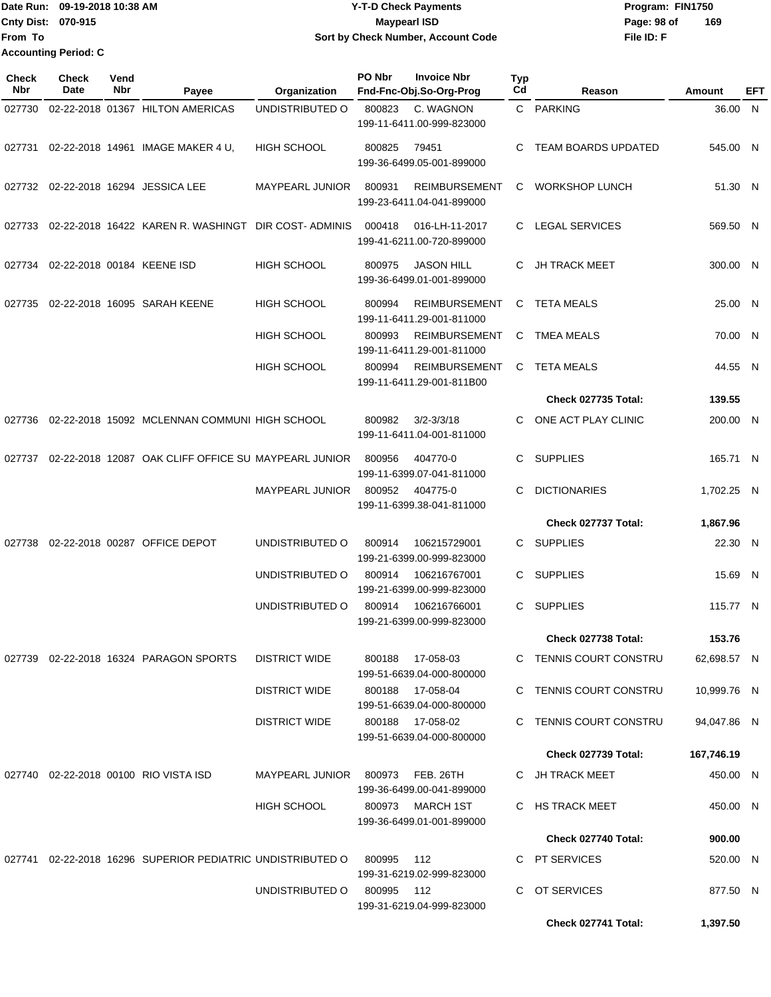|                             | Date Run: 09-19-2018 10:38 AM | <b>Y-T-D Check Payments</b>        | Program: FIN1750 |     |
|-----------------------------|-------------------------------|------------------------------------|------------------|-----|
| <b>Cnty Dist: 070-915</b>   |                               | <b>Maypearl ISD</b>                | Page: 98 of      | 169 |
| <b>From To</b>              |                               | Sort by Check Number, Account Code | File ID: F       |     |
| <b>Accounting Period: C</b> |                               |                                    |                  |     |

| <b>Check</b><br>Nbr | <b>Check</b><br>Date | Vend<br>Nbr | Payee                                                      | Organization           | PO Nbr | <b>Invoice Nbr</b><br>Fnd-Fnc-Obj.So-Org-Prog     | Typ<br>Cd | Reason                     | Amount      | EFT |
|---------------------|----------------------|-------------|------------------------------------------------------------|------------------------|--------|---------------------------------------------------|-----------|----------------------------|-------------|-----|
| 027730              |                      |             | 02-22-2018 01367 HILTON AMERICAS                           | UNDISTRIBUTED O        | 800823 | C. WAGNON<br>199-11-6411.00-999-823000            |           | C PARKING                  | 36.00 N     |     |
| 027731              |                      |             | 02-22-2018 14961 IMAGE MAKER 4 U,                          | <b>HIGH SCHOOL</b>     | 800825 | 79451<br>199-36-6499.05-001-899000                | C         | <b>TEAM BOARDS UPDATED</b> | 545.00 N    |     |
|                     |                      |             | 027732 02-22-2018 16294 JESSICA LEE                        | <b>MAYPEARL JUNIOR</b> | 800931 | <b>REIMBURSEMENT</b><br>199-23-6411.04-041-899000 | C.        | <b>WORKSHOP LUNCH</b>      | 51.30 N     |     |
| 027733              |                      |             | 02-22-2018 16422 KAREN R. WASHINGT DIR COST-ADMINIS        |                        | 000418 | 016-LH-11-2017<br>199-41-6211.00-720-899000       | C.        | LEGAL SERVICES             | 569.50 N    |     |
| 027734              |                      |             | 02-22-2018 00184 KEENE ISD                                 | <b>HIGH SCHOOL</b>     | 800975 | <b>JASON HILL</b><br>199-36-6499.01-001-899000    | C.        | <b>JH TRACK MEET</b>       | 300.00 N    |     |
| 027735              |                      |             | 02-22-2018 16095 SARAH KEENE                               | <b>HIGH SCHOOL</b>     | 800994 | <b>REIMBURSEMENT</b><br>199-11-6411.29-001-811000 | C         | <b>TETA MEALS</b>          | 25.00 N     |     |
|                     |                      |             |                                                            | <b>HIGH SCHOOL</b>     | 800993 | <b>REIMBURSEMENT</b><br>199-11-6411.29-001-811000 | C.        | <b>TMEA MEALS</b>          | 70.00 N     |     |
|                     |                      |             |                                                            | <b>HIGH SCHOOL</b>     | 800994 | <b>REIMBURSEMENT</b><br>199-11-6411.29-001-811B00 | C.        | <b>TETA MEALS</b>          | 44.55 N     |     |
|                     |                      |             |                                                            |                        |        |                                                   |           | Check 027735 Total:        | 139.55      |     |
| 027736              |                      |             | 02-22-2018 15092 MCLENNAN COMMUNI HIGH SCHOOL              |                        | 800982 | $3/2 - 3/3/18$<br>199-11-6411.04-001-811000       | C         | ONE ACT PLAY CLINIC        | 200.00 N    |     |
| 027737              |                      |             | 02-22-2018 12087 OAK CLIFF OFFICE SU MAYPEARL JUNIOR       |                        | 800956 | 404770-0<br>199-11-6399.07-041-811000             | C.        | <b>SUPPLIES</b>            | 165.71 N    |     |
|                     |                      |             |                                                            | MAYPEARL JUNIOR        | 800952 | 404775-0<br>199-11-6399.38-041-811000             | C         | <b>DICTIONARIES</b>        | 1,702.25 N  |     |
|                     |                      |             |                                                            |                        |        |                                                   |           | Check 027737 Total:        | 1,867.96    |     |
| 027738              |                      |             | 02-22-2018 00287 OFFICE DEPOT                              | UNDISTRIBUTED O        | 800914 | 106215729001<br>199-21-6399.00-999-823000         | C.        | <b>SUPPLIES</b>            | 22.30 N     |     |
|                     |                      |             |                                                            | UNDISTRIBUTED O        | 800914 | 106216767001<br>199-21-6399.00-999-823000         | C.        | <b>SUPPLIES</b>            | 15.69 N     |     |
|                     |                      |             |                                                            | UNDISTRIBUTED O        | 800914 | 106216766001<br>199-21-6399.00-999-823000         | C.        | <b>SUPPLIES</b>            | 115.77 N    |     |
|                     |                      |             |                                                            |                        |        |                                                   |           | Check 027738 Total:        | 153.76      |     |
|                     |                      |             | 027739 02-22-2018 16324 PARAGON SPORTS                     | <b>DISTRICT WIDE</b>   | 800188 | 17-058-03<br>199-51-6639.04-000-800000            |           | C TENNIS COURT CONSTRU     | 62,698.57 N |     |
|                     |                      |             |                                                            | <b>DISTRICT WIDE</b>   | 800188 | 17-058-04<br>199-51-6639.04-000-800000            |           | C TENNIS COURT CONSTRU     | 10,999.76 N |     |
|                     |                      |             |                                                            | <b>DISTRICT WIDE</b>   |        | 800188 17-058-02<br>199-51-6639.04-000-800000     |           | C TENNIS COURT CONSTRU     | 94,047.86 N |     |
|                     |                      |             |                                                            |                        |        |                                                   |           | Check 027739 Total:        | 167,746.19  |     |
|                     |                      |             | 027740 02-22-2018 00100 RIO VISTA ISD                      | MAYPEARL JUNIOR        | 800973 | FEB. 26TH<br>199-36-6499.00-041-899000            |           | C JH TRACK MEET            | 450.00 N    |     |
|                     |                      |             |                                                            | <b>HIGH SCHOOL</b>     |        | 800973 MARCH 1ST<br>199-36-6499.01-001-899000     |           | C HS TRACK MEET            | 450.00 N    |     |
|                     |                      |             |                                                            |                        |        |                                                   |           | Check 027740 Total:        | 900.00      |     |
|                     |                      |             | 027741 02-22-2018 16296 SUPERIOR PEDIATRIC UNDISTRIBUTED O |                        | 800995 | 112<br>199-31-6219.02-999-823000                  |           | C PT SERVICES              | 520.00 N    |     |
|                     |                      |             |                                                            | UNDISTRIBUTED O        | 800995 | 112<br>199-31-6219.04-999-823000                  |           | C OT SERVICES              | 877.50 N    |     |
|                     |                      |             |                                                            |                        |        |                                                   |           | Check 027741 Total:        | 1,397.50    |     |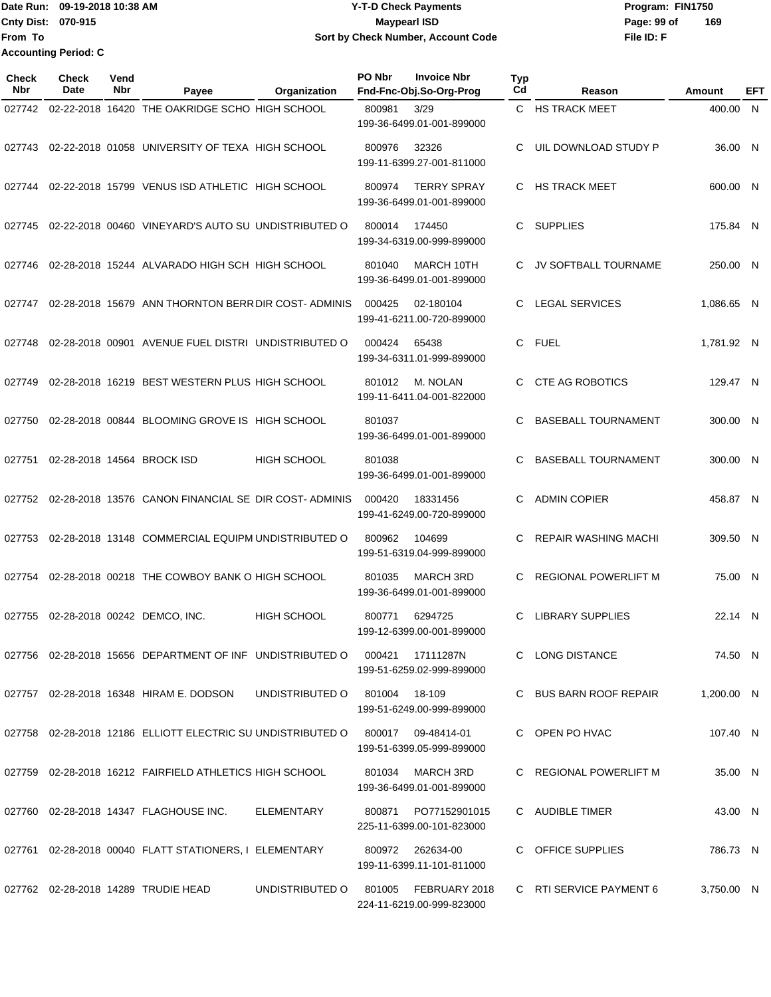Date Run: 09-19-2018 10:38 AM **CONTEX 18 AM CONTEX 18 AM CONTEX 17-T-D** Check Payments **CONTEX 18 AM CONTEX 18 AM CONTEX 18 AM CONTEX 18 AM CONTEX 18 AM CONTEX 18 AM CONTEX 18 AM CONTEX 18 AM CONTEX 19 AM CONTEX 19 AM CONT Cnty Dist:** 070-915 **Page: 99 of MaypearI ISD Page: 99 of From To 09-19-2018 10:38 AM Y-T-D Check Payments Sort by Check Number, Account Code Accounting Period: C**

**File ID: F 169**

| <b>Check</b><br><b>Nbr</b> | <b>Check</b><br>Date | Vend<br>Nbr | Payee                                                                               | Organization       | PO Nbr | <b>Invoice Nbr</b><br>Fnd-Fnc-Obj.So-Org-Prog     | <b>Typ</b><br>Cd | Reason                                                                                                                 | Amount     | EFT |
|----------------------------|----------------------|-------------|-------------------------------------------------------------------------------------|--------------------|--------|---------------------------------------------------|------------------|------------------------------------------------------------------------------------------------------------------------|------------|-----|
| 027742                     |                      |             | 02-22-2018 16420 THE OAKRIDGE SCHO HIGH SCHOOL                                      |                    | 800981 | 3/29<br>199-36-6499.01-001-899000                 |                  | C HS TRACK MEET                                                                                                        | 400.00 N   |     |
| 027743                     |                      |             | 02-22-2018 01058 UNIVERSITY OF TEXA HIGH SCHOOL                                     |                    | 800976 | 32326<br>199-11-6399.27-001-811000                | С                | UIL DOWNLOAD STUDY P                                                                                                   | 36.00 N    |     |
|                            |                      |             | 027744 02-22-2018  15799  VENUS ISD ATHLETIC   HIGH SCHOOL                          |                    | 800974 | <b>TERRY SPRAY</b><br>199-36-6499.01-001-899000   | С                | <b>HS TRACK MEET</b>                                                                                                   | 600.00 N   |     |
| 027745                     |                      |             | 02-22-2018 00460 VINEYARD'S AUTO SU UNDISTRIBUTED O                                 |                    | 800014 | 174450<br>199-34-6319.00-999-899000               | С                | <b>SUPPLIES</b>                                                                                                        | 175.84 N   |     |
|                            |                      |             | 027746 02-28-2018  15244   ALVARADO HIGH SCH  HIGH SCHOOL                           |                    | 801040 | MARCH 10TH<br>199-36-6499.01-001-899000           | С                | JV SOFTBALL TOURNAME                                                                                                   | 250.00 N   |     |
|                            |                      |             | 027747   02-28-2018   15679   ANN THORNTON BERR DIR COST-   ADMINIS                 |                    | 000425 | 02-180104<br>199-41-6211.00-720-899000            | C                | <b>LEGAL SERVICES</b>                                                                                                  | 1,086.65 N |     |
| 027748                     |                      |             | 02-28-2018 00901 AVENUE FUEL DISTRI UNDISTRIBUTED O                                 |                    | 000424 | 65438<br>199-34-6311.01-999-899000                | С                | <b>FUEL</b>                                                                                                            | 1,781.92 N |     |
| 027749                     |                      |             | 02-28-2018 16219 BEST WESTERN PLUS HIGH SCHOOL                                      |                    | 801012 | M. NOLAN<br>199-11-6411.04-001-822000             | С                | <b>CTE AG ROBOTICS</b>                                                                                                 | 129.47 N   |     |
| 027750                     |                      |             | 02-28-2018 00844 BLOOMING GROVE IS HIGH SCHOOL                                      |                    | 801037 | 199-36-6499.01-001-899000                         | C                | <b>BASEBALL TOURNAMENT</b>                                                                                             | 300.00 N   |     |
| 027751                     |                      |             | 02-28-2018 14564 BROCK ISD                                                          | <b>HIGH SCHOOL</b> | 801038 | 199-36-6499.01-001-899000                         | С                | <b>BASEBALL TOURNAMENT</b>                                                                                             | 300.00 N   |     |
|                            |                      |             | 027752 02-28-2018  13576  CANON FINANCIAL SE  DIR COST- ADMINIS                     |                    | 000420 | 18331456<br>199-41-6249.00-720-899000             | С                | <b>ADMIN COPIER</b>                                                                                                    | 458.87 N   |     |
|                            |                      |             | 027753 02-28-2018  13148   COMMERCIAL EQUIPM UNDISTRIBUTED O                        |                    | 800962 | 104699<br>199-51-6319.04-999-899000               | С                | <b>REPAIR WASHING MACHI</b>                                                                                            | 309.50 N   |     |
|                            |                      |             | 027754 02-28-2018  00218  THE COWBOY BANK O HIGH SCHOOL                             |                    | 801035 | <b>MARCH 3RD</b><br>199-36-6499.01-001-899000     | С                | <b>REGIONAL POWERLIFT M</b>                                                                                            | 75.00 N    |     |
| 027755                     |                      |             | 02-28-2018 00242 DEMCO, INC.                                                        | <b>HIGH SCHOOL</b> | 800771 | 6294725<br>199-12-6399.00-001-899000              | С                | <b>LIBRARY SUPPLIES</b>                                                                                                | 22.14 N    |     |
|                            |                      |             | 027756 02-28-2018  15656  DEPARTMENT OF INF   UNDISTRIBUTED O  000421     17111287N |                    |        | 199-51-6259.02-999-899000                         |                  | C LONG DISTANCE                                                                                                        | 74.50 N    |     |
|                            |                      |             | 027757 02-28-2018 16348 HIRAM E. DODSON UNDISTRIBUTED O 801004 18-109               |                    |        | 199-51-6249.00-999-899000                         |                  | C BUS BARN ROOF REPAIR                                                                                                 | 1,200.00 N |     |
|                            |                      |             | 027758 02-28-2018 12186 ELLIOTT ELECTRIC SU UNDISTRIBUTED O 800017 09-48414-01      |                    |        | 199-51-6399.05-999-899000                         |                  | C OPEN PO HVAC                                                                                                         | 107.40 N   |     |
|                            |                      |             | 027759 02-28-2018  16212  FAIRFIELD ATHLETICS HIGH SCHOOL                           |                    |        | 801034 MARCH 3RD<br>199-36-6499.01-001-899000     |                  | C REGIONAL POWERLIFT M                                                                                                 | 35.00 N    |     |
|                            |                      |             | 027760  02-28-2018  14347  FLAGHOUSE INC.  ELEMENTARY                               |                    |        | 800871 PO77152901015<br>225-11-6399.00-101-823000 |                  | C AUDIBLE TIMER                                                                                                        | 43.00 N    |     |
|                            |                      |             | 027761 02-28-2018 00040 FLATT STATIONERS, I ELEMENTARY 800972 262634-00             |                    |        | 199-11-6399.11-101-811000                         |                  | C OFFICE SUPPLIES                                                                                                      | 786.73 N   |     |
|                            |                      |             |                                                                                     |                    |        |                                                   |                  | 027762 02-28-2018_14289_TRUDIE HEAD    UNDISTRIBUTED O  801005  FEBRUARY 2018  C  RTI SERVICE PAYMENT 6    3,750.00  N |            |     |

224-11-6219.00-999-823000

**070-915 Maypearl ISD**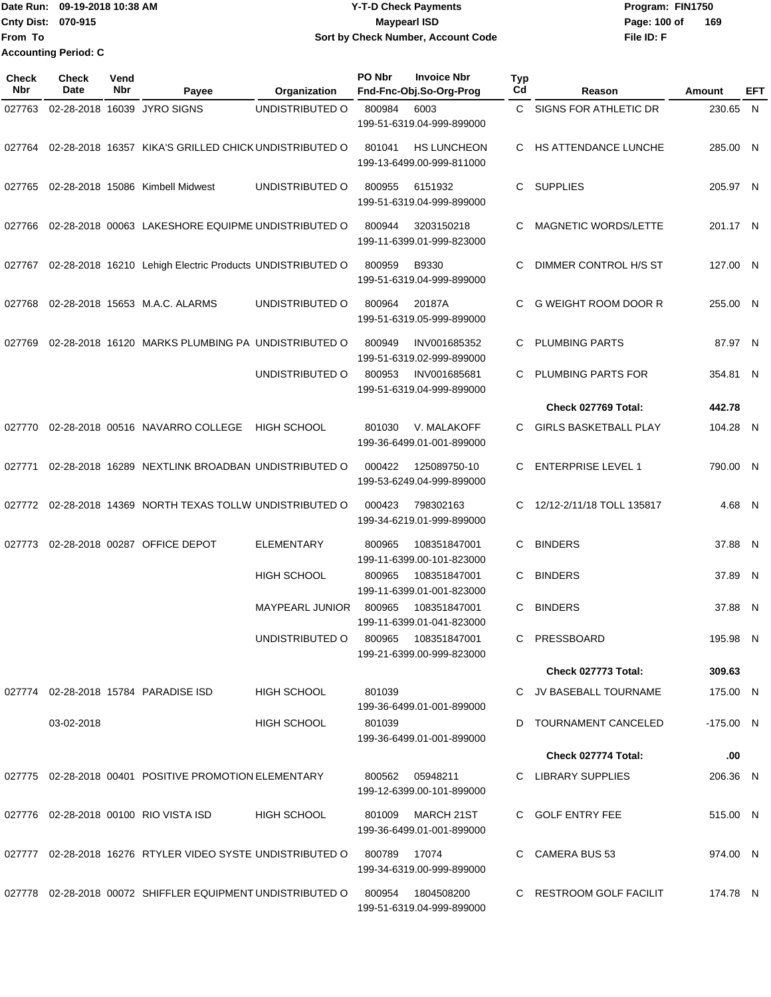## Date Run: 09-19-2018 10:38 AM **CONTEX 18 AM CONTEX 18 AM CONTEX 17-T-D** Check Payments **CONTEX 18 AM CONTEX 18 AM CONTEX 18 AM CONTEX 18 AM CONTEX 18 AM CONTEX 18 AM CONTEX 18 AM CONTEX 18 AM CONTEX 19 AM CONTEX 19 AM CONT Cnty Dist:** 070-915 **Page:** 100 of **09-19-2018 10:38 AM Y-T-D Check Payments 070-915 Maypearl ISD Sort by Check Number, Account Code**

| Check<br>Nbr | <b>Check</b><br>Date | Vend<br>Nbr | Payee                                                      | Organization           | PO Nbr | <b>Invoice Nbr</b><br>Fnd-Fnc-Obj.So-Org-Prog   | Typ<br>Cd | Reason                       | Amount      | EFT |
|--------------|----------------------|-------------|------------------------------------------------------------|------------------------|--------|-------------------------------------------------|-----------|------------------------------|-------------|-----|
| 027763       |                      |             | 02-28-2018 16039 JYRO SIGNS                                | UNDISTRIBUTED O        | 800984 | 6003<br>199-51-6319.04-999-899000               |           | C SIGNS FOR ATHLETIC DR      | 230.65 N    |     |
| 027764       |                      |             | 02-28-2018 16357 KIKA'S GRILLED CHICK UNDISTRIBUTED O      |                        | 801041 | <b>HS LUNCHEON</b><br>199-13-6499.00-999-811000 |           | C HS ATTENDANCE LUNCHE       | 285.00 N    |     |
| 027765       |                      |             | 02-28-2018 15086 Kimbell Midwest                           | UNDISTRIBUTED O        | 800955 | 6151932<br>199-51-6319.04-999-899000            | C         | <b>SUPPLIES</b>              | 205.97 N    |     |
| 027766       |                      |             | 02-28-2018 00063 LAKESHORE EQUIPME UNDISTRIBUTED O         |                        | 800944 | 3203150218<br>199-11-6399.01-999-823000         | C         | <b>MAGNETIC WORDS/LETTE</b>  | 201.17 N    |     |
| 027767       |                      |             | 02-28-2018 16210 Lehigh Electric Products UNDISTRIBUTED O  |                        | 800959 | B9330<br>199-51-6319.04-999-899000              | C         | DIMMER CONTROL H/S ST        | 127.00 N    |     |
| 027768       |                      |             | 02-28-2018 15653 M.A.C. ALARMS                             | UNDISTRIBUTED O        | 800964 | 20187A<br>199-51-6319.05-999-899000             | C         | <b>G WEIGHT ROOM DOOR R</b>  | 255.00 N    |     |
| 027769       |                      |             | 02-28-2018 16120 MARKS PLUMBING PA UNDISTRIBUTED O         |                        | 800949 | INV001685352<br>199-51-6319.02-999-899000       | C         | <b>PLUMBING PARTS</b>        | 87.97 N     |     |
|              |                      |             |                                                            | UNDISTRIBUTED O        | 800953 | INV001685681<br>199-51-6319.04-999-899000       |           | PLUMBING PARTS FOR           | 354.81 N    |     |
|              |                      |             |                                                            |                        |        |                                                 |           | Check 027769 Total:          | 442.78      |     |
| 027770       |                      |             | 02-28-2018 00516 NAVARRO COLLEGE                           | <b>HIGH SCHOOL</b>     | 801030 | V. MALAKOFF<br>199-36-6499.01-001-899000        | C         | <b>GIRLS BASKETBALL PLAY</b> | 104.28 N    |     |
| 027771       |                      |             | 02-28-2018 16289 NEXTLINK BROADBAN UNDISTRIBUTED O         |                        | 000422 | 125089750-10<br>199-53-6249.04-999-899000       | C.        | <b>ENTERPRISE LEVEL 1</b>    | 790.00 N    |     |
| 027772       |                      |             | 02-28-2018 14369 NORTH TEXAS TOLLW UNDISTRIBUTED O         |                        | 000423 | 798302163<br>199-34-6219.01-999-899000          | C         | 12/12-2/11/18 TOLL 135817    | 4.68 N      |     |
| 027773       |                      |             | 02-28-2018 00287 OFFICE DEPOT                              | ELEMENTARY             | 800965 | 108351847001<br>199-11-6399.00-101-823000       | C.        | <b>BINDERS</b>               | 37.88 N     |     |
|              |                      |             |                                                            | <b>HIGH SCHOOL</b>     | 800965 | 108351847001<br>199-11-6399.01-001-823000       | C         | <b>BINDERS</b>               | 37.89 N     |     |
|              |                      |             |                                                            | <b>MAYPEARL JUNIOR</b> | 800965 | 108351847001<br>199-11-6399.01-041-823000       | C         | <b>BINDERS</b>               | 37.88 N     |     |
|              |                      |             |                                                            | UNDISTRIBUTED O        | 800965 | 108351847001<br>199-21-6399.00-999-823000       |           | C PRESSBOARD                 | 195.98 N    |     |
|              |                      |             |                                                            |                        |        |                                                 |           | Check 027773 Total:          | 309.63      |     |
|              |                      |             | 027774 02-28-2018 15784 PARADISE ISD                       | HIGH SCHOOL            | 801039 | 199-36-6499.01-001-899000                       |           | C JV BASEBALL TOURNAME       | 175.00 N    |     |
|              | 03-02-2018           |             |                                                            | <b>HIGH SCHOOL</b>     | 801039 | 199-36-6499.01-001-899000                       |           | D TOURNAMENT CANCELED        | $-175.00$ N |     |
|              |                      |             |                                                            |                        |        |                                                 |           | Check 027774 Total:          | .00         |     |
|              |                      |             | 027775 02-28-2018 00401 POSITIVE PROMOTION ELEMENTARY      |                        |        | 800562 05948211<br>199-12-6399.00-101-899000    |           | C LIBRARY SUPPLIES           | 206.36 N    |     |
|              |                      |             | 027776 02-28-2018 00100 RIO VISTA ISD                      | <b>HIGH SCHOOL</b>     |        | 801009 MARCH 21ST<br>199-36-6499.01-001-899000  |           | C GOLF ENTRY FEE             | 515.00 N    |     |
|              |                      |             | 027777 02-28-2018 16276 RTYLER VIDEO SYSTE UNDISTRIBUTED O |                        | 800789 | 17074<br>199-34-6319.00-999-899000              |           | C CAMERA BUS 53              | 974.00 N    |     |
|              |                      |             | 027778 02-28-2018 00072 SHIFFLER EQUIPMENT UNDISTRIBUTED O |                        | 800954 | 1804508200<br>199-51-6319.04-999-899000         |           | C RESTROOM GOLF FACILIT      | 174.78 N    |     |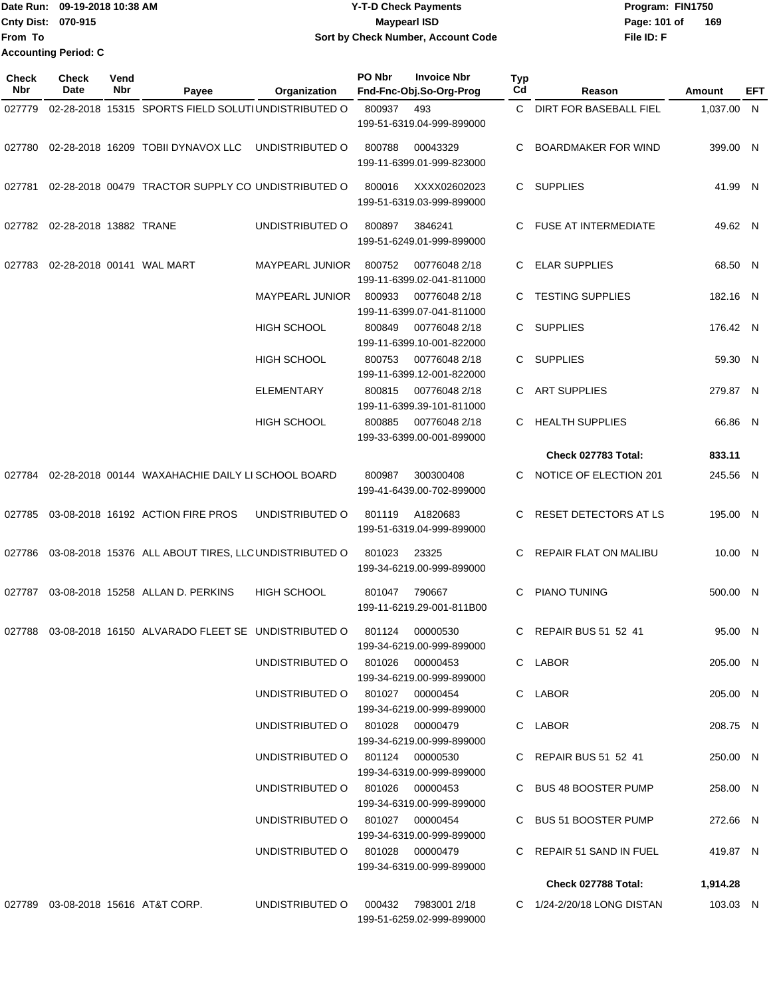|                    | Date Run: 09-19-2018 10:38 AM | <b>Y-T-D Check Payments</b>        | Program: FIN1750    |
|--------------------|-------------------------------|------------------------------------|---------------------|
| Cnty Dist: 070-915 |                               | Mavpearl ISD                       | 169<br>Page: 101 of |
| <b>From To</b>     |                               | Sort by Check Number, Account Code | File ID: F          |
|                    | <b>Accounting Period: C</b>   |                                    |                     |

| Check<br>Nbr | Check<br>Date          | Vend<br>Nbr | Payee                                                 | Organization                    | PO Nbr | <b>Invoice Nbr</b><br>Fnd-Fnc-Obj.So-Org-Prog | <b>Typ</b><br>Cd | Reason                       | Amount     | EFT |
|--------------|------------------------|-------------|-------------------------------------------------------|---------------------------------|--------|-----------------------------------------------|------------------|------------------------------|------------|-----|
|              |                        |             |                                                       |                                 |        |                                               |                  |                              |            |     |
| 027779       |                        |             | 02-28-2018 15315 SPORTS FIELD SOLUTIUNDISTRIBUTED O   |                                 | 800937 | 493<br>199-51-6319.04-999-899000              | C.               | DIRT FOR BASEBALL FIEL       | 1,037.00 N |     |
| 027780       |                        |             | 02-28-2018 16209 TOBII DYNAVOX LLC                    | UNDISTRIBUTED O                 | 800788 | 00043329<br>199-11-6399.01-999-823000         | С                | <b>BOARDMAKER FOR WIND</b>   | 399.00 N   |     |
| 027781       |                        |             | 02-28-2018 00479 TRACTOR SUPPLY CO UNDISTRIBUTED O    |                                 | 800016 | XXXX02602023<br>199-51-6319.03-999-899000     |                  | C SUPPLIES                   | 41.99 N    |     |
| 027782       | 02-28-2018 13882 TRANE |             |                                                       | UNDISTRIBUTED O                 | 800897 | 3846241<br>199-51-6249.01-999-899000          | C.               | <b>FUSE AT INTERMEDIATE</b>  | 49.62 N    |     |
| 027783       |                        |             | 02-28-2018 00141 WAL MART                             | MAYPEARL JUNIOR                 | 800752 | 00776048 2/18<br>199-11-6399.02-041-811000    | C                | <b>ELAR SUPPLIES</b>         | 68.50 N    |     |
|              |                        |             |                                                       | <b>MAYPEARL JUNIOR</b>          | 800933 | 00776048 2/18<br>199-11-6399.07-041-811000    | C                | <b>TESTING SUPPLIES</b>      | 182.16 N   |     |
|              |                        |             |                                                       | HIGH SCHOOL                     | 800849 | 00776048 2/18<br>199-11-6399.10-001-822000    | C                | <b>SUPPLIES</b>              | 176.42 N   |     |
|              |                        |             |                                                       | <b>HIGH SCHOOL</b>              | 800753 | 00776048 2/18<br>199-11-6399.12-001-822000    | C                | <b>SUPPLIES</b>              | 59.30 N    |     |
|              |                        |             |                                                       | <b>ELEMENTARY</b>               | 800815 | 00776048 2/18<br>199-11-6399.39-101-811000    | C.               | <b>ART SUPPLIES</b>          | 279.87 N   |     |
|              |                        |             |                                                       | HIGH SCHOOL                     | 800885 | 00776048 2/18<br>199-33-6399.00-001-899000    | C.               | <b>HEALTH SUPPLIES</b>       | 66.86 N    |     |
|              |                        |             |                                                       |                                 |        |                                               |                  | Check 027783 Total:          | 833.11     |     |
| 027784       |                        |             | 02-28-2018 00144 WAXAHACHIE DAILY LI SCHOOL BOARD     |                                 | 800987 | 300300408<br>199-41-6439.00-702-899000        | C                | NOTICE OF ELECTION 201       | 245.56 N   |     |
| 027785       |                        |             | 03-08-2018 16192 ACTION FIRE PROS                     | UNDISTRIBUTED O                 | 801119 | A1820683<br>199-51-6319.04-999-899000         | C                | <b>RESET DETECTORS AT LS</b> | 195.00 N   |     |
| 027786       |                        |             | 03-08-2018 15376 ALL ABOUT TIRES, LLC UNDISTRIBUTED O |                                 | 801023 | 23325<br>199-34-6219.00-999-899000            |                  | <b>REPAIR FLAT ON MALIBU</b> | 10.00 N    |     |
| 027787       |                        |             | 03-08-2018 15258 ALLAN D. PERKINS                     | <b>HIGH SCHOOL</b>              | 801047 | 790667<br>199-11-6219.29-001-811B00           | C                | PIANO TUNING                 | 500.00 N   |     |
| 027788       |                        |             | 03-08-2018 16150 ALVARADO FLEET SE UNDISTRIBUTED O    |                                 | 801124 | 00000530<br>199-34-6219.00-999-899000         | C                | <b>REPAIR BUS 51 52 41</b>   | 95.00 N    |     |
|              |                        |             |                                                       | UNDISTRIBUTED O                 |        | 801026 00000453<br>199-34-6219.00-999-899000  |                  | C LABOR                      | 205.00 N   |     |
|              |                        |             |                                                       | UNDISTRIBUTED O 801027 00000454 |        | 199-34-6219.00-999-899000                     |                  | C LABOR                      | 205.00 N   |     |
|              |                        |             |                                                       | UNDISTRIBUTED O 801028          |        | 00000479<br>199-34-6219.00-999-899000         |                  | C LABOR                      | 208.75 N   |     |
|              |                        |             |                                                       | UNDISTRIBUTED O 801124 00000530 |        | 199-34-6319.00-999-899000                     |                  | C REPAIR BUS 51 52 41        | 250.00 N   |     |
|              |                        |             |                                                       | UNDISTRIBUTED O 801026 00000453 |        | 199-34-6319.00-999-899000                     |                  | C BUS 48 BOOSTER PUMP        | 258.00 N   |     |
|              |                        |             |                                                       | UNDISTRIBUTED O 801027 00000454 |        | 199-34-6319.00-999-899000                     |                  | C BUS 51 BOOSTER PUMP        | 272.66 N   |     |
|              |                        |             |                                                       | UNDISTRIBUTED O 801028 00000479 |        | 199-34-6319.00-999-899000                     |                  | C REPAIR 51 SAND IN FUEL     | 419.87 N   |     |
|              |                        |             |                                                       |                                 |        |                                               |                  | Check 027788 Total:          | 1,914.28   |     |
|              |                        |             | 027789 03-08-2018 15616 AT&T CORP.                    | UNDISTRIBUTED O                 | 000432 | 7983001 2/18                                  |                  | C 1/24-2/20/18 LONG DISTAN   | 103.03 N   |     |
|              |                        |             |                                                       |                                 |        | 199-51-6259.02-999-899000                     |                  |                              |            |     |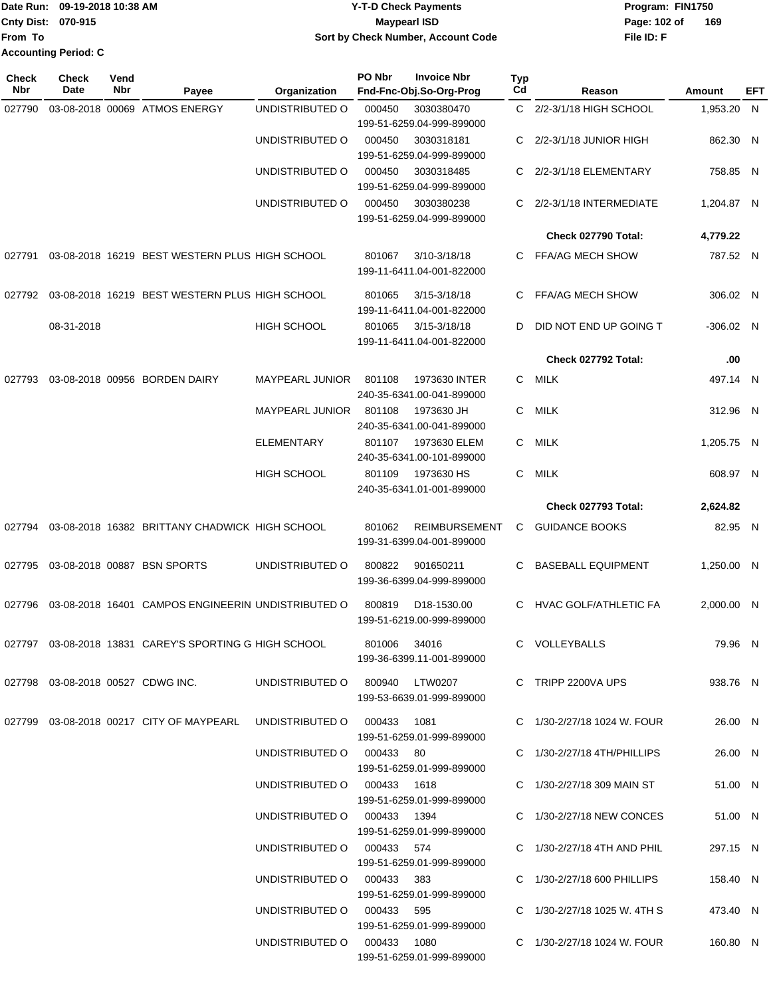|                             | TDate Run: 09-19-2018 10:38 AM | <b>Y-T-D Check Payments</b>        | Program: FIN1750    |
|-----------------------------|--------------------------------|------------------------------------|---------------------|
| <b>Cnty Dist: 070-915</b>   |                                | Maypearl ISD                       | 169<br>Page: 102 of |
| lFrom To                    |                                | Sort by Check Number, Account Code | File ID: F          |
| <b>Accounting Period: C</b> |                                |                                    |                     |

| <b>Check</b><br><b>Nbr</b> | Check<br>Date | Vend<br>Nbr | Payee                                                                     | Organization                | PO Nbr       | <b>Invoice Nbr</b><br>Fnd-Fnc-Obj.So-Org-Prog         | <b>Typ</b><br>Cd | Reason                       | Amount      | EFT |
|----------------------------|---------------|-------------|---------------------------------------------------------------------------|-----------------------------|--------------|-------------------------------------------------------|------------------|------------------------------|-------------|-----|
| 027790                     |               |             | 03-08-2018 00069 ATMOS ENERGY                                             | UNDISTRIBUTED O             | 000450       | 3030380470<br>199-51-6259.04-999-899000               |                  | C 2/2-3/1/18 HIGH SCHOOL     | 1,953.20 N  |     |
|                            |               |             |                                                                           | UNDISTRIBUTED O             | 000450       | 3030318181<br>199-51-6259.04-999-899000               | C.               | 2/2-3/1/18 JUNIOR HIGH       | 862.30 N    |     |
|                            |               |             |                                                                           | UNDISTRIBUTED O             | 000450       | 3030318485<br>199-51-6259.04-999-899000               | C                | 2/2-3/1/18 ELEMENTARY        | 758.85 N    |     |
|                            |               |             |                                                                           | UNDISTRIBUTED O             | 000450       | 3030380238<br>199-51-6259.04-999-899000               | C                | 2/2-3/1/18 INTERMEDIATE      | 1,204.87 N  |     |
|                            |               |             |                                                                           |                             |              |                                                       |                  | Check 027790 Total:          | 4,779.22    |     |
| 027791                     |               |             | 03-08-2018 16219 BEST WESTERN PLUS HIGH SCHOOL                            |                             | 801067       | $3/10 - 3/18/18$<br>199-11-6411.04-001-822000         | C.               | FFA/AG MECH SHOW             | 787.52 N    |     |
| 027792                     |               |             | 03-08-2018 16219 BEST WESTERN PLUS HIGH SCHOOL                            |                             | 801065       | $3/15 - 3/18/18$<br>199-11-6411.04-001-822000         | C                | <b>FFA/AG MECH SHOW</b>      | 306.02 N    |     |
|                            | 08-31-2018    |             |                                                                           | <b>HIGH SCHOOL</b>          | 801065       | 3/15-3/18/18<br>199-11-6411.04-001-822000             | D                | DID NOT END UP GOING T       | $-306.02$ N |     |
|                            |               |             |                                                                           |                             |              |                                                       |                  | Check 027792 Total:          | .00         |     |
| 027793                     |               |             | 03-08-2018 00956 BORDEN DAIRY                                             | <b>MAYPEARL JUNIOR</b>      | 801108       | 1973630 INTER<br>240-35-6341.00-041-899000            | C.               | MILK                         | 497.14 N    |     |
|                            |               |             |                                                                           | <b>MAYPEARL JUNIOR</b>      | 801108       | 1973630 JH<br>240-35-6341.00-041-899000               | C.               | MILK                         | 312.96 N    |     |
|                            |               |             |                                                                           | <b>ELEMENTARY</b>           | 801107       | 1973630 ELEM<br>240-35-6341.00-101-899000             | C.               | MILK                         | 1,205.75 N  |     |
|                            |               |             |                                                                           | <b>HIGH SCHOOL</b>          | 801109       | 1973630 HS<br>240-35-6341.01-001-899000               | C                | <b>MILK</b>                  | 608.97 N    |     |
|                            |               |             |                                                                           |                             |              |                                                       |                  | Check 027793 Total:          | 2,624.82    |     |
| 027794                     |               |             | 03-08-2018 16382 BRITTANY CHADWICK HIGH SCHOOL                            |                             | 801062       | <b>REIMBURSEMENT</b><br>199-31-6399.04-001-899000     | C                | <b>GUIDANCE BOOKS</b>        | 82.95 N     |     |
| 027795                     |               |             | 03-08-2018 00887 BSN SPORTS                                               | UNDISTRIBUTED O             | 800822       | 901650211<br>199-36-6399.04-999-899000                | C                | <b>BASEBALL EQUIPMENT</b>    | 1.250.00 N  |     |
| 027796                     |               |             | 03-08-2018 16401 CAMPOS ENGINEERIN UNDISTRIBUTED O                        |                             | 800819       | D <sub>18</sub> -1530.00<br>199-51-6219.00-999-899000 | C                | <b>HVAC GOLF/ATHLETIC FA</b> | 2.000.00 N  |     |
|                            |               |             | 027797 03-08-2018 13831 CAREY'S SPORTING G HIGH SCHOOL                    |                             | 801006 34016 | 199-36-6399.11-001-899000                             |                  | C VOLLEYBALLS                | 79.96 N     |     |
|                            |               |             | 027798  03-08-2018  00527  CDWG INC.  UNDISTRIBUTED   0   800940  LTW0207 |                             |              | 199-53-6639.01-999-899000                             |                  | C TRIPP 2200VA UPS           | 938.76 N    |     |
|                            |               |             | 027799  03-08-2018  00217  CITY OF MAYPEARL  UNDISTRIBUTED   000433  1081 |                             |              | 199-51-6259.01-999-899000                             |                  | C 1/30-2/27/18 1024 W. FOUR  | 26.00 N     |     |
|                            |               |             |                                                                           | UNDISTRIBUTED O 000433 80   |              | 199-51-6259.01-999-899000                             |                  | C 1/30-2/27/18 4TH/PHILLIPS  | 26.00 N     |     |
|                            |               |             |                                                                           | UNDISTRIBUTED O 000433 1618 |              | 199-51-6259.01-999-899000                             |                  | C 1/30-2/27/18 309 MAIN ST   | 51.00 N     |     |
|                            |               |             |                                                                           | UNDISTRIBUTED O 000433 1394 |              | 199-51-6259.01-999-899000                             |                  | C 1/30-2/27/18 NEW CONCES    | 51.00 N     |     |
|                            |               |             |                                                                           | UNDISTRIBUTED O 000433 574  |              | 199-51-6259.01-999-899000                             |                  | C 1/30-2/27/18 4TH AND PHIL  | 297.15 N    |     |
|                            |               |             |                                                                           | UNDISTRIBUTED O 000433 383  |              | 199-51-6259.01-999-899000                             |                  | C 1/30-2/27/18 600 PHILLIPS  | 158.40 N    |     |
|                            |               |             |                                                                           | UNDISTRIBUTED O 000433 595  |              | 199-51-6259.01-999-899000                             |                  | C 1/30-2/27/18 1025 W. 4TH S | 473.40 N    |     |
|                            |               |             |                                                                           | UNDISTRIBUTED O 000433 1080 |              | 199-51-6259.01-999-899000                             |                  | C 1/30-2/27/18 1024 W. FOUR  | 160.80 N    |     |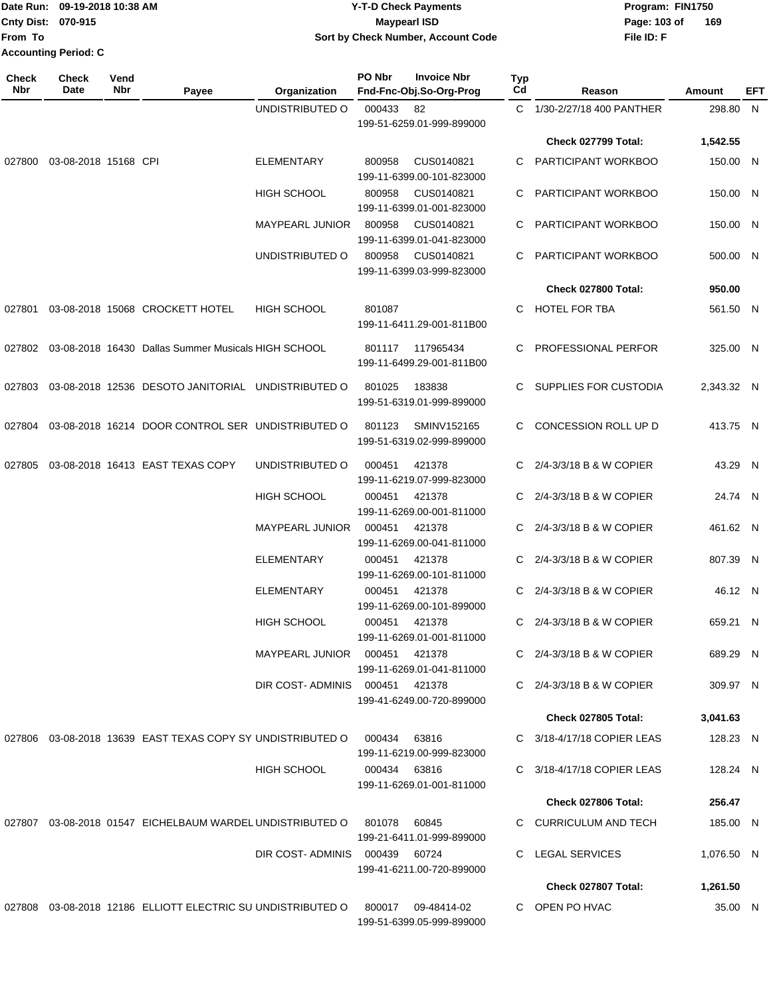|                             | Date Run: 09-19-2018 10:38 AM | <b>Y-T-D Check Payments</b>        | Program: FIN1750    |  |  |
|-----------------------------|-------------------------------|------------------------------------|---------------------|--|--|
| <b>Cnty Dist: 070-915</b>   |                               | Maypearl ISD                       | Page: 103 of<br>169 |  |  |
| lFrom To                    |                               | Sort by Check Number, Account Code | File ID: F          |  |  |
| <b>Accounting Period: C</b> |                               |                                    |                     |  |  |

| <b>Check</b><br>Nbr | <b>Check</b><br>Date | Vend<br>Nbr | Payee                                                        | Organization                   | PO Nbr       | <b>Invoice Nbr</b><br>Fnd-Fnc-Obj.So-Org-Prog   | <b>Typ</b><br>Cd | Reason                      | Amount     | <b>EFT</b> |
|---------------------|----------------------|-------------|--------------------------------------------------------------|--------------------------------|--------------|-------------------------------------------------|------------------|-----------------------------|------------|------------|
|                     |                      |             |                                                              | UNDISTRIBUTED O                | 000433       | 82<br>199-51-6259.01-999-899000                 |                  | C 1/30-2/27/18 400 PANTHER  | 298.80 N   |            |
|                     |                      |             |                                                              |                                |              |                                                 |                  | Check 027799 Total:         | 1,542.55   |            |
| 027800              | 03-08-2018 15168 CPI |             |                                                              | <b>ELEMENTARY</b>              | 800958       | CUS0140821<br>199-11-6399.00-101-823000         | C.               | PARTICIPANT WORKBOO         | 150.00 N   |            |
|                     |                      |             |                                                              | HIGH SCHOOL                    | 800958       | CUS0140821<br>199-11-6399.01-001-823000         | C.               | PARTICIPANT WORKBOO         | 150.00 N   |            |
|                     |                      |             |                                                              | <b>MAYPEARL JUNIOR</b>         | 800958       | CUS0140821<br>199-11-6399.01-041-823000         | C                | PARTICIPANT WORKBOO         | 150.00 N   |            |
|                     |                      |             |                                                              | UNDISTRIBUTED O                | 800958       | CUS0140821<br>199-11-6399.03-999-823000         | C.               | PARTICIPANT WORKBOO         | 500.00 N   |            |
|                     |                      |             |                                                              |                                |              |                                                 |                  | Check 027800 Total:         | 950.00     |            |
| 027801              |                      |             | 03-08-2018 15068 CROCKETT HOTEL                              | <b>HIGH SCHOOL</b>             | 801087       | 199-11-6411.29-001-811B00                       | C.               | <b>HOTEL FOR TBA</b>        | 561.50 N   |            |
| 027802              |                      |             | 03-08-2018 16430 Dallas Summer Musicals HIGH SCHOOL          |                                | 801117       | 117965434<br>199-11-6499.29-001-811B00          | C                | PROFESSIONAL PERFOR         | 325.00 N   |            |
| 027803              |                      |             | 03-08-2018 12536 DESOTO JANITORIAL UNDISTRIBUTED O           |                                | 801025       | 183838<br>199-51-6319.01-999-899000             | C.               | SUPPLIES FOR CUSTODIA       | 2,343.32 N |            |
| 027804              |                      |             | 03-08-2018 16214 DOOR CONTROL SER UNDISTRIBUTED O            |                                | 801123       | SMINV152165<br>199-51-6319.02-999-899000        | C.               | <b>CONCESSION ROLL UP D</b> | 413.75 N   |            |
| 027805              |                      |             | 03-08-2018 16413 EAST TEXAS COPY                             | UNDISTRIBUTED O                | 000451       | 421378<br>199-11-6219.07-999-823000             | C.               | 2/4-3/3/18 B & W COPIER     | 43.29 N    |            |
|                     |                      |             |                                                              | <b>HIGH SCHOOL</b>             | 000451       | 421378<br>199-11-6269.00-001-811000             | C                | 2/4-3/3/18 B & W COPIER     | 24.74 N    |            |
|                     |                      |             |                                                              | <b>MAYPEARL JUNIOR</b>         | 000451       | 421378<br>199-11-6269.00-041-811000             | C                | 2/4-3/3/18 B & W COPIER     | 461.62 N   |            |
|                     |                      |             |                                                              | <b>ELEMENTARY</b>              | 000451       | 421378<br>199-11-6269.00-101-811000             |                  | 2/4-3/3/18 B & W COPIER     | 807.39 N   |            |
|                     |                      |             |                                                              | <b>ELEMENTARY</b>              | 000451       | 421378<br>199-11-6269.00-101-899000             | C.               | 2/4-3/3/18 B & W COPIER     | 46.12 N    |            |
|                     |                      |             |                                                              | <b>HIGH SCHOOL</b>             | 000451       | 421378<br>199-11-6269.01-001-811000             |                  | C 2/4-3/3/18 B & W COPIER   | 659.21 N   |            |
|                     |                      |             |                                                              | MAYPEARL JUNIOR 000451         |              | 421378<br>199-11-6269.01-041-811000             |                  | $C$ 2/4-3/3/18 B & W COPIER | 689.29 N   |            |
|                     |                      |             |                                                              | DIR COST-ADMINIS 000451 421378 |              | 199-41-6249.00-720-899000                       |                  | C 2/4-3/3/18 B & W COPIER   | 309.97 N   |            |
|                     |                      |             |                                                              |                                |              |                                                 |                  | <b>Check 027805 Total:</b>  | 3,041.63   |            |
|                     |                      |             | 027806 03-08-2018 13639 EAST TEXAS COPY SY UNDISTRIBUTED O   |                                | 000434       | 63816<br>199-11-6219.00-999-823000              |                  | C 3/18-4/17/18 COPIER LEAS  | 128.23 N   |            |
|                     |                      |             |                                                              | <b>HIGH SCHOOL</b>             | 000434 63816 | 199-11-6269.01-001-811000                       |                  | C 3/18-4/17/18 COPIER LEAS  | 128.24 N   |            |
|                     |                      |             |                                                              |                                |              |                                                 |                  | <b>Check 027806 Total:</b>  | 256.47     |            |
|                     |                      |             | 027807  03-08-2018  01547  EICHELBAUM WARDEL UNDISTRIBUTED O |                                | 801078       | 60845<br>199-21-6411.01-999-899000              |                  | C CURRICULUM AND TECH       | 185.00 N   |            |
|                     |                      |             |                                                              | DIR COST-ADMINIS 000439 60724  |              | 199-41-6211.00-720-899000                       |                  | C LEGAL SERVICES            | 1,076.50 N |            |
|                     |                      |             |                                                              |                                |              |                                                 |                  | Check 027807 Total:         | 1,261.50   |            |
|                     |                      |             | 027808 03-08-2018 12186 ELLIOTT ELECTRIC SU UNDISTRIBUTED O  |                                |              | 800017 09-48414-02<br>199-51-6399.05-999-899000 |                  | C OPEN PO HVAC              | 35.00 N    |            |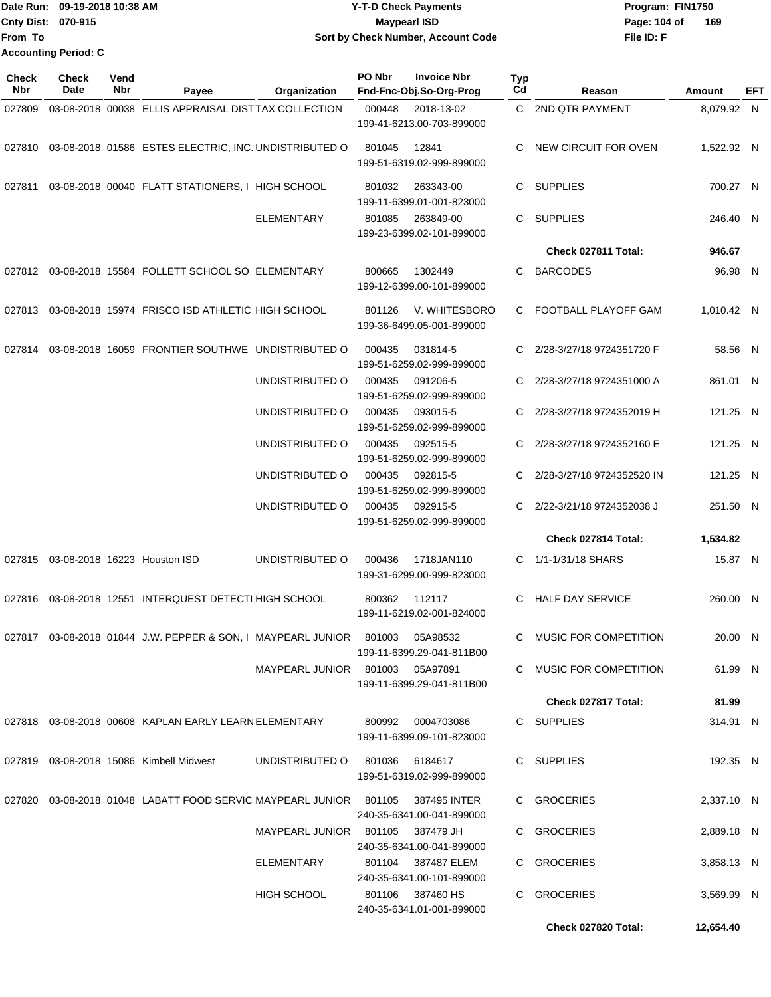|                             | Date Run: 09-19-2018 10:38 AM | Y-T-D Check Payments                      | Program: FIN1750    |  |  |
|-----------------------------|-------------------------------|-------------------------------------------|---------------------|--|--|
| <b>Cnty Dist: 070-915</b>   |                               | <b>Mavpearl ISD</b>                       | 169<br>Page: 104 of |  |  |
| lFrom To                    |                               | <b>Sort by Check Number, Account Code</b> | File ID: F          |  |  |
| <b>Accounting Period: C</b> |                               |                                           |                     |  |  |

| <b>Check</b><br>Nbr | <b>Check</b><br>Date | Vend<br>Nbr | Payee                                                             | Organization                     | PO Nbr | <b>Invoice Nbr</b><br>Fnd-Fnc-Obj.So-Org-Prog   | <b>Typ</b><br>Cd | Reason                     | Amount     | EFT |
|---------------------|----------------------|-------------|-------------------------------------------------------------------|----------------------------------|--------|-------------------------------------------------|------------------|----------------------------|------------|-----|
| 027809              |                      |             | 03-08-2018 00038 ELLIS APPRAISAL DISTTAX COLLECTION               |                                  | 000448 | 2018-13-02<br>199-41-6213.00-703-899000         |                  | C 2ND QTR PAYMENT          | 8,079.92 N |     |
|                     |                      |             | 027810 03-08-2018 01586 ESTES ELECTRIC, INC. UNDISTRIBUTED O      |                                  | 801045 | 12841<br>199-51-6319.02-999-899000              | С                | NEW CIRCUIT FOR OVEN       | 1,522.92 N |     |
| 027811              |                      |             | 03-08-2018 00040 FLATT STATIONERS, I HIGH SCHOOL                  |                                  | 801032 | 263343-00<br>199-11-6399.01-001-823000          | C                | <b>SUPPLIES</b>            | 700.27 N   |     |
|                     |                      |             |                                                                   | <b>ELEMENTARY</b>                | 801085 | 263849-00<br>199-23-6399.02-101-899000          | C.               | <b>SUPPLIES</b>            | 246.40 N   |     |
|                     |                      |             |                                                                   |                                  |        |                                                 |                  | Check 027811 Total:        | 946.67     |     |
| 027812              |                      |             | 03-08-2018 15584 FOLLETT SCHOOL SO ELEMENTARY                     |                                  | 800665 | 1302449<br>199-12-6399.00-101-899000            | C                | <b>BARCODES</b>            | 96.98 N    |     |
|                     |                      |             | 027813 03-08-2018 15974 FRISCO ISD ATHLETIC HIGH SCHOOL           |                                  | 801126 | V. WHITESBORO<br>199-36-6499.05-001-899000      | C                | FOOTBALL PLAYOFF GAM       | 1,010.42 N |     |
| 027814              |                      |             | 03-08-2018 16059 FRONTIER SOUTHWE UNDISTRIBUTED O                 |                                  | 000435 | 031814-5<br>199-51-6259.02-999-899000           | C                | 2/28-3/27/18 9724351720 F  | 58.56 N    |     |
|                     |                      |             |                                                                   | UNDISTRIBUTED O                  | 000435 | 091206-5<br>199-51-6259.02-999-899000           | C.               | 2/28-3/27/18 9724351000 A  | 861.01 N   |     |
|                     |                      |             |                                                                   | UNDISTRIBUTED O                  | 000435 | 093015-5<br>199-51-6259.02-999-899000           | C                | 2/28-3/27/18 9724352019 H  | 121.25 N   |     |
|                     |                      |             |                                                                   | UNDISTRIBUTED O                  | 000435 | 092515-5<br>199-51-6259.02-999-899000           | C                | 2/28-3/27/18 9724352160 E  | 121.25 N   |     |
|                     |                      |             |                                                                   | UNDISTRIBUTED O                  | 000435 | 092815-5<br>199-51-6259.02-999-899000           | C                | 2/28-3/27/18 9724352520 IN | 121.25 N   |     |
|                     |                      |             |                                                                   | UNDISTRIBUTED O                  | 000435 | 092915-5<br>199-51-6259.02-999-899000           | C                | 2/22-3/21/18 9724352038 J  | 251.50 N   |     |
|                     |                      |             |                                                                   |                                  |        |                                                 |                  | Check 027814 Total:        | 1,534.82   |     |
|                     |                      |             | 027815 03-08-2018 16223 Houston ISD                               | UNDISTRIBUTED O                  | 000436 | 1718JAN110<br>199-31-6299.00-999-823000         | C.               | 1/1-1/31/18 SHARS          | 15.87 N    |     |
|                     |                      |             | 027816 03-08-2018 12551 INTERQUEST DETECTI HIGH SCHOOL            |                                  | 800362 | 112117<br>199-11-6219.02-001-824000             | C                | <b>HALF DAY SERVICE</b>    | 260.00 N   |     |
|                     |                      |             | 027817  03-08-2018  01844  J.W. PEPPER & SON, I MAYPEARL JUNIOR   |                                  |        | 801003 05A98532<br>199-11-6399.29-041-811B00    |                  | C MUSIC FOR COMPETITION    | 20.00 N    |     |
|                     |                      |             |                                                                   | MAYPEARL JUNIOR 801003 05A97891  |        | 199-11-6399.29-041-811B00                       |                  | C MUSIC FOR COMPETITION    | 61.99 N    |     |
|                     |                      |             |                                                                   |                                  |        |                                                 |                  | Check 027817 Total:        | 81.99      |     |
|                     |                      |             | 027818  03-08-2018  00608  KAPLAN EARLY LEARN ELEMENTARY          |                                  |        | 800992 0004703086<br>199-11-6399.09-101-823000  |                  | C SUPPLIES                 | 314.91 N   |     |
|                     |                      |             | 027819 03-08-2018 15086 Kimbell Midwest                           | UNDISTRIBUTED O                  |        | 801036 6184617<br>199-51-6319.02-999-899000     |                  | C SUPPLIES                 | 192.35 N   |     |
|                     |                      |             | 027820 03-08-2018 01048 LABATT FOOD SERVIC MAYPEARL JUNIOR 801105 |                                  |        | 387495 INTER<br>240-35-6341.00-041-899000       |                  | C GROCERIES                | 2,337.10 N |     |
|                     |                      |             |                                                                   | MAYPEARL JUNIOR 801105 387479 JH |        | 240-35-6341.00-041-899000                       |                  | C GROCERIES                | 2,889.18 N |     |
|                     |                      |             |                                                                   | ELEMENTARY                       |        | 801104 387487 ELEM<br>240-35-6341.00-101-899000 |                  | C GROCERIES                | 3,858.13 N |     |
|                     |                      |             |                                                                   | HIGH SCHOOL                      |        | 801106 387460 HS<br>240-35-6341.01-001-899000   |                  | C GROCERIES                | 3,569.99 N |     |
|                     |                      |             |                                                                   |                                  |        |                                                 |                  | Check 027820 Total:        | 12,654.40  |     |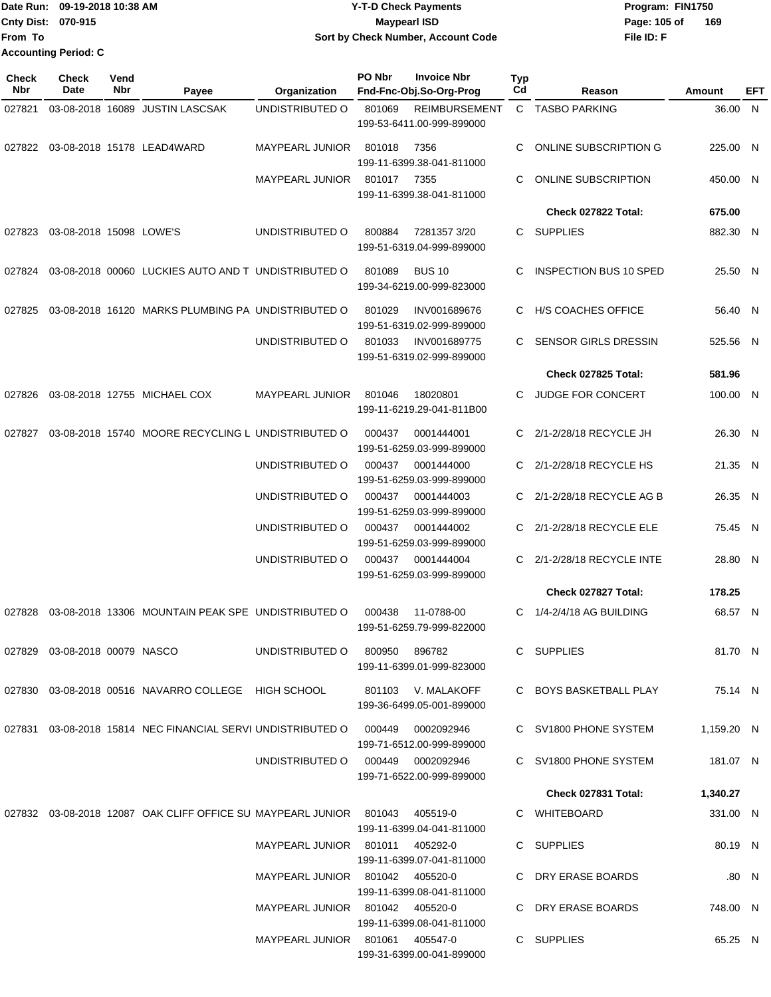**Date Run: Program: FIN1750 Cnty Dist: Page: 105 of File ID: F From To 09-19-2018 10:38 AM Y-T-D Check Payments 070-915 Maypearl ISD Sort by Check Number, Account Code Accounting Period: C**

**169**

| <b>Check</b><br><b>Nbr</b> | <b>Check</b><br>Date             | Vend<br>Nbr | Payee                                                                              | Organization                                                       | PO Nbr           | <b>Invoice Nbr</b><br>Fnd-Fnc-Obj.So-Org-Prog         | Typ<br>C <sub>d</sub> | Reason                                              | Amount             | EFT   |
|----------------------------|----------------------------------|-------------|------------------------------------------------------------------------------------|--------------------------------------------------------------------|------------------|-------------------------------------------------------|-----------------------|-----------------------------------------------------|--------------------|-------|
| 027821                     |                                  |             | 03-08-2018 16089 JUSTIN LASCSAK                                                    | UNDISTRIBUTED O                                                    | 801069           | <b>REIMBURSEMENT</b><br>199-53-6411.00-999-899000     |                       | C TASBO PARKING                                     | 36.00 N            |       |
| 027822                     |                                  |             | 03-08-2018 15178 LEAD4WARD                                                         | <b>MAYPEARL JUNIOR</b>                                             | 801018           | 7356<br>199-11-6399.38-041-811000                     | C                     | ONLINE SUBSCRIPTION G                               | 225.00 N           |       |
|                            |                                  |             |                                                                                    | <b>MAYPEARL JUNIOR</b>                                             | 801017           | 7355<br>199-11-6399.38-041-811000                     | C                     | <b>ONLINE SUBSCRIPTION</b>                          | 450.00 N           |       |
|                            |                                  |             |                                                                                    |                                                                    |                  |                                                       |                       | Check 027822 Total:                                 | 675.00             |       |
| 027823                     | 03-08-2018 15098 LOWE'S          |             |                                                                                    | UNDISTRIBUTED O                                                    | 800884           | 7281357 3/20<br>199-51-6319.04-999-899000             | C                     | <b>SUPPLIES</b>                                     | 882.30 N           |       |
| 027824                     |                                  |             | 03-08-2018 00060 LUCKIES AUTO AND T UNDISTRIBUTED O                                |                                                                    | 801089           | <b>BUS 10</b><br>199-34-6219.00-999-823000            | C                     | <b>INSPECTION BUS 10 SPED</b>                       | 25.50 N            |       |
| 027825                     |                                  |             | 03-08-2018 16120 MARKS PLUMBING PA UNDISTRIBUTED O                                 |                                                                    | 801029           | INV001689676<br>199-51-6319.02-999-899000             | C                     | <b>H/S COACHES OFFICE</b>                           | 56.40 N            |       |
|                            |                                  |             |                                                                                    | UNDISTRIBUTED O                                                    | 801033           | INV001689775<br>199-51-6319.02-999-899000             |                       | <b>SENSOR GIRLS DRESSIN</b>                         | 525.56 N           |       |
|                            |                                  |             |                                                                                    |                                                                    |                  |                                                       |                       | Check 027825 Total:                                 | 581.96             |       |
| 027826                     |                                  |             | 03-08-2018 12755 MICHAEL COX                                                       | <b>MAYPEARL JUNIOR</b>                                             | 801046           | 18020801<br>199-11-6219.29-041-811B00                 |                       | JUDGE FOR CONCERT                                   | 100.00 N           |       |
| 027827                     |                                  |             | 03-08-2018 15740 MOORE RECYCLING L UNDISTRIBUTED O                                 |                                                                    | 000437           | 0001444001<br>199-51-6259.03-999-899000               | C.                    | 2/1-2/28/18 RECYCLE JH                              | 26.30 N            |       |
|                            |                                  |             |                                                                                    | UNDISTRIBUTED O                                                    | 000437           | 0001444000<br>199-51-6259.03-999-899000               | C.                    | 2/1-2/28/18 RECYCLE HS                              | 21.35 N            |       |
|                            |                                  |             |                                                                                    | UNDISTRIBUTED O                                                    | 000437           | 0001444003<br>199-51-6259.03-999-899000               |                       | 2/1-2/28/18 RECYCLE AG B                            | 26.35 N            |       |
|                            |                                  |             |                                                                                    | UNDISTRIBUTED O<br>UNDISTRIBUTED O                                 | 000437<br>000437 | 0001444002<br>199-51-6259.03-999-899000<br>0001444004 | C<br>C                | 2/1-2/28/18 RECYCLE ELE<br>2/1-2/28/18 RECYCLE INTE | 75.45 N<br>28.80 N |       |
|                            |                                  |             |                                                                                    |                                                                    |                  | 199-51-6259.03-999-899000                             |                       | Check 027827 Total:                                 | 178.25             |       |
|                            |                                  |             |                                                                                    |                                                                    |                  |                                                       |                       |                                                     |                    |       |
| 027828                     |                                  |             | 03-08-2018 13306 MOUNTAIN PEAK SPE UNDISTRIBUTED O                                 |                                                                    | 000438           | 11-0788-00<br>199-51-6259.79-999-822000               | C                     | 1/4-2/4/18 AG BUILDING                              | 68.57 N            |       |
|                            | 027829  03-08-2018  00079  NASCO |             |                                                                                    |                                                                    |                  | 199-11-6399.01-999-823000                             |                       | C SUPPLIES                                          | 81.70 N            |       |
|                            |                                  |             | 027830 03-08-2018 00516 NAVARRO COLLEGE HIGH SCHOOL 6901103 V. MALAKOFF            |                                                                    |                  | 199-36-6499.05-001-899000                             |                       | C BOYS BASKETBALL PLAY                              | 75.14 N            |       |
|                            |                                  |             | 027831  03-08-2018  15814  NEC FINANCIAL SERVI UNDISTRIBUTED O  000449  0002092946 |                                                                    |                  | 199-71-6512.00-999-899000                             |                       | C SV1800 PHONE SYSTEM                               | 1,159.20 N         |       |
|                            |                                  |             |                                                                                    | UNDISTRIBUTED 0 000449 0002092946                                  |                  | 199-71-6522.00-999-899000                             |                       | C SV1800 PHONE SYSTEM                               | 181.07 N           |       |
|                            |                                  |             |                                                                                    |                                                                    |                  |                                                       |                       | Check 027831 Total:                                 | 1,340.27           |       |
|                            |                                  |             | 027832  03-08-2018  12087  OAK CLIFF OFFICE SU MAYPEARL JUNIOR  801043  405519-0   |                                                                    |                  | 199-11-6399.04-041-811000                             |                       | C WHITEBOARD                                        | 331.00 N           |       |
|                            |                                  |             |                                                                                    | MAYPEARL JUNIOR 801011 405292-0                                    |                  | 199-11-6399.07-041-811000                             |                       | C SUPPLIES                                          | 80.19 N            |       |
|                            |                                  |             |                                                                                    | MAYPEARL JUNIOR 801042 405520-0<br>MAYPEARL JUNIOR 801042 405520-0 |                  | 199-11-6399.08-041-811000                             |                       | C DRY ERASE BOARDS<br>C DRY ERASE BOARDS            | 748.00 N           | .80 N |
|                            |                                  |             |                                                                                    |                                                                    |                  | 199-11-6399.08-041-811000                             |                       |                                                     |                    |       |
|                            |                                  |             |                                                                                    | MAYPEARL JUNIOR 801061 405547-0                                    |                  |                                                       |                       | C SUPPLIES                                          | 65.25 N            |       |

199-31-6399.00-041-899000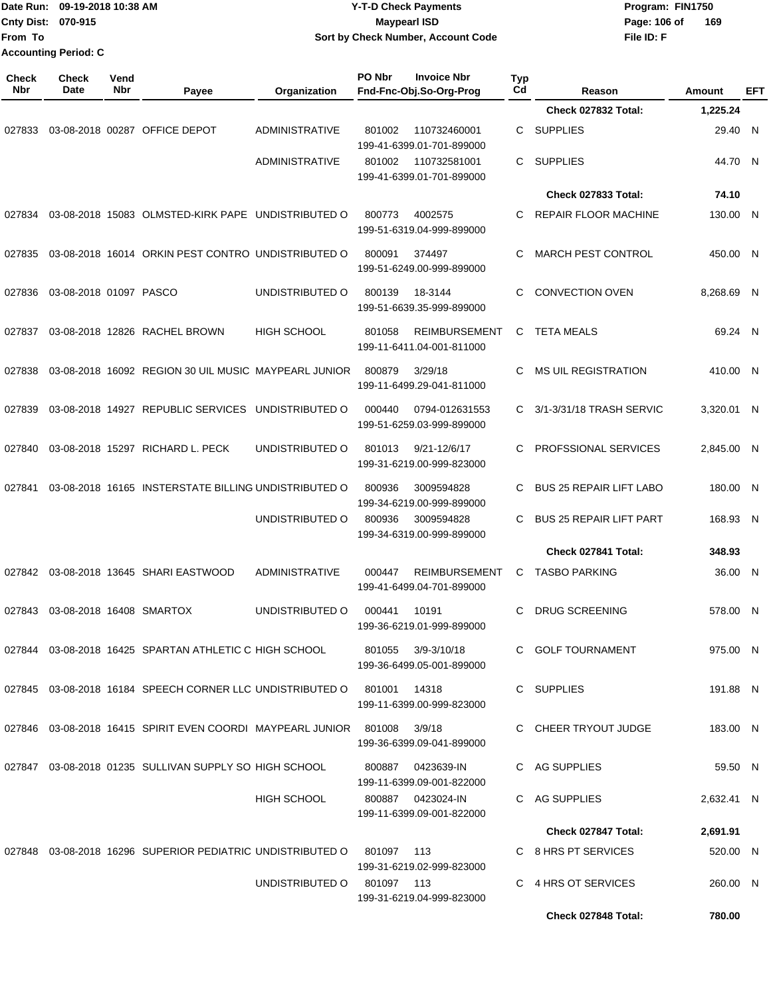| Date Run:<br>From To | 09-19-2018 10:38 AM<br>Cnty Dist: 070-915<br><b>Accounting Period: C</b> |             |                                                                            |                            | <b>Y-T-D Check Payments</b><br><b>Maypearl ISD</b><br>Sort by Check Number, Account Code |                       | File ID: F                     | Program: FIN1750<br>Page: 106 of<br>169 |     |
|----------------------|--------------------------------------------------------------------------|-------------|----------------------------------------------------------------------------|----------------------------|------------------------------------------------------------------------------------------|-----------------------|--------------------------------|-----------------------------------------|-----|
| <b>Check</b><br>Nbr  | Check<br>Date                                                            | Vend<br>Nbr | Payee                                                                      | Organization               | PO Nbr<br><b>Invoice Nbr</b><br>Fnd-Fnc-Obj.So-Org-Prog                                  | Typ<br>C <sub>d</sub> | Reason                         | <b>Amount</b>                           | EFT |
|                      |                                                                          |             |                                                                            |                            |                                                                                          |                       | Check 027832 Total:            | 1,225.24                                |     |
| 027833               |                                                                          |             | 03-08-2018 00287 OFFICE DEPOT                                              | <b>ADMINISTRATIVE</b>      | 801002<br>110732460001<br>199-41-6399.01-701-899000                                      | C                     | <b>SUPPLIES</b>                | 29.40 N                                 |     |
|                      |                                                                          |             |                                                                            | ADMINISTRATIVE             | 801002<br>110732581001<br>199-41-6399.01-701-899000                                      | C                     | <b>SUPPLIES</b>                | 44.70 N                                 |     |
|                      |                                                                          |             |                                                                            |                            |                                                                                          |                       | Check 027833 Total:            | 74.10                                   |     |
| 027834               |                                                                          |             | 03-08-2018 15083 OLMSTED-KIRK PAPE UNDISTRIBUTED O                         |                            | 800773<br>4002575<br>199-51-6319.04-999-899000                                           | C                     | <b>REPAIR FLOOR MACHINE</b>    | 130.00 N                                |     |
| 027835               |                                                                          |             | 03-08-2018 16014 ORKIN PEST CONTRO UNDISTRIBUTED O                         |                            | 800091<br>374497<br>199-51-6249.00-999-899000                                            | С                     | <b>MARCH PEST CONTROL</b>      | 450.00 N                                |     |
| 027836               | 03-08-2018 01097 PASCO                                                   |             |                                                                            | UNDISTRIBUTED O            | 18-3144<br>800139<br>199-51-6639.35-999-899000                                           | C                     | <b>CONVECTION OVEN</b>         | 8.268.69 N                              |     |
| 027837               |                                                                          |             | 03-08-2018 12826 RACHEL BROWN                                              | <b>HIGH SCHOOL</b>         | 801058<br><b>REIMBURSEMENT</b><br>199-11-6411.04-001-811000                              | C                     | <b>TETA MEALS</b>              | 69.24 N                                 |     |
| 027838               |                                                                          |             | 03-08-2018 16092 REGION 30 UIL MUSIC MAYPEARL JUNIOR                       |                            | 3/29/18<br>800879<br>199-11-6499.29-041-811000                                           | C                     | <b>MS UIL REGISTRATION</b>     | 410.00 N                                |     |
| 027839               |                                                                          |             | 03-08-2018 14927 REPUBLIC SERVICES                                         | UNDISTRIBUTED O            | 000440<br>0794-012631553<br>199-51-6259.03-999-899000                                    | C.                    | 3/1-3/31/18 TRASH SERVIC       | 3,320.01 N                              |     |
| 027840               |                                                                          |             | 03-08-2018 15297 RICHARD L. PECK                                           | UNDISTRIBUTED O            | 801013<br>$9/21 - 12/6/17$<br>199-31-6219.00-999-823000                                  | C                     | PROFSSIONAL SERVICES           | 2,845.00 N                              |     |
| 027841               |                                                                          |             | 03-08-2018 16165 INSTERSTATE BILLING UNDISTRIBUTED O                       |                            | 800936<br>3009594828<br>199-34-6219.00-999-899000                                        | C                     | <b>BUS 25 REPAIR LIFT LABO</b> | 180.00 N                                |     |
|                      |                                                                          |             |                                                                            | UNDISTRIBUTED O            | 800936<br>3009594828<br>199-34-6319.00-999-899000                                        | C                     | <b>BUS 25 REPAIR LIFT PART</b> | 168.93 N                                |     |
|                      |                                                                          |             |                                                                            |                            |                                                                                          |                       | Check 027841 Total:            | 348.93                                  |     |
|                      |                                                                          |             | 027842 03-08-2018 13645 SHARI EASTWOOD                                     | <b>ADMINISTRATIVE</b>      | 000447 REIMBURSEMENT C TASBO PARKING<br>199-41-6499.04-701-899000                        |                       |                                | 36.00 N                                 |     |
|                      |                                                                          |             | 027843  03-08-2018  16408  SMARTOX                                         | UNDISTRIBUTED O            | 10191<br>000441<br>199-36-6219.01-999-899000                                             |                       | C DRUG SCREENING               | 578.00 N                                |     |
|                      |                                                                          |             | 027844 03-08-2018 16425 SPARTAN ATHLETIC C HIGH SCHOOL                     |                            | 801055 3/9-3/10/18<br>199-36-6499.05-001-899000                                          |                       | C GOLF TOURNAMENT              | 975.00 N                                |     |
|                      |                                                                          |             | 027845 03-08-2018 16184 SPEECH CORNER LLC UNDISTRIBUTED O 801001 14318     |                            | 199-11-6399.00-999-823000                                                                |                       | C SUPPLIES                     | 191.88 N                                |     |
|                      |                                                                          |             | 027846  03-08-2018  16415  SPIRIT EVEN COORDI MAYPEARL JUNIOR  801008      |                            | 3/9/18<br>199-36-6399.09-041-899000                                                      |                       | C CHEER TRYOUT JUDGE           | 183.00 N                                |     |
|                      |                                                                          |             | 027847 03-08-2018 01235 SULLIVAN SUPPLY SO HIGH SCHOOL                     |                            | 800887 0423639-IN<br>199-11-6399.09-001-822000                                           |                       | C AG SUPPLIES                  | 59.50 N                                 |     |
|                      |                                                                          |             |                                                                            | HIGH SCHOOL                | 800887 0423024-IN<br>199-11-6399.09-001-822000                                           |                       | C AG SUPPLIES                  | 2,632.41 N                              |     |
|                      |                                                                          |             |                                                                            |                            |                                                                                          |                       | Check 027847 Total:            | 2,691.91                                |     |
|                      |                                                                          |             | 027848  03-08-2018  16296  SUPERIOR PEDIATRIC UNDISTRIBUTED O  801097  113 |                            | 199-31-6219.02-999-823000                                                                |                       | C 8 HRS PT SERVICES            | 520.00 N                                |     |
|                      |                                                                          |             |                                                                            | UNDISTRIBUTED O 801097 113 | 199-31-6219.04-999-823000                                                                |                       | C 4 HRS OT SERVICES            | 260.00 N                                |     |
|                      |                                                                          |             |                                                                            |                            |                                                                                          |                       | Check 027848 Total:            | 780.00                                  |     |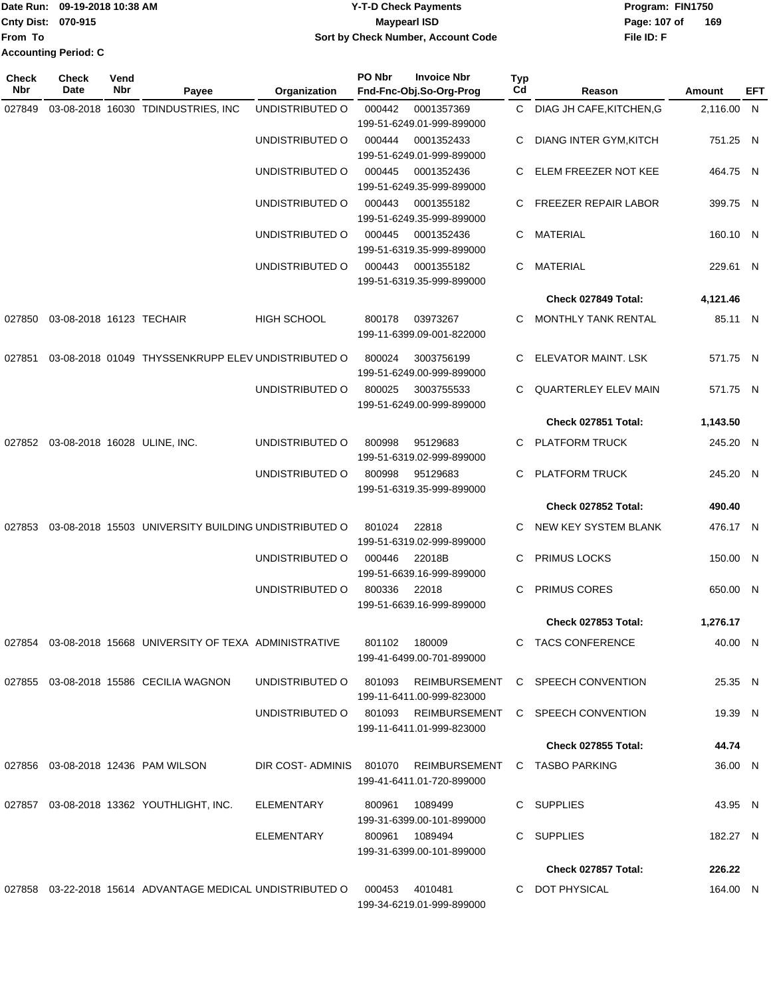|                             | Date Run: 09-19-2018 10:38 AM | <b>Y-T-D Check Payments</b>        | Program: FIN1750    |
|-----------------------------|-------------------------------|------------------------------------|---------------------|
| <b>Cnty Dist: 070-915</b>   |                               | Maypearl ISD                       | 169<br>Page: 107 of |
| lFrom To                    |                               | Sort by Check Number, Account Code | File ID: F          |
| <b>Accounting Period: C</b> |                               |                                    |                     |

| Check<br>Nbr | <b>Check</b><br>Date                | Vend<br>Nbr | Payee                                                        | Organization            | PO Nbr                                | <b>Invoice Nbr</b><br>Fnd-Fnc-Obj.So-Org-Prog | Typ<br>Cd             | Reason                                                   | Amount     | EFT |
|--------------|-------------------------------------|-------------|--------------------------------------------------------------|-------------------------|---------------------------------------|-----------------------------------------------|-----------------------|----------------------------------------------------------|------------|-----|
| 027849       |                                     |             | 03-08-2018 16030 TDINDUSTRIES, INC                           | UNDISTRIBUTED O         | 000442                                | 0001357369<br>199-51-6249.01-999-899000       |                       | C DIAG JH CAFE, KITCHEN, G                               | 2,116.00 N |     |
|              |                                     |             |                                                              | UNDISTRIBUTED O         | 000444                                | 0001352433<br>199-51-6249.01-999-899000       | С                     | <b>DIANG INTER GYM, KITCH</b>                            | 751.25 N   |     |
|              |                                     |             |                                                              | UNDISTRIBUTED O         | 000445                                | 0001352436<br>199-51-6249.35-999-899000       | C                     | ELEM FREEZER NOT KEE                                     | 464.75 N   |     |
|              |                                     |             |                                                              | UNDISTRIBUTED O         | 000443                                | 0001355182<br>199-51-6249.35-999-899000       |                       | C FREEZER REPAIR LABOR                                   | 399.75 N   |     |
|              |                                     |             |                                                              | UNDISTRIBUTED O         | 000445                                | 0001352436<br>199-51-6319.35-999-899000       |                       | C MATERIAL                                               | 160.10 N   |     |
|              |                                     |             |                                                              | UNDISTRIBUTED O         | 000443                                | 0001355182<br>199-51-6319.35-999-899000       | C                     | MATERIAL                                                 | 229.61 N   |     |
|              |                                     |             |                                                              |                         |                                       |                                               |                       | Check 027849 Total:                                      | 4,121.46   |     |
| 027850       | 03-08-2018 16123 TECHAIR            |             |                                                              | HIGH SCHOOL             | 800178                                | 03973267<br>199-11-6399.09-001-822000         | C.                    | MONTHLY TANK RENTAL                                      | 85.11 N    |     |
| 027851       |                                     |             | 03-08-2018 01049 THYSSENKRUPP ELEV UNDISTRIBUTED O           |                         | 800024                                | 3003756199<br>199-51-6249.00-999-899000       | C                     | ELEVATOR MAINT. LSK                                      | 571.75 N   |     |
|              |                                     |             |                                                              | UNDISTRIBUTED O         | 800025                                | 3003755533<br>199-51-6249.00-999-899000       | C                     | <b>QUARTERLEY ELEV MAIN</b>                              | 571.75 N   |     |
|              |                                     |             |                                                              |                         |                                       |                                               |                       | Check 027851 Total:                                      | 1,143.50   |     |
|              | 027852 03-08-2018 16028 ULINE, INC. |             |                                                              | UNDISTRIBUTED O         | 800998                                | 95129683<br>199-51-6319.02-999-899000         | С                     | <b>PLATFORM TRUCK</b>                                    | 245.20 N   |     |
|              |                                     |             | UNDISTRIBUTED O                                              | 800998                  | 95129683<br>199-51-6319.35-999-899000 | C                                             | <b>PLATFORM TRUCK</b> | 245.20 N                                                 |            |     |
|              |                                     |             |                                                              |                         |                                       |                                               |                       | Check 027852 Total:                                      | 490.40     |     |
| 027853       |                                     |             | 03-08-2018 15503 UNIVERSITY BUILDING UNDISTRIBUTED O         |                         | 801024                                | 22818<br>199-51-6319.02-999-899000            | C.                    | NEW KEY SYSTEM BLANK                                     | 476.17 N   |     |
|              |                                     |             |                                                              | UNDISTRIBUTED O         | 000446                                | 22018B<br>199-51-6639.16-999-899000           | С                     | PRIMUS LOCKS                                             | 150.00 N   |     |
|              |                                     |             |                                                              | UNDISTRIBUTED O         | 800336                                | 22018<br>199-51-6639.16-999-899000            | С                     | PRIMUS CORES                                             | 650.00 N   |     |
|              |                                     |             |                                                              |                         |                                       |                                               |                       | Check 027853 Total:                                      | 1,276.17   |     |
|              |                                     |             | 027854 03-08-2018 15668 UNIVERSITY OF TEXA ADMINISTRATIVE    |                         |                                       | 801102 180009<br>199-41-6499.00-701-899000    |                       | C TACS CONFERENCE                                        | 40.00 N    |     |
|              |                                     |             | 027855 03-08-2018 15586 CECILIA WAGNON                       | UNDISTRIBUTED O         |                                       | 199-11-6411.00-999-823000                     |                       | 801093 REIMBURSEMENT C SPEECH CONVENTION                 | 25.35 N    |     |
|              |                                     |             |                                                              |                         |                                       | 199-11-6411.01-999-823000                     |                       | UNDISTRIBUTED O 801093 REIMBURSEMENT C SPEECH CONVENTION | 19.39 N    |     |
|              |                                     |             |                                                              |                         |                                       |                                               |                       | <b>Check 027855 Total:</b>                               | 44.74      |     |
|              |                                     |             | 027856 03-08-2018 12436 PAM WILSON                           | DIR COST-ADMINIS 801070 |                                       | REIMBURSEMENT<br>199-41-6411.01-720-899000    |                       | C TASBO PARKING                                          | 36.00 N    |     |
|              |                                     |             | 027857 03-08-2018 13362 YOUTHLIGHT, INC.                     | ELEMENTARY              |                                       | 800961 1089499<br>199-31-6399.00-101-899000   |                       | C SUPPLIES                                               | 43.95 N    |     |
|              |                                     |             |                                                              | ELEMENTARY              |                                       | 800961 1089494<br>199-31-6399.00-101-899000   |                       | C SUPPLIES                                               | 182.27 N   |     |
|              |                                     |             |                                                              |                         |                                       |                                               |                       | Check 027857 Total:                                      | 226.22     |     |
|              |                                     |             | 027858  03-22-2018  15614  ADVANTAGE MEDICAL UNDISTRIBUTED O |                         | 000453                                | 4010481<br>199-34-6219.01-999-899000          |                       | C DOT PHYSICAL                                           | 164.00 N   |     |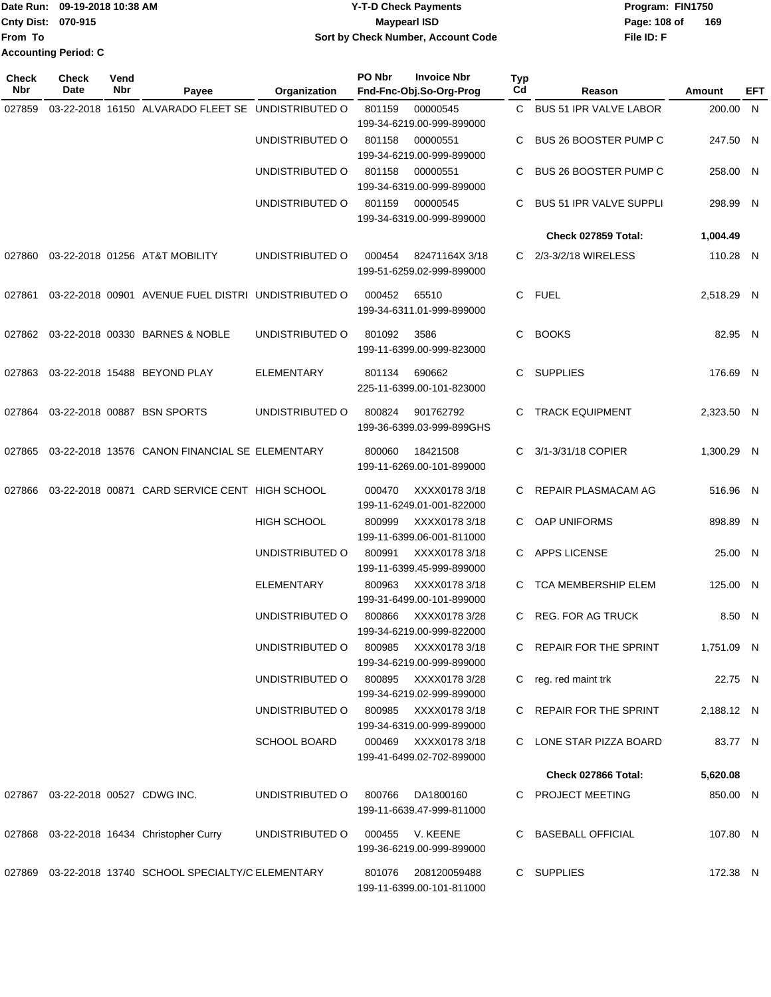Date Run: 09-19-2018 10:38 AM **CONTEX 18 AM CONTEX 18 AM CONTEX 17-T-D** Check Payments **CONTEX 18 AM CONTEX 18 AM CONTEX 18 AM CONTEX 18 AM CONTEX 18 AM CONTEX 18 AM CONTEX 18 AM CONTEX 18 AM CONTEX 19 AM CONTEX 19 AM CONT Cnty Dist:** 070-915 **Page:** 108 of **From To 09-19-2018 10:38 AM Y-T-D Check Payments 070-915 Maypearl ISD Sort by Check Number, Account Code Accounting Period: C**

| <b>Check</b><br>Nbr | Check<br>Date                     | Vend<br>Nbr | Payee                                                 | Organization                         | PO Nbr | <b>Invoice Nbr</b><br>Fnd-Fnc-Obj.So-Org-Prog     | Typ<br>Cd | Reason                         | Amount     | EFT |
|---------------------|-----------------------------------|-------------|-------------------------------------------------------|--------------------------------------|--------|---------------------------------------------------|-----------|--------------------------------|------------|-----|
| 027859              |                                   |             | 03-22-2018 16150 ALVARADO FLEET SE UNDISTRIBUTED O    |                                      | 801159 | 00000545<br>199-34-6219.00-999-899000             | C.        | <b>BUS 51 IPR VALVE LABOR</b>  | 200.00 N   |     |
|                     |                                   |             |                                                       | UNDISTRIBUTED O                      | 801158 | 00000551<br>199-34-6219.00-999-899000             | С         | <b>BUS 26 BOOSTER PUMP C</b>   | 247.50 N   |     |
|                     |                                   |             |                                                       | UNDISTRIBUTED O                      | 801158 | 00000551<br>199-34-6319.00-999-899000             | С         | <b>BUS 26 BOOSTER PUMP C</b>   | 258.00 N   |     |
|                     |                                   |             |                                                       | UNDISTRIBUTED O                      | 801159 | 00000545<br>199-34-6319.00-999-899000             | С         | <b>BUS 51 IPR VALVE SUPPLI</b> | 298.99 N   |     |
|                     |                                   |             |                                                       |                                      |        |                                                   |           | Check 027859 Total:            | 1,004.49   |     |
| 027860              |                                   |             | 03-22-2018 01256 AT&T MOBILITY                        | UNDISTRIBUTED O                      | 000454 | 82471164X 3/18<br>199-51-6259.02-999-899000       |           | C 2/3-3/2/18 WIRELESS          | 110.28 N   |     |
| 027861              |                                   |             | 03-22-2018 00901 AVENUE FUEL DISTRI UNDISTRIBUTED O   |                                      | 000452 | 65510<br>199-34-6311.01-999-899000                | C.        | <b>FUEL</b>                    | 2,518.29 N |     |
|                     |                                   |             | 027862 03-22-2018 00330 BARNES & NOBLE                | UNDISTRIBUTED O                      | 801092 | 3586<br>199-11-6399.00-999-823000                 | C         | <b>BOOKS</b>                   | 82.95 N    |     |
| 027863              |                                   |             | 03-22-2018 15488 BEYOND PLAY                          | <b>ELEMENTARY</b>                    | 801134 | 690662<br>225-11-6399.00-101-823000               | C.        | <b>SUPPLIES</b>                | 176.69 N   |     |
|                     |                                   |             | 027864 03-22-2018 00887 BSN SPORTS                    | UNDISTRIBUTED O                      | 800824 | 901762792<br>199-36-6399.03-999-899GHS            | С         | <b>TRACK EQUIPMENT</b>         | 2,323.50 N |     |
| 027865              |                                   |             | 03-22-2018 13576 CANON FINANCIAL SE ELEMENTARY        |                                      | 800060 | 18421508<br>199-11-6269.00-101-899000             | C         | 3/1-3/31/18 COPIER             | 1,300.29 N |     |
| 027866              |                                   |             | 03-22-2018 00871 CARD SERVICE CENT HIGH SCHOOL        |                                      | 000470 | XXXX0178 3/18<br>199-11-6249.01-001-822000        | C         | REPAIR PLASMACAM AG            | 516.96 N   |     |
|                     |                                   |             |                                                       | <b>HIGH SCHOOL</b>                   | 800999 | XXXX01783/18<br>199-11-6399.06-001-811000         | C.        | <b>OAP UNIFORMS</b>            | 898.89 N   |     |
|                     |                                   |             |                                                       | UNDISTRIBUTED O                      | 800991 | XXXX01783/18<br>199-11-6399.45-999-899000         |           | C APPS LICENSE                 | 25.00 N    |     |
|                     |                                   |             |                                                       | <b>ELEMENTARY</b>                    | 800963 | XXXX01783/18<br>199-31-6499.00-101-899000         | C.        | <b>TCA MEMBERSHIP ELEM</b>     | 125.00 N   |     |
|                     |                                   |             |                                                       | UNDISTRIBUTED O                      | 800866 | XXXX0178 3/28<br>199-34-6219.00-999-822000        | C.        | <b>REG. FOR AG TRUCK</b>       | 8.50 N     |     |
|                     |                                   |             |                                                       | UNDISTRIBUTED O                      |        | 800985 XXXX0178 3/18<br>199-34-6219.00-999-899000 |           | C REPAIR FOR THE SPRINT        | 1,751.09 N |     |
|                     |                                   |             |                                                       | UNDISTRIBUTED O 800895 XXXX0178 3/28 |        | 199-34-6219.02-999-899000                         |           | C reg. red maint trk           | 22.75 N    |     |
|                     |                                   |             |                                                       | UNDISTRIBUTED O 800985 XXXX0178 3/18 |        | 199-34-6319.00-999-899000                         |           | C REPAIR FOR THE SPRINT        | 2,188.12 N |     |
|                     |                                   |             |                                                       | SCHOOL BOARD                         |        | 000469 XXXX0178 3/18<br>199-41-6499.02-702-899000 |           | C LONE STAR PIZZA BOARD        | 83.77 N    |     |
|                     |                                   |             |                                                       |                                      |        |                                                   |           | Check 027866 Total:            | 5,620.08   |     |
|                     | 027867 03-22-2018 00527 CDWG INC. |             |                                                       | UNDISTRIBUTED O                      | 800766 | DA1800160<br>199-11-6639.47-999-811000            |           | C PROJECT MEETING              | 850.00 N   |     |
|                     |                                   |             | 027868 03-22-2018 16434 Christopher Curry             | UNDISTRIBUTED O                      |        | 000455 V. KEENE<br>199-36-6219.00-999-899000      |           | C BASEBALL OFFICIAL            | 107.80 N   |     |
|                     |                                   |             | 027869 03-22-2018 13740 SCHOOL SPECIALTY/C ELEMENTARY |                                      |        | 801076 208120059488<br>199-11-6399.00-101-811000  |           | C SUPPLIES                     | 172.38 N   |     |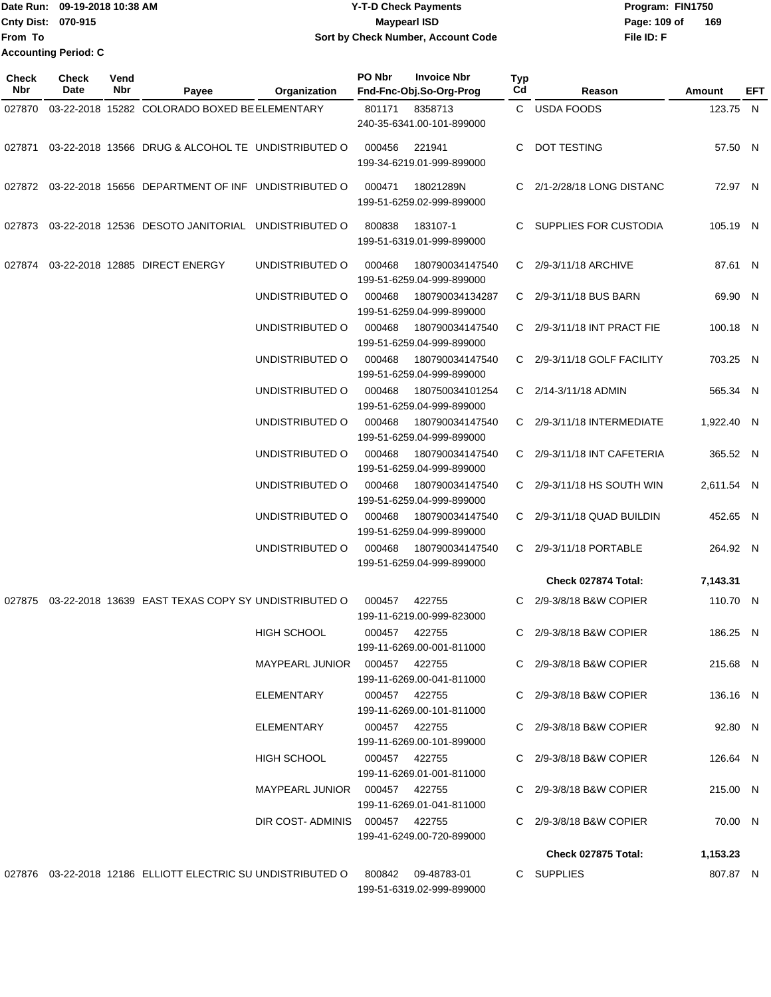Date Run: 09-19-2018 10:38 AM **Program:** FIN1750 **Cnty Dist: 070-915 File ID: F From To 09-19-2018 10:38 AM Y-T-D Check Payments 070-915 Maypearl ISD Sort by Check Number, Account Code** Page: 109 of 169 **Accounting Period: C**

| Check<br><b>Nbr</b> | <b>Check</b><br>Date | Vend<br>Nbr | Payee                                                                               | Organization                    | PO Nbr        | <b>Invoice Nbr</b><br>Fnd-Fnc-Obj.So-Org-Prog | Typ<br>Cd | Reason                      | Amount     | EFT |
|---------------------|----------------------|-------------|-------------------------------------------------------------------------------------|---------------------------------|---------------|-----------------------------------------------|-----------|-----------------------------|------------|-----|
| 027870              |                      |             | 03-22-2018 15282 COLORADO BOXED BE ELEMENTARY                                       |                                 | 801171        | 8358713                                       |           | C USDA FOODS                | 123.75 N   |     |
|                     |                      |             |                                                                                     |                                 |               | 240-35-6341.00-101-899000                     |           |                             |            |     |
| 027871              |                      |             | 03-22-2018 13566 DRUG & ALCOHOL TE UNDISTRIBUTED O                                  |                                 | 000456        | 221941<br>199-34-6219.01-999-899000           | C         | DOT TESTING                 | 57.50 N    |     |
|                     |                      |             | 027872 03-22-2018 15656 DEPARTMENT OF INF UNDISTRIBUTED O                           |                                 | 000471        | 18021289N<br>199-51-6259.02-999-899000        |           | C 2/1-2/28/18 LONG DISTANC  | 72.97 N    |     |
|                     |                      |             | 027873 03-22-2018 12536 DESOTO JANITORIAL UNDISTRIBUTED O                           |                                 | 800838        | 183107-1<br>199-51-6319.01-999-899000         |           | C SUPPLIES FOR CUSTODIA     | 105.19 N   |     |
| 027874              |                      |             | 03-22-2018 12885 DIRECT ENERGY                                                      | UNDISTRIBUTED O                 | 000468        | 180790034147540<br>199-51-6259.04-999-899000  |           | C 2/9-3/11/18 ARCHIVE       | 87.61 N    |     |
|                     |                      |             |                                                                                     | UNDISTRIBUTED O                 | 000468        | 180790034134287<br>199-51-6259.04-999-899000  |           | C 2/9-3/11/18 BUS BARN      | 69.90 N    |     |
|                     |                      |             |                                                                                     | UNDISTRIBUTED O                 | 000468        | 180790034147540<br>199-51-6259.04-999-899000  |           | C 2/9-3/11/18 INT PRACT FIE | 100.18 N   |     |
|                     |                      |             |                                                                                     | UNDISTRIBUTED O                 | 000468        | 180790034147540<br>199-51-6259.04-999-899000  |           | C 2/9-3/11/18 GOLF FACILITY | 703.25 N   |     |
|                     |                      |             |                                                                                     | UNDISTRIBUTED O                 | 000468        | 180750034101254<br>199-51-6259.04-999-899000  |           | C 2/14-3/11/18 ADMIN        | 565.34 N   |     |
|                     |                      |             |                                                                                     | UNDISTRIBUTED O                 | 000468        | 180790034147540<br>199-51-6259.04-999-899000  |           | C 2/9-3/11/18 INTERMEDIATE  | 1,922.40 N |     |
|                     |                      |             |                                                                                     | UNDISTRIBUTED O                 | 000468        | 180790034147540<br>199-51-6259.04-999-899000  |           | C 2/9-3/11/18 INT CAFETERIA | 365.52 N   |     |
|                     |                      |             |                                                                                     | UNDISTRIBUTED O                 | 000468        | 180790034147540<br>199-51-6259.04-999-899000  |           | C 2/9-3/11/18 HS SOUTH WIN  | 2,611.54 N |     |
|                     |                      |             |                                                                                     | UNDISTRIBUTED O                 | 000468        | 180790034147540<br>199-51-6259.04-999-899000  |           | C 2/9-3/11/18 QUAD BUILDIN  | 452.65 N   |     |
|                     |                      |             |                                                                                     | UNDISTRIBUTED O                 | 000468        | 180790034147540<br>199-51-6259.04-999-899000  | C.        | 2/9-3/11/18 PORTABLE        | 264.92 N   |     |
|                     |                      |             |                                                                                     |                                 |               |                                               |           | Check 027874 Total:         | 7,143.31   |     |
|                     |                      |             | 027875 03-22-2018 13639 EAST TEXAS COPY SY UNDISTRIBUTED O                          |                                 | 000457        | 422755<br>199-11-6219.00-999-823000           |           | C 2/9-3/8/18 B&W COPIER     | 110.70 N   |     |
|                     |                      |             |                                                                                     | <b>HIGH SCHOOL</b>              | 000457        | 422755<br>199-11-6269.00-001-811000           |           | C 2/9-3/8/18 B&W COPIER     | 186.25 N   |     |
|                     |                      |             |                                                                                     |                                 |               | 199-11-6269.00-041-811000                     |           | C 2/9-3/8/18 B&W COPIER     | 215.68 N   |     |
|                     |                      |             |                                                                                     | ELEMENTARY                      |               | 000457 422755<br>199-11-6269.00-101-811000    |           | C 2/9-3/8/18 B&W COPIER     | 136.16 N   |     |
|                     |                      |             |                                                                                     | ELEMENTARY                      | 000457 422755 | 199-11-6269.00-101-899000                     |           | C 2/9-3/8/18 B&W COPIER     | 92.80 N    |     |
|                     |                      |             |                                                                                     | HIGH SCHOOL                     | 000457 422755 | 199-11-6269.01-001-811000                     |           | C 2/9-3/8/18 B&W COPIER     | 126.64 N   |     |
|                     |                      |             |                                                                                     | MAYPEARL JUNIOR  000457  422755 |               | 199-11-6269.01-041-811000                     |           | C 2/9-3/8/18 B&W COPIER     | 215.00 N   |     |
|                     |                      |             |                                                                                     | DIR COST-ADMINIS 000457 422755  |               | 199-41-6249.00-720-899000                     |           | C 2/9-3/8/18 B&W COPIER     | 70.00 N    |     |
|                     |                      |             |                                                                                     |                                 |               |                                               |           | Check 027875 Total:         | 1,153.23   |     |
|                     |                      |             | 027876  03-22-2018  12186  ELLIOTT ELECTRIC SU UNDISTRIBUTED O  800842  09-48783-01 |                                 |               | 199-51-6319.02-999-899000                     |           | C SUPPLIES                  | 807.87 N   |     |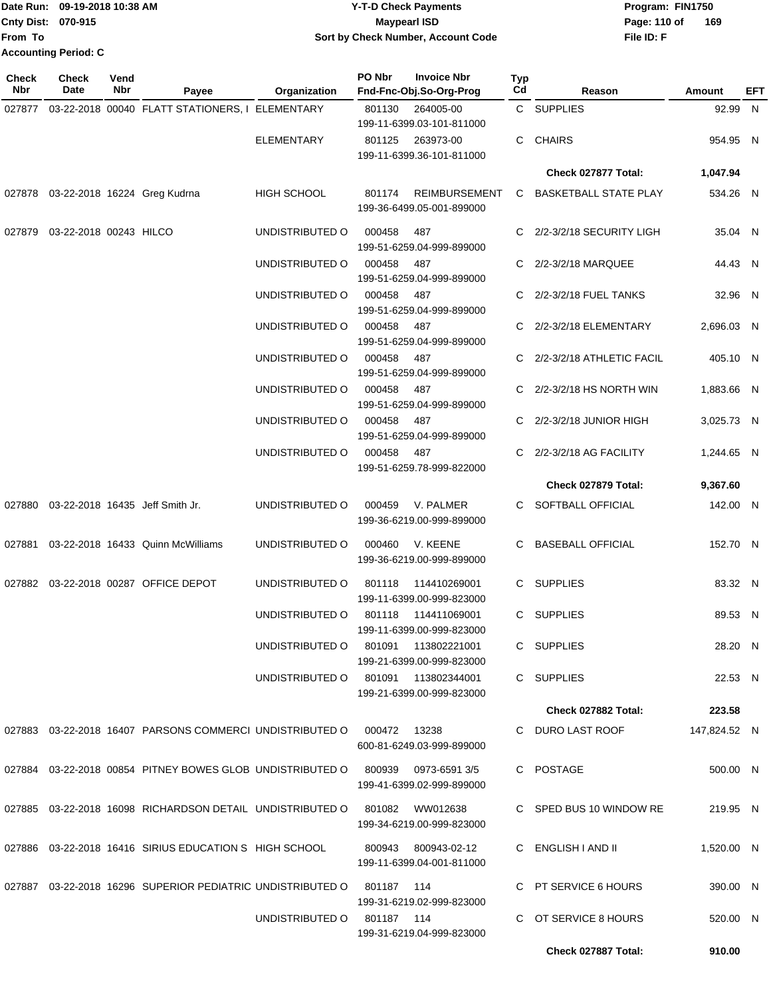|                           | IDate Run: 09-19-2018 10:38 AM | <b>Y-T-D Check Payments</b>               | Program: FIN1750     |
|---------------------------|--------------------------------|-------------------------------------------|----------------------|
| <b>Cnty Dist: 070-915</b> |                                | <b>Maypearl ISD</b>                       | -169<br>Page: 110 of |
| lFrom To                  |                                | <b>Sort by Check Number, Account Code</b> | File ID: F           |
|                           | <b>Accounting Period: C</b>    |                                           |                      |

| <b>Check</b><br><b>Nbr</b> | <b>Check</b><br>Date          | Vend<br>Nbr | Payee                                                       | Organization       | PO Nbr       | <b>Invoice Nbr</b><br>Fnd-Fnc-Obj.So-Org-Prog          | Typ<br>Cd | Reason                       | Amount       | EFT |
|----------------------------|-------------------------------|-------------|-------------------------------------------------------------|--------------------|--------------|--------------------------------------------------------|-----------|------------------------------|--------------|-----|
| 027877                     |                               |             | 03-22-2018 00040 FLATT STATIONERS, I ELEMENTARY             |                    | 801130       | 264005-00<br>199-11-6399.03-101-811000                 |           | C SUPPLIES                   | 92.99 N      |     |
|                            |                               |             |                                                             | <b>ELEMENTARY</b>  | 801125       | 263973-00<br>199-11-6399.36-101-811000                 |           | C CHAIRS                     | 954.95 N     |     |
|                            |                               |             |                                                             |                    |              |                                                        |           | Check 027877 Total:          | 1,047.94     |     |
|                            |                               |             | 027878 03-22-2018 16224 Greg Kudrna                         | <b>HIGH SCHOOL</b> | 801174       | <b>REIMBURSEMENT</b><br>199-36-6499.05-001-899000      | C.        | <b>BASKETBALL STATE PLAY</b> | 534.26 N     |     |
|                            | 027879 03-22-2018 00243 HILCO |             |                                                             | UNDISTRIBUTED O    | 000458       | 487<br>199-51-6259.04-999-899000                       |           | C 2/2-3/2/18 SECURITY LIGH   | 35.04 N      |     |
|                            |                               |             |                                                             | UNDISTRIBUTED O    | 000458       | 487<br>199-51-6259.04-999-899000                       |           | C 2/2-3/2/18 MARQUEE         | 44.43 N      |     |
|                            |                               |             |                                                             | UNDISTRIBUTED O    | 000458       | 487<br>199-51-6259.04-999-899000                       |           | 2/2-3/2/18 FUEL TANKS        | 32.96 N      |     |
|                            |                               |             |                                                             | UNDISTRIBUTED O    | 000458       | 487<br>199-51-6259.04-999-899000                       |           | C 2/2-3/2/18 ELEMENTARY      | 2.696.03 N   |     |
|                            |                               |             |                                                             | UNDISTRIBUTED O    | 000458       | 487<br>199-51-6259.04-999-899000                       |           | C 2/2-3/2/18 ATHLETIC FACIL  | 405.10 N     |     |
|                            |                               |             |                                                             | UNDISTRIBUTED O    | 000458       | 487<br>199-51-6259.04-999-899000                       |           | C 2/2-3/2/18 HS NORTH WIN    | 1.883.66 N   |     |
|                            |                               |             |                                                             | UNDISTRIBUTED O    | 000458       | 487<br>199-51-6259.04-999-899000                       |           | C 2/2-3/2/18 JUNIOR HIGH     | 3,025.73 N   |     |
|                            |                               |             |                                                             | UNDISTRIBUTED O    | 000458       | 487<br>199-51-6259.78-999-822000                       |           | C 2/2-3/2/18 AG FACILITY     | 1,244.65 N   |     |
|                            |                               |             |                                                             |                    |              |                                                        |           | Check 027879 Total:          | 9,367.60     |     |
|                            |                               |             | 027880 03-22-2018 16435 Jeff Smith Jr.                      | UNDISTRIBUTED O    | 000459       | V. PALMER<br>199-36-6219.00-999-899000                 |           | C SOFTBALL OFFICIAL          | 142.00 N     |     |
|                            |                               |             | 027881 03-22-2018 16433 Quinn McWilliams                    | UNDISTRIBUTED O    | 000460       | V. KEENE<br>199-36-6219.00-999-899000                  | C.        | <b>BASEBALL OFFICIAL</b>     | 152.70 N     |     |
|                            |                               |             | 027882 03-22-2018 00287 OFFICE DEPOT                        | UNDISTRIBUTED O    | 801118       | 114410269001<br>199-11-6399.00-999-823000              |           | C SUPPLIES                   | 83.32 N      |     |
|                            |                               |             |                                                             | UNDISTRIBUTED O    | 801118       | 114411069001<br>199-11-6399.00-999-823000              |           | C SUPPLIES                   | 89.53 N      |     |
|                            |                               |             |                                                             | UNDISTRIBUTED O    | 801091       | 113802221001<br>199-21-6399.00-999-823000              |           | C SUPPLIES                   | 28.20 N      |     |
|                            |                               |             |                                                             | UNDISTRIBUTED O    |              | 801091  113802344001<br>199-21-6399.00-999-823000      |           | C SUPPLIES                   | 22.53 N      |     |
|                            |                               |             |                                                             |                    |              |                                                        |           | Check 027882 Total:          | 223.58       |     |
|                            |                               |             | 027883  03-22-2018  16407  PARSONS COMMERCI UNDISTRIBUTED O |                    | 000472 13238 | 600-81-6249.03-999-899000                              |           | C DURO LAST ROOF             | 147,824.52 N |     |
|                            |                               |             | 027884 03-22-2018 00854 PITNEY BOWES GLOB UNDISTRIBUTED O   |                    |              | 800939 0973-6591 3/5<br>199-41-6399.02-999-899000      |           | C POSTAGE                    | 500.00 N     |     |
|                            |                               |             | 027885 03-22-2018 16098 RICHARDSON DETAIL UNDISTRIBUTED O   |                    |              | 801082 WW012638<br>199-34-6219.00-999-823000           |           | C SPED BUS 10 WINDOW RE      | 219.95 N     |     |
|                            |                               |             | 027886 03-22-2018 16416 SIRIUS EDUCATION S HIGH SCHOOL      |                    |              | 800943 800943-02-12<br>199-11-6399.04-001-811000       |           | C ENGLISH I AND II           | 1,520.00 N   |     |
|                            |                               |             | 027887 03-22-2018 16296 SUPERIOR PEDIATRIC UNDISTRIBUTED O  |                    | 801187 114   |                                                        |           | C PT SERVICE 6 HOURS         | 390.00 N     |     |
|                            |                               |             |                                                             | UNDISTRIBUTED O    | 801187 114   | 199-31-6219.02-999-823000<br>199-31-6219.04-999-823000 |           | C OT SERVICE 8 HOURS         | 520.00 N     |     |
|                            |                               |             |                                                             |                    |              |                                                        |           | Check 027887 Total:          | 910.00       |     |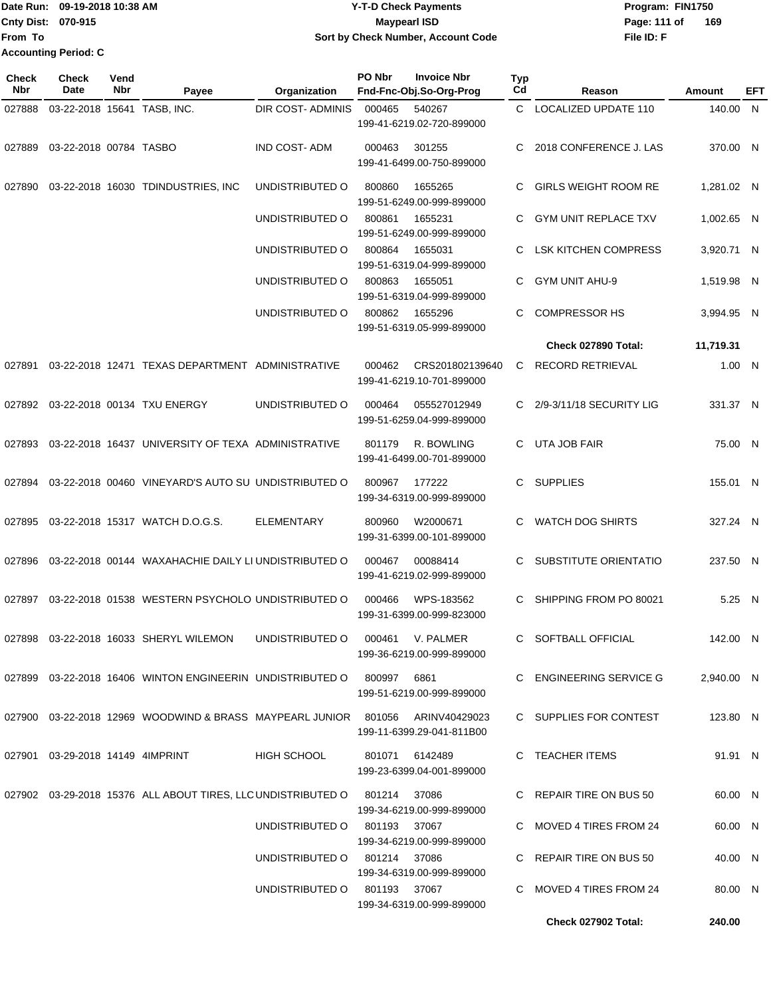**Date Run: Program: FIN1750 Cnty Dist: Page: 111 of File ID: F** From **T 09-19-2018 10:38 AM Y-T-D Check Payments 070-915 Maypearl ISD Sort by Check Number, Account Code Accour** 

| From To                    | Cnty Dist: 070-915<br><b>Accounting Period: C</b> |                    |                                                            |                     | <b>Maypearl ISD</b> | Sort by Check Number, Account Code            |                              | Page: 111 of<br>File ID: F  | 169        |            |
|----------------------------|---------------------------------------------------|--------------------|------------------------------------------------------------|---------------------|---------------------|-----------------------------------------------|------------------------------|-----------------------------|------------|------------|
| <b>Check</b><br><b>Nbr</b> | Check<br>Date                                     | Vend<br><b>Nbr</b> | Payee                                                      | Organization        | PO Nbr              | <b>Invoice Nbr</b><br>Fnd-Fnc-Obj.So-Org-Prog | <b>Typ</b><br>C <sub>d</sub> | Reason                      | Amount     | <b>EFT</b> |
| 027888                     | 03-22-2018 15641 TASB, INC.                       |                    |                                                            | DIR COST- ADMINIS   | 000465              | 540267<br>199-41-6219.02-720-899000           | C.                           | <b>LOCALIZED UPDATE 110</b> | 140.00 N   |            |
| 027889                     | 03-22-2018 00784 TASBO                            |                    |                                                            | <b>IND COST-ADM</b> | 000463              | 301255<br>199-41-6499.00-750-899000           |                              | 2018 CONFERENCE J. LAS      | 370.00 N   |            |
| 027890                     |                                                   |                    | 03-22-2018 16030 TDINDUSTRIES, INC                         | UNDISTRIBUTED O     | 800860              | 1655265<br>199-51-6249.00-999-899000          |                              | <b>GIRLS WEIGHT ROOM RE</b> | 1,281.02 N |            |
|                            |                                                   |                    |                                                            | UNDISTRIBUTED O     | 800861              | 1655231<br>199-51-6249.00-999-899000          |                              | <b>GYM UNIT REPLACE TXV</b> | 1,002.65 N |            |
|                            |                                                   |                    |                                                            | UNDISTRIBUTED O     | 800864              | 1655031<br>199-51-6319.04-999-899000          |                              | <b>LSK KITCHEN COMPRESS</b> | 3,920.71 N |            |
|                            |                                                   |                    |                                                            | UNDISTRIBUTED O     | 800863              | 1655051<br>199-51-6319.04-999-899000          | C.                           | <b>GYM UNIT AHU-9</b>       | 1,519.98 N |            |
|                            |                                                   |                    |                                                            | UNDISTRIBUTED O     | 800862              | 1655296<br>199-51-6319.05-999-899000          |                              | <b>COMPRESSOR HS</b>        | 3,994.95 N |            |
|                            |                                                   |                    |                                                            |                     |                     |                                               |                              | Check 027890 Total:         | 11,719.31  |            |
|                            |                                                   |                    | 027891 03-22-2018 12471 TEXAS DEPARTMENT ADMINISTRATIVE    |                     | 000462              | CRS201802139640<br>199-41-6219.10-701-899000  | C.                           | <b>RECORD RETRIEVAL</b>     | 1.00 N     |            |
|                            |                                                   |                    | 027892 03-22-2018 00134 TXU ENERGY                         | UNDISTRIBUTED O     | 000464              | 055527012949<br>199-51-6259.04-999-899000     | C.                           | 2/9-3/11/18 SECURITY LIG    | 331.37 N   |            |
|                            |                                                   |                    | 027893 03-22-2018 16437 UNIVERSITY OF TEXA ADMINISTRATIVE  |                     | 801179              | R. BOWLING<br>199-41-6499.00-701-899000       | C.                           | UTA JOB FAIR                | 75.00 N    |            |
|                            |                                                   |                    | 027894 03-22-2018 00460 VINEYARD'S AUTO SU UNDISTRIBUTED O |                     | 800967              | 177222<br>199-34-6319.00-999-899000           | C.                           | <b>SUPPLIES</b>             | 155.01 N   |            |

027895 03-22-2018 15317 WATCH D.O.G.S. ELEMENTARY 800960 W2000671 C WATCH DOG SHIRTS 199-31-6399.00-101-899000

027896 03-22-2018 00144 WAXAHACHIE DAILY LI UNDISTRIBUTED O 000467 00088414 C SUBSTITUTE ORIENTATIO 199-41-6219.02-999-899000

027897 03-22-2018 01538 WESTERN PSYCHOLO UNDISTRIBUTED O 000466 WPS-183562 C SHIPPING FROM PO 80021 199-31-6399.00-999-823000

027898 03-22-2018 16033 SHERYL WILEMON UNDISTRIBUTED O 000461 V. PALMER C SOFTBALL OFFICIAL 199-36-6219.00-999-899000

027899 03-22-2018 16406 WINTON ENGINEERIN UNDISTRIBUTED O 800997 6861 C ENGINEERING SERVICE G 199-51-6219.00-999-899000

027900 03-22-2018 12969 WOODWIND & BRASS MAYPEARL JUNIOR 801056 ARINV40429023 C SUPPLIES FOR CONTEST 199-11-6399.29-041-811B00

027901 03-29-2018 14149 4IMPRINT HIGH SCHOOL 801071 6142489 C TEACHER ITEMS 199-23-6399.04-001-899000 027902 03-29-2018 15376 ALL ABOUT TIRES, LLC UNDISTRIBUTED O 801214 37086 C REPAIR TIRE ON BUS 50

> 199-34-6219.00-999-899000 UNDISTRIBUTED O 801193 37067 C MOVED 4 TIRES FROM 24 199-34-6219.00-999-899000 UNDISTRIBUTED O 801214 37086 C REPAIR TIRE ON BUS 50 199-34-6319.00-999-899000 UNDISTRIBUTED O 801193 37067 C MOVED 4 TIRES FROM 24

> > 199-34-6319.00-999-899000

**Check 027902 Total: 240.00**

327.24 N

237.50 N

 $5.25$  N

142.00 N

2,940.00 N

123.80 N

91.91 N

60.00 N

60.00 N

40.00 N

80.00 N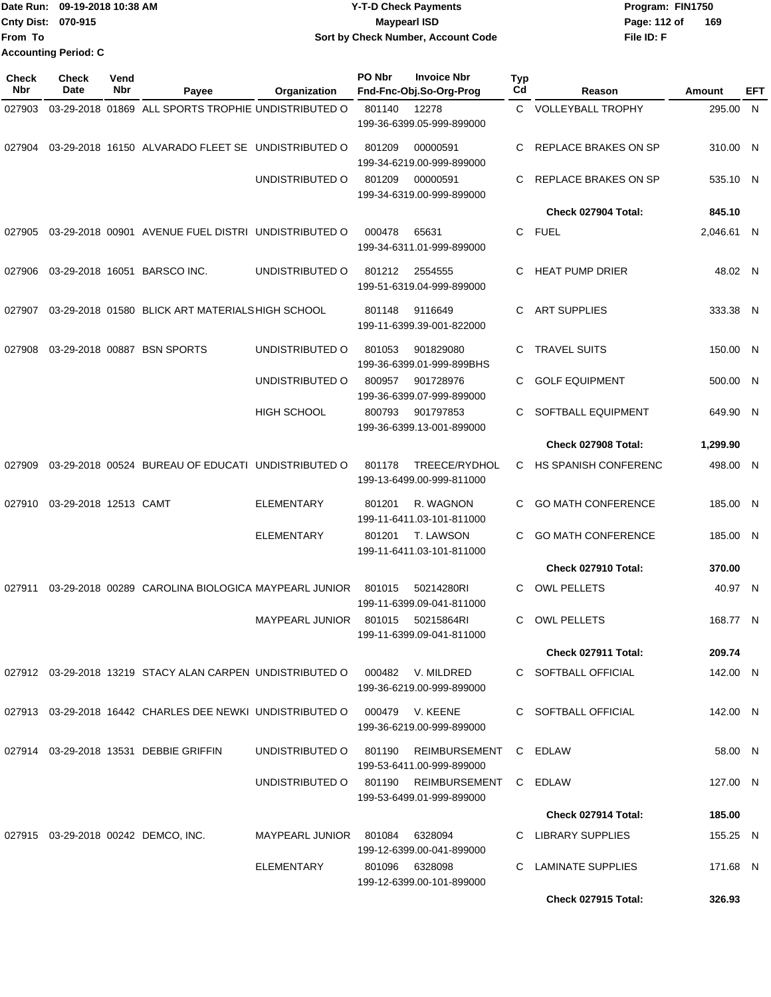|                           | Date Run: 09-19-2018 10:38 AM | <b>Y-T-D Check Payments</b>        | Program: FIN1750    |
|---------------------------|-------------------------------|------------------------------------|---------------------|
| <b>Cnty Dist: 070-915</b> |                               | Mavpearl ISD                       | 169<br>Page: 112 of |
| <b>From To</b>            |                               | Sort by Check Number, Account Code | File ID: F          |
|                           | <b>Accounting Period: C</b>   |                                    |                     |

| <b>Check</b><br><b>Nbr</b> | <b>Check</b><br><b>Date</b> | Vend<br>Nbr | Payee                                                                       | Organization                   | PO Nbr | <b>Invoice Nbr</b><br>Fnd-Fnc-Obj.So-Org-Prog                     | <b>Typ</b><br>Cd | Reason                      | Amount     | EFT |
|----------------------------|-----------------------------|-------------|-----------------------------------------------------------------------------|--------------------------------|--------|-------------------------------------------------------------------|------------------|-----------------------------|------------|-----|
| 027903                     |                             |             | 03-29-2018 01869 ALL SPORTS TROPHIE UNDISTRIBUTED O                         |                                | 801140 | 12278<br>199-36-6399.05-999-899000                                |                  | C VOLLEYBALL TROPHY         | 295.00 N   |     |
| 027904                     |                             |             | 03-29-2018 16150 ALVARADO FLEET SE UNDISTRIBUTED O                          |                                | 801209 | 00000591<br>199-34-6219.00-999-899000                             | C                | REPLACE BRAKES ON SP        | 310.00 N   |     |
|                            |                             |             |                                                                             | UNDISTRIBUTED O                | 801209 | 00000591<br>199-34-6319.00-999-899000                             | C                | REPLACE BRAKES ON SP        | 535.10 N   |     |
|                            |                             |             |                                                                             |                                |        |                                                                   |                  | Check 027904 Total:         | 845.10     |     |
| 027905                     |                             |             | 03-29-2018 00901 AVENUE FUEL DISTRI UNDISTRIBUTED O                         |                                | 000478 | 65631<br>199-34-6311.01-999-899000                                |                  | C FUEL                      | 2,046.61 N |     |
| 027906                     |                             |             | 03-29-2018 16051 BARSCO INC.                                                | UNDISTRIBUTED O                | 801212 | 2554555<br>199-51-6319.04-999-899000                              | C                | <b>HEAT PUMP DRIER</b>      | 48.02 N    |     |
| 027907                     |                             |             | 03-29-2018 01580 BLICK ART MATERIALS HIGH SCHOOL                            |                                | 801148 | 9116649<br>199-11-6399.39-001-822000                              | C                | <b>ART SUPPLIES</b>         | 333.38 N   |     |
| 027908                     |                             |             | 03-29-2018 00887 BSN SPORTS                                                 | UNDISTRIBUTED O                | 801053 | 901829080<br>199-36-6399.01-999-899BHS                            | C.               | <b>TRAVEL SUITS</b>         | 150.00 N   |     |
|                            |                             |             |                                                                             | UNDISTRIBUTED O                | 800957 | 901728976<br>199-36-6399.07-999-899000                            | C.               | <b>GOLF EQUIPMENT</b>       | 500.00 N   |     |
|                            |                             |             |                                                                             | HIGH SCHOOL                    | 800793 | 901797853<br>199-36-6399.13-001-899000                            | С                | SOFTBALL EQUIPMENT          | 649.90 N   |     |
|                            |                             |             |                                                                             |                                |        |                                                                   |                  | Check 027908 Total:         | 1,299.90   |     |
| 027909                     |                             |             | 03-29-2018 00524 BUREAU OF EDUCATI UNDISTRIBUTED O                          |                                | 801178 | TREECE/RYDHOL<br>199-13-6499.00-999-811000                        | C                | <b>HS SPANISH CONFERENC</b> | 498.00 N   |     |
| 027910                     | 03-29-2018 12513 CAMT       |             |                                                                             | <b>ELEMENTARY</b>              | 801201 | R. WAGNON<br>199-11-6411.03-101-811000                            | C.               | <b>GO MATH CONFERENCE</b>   | 185.00 N   |     |
|                            |                             |             |                                                                             | <b>ELEMENTARY</b>              | 801201 | T. LAWSON<br>199-11-6411.03-101-811000                            | C.               | <b>GO MATH CONFERENCE</b>   | 185.00 N   |     |
|                            |                             |             |                                                                             |                                |        |                                                                   |                  | Check 027910 Total:         | 370.00     |     |
| 027911                     |                             |             | 03-29-2018 00289 CAROLINA BIOLOGICA MAYPEARL JUNIOR                         |                                | 801015 | 50214280RI<br>199-11-6399.09-041-811000                           | С                | <b>OWL PELLETS</b>          | 40.97 N    |     |
|                            |                             |             |                                                                             | <b>MAYPEARL JUNIOR</b>         | 801015 | 50215864RI<br>199-11-6399.09-041-811000                           | C                | <b>OWL PELLETS</b>          | 168.77 N   |     |
|                            |                             |             |                                                                             |                                |        |                                                                   |                  | Check 027911 Total:         | 209.74     |     |
|                            |                             |             | 027912 03-29-2018 13219 STACY ALAN CARPEN UNDISTRIBUTED O 000482 V. MILDRED |                                |        | 199-36-6219.00-999-899000                                         |                  | C SOFTBALL OFFICIAL         | 142.00 N   |     |
|                            |                             |             | 027913 03-29-2018 16442 CHARLES DEE NEWKI UNDISTRIBUTED O 000479 V. KEENE   |                                |        | 199-36-6219.00-999-899000                                         |                  | C SOFTBALL OFFICIAL         | 142.00 N   |     |
|                            |                             |             | 027914 03-29-2018 13531 DEBBIE GRIFFIN                                      | UNDISTRIBUTED O 801190         |        | REIMBURSEMENT<br>199-53-6411.00-999-899000                        |                  | C EDLAW                     | 58.00 N    |     |
|                            |                             |             |                                                                             |                                |        | UNDISTRIBUTED O 801190 REIMBURSEMENT<br>199-53-6499.01-999-899000 |                  | C EDLAW                     | 127.00 N   |     |
|                            |                             |             |                                                                             |                                |        |                                                                   |                  | Check 027914 Total:         | 185.00     |     |
|                            |                             |             | 027915  03-29-2018  00242  DEMCO, INC.                                      | MAYPEARL JUNIOR 801084 6328094 |        | 199-12-6399.00-041-899000                                         |                  | C LIBRARY SUPPLIES          | 155.25 N   |     |
|                            |                             |             |                                                                             | ELEMENTARY                     |        | 801096 6328098<br>199-12-6399.00-101-899000                       |                  | C LAMINATE SUPPLIES         | 171.68 N   |     |
|                            |                             |             |                                                                             |                                |        |                                                                   |                  | Check 027915 Total:         | 326.93     |     |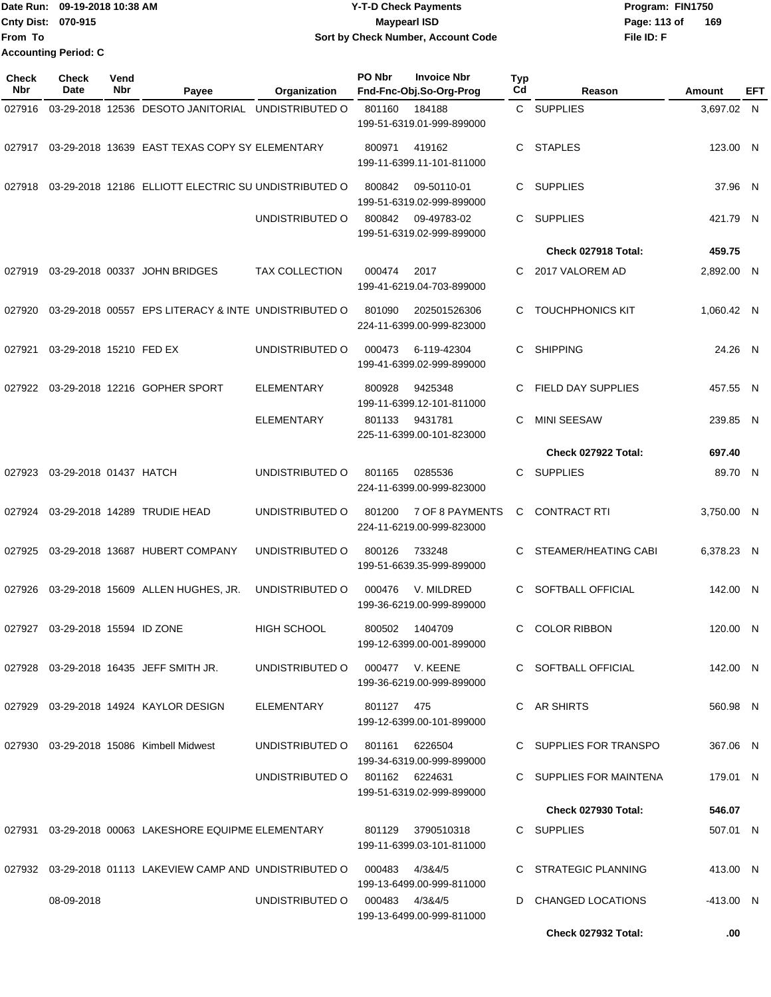|                             | IDate Run: 09-19-2018 10:38 AM | Y-T-D Check Payments               | Program: FIN1750    |
|-----------------------------|--------------------------------|------------------------------------|---------------------|
| <b>Cnty Dist: 070-915</b>   |                                | <b>Mavpearl ISD</b>                | 169<br>Page: 113 of |
| lFrom To                    |                                | Sort by Check Number, Account Code | File ID: F          |
| <b>Accounting Period: C</b> |                                |                                    |                     |

| Check<br>Nbr | <b>Check</b><br>Date     | Vend<br>Nbr | Payee                                                            | Organization          | PO Nbr<br><b>Invoice Nbr</b><br>Fnd-Fnc-Obj.So-Org-Prog     | <b>Typ</b><br>Cd | Reason                     | Amount     | EFT |
|--------------|--------------------------|-------------|------------------------------------------------------------------|-----------------------|-------------------------------------------------------------|------------------|----------------------------|------------|-----|
| 027916       |                          |             | 03-29-2018 12536 DESOTO JANITORIAL                               | UNDISTRIBUTED O       | 801160<br>184188<br>199-51-6319.01-999-899000               |                  | C SUPPLIES                 | 3,697.02 N |     |
| 027917       |                          |             | 03-29-2018 13639 EAST TEXAS COPY SY ELEMENTARY                   |                       | 800971<br>419162<br>199-11-6399.11-101-811000               | C                | <b>STAPLES</b>             | 123.00 N   |     |
| 027918       |                          |             | 03-29-2018 12186 ELLIOTT ELECTRIC SU UNDISTRIBUTED O             |                       | 800842<br>09-50110-01<br>199-51-6319.02-999-899000          | C                | <b>SUPPLIES</b>            | 37.96 N    |     |
|              |                          |             |                                                                  | UNDISTRIBUTED O       | 800842<br>09-49783-02<br>199-51-6319.02-999-899000          | C                | <b>SUPPLIES</b>            | 421.79 N   |     |
|              |                          |             |                                                                  |                       |                                                             |                  | Check 027918 Total:        | 459.75     |     |
| 027919       |                          |             | 03-29-2018 00337 JOHN BRIDGES                                    | <b>TAX COLLECTION</b> | 000474<br>2017<br>199-41-6219.04-703-899000                 | C                | 2017 VALOREM AD            | 2,892.00 N |     |
| 027920       |                          |             | 03-29-2018 00557 EPS LITERACY & INTE UNDISTRIBUTED O             |                       | 801090<br>202501526306<br>224-11-6399.00-999-823000         | C                | <b>TOUCHPHONICS KIT</b>    | 1,060.42 N |     |
| 027921       | 03-29-2018 15210 FED EX  |             |                                                                  | UNDISTRIBUTED O       | 000473<br>6-119-42304<br>199-41-6399.02-999-899000          | C                | <b>SHIPPING</b>            | 24.26 N    |     |
| 027922       |                          |             | 03-29-2018 12216 GOPHER SPORT                                    | <b>ELEMENTARY</b>     | 800928<br>9425348<br>199-11-6399.12-101-811000              | C                | <b>FIELD DAY SUPPLIES</b>  | 457.55 N   |     |
|              |                          |             |                                                                  | <b>ELEMENTARY</b>     | 801133<br>9431781<br>225-11-6399.00-101-823000              | C                | <b>MINI SEESAW</b>         | 239.85     | - N |
|              |                          |             |                                                                  |                       |                                                             |                  | Check 027922 Total:        | 697.40     |     |
| 027923       | 03-29-2018 01437 HATCH   |             |                                                                  | UNDISTRIBUTED O       | 801165<br>0285536<br>224-11-6399.00-999-823000              | C                | <b>SUPPLIES</b>            | 89.70 N    |     |
| 027924       |                          |             | 03-29-2018 14289 TRUDIE HEAD                                     | UNDISTRIBUTED O       | 801200<br>7 OF 8 PAYMENTS<br>224-11-6219.00-999-823000      | C                | <b>CONTRACT RTI</b>        | 3,750.00 N |     |
| 027925       |                          |             | 03-29-2018 13687 HUBERT COMPANY                                  | UNDISTRIBUTED O       | 733248<br>800126<br>199-51-6639.35-999-899000               | C                | STEAMER/HEATING CABI       | 6,378.23 N |     |
| 027926       |                          |             | 03-29-2018 15609 ALLEN HUGHES, JR.                               | UNDISTRIBUTED O       | V. MILDRED<br>000476<br>199-36-6219.00-999-899000           | C                | <b>SOFTBALL OFFICIAL</b>   | 142.00 N   |     |
| 027927       | 03-29-2018 15594 ID ZONE |             |                                                                  | <b>HIGH SCHOOL</b>    | 800502<br>1404709<br>199-12-6399.00-001-899000              | C                | <b>COLOR RIBBON</b>        | 120.00 N   |     |
|              |                          |             | 027928 03-29-2018 16435 JEFF SMITH JR.                           | UNDISTRIBUTED O       | 000477 V. KEENE<br>199-36-6219.00-999-899000                |                  | C SOFTBALL OFFICIAL        | 142.00 N   |     |
|              |                          |             | 027929 03-29-2018 14924 KAYLOR DESIGN                            | ELEMENTARY            | 801127 475<br>199-12-6399.00-101-899000                     |                  | C AR SHIRTS                | 560.98 N   |     |
|              |                          |             | 027930 03-29-2018 15086 Kimbell Midwest                          | UNDISTRIBUTED O       | 801161 6226504<br>199-34-6319.00-999-899000                 |                  | C SUPPLIES FOR TRANSPO     | 367.06 N   |     |
|              |                          |             |                                                                  |                       | UNDISTRIBUTED O 801162 6224631<br>199-51-6319.02-999-899000 |                  | C SUPPLIES FOR MAINTENA    | 179.01 N   |     |
|              |                          |             |                                                                  |                       |                                                             |                  | <b>Check 027930 Total:</b> | 546.07     |     |
| 027931       |                          |             | 03-29-2018 00063 LAKESHORE EQUIPME ELEMENTARY                    |                       | 801129<br>3790510318<br>199-11-6399.03-101-811000           |                  | C SUPPLIES                 | 507.01 N   |     |
|              |                          |             | 027932 03-29-2018 01113 LAKEVIEW CAMP AND UNDISTRIBUTED O 000483 |                       | 4/3&4/5<br>199-13-6499.00-999-811000                        |                  | C STRATEGIC PLANNING       | 413.00 N   |     |
|              | 08-09-2018               |             |                                                                  | UNDISTRIBUTED O       | 000483 4/3&4/5<br>199-13-6499.00-999-811000                 |                  | D CHANGED LOCATIONS        | -413.00 N  |     |
|              |                          |             |                                                                  |                       |                                                             |                  | Check 027932 Total:        | .00        |     |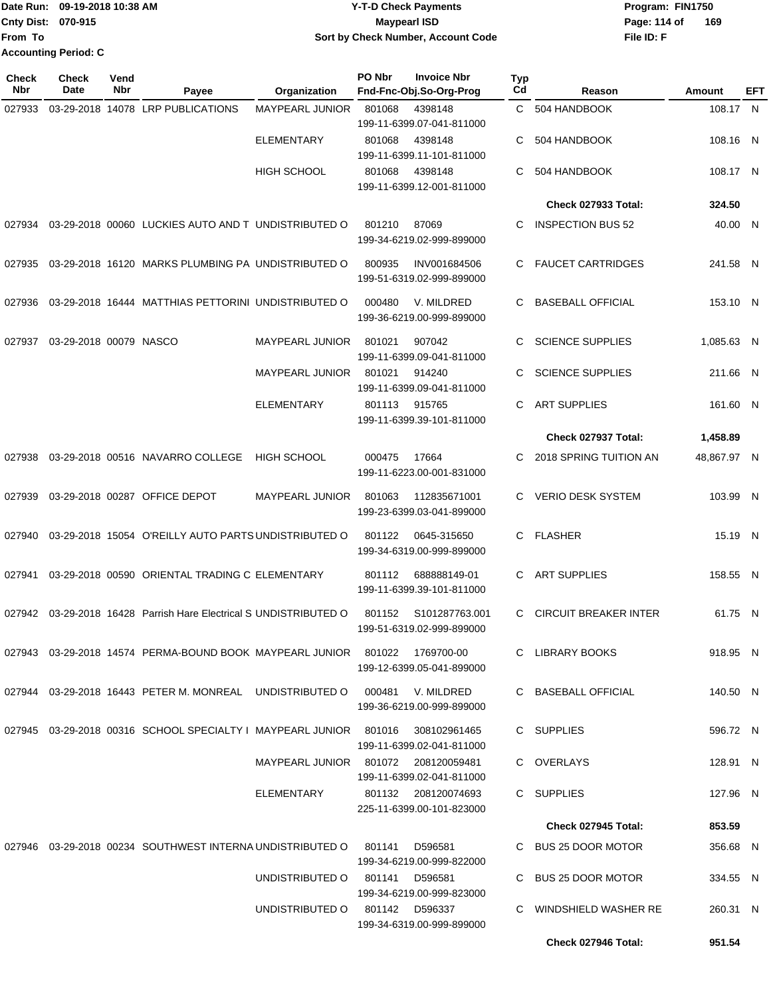## Date Run: 09-19-2018 10:38 AM **CONTEX 18 AM CONTEX 18 AM CONTEX 17-T-D** Check Payments **CONTEX 18 AM CONTEX 18 AM CONTEX 18 AM CONTEX 18 AM CONTEX 18 AM CONTEX 18 AM CONTEX 18 AM CONTEX 18 AM CONTEX 19 AM CONTEX 19 AM CONT Cnty Dist:** 070-915 **Page: 114 of** Maypearl ISD **Page: 114 of 09-19-2018 10:38 AM Y-T-D Check Payments 070-915 Maypearl ISD Sort by Check Number, Account Code**

| <b>Check</b><br>Nbr | Check<br>Date          | Vend<br>Nbr | Payee                                                                  | Organization                        | PO Nbr        | <b>Invoice Nbr</b><br>Fnd-Fnc-Obj.So-Org-Prog    | Typ<br>Cd | Reason                       | <b>Amount</b> | <b>EFT</b> |
|---------------------|------------------------|-------------|------------------------------------------------------------------------|-------------------------------------|---------------|--------------------------------------------------|-----------|------------------------------|---------------|------------|
| 027933              |                        |             | 03-29-2018 14078 LRP PUBLICATIONS                                      | <b>MAYPEARL JUNIOR</b>              | 801068        | 4398148<br>199-11-6399.07-041-811000             |           | C 504 HANDBOOK               | 108.17 N      |            |
|                     |                        |             |                                                                        | <b>ELEMENTARY</b>                   | 801068        | 4398148<br>199-11-6399.11-101-811000             | C         | 504 HANDBOOK                 | 108.16 N      |            |
|                     |                        |             |                                                                        | HIGH SCHOOL                         | 801068        | 4398148<br>199-11-6399.12-001-811000             | С         | 504 HANDBOOK                 | 108.17 N      |            |
|                     |                        |             |                                                                        |                                     |               |                                                  |           | Check 027933 Total:          | 324.50        |            |
| 027934              |                        |             | 03-29-2018 00060 LUCKIES AUTO AND T UNDISTRIBUTED O                    |                                     | 801210        | 87069<br>199-34-6219.02-999-899000               | С         | <b>INSPECTION BUS 52</b>     | 40.00 N       |            |
|                     |                        |             | 027935 03-29-2018 16120 MARKS PLUMBING PA UNDISTRIBUTED O              |                                     | 800935        | INV001684506<br>199-51-6319.02-999-899000        | C.        | <b>FAUCET CARTRIDGES</b>     | 241.58 N      |            |
| 027936              |                        |             | 03-29-2018 16444 MATTHIAS PETTORINI UNDISTRIBUTED O                    |                                     | 000480        | V. MILDRED<br>199-36-6219.00-999-899000          | С         | <b>BASEBALL OFFICIAL</b>     | 153.10 N      |            |
| 027937              | 03-29-2018 00079 NASCO |             |                                                                        | <b>MAYPEARL JUNIOR</b>              | 801021        | 907042<br>199-11-6399.09-041-811000              | C.        | <b>SCIENCE SUPPLIES</b>      | 1,085.63 N    |            |
|                     |                        |             |                                                                        | <b>MAYPEARL JUNIOR</b>              | 801021        | 914240<br>199-11-6399.09-041-811000              | C         | <b>SCIENCE SUPPLIES</b>      | 211.66 N      |            |
|                     |                        |             |                                                                        | <b>ELEMENTARY</b>                   | 801113 915765 | 199-11-6399.39-101-811000                        | С         | <b>ART SUPPLIES</b>          | 161.60 N      |            |
|                     |                        |             |                                                                        |                                     |               |                                                  |           | Check 027937 Total:          | 1,458.89      |            |
| 027938              |                        |             | 03-29-2018 00516 NAVARRO COLLEGE                                       | <b>HIGH SCHOOL</b>                  | 000475        | 17664<br>199-11-6223.00-001-831000               | C.        | 2018 SPRING TUITION AN       | 48,867.97 N   |            |
| 027939              |                        |             | 03-29-2018 00287 OFFICE DEPOT                                          | MAYPEARL JUNIOR                     | 801063        | 112835671001<br>199-23-6399.03-041-899000        | C         | <b>VERIO DESK SYSTEM</b>     | 103.99 N      |            |
| 027940              |                        |             | 03-29-2018 15054 O'REILLY AUTO PARTS UNDISTRIBUTED O                   |                                     | 801122        | 0645-315650<br>199-34-6319.00-999-899000         |           | C FLASHER                    | 15.19 N       |            |
| 027941              |                        |             | 03-29-2018 00590 ORIENTAL TRADING C ELEMENTARY                         |                                     | 801112        | 688888149-01<br>199-11-6399.39-101-811000        | C         | <b>ART SUPPLIES</b>          | 158.55 N      |            |
|                     |                        |             | 027942 03-29-2018 16428 Parrish Hare Electrical S UNDISTRIBUTED O      |                                     | 801152        | S101287763.001<br>199-51-6319.02-999-899000      | C.        | <b>CIRCUIT BREAKER INTER</b> | 61.75 N       |            |
|                     |                        |             | 027943  03-29-2018  14574  PERMA-BOUND BOOK  MAYPEARL JUNIOR  801022   |                                     |               | 1769700-00<br>199-12-6399.05-041-899000          |           | C LIBRARY BOOKS              | 918.95 N      |            |
|                     |                        |             | 027944 03-29-2018 16443 PETER M. MONREAL UNDISTRIBUTED O               |                                     |               | 000481 V. MILDRED<br>199-36-6219.00-999-899000   |           | C BASEBALL OFFICIAL          | 140.50 N      |            |
|                     |                        |             | 027945 03-29-2018 00316 SCHOOL SPECIALTY I MAYPEARL JUNIOR 801016      |                                     |               | 308102961465<br>199-11-6399.02-041-811000        |           | C SUPPLIES                   | 596.72 N      |            |
|                     |                        |             |                                                                        | MAYPEARL JUNIOR 801072 208120059481 |               | 199-11-6399.02-041-811000                        |           | C OVERLAYS                   | 128.91 N      |            |
|                     |                        |             |                                                                        | ELEMENTARY                          |               | 801132 208120074693<br>225-11-6399.00-101-823000 |           | C SUPPLIES                   | 127.96 N      |            |
|                     |                        |             |                                                                        |                                     |               |                                                  |           | Check 027945 Total:          | 853.59        |            |
|                     |                        |             | 027946  03-29-2018  00234  SOUTHWEST INTERNA UNDISTRIBUTED   0  801141 |                                     |               | D596581<br>199-34-6219.00-999-822000             |           | C BUS 25 DOOR MOTOR          | 356.68 N      |            |
|                     |                        |             |                                                                        | UNDISTRIBUTED O                     | 801141        | D596581<br>199-34-6219.00-999-823000             |           | C BUS 25 DOOR MOTOR          | 334.55 N      |            |
|                     |                        |             |                                                                        | UNDISTRIBUTED 0 801142 D596337      |               | 199-34-6319.00-999-899000                        |           | C WINDSHIELD WASHER RE       | 260.31 N      |            |
|                     |                        |             |                                                                        |                                     |               |                                                  |           | Check 027946 Total:          | 951.54        |            |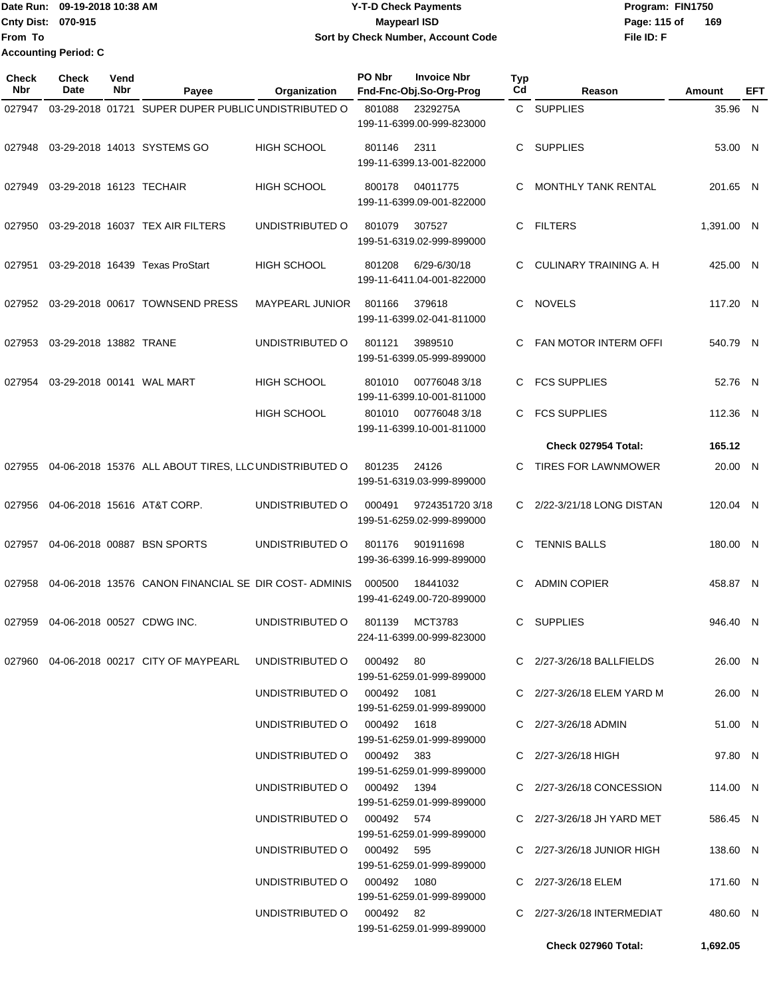Date Run: 09-19-2018 10:38 AM **CONTEX 18 AM CONTEX 18 AM CONTEX 17-T-D** Check Payments **CONTEX 18 AM CONTEX 18 AM CONTEX 18 AM CONTEX 18 AM CONTEX 18 AM CONTEX 18 AM CONTEX 18 AM CONTEX 18 AM CONTEX 19 AM CONTEX 19 AM CONT Cnty Dist:** 070-915 **Page: 115 of Page: 115 of Page: 115 of From To 09-19-2018 10:38 AM Y-T-D Check Payments 070-915 Maypearl ISD Sort by Check Number, Account Code Accounting Period: C**

| Check<br>Nbr | Check<br>Date            | Vend<br>Nbr | Payee                                                                   | Organization                | PO Nbr | <b>Invoice Nbr</b><br>Fnd-Fnc-Obj.So-Org-Prog | <b>Typ</b><br>Cd | Reason                         | <b>Amount</b> | EFT |
|--------------|--------------------------|-------------|-------------------------------------------------------------------------|-----------------------------|--------|-----------------------------------------------|------------------|--------------------------------|---------------|-----|
| 027947       |                          |             | 03-29-2018 01721 SUPER DUPER PUBLIC UNDISTRIBUTED O                     |                             | 801088 | 2329275A<br>199-11-6399.00-999-823000         |                  | C SUPPLIES                     | 35.96 N       |     |
| 027948       |                          |             | 03-29-2018 14013 SYSTEMS GO                                             | <b>HIGH SCHOOL</b>          | 801146 | 2311<br>199-11-6399.13-001-822000             | C                | <b>SUPPLIES</b>                | 53.00 N       |     |
| 027949       | 03-29-2018 16123 TECHAIR |             |                                                                         | <b>HIGH SCHOOL</b>          | 800178 | 04011775<br>199-11-6399.09-001-822000         | С                | <b>MONTHLY TANK RENTAL</b>     | 201.65 N      |     |
| 027950       |                          |             | 03-29-2018 16037 TEX AIR FILTERS                                        | UNDISTRIBUTED O             | 801079 | 307527<br>199-51-6319.02-999-899000           | C                | <b>FILTERS</b>                 | 1,391.00 N    |     |
| 027951       |                          |             | 03-29-2018 16439 Texas ProStart                                         | <b>HIGH SCHOOL</b>          | 801208 | 6/29-6/30/18<br>199-11-6411.04-001-822000     | C                | CULINARY TRAINING A. H         | 425.00 N      |     |
| 027952       |                          |             | 03-29-2018 00617 TOWNSEND PRESS                                         | <b>MAYPEARL JUNIOR</b>      | 801166 | 379618<br>199-11-6399.02-041-811000           | C                | <b>NOVELS</b>                  | 117.20 N      |     |
| 027953       | 03-29-2018 13882 TRANE   |             |                                                                         | UNDISTRIBUTED O             | 801121 | 3989510<br>199-51-6399.05-999-899000          | С                | FAN MOTOR INTERM OFFI          | 540.79 N      |     |
| 027954       |                          |             | 03-29-2018 00141 WAL MART                                               | <b>HIGH SCHOOL</b>          | 801010 | 007760483/18<br>199-11-6399.10-001-811000     |                  | <b>FCS SUPPLIES</b>            | 52.76 N       |     |
|              |                          |             |                                                                         | <b>HIGH SCHOOL</b>          | 801010 | 007760483/18<br>199-11-6399.10-001-811000     | C                | <b>FCS SUPPLIES</b>            | 112.36 N      |     |
|              |                          |             |                                                                         |                             |        |                                               |                  | Check 027954 Total:            | 165.12        |     |
| 027955       |                          |             | 04-06-2018 15376 ALL ABOUT TIRES, LLC UNDISTRIBUTED O                   |                             | 801235 | 24126<br>199-51-6319.03-999-899000            | C                | <b>TIRES FOR LAWNMOWER</b>     | 20.00 N       |     |
| 027956       |                          |             | 04-06-2018 15616 AT&T CORP.                                             | UNDISTRIBUTED O             | 000491 | 9724351720 3/18<br>199-51-6259.02-999-899000  |                  | C 2/22-3/21/18 LONG DISTAN     | 120.04 N      |     |
| 027957       |                          |             | 04-06-2018 00887 BSN SPORTS                                             | UNDISTRIBUTED O             | 801176 | 901911698<br>199-36-6399.16-999-899000        | С                | <b>TENNIS BALLS</b>            | 180.00 N      |     |
| 027958       |                          |             | 04-06-2018 13576 CANON FINANCIAL SE DIR COST-ADMINIS                    |                             | 000500 | 18441032<br>199-41-6249.00-720-899000         | С                | <b>ADMIN COPIER</b>            | 458.87 N      |     |
| 027959       |                          |             | 04-06-2018 00527 CDWG INC.                                              | UNDISTRIBUTED O             | 801139 | MCT3783<br>224-11-6399.00-999-823000          | C.               | <b>SUPPLIES</b>                | 946.40 N      |     |
|              |                          |             | 027960  04-06-2018  00217  CITY OF MAYPEARL  UNDISTRIBUTED   000492  80 |                             |        | 199-51-6259.01-999-899000                     |                  | C 2/27-3/26/18 BALLFIELDS      | 26.00 N       |     |
|              |                          |             |                                                                         | UNDISTRIBUTED O 000492 1081 |        | 199-51-6259.01-999-899000                     |                  | C 2/27-3/26/18 ELEM YARD M     | 26.00 N       |     |
|              |                          |             |                                                                         | UNDISTRIBUTED O 000492 1618 |        | 199-51-6259.01-999-899000                     |                  | C 2/27-3/26/18 ADMIN           | 51.00 N       |     |
|              |                          |             |                                                                         | UNDISTRIBUTED O 000492 383  |        | 199-51-6259.01-999-899000                     |                  | C 2/27-3/26/18 HIGH            | 97.80 N       |     |
|              |                          |             |                                                                         | UNDISTRIBUTED O 000492 1394 |        | 199-51-6259.01-999-899000                     |                  | C 2/27-3/26/18 CONCESSION      | 114.00 N      |     |
|              |                          |             |                                                                         | UNDISTRIBUTED O 000492 574  |        | 199-51-6259.01-999-899000                     |                  | C 2/27-3/26/18 JH YARD MET     | 586.45 N      |     |
|              |                          |             |                                                                         | UNDISTRIBUTED O 000492 595  |        | 199-51-6259.01-999-899000                     |                  | C $2/27 - 3/26/18$ JUNIOR HIGH | 138.60 N      |     |
|              |                          |             |                                                                         | UNDISTRIBUTED O 000492 1080 |        | 199-51-6259.01-999-899000                     |                  | C 2/27-3/26/18 ELEM            | 171.60 N      |     |
|              |                          |             |                                                                         | UNDISTRIBUTED O 000492 82   |        | 199-51-6259.01-999-899000                     |                  | C 2/27-3/26/18 INTERMEDIAT     | 480.60 N      |     |
|              |                          |             |                                                                         |                             |        |                                               |                  | Check 027960 Total:            | 1,692.05      |     |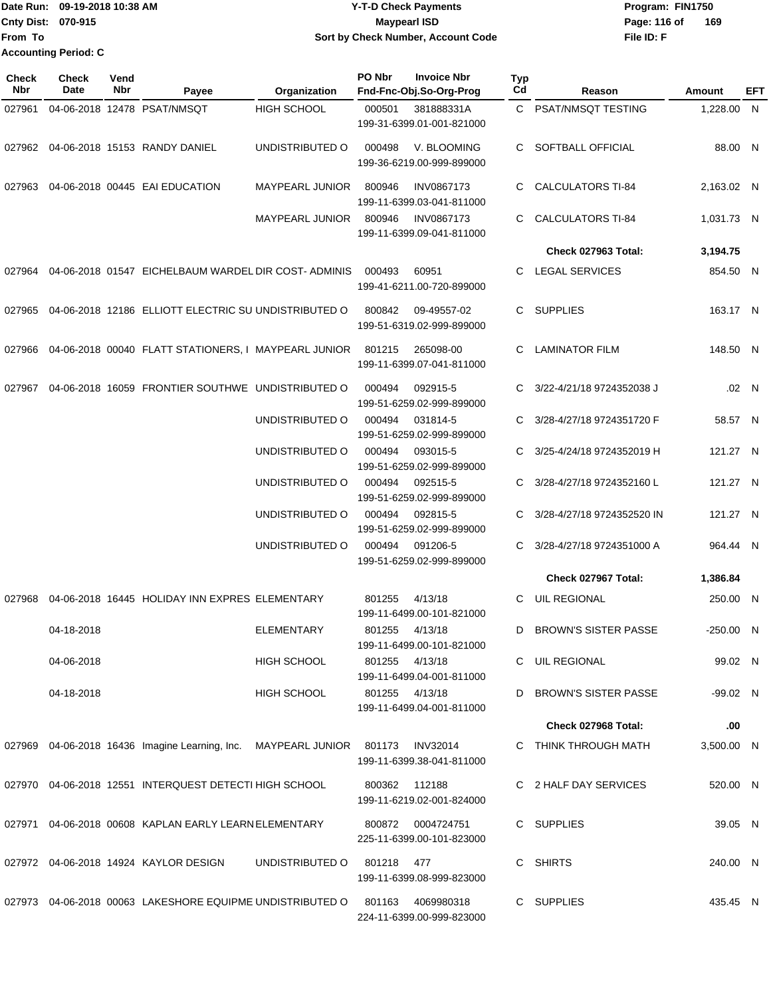## Date Run: 09-19-2018 10:38 AM **CONTEX 18 AM CONTEX 18 AM CONTEX 17-T-D** Check Payments **CONTEX 18 AM CONTEX 18 AM CONTEX 18 AM CONTEX 18 AM CONTEX 18 AM CONTEX 18 AM CONTEX 18 AM CONTEX 18 AM CONTEX 19 AM CONTEX 19 AM CONT Cnty Dist:** 070-915 **Page: 116 of Page: 116 of Page: 116 of Page: 116 of Page: 116 of 09-19-2018 10:38 AM Y-T-D Check Payments 070-915 Maypearl ISD Sort by Check Number, Account Code**

| Check<br><b>Nbr</b> | <b>Check</b><br>Date | Vend<br>Nbr | Payee                                                                          | Organization       | PO Nbr         | <b>Invoice Nbr</b><br>Fnd-Fnc-Obj.So-Org-Prog  | Typ<br>Cd | Reason                      | <b>Amount</b> | EFT   |
|---------------------|----------------------|-------------|--------------------------------------------------------------------------------|--------------------|----------------|------------------------------------------------|-----------|-----------------------------|---------------|-------|
| 027961              |                      |             | 04-06-2018 12478 PSAT/NMSQT                                                    | <b>HIGH SCHOOL</b> | 000501         | 381888331A<br>199-31-6399.01-001-821000        |           | C PSAT/NMSQT TESTING        | 1,228.00 N    |       |
|                     |                      |             |                                                                                | UNDISTRIBUTED O    | 000498         | V. BLOOMING<br>199-36-6219.00-999-899000       |           | C SOFTBALL OFFICIAL         | 88.00 N       |       |
|                     |                      |             | 027963 04-06-2018  00445   EAI EDUCATION                                       | MAYPEARL JUNIOR    | 800946         | <b>INV0867173</b><br>199-11-6399.03-041-811000 | C         | <b>CALCULATORS TI-84</b>    | 2,163.02 N    |       |
|                     |                      |             |                                                                                | MAYPEARL JUNIOR    | 800946         | <b>INV0867173</b><br>199-11-6399.09-041-811000 | C         | <b>CALCULATORS TI-84</b>    | 1,031.73 N    |       |
|                     |                      |             |                                                                                |                    |                |                                                |           | Check 027963 Total:         | 3,194.75      |       |
|                     |                      |             | 027964 04-06-2018  01547   EICHELBAUM WARDEL DIR COST- ADMINIS                 |                    | 000493         | 60951<br>199-41-6211.00-720-899000             | C.        | LEGAL SERVICES              | 854.50 N      |       |
|                     |                      |             | 027965  04-06-2018  12186  ELLIOTT ELECTRIC SU UNDISTRIBUTED O                 |                    | 800842         | 09-49557-02<br>199-51-6319.02-999-899000       | C.        | SUPPLIES                    | 163.17 N      |       |
|                     |                      |             | 027966  04-06-2018  00040  FLATT STATIONERS, I MAYPEARL JUNIOR  801215         |                    |                | 265098-00<br>199-11-6399.07-041-811000         | C         | <b>LAMINATOR FILM</b>       | 148.50 N      |       |
|                     |                      |             | 027967  04-06-2018  16059  FRONTIER SOUTHWE  UNDISTRIBUTED    O                |                    | 000494         | 092915-5<br>199-51-6259.02-999-899000          | C.        | 3/22-4/21/18 9724352038 J   |               | .02 N |
|                     |                      |             |                                                                                | UNDISTRIBUTED O    | 000494         | 031814-5<br>199-51-6259.02-999-899000          | C         | 3/28-4/27/18 9724351720 F   | 58.57 N       |       |
|                     |                      |             |                                                                                | UNDISTRIBUTED O    | 000494         | 093015-5<br>199-51-6259.02-999-899000          |           | C 3/25-4/24/18 9724352019 H | 121.27 N      |       |
|                     |                      |             |                                                                                | UNDISTRIBUTED O    |                | 000494 092515-5<br>199-51-6259.02-999-899000   | C         | 3/28-4/27/18 9724352160 L   | 121.27 N      |       |
|                     |                      |             |                                                                                | UNDISTRIBUTED O    |                | 000494 092815-5<br>199-51-6259.02-999-899000   | C         | 3/28-4/27/18 9724352520 IN  | 121.27 N      |       |
|                     |                      |             |                                                                                | UNDISTRIBUTED O    | 000494         | 091206-5<br>199-51-6259.02-999-899000          |           | 3/28-4/27/18 9724351000 A   | 964.44 N      |       |
|                     |                      |             |                                                                                |                    |                |                                                |           | Check 027967 Total:         | 1,386.84      |       |
| 027968              |                      |             | 04-06-2018 16445 HOLIDAY INN EXPRES ELEMENTARY                                 |                    | 801255         | 4/13/18<br>199-11-6499.00-101-821000           | C.        | <b>UIL REGIONAL</b>         | 250.00 N      |       |
|                     | 04-18-2018           |             |                                                                                | <b>ELEMENTARY</b>  | 801255 4/13/18 | 199-11-6499.00-101-821000                      |           | D BROWN'S SISTER PASSE      | $-250.00$ N   |       |
|                     | 04-06-2018           |             |                                                                                | HIGH SCHOOL        | 801255 4/13/18 | 199-11-6499.04-001-811000                      |           | C UIL REGIONAL              | 99.02 N       |       |
|                     | 04-18-2018           |             |                                                                                | HIGH SCHOOL        | 801255 4/13/18 | 199-11-6499.04-001-811000                      |           | D BROWN'S SISTER PASSE      | -99.02 N      |       |
|                     |                      |             |                                                                                |                    |                |                                                |           | Check 027968 Total:         | .00           |       |
|                     |                      |             | 027969 04-06-2018 16436 Imagine Learning, Inc. MAYPEARL JUNIOR 801173 INV32014 |                    |                | 199-11-6399.38-041-811000                      |           | C THINK THROUGH MATH        | 3,500.00 N    |       |
|                     |                      |             | 027970 04-06-2018  12551  INTERQUEST DETECTI HIGH SCHOOL                       |                    | 800362 112188  | 199-11-6219.02-001-824000                      |           | C 2 HALF DAY SERVICES       | 520.00 N      |       |
|                     |                      |             | 027971    04-06-2018  00608  KAPLAN EARLY LEARN ELEMENTARY                     |                    |                | 800872 0004724751<br>225-11-6399.00-101-823000 |           | C SUPPLIES                  | 39.05 N       |       |
|                     |                      |             |                                                                                | UNDISTRIBUTED O    | 801218 477     | 199-11-6399.08-999-823000                      |           | C SHIRTS                    | 240.00 N      |       |
|                     |                      |             | 027973  04-06-2018  00063  LAKESHORE EQUIPME UNDISTRIBUTED O                   |                    |                | 801163 4069980318<br>224-11-6399.00-999-823000 |           | C SUPPLIES                  | 435.45 N      |       |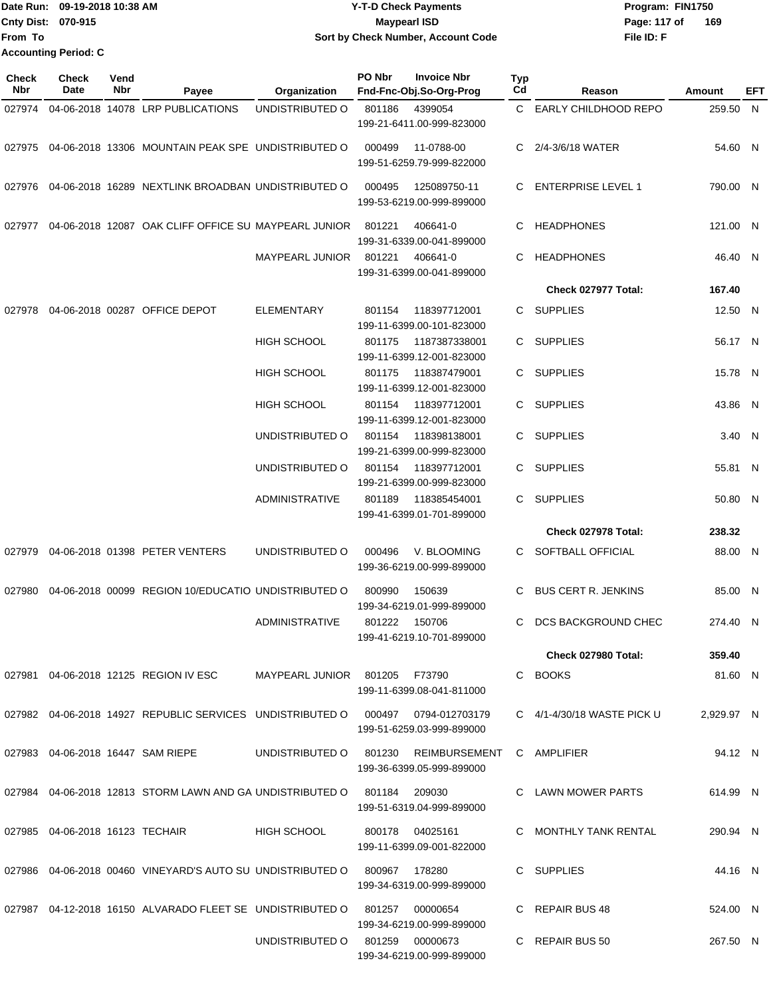|                           | Date Run: 09-19-2018 10:38 AM | <b>Y-T-D Check Payments</b>        | Program: FIN1750    |
|---------------------------|-------------------------------|------------------------------------|---------------------|
| <b>Cnty Dist: 070-915</b> |                               | <b>Mavpearl ISD</b>                | 169<br>Page: 117 of |
| lFrom To                  |                               | Sort by Check Number, Account Code | File ID: F          |
|                           | <b>Accounting Period: C</b>   |                                    |                     |

| <b>Check</b><br>Nbr | Check<br>Date                      | Vend<br>Nbr | Payee                                                                             | Organization                         | PO Nbr | <b>Invoice Nbr</b><br>Fnd-Fnc-Obj.So-Org-Prog          | <b>Typ</b><br>Cd | Reason                         | Amount     | EFT |
|---------------------|------------------------------------|-------------|-----------------------------------------------------------------------------------|--------------------------------------|--------|--------------------------------------------------------|------------------|--------------------------------|------------|-----|
| 027974              |                                    |             | 04-06-2018 14078 LRP PUBLICATIONS                                                 | UNDISTRIBUTED O                      | 801186 | 4399054                                                |                  | C EARLY CHILDHOOD REPO         | 259.50 N   |     |
|                     |                                    |             |                                                                                   |                                      |        | 199-21-6411.00-999-823000                              |                  |                                |            |     |
| 027975              |                                    |             | 04-06-2018 13306 MOUNTAIN PEAK SPE UNDISTRIBUTED O                                |                                      | 000499 | 11-0788-00<br>199-51-6259.79-999-822000                | C.               | 2/4-3/6/18 WATER               | 54.60 N    |     |
| 027976              |                                    |             | 04-06-2018 16289 NEXTLINK BROADBAN UNDISTRIBUTED O                                |                                      | 000495 | 125089750-11<br>199-53-6219.00-999-899000              | C                | ENTERPRISE LEVEL 1             | 790.00 N   |     |
| 027977              |                                    |             | 04-06-2018 12087 OAK CLIFF OFFICE SU MAYPEARL JUNIOR                              |                                      | 801221 | 406641-0<br>199-31-6339.00-041-899000                  | C                | <b>HEADPHONES</b>              | 121.00 N   |     |
|                     |                                    |             |                                                                                   | MAYPEARL JUNIOR                      | 801221 | 406641-0<br>199-31-6399.00-041-899000                  | C                | <b>HEADPHONES</b>              | 46.40 N    |     |
|                     |                                    |             |                                                                                   |                                      |        |                                                        |                  | Check 027977 Total:            | 167.40     |     |
| 027978              |                                    |             | 04-06-2018 00287 OFFICE DEPOT                                                     | ELEMENTARY                           | 801154 | 118397712001<br>199-11-6399.00-101-823000              | C.               | SUPPLIES                       | 12.50 N    |     |
|                     |                                    |             |                                                                                   | <b>HIGH SCHOOL</b>                   | 801175 | 1187387338001<br>199-11-6399.12-001-823000             | C.               | <b>SUPPLIES</b>                | 56.17 N    |     |
|                     |                                    |             |                                                                                   | <b>HIGH SCHOOL</b>                   | 801175 | 118387479001<br>199-11-6399.12-001-823000              | C.               | <b>SUPPLIES</b>                | 15.78 N    |     |
|                     |                                    |             |                                                                                   | <b>HIGH SCHOOL</b>                   | 801154 | 118397712001<br>199-11-6399.12-001-823000              |                  | C SUPPLIES                     | 43.86 N    |     |
|                     |                                    |             |                                                                                   | UNDISTRIBUTED O                      | 801154 | 118398138001<br>199-21-6399.00-999-823000              | C.               | SUPPLIES                       | 3.40 N     |     |
|                     |                                    |             |                                                                                   | UNDISTRIBUTED O                      | 801154 | 118397712001<br>199-21-6399.00-999-823000              | C.               | <b>SUPPLIES</b>                | 55.81 N    |     |
|                     |                                    |             |                                                                                   | ADMINISTRATIVE                       | 801189 | 118385454001<br>199-41-6399.01-701-899000              | C                | <b>SUPPLIES</b>                | 50.80 N    |     |
|                     |                                    |             |                                                                                   |                                      |        |                                                        |                  | Check 027978 Total:            | 238.32     |     |
| 027979              |                                    |             | 04-06-2018 01398 PETER VENTERS                                                    | UNDISTRIBUTED O                      | 000496 | V. BLOOMING<br>199-36-6219.00-999-899000               | C.               | SOFTBALL OFFICIAL              | 88.00 N    |     |
| 027980              |                                    |             | 04-06-2018 00099 REGION 10/EDUCATIO UNDISTRIBUTED O                               |                                      | 800990 | 150639<br>199-34-6219.01-999-899000                    | C                | <b>BUS CERT R. JENKINS</b>     | 85.00 N    |     |
|                     |                                    |             |                                                                                   | <b>ADMINISTRATIVE</b>                | 801222 | 150706<br>199-41-6219.10-701-899000                    | C                | DCS BACKGROUND CHEC            | 274.40 N   |     |
|                     |                                    |             |                                                                                   |                                      |        |                                                        |                  | Check 027980 Total:            | 359.40     |     |
|                     |                                    |             | 027981  04-06-2018  12125  REGION IV ESC                                          | MAYPEARL JUNIOR 801205 F73790        |        | 199-11-6399.08-041-811000                              |                  | C BOOKS                        | 81.60 N    |     |
|                     |                                    |             | 027982 04-06-2018 14927 REPUBLIC SERVICES UNDISTRIBUTED O 000497 0794-012703179   |                                      |        | 199-51-6259.03-999-899000                              |                  | C $4/1 - 4/30/18$ WASTE PICK U | 2.929.97 N |     |
|                     |                                    |             | 027983 04-06-2018 16447 SAM RIEPE                                                 | UNDISTRIBUTED O 801230 REIMBURSEMENT |        | 199-36-6399.05-999-899000                              |                  | C AMPLIFIER                    | 94.12 N    |     |
|                     |                                    |             | 027984  04-06-2018  12813  STORM LAWN AND GA UNDISTRIBUTED O  801184  209030      |                                      |        | 199-51-6319.04-999-899000                              |                  | C LAWN MOWER PARTS             | 614.99 N   |     |
|                     | 027985  04-06-2018  16123  TECHAIR |             |                                                                                   | HIGH SCHOOL                          |        | 800178 04025161<br>199-11-6399.09-001-822000           |                  | C MONTHLY TANK RENTAL          | 290.94 N   |     |
|                     |                                    |             | 027986  04-06-2018  00460  VINEYARD'S  AUTO SU  UNDISTRIBUTED   0  800967  178280 |                                      |        | 199-34-6319.00-999-899000                              |                  | C SUPPLIES                     | 44.16 N    |     |
|                     |                                    |             | 027987  04-12-2018  16150   ALVARADO FLEET SE   UNDISTRIBUTED   0   801257        |                                      |        | 00000654                                               |                  | C REPAIR BUS 48                | 524.00 N   |     |
|                     |                                    |             |                                                                                   | UNDISTRIBUTED O 801259 00000673      |        | 199-34-6219.00-999-899000<br>199-34-6219.00-999-899000 |                  | C REPAIR BUS 50                | 267.50 N   |     |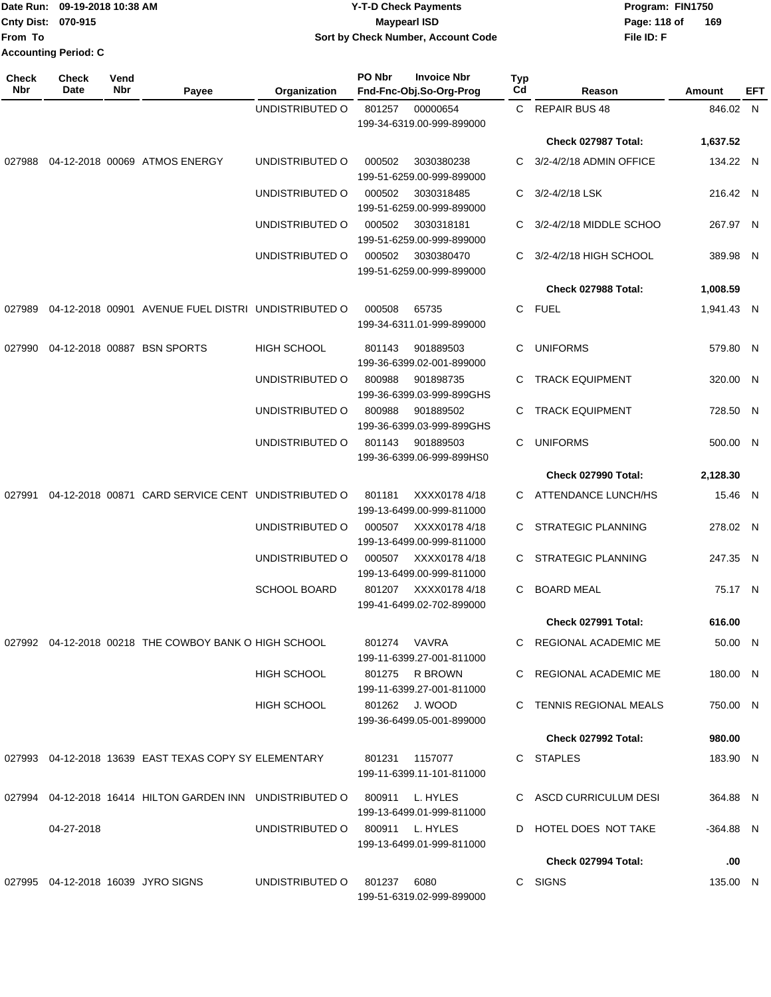|                             | TDate Run: 09-19-2018 10:38 AM | Y-T-D Check Payments               | Program: FIN1750    |
|-----------------------------|--------------------------------|------------------------------------|---------------------|
| <b>Cnty Dist: 070-915</b>   |                                | Mavpearl ISD                       | 169<br>Page: 118 of |
| lFrom To                    |                                | Sort by Check Number, Account Code | File ID: F          |
| <b>Accounting Period: C</b> |                                |                                    |                     |

| <b>Check</b><br>Nbr | <b>Check</b><br>Date | Vend<br>Nbr | Payee                                                                     | Organization                    | PO Nbr         | <b>Invoice Nbr</b><br>Fnd-Fnc-Obj.So-Org-Prog | Typ<br>Cd | Reason                     | Amount     | EFT |
|---------------------|----------------------|-------------|---------------------------------------------------------------------------|---------------------------------|----------------|-----------------------------------------------|-----------|----------------------------|------------|-----|
|                     |                      |             |                                                                           | UNDISTRIBUTED O                 | 801257         | 00000654                                      |           | C REPAIR BUS 48            | 846.02 N   |     |
|                     |                      |             |                                                                           |                                 |                | 199-34-6319.00-999-899000                     |           | Check 027987 Total:        | 1,637.52   |     |
|                     |                      |             | 027988  04-12-2018  00069  ATMOS ENERGY                                   | UNDISTRIBUTED O                 | 000502         | 3030380238<br>199-51-6259.00-999-899000       |           | C 3/2-4/2/18 ADMIN OFFICE  | 134.22 N   |     |
|                     |                      |             |                                                                           | UNDISTRIBUTED O                 | 000502         | 3030318485<br>199-51-6259.00-999-899000       | C         | 3/2-4/2/18 LSK             | 216.42 N   |     |
|                     |                      |             |                                                                           | UNDISTRIBUTED O                 | 000502         | 3030318181<br>199-51-6259.00-999-899000       |           | C 3/2-4/2/18 MIDDLE SCHOO  | 267.97 N   |     |
|                     |                      |             |                                                                           | UNDISTRIBUTED O                 | 000502         | 3030380470<br>199-51-6259.00-999-899000       |           | C 3/2-4/2/18 HIGH SCHOOL   | 389.98 N   |     |
|                     |                      |             |                                                                           |                                 |                |                                               |           | Check 027988 Total:        | 1,008.59   |     |
| 027989              |                      |             | 04-12-2018 00901 AVENUE FUEL DISTRI UNDISTRIBUTED O                       |                                 | 000508         | 65735<br>199-34-6311.01-999-899000            |           | C FUEL                     | 1,941.43 N |     |
| 027990              |                      |             | 04-12-2018 00887 BSN SPORTS                                               | <b>HIGH SCHOOL</b>              | 801143         | 901889503<br>199-36-6399.02-001-899000        | C         | <b>UNIFORMS</b>            | 579.80 N   |     |
|                     |                      |             |                                                                           | UNDISTRIBUTED O                 | 800988         | 901898735<br>199-36-6399.03-999-899GHS        |           | C TRACK EQUIPMENT          | 320.00 N   |     |
|                     |                      |             |                                                                           | UNDISTRIBUTED O                 | 800988         | 901889502<br>199-36-6399.03-999-899GHS        | C.        | <b>TRACK EQUIPMENT</b>     | 728.50 N   |     |
|                     |                      |             |                                                                           | UNDISTRIBUTED O                 | 801143         | 901889503<br>199-36-6399.06-999-899HS0        | C         | <b>UNIFORMS</b>            | 500.00 N   |     |
|                     |                      |             |                                                                           |                                 |                |                                               |           | Check 027990 Total:        | 2,128.30   |     |
|                     |                      |             | 027991 04-12-2018 00871 CARD SERVICE CENT UNDISTRIBUTED O                 |                                 | 801181         | XXXX01784/18<br>199-13-6499.00-999-811000     |           | C ATTENDANCE LUNCH/HS      | 15.46 N    |     |
|                     |                      |             |                                                                           | UNDISTRIBUTED O                 | 000507         | XXXX0178 4/18<br>199-13-6499.00-999-811000    | C.        | STRATEGIC PLANNING         | 278.02 N   |     |
|                     |                      |             |                                                                           | UNDISTRIBUTED O                 | 000507         | XXXX0178 4/18<br>199-13-6499.00-999-811000    | C.        | <b>STRATEGIC PLANNING</b>  | 247.35 N   |     |
|                     |                      |             |                                                                           | <b>SCHOOL BOARD</b>             | 801207         | XXXX0178 4/18<br>199-41-6499.02-702-899000    | C         | <b>BOARD MEAL</b>          | 75.17 N    |     |
|                     |                      |             |                                                                           |                                 |                |                                               |           | Check 027991 Total:        | 616.00     |     |
|                     |                      |             | 027992 04-12-2018 00218 THE COWBOY BANK O HIGH SCHOOL                     |                                 |                | 801274 VAVRA<br>199-11-6399.27-001-811000     |           | C REGIONAL ACADEMIC ME     | 50.00 N    |     |
|                     |                      |             |                                                                           | HIGH SCHOOL                     |                | 801275 R BROWN<br>199-11-6399.27-001-811000   |           | C REGIONAL ACADEMIC ME     | 180.00 N   |     |
|                     |                      |             |                                                                           | HIGH SCHOOL                     |                | 801262 J. WOOD<br>199-36-6499.05-001-899000   |           | C TENNIS REGIONAL MEALS    | 750.00 N   |     |
|                     |                      |             |                                                                           |                                 |                |                                               |           | Check 027992 Total:        | 980.00     |     |
|                     |                      |             | 027993  04-12-2018  13639  EAST TEXAS COPY SY ELEMENTARY                  |                                 | 801231 1157077 | 199-11-6399.11-101-811000                     |           | C STAPLES                  | 183.90 N   |     |
|                     |                      |             | 027994 04-12-2018 16414 HILTON GARDEN INN UNDISTRIBUTED O 800911 L. HYLES |                                 |                | 199-13-6499.01-999-811000                     |           | C ASCD CURRICULUM DESI     | 364.88 N   |     |
|                     | 04-27-2018           |             |                                                                           | UNDISTRIBUTED 0 800911 L. HYLES |                | 199-13-6499.01-999-811000                     |           | D HOTEL DOES NOT TAKE      | -364.88 N  |     |
|                     |                      |             |                                                                           |                                 |                |                                               |           | <b>Check 027994 Total:</b> | .00        |     |
|                     |                      |             | 027995 04-12-2018 16039 JYRO SIGNS                                        | UNDISTRIBUTED O                 | 801237 6080    | 199-51-6319.02-999-899000                     |           | C SIGNS                    | 135.00 N   |     |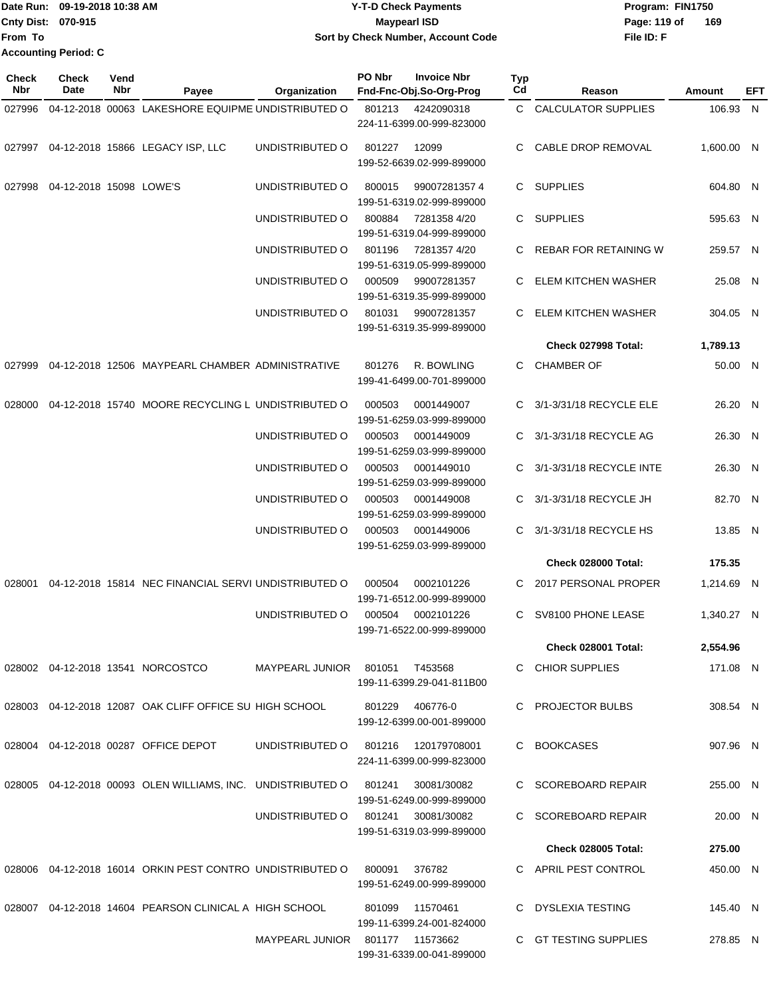|                             | Date Run: 09-19-2018 10:38 AM | <b>Y-T-D Check Payments</b>        | Program: FIN1750    |
|-----------------------------|-------------------------------|------------------------------------|---------------------|
| <b>Cnty Dist: 070-915</b>   |                               | Maypearl ISD                       | 169<br>Page: 119 of |
| lFrom To                    |                               | Sort by Check Number, Account Code | File ID: F          |
| <b>Accounting Period: C</b> |                               |                                    |                     |

| <b>Check</b><br>Nbr | Check<br>Date                     | Vend<br>Nbr | Payee                                                       | Organization           | PO Nbr | <b>Invoice Nbr</b><br>Fnd-Fnc-Obj.So-Org-Prog   | <b>Typ</b><br>Cd | Reason                     | Amount     | EFT |
|---------------------|-----------------------------------|-------------|-------------------------------------------------------------|------------------------|--------|-------------------------------------------------|------------------|----------------------------|------------|-----|
| 027996              |                                   |             | 04-12-2018 00063 LAKESHORE EQUIPME UNDISTRIBUTED O          |                        | 801213 | 4242090318                                      |                  | C CALCULATOR SUPPLIES      | 106.93 N   |     |
|                     |                                   |             |                                                             |                        |        | 224-11-6399.00-999-823000                       |                  |                            |            |     |
|                     |                                   |             | 027997 04-12-2018 15866 LEGACY ISP, LLC                     | UNDISTRIBUTED O        | 801227 | 12099<br>199-52-6639.02-999-899000              | C.               | CABLE DROP REMOVAL         | 1,600.00 N |     |
|                     | 027998  04-12-2018  15098  LOWE'S |             |                                                             | UNDISTRIBUTED O        | 800015 | 990072813574<br>199-51-6319.02-999-899000       |                  | C SUPPLIES                 | 604.80 N   |     |
|                     |                                   |             |                                                             | UNDISTRIBUTED O        | 800884 | 7281358 4/20<br>199-51-6319.04-999-899000       |                  | C SUPPLIES                 | 595.63 N   |     |
|                     |                                   |             |                                                             | UNDISTRIBUTED O        | 801196 | 72813574/20<br>199-51-6319.05-999-899000        |                  | REBAR FOR RETAINING W      | 259.57 N   |     |
|                     |                                   |             |                                                             | UNDISTRIBUTED O        | 000509 | 99007281357<br>199-51-6319.35-999-899000        | C                | ELEM KITCHEN WASHER        | 25.08 N    |     |
|                     |                                   |             |                                                             | UNDISTRIBUTED O        | 801031 | 99007281357<br>199-51-6319.35-999-899000        |                  | ELEM KITCHEN WASHER        | 304.05 N   |     |
|                     |                                   |             |                                                             |                        |        |                                                 |                  | Check 027998 Total:        | 1.789.13   |     |
| 027999              |                                   |             | 04-12-2018 12506 MAYPEARL CHAMBER ADMINISTRATIVE            |                        | 801276 | R. BOWLING<br>199-41-6499.00-701-899000         |                  | C CHAMBER OF               | 50.00 N    |     |
| 028000              |                                   |             | 04-12-2018 15740 MOORE RECYCLING L UNDISTRIBUTED O          |                        | 000503 | 0001449007<br>199-51-6259.03-999-899000         |                  | C 3/1-3/31/18 RECYCLE ELE  | 26.20 N    |     |
|                     |                                   |             |                                                             | UNDISTRIBUTED O        | 000503 | 0001449009<br>199-51-6259.03-999-899000         |                  | C 3/1-3/31/18 RECYCLE AG   | 26.30 N    |     |
|                     |                                   |             |                                                             | UNDISTRIBUTED O        | 000503 | 0001449010<br>199-51-6259.03-999-899000         |                  | C 3/1-3/31/18 RECYCLE INTE | 26.30 N    |     |
|                     |                                   |             |                                                             | UNDISTRIBUTED O        | 000503 | 0001449008<br>199-51-6259.03-999-899000         |                  | 3/1-3/31/18 RECYCLE JH     | 82.70 N    |     |
|                     |                                   |             |                                                             | UNDISTRIBUTED O        | 000503 | 0001449006<br>199-51-6259.03-999-899000         | C                | 3/1-3/31/18 RECYCLE HS     | 13.85 N    |     |
|                     |                                   |             |                                                             |                        |        |                                                 |                  | Check 028000 Total:        | 175.35     |     |
|                     |                                   |             | 028001 04-12-2018 15814 NEC FINANCIAL SERVI UNDISTRIBUTED O |                        | 000504 | 0002101226<br>199-71-6512.00-999-899000         |                  | C 2017 PERSONAL PROPER     | 1,214.69 N |     |
|                     |                                   |             |                                                             | UNDISTRIBUTED O        | 000504 | 0002101226<br>199-71-6522.00-999-899000         |                  | C SV8100 PHONE LEASE       | 1,340.27 N |     |
|                     |                                   |             |                                                             |                        |        |                                                 |                  | Check 028001 Total:        | 2,554.96   |     |
|                     |                                   |             | 028002  04-12-2018  13541  NORCOSTCO                        | MAYPEARL JUNIOR 801051 |        | T453568<br>199-11-6399.29-041-811B00            |                  | C CHIOR SUPPLIES           | 171.08 N   |     |
|                     |                                   |             | 028003 04-12-2018 12087 OAK CLIFF OFFICE SU HIGH SCHOOL     |                        | 801229 | 406776-0<br>199-12-6399.00-001-899000           |                  | C PROJECTOR BULBS          | 308.54 N   |     |
|                     |                                   |             | 028004 04-12-2018 00287 OFFICE DEPOT                        | UNDISTRIBUTED O        | 801216 | 120179708001<br>224-11-6399.00-999-823000       |                  | C BOOKCASES                | 907.96 N   |     |
|                     |                                   |             | 028005 04-12-2018 00093 OLEN WILLIAMS, INC. UNDISTRIBUTED O |                        | 801241 | 30081/30082<br>199-51-6249.00-999-899000        |                  | C SCOREBOARD REPAIR        | 255.00 N   |     |
|                     |                                   |             |                                                             | UNDISTRIBUTED O        |        | 801241 30081/30082<br>199-51-6319.03-999-899000 |                  | C SCOREBOARD REPAIR        | 20.00 N    |     |
|                     |                                   |             |                                                             |                        |        |                                                 |                  | <b>Check 028005 Total:</b> | 275.00     |     |
|                     |                                   |             | 028006 04-12-2018 16014 ORKIN PEST CONTRO UNDISTRIBUTED O   |                        | 800091 | 376782<br>199-51-6249.00-999-899000             |                  | C APRIL PEST CONTROL       | 450.00 N   |     |
|                     |                                   |             | 028007 04-12-2018 14604 PEARSON CLINICAL A HIGH SCHOOL      |                        | 801099 | 11570461<br>199-11-6399.24-001-824000           |                  | C DYSLEXIA TESTING         | 145.40 N   |     |
|                     |                                   |             |                                                             | <b>MAYPEARL JUNIOR</b> |        | 801177 11573662<br>199-31-6339.00-041-899000    |                  | C GT TESTING SUPPLIES      | 278.85 N   |     |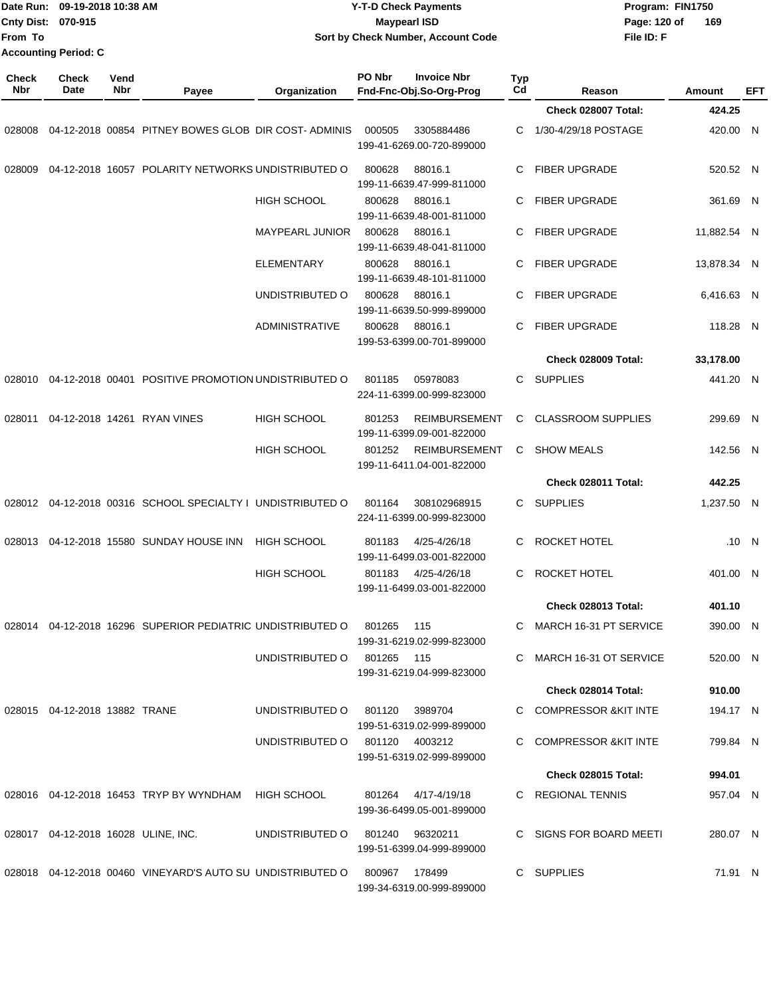| From To             | Date Run: 09-19-2018 10:38 AM<br>Cnty Dist: 070-915<br><b>Accounting Period: C</b> |             |                                                            |                            | <b>Y-T-D Check Payments</b><br><b>Maypearl ISD</b><br>Sort by Check Number, Account Code |                       |                            | Program: FIN1750<br>Page: 120 of<br>169<br>File ID: F |          |
|---------------------|------------------------------------------------------------------------------------|-------------|------------------------------------------------------------|----------------------------|------------------------------------------------------------------------------------------|-----------------------|----------------------------|-------------------------------------------------------|----------|
| <b>Check</b><br>Nbr | Check<br>Date                                                                      | Vend<br>Nbr | Payee                                                      | Organization               | PO Nbr<br><b>Invoice Nbr</b><br>Fnd-Fnc-Obj.So-Org-Prog                                  | Typ<br>C <sub>d</sub> | Reason                     | <b>Amount</b>                                         | EFT      |
|                     |                                                                                    |             |                                                            |                            |                                                                                          |                       | Check 028007 Total:        | 424.25                                                |          |
| 028008              |                                                                                    |             | 04-12-2018 00854 PITNEY BOWES GLOB DIR COST-ADMINIS        |                            | 000505<br>3305884486<br>199-41-6269.00-720-899000                                        | С                     | 1/30-4/29/18 POSTAGE       |                                                       | 420.00 N |
| 028009              |                                                                                    |             | 04-12-2018 16057 POLARITY NETWORKS UNDISTRIBUTED O         |                            | 800628<br>88016.1<br>199-11-6639.47-999-811000                                           | С                     | <b>FIBER UPGRADE</b>       | 520.52 N                                              |          |
|                     |                                                                                    |             |                                                            | <b>HIGH SCHOOL</b>         | 800628<br>88016.1<br>199-11-6639.48-001-811000                                           | С                     | <b>FIBER UPGRADE</b>       |                                                       | 361.69 N |
|                     |                                                                                    |             |                                                            | <b>MAYPEARL JUNIOR</b>     | 800628<br>88016.1<br>199-11-6639.48-041-811000                                           | С                     | <b>FIBER UPGRADE</b>       | 11,882.54 N                                           |          |
|                     |                                                                                    |             |                                                            | <b>ELEMENTARY</b>          | 88016.1<br>800628<br>199-11-6639.48-101-811000                                           | С                     | <b>FIBER UPGRADE</b>       | 13,878.34 N                                           |          |
|                     |                                                                                    |             |                                                            | UNDISTRIBUTED O            | 800628<br>88016.1<br>199-11-6639.50-999-899000                                           | С                     | FIBER UPGRADE              | 6,416.63 N                                            |          |
|                     |                                                                                    |             |                                                            | <b>ADMINISTRATIVE</b>      | 800628<br>88016.1<br>199-53-6399.00-701-899000                                           | С                     | <b>FIBER UPGRADE</b>       |                                                       | 118.28 N |
|                     |                                                                                    |             |                                                            |                            |                                                                                          |                       | Check 028009 Total:        | 33,178.00                                             |          |
| 028010              |                                                                                    |             | 04-12-2018 00401 POSITIVE PROMOTION UNDISTRIBUTED O        |                            | 801185<br>05978083<br>224-11-6399.00-999-823000                                          | С                     | <b>SUPPLIES</b>            | 441.20 N                                              |          |
| 028011              |                                                                                    |             | 04-12-2018 14261 RYAN VINES                                | <b>HIGH SCHOOL</b>         | 801253<br><b>REIMBURSEMENT</b><br>199-11-6399.09-001-822000                              | С                     | <b>CLASSROOM SUPPLIES</b>  |                                                       | 299.69 N |
|                     |                                                                                    |             |                                                            | HIGH SCHOOL                | <b>REIMBURSEMENT</b><br>801252<br>199-11-6411.04-001-822000                              | C                     | <b>SHOW MEALS</b>          |                                                       | 142.56 N |
|                     |                                                                                    |             |                                                            |                            |                                                                                          |                       | Check 028011 Total:        | 442.25                                                |          |
|                     |                                                                                    |             | 028012 04-12-2018 00316 SCHOOL SPECIALTY I UNDISTRIBUTED O |                            | 801164<br>308102968915<br>224-11-6399.00-999-823000                                      | C                     | <b>SUPPLIES</b>            | 1,237.50 N                                            |          |
| 028013              |                                                                                    |             | 04-12-2018 15580 SUNDAY HOUSE INN                          | HIGH SCHOOL                | 801183<br>4/25-4/26/18<br>199-11-6499.03-001-822000                                      | С                     | ROCKET HOTEL               |                                                       | .10 N    |
|                     |                                                                                    |             |                                                            | <b>HIGH SCHOOL</b>         | 801183 4/25-4/26/18<br>199-11-6499.03-001-822000                                         |                       | C ROCKET HOTEL             |                                                       | 401.00 N |
|                     |                                                                                    |             |                                                            |                            |                                                                                          |                       | <b>Check 028013 Total:</b> | 401.10                                                |          |
|                     |                                                                                    |             | 028014 04-12-2018 16296 SUPERIOR PEDIATRIC UNDISTRIBUTED O |                            | 801265<br>115<br>199-31-6219.02-999-823000                                               |                       | C MARCH 16-31 PT SERVICE   |                                                       | 390.00 N |
|                     |                                                                                    |             |                                                            | UNDISTRIBUTED O 801265 115 | 199-31-6219.04-999-823000                                                                |                       | C MARCH 16-31 OT SERVICE   |                                                       | 520.00 N |
|                     |                                                                                    |             |                                                            |                            |                                                                                          |                       | Check 028014 Total:        | 910.00                                                |          |
|                     | 028015  04-12-2018  13882  TRANE                                                   |             |                                                            | UNDISTRIBUTED O            | 3989704<br>801120<br>199-51-6319.02-999-899000                                           |                       | C COMPRESSOR & KIT INTE    |                                                       | 194.17 N |
|                     |                                                                                    |             |                                                            |                            | UNDISTRIBUTED O 801120 4003212<br>199-51-6319.02-999-899000                              |                       | C COMPRESSOR & KIT INTE    |                                                       | 799.84 N |
|                     |                                                                                    |             |                                                            |                            |                                                                                          |                       | <b>Check 028015 Total:</b> | 994.01                                                |          |
|                     |                                                                                    |             | 028016  04-12-2018  16453  TRYP BY WYNDHAM  HIGH SCHOOL    |                            | 801264 4/17-4/19/18<br>199-36-6499.05-001-899000                                         |                       | C REGIONAL TENNIS          |                                                       | 957.04 N |
|                     |                                                                                    |             | 028017  04-12-2018  16028  ULINE, INC.                     | UNDISTRIBUTED O            | 801240<br>96320211<br>199-51-6399.04-999-899000                                          |                       | C SIGNS FOR BOARD MEETI    |                                                       | 280.07 N |
|                     |                                                                                    |             | 028018 04-12-2018 00460 VINEYARD'S AUTO SU UNDISTRIBUTED O |                            | 800967 178499<br>199-34-6319.00-999-899000                                               |                       | C SUPPLIES                 |                                                       | 71.91 N  |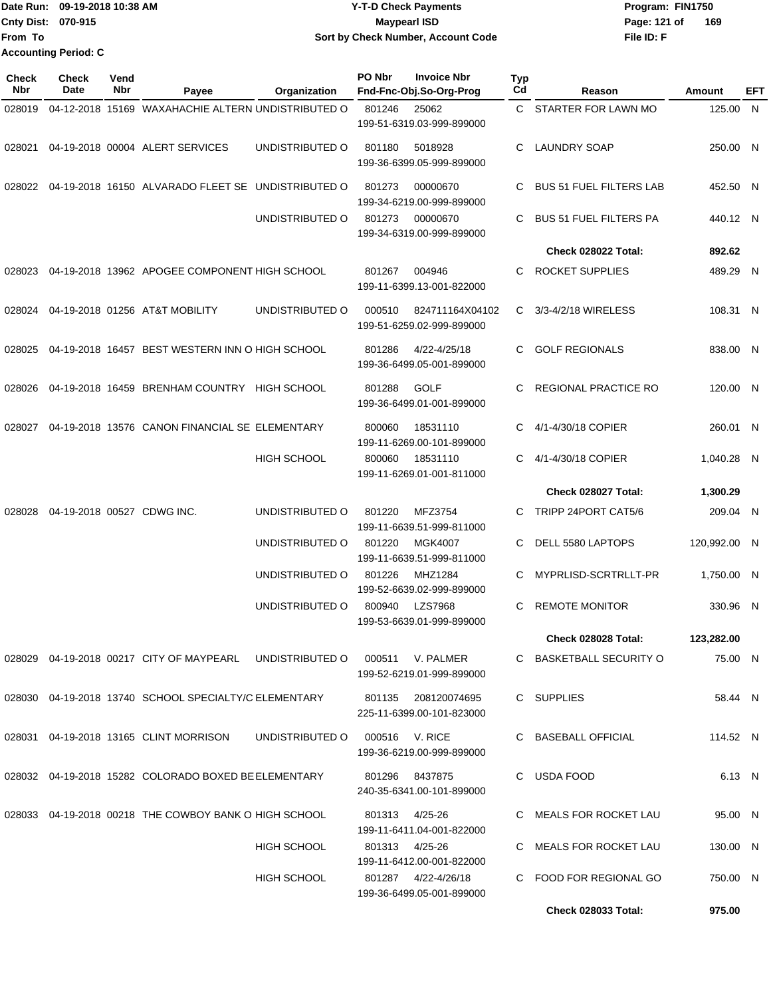| 1Date Run: 09-19-2018 10:38 AM | <b>Y-T-D Check Payments</b>        | Program: FIN1750    |
|--------------------------------|------------------------------------|---------------------|
| <b>Cnty Dist: 070-915</b>      | <b>Maypearl ISD</b>                | 169<br>Page: 121 of |
| lFrom To                       | Sort by Check Number, Account Code | File ID: F          |
| <b>Accounting Period: C</b>    |                                    |                     |

| <b>Check</b><br>Nbr | <b>Check</b><br>Date | Vend<br><b>Nbr</b> | Payee                                                     | Organization       | PO Nbr | <b>Invoice Nbr</b><br>Fnd-Fnc-Obj.So-Org-Prog    | Typ<br>Cd    | Reason                         | Amount       | EFT |
|---------------------|----------------------|--------------------|-----------------------------------------------------------|--------------------|--------|--------------------------------------------------|--------------|--------------------------------|--------------|-----|
| 028019              |                      |                    | 04-12-2018 15169 WAXAHACHIE ALTERN UNDISTRIBUTED O        |                    | 801246 | 25062                                            |              | C STARTER FOR LAWN MO          | 125.00 N     |     |
|                     |                      |                    |                                                           |                    |        | 199-51-6319.03-999-899000                        |              |                                |              |     |
| 028021              |                      |                    | 04-19-2018 00004 ALERT SERVICES                           | UNDISTRIBUTED O    | 801180 | 5018928<br>199-36-6399.05-999-899000             | C            | <b>LAUNDRY SOAP</b>            | 250.00 N     |     |
|                     |                      |                    | 028022 04-19-2018 16150 ALVARADO FLEET SE UNDISTRIBUTED O |                    | 801273 | 00000670<br>199-34-6219.00-999-899000            | C            | <b>BUS 51 FUEL FILTERS LAB</b> | 452.50 N     |     |
|                     |                      |                    |                                                           | UNDISTRIBUTED O    | 801273 | 00000670<br>199-34-6319.00-999-899000            | C            | <b>BUS 51 FUEL FILTERS PA</b>  | 440.12 N     |     |
|                     |                      |                    |                                                           |                    |        |                                                  |              | Check 028022 Total:            | 892.62       |     |
| 028023              |                      |                    | 04-19-2018 13962 APOGEE COMPONENT HIGH SCHOOL             |                    | 801267 | 004946<br>199-11-6399.13-001-822000              | C.           | <b>ROCKET SUPPLIES</b>         | 489.29 N     |     |
| 028024              |                      |                    | 04-19-2018 01256 AT&T MOBILITY                            | UNDISTRIBUTED O    | 000510 | 824711164X04102<br>199-51-6259.02-999-899000     | $\mathbf{C}$ | 3/3-4/2/18 WIRELESS            | 108.31 N     |     |
| 028025              |                      |                    | 04-19-2018 16457 BEST WESTERN INN O HIGH SCHOOL           |                    | 801286 | 4/22-4/25/18<br>199-36-6499.05-001-899000        | C.           | <b>GOLF REGIONALS</b>          | 838.00 N     |     |
| 028026              |                      |                    | 04-19-2018 16459 BRENHAM COUNTRY HIGH SCHOOL              |                    | 801288 | <b>GOLF</b><br>199-36-6499.01-001-899000         | C            | <b>REGIONAL PRACTICE RO</b>    | 120.00 N     |     |
| 028027              |                      |                    | 04-19-2018 13576 CANON FINANCIAL SE ELEMENTARY            |                    | 800060 | 18531110<br>199-11-6269.00-101-899000            | C            | 4/1-4/30/18 COPIER             | 260.01 N     |     |
|                     |                      |                    |                                                           | <b>HIGH SCHOOL</b> | 800060 | 18531110<br>199-11-6269.01-001-811000            | C.           | 4/1-4/30/18 COPIER             | 1,040.28 N   |     |
|                     |                      |                    |                                                           |                    |        |                                                  |              | Check 028027 Total:            | 1,300.29     |     |
| 028028              |                      |                    | 04-19-2018 00527 CDWG INC.                                | UNDISTRIBUTED O    | 801220 | MFZ3754<br>199-11-6639.51-999-811000             | C.           | TRIPP 24PORT CAT5/6            | 209.04 N     |     |
|                     |                      |                    |                                                           | UNDISTRIBUTED O    | 801220 | <b>MGK4007</b><br>199-11-6639.51-999-811000      | C.           | DELL 5580 LAPTOPS              | 120,992.00 N |     |
|                     |                      |                    |                                                           | UNDISTRIBUTED O    | 801226 | MHZ1284<br>199-52-6639.02-999-899000             | C            | MYPRLISD-SCRTRLLT-PR           | 1,750.00 N   |     |
|                     |                      |                    |                                                           | UNDISTRIBUTED O    | 800940 | <b>LZS7968</b><br>199-53-6639.01-999-899000      | C            | <b>REMOTE MONITOR</b>          | 330.96 N     |     |
|                     |                      |                    |                                                           |                    |        |                                                  |              | Check 028028 Total:            | 123,282.00   |     |
|                     |                      |                    | 028029 04-19-2018 00217 CITY OF MAYPEARL UNDISTRIBUTED O  |                    |        | 000511 V. PALMER<br>199-52-6219.01-999-899000    |              | C BASKETBALL SECURITY O        | 75.00 N      |     |
|                     |                      |                    | 028030 04-19-2018 13740 SCHOOL SPECIALTY/C ELEMENTARY     |                    |        | 801135 208120074695<br>225-11-6399.00-101-823000 |              | C SUPPLIES                     | 58.44 N      |     |
|                     |                      |                    | 028031 04-19-2018 13165 CLINT MORRISON                    | UNDISTRIBUTED O    |        | 000516 V. RICE<br>199-36-6219.00-999-899000      |              | C BASEBALL OFFICIAL            | 114.52 N     |     |
|                     |                      |                    | 028032 04-19-2018 15282 COLORADO BOXED BE ELEMENTARY      |                    |        | 801296 8437875<br>240-35-6341.00-101-899000      |              | C USDA FOOD                    | 6.13 N       |     |
|                     |                      |                    | 028033 04-19-2018 00218 THE COWBOY BANK O HIGH SCHOOL     |                    | 801313 | 4/25-26<br>199-11-6411.04-001-822000             |              | C MEALS FOR ROCKET LAU         | 95.00 N      |     |
|                     |                      |                    |                                                           | HIGH SCHOOL        |        | 801313 4/25-26<br>199-11-6412.00-001-822000      |              | C MEALS FOR ROCKET LAU         | 130.00 N     |     |
|                     |                      |                    |                                                           | HIGH SCHOOL        |        | 801287 4/22-4/26/18<br>199-36-6499.05-001-899000 |              | C FOOD FOR REGIONAL GO         | 750.00 N     |     |
|                     |                      |                    |                                                           |                    |        |                                                  |              | <b>Check 028033 Total:</b>     | 975.00       |     |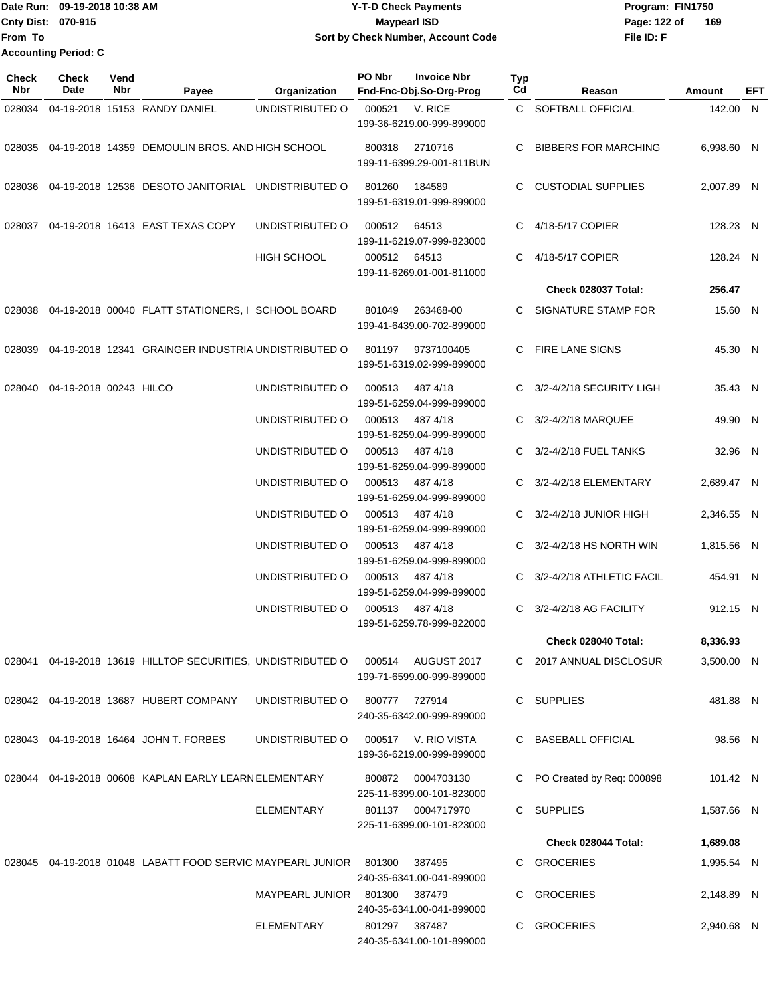Date Run: 09-19-2018 10:38 AM **Program:** FIN1750 **Cnty Dist: 070-915 File ID: F From To 09-19-2018 10:38 AM Y-T-D Check Payments 070-915 Maypearl ISD Sort by Check Number, Account Code** Page: 122 of 169 **Accounting Period: C**

| Check<br>Nbr | Check<br>Date                 | Vend<br>Nbr | Payee                                                                          | Organization           | PO Nbr       | <b>Invoice Nbr</b><br>Fnd-Fnc-Obj.So-Org-Prog  | <b>Typ</b><br>Cd | Reason                        | Amount     | EFT |
|--------------|-------------------------------|-------------|--------------------------------------------------------------------------------|------------------------|--------------|------------------------------------------------|------------------|-------------------------------|------------|-----|
| 028034       |                               |             | 04-19-2018 15153 RANDY DANIEL                                                  | UNDISTRIBUTED O        | 000521       | V. RICE<br>199-36-6219.00-999-899000           |                  | C SOFTBALL OFFICIAL           | 142.00 N   |     |
|              |                               |             | 028035 04-19-2018 14359 DEMOULIN BROS. AND HIGH SCHOOL                         |                        | 800318       | 2710716<br>199-11-6399.29-001-811BUN           | C                | <b>BIBBERS FOR MARCHING</b>   | 6,998.60 N |     |
| 028036       |                               |             | 04-19-2018 12536 DESOTO JANITORIAL UNDISTRIBUTED O                             |                        | 801260       | 184589<br>199-51-6319.01-999-899000            | C.               | CUSTODIAL SUPPLIES            | 2,007.89 N |     |
| 028037       |                               |             | 04-19-2018 16413 EAST TEXAS COPY                                               | UNDISTRIBUTED O        | 000512       | 64513<br>199-11-6219.07-999-823000             | C.               | 4/18-5/17 COPIER              | 128.23 N   |     |
|              |                               |             |                                                                                | HIGH SCHOOL            | 000512 64513 | 199-11-6269.01-001-811000                      | C.               | 4/18-5/17 COPIER              | 128.24 N   |     |
|              |                               |             |                                                                                |                        |              |                                                |                  | Check 028037 Total:           | 256.47     |     |
|              |                               |             | 028038 04-19-2018 00040 FLATT STATIONERS, I SCHOOL BOARD                       |                        | 801049       | 263468-00<br>199-41-6439.00-702-899000         | C.               | SIGNATURE STAMP FOR           | 15.60 N    |     |
| 028039       |                               |             | 04-19-2018 12341 GRAINGER INDUSTRIA UNDISTRIBUTED O                            |                        | 801197       | 9737100405<br>199-51-6319.02-999-899000        |                  | C FIRE LANE SIGNS             | 45.30 N    |     |
|              | 028040 04-19-2018 00243 HILCO |             |                                                                                | UNDISTRIBUTED O        | 000513       | 487 4/18<br>199-51-6259.04-999-899000          |                  | 3/2-4/2/18 SECURITY LIGH      | 35.43 N    |     |
|              |                               |             |                                                                                | UNDISTRIBUTED O        | 000513       | 487 4/18<br>199-51-6259.04-999-899000          | C.               | 3/2-4/2/18 MARQUEE            | 49.90 N    |     |
|              |                               |             |                                                                                | UNDISTRIBUTED O        | 000513       | 487 4/18<br>199-51-6259.04-999-899000          |                  | C 3/2-4/2/18 FUEL TANKS       | 32.96 N    |     |
|              |                               |             |                                                                                | UNDISTRIBUTED O        | 000513       | 487 4/18<br>199-51-6259.04-999-899000          |                  | C 3/2-4/2/18 ELEMENTARY       | 2,689.47 N |     |
|              |                               |             |                                                                                | UNDISTRIBUTED O        | 000513       | 487 4/18<br>199-51-6259.04-999-899000          |                  | C 3/2-4/2/18 JUNIOR HIGH      | 2,346.55 N |     |
|              |                               |             |                                                                                | UNDISTRIBUTED O        | 000513       | 487 4/18<br>199-51-6259.04-999-899000          |                  | C $3/2 - 4/2/18$ HS NORTH WIN | 1,815.56 N |     |
|              |                               |             |                                                                                | UNDISTRIBUTED O        | 000513       | 487 4/18<br>199-51-6259.04-999-899000          | C.               | 3/2-4/2/18 ATHLETIC FACIL     | 454.91 N   |     |
|              |                               |             |                                                                                | UNDISTRIBUTED O        | 000513       | 487 4/18<br>199-51-6259.78-999-822000          | C                | 3/2-4/2/18 AG FACILITY        | 912.15 N   |     |
|              |                               |             |                                                                                |                        |              |                                                |                  | Check 028040 Total:           | 8,336.93   |     |
|              |                               |             | 028041 04-19-2018 13619 HILLTOP SECURITIES, UNDISTRIBUTED O 000514 AUGUST 2017 |                        |              | 199-71-6599.00-999-899000                      |                  | C 2017 ANNUAL DISCLOSUR       | 3,500.00 N |     |
|              |                               |             | 028042 04-19-2018 13687 HUBERT COMPANY                                         | UNDISTRIBUTED O        |              | 800777 727914<br>240-35-6342.00-999-899000     |                  | C SUPPLIES                    | 481.88 N   |     |
|              |                               |             | 028043 04-19-2018 16464 JOHN T. FORBES                                         | UNDISTRIBUTED O        | 000517       | V. RIO VISTA<br>199-36-6219.00-999-899000      |                  | C BASEBALL OFFICIAL           | 98.56 N    |     |
|              |                               |             | 028044 04-19-2018 00608 KAPLAN EARLY LEARN ELEMENTARY                          |                        | 800872       | 0004703130<br>225-11-6399.00-101-823000        | C                | PO Created by Req: 000898     | 101.42 N   |     |
|              |                               |             |                                                                                | ELEMENTARY             |              | 801137 0004717970<br>225-11-6399.00-101-823000 |                  | C SUPPLIES                    | 1,587.66 N |     |
|              |                               |             |                                                                                |                        |              |                                                |                  | Check 028044 Total:           | 1,689.08   |     |
|              |                               |             | 028045 04-19-2018 01048 LABATT FOOD SERVIC MAYPEARL JUNIOR 801300              |                        |              | 387495<br>240-35-6341.00-041-899000            |                  | C GROCERIES                   | 1,995.54 N |     |
|              |                               |             |                                                                                | MAYPEARL JUNIOR 801300 |              | 387479<br>240-35-6341.00-041-899000            | C.               | <b>GROCERIES</b>              | 2,148.89 N |     |
|              |                               |             |                                                                                | ELEMENTARY             |              | 801297 387487<br>240-35-6341.00-101-899000     |                  | C GROCERIES                   | 2,940.68 N |     |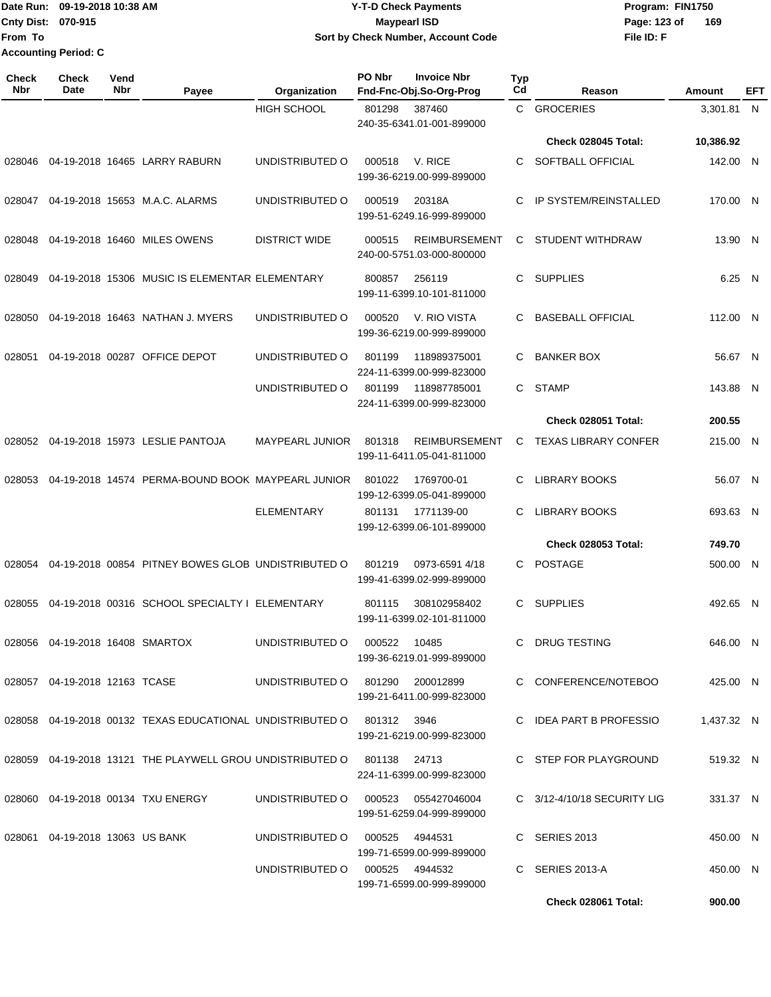Date Run: 09-19-2018 10:38 AM **CONTEX 18 AM CONTEX 18 AM CONTEX 17-T-D** Check Payments **CONTEX 18 AM CONTEX 18 AM CONTEX 18 AM CONTEX 18 AM CONTEX 18 AM CONTEX 18 AM CONTEX 18 AM CONTEX 18 AM CONTEX 19 AM CONTEX 19 AM CONT Cnty Dist:** 070-915 **Page: 123 of From To Accounting Period: C**

# **09-19-2018 10:38 AM Y-T-D Check Payments 070-915 Maypearl ISD Sort by Check Number, Account Code**

| <b>Check</b><br>Nbr | Check<br>Date                      | Vend<br><b>Nbr</b> | Payee                                                                        | Organization                        | PO Nbr | <b>Invoice Nbr</b><br>Fnd-Fnc-Obj.So-Org-Prog     | <b>Typ</b><br>Cd | Reason                       | Amount     | <b>EFT</b> |
|---------------------|------------------------------------|--------------------|------------------------------------------------------------------------------|-------------------------------------|--------|---------------------------------------------------|------------------|------------------------------|------------|------------|
|                     |                                    |                    |                                                                              | <b>HIGH SCHOOL</b>                  | 801298 | 387460<br>240-35-6341.01-001-899000               | C.               | <b>GROCERIES</b>             | 3.301.81 N |            |
|                     |                                    |                    |                                                                              |                                     |        |                                                   |                  | Check 028045 Total:          | 10,386.92  |            |
| 028046              |                                    |                    | 04-19-2018 16465 LARRY RABURN                                                | UNDISTRIBUTED O                     | 000518 | V. RICE<br>199-36-6219.00-999-899000              | C                | SOFTBALL OFFICIAL            | 142.00 N   |            |
|                     |                                    |                    | 028047  04-19-2018  15653  M.A.C. ALARMS                                     | UNDISTRIBUTED O                     | 000519 | 20318A<br>199-51-6249.16-999-899000               | C                | <b>IP SYSTEM/REINSTALLED</b> | 170.00 N   |            |
| 028048              |                                    |                    | 04-19-2018 16460 MILES OWENS                                                 | <b>DISTRICT WIDE</b>                | 000515 | <b>REIMBURSEMENT</b><br>240-00-5751.03-000-800000 | C                | <b>STUDENT WITHDRAW</b>      | 13.90 N    |            |
| 028049              |                                    |                    | 04-19-2018 15306 MUSIC IS ELEMENTAR ELEMENTARY                               |                                     | 800857 | 256119<br>199-11-6399.10-101-811000               | C.               | <b>SUPPLIES</b>              | 6.25 N     |            |
| 028050              |                                    |                    | 04-19-2018 16463 NATHAN J. MYERS                                             | UNDISTRIBUTED O                     | 000520 | V. RIO VISTA<br>199-36-6219.00-999-899000         | C                | <b>BASEBALL OFFICIAL</b>     | 112.00 N   |            |
| 028051              |                                    |                    | 04-19-2018 00287 OFFICE DEPOT                                                | UNDISTRIBUTED O                     | 801199 | 118989375001<br>224-11-6399.00-999-823000         | C                | <b>BANKER BOX</b>            | 56.67 N    |            |
|                     |                                    |                    |                                                                              | UNDISTRIBUTED O                     | 801199 | 118987785001<br>224-11-6399.00-999-823000         | C.               | <b>STAMP</b>                 | 143.88 N   |            |
|                     |                                    |                    |                                                                              |                                     |        |                                                   |                  | <b>Check 028051 Total:</b>   | 200.55     |            |
|                     |                                    |                    | 028052 04-19-2018 15973 LESLIE PANTOJA                                       | <b>MAYPEARL JUNIOR</b>              | 801318 | <b>REIMBURSEMENT</b><br>199-11-6411.05-041-811000 | C                | <b>TEXAS LIBRARY CONFER</b>  | 215.00 N   |            |
| 028053              |                                    |                    | 04-19-2018 14574 PERMA-BOUND BOOK MAYPEARL JUNIOR                            |                                     | 801022 | 1769700-01<br>199-12-6399.05-041-899000           | C                | <b>LIBRARY BOOKS</b>         | 56.07 N    |            |
|                     |                                    |                    |                                                                              | <b>ELEMENTARY</b>                   | 801131 | 1771139-00<br>199-12-6399.06-101-899000           | С                | <b>LIBRARY BOOKS</b>         | 693.63 N   |            |
|                     |                                    |                    |                                                                              |                                     |        |                                                   |                  | Check 028053 Total:          | 749.70     |            |
| 028054              |                                    |                    | 04-19-2018 00854 PITNEY BOWES GLOB UNDISTRIBUTED O                           |                                     | 801219 | 0973-6591 4/18<br>199-41-6399.02-999-899000       | С                | <b>POSTAGE</b>               | 500.00 N   |            |
| 028055              |                                    |                    | 04-19-2018 00316 SCHOOL SPECIALTY I ELEMENTARY                               |                                     | 801115 | 308102958402<br>199-11-6399.02-101-811000         | C.               | <b>SUPPLIES</b>              | 492.65 N   |            |
|                     | 028056  04-19-2018  16408  SMARTOX |                    |                                                                              | UNDISTRIBUTED O 000522              |        | 10485<br>199-36-6219.01-999-899000                |                  | C DRUG TESTING               | 646.00 N   |            |
|                     | 028057  04-19-2018  12163  TCASE   |                    |                                                                              | UNDISTRIBUTED O 801290 200012899    |        | 199-21-6411.00-999-823000                         |                  | C CONFERENCE/NOTEBOO         | 425.00 N   |            |
|                     |                                    |                    | 028058  04-19-2018  00132  TEXAS EDUCATIONAL UNDISTRIBUTED   0  801312  3946 |                                     |        | 199-21-6219.00-999-823000                         |                  | C IDEA PART B PROFESSIO      | 1,437.32 N |            |
|                     |                                    |                    | 028059 04-19-2018 13121 THE PLAYWELL GROU UNDISTRIBUTED O 801138 24713       |                                     |        | 224-11-6399.00-999-823000                         |                  | C STEP FOR PLAYGROUND        | 519.32 N   |            |
|                     |                                    |                    | 028060  04-19-2018  00134  TXU ENERGY                                        | UNDISTRIBUTED O 000523 055427046004 |        | 199-51-6259.04-999-899000                         |                  | C 3/12-4/10/18 SECURITY LIG  | 331.37 N   |            |
|                     | 028061  04-19-2018  13063  US BANK |                    |                                                                              | UNDISTRIBUTED O 000525 4944531      |        | 199-71-6599.00-999-899000                         |                  | C SERIES 2013                | 450.00 N   |            |
|                     |                                    |                    |                                                                              | UNDISTRIBUTED O 000525 4944532      |        | 199-71-6599.00-999-899000                         |                  | C SERIES 2013-A              | 450.00 N   |            |
|                     |                                    |                    |                                                                              |                                     |        |                                                   |                  | Check 028061 Total:          | 900.00     |            |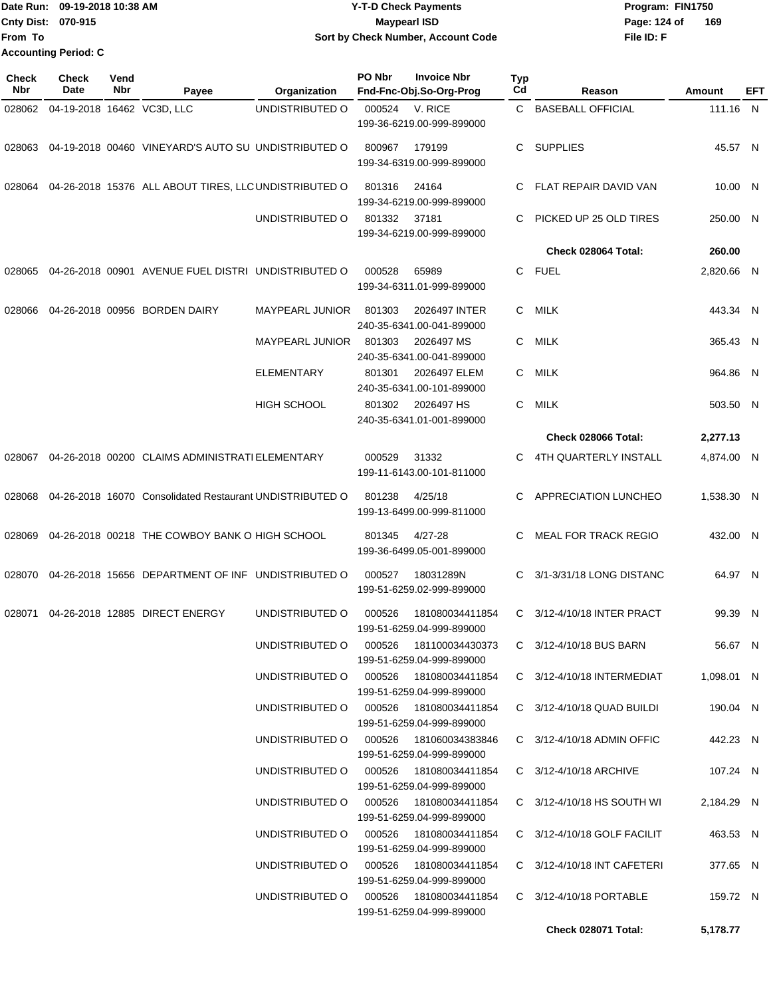|                             | TDate Run: 09-19-2018 10:38 AM | <b>Y-T-D Check Payments</b>        | Program: FIN1750 |     |
|-----------------------------|--------------------------------|------------------------------------|------------------|-----|
| <b>Cnty Dist: 070-915</b>   |                                | Mavpearl ISD                       | Page: 124 of     | 169 |
| From To                     |                                | Sort by Check Number, Account Code | File ID: F       |     |
| <b>Accounting Period: C</b> |                                |                                    |                  |     |

| Check<br><b>Nbr</b> | <b>Check</b><br>Date       | Vend<br>Nbr | Payee                                                    | Organization                           | PO Nbr | <b>Invoice Nbr</b><br>Fnd-Fnc-Obj.So-Org-Prog        | Typ<br>Cd | Reason                        | Amount     | EFT |
|---------------------|----------------------------|-------------|----------------------------------------------------------|----------------------------------------|--------|------------------------------------------------------|-----------|-------------------------------|------------|-----|
| 028062              | 04-19-2018 16462 VC3D, LLC |             |                                                          | UNDISTRIBUTED O                        | 000524 | V. RICE<br>199-36-6219.00-999-899000                 | C.        | <b>BASEBALL OFFICIAL</b>      | 111.16 N   |     |
| 028063              |                            |             | 04-19-2018 00460 VINEYARD'S AUTO SU UNDISTRIBUTED O      |                                        | 800967 | 179199<br>199-34-6319.00-999-899000                  | C         | <b>SUPPLIES</b>               | 45.57 N    |     |
| 028064              |                            |             | 04-26-2018 15376 ALL ABOUT TIRES, LLC UNDISTRIBUTED O    |                                        | 801316 | 24164<br>199-34-6219.00-999-899000                   | C         | FLAT REPAIR DAVID VAN         | 10.00 N    |     |
|                     |                            |             |                                                          | UNDISTRIBUTED O                        | 801332 | 37181<br>199-34-6219.00-999-899000                   | C         | PICKED UP 25 OLD TIRES        | 250.00 N   |     |
|                     |                            |             |                                                          |                                        |        |                                                      |           | Check 028064 Total:           | 260.00     |     |
| 028065              |                            |             | 04-26-2018 00901 AVENUE FUEL DISTRI UNDISTRIBUTED O      |                                        | 000528 | 65989<br>199-34-6311.01-999-899000                   | C         | <b>FUEL</b>                   | 2,820.66 N |     |
| 028066              |                            |             | 04-26-2018 00956 BORDEN DAIRY                            | <b>MAYPEARL JUNIOR</b>                 | 801303 | 2026497 INTER<br>240-35-6341.00-041-899000           | C         | MILK                          | 443.34 N   |     |
|                     |                            |             |                                                          | <b>MAYPEARL JUNIOR</b>                 | 801303 | 2026497 MS<br>240-35-6341.00-041-899000              | C         | MILK                          | 365.43 N   |     |
|                     |                            |             |                                                          | <b>ELEMENTARY</b>                      | 801301 | 2026497 ELEM<br>240-35-6341.00-101-899000            | C         | <b>MILK</b>                   | 964.86 N   |     |
|                     |                            |             |                                                          | <b>HIGH SCHOOL</b>                     | 801302 | 2026497 HS<br>240-35-6341.01-001-899000              | C         | <b>MILK</b>                   | 503.50 N   |     |
|                     |                            |             |                                                          |                                        |        |                                                      |           | Check 028066 Total:           | 2,277.13   |     |
| 028067              |                            |             | 04-26-2018 00200 CLAIMS ADMINISTRATI ELEMENTARY          |                                        | 000529 | 31332<br>199-11-6143.00-101-811000                   | C         | 4TH QUARTERLY INSTALL         | 4,874.00 N |     |
| 028068              |                            |             | 04-26-2018 16070 Consolidated Restaurant UNDISTRIBUTED O |                                        | 801238 | 4/25/18<br>199-13-6499.00-999-811000                 | C.        | APPRECIATION LUNCHEO          | 1,538.30 N |     |
| 028069              |                            |             | 04-26-2018 00218 THE COWBOY BANK O HIGH SCHOOL           |                                        | 801345 | $4/27 - 28$<br>199-36-6499.05-001-899000             | C.        | <b>MEAL FOR TRACK REGIO</b>   | 432.00 N   |     |
| 028070              |                            |             | 04-26-2018 15656 DEPARTMENT OF INF UNDISTRIBUTED O       |                                        | 000527 | 18031289N<br>199-51-6259.02-999-899000               | C         | 3/1-3/31/18 LONG DISTANC      | 64.97 N    |     |
| 028071              |                            |             | 04-26-2018 12885 DIRECT ENERGY                           | UNDISTRIBUTED O                        | 000526 | 181080034411854<br>199-51-6259.04-999-899000         | C.        | 3/12-4/10/18 INTER PRACT      | 99.39      | - N |
|                     |                            |             |                                                          | UNDISTRIBUTED O                        |        | 000526 181100034430373<br>199-51-6259.04-999-899000  |           | C 3/12-4/10/18 BUS BARN       | 56.67 N    |     |
|                     |                            |             |                                                          | UNDISTRIBUTED O 000526 181080034411854 |        | 199-51-6259.04-999-899000                            |           | C 3/12-4/10/18 INTERMEDIAT    | 1,098.01 N |     |
|                     |                            |             |                                                          | UNDISTRIBUTED O 000526 181080034411854 |        | 199-51-6259.04-999-899000                            |           | $C$ 3/12-4/10/18 QUAD BUILDI  | 190.04 N   |     |
|                     |                            |             |                                                          | UNDISTRIBUTED O                        |        | 199-51-6259.04-999-899000                            |           | $C$ 3/12-4/10/18 ADMIN OFFIC  | 442.23 N   |     |
|                     |                            |             |                                                          | UNDISTRIBUTED O                        | 000526 | 181080034411854<br>199-51-6259.04-999-899000         |           | C 3/12-4/10/18 ARCHIVE        | 107.24 N   |     |
|                     |                            |             |                                                          | UNDISTRIBUTED O 000526                 |        | 181080034411854<br>199-51-6259.04-999-899000         |           | $C$ 3/12-4/10/18 HS SOUTH WI  | 2,184.29 N |     |
|                     |                            |             |                                                          | UNDISTRIBUTED O 000526 181080034411854 |        | 199-51-6259.04-999-899000                            |           | $C$ 3/12-4/10/18 GOLF FACILIT | 463.53 N   |     |
|                     |                            |             |                                                          | UNDISTRIBUTED O                        |        | 000526  181080034411854<br>199-51-6259.04-999-899000 |           | C 3/12-4/10/18 INT CAFETERI   | 377.65 N   |     |
|                     |                            |             |                                                          | UNDISTRIBUTED O                        |        | 000526  181080034411854<br>199-51-6259.04-999-899000 |           | C 3/12-4/10/18 PORTABLE       | 159.72 N   |     |
|                     |                            |             |                                                          |                                        |        |                                                      |           | Check 028071 Total:           | 5,178.77   |     |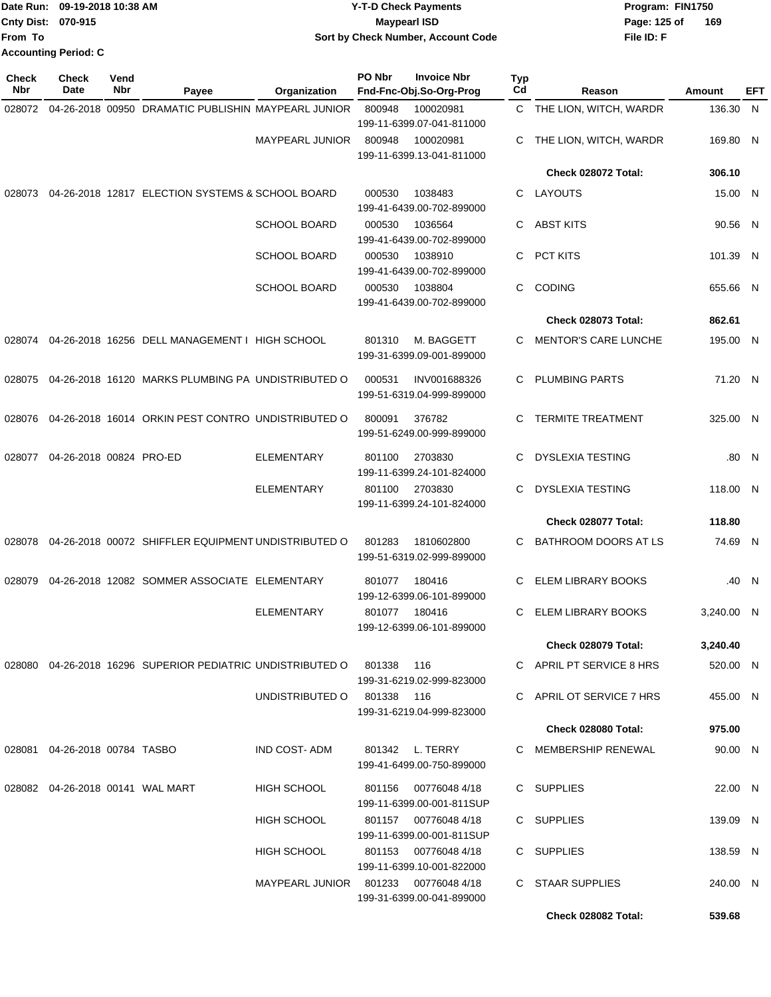|                           | IDate Run: 09-19-2018 10:38 AM | <b>Y-T-D Check Payments</b>        | Program: FIN1750    |
|---------------------------|--------------------------------|------------------------------------|---------------------|
| <b>Cnty Dist: 070-915</b> |                                | <b>Mavpearl ISD</b>                | Page: 125 of<br>169 |
| lFrom To                  |                                | Sort by Check Number, Account Code | File ID: F          |
|                           | <b>Accounting Period: C</b>    |                                    |                     |

| Check<br>Nbr | <b>Check</b><br>Date                | Vend<br>Nbr | Payee                                                      | Organization           | PO Nbr     | <b>Invoice Nbr</b><br>Fnd-Fnc-Obj.So-Org-Prog     | Typ<br>Cd | Reason                      | <b>Amount</b> | EFT   |
|--------------|-------------------------------------|-------------|------------------------------------------------------------|------------------------|------------|---------------------------------------------------|-----------|-----------------------------|---------------|-------|
| 028072       |                                     |             | 04-26-2018 00950 DRAMATIC PUBLISHIN MAYPEARL JUNIOR        |                        | 800948     | 100020981                                         |           | C THE LION, WITCH, WARDR    | 136.30 N      |       |
|              |                                     |             |                                                            |                        |            | 199-11-6399.07-041-811000                         |           |                             |               |       |
|              |                                     |             |                                                            | <b>MAYPEARL JUNIOR</b> | 800948     | 100020981                                         | С         | THE LION, WITCH, WARDR      | 169.80 N      |       |
|              |                                     |             |                                                            |                        |            | 199-11-6399.13-041-811000                         |           |                             |               |       |
|              |                                     |             |                                                            |                        |            |                                                   |           | Check 028072 Total:         | 306.10        |       |
| 028073       |                                     |             | 04-26-2018 12817 ELECTION SYSTEMS & SCHOOL BOARD           |                        | 000530     | 1038483                                           | С         | LAYOUTS                     | 15.00 N       |       |
|              |                                     |             |                                                            |                        |            | 199-41-6439.00-702-899000                         |           |                             |               |       |
|              |                                     |             |                                                            | <b>SCHOOL BOARD</b>    | 000530     | 1036564<br>199-41-6439.00-702-899000              | С         | <b>ABST KITS</b>            | 90.56 N       |       |
|              |                                     |             |                                                            | <b>SCHOOL BOARD</b>    | 000530     | 1038910<br>199-41-6439.00-702-899000              | С         | PCT KITS                    | 101.39 N      |       |
|              |                                     |             |                                                            | <b>SCHOOL BOARD</b>    | 000530     | 1038804                                           | C         | <b>CODING</b>               | 655.66 N      |       |
|              |                                     |             |                                                            |                        |            | 199-41-6439.00-702-899000                         |           |                             |               |       |
|              |                                     |             |                                                            |                        |            |                                                   |           | Check 028073 Total:         | 862.61        |       |
| 028074       |                                     |             | 04-26-2018 16256 DELL MANAGEMENT I HIGH SCHOOL             |                        | 801310     | M. BAGGETT                                        | С         | <b>MENTOR'S CARE LUNCHE</b> | 195.00 N      |       |
|              |                                     |             |                                                            |                        |            | 199-31-6399.09-001-899000                         |           |                             |               |       |
| 028075       |                                     |             | 04-26-2018 16120 MARKS PLUMBING PA UNDISTRIBUTED O         |                        | 000531     | INV001688326<br>199-51-6319.04-999-899000         | С         | <b>PLUMBING PARTS</b>       | 71.20 N       |       |
|              |                                     |             |                                                            |                        |            |                                                   |           |                             |               |       |
| 028076       |                                     |             | 04-26-2018 16014 ORKIN PEST CONTRO UNDISTRIBUTED O         |                        | 800091     | 376782<br>199-51-6249.00-999-899000               | С         | <b>TERMITE TREATMENT</b>    | 325.00 N      |       |
| 028077       | 04-26-2018 00824 PRO-ED             |             |                                                            | <b>ELEMENTARY</b>      | 801100     | 2703830                                           | С         | <b>DYSLEXIA TESTING</b>     |               | .80 N |
|              |                                     |             |                                                            |                        |            | 199-11-6399.24-101-824000                         |           |                             |               |       |
|              |                                     |             |                                                            | ELEMENTARY             | 801100     | 2703830<br>199-11-6399.24-101-824000              | С         | <b>DYSLEXIA TESTING</b>     | 118.00 N      |       |
|              |                                     |             |                                                            |                        |            |                                                   |           | Check 028077 Total:         | 118.80        |       |
|              |                                     |             |                                                            |                        |            |                                                   |           |                             |               |       |
| 028078       |                                     |             | 04-26-2018 00072 SHIFFLER EQUIPMENT UNDISTRIBUTED O        |                        | 801283     | 1810602800<br>199-51-6319.02-999-899000           | C         | BATHROOM DOORS AT LS        | 74.69 N       |       |
| 028079       |                                     |             | 04-26-2018 12082 SOMMER ASSOCIATE ELEMENTARY               |                        | 801077     | 180416<br>199-12-6399.06-101-899000               | С         | <b>ELEM LIBRARY BOOKS</b>   |               | .40 N |
|              |                                     |             |                                                            | <b>ELEMENTARY</b>      | 801077     | 180416                                            | С         | ELEM LIBRARY BOOKS          | 3,240.00 N    |       |
|              |                                     |             |                                                            |                        |            | 199-12-6399.06-101-899000                         |           |                             |               |       |
|              |                                     |             |                                                            |                        |            |                                                   |           | Check 028079 Total:         | 3,240.40      |       |
|              |                                     |             |                                                            |                        |            |                                                   |           |                             |               |       |
|              |                                     |             | 028080 04-26-2018 16296 SUPERIOR PEDIATRIC UNDISTRIBUTED O |                        | 801338     | 116<br>199-31-6219.02-999-823000                  |           | C APRIL PT SERVICE 8 HRS    | 520.00 N      |       |
|              |                                     |             |                                                            | UNDISTRIBUTED O        | 801338 116 | 199-31-6219.04-999-823000                         |           | C APRIL OT SERVICE 7 HRS    | 455.00 N      |       |
|              |                                     |             |                                                            |                        |            |                                                   |           | Check 028080 Total:         | 975.00        |       |
|              | 028081  04-26-2018  00784  TASBO    |             |                                                            | <b>IND COST-ADM</b>    |            | 801342 L. TERRY                                   |           | C MEMBERSHIP RENEWAL        | 90.00 N       |       |
|              |                                     |             |                                                            |                        |            | 199-41-6499.00-750-899000                         |           |                             |               |       |
|              | 028082  04-26-2018  00141  WAL MART |             |                                                            | HIGH SCHOOL            | 801156     | 00776048 4/18<br>199-11-6399.00-001-811SUP        |           | C SUPPLIES                  | 22.00 N       |       |
|              |                                     |             |                                                            | HIGH SCHOOL            |            | 801157 00776048 4/18<br>199-11-6399.00-001-811SUP |           | C SUPPLIES                  | 139.09 N      |       |
|              |                                     |             |                                                            | <b>HIGH SCHOOL</b>     |            | 801153 007760484/18                               |           | C SUPPLIES                  | 138.59 N      |       |
|              |                                     |             |                                                            | MAYPEARL JUNIOR        |            | 199-11-6399.10-001-822000                         |           | C STAAR SUPPLIES            | 240.00 N      |       |
|              |                                     |             |                                                            |                        |            | 199-31-6399.00-041-899000                         |           |                             |               |       |
|              |                                     |             |                                                            |                        |            |                                                   |           | Check 028082 Total:         | 539.68        |       |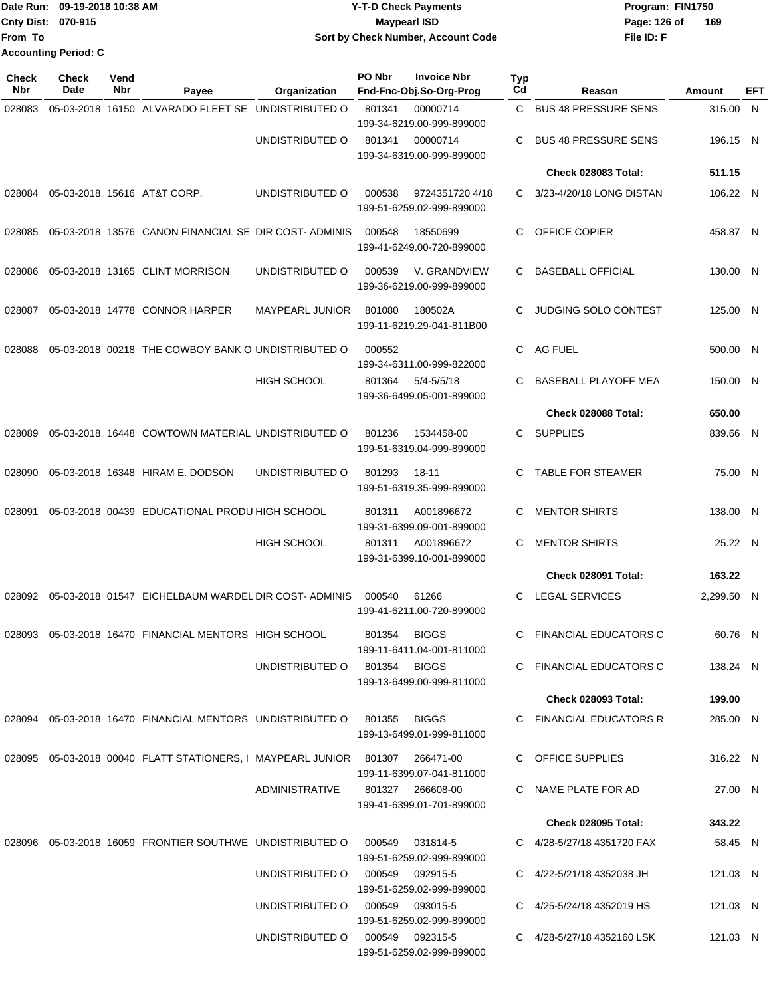|                             | TDate Run: 09-19-2018 10:38 AM | Y-T-D Check Payments               | Program: FIN1750    |  |  |
|-----------------------------|--------------------------------|------------------------------------|---------------------|--|--|
| <b>Cnty Dist: 070-915</b>   |                                | <b>Mavpearl ISD</b>                | 169<br>Page: 126 of |  |  |
| lFrom To                    |                                | Sort by Check Number, Account Code | File ID: F          |  |  |
| <b>Accounting Period: C</b> |                                |                                    |                     |  |  |

| Check<br>Nbr | Check<br>Date | Vend<br>Nbr | Payee                                                                  | Organization           | PO Nbr | <b>Invoice Nbr</b><br>Fnd-Fnc-Obj.So-Org-Prog | Typ<br>Cd | Reason                        | Amount     | EFT |
|--------------|---------------|-------------|------------------------------------------------------------------------|------------------------|--------|-----------------------------------------------|-----------|-------------------------------|------------|-----|
| 028083       |               |             | 05-03-2018 16150 ALVARADO FLEET SE UNDISTRIBUTED O                     |                        | 801341 | 00000714                                      | C.        | <b>BUS 48 PRESSURE SENS</b>   | 315.00 N   |     |
|              |               |             |                                                                        | UNDISTRIBUTED O        | 801341 | 199-34-6219.00-999-899000<br>00000714         | C         | <b>BUS 48 PRESSURE SENS</b>   | 196.15 N   |     |
|              |               |             |                                                                        |                        |        | 199-34-6319.00-999-899000                     |           |                               |            |     |
|              |               |             |                                                                        |                        |        |                                               |           | Check 028083 Total:           | 511.15     |     |
| 028084       |               |             | 05-03-2018 15616 AT&T CORP.                                            | UNDISTRIBUTED O        | 000538 | 9724351720 4/18<br>199-51-6259.02-999-899000  | C         | 3/23-4/20/18 LONG DISTAN      | 106.22 N   |     |
| 028085       |               |             | 05-03-2018 13576 CANON FINANCIAL SE DIR COST-ADMINIS                   |                        | 000548 | 18550699<br>199-41-6249.00-720-899000         | C.        | <b>OFFICE COPIER</b>          | 458.87 N   |     |
| 028086       |               |             | 05-03-2018 13165 CLINT MORRISON                                        | UNDISTRIBUTED O        | 000539 | V. GRANDVIEW<br>199-36-6219.00-999-899000     | C         | <b>BASEBALL OFFICIAL</b>      | 130.00 N   |     |
| 028087       |               |             | 05-03-2018 14778 CONNOR HARPER                                         | <b>MAYPEARL JUNIOR</b> | 801080 | 180502A<br>199-11-6219.29-041-811B00          | C         | <b>JUDGING SOLO CONTEST</b>   | 125.00 N   |     |
| 028088       |               |             | 05-03-2018 00218 THE COWBOY BANK O UNDISTRIBUTED O                     |                        | 000552 | 199-34-6311.00-999-822000                     | C         | <b>AG FUEL</b>                | 500.00 N   |     |
|              |               |             |                                                                        | <b>HIGH SCHOOL</b>     | 801364 | $5/4 - 5/5/18$<br>199-36-6499.05-001-899000   | C         | <b>BASEBALL PLAYOFF MEA</b>   | 150.00 N   |     |
|              |               |             |                                                                        |                        |        |                                               |           | Check 028088 Total:           | 650.00     |     |
| 028089       |               |             | 05-03-2018 16448 COWTOWN MATERIAL UNDISTRIBUTED O                      |                        | 801236 | 1534458-00<br>199-51-6319.04-999-899000       | C         | <b>SUPPLIES</b>               | 839.66 N   |     |
| 028090       |               |             | 05-03-2018 16348 HIRAM E. DODSON                                       | UNDISTRIBUTED O        | 801293 | 18-11<br>199-51-6319.35-999-899000            | C         | <b>TABLE FOR STEAMER</b>      | 75.00 N    |     |
| 028091       |               |             | 05-03-2018 00439 EDUCATIONAL PRODU HIGH SCHOOL                         |                        | 801311 | A001896672<br>199-31-6399.09-001-899000       | С         | <b>MENTOR SHIRTS</b>          | 138.00 N   |     |
|              |               |             |                                                                        | <b>HIGH SCHOOL</b>     | 801311 | A001896672<br>199-31-6399.10-001-899000       | С         | <b>MENTOR SHIRTS</b>          | 25.22 N    |     |
|              |               |             |                                                                        |                        |        |                                               |           | Check 028091 Total:           | 163.22     |     |
| 028092       |               |             | 05-03-2018 01547 EICHELBAUM WARDEL DIR COST-ADMINIS                    |                        | 000540 | 61266<br>199-41-6211.00-720-899000            | C         | <b>LEGAL SERVICES</b>         | 2,299.50 N |     |
| 028093       |               |             | 05-03-2018 16470 FINANCIAL MENTORS HIGH SCHOOL                         |                        | 801354 | <b>BIGGS</b><br>199-11-6411.04-001-811000     | C.        | <b>FINANCIAL EDUCATORS C</b>  | 60.76 N    |     |
|              |               |             |                                                                        | UNDISTRIBUTED O        | 801354 | BIGGS<br>199-13-6499.00-999-811000            |           | C FINANCIAL EDUCATORS C       | 138.24 N   |     |
|              |               |             |                                                                        |                        |        |                                               |           | <b>Check 028093 Total:</b>    | 199.00     |     |
| 028094       |               |             | 05-03-2018 16470 FINANCIAL MENTORS UNDISTRIBUTED O                     |                        | 801355 | <b>BIGGS</b><br>199-13-6499.01-999-811000     |           | C FINANCIAL EDUCATORS R       | 285.00 N   |     |
|              |               |             | 028095  05-03-2018  00040  FLATT STATIONERS, I MAYPEARL JUNIOR  801307 |                        |        | 266471-00<br>199-11-6399.07-041-811000        |           | C OFFICE SUPPLIES             | 316.22 N   |     |
|              |               |             |                                                                        | ADMINISTRATIVE         |        | 801327 266608-00<br>199-41-6399.01-701-899000 |           | C NAME PLATE FOR AD           | 27.00 N    |     |
|              |               |             |                                                                        |                        |        |                                               |           | <b>Check 028095 Total:</b>    | 343.22     |     |
| 028096       |               |             | 05-03-2018 16059 FRONTIER SOUTHWE UNDISTRIBUTED O                      |                        | 000549 | 031814-5<br>199-51-6259.02-999-899000         |           | C 4/28-5/27/18 4351720 FAX    | 58.45 N    |     |
|              |               |             |                                                                        | UNDISTRIBUTED O        | 000549 | 092915-5<br>199-51-6259.02-999-899000         |           | C $4/22 - 5/21/18$ 4352038 JH | 121.03 N   |     |
|              |               |             |                                                                        | UNDISTRIBUTED O        | 000549 | 093015-5<br>199-51-6259.02-999-899000         |           | C 4/25-5/24/18 4352019 HS     | 121.03 N   |     |
|              |               |             |                                                                        | UNDISTRIBUTED O        | 000549 | 092315-5<br>199-51-6259.02-999-899000         |           | C 4/28-5/27/18 4352160 LSK    | 121.03 N   |     |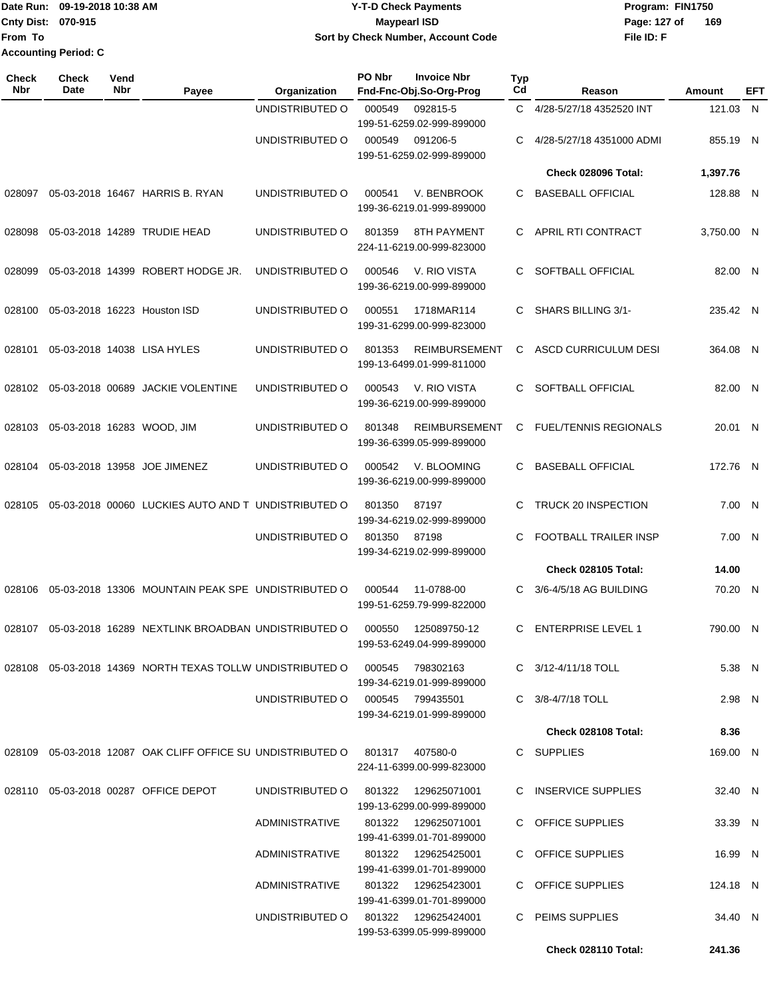### Date Run: 09-19-2018 10:38 AM **CONTEX 18 AM CONTEX 18 AM CONTEX 17-T-D** Check Payments **CONTEX 18 AM CONTEX 18 AM CONTEX 18 AM CONTEX 18 AM CONTEX 18 AM CONTEX 18 AM CONTEX 18 AM CONTEX 18 AM CONTEX 19 AM CONTEX 19 AM CONT Cnty Dist:** 070-915 **Page:** 127 of **09-19-2018 10:38 AM Y-T-D Check Payments 070-915 Maypearl ISD Sort by Check Number, Account Code**

| Check<br><b>Nbr</b> | Check<br>Date | Vend<br>Nbr | Payee                                                                            | Organization                        | PO Nbr | <b>Invoice Nbr</b><br>Fnd-Fnc-Obj.So-Org-Prog     | <b>Typ</b><br>Cd | Reason                       | <b>Amount</b> | EFT |
|---------------------|---------------|-------------|----------------------------------------------------------------------------------|-------------------------------------|--------|---------------------------------------------------|------------------|------------------------------|---------------|-----|
|                     |               |             |                                                                                  | UNDISTRIBUTED O                     | 000549 | 092815-5<br>199-51-6259.02-999-899000             | C.               | 4/28-5/27/18 4352520 INT     | 121.03 N      |     |
|                     |               |             |                                                                                  | UNDISTRIBUTED O                     | 000549 | 091206-5<br>199-51-6259.02-999-899000             | С                | 4/28-5/27/18 4351000 ADMI    | 855.19 N      |     |
|                     |               |             |                                                                                  |                                     |        |                                                   |                  | Check 028096 Total:          | 1,397.76      |     |
| 028097              |               |             | 05-03-2018 16467 HARRIS B. RYAN                                                  | UNDISTRIBUTED O                     | 000541 | V. BENBROOK<br>199-36-6219.01-999-899000          | C.               | <b>BASEBALL OFFICIAL</b>     | 128.88 N      |     |
| 028098              |               |             | 05-03-2018 14289 TRUDIE HEAD                                                     | UNDISTRIBUTED O                     | 801359 | 8TH PAYMENT<br>224-11-6219.00-999-823000          |                  | C APRIL RTI CONTRACT         | 3,750.00 N    |     |
| 028099              |               |             | 05-03-2018 14399 ROBERT HODGE JR.                                                | UNDISTRIBUTED O                     | 000546 | V. RIO VISTA<br>199-36-6219.00-999-899000         | C.               | SOFTBALL OFFICIAL            | 82.00 N       |     |
| 028100              |               |             | 05-03-2018 16223 Houston ISD                                                     | UNDISTRIBUTED O                     | 000551 | 1718MAR114<br>199-31-6299.00-999-823000           | C.               | SHARS BILLING 3/1-           | 235.42 N      |     |
| 028101              |               |             | 05-03-2018 14038 LISA HYLES                                                      | UNDISTRIBUTED O                     | 801353 | <b>REIMBURSEMENT</b><br>199-13-6499.01-999-811000 | C.               | ASCD CURRICULUM DESI         | 364.08 N      |     |
| 028102              |               |             | 05-03-2018 00689 JACKIE VOLENTINE                                                | UNDISTRIBUTED O                     | 000543 | V. RIO VISTA<br>199-36-6219.00-999-899000         | C.               | SOFTBALL OFFICIAL            | 82.00 N       |     |
| 028103              |               |             | 05-03-2018 16283 WOOD, JIM                                                       | UNDISTRIBUTED O                     | 801348 | <b>REIMBURSEMENT</b><br>199-36-6399.05-999-899000 | C.               | <b>FUEL/TENNIS REGIONALS</b> | 20.01 N       |     |
| 028104              |               |             | 05-03-2018 13958 JOE JIMENEZ                                                     | UNDISTRIBUTED O                     | 000542 | V. BLOOMING<br>199-36-6219.00-999-899000          | C.               | <b>BASEBALL OFFICIAL</b>     | 172.76 N      |     |
| 028105              |               |             | 05-03-2018 00060 LUCKIES AUTO AND T UNDISTRIBUTED O                              |                                     | 801350 | 87197<br>199-34-6219.02-999-899000                | C.               | TRUCK 20 INSPECTION          | 7.00 N        |     |
|                     |               |             |                                                                                  | UNDISTRIBUTED O                     | 801350 | 87198<br>199-34-6219.02-999-899000                | C                | <b>FOOTBALL TRAILER INSP</b> | 7.00 N        |     |
|                     |               |             |                                                                                  |                                     |        |                                                   |                  | Check 028105 Total:          | 14.00         |     |
| 028106              |               |             | 05-03-2018 13306 MOUNTAIN PEAK SPE UNDISTRIBUTED O                               |                                     | 000544 | 11-0788-00<br>199-51-6259.79-999-822000           | C.               | 3/6-4/5/18 AG BUILDING       | 70.20 N       |     |
| 028107              |               |             | 05-03-2018 16289 NEXTLINK BROADBAN UNDISTRIBUTED O                               |                                     | 000550 | 125089750-12<br>199-53-6249.04-999-899000         | C.               | <b>ENTERPRISE LEVEL 1</b>    | 790.00 N      |     |
|                     |               |             | 028108  05-03-2018  14369  NORTH TEXAS TOLLW UNDISTRIBUTED   000545              |                                     |        | 798302163<br>199-34-6219.01-999-899000            |                  | C 3/12-4/11/18 TOLL          | 5.38 N        |     |
|                     |               |             |                                                                                  | UNDISTRIBUTED O                     | 000545 | 799435501<br>199-34-6219.01-999-899000            |                  | C 3/8-4/7/18 TOLL            | 2.98 N        |     |
|                     |               |             |                                                                                  |                                     |        |                                                   |                  | Check 028108 Total:          | 8.36          |     |
|                     |               |             | 028109  05-03-2018  12087  OAK CLIFF OFFICE SU UNDISTRIBUTED O  801317  407580-0 |                                     |        | 224-11-6399.00-999-823000                         |                  | C SUPPLIES                   | 169.00 N      |     |
| 028110              |               |             | 05-03-2018 00287 OFFICE DEPOT                                                    | UNDISTRIBUTED O 801322 129625071001 |        | 199-13-6299.00-999-899000                         |                  | C INSERVICE SUPPLIES         | 32.40 N       |     |
|                     |               |             |                                                                                  | ADMINISTRATIVE                      |        | 199-41-6399.01-701-899000                         |                  | C OFFICE SUPPLIES            | 33.39 N       |     |
|                     |               |             |                                                                                  | ADMINISTRATIVE                      | 801322 | 129625425001<br>199-41-6399.01-701-899000         |                  | C OFFICE SUPPLIES            | 16.99 N       |     |
|                     |               |             |                                                                                  | ADMINISTRATIVE                      | 801322 | 129625423001<br>199-41-6399.01-701-899000         |                  | C OFFICE SUPPLIES            | 124.18 N      |     |
|                     |               |             |                                                                                  | UNDISTRIBUTED O 801322 129625424001 |        | 199-53-6399.05-999-899000                         |                  | C PEIMS SUPPLIES             | 34.40 N       |     |
|                     |               |             |                                                                                  |                                     |        |                                                   |                  | Check 028110 Total:          | 241.36        |     |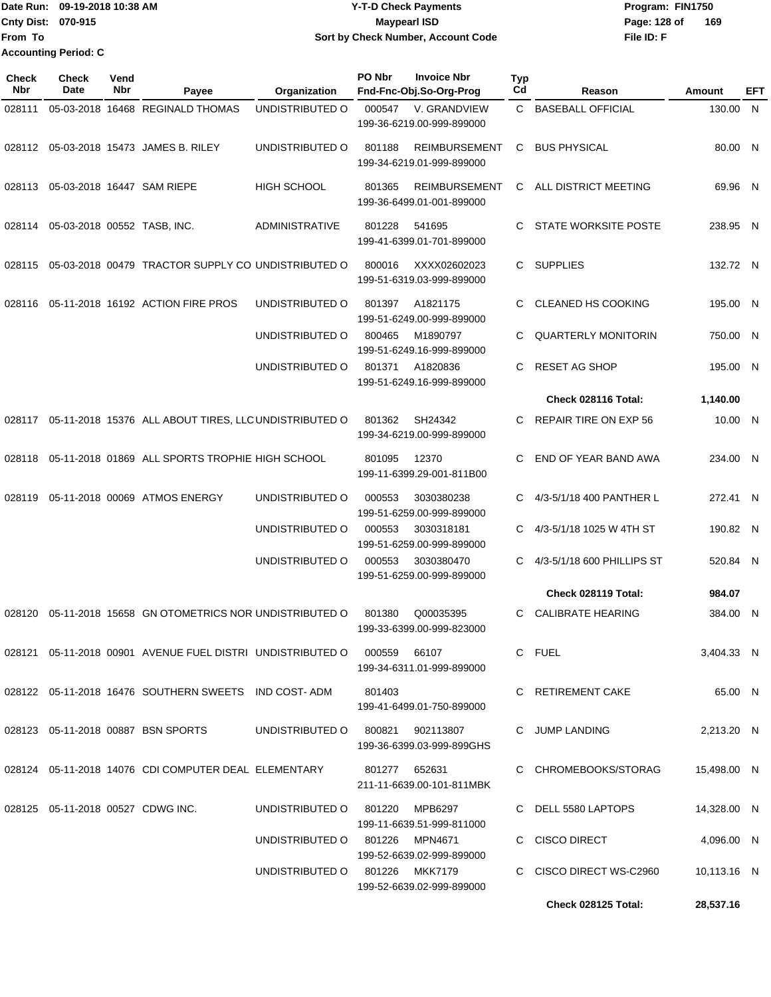|                             | Date Run: 09-19-2018 10:38 AM | <b>Y-T-D Check Payments</b>        | Program: FIN1750    |
|-----------------------------|-------------------------------|------------------------------------|---------------------|
| <b>Cnty Dist: 070-915</b>   |                               | <b>Mavpearl ISD</b>                | 169<br>Page: 128 of |
| <b>IFrom To</b>             |                               | Sort by Check Number, Account Code | File ID: F          |
| <b>Accounting Period: C</b> |                               |                                    |                     |

| Check<br><b>Nbr</b> | Check<br>Date               | Vend<br>Nbr | Payee                                                                        | Organization                   | PO Nbr | <b>Invoice Nbr</b><br>Fnd-Fnc-Obj.So-Org-Prog     | Typ<br>Cd | Reason                     | Amount      | EFT |
|---------------------|-----------------------------|-------------|------------------------------------------------------------------------------|--------------------------------|--------|---------------------------------------------------|-----------|----------------------------|-------------|-----|
| 028111              |                             |             | 05-03-2018 16468 REGINALD THOMAS                                             | UNDISTRIBUTED O                | 000547 | V. GRANDVIEW<br>199-36-6219.00-999-899000         |           | C BASEBALL OFFICIAL        | 130.00 N    |     |
|                     |                             |             | 028112 05-03-2018 15473 JAMES B. RILEY                                       | UNDISTRIBUTED O                | 801188 | <b>REIMBURSEMENT</b><br>199-34-6219.01-999-899000 | C         | <b>BUS PHYSICAL</b>        | 80.00 N     |     |
| 028113              |                             |             | 05-03-2018 16447 SAM RIEPE                                                   | <b>HIGH SCHOOL</b>             | 801365 | <b>REIMBURSEMENT</b><br>199-36-6499.01-001-899000 | C.        | ALL DISTRICT MEETING       | 69.96 N     |     |
| 028114              | 05-03-2018 00552 TASB, INC. |             |                                                                              | <b>ADMINISTRATIVE</b>          | 801228 | 541695<br>199-41-6399.01-701-899000               | C.        | STATE WORKSITE POSTE       | 238.95 N    |     |
| 028115              |                             |             | 05-03-2018 00479 TRACTOR SUPPLY CO UNDISTRIBUTED O                           |                                | 800016 | XXXX02602023<br>199-51-6319.03-999-899000         |           | C SUPPLIES                 | 132.72 N    |     |
| 028116              |                             |             | 05-11-2018 16192 ACTION FIRE PROS                                            | UNDISTRIBUTED O                | 801397 | A1821175<br>199-51-6249.00-999-899000             | C         | <b>CLEANED HS COOKING</b>  | 195.00 N    |     |
|                     |                             |             |                                                                              | UNDISTRIBUTED O                | 800465 | M1890797<br>199-51-6249.16-999-899000             | C         | <b>QUARTERLY MONITORIN</b> | 750.00 N    |     |
|                     |                             |             |                                                                              | UNDISTRIBUTED O                | 801371 | A1820836<br>199-51-6249.16-999-899000             | C.        | <b>RESET AG SHOP</b>       | 195.00 N    |     |
|                     |                             |             |                                                                              |                                |        |                                                   |           | Check 028116 Total:        | 1,140.00    |     |
|                     |                             |             | 028117 05-11-2018 15376 ALL ABOUT TIRES, LLC UNDISTRIBUTED O                 |                                | 801362 | SH24342<br>199-34-6219.00-999-899000              | C.        | REPAIR TIRE ON EXP 56      | 10.00 N     |     |
| 028118              |                             |             | 05-11-2018 01869 ALL SPORTS TROPHIE HIGH SCHOOL                              |                                | 801095 | 12370<br>199-11-6399.29-001-811B00                | C.        | END OF YEAR BAND AWA       | 234.00 N    |     |
| 028119              |                             |             | 05-11-2018 00069 ATMOS ENERGY                                                | UNDISTRIBUTED O                | 000553 | 3030380238<br>199-51-6259.00-999-899000           | C.        | 4/3-5/1/18 400 PANTHER L   | 272.41 N    |     |
|                     |                             |             |                                                                              | UNDISTRIBUTED O                | 000553 | 3030318181<br>199-51-6259.00-999-899000           | C         | 4/3-5/1/18 1025 W 4TH ST   | 190.82 N    |     |
|                     |                             |             |                                                                              | UNDISTRIBUTED O                | 000553 | 3030380470<br>199-51-6259.00-999-899000           | C         | 4/3-5/1/18 600 PHILLIPS ST | 520.84 N    |     |
|                     |                             |             |                                                                              |                                |        |                                                   |           | Check 028119 Total:        | 984.07      |     |
| 028120              |                             |             | 05-11-2018 15658 GN OTOMETRICS NOR UNDISTRIBUTED O                           |                                | 801380 | Q00035395<br>199-33-6399.00-999-823000            | C.        | <b>CALIBRATE HEARING</b>   | 384.00 N    |     |
|                     |                             |             | 028121  05-11-2018  00901  AVENUE FUEL DISTRI  UNDISTRIBUTED   000559  66107 |                                |        | 199-34-6311.01-999-899000                         |           | C FUEL                     | 3,404.33 N  |     |
|                     |                             |             | 028122  05-11-2018  16476  SOUTHERN SWEETS  IND COST-ADM                     |                                | 801403 | 199-41-6499.01-750-899000                         |           | C RETIREMENT CAKE          | 65.00 N     |     |
|                     |                             |             | 028123  05-11-2018  00887  BSN SPORTS  UNDISTRIBUTED  0  800821  902113807   |                                |        | 199-36-6399.03-999-899GHS                         |           | C JUMP LANDING             | 2,213.20 N  |     |
|                     |                             |             |                                                                              |                                |        | 211-11-6639.00-101-811MBK                         |           | C CHROMEBOOKS/STORAG       | 15,498.00 N |     |
|                     |                             |             | 028125 05-11-2018 00527 CDWG INC.                                            | UNDISTRIBUTED O 801220 MPB6297 |        | 199-11-6639.51-999-811000                         |           | C DELL 5580 LAPTOPS        | 14,328.00 N |     |
|                     |                             |             |                                                                              | UNDISTRIBUTED O 801226 MPN4671 |        | 199-52-6639.02-999-899000                         |           | C CISCO DIRECT             | 4,096.00 N  |     |
|                     |                             |             |                                                                              | UNDISTRIBUTED O 801226 MKK7179 |        | 199-52-6639.02-999-899000                         |           | C CISCO DIRECT WS-C2960    | 10,113.16 N |     |
|                     |                             |             |                                                                              |                                |        |                                                   |           | Check 028125 Total:        | 28,537.16   |     |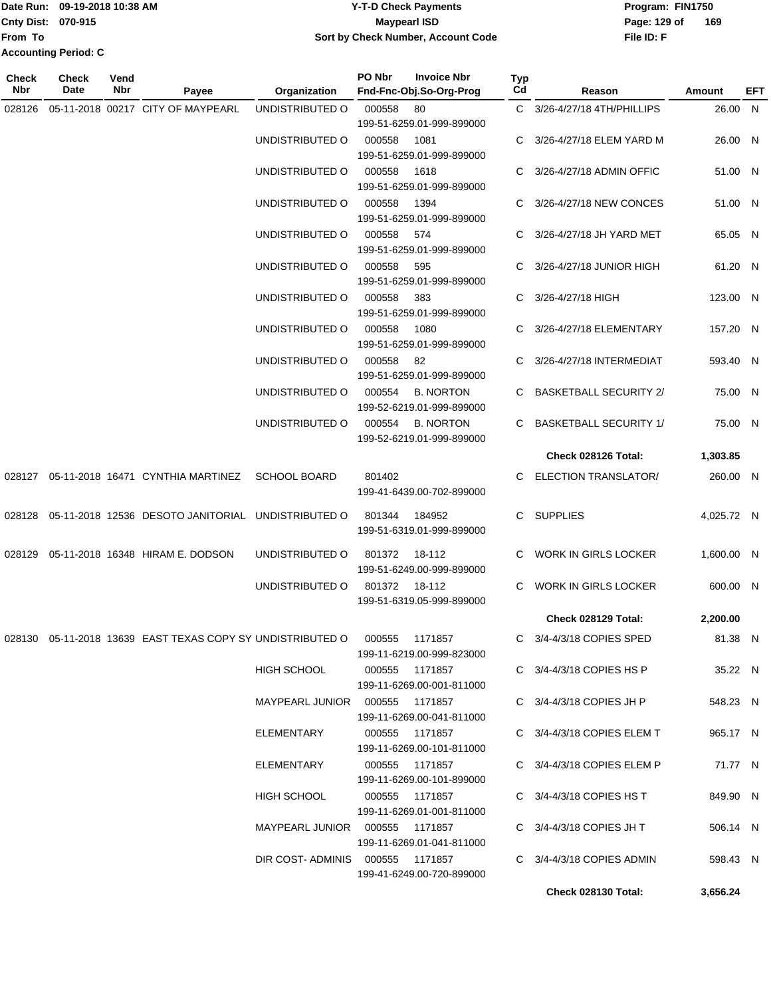|                             | Date Run: 09-19-2018 10:38 AM | <b>Y-T-D Check Payments</b>        | Program: FIN1750    |  |  |
|-----------------------------|-------------------------------|------------------------------------|---------------------|--|--|
| <b>Cnty Dist: 070-915</b>   |                               | Maypearl ISD                       | 169<br>Page: 129 of |  |  |
| From To                     |                               | Sort by Check Number, Account Code | File ID: F          |  |  |
| <b>Accounting Period: C</b> |                               |                                    |                     |  |  |

| Check<br>Nbr | Check<br>Date | Vend<br>Nbr | Payee                                                                         | Organization                     | PO Nbr         | <b>Invoice Nbr</b><br>Fnd-Fnc-Obj.So-Org-Prog | Typ<br>Cd | Reason                         | Amount     | EFT |
|--------------|---------------|-------------|-------------------------------------------------------------------------------|----------------------------------|----------------|-----------------------------------------------|-----------|--------------------------------|------------|-----|
| 028126       |               |             | 05-11-2018 00217 CITY OF MAYPEARL                                             | UNDISTRIBUTED O                  | 000558         | 80                                            |           | C 3/26-4/27/18 4TH/PHILLIPS    | 26.00 N    |     |
|              |               |             |                                                                               |                                  |                | 199-51-6259.01-999-899000                     |           |                                |            |     |
|              |               |             |                                                                               |                                  |                |                                               |           |                                | 26.00 N    |     |
|              |               |             |                                                                               | UNDISTRIBUTED O                  | 000558         | 1081                                          | C         | 3/26-4/27/18 ELEM YARD M       |            |     |
|              |               |             |                                                                               |                                  |                | 199-51-6259.01-999-899000                     |           |                                |            |     |
|              |               |             |                                                                               | UNDISTRIBUTED O                  | 000558         | 1618                                          | C         | 3/26-4/27/18 ADMIN OFFIC       | 51.00 N    |     |
|              |               |             |                                                                               |                                  |                | 199-51-6259.01-999-899000                     |           |                                |            |     |
|              |               |             |                                                                               | UNDISTRIBUTED O                  | 000558         | 1394<br>199-51-6259.01-999-899000             |           | 3/26-4/27/18 NEW CONCES        | 51.00 N    |     |
|              |               |             |                                                                               | UNDISTRIBUTED O                  | 000558         | 574                                           | C         | 3/26-4/27/18 JH YARD MET       | 65.05 N    |     |
|              |               |             |                                                                               |                                  |                | 199-51-6259.01-999-899000                     |           |                                |            |     |
|              |               |             |                                                                               |                                  |                |                                               |           |                                |            |     |
|              |               |             |                                                                               | UNDISTRIBUTED O                  | 000558         | 595                                           | C.        | 3/26-4/27/18 JUNIOR HIGH       | 61.20 N    |     |
|              |               |             |                                                                               |                                  |                | 199-51-6259.01-999-899000                     |           |                                |            |     |
|              |               |             |                                                                               | UNDISTRIBUTED O                  | 000558         | 383                                           |           | C 3/26-4/27/18 HIGH            | 123.00 N   |     |
|              |               |             |                                                                               |                                  |                | 199-51-6259.01-999-899000                     |           |                                |            |     |
|              |               |             |                                                                               | UNDISTRIBUTED O                  | 000558         | 1080                                          | C.        | 3/26-4/27/18 ELEMENTARY        | 157.20 N   |     |
|              |               |             |                                                                               |                                  |                | 199-51-6259.01-999-899000                     |           |                                |            |     |
|              |               |             |                                                                               | UNDISTRIBUTED O                  | 000558         | -82                                           | C.        | 3/26-4/27/18 INTERMEDIAT       | 593.40 N   |     |
|              |               |             |                                                                               |                                  |                | 199-51-6259.01-999-899000                     |           |                                |            |     |
|              |               |             |                                                                               | UNDISTRIBUTED O                  | 000554         | <b>B. NORTON</b>                              | C.        | <b>BASKETBALL SECURITY 2/</b>  | 75.00 N    |     |
|              |               |             |                                                                               |                                  |                | 199-52-6219.01-999-899000                     |           |                                |            |     |
|              |               |             |                                                                               | UNDISTRIBUTED O                  | 000554         | <b>B. NORTON</b>                              | C         | <b>BASKETBALL SECURITY 1/</b>  | 75.00 N    |     |
|              |               |             |                                                                               |                                  |                | 199-52-6219.01-999-899000                     |           |                                |            |     |
|              |               |             |                                                                               |                                  |                |                                               |           | Check 028126 Total:            | 1,303.85   |     |
|              |               |             | 028127  05-11-2018  16471  CYNTHIA MARTINEZ                                   | <b>SCHOOL BOARD</b>              | 801402         |                                               |           | C ELECTION TRANSLATOR/         | 260.00 N   |     |
|              |               |             |                                                                               |                                  |                | 199-41-6439.00-702-899000                     |           |                                |            |     |
|              |               |             |                                                                               |                                  |                |                                               |           |                                |            |     |
| 028128       |               |             | 05-11-2018 12536 DESOTO JANITORIAL UNDISTRIBUTED O                            |                                  | 801344         | 184952                                        |           | C SUPPLIES                     | 4,025.72 N |     |
|              |               |             |                                                                               |                                  |                | 199-51-6319.01-999-899000                     |           |                                |            |     |
| 028129       |               |             | 05-11-2018 16348 HIRAM E. DODSON                                              | UNDISTRIBUTED O                  | 801372         | 18-112                                        |           | C WORK IN GIRLS LOCKER         | 1,600.00 N |     |
|              |               |             |                                                                               |                                  |                | 199-51-6249.00-999-899000                     |           |                                |            |     |
|              |               |             |                                                                               |                                  |                |                                               |           |                                |            |     |
|              |               |             |                                                                               | UNDISTRIBUTED O                  | 801372 18-112  |                                               | C         | WORK IN GIRLS LOCKER           | 600.00 N   |     |
|              |               |             |                                                                               |                                  |                | 199-51-6319.05-999-899000                     |           |                                |            |     |
|              |               |             |                                                                               |                                  |                |                                               |           | Check 028129 Total:            | 2,200.00   |     |
|              |               |             | 028130  05-11-2018  13639  EAST TEXAS COPY SY UNDISTRIBUTED   000555  1171857 |                                  |                |                                               |           | C 3/4-4/3/18 COPIES SPED       | 81.38 N    |     |
|              |               |             |                                                                               |                                  |                | 199-11-6219.00-999-823000                     |           |                                |            |     |
|              |               |             |                                                                               | HIGH SCHOOL                      |                | 000555 1171857                                |           | C $3/4 - 4/3/18$ COPIES HS P   | 35.22 N    |     |
|              |               |             |                                                                               |                                  |                | 199-11-6269.00-001-811000                     |           |                                |            |     |
|              |               |             |                                                                               |                                  |                |                                               |           | C $3/4 - 4/3/18$ COPIES JH P   | 548.23 N   |     |
|              |               |             |                                                                               |                                  |                | 199-11-6269.00-041-811000                     |           |                                |            |     |
|              |               |             |                                                                               | ELEMENTARY                       | 000555 1171857 |                                               |           | C $3/4 - 4/3/18$ COPIES ELEM T | 965.17 N   |     |
|              |               |             |                                                                               |                                  |                | 199-11-6269.00-101-811000                     |           |                                |            |     |
|              |               |             |                                                                               | ELEMENTARY                       | 000555 1171857 |                                               |           | C $3/4 - 4/3/18$ COPIES ELEM P | 71.77 N    |     |
|              |               |             |                                                                               |                                  |                |                                               |           |                                |            |     |
|              |               |             |                                                                               |                                  |                | 199-11-6269.00-101-899000                     |           |                                |            |     |
|              |               |             |                                                                               | HIGH SCHOOL                      | 000555 1171857 |                                               |           | C $3/4 - 4/3/18$ COPIES HS T   | 849.90 N   |     |
|              |               |             |                                                                               |                                  |                | 199-11-6269.01-001-811000                     |           |                                |            |     |
|              |               |             |                                                                               | MAYPEARL JUNIOR  000555  1171857 |                |                                               |           | C $3/4$ -4/3/18 COPIES JH T    | 506.14 N   |     |
|              |               |             |                                                                               |                                  |                | 199-11-6269.01-041-811000                     |           |                                |            |     |
|              |               |             |                                                                               | DIR COST-ADMINIS 000555 1171857  |                |                                               |           | $C$ 3/4-4/3/18 COPIES ADMIN    | 598.43 N   |     |
|              |               |             |                                                                               |                                  |                | 199-41-6249.00-720-899000                     |           |                                |            |     |
|              |               |             |                                                                               |                                  |                |                                               |           | Check 028130 Total:            | 3,656.24   |     |
|              |               |             |                                                                               |                                  |                |                                               |           |                                |            |     |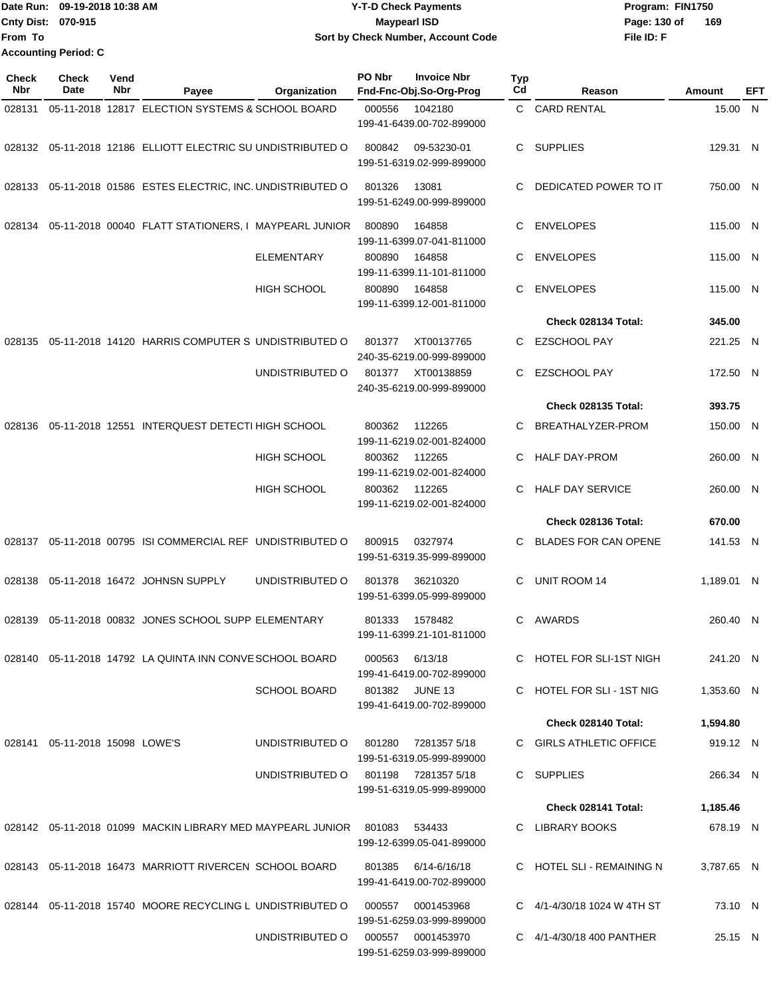|                           | Date Run: 09-19-2018 10:38 AM | <b>Y-T-D Check Payments</b>        | Program: FIN1750    |
|---------------------------|-------------------------------|------------------------------------|---------------------|
| <b>Cnty Dist: 070-915</b> |                               | <b>Mavpearl ISD</b>                | 169<br>Page: 130 of |
| <b>IFrom To</b>           |                               | Sort by Check Number, Account Code | File ID: F          |
|                           | <b>Accounting Period: C</b>   |                                    |                     |

| <b>Check</b><br>Nbr | <b>Check</b><br>Date              | Vend<br>Nbr | Payee                                                                 | Organization                        | PO Nbr | <b>Invoice Nbr</b><br>Fnd-Fnc-Obj.So-Org-Prog | <b>Typ</b><br>Cd | Reason                          | Amount     | EFT |
|---------------------|-----------------------------------|-------------|-----------------------------------------------------------------------|-------------------------------------|--------|-----------------------------------------------|------------------|---------------------------------|------------|-----|
| 028131              |                                   |             | 05-11-2018 12817 ELECTION SYSTEMS & SCHOOL BOARD                      |                                     | 000556 | 1042180<br>199-41-6439.00-702-899000          |                  | C CARD RENTAL                   | 15.00 N    |     |
|                     |                                   |             | 028132 05-11-2018 12186 ELLIOTT ELECTRIC SU UNDISTRIBUTED O           |                                     | 800842 | 09-53230-01<br>199-51-6319.02-999-899000      |                  | C SUPPLIES                      | 129.31 N   |     |
| 028133              |                                   |             | 05-11-2018 01586 ESTES ELECTRIC, INC. UNDISTRIBUTED O                 |                                     | 801326 | 13081<br>199-51-6249.00-999-899000            | C.               | DEDICATED POWER TO IT           | 750.00 N   |     |
| 028134              |                                   |             | 05-11-2018 00040 FLATT STATIONERS, I MAYPEARL JUNIOR                  |                                     | 800890 | 164858<br>199-11-6399.07-041-811000           | C.               | <b>ENVELOPES</b>                | 115.00 N   |     |
|                     |                                   |             |                                                                       | <b>ELEMENTARY</b>                   | 800890 | 164858<br>199-11-6399.11-101-811000           | C                | <b>ENVELOPES</b>                | 115.00 N   |     |
|                     |                                   |             |                                                                       | <b>HIGH SCHOOL</b>                  | 800890 | 164858<br>199-11-6399.12-001-811000           | C                | <b>ENVELOPES</b>                | 115.00 N   |     |
|                     |                                   |             |                                                                       |                                     |        |                                               |                  | Check 028134 Total:             | 345.00     |     |
| 028135              |                                   |             | 05-11-2018 14120 HARRIS COMPUTER S UNDISTRIBUTED O                    |                                     | 801377 | XT00137765<br>240-35-6219.00-999-899000       | C                | <b>EZSCHOOL PAY</b>             | 221.25 N   |     |
|                     |                                   |             |                                                                       | UNDISTRIBUTED O                     | 801377 | XT00138859<br>240-35-6219.00-999-899000       | C                | <b>EZSCHOOL PAY</b>             | 172.50 N   |     |
|                     |                                   |             |                                                                       |                                     |        |                                               |                  | Check 028135 Total:             | 393.75     |     |
| 028136              |                                   |             | 05-11-2018 12551 INTERQUEST DETECTI HIGH SCHOOL                       |                                     | 800362 | 112265<br>199-11-6219.02-001-824000           | C.               | BREATHALYZER-PROM               | 150.00 N   |     |
|                     |                                   |             |                                                                       | HIGH SCHOOL                         | 800362 | 112265<br>199-11-6219.02-001-824000           | C                | <b>HALF DAY-PROM</b>            | 260.00 N   |     |
|                     |                                   |             |                                                                       | <b>HIGH SCHOOL</b>                  | 800362 | 112265<br>199-11-6219.02-001-824000           | C.               | <b>HALF DAY SERVICE</b>         | 260.00 N   |     |
|                     |                                   |             |                                                                       |                                     |        |                                               |                  | Check 028136 Total:             | 670.00     |     |
| 028137              |                                   |             | 05-11-2018 00795 ISI COMMERCIAL REF UNDISTRIBUTED O                   |                                     | 800915 | 0327974<br>199-51-6319.35-999-899000          | C.               | <b>BLADES FOR CAN OPENE</b>     | 141.53 N   |     |
| 028138              |                                   |             | 05-11-2018 16472 JOHNSN SUPPLY                                        | UNDISTRIBUTED O                     | 801378 | 36210320<br>199-51-6399.05-999-899000         | C                | UNIT ROOM 14                    | 1,189.01 N |     |
| 028139              |                                   |             | 05-11-2018 00832 JONES SCHOOL SUPP ELEMENTARY                         |                                     | 801333 | 1578482<br>199-11-6399.21-101-811000          | C                | AWARDS                          | 260.40 N   |     |
|                     |                                   |             | 028140 05-11-2018 14792 LA QUINTA INN CONVE SCHOOL BOARD              |                                     | 000563 | 6/13/18<br>199-41-6419.00-702-899000          |                  | C HOTEL FOR SLI-1ST NIGH        | 241.20 N   |     |
|                     |                                   |             |                                                                       | <b>SCHOOL BOARD</b>                 |        | 801382 JUNE 13<br>199-41-6419.00-702-899000   |                  | C HOTEL FOR SLI - 1ST NIG       | 1,353.60 N |     |
|                     |                                   |             |                                                                       |                                     |        |                                               |                  | Check 028140 Total:             | 1,594.80   |     |
|                     | 028141  05-11-2018  15098  LOWE'S |             |                                                                       | UNDISTRIBUTED O                     | 801280 | 7281357 5/18<br>199-51-6319.05-999-899000     |                  | C GIRLS ATHLETIC OFFICE         | 919.12 N   |     |
|                     |                                   |             |                                                                       | UNDISTRIBUTED O 801198 7281357 5/18 |        | 199-51-6319.05-999-899000                     |                  | C SUPPLIES                      | 266.34 N   |     |
|                     |                                   |             |                                                                       |                                     |        |                                               |                  | Check 028141 Total:             | 1,185.46   |     |
|                     |                                   |             | 028142  05-11-2018  01099  MACKIN LIBRARY MED MAYPEARL JUNIOR  801083 |                                     |        | 534433<br>199-12-6399.05-041-899000           |                  | C LIBRARY BOOKS                 | 678.19 N   |     |
|                     |                                   |             | 028143 05-11-2018 16473 MARRIOTT RIVERCEN SCHOOL BOARD                |                                     | 801385 | 6/14-6/16/18<br>199-41-6419.00-702-899000     |                  | C HOTEL SLI - REMAINING N       | 3,787.65 N |     |
|                     |                                   |             | 028144 05-11-2018 15740 MOORE RECYCLING L UNDISTRIBUTED O             |                                     | 000557 | 0001453968<br>199-51-6259.03-999-899000       |                  | C $4/1 - 4/30/18$ 1024 W 4TH ST | 73.10 N    |     |
|                     |                                   |             |                                                                       | UNDISTRIBUTED O                     | 000557 | 0001453970<br>199-51-6259.03-999-899000       |                  | C 4/1-4/30/18 400 PANTHER       | 25.15 N    |     |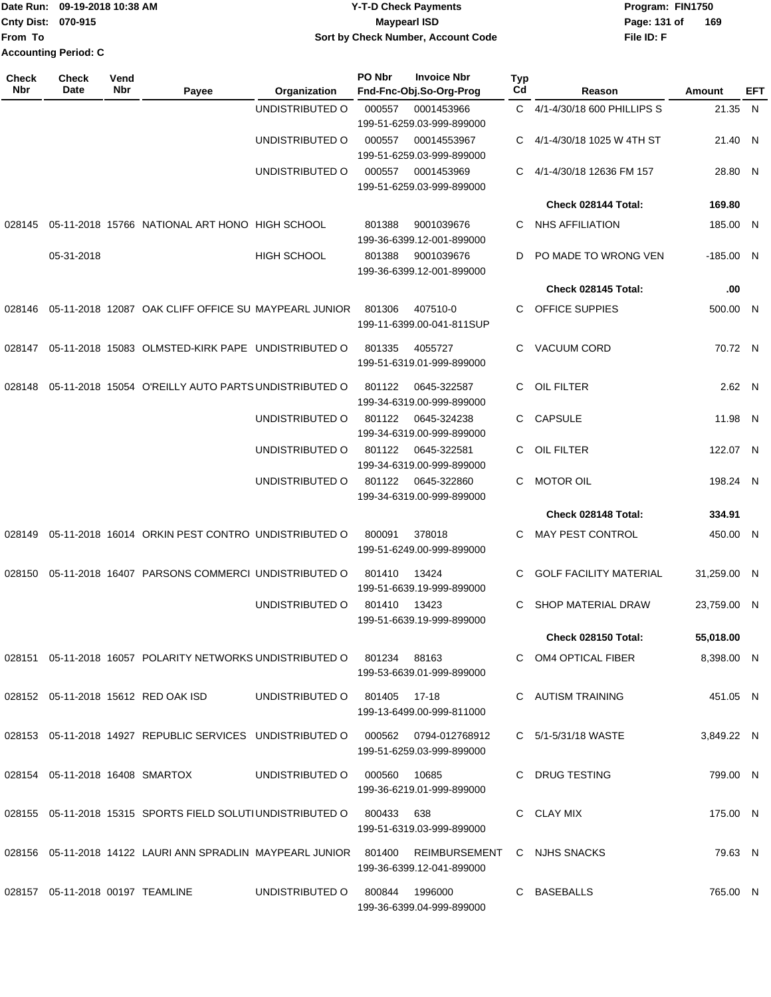|                             | Date Run: 09-19-2018 10:38 AM | <b>Y-T-D Check Payments</b>        | Program: FIN1750 |     |
|-----------------------------|-------------------------------|------------------------------------|------------------|-----|
| <b>Cnty Dist: 070-915</b>   |                               | <b>Mavpearl ISD</b>                | Page: 131 of     | 169 |
| <b>From To</b>              |                               | Sort by Check Number, Account Code | File ID: F       |     |
| <b>Accounting Period: C</b> |                               |                                    |                  |     |

| <b>Check</b><br>Nbr | <b>Check</b><br>Date                     | Vend<br>Nbr | Payee                                                                                         | <b>Organization</b>            | PO Nbr | <b>Invoice Nbr</b><br>Fnd-Fnc-Obj.So-Org-Prog | Typ<br>Cd | Reason                        | Amount      | EFT |
|---------------------|------------------------------------------|-------------|-----------------------------------------------------------------------------------------------|--------------------------------|--------|-----------------------------------------------|-----------|-------------------------------|-------------|-----|
|                     |                                          |             |                                                                                               | UNDISTRIBUTED O                | 000557 | 0001453966                                    | C.        | 4/1-4/30/18 600 PHILLIPS S    | 21.35 N     |     |
|                     |                                          |             |                                                                                               |                                |        | 199-51-6259.03-999-899000                     |           |                               |             |     |
|                     |                                          |             |                                                                                               | UNDISTRIBUTED O                | 000557 | 00014553967<br>199-51-6259.03-999-899000      | C         | 4/1-4/30/18 1025 W 4TH ST     | 21.40 N     |     |
|                     |                                          |             |                                                                                               | UNDISTRIBUTED O                | 000557 | 0001453969                                    | C         | 4/1-4/30/18 12636 FM 157      | 28.80 N     |     |
|                     |                                          |             |                                                                                               |                                |        | 199-51-6259.03-999-899000                     |           |                               |             |     |
|                     |                                          |             |                                                                                               |                                |        |                                               |           | Check 028144 Total:           | 169.80      |     |
| 028145              |                                          |             | 05-11-2018 15766 NATIONAL ART HONO HIGH SCHOOL                                                |                                | 801388 | 9001039676<br>199-36-6399.12-001-899000       | C         | <b>NHS AFFILIATION</b>        | 185.00 N    |     |
|                     | 05-31-2018                               |             |                                                                                               | <b>HIGH SCHOOL</b>             | 801388 | 9001039676<br>199-36-6399.12-001-899000       | D         | PO MADE TO WRONG VEN          | $-185.00$ N |     |
|                     |                                          |             |                                                                                               |                                |        |                                               |           | Check 028145 Total:           | .00         |     |
| 028146              |                                          |             | 05-11-2018 12087 OAK CLIFF OFFICE SU MAYPEARL JUNIOR                                          |                                | 801306 | 407510-0<br>199-11-6399.00-041-811SUP         | C         | <b>OFFICE SUPPIES</b>         | 500.00 N    |     |
| 028147              |                                          |             | 05-11-2018 15083 OLMSTED-KIRK PAPE UNDISTRIBUTED O                                            |                                | 801335 | 4055727<br>199-51-6319.01-999-899000          | C.        | <b>VACUUM CORD</b>            | 70.72 N     |     |
| 028148              |                                          |             | 05-11-2018 15054 O'REILLY AUTO PARTS UNDISTRIBUTED O                                          |                                | 801122 | 0645-322587<br>199-34-6319.00-999-899000      | C         | OIL FILTER                    | 2.62 N      |     |
|                     |                                          |             |                                                                                               | UNDISTRIBUTED O                | 801122 | 0645-324238<br>199-34-6319.00-999-899000      | C.        | <b>CAPSULE</b>                | 11.98 N     |     |
|                     |                                          |             |                                                                                               | UNDISTRIBUTED O                | 801122 | 0645-322581<br>199-34-6319.00-999-899000      | C         | OIL FILTER                    | 122.07 N    |     |
|                     |                                          |             |                                                                                               | UNDISTRIBUTED O                | 801122 | 0645-322860<br>199-34-6319.00-999-899000      | C.        | <b>MOTOR OIL</b>              | 198.24 N    |     |
|                     |                                          |             |                                                                                               |                                |        |                                               |           | Check 028148 Total:           | 334.91      |     |
| 028149              |                                          |             | 05-11-2018 16014 ORKIN PEST CONTRO UNDISTRIBUTED O                                            |                                | 800091 | 378018<br>199-51-6249.00-999-899000           | C.        | MAY PEST CONTROL              | 450.00 N    |     |
| 028150              |                                          |             | 05-11-2018 16407 PARSONS COMMERCI UNDISTRIBUTED O                                             |                                | 801410 | 13424<br>199-51-6639.19-999-899000            | C         | <b>GOLF FACILITY MATERIAL</b> | 31,259.00 N |     |
|                     |                                          |             |                                                                                               | UNDISTRIBUTED O                | 801410 | 13423<br>199-51-6639.19-999-899000            | C         | SHOP MATERIAL DRAW            | 23.759.00 N |     |
|                     |                                          |             |                                                                                               |                                |        |                                               |           | Check 028150 Total:           | 55,018.00   |     |
|                     |                                          |             | 028151  05-11-2018  16057  POLARITY NETWORKS UNDISTRIBUTED   0  801234  88163                 |                                |        | 199-53-6639.01-999-899000                     |           | C OM4 OPTICAL FIBER           | 8,398.00 N  |     |
|                     |                                          |             | 028152 05-11-2018 15612 RED OAK ISD                                                           | UNDISTRIBUTED O 801405 17-18   |        | 199-13-6499.00-999-811000                     |           | C AUTISM TRAINING             | 451.05 N    |     |
|                     |                                          |             | 028153 05-11-2018 14927 REPUBLIC SERVICES UNDISTRIBUTED O 000562 0794-012768912               |                                |        | 199-51-6259.03-999-899000                     |           | C 5/1-5/31/18 WASTE           | 3,849.22 N  |     |
|                     | 028154    05-11-2018    16408    SMARTOX |             |                                                                                               | UNDISTRIBUTED O 000560 10685   |        | 199-36-6219.01-999-899000                     |           | C DRUG TESTING                | 799.00 N    |     |
|                     |                                          |             | 028155  05-11-2018  15315  SPORTS FIELD SOLUTIUNDISTRIBUTED O  800433  638                    |                                |        | 199-51-6319.03-999-899000                     |           | C CLAY MIX                    | 175.00 N    |     |
|                     |                                          |             | 028156 05-11-2018 14122 LAURI ANN SPRADLIN MAYPEARL JUNIOR 801400 REIMBURSEMENT C NJHS SNACKS |                                |        | 199-36-6399.12-041-899000                     |           |                               | 79.63 N     |     |
|                     | 028157  05-11-2018  00197  TEAMLINE      |             |                                                                                               | UNDISTRIBUTED O 800844 1996000 |        | 199-36-6399.04-999-899000                     |           | C BASEBALLS                   | 765.00 N    |     |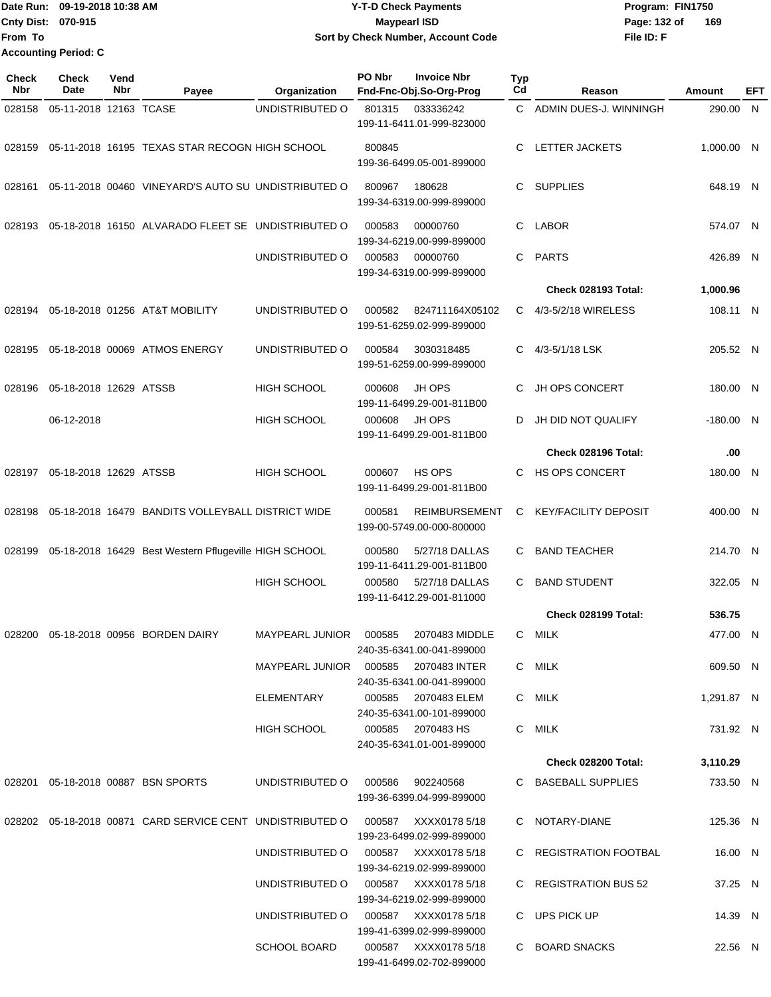Date Run: 09-19-2018 10:38 AM **CONTEX 18 AM CONTEX 18 AM CONTEX 17-T-D** Check Payments **CONTEX 18 AM CONTEX 18 AM CONTEX 18 AM CONTEX 18 AM CONTEX 18 AM CONTEX 18 AM CONTEX 18 AM CONTEX 18 AM CONTEX 19 AM CONTEX 19 AM CONT Cnty Dist: 070-915 File ID: F From To 09-19-2018 10:38 AM Y-T-D Check Payments 070-915 Maypearl ISD Sort by Check Number, Account Code** Page: 132 of 169 **Accounting Period: C**

| Check<br><b>Nbr</b> | <b>Check</b><br>Date   | Vend<br>Nbr | Payee                                                                          | Organization                                       | PO Nbr | <b>Invoice Nbr</b><br>Fnd-Fnc-Obj.So-Org-Prog     | <b>Typ</b><br>Cd | Reason                      | Amount                 | EFT |
|---------------------|------------------------|-------------|--------------------------------------------------------------------------------|----------------------------------------------------|--------|---------------------------------------------------|------------------|-----------------------------|------------------------|-----|
| 028158              | 05-11-2018 12163 TCASE |             |                                                                                | UNDISTRIBUTED O                                    | 801315 | 033336242<br>199-11-6411.01-999-823000            | C.               | ADMIN DUES-J. WINNINGH      | 290.00 N               |     |
| 028159              |                        |             | 05-11-2018 16195 TEXAS STAR RECOGN HIGH SCHOOL                                 |                                                    | 800845 | 199-36-6499.05-001-899000                         | C                | <b>LETTER JACKETS</b>       | 1,000.00 N             |     |
| 028161              |                        |             | 05-11-2018 00460 VINEYARD'S AUTO SU UNDISTRIBUTED O                            |                                                    | 800967 | 180628<br>199-34-6319.00-999-899000               | C.               | <b>SUPPLIES</b>             | 648.19 N               |     |
| 028193              |                        |             | 05-18-2018 16150 ALVARADO FLEET SE UNDISTRIBUTED O                             |                                                    | 000583 | 00000760<br>199-34-6219.00-999-899000             | C                | <b>LABOR</b>                | 574.07 N               |     |
|                     |                        |             |                                                                                | UNDISTRIBUTED O                                    | 000583 | 00000760<br>199-34-6319.00-999-899000             | C.               | <b>PARTS</b>                | 426.89 N               |     |
|                     |                        |             |                                                                                |                                                    |        |                                                   |                  | Check 028193 Total:         | 1,000.96               |     |
| 028194              |                        |             | 05-18-2018 01256 AT&T MOBILITY                                                 | UNDISTRIBUTED O                                    | 000582 | 824711164X05102<br>199-51-6259.02-999-899000      | C.               | 4/3-5/2/18 WIRELESS         | 108.11 N               |     |
| 028195              |                        |             | 05-18-2018 00069 ATMOS ENERGY                                                  | UNDISTRIBUTED O                                    | 000584 | 3030318485<br>199-51-6259.00-999-899000           | C.               | 4/3-5/1/18 LSK              | 205.52 N               |     |
| 028196              | 05-18-2018 12629 ATSSB |             |                                                                                | <b>HIGH SCHOOL</b>                                 | 000608 | JH OPS<br>199-11-6499.29-001-811B00               | C                | JH OPS CONCERT              | 180.00 N               |     |
|                     | 06-12-2018             |             |                                                                                | <b>HIGH SCHOOL</b>                                 | 000608 | JH OPS<br>199-11-6499.29-001-811B00               | D                | JH DID NOT QUALIFY          | $-180.00$ N            |     |
|                     |                        |             |                                                                                |                                                    |        |                                                   |                  | Check 028196 Total:         | .00                    |     |
| 028197              | 05-18-2018 12629 ATSSB |             |                                                                                | <b>HIGH SCHOOL</b>                                 | 000607 | HS OPS<br>199-11-6499.29-001-811B00               | C                | HS OPS CONCERT              | 180.00 N               |     |
| 028198              |                        |             | 05-18-2018 16479 BANDITS VOLLEYBALL DISTRICT WIDE                              |                                                    | 000581 | <b>REIMBURSEMENT</b><br>199-00-5749.00-000-800000 | C                | <b>KEY/FACILITY DEPOSIT</b> | 400.00 N               |     |
| 028199              |                        |             | 05-18-2018 16429 Best Western Pflugeville HIGH SCHOOL                          |                                                    | 000580 | 5/27/18 DALLAS<br>199-11-6411.29-001-811B00       | C                | <b>BAND TEACHER</b>         | 214.70 N               |     |
|                     |                        |             |                                                                                | <b>HIGH SCHOOL</b>                                 | 000580 | 5/27/18 DALLAS<br>199-11-6412.29-001-811000       | C                | <b>BAND STUDENT</b>         | 322.05 N               |     |
|                     |                        |             |                                                                                |                                                    |        |                                                   |                  | Check 028199 Total:         | 536.75                 |     |
|                     |                        |             | 028200 05-18-2018 00956 BORDEN DAIRY                                           | MAYPEARL JUNIOR  000585  2070483 MIDDLE            |        | 240-35-6341.00-041-899000                         |                  | C MILK                      | 477.00 N               |     |
|                     |                        |             |                                                                                | MAYPEARL JUNIOR 000585 2070483 INTER<br>ELEMENTARY |        | 240-35-6341.00-041-899000<br>000585 2070483 ELEM  |                  | C MILK<br>C MILK            | 609.50 N<br>1,291.87 N |     |
|                     |                        |             |                                                                                | HIGH SCHOOL                                        |        | 240-35-6341.00-101-899000<br>000585 2070483 HS    |                  | C MILK                      | 731.92 N               |     |
|                     |                        |             |                                                                                |                                                    |        | 240-35-6341.01-001-899000                         |                  |                             |                        |     |
|                     |                        |             |                                                                                |                                                    |        |                                                   |                  | Check 028200 Total:         | 3,110.29               |     |
|                     |                        |             | 028201  05-18-2018  00887  BSN SPORTS                                          | UNDISTRIBUTED O                                    | 000586 | 902240568<br>199-36-6399.04-999-899000            |                  | C BASEBALL SUPPLIES         | 733.50 N               |     |
|                     |                        |             | 028202 05-18-2018 00871 CARD SERVICE CENT UNDISTRIBUTED O 000587 XXXX0178 5/18 |                                                    |        | 199-23-6499.02-999-899000                         |                  | C NOTARY-DIANE              | 125.36 N               |     |
|                     |                        |             |                                                                                | UNDISTRIBUTED O 000587 XXXX0178 5/18               |        | 199-34-6219.02-999-899000                         |                  | C REGISTRATION FOOTBAL      | 16.00 N                |     |
|                     |                        |             |                                                                                | UNDISTRIBUTED O 000587 XXXX0178 5/18               |        | 199-34-6219.02-999-899000                         |                  | C REGISTRATION BUS 52       | 37.25 N                |     |
|                     |                        |             |                                                                                | UNDISTRIBUTED O 000587 XXXX0178 5/18               |        | 199-41-6399.02-999-899000                         |                  | C UPS PICK UP               | 14.39 N                |     |
|                     |                        |             |                                                                                | <b>SCHOOL BOARD</b>                                |        | 000587 XXXX0178 5/18<br>199-41-6499.02-702-899000 |                  | C BOARD SNACKS              | 22.56 N                |     |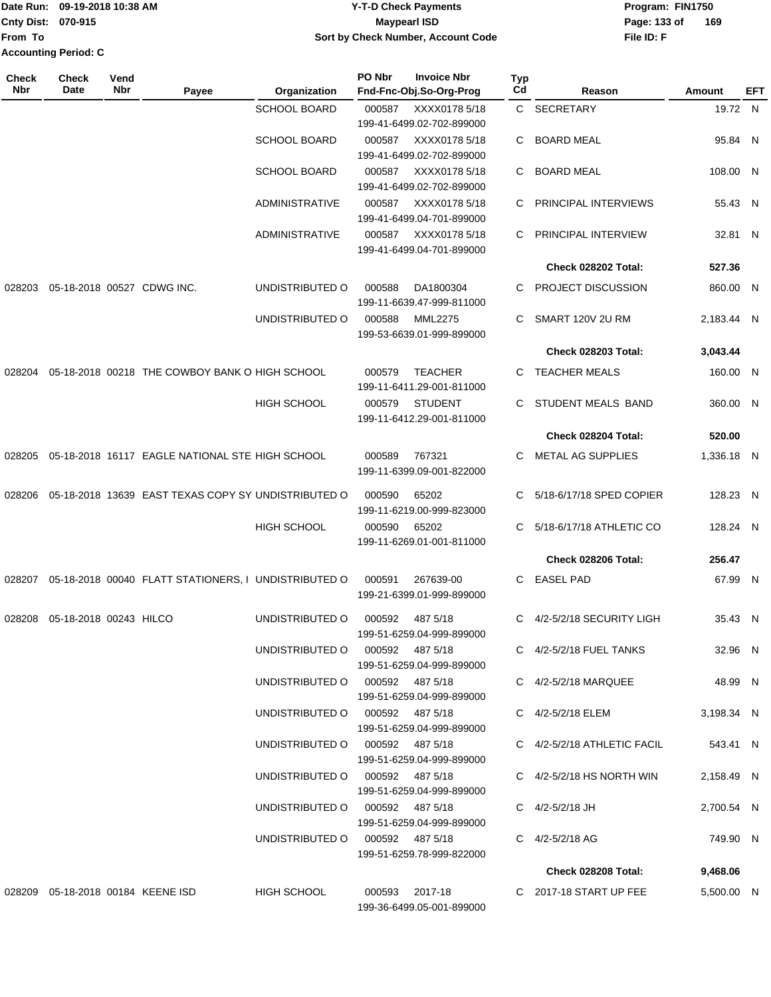|                             | Date Run: 09-19-2018 10:38 AM | <b>Y-T-D Check Payments</b>        | Program: FIN1750    |  |  |  |
|-----------------------------|-------------------------------|------------------------------------|---------------------|--|--|--|
| <b>Cnty Dist: 070-915</b>   |                               | Maypearl ISD                       | 169<br>Page: 133 of |  |  |  |
| lFrom To                    |                               | Sort by Check Number, Account Code | File ID: F          |  |  |  |
| <b>Accounting Period: C</b> |                               |                                    |                     |  |  |  |

| <b>Check</b><br>Nbr | <b>Check</b><br>Date   | Vend<br>Nbr | Payee                                                | Organization                    | PO Nbr | <b>Invoice Nbr</b><br>Fnd-Fnc-Obj.So-Org-Prog | <b>Typ</b><br>Cd | Reason                        | Amount     | EFT |
|---------------------|------------------------|-------------|------------------------------------------------------|---------------------------------|--------|-----------------------------------------------|------------------|-------------------------------|------------|-----|
|                     |                        |             |                                                      | <b>SCHOOL BOARD</b>             | 000587 | XXXX0178 5/18<br>199-41-6499.02-702-899000    |                  | C SECRETARY                   | 19.72 N    |     |
|                     |                        |             |                                                      | <b>SCHOOL BOARD</b>             | 000587 | XXXX0178 5/18<br>199-41-6499.02-702-899000    | C                | <b>BOARD MEAL</b>             | 95.84 N    |     |
|                     |                        |             |                                                      | <b>SCHOOL BOARD</b>             | 000587 | XXXX0178 5/18<br>199-41-6499.02-702-899000    | C                | <b>BOARD MEAL</b>             | 108.00 N   |     |
|                     |                        |             |                                                      | <b>ADMINISTRATIVE</b>           | 000587 | XXXX0178 5/18<br>199-41-6499.04-701-899000    | C                | PRINCIPAL INTERVIEWS          | 55.43 N    |     |
|                     |                        |             |                                                      | <b>ADMINISTRATIVE</b>           | 000587 | XXXX0178 5/18<br>199-41-6499.04-701-899000    | C                | PRINCIPAL INTERVIEW           | 32.81 N    |     |
|                     |                        |             |                                                      |                                 |        |                                               |                  | Check 028202 Total:           | 527.36     |     |
| 028203              |                        |             | 05-18-2018 00527 CDWG INC.                           | UNDISTRIBUTED O                 | 000588 | DA1800304<br>199-11-6639.47-999-811000        | C.               | <b>PROJECT DISCUSSION</b>     | 860.00 N   |     |
|                     |                        |             |                                                      | UNDISTRIBUTED O                 | 000588 | <b>MML2275</b><br>199-53-6639.01-999-899000   | C                | SMART 120V 2U RM              | 2,183.44 N |     |
|                     |                        |             |                                                      |                                 |        |                                               |                  | <b>Check 028203 Total:</b>    | 3,043.44   |     |
| 028204              |                        |             | 05-18-2018 00218 THE COWBOY BANK O HIGH SCHOOL       |                                 | 000579 | <b>TEACHER</b><br>199-11-6411.29-001-811000   | C.               | <b>TEACHER MEALS</b>          | 160.00 N   |     |
|                     |                        |             |                                                      | <b>HIGH SCHOOL</b>              | 000579 | <b>STUDENT</b><br>199-11-6412.29-001-811000   | C.               | STUDENT MEALS BAND            | 360.00 N   |     |
|                     |                        |             |                                                      |                                 |        |                                               |                  | Check 028204 Total:           | 520.00     |     |
| 028205              |                        |             | 05-18-2018 16117 EAGLE NATIONAL STE HIGH SCHOOL      |                                 | 000589 | 767321<br>199-11-6399.09-001-822000           | C                | <b>METAL AG SUPPLIES</b>      | 1,336.18 N |     |
| 028206              |                        |             | 05-18-2018 13639 EAST TEXAS COPY SY UNDISTRIBUTED O  |                                 | 000590 | 65202<br>199-11-6219.00-999-823000            | C.               | 5/18-6/17/18 SPED COPIER      | 128.23 N   |     |
|                     |                        |             |                                                      | <b>HIGH SCHOOL</b>              | 000590 | 65202<br>199-11-6269.01-001-811000            | C                | 5/18-6/17/18 ATHLETIC CO      | 128.24 N   |     |
|                     |                        |             |                                                      |                                 |        |                                               |                  | Check 028206 Total:           | 256.47     |     |
| 028207              |                        |             | 05-18-2018 00040 FLATT STATIONERS, I UNDISTRIBUTED O |                                 | 000591 | 267639-00<br>199-21-6399.01-999-899000        | C.               | <b>EASEL PAD</b>              | 67.99 N    |     |
| 028208              | 05-18-2018 00243 HILCO |             |                                                      | UNDISTRIBUTED O                 | 000592 | 487 5/18<br>199-51-6259.04-999-899000         | C.               | 4/2-5/2/18 SECURITY LIGH      | 35.43 N    |     |
|                     |                        |             |                                                      | UNDISTRIBUTED 0 000592 487 5/18 |        | 199-51-6259.04-999-899000                     |                  | C 4/2-5/2/18 FUEL TANKS       | 32.96 N    |     |
|                     |                        |             |                                                      | UNDISTRIBUTED O 000592 487 5/18 |        | 199-51-6259.04-999-899000                     |                  | C 4/2-5/2/18 MARQUEE          | 48.99 N    |     |
|                     |                        |             |                                                      | UNDISTRIBUTED O 000592 487 5/18 |        | 199-51-6259.04-999-899000                     |                  | C 4/2-5/2/18 ELEM             | 3,198.34 N |     |
|                     |                        |             |                                                      | UNDISTRIBUTED O 000592 487 5/18 |        | 199-51-6259.04-999-899000                     |                  | C 4/2-5/2/18 ATHLETIC FACIL   | 543.41 N   |     |
|                     |                        |             |                                                      | UNDISTRIBUTED O 000592 487 5/18 |        | 199-51-6259.04-999-899000                     |                  | C $4/2 - 5/2/18$ HS NORTH WIN | 2,158.49 N |     |
|                     |                        |             |                                                      | UNDISTRIBUTED O 000592 487 5/18 |        | 199-51-6259.04-999-899000                     |                  | C 4/2-5/2/18 JH               | 2,700.54 N |     |
|                     |                        |             |                                                      | UNDISTRIBUTED O 000592 487 5/18 |        | 199-51-6259.78-999-822000                     |                  | C 4/2-5/2/18 AG               | 749.90 N   |     |
|                     |                        |             |                                                      |                                 |        |                                               |                  | Check 028208 Total:           | 9,468.06   |     |
|                     |                        |             | 028209 05-18-2018 00184 KEENE ISD                    | HIGH SCHOOL                     |        | 000593 2017-18<br>199-36-6499.05-001-899000   |                  | C 2017-18 START UP FEE        | 5,500.00 N |     |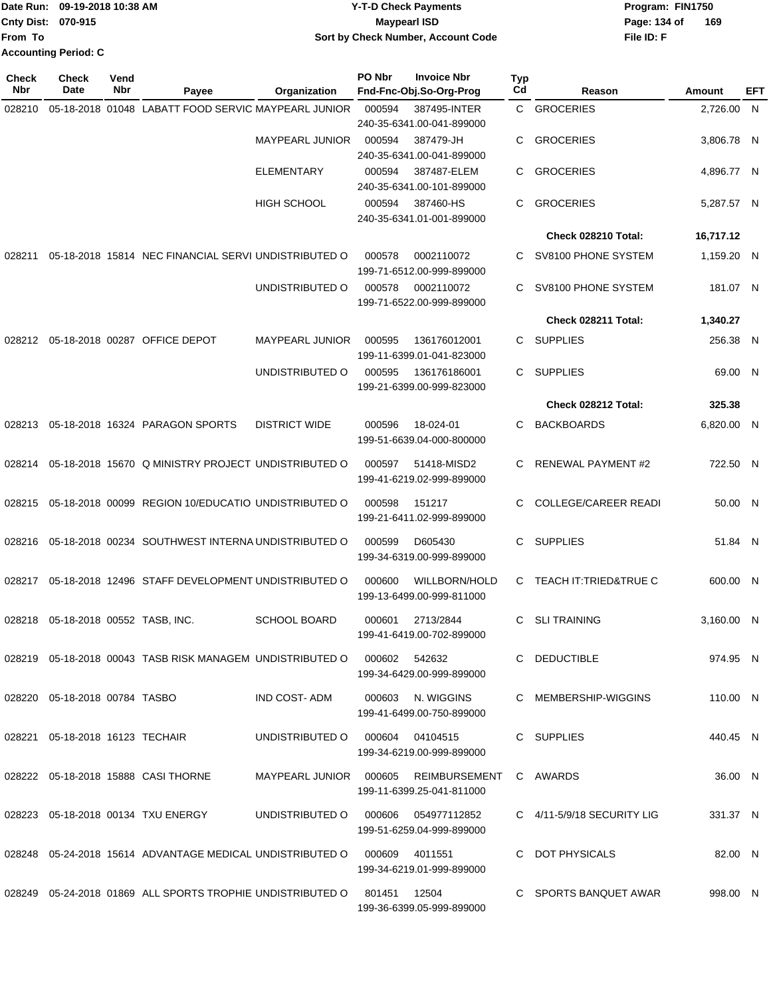|                           | lDate Run: 09-19-2018 10:38 AM | <b>Y-T-D Check Payments</b>        | Program: FIN1750    |
|---------------------------|--------------------------------|------------------------------------|---------------------|
| <b>Cnty Dist: 070-915</b> |                                | <b>Mavpearl ISD</b>                | 169<br>Page: 134 of |
| lFrom To                  |                                | Sort by Check Number, Account Code | File ID: F          |
|                           | <b>Accounting Period: C</b>    |                                    |                     |

**PO Nbr Invoice Nbr**

**Typ**

**Check**

**Check**

**Vend**

| Nbr    | Date                                  | Nbr | Payee                                                                         | Organization           | Fnd-Fnc-Obj.So-Org-Prog                                          | Cd | Reason                         | <b>Amount</b> | <b>EFT</b> |
|--------|---------------------------------------|-----|-------------------------------------------------------------------------------|------------------------|------------------------------------------------------------------|----|--------------------------------|---------------|------------|
| 028210 |                                       |     | 05-18-2018 01048 LABATT FOOD SERVIC MAYPEARL JUNIOR                           |                        | 000594<br>387495-INTER<br>240-35-6341.00-041-899000              |    | C GROCERIES                    | 2,726.00 N    |            |
|        |                                       |     |                                                                               | <b>MAYPEARL JUNIOR</b> | 000594<br>387479-JH<br>240-35-6341.00-041-899000                 | C. | <b>GROCERIES</b>               | 3,806.78 N    |            |
|        |                                       |     |                                                                               | <b>ELEMENTARY</b>      | 000594<br>387487-ELEM<br>240-35-6341.00-101-899000               | C. | <b>GROCERIES</b>               | 4,896.77 N    |            |
|        |                                       |     |                                                                               | <b>HIGH SCHOOL</b>     | 000594<br>387460-HS<br>240-35-6341.01-001-899000                 | C  | <b>GROCERIES</b>               | 5,287.57 N    |            |
|        |                                       |     |                                                                               |                        |                                                                  |    | Check 028210 Total:            | 16,717.12     |            |
| 028211 |                                       |     | 05-18-2018 15814 NEC FINANCIAL SERVI UNDISTRIBUTED O                          |                        | 000578<br>0002110072<br>199-71-6512.00-999-899000                | C. | SV8100 PHONE SYSTEM            | 1,159.20 N    |            |
|        |                                       |     |                                                                               | UNDISTRIBUTED O        | 000578<br>0002110072<br>199-71-6522.00-999-899000                | C. | SV8100 PHONE SYSTEM            | 181.07 N      |            |
|        |                                       |     |                                                                               |                        |                                                                  |    | Check 028211 Total:            | 1,340.27      |            |
|        |                                       |     | 028212 05-18-2018 00287 OFFICE DEPOT                                          | <b>MAYPEARL JUNIOR</b> | 000595<br>136176012001<br>199-11-6399.01-041-823000              | C. | <b>SUPPLIES</b>                | 256.38 N      |            |
|        |                                       |     |                                                                               | UNDISTRIBUTED O        | 000595<br>136176186001<br>199-21-6399.00-999-823000              | C  | <b>SUPPLIES</b>                | 69.00 N       |            |
|        |                                       |     |                                                                               |                        |                                                                  |    | Check 028212 Total:            | 325.38        |            |
| 028213 |                                       |     | 05-18-2018 16324 PARAGON SPORTS                                               | <b>DISTRICT WIDE</b>   | 000596<br>18-024-01<br>199-51-6639.04-000-800000                 | C. | <b>BACKBOARDS</b>              | 6,820.00 N    |            |
|        |                                       |     | 028214 05-18-2018 15670 Q MINISTRY PROJECT UNDISTRIBUTED O                    |                        | 000597<br>51418-MISD2<br>199-41-6219.02-999-899000               | C. | <b>RENEWAL PAYMENT #2</b>      | 722.50 N      |            |
|        |                                       |     | 028215 05-18-2018 00099 REGION 10/EDUCATIO UNDISTRIBUTED O                    |                        | 000598<br>151217<br>199-21-6411.02-999-899000                    | C. | <b>COLLEGE/CAREER READI</b>    | 50.00 N       |            |
| 028216 |                                       |     | 05-18-2018 00234 SOUTHWEST INTERNA UNDISTRIBUTED O                            |                        | 000599<br>D605430<br>199-34-6319.00-999-899000                   | C  | <b>SUPPLIES</b>                | 51.84 N       |            |
|        |                                       |     | 028217 05-18-2018 12496 STAFF DEVELOPMENT UNDISTRIBUTED O                     |                        | 000600<br>WILLBORN/HOLD<br>199-13-6499.00-999-811000             |    | C TEACH IT: TRIED&TRUE C       | 600.00 N      |            |
|        | 028218  05-18-2018  00552  TASB, INC. |     |                                                                               | <b>SCHOOL BOARD</b>    | 000601<br>2713/2844<br>199-41-6419.00-702-899000                 | C  | <b>SLI TRAINING</b>            | 3,160.00 N    |            |
|        |                                       |     | 028219  05-18-2018  00043  TASB RISK MANAGEM  UNDISTRIBUTED    000602         |                        | 542632<br>199-34-6429.00-999-899000                              |    | C DEDUCTIBLE                   | 974.95 N      |            |
|        | 028220 05-18-2018 00784 TASBO         |     |                                                                               | IND COST-ADM           | 000603 N. WIGGINS<br>199-41-6499.00-750-899000                   |    | C MEMBERSHIP-WIGGINS           | 110.00 N      |            |
|        | 028221 05-18-2018 16123 TECHAIR       |     |                                                                               | UNDISTRIBUTED O        | 000604<br>04104515<br>199-34-6219.00-999-899000                  |    | C SUPPLIES                     | 440.45 N      |            |
|        |                                       |     | 028222 05-18-2018 15888 CASI THORNE                                           | MAYPEARL JUNIOR 000605 | REIMBURSEMENT C AWARDS<br>199-11-6399.25-041-811000              |    |                                | 36.00 N       |            |
|        |                                       |     | 028223  05-18-2018  00134  TXU ENERGY                                         |                        | UNDISTRIBUTED O 000606 054977112852<br>199-51-6259.04-999-899000 |    | C $4/11 - 5/9/18$ SECURITY LIG | 331.37 N      |            |
|        |                                       |     | 028248  05-24-2018  15614  ADVANTAGE MEDICAL UNDISTRIBUTED O  000609  4011551 |                        | 199-34-6219.01-999-899000                                        |    | C DOT PHYSICALS                | 82.00 N       |            |
|        |                                       |     | 028249  05-24-2018  01869  ALL SPORTS TROPHIE UNDISTRIBUTED O  801451  12504  |                        | 199-36-6399.05-999-899000                                        |    | C SPORTS BANQUET AWAR          | 998.00 N      |            |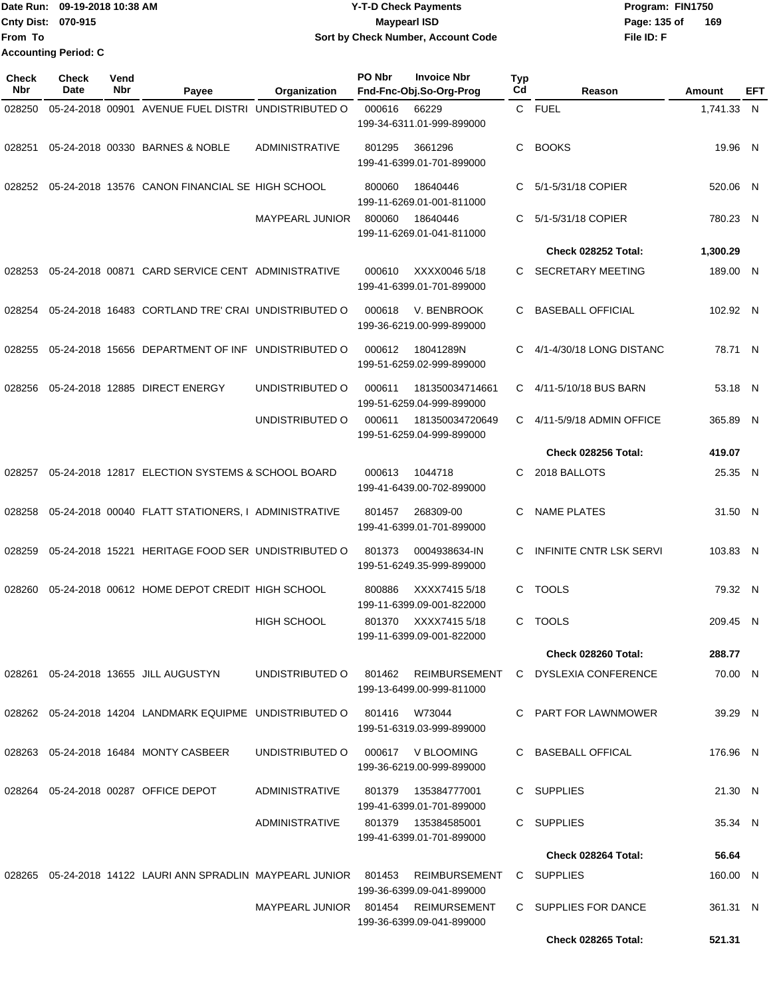|                           | Date Run: 09-19-2018 10:38 AM | <b>Y-T-D Check Payments</b>        | Program: FIN1750    |
|---------------------------|-------------------------------|------------------------------------|---------------------|
| <b>Cnty Dist: 070-915</b> |                               | <b>Maypearl ISD</b>                | 169<br>Page: 135 of |
| <b>From To</b>            |                               | Sort by Check Number, Account Code | File ID: F          |
|                           | <b>Accounting Period: C</b>   |                                    |                     |

| <b>Check</b><br>Nbr | Check<br><b>Date</b> | Vend<br>Nbr | Payee                                                                            | Organization                        | PO Nbr | <b>Invoice Nbr</b><br>Fnd-Fnc-Obj.So-Org-Prog     | <b>Typ</b><br>Cd | Reason                         | Amount     | EFT |
|---------------------|----------------------|-------------|----------------------------------------------------------------------------------|-------------------------------------|--------|---------------------------------------------------|------------------|--------------------------------|------------|-----|
| 028250              |                      |             | 05-24-2018 00901 AVENUE FUEL DISTRI UNDISTRIBUTED O                              |                                     | 000616 | 66229                                             |                  | C FUEL                         | 1,741.33 N |     |
|                     |                      |             |                                                                                  |                                     |        | 199-34-6311.01-999-899000                         |                  |                                |            |     |
| 028251              |                      |             | 05-24-2018 00330 BARNES & NOBLE                                                  | <b>ADMINISTRATIVE</b>               | 801295 | 3661296<br>199-41-6399.01-701-899000              | C                | <b>BOOKS</b>                   | 19.96 N    |     |
| 028252              |                      |             | 05-24-2018 13576 CANON FINANCIAL SE HIGH SCHOOL                                  |                                     | 800060 | 18640446<br>199-11-6269.01-001-811000             | C                | 5/1-5/31/18 COPIER             | 520.06 N   |     |
|                     |                      |             |                                                                                  | MAYPEARL JUNIOR                     | 800060 | 18640446<br>199-11-6269.01-041-811000             | C                | 5/1-5/31/18 COPIER             | 780.23 N   |     |
|                     |                      |             |                                                                                  |                                     |        |                                                   |                  | Check 028252 Total:            | 1,300.29   |     |
| 028253              |                      |             | 05-24-2018 00871 CARD SERVICE CENT ADMINISTRATIVE                                |                                     | 000610 | XXXX0046 5/18<br>199-41-6399.01-701-899000        | C.               | <b>SECRETARY MEETING</b>       | 189.00 N   |     |
| 028254              |                      |             | 05-24-2018 16483 CORTLAND TRE' CRAI UNDISTRIBUTED O                              |                                     | 000618 | V. BENBROOK<br>199-36-6219.00-999-899000          | C                | <b>BASEBALL OFFICIAL</b>       | 102.92 N   |     |
| 028255              |                      |             | 05-24-2018 15656 DEPARTMENT OF INF UNDISTRIBUTED O                               |                                     | 000612 | 18041289N<br>199-51-6259.02-999-899000            | C                | 4/1-4/30/18 LONG DISTANC       | 78.71 N    |     |
| 028256              |                      |             | 05-24-2018 12885 DIRECT ENERGY                                                   | UNDISTRIBUTED O                     | 000611 | 181350034714661<br>199-51-6259.04-999-899000      | C.               | 4/11-5/10/18 BUS BARN          | 53.18 N    |     |
|                     |                      |             |                                                                                  | UNDISTRIBUTED O                     | 000611 | 181350034720649<br>199-51-6259.04-999-899000      | C                | 4/11-5/9/18 ADMIN OFFICE       | 365.89 N   |     |
|                     |                      |             |                                                                                  |                                     |        |                                                   |                  | Check 028256 Total:            | 419.07     |     |
| 028257              |                      |             | 05-24-2018 12817 ELECTION SYSTEMS & SCHOOL BOARD                                 |                                     | 000613 | 1044718<br>199-41-6439.00-702-899000              | C                | 2018 BALLOTS                   | 25.35 N    |     |
| 028258              |                      |             | 05-24-2018 00040 FLATT STATIONERS, I ADMINISTRATIVE                              |                                     | 801457 | 268309-00<br>199-41-6399.01-701-899000            | C                | <b>NAME PLATES</b>             | 31.50 N    |     |
| 028259              |                      |             | 05-24-2018 15221 HERITAGE FOOD SER UNDISTRIBUTED O                               |                                     | 801373 | 0004938634-IN<br>199-51-6249.35-999-899000        | C                | <b>INFINITE CNTR LSK SERVI</b> | 103.83 N   |     |
| 028260              |                      |             | 05-24-2018 00612 HOME DEPOT CREDIT HIGH SCHOOL                                   |                                     | 800886 | XXXX7415 5/18<br>199-11-6399.09-001-822000        | C                | <b>TOOLS</b>                   | 79.32 N    |     |
|                     |                      |             |                                                                                  | <b>HIGH SCHOOL</b>                  | 801370 | XXXX7415 5/18<br>199-11-6399.09-001-822000        |                  | C TOOLS                        | 209.45 N   |     |
|                     |                      |             |                                                                                  |                                     |        |                                                   |                  | Check 028260 Total:            | 288.77     |     |
|                     |                      |             | 028261  05-24-2018  13655  JILL AUGUSTYN                                         | UNDISTRIBUTED O                     |        | 801462 REIMBURSEMENT<br>199-13-6499.00-999-811000 |                  | C DYSLEXIA CONFERENCE          | 70.00 N    |     |
|                     |                      |             | 028262  05-24-2018  14204  LANDMARK EQUIPME  UNDISTRIBUTED   0   801416   W73044 |                                     |        | 199-51-6319.03-999-899000                         |                  | C PART FOR LAWNMOWER           | 39.29 N    |     |
|                     |                      |             | 028263  05-24-2018  16484  MONTY CASBEER                                         | UNDISTRIBUTED O                     |        | 000617 V BLOOMING<br>199-36-6219.00-999-899000    |                  | C BASEBALL OFFICAL             | 176.96 N   |     |
|                     |                      |             | 028264  05-24-2018  00287  OFFICE DEPOT                                          | ADMINISTRATIVE                      | 801379 | 135384777001<br>199-41-6399.01-701-899000         |                  | C SUPPLIES                     | 21.30 N    |     |
|                     |                      |             |                                                                                  | ADMINISTRATIVE                      |        | 801379  135384585001<br>199-41-6399.01-701-899000 |                  | C SUPPLIES                     | 35.34 N    |     |
|                     |                      |             |                                                                                  |                                     |        |                                                   |                  | Check 028264 Total:            | 56.64      |     |
|                     |                      |             | 028265 05-24-2018 14122 LAURI ANN SPRADLIN MAYPEARL JUNIOR 801453 REIMBURSEMENT  |                                     |        | 199-36-6399.09-041-899000                         |                  | C SUPPLIES                     | 160.00 N   |     |
|                     |                      |             |                                                                                  | MAYPEARL JUNIOR 801454 REIMURSEMENT |        | 199-36-6399.09-041-899000                         |                  | C SUPPLIES FOR DANCE           | 361.31 N   |     |
|                     |                      |             |                                                                                  |                                     |        |                                                   |                  | Check 028265 Total:            | 521.31     |     |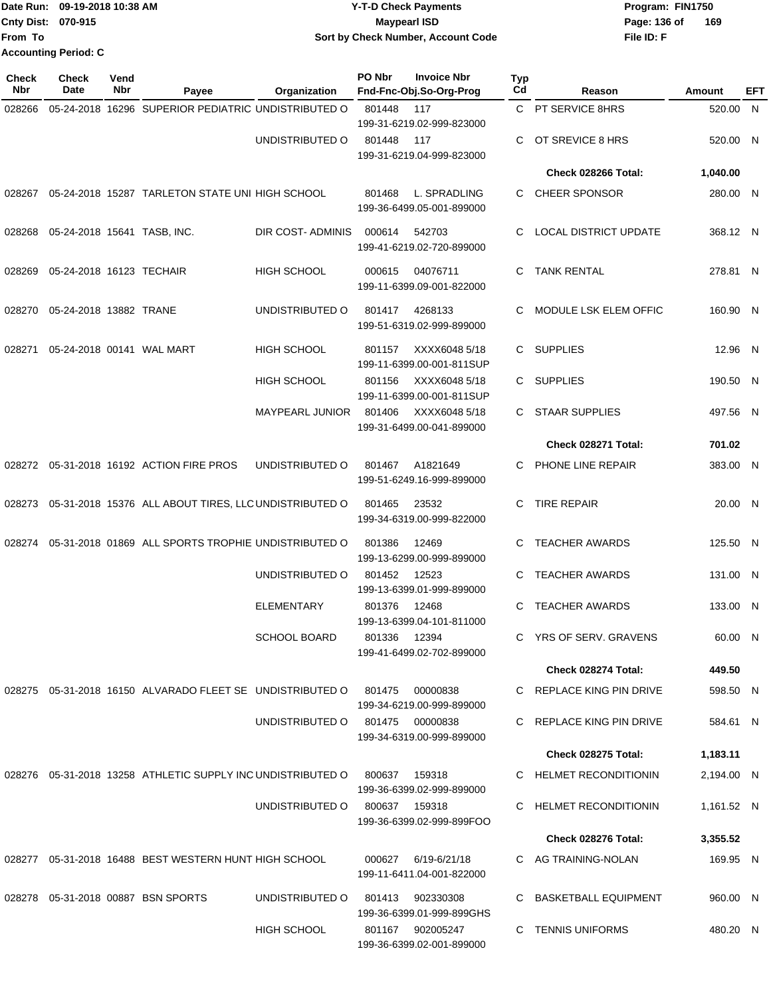|                           | Date Run: 09-19-2018 10:38 AM | <b>Y-T-D Check Payments</b>        | Program: FIN1750    |
|---------------------------|-------------------------------|------------------------------------|---------------------|
| <b>Cnty Dist: 070-915</b> |                               | <b>Mavpearl ISD</b>                | 169<br>Page: 136 of |
| lFrom To                  |                               | Sort by Check Number, Account Code | File ID: F          |
|                           | <b>Accounting Period: C</b>   |                                    |                     |

| <b>Check</b><br><b>Nbr</b> | Check<br>Date                         | Vend<br>Nbr | Payee                                                        | Organization           | PO Nbr       | <b>Invoice Nbr</b><br>Fnd-Fnc-Obj.So-Org-Prog | <b>Typ</b><br>Cd | Reason                       | Amount     | EFT |
|----------------------------|---------------------------------------|-------------|--------------------------------------------------------------|------------------------|--------------|-----------------------------------------------|------------------|------------------------------|------------|-----|
| 028266                     |                                       |             | 05-24-2018 16296 SUPERIOR PEDIATRIC UNDISTRIBUTED O          |                        | 801448       | 117                                           |                  | C PT SERVICE 8HRS            | 520.00 N   |     |
|                            |                                       |             |                                                              |                        |              | 199-31-6219.02-999-823000                     |                  |                              |            |     |
|                            |                                       |             |                                                              | UNDISTRIBUTED O        | 801448       | 117                                           | C                | OT SREVICE 8 HRS             | 520.00 N   |     |
|                            |                                       |             |                                                              |                        |              | 199-31-6219.04-999-823000                     |                  | Check 028266 Total:          | 1,040.00   |     |
|                            |                                       |             |                                                              |                        |              |                                               |                  |                              |            |     |
| 028267                     |                                       |             | 05-24-2018 15287 TARLETON STATE UNI HIGH SCHOOL              |                        | 801468       | L. SPRADLING<br>199-36-6499.05-001-899000     | C.               | CHEER SPONSOR                | 280.00 N   |     |
|                            | 028268  05-24-2018  15641  TASB, INC. |             |                                                              | DIR COST-ADMINIS       | 000614       | 542703                                        | C                | <b>LOCAL DISTRICT UPDATE</b> | 368.12 N   |     |
|                            |                                       |             |                                                              |                        |              | 199-41-6219.02-720-899000                     |                  |                              |            |     |
| 028269                     | 05-24-2018 16123 TECHAIR              |             |                                                              | <b>HIGH SCHOOL</b>     | 000615       | 04076711                                      | C.               | <b>TANK RENTAL</b>           | 278.81 N   |     |
|                            |                                       |             |                                                              |                        |              | 199-11-6399.09-001-822000                     |                  |                              |            |     |
| 028270                     | 05-24-2018 13882 TRANE                |             |                                                              | UNDISTRIBUTED O        | 801417       | 4268133                                       | C                | MODULE LSK ELEM OFFIC        | 160.90 N   |     |
|                            |                                       |             |                                                              |                        |              | 199-51-6319.02-999-899000                     |                  |                              |            |     |
| 028271                     |                                       |             | 05-24-2018 00141 WAL MART                                    | <b>HIGH SCHOOL</b>     | 801157       | XXXX6048 5/18                                 |                  | C SUPPLIES                   | 12.96 N    |     |
|                            |                                       |             |                                                              |                        |              | 199-11-6399.00-001-811SUP                     |                  |                              |            |     |
|                            |                                       |             |                                                              | <b>HIGH SCHOOL</b>     | 801156       | XXXX6048 5/18<br>199-11-6399.00-001-811SUP    |                  | C SUPPLIES                   | 190.50 N   |     |
|                            |                                       |             |                                                              | <b>MAYPEARL JUNIOR</b> | 801406       | XXXX6048 5/18                                 |                  | C STAAR SUPPLIES             | 497.56 N   |     |
|                            |                                       |             |                                                              |                        |              | 199-31-6499.00-041-899000                     |                  |                              |            |     |
|                            |                                       |             |                                                              |                        |              |                                               |                  | Check 028271 Total:          | 701.02     |     |
|                            |                                       |             | 028272 05-31-2018 16192 ACTION FIRE PROS                     | UNDISTRIBUTED O        | 801467       | A1821649<br>199-51-6249.16-999-899000         | C                | PHONE LINE REPAIR            | 383.00 N   |     |
|                            |                                       |             | 028273 05-31-2018 15376 ALL ABOUT TIRES, LLC UNDISTRIBUTED O |                        | 801465       | 23532                                         | C                | <b>TIRE REPAIR</b>           | 20.00 N    |     |
|                            |                                       |             |                                                              |                        |              | 199-34-6319.00-999-822000                     |                  |                              |            |     |
| 028274                     |                                       |             | 05-31-2018 01869 ALL SPORTS TROPHIE UNDISTRIBUTED O          |                        | 801386       | 12469                                         | C.               | <b>TEACHER AWARDS</b>        | 125.50 N   |     |
|                            |                                       |             |                                                              |                        |              | 199-13-6299.00-999-899000                     |                  |                              |            |     |
|                            |                                       |             |                                                              | UNDISTRIBUTED O        | 801452       | 12523<br>199-13-6399.01-999-899000            | C                | <b>TEACHER AWARDS</b>        | 131.00 N   |     |
|                            |                                       |             |                                                              | <b>ELEMENTARY</b>      | 801376       | 12468                                         | C                | <b>TEACHER AWARDS</b>        | 133.00 N   |     |
|                            |                                       |             |                                                              |                        |              | 199-13-6399.04-101-811000                     |                  |                              |            |     |
|                            |                                       |             |                                                              | SCHOOL BOARD           | 801336 12394 | 199-41-6499.02-702-899000                     |                  | C YRS OF SERV. GRAVENS       | 60.00 N    |     |
|                            |                                       |             |                                                              |                        |              |                                               |                  | Check 028274 Total:          | 449.50     |     |
|                            |                                       |             | 028275 05-31-2018 16150 ALVARADO FLEET SE UNDISTRIBUTED O    |                        | 801475       | 00000838                                      |                  | C REPLACE KING PIN DRIVE     | 598.50 N   |     |
|                            |                                       |             |                                                              |                        |              | 199-34-6219.00-999-899000                     |                  |                              |            |     |
|                            |                                       |             |                                                              | UNDISTRIBUTED O        |              | 801475 00000838<br>199-34-6319.00-999-899000  |                  | C REPLACE KING PIN DRIVE     | 584.61 N   |     |
|                            |                                       |             |                                                              |                        |              |                                               |                  | <b>Check 028275 Total:</b>   | 1,183.11   |     |
|                            |                                       |             | 028276 05-31-2018 13258 ATHLETIC SUPPLY INC UNDISTRIBUTED O  |                        | 800637       | 159318                                        |                  | C HELMET RECONDITIONIN       | 2,194.00 N |     |
|                            |                                       |             |                                                              |                        |              | 199-36-6399.02-999-899000                     |                  |                              |            |     |
|                            |                                       |             |                                                              | UNDISTRIBUTED O        |              | 800637 159318<br>199-36-6399.02-999-899FOO    |                  | C HELMET RECONDITIONIN       | 1,161.52 N |     |
|                            |                                       |             |                                                              |                        |              |                                               |                  | Check 028276 Total:          | 3,355.52   |     |
|                            |                                       |             | 028277 05-31-2018 16488 BEST WESTERN HUNT HIGH SCHOOL        |                        |              | 000627 6/19-6/21/18                           |                  | C AG TRAINING-NOLAN          | 169.95 N   |     |
|                            |                                       |             |                                                              |                        |              | 199-11-6411.04-001-822000                     |                  |                              |            |     |
|                            |                                       |             | 028278  05-31-2018  00887  BSN SPORTS                        | UNDISTRIBUTED O        |              | 801413 902330308                              |                  | C BASKETBALL EQUIPMENT       | 960.00 N   |     |
|                            |                                       |             |                                                              |                        |              | 199-36-6399.01-999-899GHS                     |                  |                              |            |     |
|                            |                                       |             |                                                              | HIGH SCHOOL            |              | 801167 902005247<br>199-36-6399.02-001-899000 |                  | C TENNIS UNIFORMS            | 480.20 N   |     |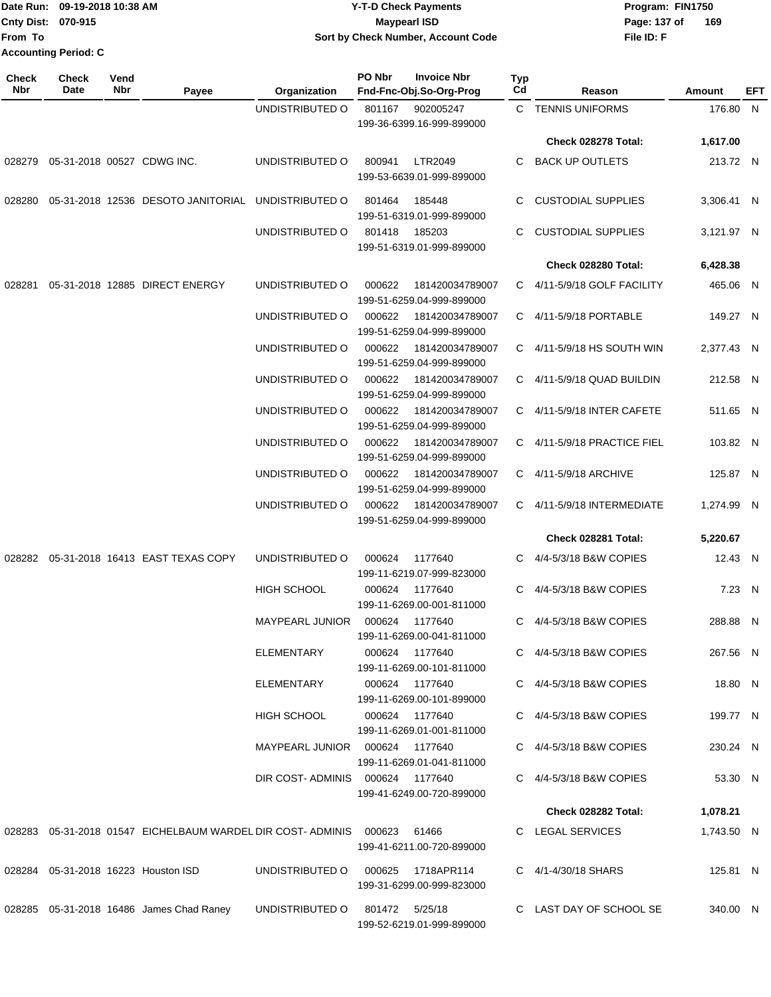| Date Run: 09-19-2018 10:38 AM |  | <b>Y-T-D Check Payments</b>        | Program: FIN1750    |
|-------------------------------|--|------------------------------------|---------------------|
| <b>Cnty Dist: 070-915</b>     |  | Maypearl ISD                       | 169<br>Page: 137 of |
| lFrom To                      |  | Sort by Check Number, Account Code | File ID: F          |
| <b>Accounting Period: C</b>   |  |                                    |                     |

| <b>Check</b><br>Nbr | <b>Check</b><br>Date                 | Vend<br>Nbr | Payee                                                                         | Organization           | PO Nbr<br><b>Invoice Nbr</b><br>Fnd-Fnc-Obj.So-Org-Prog        | Typ<br>Cd | Reason                      | Amount     | EFT |
|---------------------|--------------------------------------|-------------|-------------------------------------------------------------------------------|------------------------|----------------------------------------------------------------|-----------|-----------------------------|------------|-----|
|                     |                                      |             |                                                                               | UNDISTRIBUTED O        | 801167<br>902005247<br>199-36-6399.16-999-899000               |           | C TENNIS UNIFORMS           | 176.80 N   |     |
|                     |                                      |             |                                                                               |                        |                                                                |           | Check 028278 Total:         | 1,617.00   |     |
|                     | 028279  05-31-2018  00527  CDWG INC. |             |                                                                               | UNDISTRIBUTED O        | <b>LTR2049</b><br>800941<br>199-53-6639.01-999-899000          | C         | <b>BACK UP OUTLETS</b>      | 213.72 N   |     |
| 028280              |                                      |             | 05-31-2018 12536 DESOTO JANITORIAL UNDISTRIBUTED O                            |                        | 801464<br>185448<br>199-51-6319.01-999-899000                  | C         | <b>CUSTODIAL SUPPLIES</b>   | 3,306.41 N |     |
|                     |                                      |             |                                                                               | UNDISTRIBUTED O        | 801418<br>185203<br>199-51-6319.01-999-899000                  | C         | <b>CUSTODIAL SUPPLIES</b>   | 3,121.97 N |     |
|                     |                                      |             |                                                                               |                        |                                                                |           | Check 028280 Total:         | 6,428.38   |     |
| 028281              |                                      |             | 05-31-2018 12885 DIRECT ENERGY                                                | UNDISTRIBUTED O        | 000622<br>181420034789007<br>199-51-6259.04-999-899000         |           | C 4/11-5/9/18 GOLF FACILITY | 465.06 N   |     |
|                     |                                      |             |                                                                               | UNDISTRIBUTED O        | 000622<br>181420034789007<br>199-51-6259.04-999-899000         |           | C 4/11-5/9/18 PORTABLE      | 149.27 N   |     |
|                     |                                      |             |                                                                               | UNDISTRIBUTED O        | 000622<br>181420034789007<br>199-51-6259.04-999-899000         |           | C 4/11-5/9/18 HS SOUTH WIN  | 2,377.43 N |     |
|                     |                                      |             |                                                                               | UNDISTRIBUTED O        | 000622<br>181420034789007<br>199-51-6259.04-999-899000         |           | C 4/11-5/9/18 QUAD BUILDIN  | 212.58 N   |     |
|                     |                                      |             |                                                                               | UNDISTRIBUTED O        | 181420034789007<br>000622<br>199-51-6259.04-999-899000         |           | C 4/11-5/9/18 INTER CAFETE  | 511.65 N   |     |
|                     |                                      |             |                                                                               | UNDISTRIBUTED O        | 000622<br>181420034789007<br>199-51-6259.04-999-899000         |           | C 4/11-5/9/18 PRACTICE FIEL | 103.82 N   |     |
|                     |                                      |             |                                                                               | UNDISTRIBUTED O        | 000622<br>181420034789007<br>199-51-6259.04-999-899000         |           | C 4/11-5/9/18 ARCHIVE       | 125.87 N   |     |
|                     |                                      |             |                                                                               | UNDISTRIBUTED O        | 000622<br>181420034789007<br>199-51-6259.04-999-899000         |           | C 4/11-5/9/18 INTERMEDIATE  | 1,274.99 N |     |
|                     |                                      |             |                                                                               |                        |                                                                |           | Check 028281 Total:         | 5,220.67   |     |
| 028282              |                                      |             | 05-31-2018 16413 EAST TEXAS COPY                                              | UNDISTRIBUTED O        | 1177640<br>000624<br>199-11-6219.07-999-823000                 |           | C 4/4-5/3/18 B&W COPIES     | 12.43 N    |     |
|                     |                                      |             |                                                                               | HIGH SCHOOL            | 000624<br>1177640<br>199-11-6269.00-001-811000                 |           | 4/4-5/3/18 B&W COPIES       | 7.23 N     |     |
|                     |                                      |             |                                                                               | <b>MAYPEARL JUNIOR</b> | 000624 1177640<br>199-11-6269.00-041-811000                    |           | C 4/4-5/3/18 B&W COPIES     | 288.88 N   |     |
|                     |                                      |             |                                                                               | ELEMENTARY             | 000624 1177640<br>199-11-6269.00-101-811000                    |           | C 4/4-5/3/18 B&W COPIES     | 267.56 N   |     |
|                     |                                      |             |                                                                               | ELEMENTARY             | 000624 1177640<br>199-11-6269.00-101-899000                    |           | C 4/4-5/3/18 B&W COPIES     | 18.80 N    |     |
|                     |                                      |             |                                                                               | HIGH SCHOOL            | 000624 1177640<br>199-11-6269.01-001-811000                    |           | C 4/4-5/3/18 B&W COPIES     | 199.77 N   |     |
|                     |                                      |             |                                                                               |                        | MAYPEARL JUNIOR  000624  1177640<br>199-11-6269.01-041-811000  |           | C 4/4-5/3/18 B&W COPIES     | 230.24 N   |     |
|                     |                                      |             |                                                                               |                        | DIR COST-ADMINIS 000624 1177640<br>199-41-6249.00-720-899000   |           | C 4/4-5/3/18 B&W COPIES     | 53.30 N    |     |
|                     |                                      |             |                                                                               |                        |                                                                |           | Check 028282 Total:         | 1,078.21   |     |
|                     |                                      |             | 028283  05-31-2018  01547  EICHELBAUM WARDEL DIR COST- ADMINIS  000623  61466 |                        | 199-41-6211.00-720-899000                                      |           | C LEGAL SERVICES            | 1,743.50 N |     |
|                     |                                      |             | 028284 05-31-2018 16223 Houston ISD                                           |                        | UNDISTRIBUTED O 000625 1718APR114<br>199-31-6299.00-999-823000 |           | C 4/1-4/30/18 SHARS         | 125.81 N   |     |
|                     |                                      |             | 028285 05-31-2018 16486 James Chad Raney                                      | UNDISTRIBUTED O        | 801472 5/25/18<br>199-52-6219.01-999-899000                    |           | C LAST DAY OF SCHOOL SE     | 340.00 N   |     |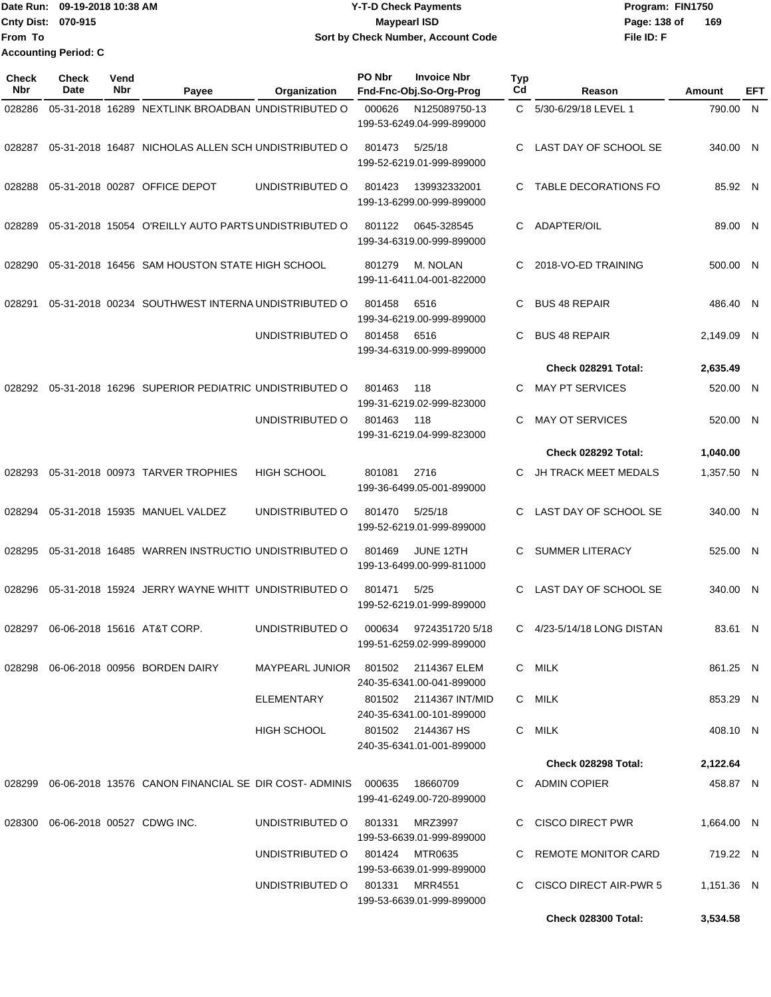|                           | Date Run: 09-19-2018 10:38 AM | <b>Y-T-D Check Payments</b>        | Program: FIN1750    |
|---------------------------|-------------------------------|------------------------------------|---------------------|
| <b>Cnty Dist: 070-915</b> |                               | <b>Mavpearl ISD</b>                | 169<br>Page: 138 of |
| 'From To                  |                               | Sort by Check Number, Account Code | File ID: F          |
|                           | <b>Accounting Period: C</b>   |                                    |                     |

| <b>Check</b><br><b>Nbr</b> | <b>Check</b><br>Date | Vend<br>Nbr | Payee                                                       | Organization                        | PO Nbr | <b>Invoice Nbr</b><br>Fnd-Fnc-Obj.So-Org-Prog       | Typ<br>Cd | Reason                   | Amount     | EFT |
|----------------------------|----------------------|-------------|-------------------------------------------------------------|-------------------------------------|--------|-----------------------------------------------------|-----------|--------------------------|------------|-----|
| 028286                     |                      |             | 05-31-2018 16289 NEXTLINK BROADBAN UNDISTRIBUTED O          |                                     | 000626 | N125089750-13                                       | C         | 5/30-6/29/18 LEVEL 1     | 790.00     | N   |
|                            |                      |             |                                                             |                                     |        | 199-53-6249.04-999-899000                           |           |                          |            |     |
| 028287                     |                      |             | 05-31-2018 16487 NICHOLAS ALLEN SCH UNDISTRIBUTED O         |                                     | 801473 | 5/25/18                                             | C         | LAST DAY OF SCHOOL SE    | 340.00 N   |     |
|                            |                      |             |                                                             |                                     |        | 199-52-6219.01-999-899000                           |           |                          |            |     |
| 028288                     |                      |             | 05-31-2018 00287 OFFICE DEPOT                               | UNDISTRIBUTED O                     | 801423 | 139932332001                                        | C         | TABLE DECORATIONS FO     | 85.92 N    |     |
|                            |                      |             |                                                             |                                     |        | 199-13-6299.00-999-899000                           |           |                          |            |     |
| 028289                     |                      |             | 05-31-2018 15054 O'REILLY AUTO PARTS UNDISTRIBUTED O        |                                     | 801122 | 0645-328545                                         | C         | ADAPTER/OIL              | 89.00 N    |     |
|                            |                      |             |                                                             |                                     |        | 199-34-6319.00-999-899000                           |           |                          |            |     |
| 028290                     |                      |             | 05-31-2018 16456 SAM HOUSTON STATE HIGH SCHOOL              |                                     | 801279 | M. NOLAN                                            | C         | 2018-VO-ED TRAINING      | 500.00 N   |     |
|                            |                      |             |                                                             |                                     |        | 199-11-6411.04-001-822000                           |           |                          |            |     |
| 028291                     |                      |             | 05-31-2018 00234 SOUTHWEST INTERNA UNDISTRIBUTED O          |                                     | 801458 | 6516                                                | C         | <b>BUS 48 REPAIR</b>     | 486.40 N   |     |
|                            |                      |             |                                                             |                                     |        | 199-34-6219.00-999-899000                           |           |                          |            |     |
|                            |                      |             |                                                             | UNDISTRIBUTED O                     | 801458 | 6516                                                | C         | <b>BUS 48 REPAIR</b>     | 2,149.09   | -N  |
|                            |                      |             |                                                             |                                     |        | 199-34-6319.00-999-899000                           |           |                          |            |     |
|                            |                      |             |                                                             |                                     |        |                                                     |           | Check 028291 Total:      | 2,635.49   |     |
| 028292                     |                      |             | 05-31-2018 16296 SUPERIOR PEDIATRIC UNDISTRIBUTED O         |                                     | 801463 | 118<br>199-31-6219.02-999-823000                    | C         | <b>MAY PT SERVICES</b>   | 520.00 N   |     |
|                            |                      |             |                                                             | UNDISTRIBUTED O                     | 801463 | 118                                                 | C         | <b>MAY OT SERVICES</b>   | 520.00 N   |     |
|                            |                      |             |                                                             |                                     |        | 199-31-6219.04-999-823000                           |           |                          |            |     |
|                            |                      |             |                                                             |                                     |        |                                                     |           | Check 028292 Total:      | 1,040.00   |     |
| 028293                     |                      |             | 05-31-2018 00973 TARVER TROPHIES                            | <b>HIGH SCHOOL</b>                  | 801081 | 2716                                                | C         | JH TRACK MEET MEDALS     | 1,357.50 N |     |
|                            |                      |             |                                                             |                                     |        | 199-36-6499.05-001-899000                           |           |                          |            |     |
| 028294                     |                      |             | 05-31-2018 15935 MANUEL VALDEZ                              | UNDISTRIBUTED O                     | 801470 | 5/25/18                                             | C         | LAST DAY OF SCHOOL SE    | 340.00 N   |     |
|                            |                      |             |                                                             |                                     |        | 199-52-6219.01-999-899000                           |           |                          |            |     |
| 028295                     |                      |             | 05-31-2018 16485 WARREN INSTRUCTIO UNDISTRIBUTED O          |                                     | 801469 | JUNE 12TH                                           | C         | <b>SUMMER LITERACY</b>   | 525.00 N   |     |
|                            |                      |             |                                                             |                                     |        | 199-13-6499.00-999-811000                           |           |                          |            |     |
| 028296                     |                      |             | 05-31-2018 15924 JERRY WAYNE WHITT UNDISTRIBUTED O          |                                     | 801471 | 5/25                                                | C         | LAST DAY OF SCHOOL SE    | 340.00 N   |     |
|                            |                      |             |                                                             |                                     |        | 199-52-6219.01-999-899000                           |           |                          |            |     |
| 028297                     |                      |             | 06-06-2018 15616 AT&T CORP.                                 | UNDISTRIBUTED O                     | 000634 | 9724351720 5/18                                     | C         | 4/23-5/14/18 LONG DISTAN | 83.61 N    |     |
|                            |                      |             |                                                             |                                     |        | 199-51-6259.02-999-899000                           |           |                          |            |     |
|                            |                      |             | 028298 06-06-2018 00956 BORDEN DAIRY                        | MAYPEARL JUNIOR 801502 2114367 ELEM |        |                                                     |           | C MILK                   | 861.25 N   |     |
|                            |                      |             |                                                             | ELEMENTARY                          |        | 240-35-6341.00-041-899000<br>801502 2114367 INT/MID |           | C MILK                   | 853.29 N   |     |
|                            |                      |             |                                                             |                                     |        | 240-35-6341.00-101-899000                           |           |                          |            |     |
|                            |                      |             |                                                             | <b>HIGH SCHOOL</b>                  |        | 801502 2144367 HS                                   |           | C MILK                   | 408.10 N   |     |
|                            |                      |             |                                                             |                                     |        | 240-35-6341.01-001-899000                           |           |                          |            |     |
|                            |                      |             |                                                             |                                     |        |                                                     |           | Check 028298 Total:      | 2,122.64   |     |
| 028299                     |                      |             | 06-06-2018 13576 CANON FINANCIAL SE DIR COST-ADMINIS 000635 |                                     |        | 18660709                                            |           | C ADMIN COPIER           | 458.87 N   |     |
|                            |                      |             |                                                             |                                     |        | 199-41-6249.00-720-899000                           |           |                          |            |     |
| 028300                     |                      |             | 06-06-2018 00527 CDWG INC.                                  | UNDISTRIBUTED O                     | 801331 | MRZ3997<br>199-53-6639.01-999-899000                |           | C CISCO DIRECT PWR       | 1,664.00 N |     |
|                            |                      |             |                                                             | UNDISTRIBUTED O                     |        | 801424 MTR0635                                      |           | C REMOTE MONITOR CARD    | 719.22 N   |     |
|                            |                      |             |                                                             |                                     |        | 199-53-6639.01-999-899000                           |           |                          |            |     |
|                            |                      |             |                                                             | UNDISTRIBUTED O 801331              |        | MRR4551                                             |           | C CISCO DIRECT AIR-PWR 5 | 1,151.36 N |     |
|                            |                      |             |                                                             |                                     |        | 199-53-6639.01-999-899000                           |           |                          |            |     |
|                            |                      |             |                                                             |                                     |        |                                                     |           | Check 028300 Total:      | 3,534.58   |     |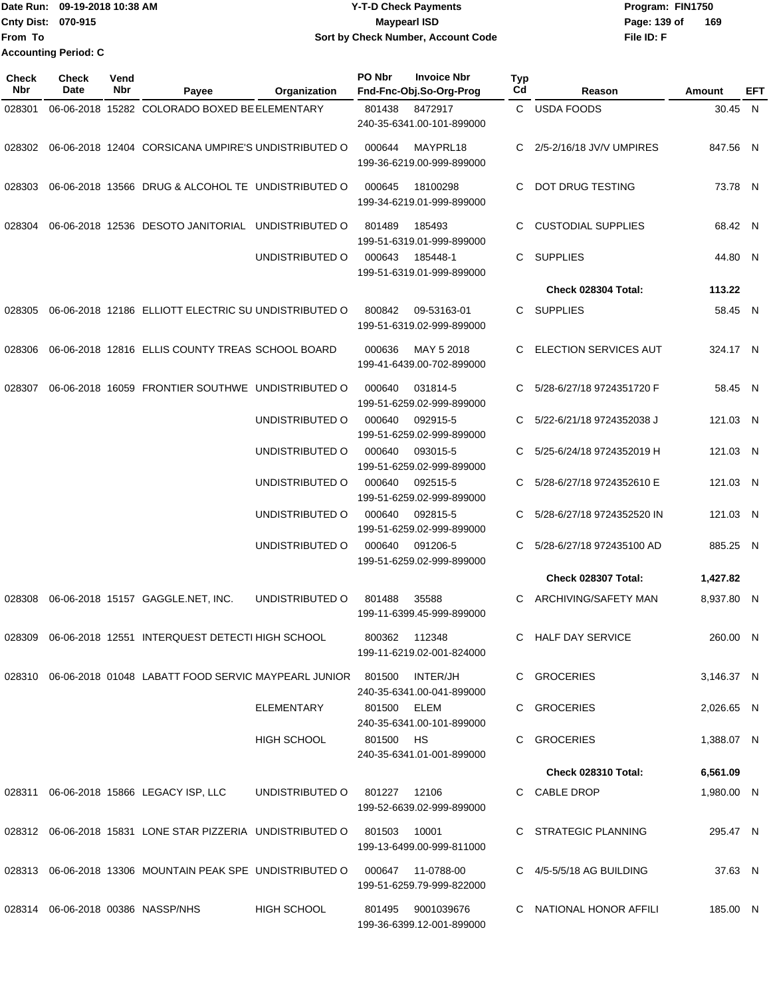|                             | Date Run: 09-19-2018 10:38 AM | <b>Y-T-D Check Payments</b>        | Program: FIN1750    |  |  |  |  |
|-----------------------------|-------------------------------|------------------------------------|---------------------|--|--|--|--|
| <b>Cnty Dist: 070-915</b>   |                               | Maypearl ISD                       | 169<br>Page: 139 of |  |  |  |  |
| lFrom To                    |                               | Sort by Check Number, Account Code | File ID: F          |  |  |  |  |
| <b>Accounting Period: C</b> |                               |                                    |                     |  |  |  |  |

| <b>Check</b><br>Nbr | <b>Check</b><br>Date | Vend<br>Nbr | Payee                                                                            | Organization                 | PO Nbr       | <b>Invoice Nbr</b><br>Fnd-Fnc-Obj.So-Org-Prog  | <b>Typ</b><br>Cd | Reason                       | Amount     | EFT |
|---------------------|----------------------|-------------|----------------------------------------------------------------------------------|------------------------------|--------------|------------------------------------------------|------------------|------------------------------|------------|-----|
| 028301              |                      |             | 06-06-2018 15282 COLORADO BOXED BE ELEMENTARY                                    |                              | 801438       | 8472917<br>240-35-6341.00-101-899000           |                  | C USDA FOODS                 | 30.45 N    |     |
|                     |                      |             | 028302 06-06-2018 12404 CORSICANA UMPIRE'S UNDISTRIBUTED O                       |                              | 000644       | MAYPRL18<br>199-36-6219.00-999-899000          | C                | 2/5-2/16/18 JV/V UMPIRES     | 847.56 N   |     |
| 028303              |                      |             | 06-06-2018 13566 DRUG & ALCOHOL TE UNDISTRIBUTED O                               |                              | 000645       | 18100298<br>199-34-6219.01-999-899000          | C.               | DOT DRUG TESTING             | 73.78 N    |     |
| 028304              |                      |             | 06-06-2018 12536 DESOTO JANITORIAL UNDISTRIBUTED O                               |                              | 801489       | 185493<br>199-51-6319.01-999-899000            |                  | <b>CUSTODIAL SUPPLIES</b>    | 68.42 N    |     |
|                     |                      |             |                                                                                  | UNDISTRIBUTED O              | 000643       | 185448-1<br>199-51-6319.01-999-899000          | C.               | SUPPLIES                     | 44.80 N    |     |
|                     |                      |             |                                                                                  |                              |              |                                                |                  | Check 028304 Total:          | 113.22     |     |
|                     |                      |             | 028305 06-06-2018 12186 ELLIOTT ELECTRIC SU UNDISTRIBUTED O                      |                              | 800842       | 09-53163-01<br>199-51-6319.02-999-899000       |                  | C SUPPLIES                   | 58.45 N    |     |
| 028306              |                      |             | 06-06-2018 12816 ELLIS COUNTY TREAS SCHOOL BOARD                                 |                              | 000636       | MAY 5 2018<br>199-41-6439.00-702-899000        | C.               | <b>ELECTION SERVICES AUT</b> | 324.17 N   |     |
| 028307              |                      |             | 06-06-2018 16059 FRONTIER SOUTHWE UNDISTRIBUTED O                                |                              | 000640       | 031814-5<br>199-51-6259.02-999-899000          |                  | 5/28-6/27/18 9724351720 F    | 58.45 N    |     |
|                     |                      |             |                                                                                  | UNDISTRIBUTED O              | 000640       | 092915-5<br>199-51-6259.02-999-899000          |                  | 5/22-6/21/18 9724352038 J    | 121.03 N   |     |
|                     |                      |             |                                                                                  | UNDISTRIBUTED O              | 000640       | 093015-5<br>199-51-6259.02-999-899000          | C.               | 5/25-6/24/18 9724352019 H    | 121.03 N   |     |
|                     |                      |             |                                                                                  | UNDISTRIBUTED O              | 000640       | 092515-5<br>199-51-6259.02-999-899000          |                  | C 5/28-6/27/18 9724352610 E  | 121.03 N   |     |
|                     |                      |             |                                                                                  | UNDISTRIBUTED O              | 000640       | 092815-5<br>199-51-6259.02-999-899000          | C.               | 5/28-6/27/18 9724352520 IN   | 121.03 N   |     |
|                     |                      |             |                                                                                  | UNDISTRIBUTED O              | 000640       | 091206-5<br>199-51-6259.02-999-899000          | C.               | 5/28-6/27/18 972435100 AD    | 885.25 N   |     |
|                     |                      |             |                                                                                  |                              |              |                                                |                  | Check 028307 Total:          | 1,427.82   |     |
|                     |                      |             | 028308  06-06-2018  15157  GAGGLE.NET, INC.                                      | UNDISTRIBUTED O              | 801488       | 35588<br>199-11-6399.45-999-899000             | C.               | ARCHIVING/SAFETY MAN         | 8,937.80 N |     |
|                     |                      |             | 028309 06-06-2018 12551 INTERQUEST DETECTI HIGH SCHOOL                           |                              |              | 800362 112348<br>199-11-6219.02-001-824000     |                  | C HALF DAY SERVICE           | 260.00 N   |     |
|                     |                      |             | 028310 06-06-2018 01048 LABATT FOOD SERVIC MAYPEARL JUNIOR 801500 INTER/JH       |                              |              | 240-35-6341.00-041-899000                      |                  | C GROCERIES                  | 3,146.37 N |     |
|                     |                      |             |                                                                                  | ELEMENTARY                   | 801500 ELEM  | 240-35-6341.00-101-899000                      |                  | C GROCERIES                  | 2.026.65 N |     |
|                     |                      |             |                                                                                  | HIGH SCHOOL                  | 801500 HS    | 240-35-6341.01-001-899000                      |                  | C GROCERIES                  | 1,388.07 N |     |
|                     |                      |             |                                                                                  |                              |              |                                                |                  | Check 028310 Total:          | 6,561.09   |     |
|                     |                      |             | 028311  06-06-2018  15866  LEGACY ISP, LLC                                       | UNDISTRIBUTED O 801227 12106 |              | 199-52-6639.02-999-899000                      |                  | C CABLE DROP                 | 1,980.00 N |     |
|                     |                      |             | 028312 06-06-2018 15831 LONE STAR PIZZERIA UNDISTRIBUTED O                       |                              | 801503 10001 | 199-13-6499.00-999-811000                      |                  | C STRATEGIC PLANNING         | 295.47 N   |     |
|                     |                      |             | 028313  06-06-2018  13306  MOUNTAIN PEAK SPE  UNDISTRIBUTED   000647  11-0788-00 |                              |              | 199-51-6259.79-999-822000                      |                  | C 4/5-5/5/18 AG BUILDING     | 37.63 N    |     |
|                     |                      |             | 028314 06-06-2018 00386 NASSP/NHS                                                | HIGH SCHOOL                  |              | 801495 9001039676<br>199-36-6399.12-001-899000 |                  | C NATIONAL HONOR AFFILI      | 185.00 N   |     |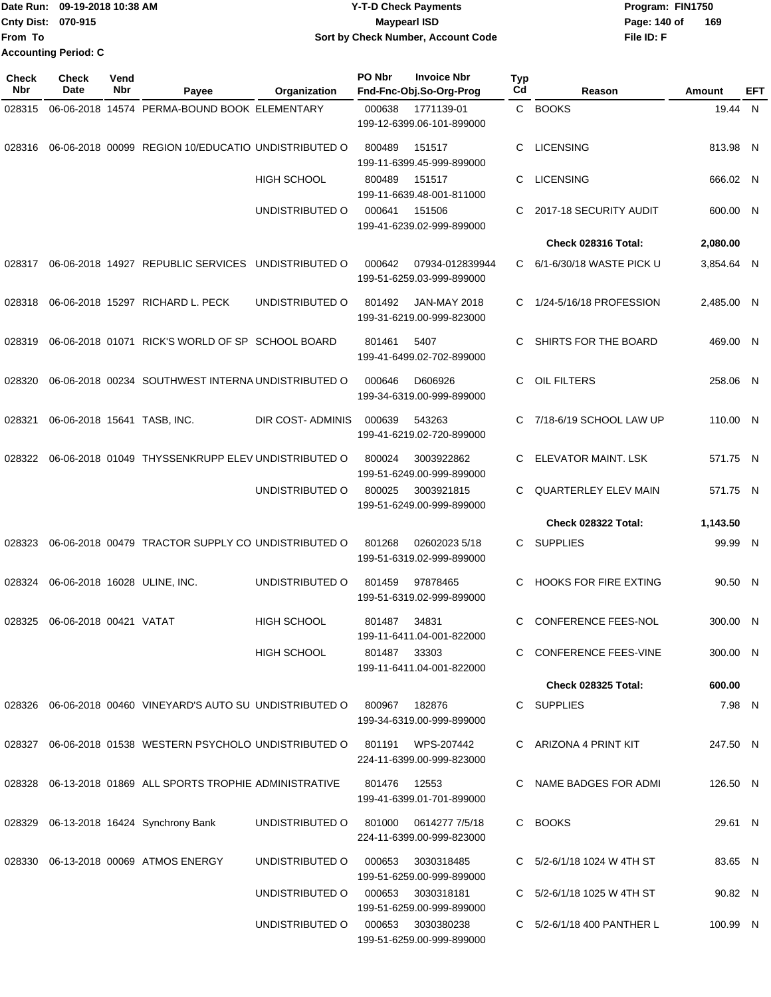|                             | Date Run: 09-19-2018 10:38 AM | <b>Y-T-D Check Payments</b>        | Program: FIN1750    |  |  |  |
|-----------------------------|-------------------------------|------------------------------------|---------------------|--|--|--|
| <b>Cnty Dist: 070-915</b>   |                               | <b>Mavpearl ISD</b>                | 169<br>Page: 140 of |  |  |  |
| <b>From To</b>              |                               | Sort by Check Number, Account Code | File ID: F          |  |  |  |
| <b>Accounting Period: C</b> |                               |                                    |                     |  |  |  |

| Check<br><b>Nbr</b> | <b>Check</b><br>Date   | Vend<br>Nbr | Payee                                                      | Organization                         | PO Nbr       | <b>Invoice Nbr</b><br>Fnd-Fnc-Obj.So-Org-Prog    | Typ<br>Cd | Reason                       | Amount     | EFT |
|---------------------|------------------------|-------------|------------------------------------------------------------|--------------------------------------|--------------|--------------------------------------------------|-----------|------------------------------|------------|-----|
| 028315              |                        |             | 06-06-2018 14574 PERMA-BOUND BOOK ELEMENTARY               |                                      | 000638       | 1771139-01<br>199-12-6399.06-101-899000          |           | C BOOKS                      | 19.44 N    |     |
| 028316              |                        |             | 06-06-2018 00099 REGION 10/EDUCATIO UNDISTRIBUTED O        |                                      | 800489       | 151517<br>199-11-6399.45-999-899000              | C         | <b>LICENSING</b>             | 813.98 N   |     |
|                     |                        |             |                                                            | <b>HIGH SCHOOL</b>                   | 800489       | 151517<br>199-11-6639.48-001-811000              | C         | <b>LICENSING</b>             | 666.02 N   |     |
|                     |                        |             |                                                            | UNDISTRIBUTED O                      | 000641       | 151506<br>199-41-6239.02-999-899000              | C.        | 2017-18 SECURITY AUDIT       | 600.00 N   |     |
|                     |                        |             |                                                            |                                      |              |                                                  |           | Check 028316 Total:          | 2,080.00   |     |
| 028317              |                        |             | 06-06-2018 14927 REPUBLIC SERVICES                         | UNDISTRIBUTED O                      | 000642       | 07934-012839944<br>199-51-6259.03-999-899000     | C.        | 6/1-6/30/18 WASTE PICK U     | 3,854.64 N |     |
| 028318              |                        |             | 06-06-2018 15297 RICHARD L. PECK                           | UNDISTRIBUTED O                      | 801492       | <b>JAN-MAY 2018</b><br>199-31-6219.00-999-823000 | C.        | 1/24-5/16/18 PROFESSION      | 2,485.00 N |     |
| 028319              |                        |             | 06-06-2018 01071 RICK'S WORLD OF SP SCHOOL BOARD           |                                      | 801461       | 5407<br>199-41-6499.02-702-899000                | C         | SHIRTS FOR THE BOARD         | 469.00 N   |     |
| 028320              |                        |             | 06-06-2018 00234 SOUTHWEST INTERNA UNDISTRIBUTED O         |                                      | 000646       | D606926<br>199-34-6319.00-999-899000             | C         | <b>OIL FILTERS</b>           | 258.06 N   |     |
| 028321              |                        |             | 06-06-2018 15641 TASB, INC.                                | DIR COST-ADMINIS                     | 000639       | 543263<br>199-41-6219.02-720-899000              |           | 7/18-6/19 SCHOOL LAW UP      | 110.00 N   |     |
| 028322              |                        |             | 06-06-2018 01049 THYSSENKRUPP ELEV UNDISTRIBUTED O         |                                      | 800024       | 3003922862<br>199-51-6249.00-999-899000          | C         | ELEVATOR MAINT. LSK          | 571.75 N   |     |
|                     |                        |             |                                                            | UNDISTRIBUTED O                      | 800025       | 3003921815<br>199-51-6249.00-999-899000          | C.        | <b>QUARTERLEY ELEV MAIN</b>  | 571.75 N   |     |
|                     |                        |             |                                                            |                                      |              |                                                  |           | <b>Check 028322 Total:</b>   | 1,143.50   |     |
| 028323              |                        |             | 06-06-2018 00479 TRACTOR SUPPLY CO UNDISTRIBUTED O         |                                      | 801268       | 02602023 5/18<br>199-51-6319.02-999-899000       | C         | <b>SUPPLIES</b>              | 99.99 N    |     |
| 028324              |                        |             | 06-06-2018 16028 ULINE, INC.                               | UNDISTRIBUTED O                      | 801459       | 97878465<br>199-51-6319.02-999-899000            | C         | <b>HOOKS FOR FIRE EXTING</b> | 90.50 N    |     |
| 028325              | 06-06-2018 00421 VATAT |             |                                                            | <b>HIGH SCHOOL</b>                   | 801487       | 34831<br>199-11-6411.04-001-822000               | C         | <b>CONFERENCE FEES-NOL</b>   | 300.00 N   |     |
|                     |                        |             |                                                            | HIGH SCHOOL                          | 801487 33303 | 199-11-6411.04-001-822000                        |           | C CONFERENCE FEES-VINE       | 300.00 N   |     |
|                     |                        |             |                                                            |                                      |              |                                                  |           | <b>Check 028325 Total:</b>   | 600.00     |     |
|                     |                        |             | 028326 06-06-2018 00460 VINEYARD'S AUTO SU UNDISTRIBUTED O |                                      | 800967       | 182876<br>199-34-6319.00-999-899000              |           | C SUPPLIES                   | 7.98 N     |     |
|                     |                        |             | 028327 06-06-2018 01538 WESTERN PSYCHOLO UNDISTRIBUTED O   |                                      |              | 801191 WPS-207442<br>224-11-6399.00-999-823000   |           | C ARIZONA 4 PRINT KIT        | 247.50 N   |     |
|                     |                        |             | 028328 06-13-2018 01869 ALL SPORTS TROPHIE ADMINISTRATIVE  |                                      | 801476       | 12553<br>199-41-6399.01-701-899000               |           | C NAME BADGES FOR ADMI       | 126.50 N   |     |
|                     |                        |             | 028329 06-13-2018 16424 Synchrony Bank                     | UNDISTRIBUTED O                      |              | 224-11-6399.00-999-823000                        |           | C BOOKS                      | 29.61 N    |     |
|                     |                        |             | 028330 06-13-2018 00069 ATMOS ENERGY                       | UNDISTRIBUTED O                      | 000653       | 3030318485<br>199-51-6259.00-999-899000          |           | C 5/2-6/1/18 1024 W 4TH ST   | 83.65 N    |     |
|                     |                        |             |                                                            | UNDISTRIBUTED O                      | 000653       | 3030318181<br>199-51-6259.00-999-899000          |           | C 5/2-6/1/18 1025 W 4TH ST   | 90.82 N    |     |
|                     |                        |             |                                                            | UNDISTRIBUTED O   000653  3030380238 |              | 199-51-6259.00-999-899000                        |           | C 5/2-6/1/18 400 PANTHER L   | 100.99 N   |     |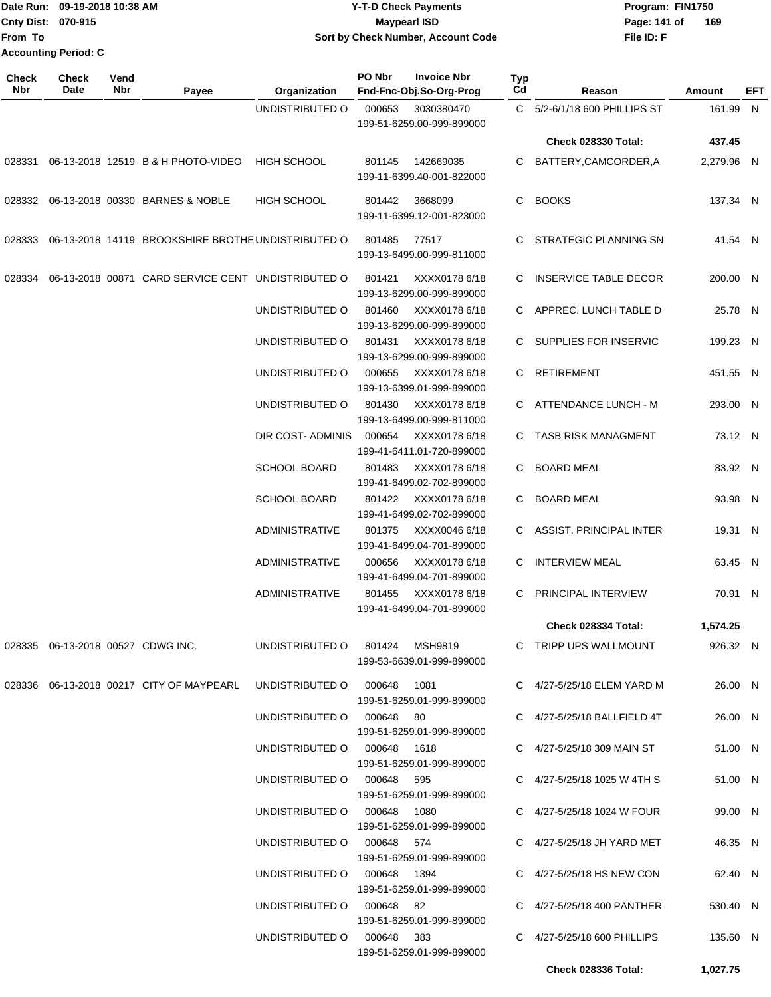Date Run: 09-19-2018 10:38 AM **Date Runity Constructs** Program: FIN1750 **Cnty Dist:** 070-915 **Page: 141 of** Maypearl ISD **Page: 141 of File ID: F From To 09-19-2018 10:38 AM Y-T-D Check Payments 070-915 Maypearl ISD Sort by Check Number, Account Code 169 Accounting Period: C**

| <b>Check</b><br><b>Nbr</b> | <b>Check</b><br>Date                 | Vend<br>Nbr | Payee                                              | Organization                   | PO Nbr | <b>Invoice Nbr</b><br>Fnd-Fnc-Obj.So-Org-Prog | Typ<br>Cd | Reason                       | Amount     | <b>EFT</b> |
|----------------------------|--------------------------------------|-------------|----------------------------------------------------|--------------------------------|--------|-----------------------------------------------|-----------|------------------------------|------------|------------|
|                            |                                      |             |                                                    | UNDISTRIBUTED O                | 000653 | 3030380470<br>199-51-6259.00-999-899000       |           | C 5/2-6/1/18 600 PHILLIPS ST | 161.99 N   |            |
|                            |                                      |             |                                                    |                                |        |                                               |           | Check 028330 Total:          | 437.45     |            |
| 028331                     |                                      |             | 06-13-2018 12519 B & H PHOTO-VIDEO                 | HIGH SCHOOL                    | 801145 | 142669035<br>199-11-6399.40-001-822000        | C         | BATTERY, CAMCORDER, A        | 2,279.96 N |            |
|                            |                                      |             | 028332 06-13-2018 00330 BARNES & NOBLE             | HIGH SCHOOL                    | 801442 | 3668099<br>199-11-6399.12-001-823000          | C         | <b>BOOKS</b>                 | 137.34 N   |            |
| 028333                     |                                      |             | 06-13-2018 14119 BROOKSHIRE BROTHE UNDISTRIBUTED O |                                | 801485 | 77517<br>199-13-6499.00-999-811000            | C         | <b>STRATEGIC PLANNING SN</b> | 41.54 N    |            |
| 028334                     |                                      |             | 06-13-2018 00871 CARD SERVICE CENT UNDISTRIBUTED O |                                | 801421 | XXXX0178 6/18<br>199-13-6299.00-999-899000    | С         | <b>INSERVICE TABLE DECOR</b> | 200.00 N   |            |
|                            |                                      |             |                                                    | UNDISTRIBUTED O                | 801460 | XXXX0178 6/18<br>199-13-6299.00-999-899000    |           | C APPREC. LUNCH TABLE D      | 25.78 N    |            |
|                            |                                      |             |                                                    | UNDISTRIBUTED O                | 801431 | XXXX0178 6/18<br>199-13-6299.00-999-899000    |           | C SUPPLIES FOR INSERVIC      | 199.23 N   |            |
|                            |                                      |             |                                                    | UNDISTRIBUTED O                | 000655 | XXXX0178 6/18<br>199-13-6399.01-999-899000    | C         | <b>RETIREMENT</b>            | 451.55 N   |            |
|                            |                                      |             |                                                    | UNDISTRIBUTED O                | 801430 | XXXX0178 6/18<br>199-13-6499.00-999-811000    |           | C ATTENDANCE LUNCH - M       | 293.00 N   |            |
|                            |                                      |             |                                                    | DIR COST- ADMINIS              | 000654 | XXXX0178 6/18<br>199-41-6411.01-720-899000    |           | C TASB RISK MANAGMENT        | 73.12 N    |            |
|                            |                                      |             |                                                    | <b>SCHOOL BOARD</b>            | 801483 | XXXX0178 6/18<br>199-41-6499.02-702-899000    | C         | <b>BOARD MEAL</b>            | 83.92 N    |            |
|                            |                                      |             |                                                    | <b>SCHOOL BOARD</b>            | 801422 | XXXX0178 6/18<br>199-41-6499.02-702-899000    | С         | <b>BOARD MEAL</b>            | 93.98 N    |            |
|                            |                                      |             |                                                    | <b>ADMINISTRATIVE</b>          | 801375 | XXXX0046 6/18<br>199-41-6499.04-701-899000    | C.        | ASSIST. PRINCIPAL INTER      | 19.31 N    |            |
|                            |                                      |             |                                                    | <b>ADMINISTRATIVE</b>          | 000656 | XXXX0178 6/18<br>199-41-6499.04-701-899000    | С         | <b>INTERVIEW MEAL</b>        | 63.45 N    |            |
|                            |                                      |             |                                                    | ADMINISTRATIVE                 | 801455 | XXXX0178 6/18<br>199-41-6499.04-701-899000    | C         | PRINCIPAL INTERVIEW          | 70.91 N    |            |
|                            |                                      |             |                                                    |                                |        |                                               |           | Check 028334 Total:          | 1,574.25   |            |
|                            | 028335  06-13-2018  00527  CDWG INC. |             |                                                    | UNDISTRIBUTED O 801424 MSH9819 |        | 199-53-6639.01-999-899000                     |           | C TRIPP UPS WALLMOUNT        | 926.32 N   |            |
|                            |                                      |             | 028336   06-13-2018   00217   CITY OF MAYPEARL     | UNDISTRIBUTED O 000648 1081    |        | 199-51-6259.01-999-899000                     |           | C 4/27-5/25/18 ELEM YARD M   | 26.00 N    |            |
|                            |                                      |             |                                                    | UNDISTRIBUTED O 000648 80      |        | 199-51-6259.01-999-899000                     |           | C 4/27-5/25/18 BALLFIELD 4T  | 26.00 N    |            |
|                            |                                      |             |                                                    | UNDISTRIBUTED O 000648 1618    |        | 199-51-6259.01-999-899000                     |           | C 4/27-5/25/18 309 MAIN ST   | 51.00 N    |            |
|                            |                                      |             |                                                    | UNDISTRIBUTED O 000648 595     |        | 199-51-6259.01-999-899000                     |           | C 4/27-5/25/18 1025 W 4TH S  | 51.00 N    |            |
|                            |                                      |             |                                                    | UNDISTRIBUTED O 000648 1080    |        | 199-51-6259.01-999-899000                     |           | C 4/27-5/25/18 1024 W FOUR   | 99.00 N    |            |
|                            |                                      |             |                                                    | UNDISTRIBUTED O 000648 574     |        | 199-51-6259.01-999-899000                     |           | C 4/27-5/25/18 JH YARD MET   | 46.35 N    |            |
|                            |                                      |             |                                                    | UNDISTRIBUTED O 000648 1394    |        | 199-51-6259.01-999-899000                     |           | C 4/27-5/25/18 HS NEW CON    | 62.40 N    |            |
|                            |                                      |             |                                                    | UNDISTRIBUTED O 000648 82      |        | 199-51-6259.01-999-899000                     |           | C 4/27-5/25/18 400 PANTHER   | 530.40 N   |            |
|                            |                                      |             |                                                    | UNDISTRIBUTED O 000648 383     |        | 199-51-6259.01-999-899000                     |           | C 4/27-5/25/18 600 PHILLIPS  | 135.60 N   |            |
|                            |                                      |             |                                                    |                                |        |                                               |           | <b>Check 028336 Total:</b>   | 1,027.75   |            |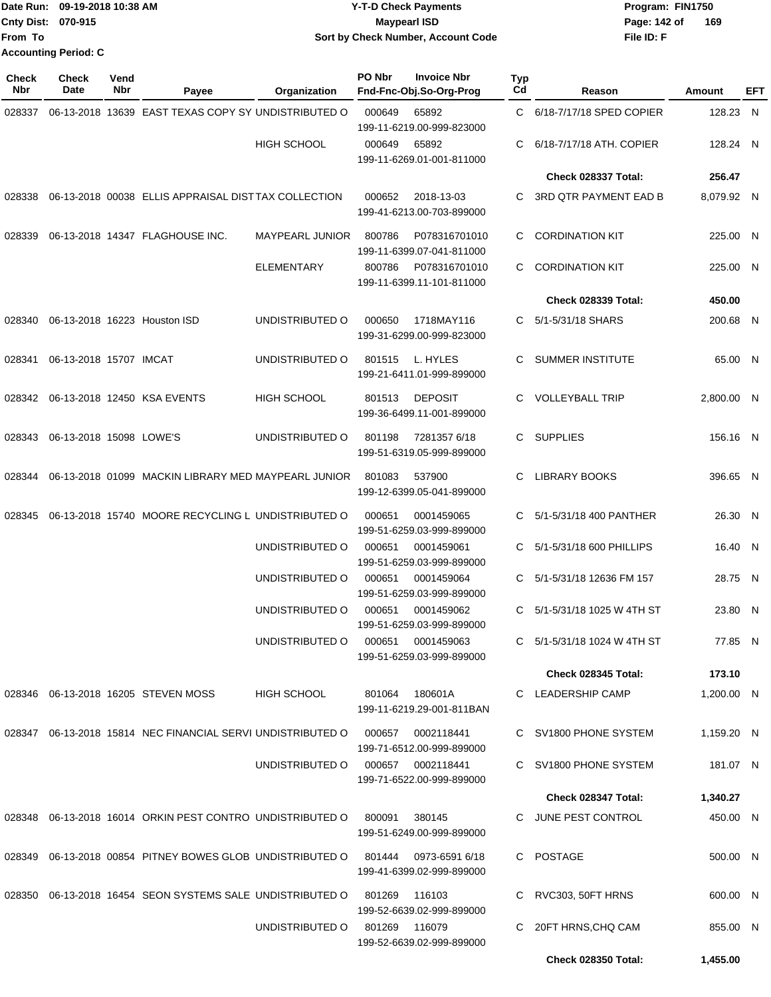|                             | IDate Run: 09-19-2018 10:38 AM | <b>Y-T-D Check Payments</b>        | Program: FIN1750    |  |  |  |  |
|-----------------------------|--------------------------------|------------------------------------|---------------------|--|--|--|--|
| <b>Cnty Dist: 070-915</b>   |                                | Maypearl ISD                       | 169<br>Page: 142 of |  |  |  |  |
| lFrom To                    |                                | Sort by Check Number, Account Code | File ID: F          |  |  |  |  |
| <b>Accounting Period: C</b> |                                |                                    |                     |  |  |  |  |

| <b>Check</b><br><b>Nbr</b> | <b>Check</b><br>Date    | Vend<br>Nbr | Payee                                                       | Organization           | PO Nbr                                  | <b>Invoice Nbr</b><br>Fnd-Fnc-Obj.So-Org-Prog  | Typ<br>Cd                | Reason                       | Amount     | EFT |
|----------------------------|-------------------------|-------------|-------------------------------------------------------------|------------------------|-----------------------------------------|------------------------------------------------|--------------------------|------------------------------|------------|-----|
| 028337                     |                         |             | 06-13-2018 13639 EAST TEXAS COPY SY UNDISTRIBUTED O         |                        | 000649                                  | 65892<br>199-11-6219.00-999-823000             | C                        | 6/18-7/17/18 SPED COPIER     | 128.23 N   |     |
|                            |                         |             |                                                             | <b>HIGH SCHOOL</b>     | 000649                                  | 65892<br>199-11-6269.01-001-811000             | С                        | 6/18-7/17/18 ATH, COPIER     | 128.24 N   |     |
|                            |                         |             |                                                             |                        |                                         |                                                |                          | Check 028337 Total:          | 256.47     |     |
| 028338                     |                         |             | 06-13-2018 00038 ELLIS APPRAISAL DIST TAX COLLECTION        |                        | 000652                                  | 2018-13-03<br>199-41-6213.00-703-899000        | C                        | <b>3RD QTR PAYMENT EAD B</b> | 8,079.92 N |     |
| 028339                     |                         |             | 06-13-2018 14347 FLAGHOUSE INC.                             | <b>MAYPEARL JUNIOR</b> | 800786                                  | P078316701010<br>199-11-6399.07-041-811000     | C.                       | <b>CORDINATION KIT</b>       | 225.00 N   |     |
|                            |                         |             |                                                             | <b>ELEMENTARY</b>      | 800786                                  | P078316701010<br>199-11-6399.11-101-811000     | C                        | <b>CORDINATION KIT</b>       | 225.00 N   |     |
|                            |                         |             |                                                             |                        |                                         |                                                |                          | Check 028339 Total:          | 450.00     |     |
| 028340                     |                         |             | 06-13-2018 16223 Houston ISD                                | UNDISTRIBUTED O        | 000650                                  | 1718MAY116<br>199-31-6299.00-999-823000        | C.                       | 5/1-5/31/18 SHARS            | 200.68 N   |     |
| 028341                     | 06-13-2018 15707 IMCAT  |             |                                                             | UNDISTRIBUTED O        | 801515                                  | L. HYLES<br>199-21-6411.01-999-899000          | С                        | <b>SUMMER INSTITUTE</b>      | 65.00 N    |     |
| 028342                     |                         |             | 06-13-2018 12450 KSA EVENTS                                 | <b>HIGH SCHOOL</b>     | 801513                                  | <b>DEPOSIT</b><br>199-36-6499.11-001-899000    | C                        | <b>VOLLEYBALL TRIP</b>       | 2.800.00 N |     |
| 028343                     | 06-13-2018 15098 LOWE'S |             |                                                             | UNDISTRIBUTED O        | 801198                                  | 72813576/18<br>199-51-6319.05-999-899000       | C.                       | <b>SUPPLIES</b>              | 156.16 N   |     |
| 028344                     |                         |             | 06-13-2018 01099 MACKIN LIBRARY MED MAYPEARL JUNIOR         |                        | 801083                                  | 537900<br>199-12-6399.05-041-899000            | С                        | <b>LIBRARY BOOKS</b>         | 396.65 N   |     |
| 028345                     |                         |             | 06-13-2018 15740 MOORE RECYCLING L UNDISTRIBUTED O          |                        | 000651                                  | 0001459065<br>199-51-6259.03-999-899000        | С                        | 5/1-5/31/18 400 PANTHER      | 26.30 N    |     |
|                            |                         |             | UNDISTRIBUTED O                                             | 000651                 | 0001459061<br>199-51-6259.03-999-899000 | C.                                             | 5/1-5/31/18 600 PHILLIPS | 16.40 N                      |            |     |
|                            |                         |             |                                                             | UNDISTRIBUTED O        | 000651                                  | 0001459064<br>199-51-6259.03-999-899000        | С                        | 5/1-5/31/18 12636 FM 157     | 28.75 N    |     |
|                            |                         |             |                                                             | UNDISTRIBUTED O        | 000651                                  | 0001459062<br>199-51-6259.03-999-899000        | С                        | 5/1-5/31/18 1025 W 4TH ST    | 23.80 N    |     |
|                            |                         |             |                                                             | UNDISTRIBUTED O        | 000651                                  | 0001459063<br>199-51-6259.03-999-899000        |                          | C 5/1-5/31/18 1024 W 4TH ST  | 77.85 N    |     |
|                            |                         |             |                                                             |                        |                                         |                                                |                          | Check 028345 Total:          | 173.10     |     |
|                            |                         |             | 028346  06-13-2018  16205  STEVEN MOSS                      | <b>HIGH SCHOOL</b>     | 801064                                  | 180601A<br>199-11-6219.29-001-811BAN           |                          | C LEADERSHIP CAMP            | 1,200.00 N |     |
|                            |                         |             | 028347 06-13-2018 15814 NEC FINANCIAL SERVI UNDISTRIBUTED O |                        | 000657                                  | 0002118441<br>199-71-6512.00-999-899000        |                          | C SV1800 PHONE SYSTEM        | 1,159.20 N |     |
|                            |                         |             |                                                             | UNDISTRIBUTED O        |                                         | 000657 0002118441<br>199-71-6522.00-999-899000 |                          | C SV1800 PHONE SYSTEM        | 181.07 N   |     |
|                            |                         |             |                                                             |                        |                                         |                                                |                          | Check 028347 Total:          | 1,340.27   |     |
|                            |                         |             | 028348 06-13-2018 16014 ORKIN PEST CONTRO UNDISTRIBUTED O   |                        | 800091                                  | 380145<br>199-51-6249.00-999-899000            |                          | C JUNE PEST CONTROL          | 450.00 N   |     |
| 028349                     |                         |             | 06-13-2018 00854 PITNEY BOWES GLOB UNDISTRIBUTED O          |                        | 801444                                  | 0973-6591 6/18<br>199-41-6399.02-999-899000    |                          | C POSTAGE                    | 500.00 N   |     |
|                            |                         |             | 028350 06-13-2018 16454 SEON SYSTEMS SALE UNDISTRIBUTED O   |                        | 801269                                  | 116103<br>199-52-6639.02-999-899000            | C.                       | RVC303, 50FT HRNS            | 600.00 N   |     |
|                            |                         |             |                                                             | UNDISTRIBUTED O        |                                         | 801269 116079<br>199-52-6639.02-999-899000     | C.                       | 20FT HRNS, CHQ CAM           | 855.00 N   |     |
|                            |                         |             |                                                             |                        |                                         |                                                |                          | <b>Check 028350 Total:</b>   | 1,455.00   |     |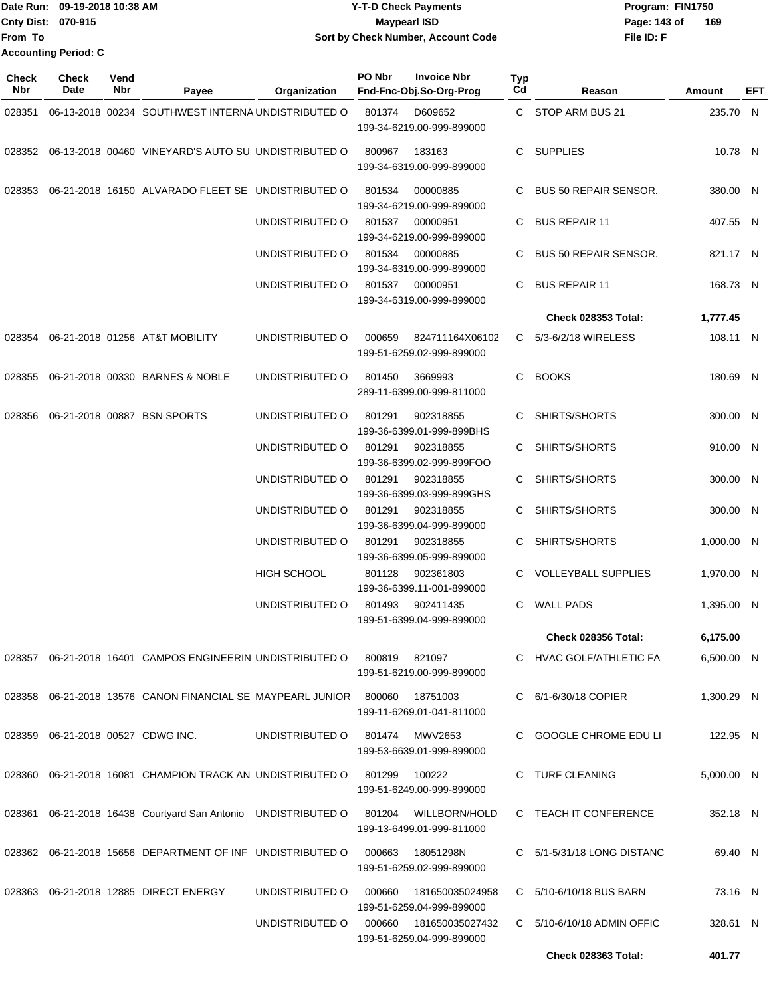|                           | Date Run: 09-19-2018 10:38 AM | <b>Y-T-D Check Payments</b>        | Program: FIN1750    |
|---------------------------|-------------------------------|------------------------------------|---------------------|
| <b>Cnty Dist: 070-915</b> |                               | Maypearl ISD                       | 169<br>Page: 143 of |
| lFrom To                  |                               | Sort by Check Number, Account Code | File ID: F          |
|                           | <b>Accounting Period: C</b>   |                                    |                     |

| <b>Check</b><br>Nbr | Check<br>Date | Vend<br>Nbr | Payee                                                                 | Organization       | PO Nbr | <b>Invoice Nbr</b><br>Fnd-Fnc-Obj.So-Org-Prog                             | Typ<br>Cd | Reason                       | Amount     | EFT |
|---------------------|---------------|-------------|-----------------------------------------------------------------------|--------------------|--------|---------------------------------------------------------------------------|-----------|------------------------------|------------|-----|
| 028351              |               |             | 06-13-2018 00234 SOUTHWEST INTERNA UNDISTRIBUTED O                    |                    | 801374 | D609652<br>199-34-6219.00-999-899000                                      |           | C STOP ARM BUS 21            | 235.70 N   |     |
|                     |               |             | 028352 06-13-2018 00460 VINEYARD'S AUTO SU UNDISTRIBUTED O            |                    | 800967 | 183163<br>199-34-6319.00-999-899000                                       |           | C SUPPLIES                   | 10.78 N    |     |
| 028353              |               |             | 06-21-2018 16150 ALVARADO FLEET SE UNDISTRIBUTED O                    |                    | 801534 | 00000885<br>199-34-6219.00-999-899000                                     |           | C BUS 50 REPAIR SENSOR.      | 380.00 N   |     |
|                     |               |             |                                                                       | UNDISTRIBUTED O    | 801537 | 00000951<br>199-34-6219.00-999-899000                                     |           | C BUS REPAIR 11              | 407.55 N   |     |
|                     |               |             |                                                                       | UNDISTRIBUTED O    | 801534 | 00000885<br>199-34-6319.00-999-899000                                     | C.        | <b>BUS 50 REPAIR SENSOR.</b> | 821.17 N   |     |
|                     |               |             |                                                                       | UNDISTRIBUTED O    | 801537 | 00000951<br>199-34-6319.00-999-899000                                     | C.        | <b>BUS REPAIR 11</b>         | 168.73 N   |     |
|                     |               |             |                                                                       |                    |        |                                                                           |           | Check 028353 Total:          | 1,777.45   |     |
| 028354              |               |             | 06-21-2018 01256 AT&T MOBILITY                                        | UNDISTRIBUTED O    | 000659 | 824711164X06102<br>199-51-6259.02-999-899000                              |           | C 5/3-6/2/18 WIRELESS        | 108.11 N   |     |
| 028355              |               |             | 06-21-2018 00330 BARNES & NOBLE                                       | UNDISTRIBUTED O    | 801450 | 3669993<br>289-11-6399.00-999-811000                                      |           | C BOOKS                      | 180.69 N   |     |
| 028356              |               |             | 06-21-2018 00887 BSN SPORTS                                           | UNDISTRIBUTED O    | 801291 | 902318855<br>199-36-6399.01-999-899BHS                                    | C         | SHIRTS/SHORTS                | 300.00 N   |     |
|                     |               |             |                                                                       | UNDISTRIBUTED O    | 801291 | 902318855<br>199-36-6399.02-999-899FOO                                    | C.        | SHIRTS/SHORTS                | 910.00 N   |     |
|                     |               |             |                                                                       | UNDISTRIBUTED O    | 801291 | 902318855<br>199-36-6399.03-999-899GHS                                    |           | C SHIRTS/SHORTS              | 300.00 N   |     |
|                     |               |             |                                                                       | UNDISTRIBUTED O    | 801291 | 902318855<br>199-36-6399.04-999-899000                                    | C.        | SHIRTS/SHORTS                | 300.00 N   |     |
|                     |               |             |                                                                       | UNDISTRIBUTED O    | 801291 | 902318855<br>199-36-6399.05-999-899000                                    | C.        | SHIRTS/SHORTS                | 1,000.00 N |     |
|                     |               |             |                                                                       | <b>HIGH SCHOOL</b> | 801128 | 902361803<br>199-36-6399.11-001-899000                                    |           | C VOLLEYBALL SUPPLIES        | 1,970.00 N |     |
|                     |               |             |                                                                       | UNDISTRIBUTED O    | 801493 | 902411435<br>199-51-6399.04-999-899000                                    | C.        | <b>WALL PADS</b>             | 1,395.00 N |     |
|                     |               |             |                                                                       |                    |        |                                                                           |           | <b>Check 028356 Total:</b>   | 6,175.00   |     |
|                     |               |             | 028357 06-21-2018 16401 CAMPOS ENGINEERIN UNDISTRIBUTED O             |                    | 800819 | 821097<br>199-51-6219.00-999-899000                                       |           | C HVAC GOLF/ATHLETIC FA      | 6,500.00 N |     |
|                     |               |             | 028358  06-21-2018  13576  CANON FINANCIAL SE MAYPEARL JUNIOR  800060 |                    |        | 18751003<br>199-11-6269.01-041-811000                                     |           | C 6/1-6/30/18 COPIER         | 1,300.29 N |     |
|                     |               |             | 028359 06-21-2018 00527 CDWG INC.                                     | UNDISTRIBUTED O    |        | 801474 MWV2653<br>199-53-6639.01-999-899000                               |           | C GOOGLE CHROME EDU LI       | 122.95 N   |     |
|                     |               |             | 028360 06-21-2018 16081 CHAMPION TRACK AN UNDISTRIBUTED O             |                    | 801299 | 100222<br>199-51-6249.00-999-899000                                       |           | C TURF CLEANING              | 5,000.00 N |     |
|                     |               |             | 028361 06-21-2018 16438 Courtyard San Antonio UNDISTRIBUTED O         |                    | 801204 | WILLBORN/HOLD<br>199-13-6499.01-999-811000                                |           | C TEACH IT CONFERENCE        | 352.18 N   |     |
|                     |               |             | 028362 06-21-2018 15656 DEPARTMENT OF INF UNDISTRIBUTED O             |                    | 000663 | 18051298N<br>199-51-6259.02-999-899000                                    |           | C 5/1-5/31/18 LONG DISTANC   | 69.40 N    |     |
|                     |               |             | 028363  06-21-2018  12885  DIRECT ENERGY                              | UNDISTRIBUTED O    | 000660 | 181650035024958                                                           |           | C 5/10-6/10/18 BUS BARN      | 73.16 N    |     |
|                     |               |             |                                                                       | UNDISTRIBUTED O    | 000660 | 199-51-6259.04-999-899000<br>181650035027432<br>199-51-6259.04-999-899000 |           | $C$ 5/10-6/10/18 ADMIN OFFIC | 328.61 N   |     |
|                     |               |             |                                                                       |                    |        |                                                                           |           | Check 028363 Total:          | 401.77     |     |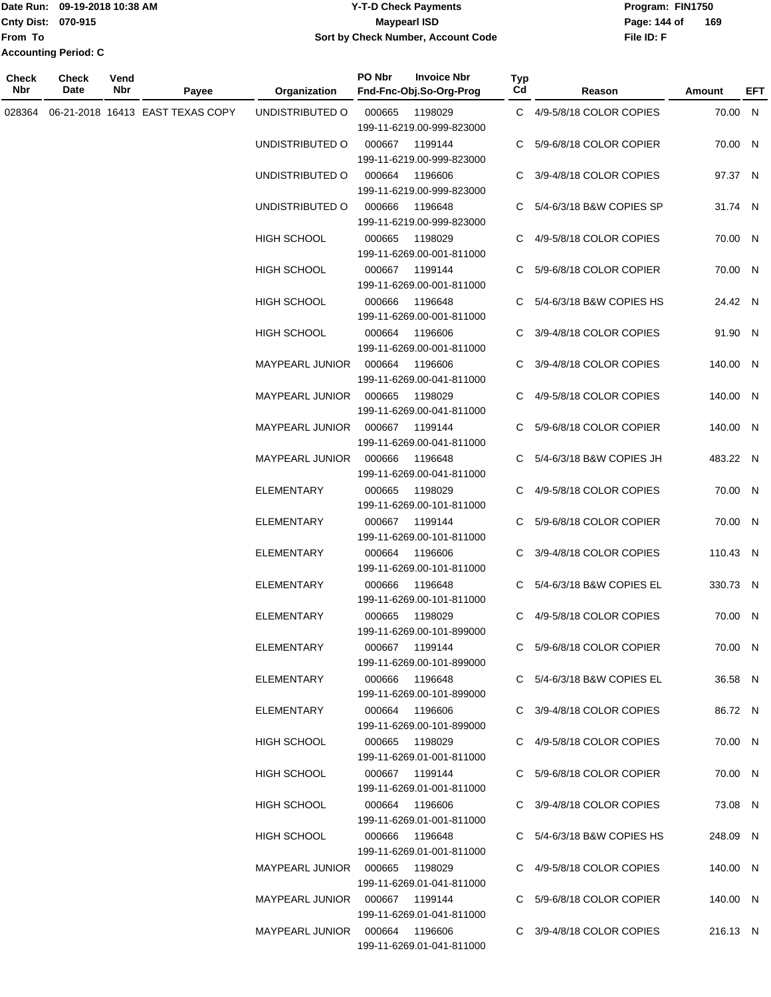### Date Run: 09-19-2018 10:38 AM **CONTEX 18 AM CONTEX 18 AM CONTEX 17-T-D** Check Payments **CONTEX 18 AM CONTEX 18 AM CONTEX 18 AM CONTEX 18 AM CONTEX 18 AM CONTEX 18 AM CONTEX 18 AM CONTEX 18 AM CONTEX 19 AM CONTEX 19 AM CONT Cnty Dist:** 070-915 **Page:** 144 of **09-19-2018 10:38 AM Y-T-D Check Payments 070-915 Maypearl ISD Sort by Check Number, Account Code**

| Check<br>Nbr | <b>Check</b><br>Date | Vend<br>Nbr | Payee                            | <b>Organization</b>              | PO Nbr<br>Fnd-Fnc-Obj.So-Org-Prog              | <b>Invoice Nbr</b><br>Typ<br>Cd | Reason                     | Amount   | EFT |
|--------------|----------------------|-------------|----------------------------------|----------------------------------|------------------------------------------------|---------------------------------|----------------------------|----------|-----|
| 028364       |                      |             | 06-21-2018 16413 EAST TEXAS COPY | UNDISTRIBUTED O                  | 000665<br>199-11-6219.00-999-823000            | 1198029                         | C 4/9-5/8/18 COLOR COPIES  | 70.00 N  |     |
|              |                      |             |                                  | UNDISTRIBUTED O                  | 000667<br>199-11-6219.00-999-823000            | 1199144<br>C.                   | 5/9-6/8/18 COLOR COPIER    | 70.00 N  |     |
|              |                      |             |                                  | UNDISTRIBUTED O                  | 000664<br>199-11-6219.00-999-823000            | 1196606<br>C.                   | 3/9-4/8/18 COLOR COPIES    | 97.37 N  |     |
|              |                      |             |                                  | UNDISTRIBUTED O                  | 000666<br>199-11-6219.00-999-823000            | 1196648                         | C 5/4-6/3/18 B&W COPIES SP | 31.74 N  |     |
|              |                      |             |                                  | <b>HIGH SCHOOL</b>               | 000665<br>199-11-6269.00-001-811000            | 1198029                         | C 4/9-5/8/18 COLOR COPIES  | 70.00 N  |     |
|              |                      |             |                                  | <b>HIGH SCHOOL</b>               | 000667<br>199-11-6269.00-001-811000            | 1199144                         | C 5/9-6/8/18 COLOR COPIER  | 70.00 N  |     |
|              |                      |             |                                  | <b>HIGH SCHOOL</b>               | 000666<br>199-11-6269.00-001-811000            | 1196648                         | C 5/4-6/3/18 B&W COPIES HS | 24.42 N  |     |
|              |                      |             |                                  | <b>HIGH SCHOOL</b>               | 000664<br>199-11-6269.00-001-811000            | 1196606                         | C 3/9-4/8/18 COLOR COPIES  | 91.90 N  |     |
|              |                      |             |                                  | MAYPEARL JUNIOR                  | 000664<br>199-11-6269.00-041-811000            | 1196606                         | C 3/9-4/8/18 COLOR COPIES  | 140.00 N |     |
|              |                      |             |                                  | MAYPEARL JUNIOR                  | 000665<br>199-11-6269.00-041-811000            | 1198029                         | C 4/9-5/8/18 COLOR COPIES  | 140.00 N |     |
|              |                      |             |                                  | <b>MAYPEARL JUNIOR</b>           | 000667<br>1199144<br>199-11-6269.00-041-811000 |                                 | C 5/9-6/8/18 COLOR COPIER  | 140.00 N |     |
|              |                      |             |                                  | <b>MAYPEARL JUNIOR</b>           | 000666<br>199-11-6269.00-041-811000            | 1196648                         | C 5/4-6/3/18 B&W COPIES JH | 483.22 N |     |
|              |                      |             |                                  | ELEMENTARY                       | 000665<br>199-11-6269.00-101-811000            | 1198029                         | C 4/9-5/8/18 COLOR COPIES  | 70.00 N  |     |
|              |                      |             |                                  | <b>ELEMENTARY</b>                | 000667<br>199-11-6269.00-101-811000            | 1199144                         | C 5/9-6/8/18 COLOR COPIER  | 70.00 N  |     |
|              |                      |             |                                  | <b>ELEMENTARY</b>                | 000664<br>199-11-6269.00-101-811000            | 1196606                         | C 3/9-4/8/18 COLOR COPIES  | 110.43 N |     |
|              |                      |             |                                  | <b>ELEMENTARY</b>                | 000666<br>199-11-6269.00-101-811000            | 1196648                         | C 5/4-6/3/18 B&W COPIES EL | 330.73 N |     |
|              |                      |             |                                  | ELEMENTARY                       | 000665<br>199-11-6269.00-101-899000            | 1198029                         | C 4/9-5/8/18 COLOR COPIES  | 70.00 N  |     |
|              |                      |             |                                  | ELEMENTARY                       | 000667 1199144<br>199-11-6269.00-101-899000    |                                 | C 5/9-6/8/18 COLOR COPIER  | 70.00 N  |     |
|              |                      |             |                                  | ELEMENTARY                       | 000666 1196648<br>199-11-6269.00-101-899000    |                                 | C 5/4-6/3/18 B&W COPIES EL | 36.58 N  |     |
|              |                      |             |                                  | ELEMENTARY                       | 000664 1196606<br>199-11-6269.00-101-899000    |                                 | C 3/9-4/8/18 COLOR COPIES  | 86.72 N  |     |
|              |                      |             |                                  | HIGH SCHOOL                      | 000665 1198029<br>199-11-6269.01-001-811000    |                                 | C 4/9-5/8/18 COLOR COPIES  | 70.00 N  |     |
|              |                      |             |                                  | HIGH SCHOOL                      | 000667 1199144<br>199-11-6269.01-001-811000    |                                 | C 5/9-6/8/18 COLOR COPIER  | 70.00 N  |     |
|              |                      |             |                                  | HIGH SCHOOL                      | 000664 1196606<br>199-11-6269.01-001-811000    |                                 | C 3/9-4/8/18 COLOR COPIES  | 73.08 N  |     |
|              |                      |             |                                  | HIGH SCHOOL                      | 000666 1196648<br>199-11-6269.01-001-811000    |                                 | C 5/4-6/3/18 B&W COPIES HS | 248.09 N |     |
|              |                      |             |                                  | MAYPEARL JUNIOR  000665  1198029 | 199-11-6269.01-041-811000                      |                                 | C 4/9-5/8/18 COLOR COPIES  | 140.00 N |     |
|              |                      |             |                                  |                                  | 199-11-6269.01-041-811000                      |                                 | C 5/9-6/8/18 COLOR COPIER  | 140.00 N |     |
|              |                      |             |                                  | MAYPEARL JUNIOR  000664  1196606 | 199-11-6269.01-041-811000                      |                                 | C 3/9-4/8/18 COLOR COPIES  | 216.13 N |     |
|              |                      |             |                                  |                                  |                                                |                                 |                            |          |     |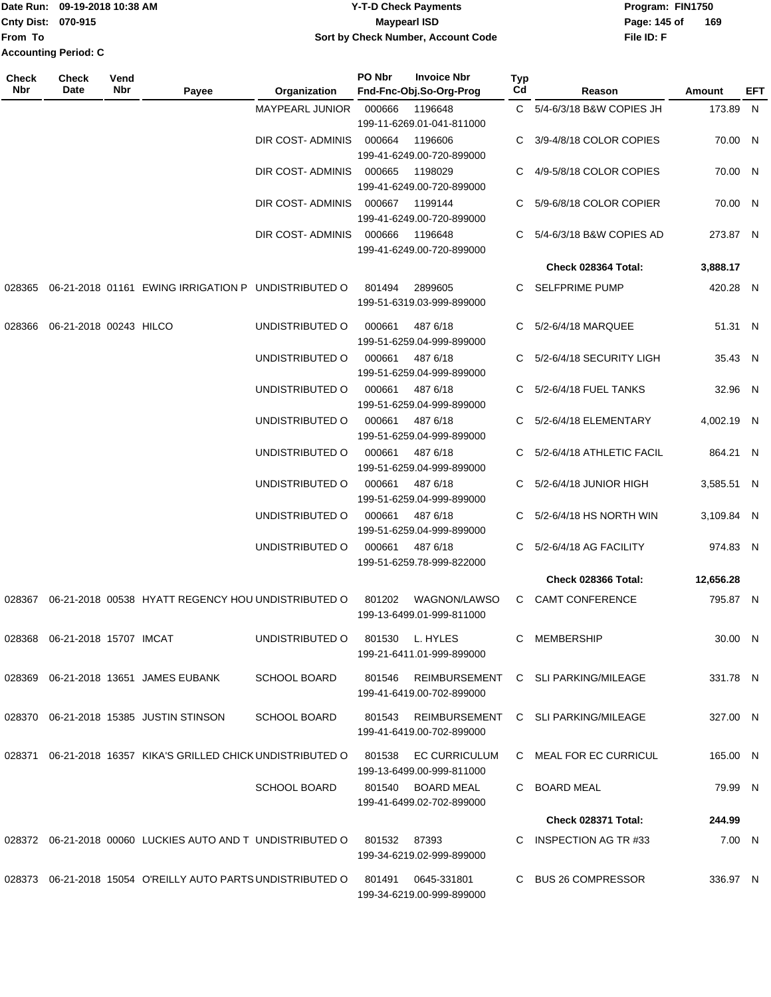**From To Accounting Period: C**

## Date Run: 09-19-2018 10:38 AM **CONTEX 18 AM CONTEX 18 AM CONTEX 17-T-D** Check Payments **CONTEX 18 AM CONTEX 18 AM CONTEX 18 AM CONTEX 18 AM CONTEX 18 AM CONTEX 18 AM CONTEX 18 AM CONTEX 18 AM CONTEX 19 AM CONTEX 19 AM CONT Cnty Dist:** 070-915 **Page:** 145 of **09-19-2018 10:38 AM Y-T-D Check Payments 070-915 Maypearl ISD Sort by Check Number, Account Code**

| Check<br><b>Nbr</b> | Check<br>Date                    | Vend<br>Nbr | Payee                                                                             | Organization        | PO Nbr          | <b>Invoice Nbr</b><br>Fnd-Fnc-Obj.So-Org-Prog  | Typ<br>Cd | Reason                                    | Amount     | EFT |
|---------------------|----------------------------------|-------------|-----------------------------------------------------------------------------------|---------------------|-----------------|------------------------------------------------|-----------|-------------------------------------------|------------|-----|
|                     |                                  |             |                                                                                   | MAYPEARL JUNIOR     | 000666          | 1196648                                        |           | C 5/4-6/3/18 B&W COPIES JH                | 173.89 N   |     |
|                     |                                  |             |                                                                                   |                     |                 | 199-11-6269.01-041-811000                      |           |                                           |            |     |
|                     |                                  |             |                                                                                   | DIR COST- ADMINIS   | 000664          | 1196606<br>199-41-6249.00-720-899000           |           | C 3/9-4/8/18 COLOR COPIES                 | 70.00 N    |     |
|                     |                                  |             |                                                                                   | DIR COST- ADMINIS   | 000665          | 1198029<br>199-41-6249.00-720-899000           | C.        | 4/9-5/8/18 COLOR COPIES                   | 70.00 N    |     |
|                     |                                  |             |                                                                                   | DIR COST- ADMINIS   | 000667          | 1199144<br>199-41-6249.00-720-899000           | C         | 5/9-6/8/18 COLOR COPIER                   | 70.00 N    |     |
|                     |                                  |             |                                                                                   | DIR COST- ADMINIS   | 000666          | 1196648<br>199-41-6249.00-720-899000           |           | C 5/4-6/3/18 B&W COPIES AD                | 273.87 N   |     |
|                     |                                  |             |                                                                                   |                     |                 |                                                |           | Check 028364 Total:                       | 3,888.17   |     |
| 028365              |                                  |             | 06-21-2018 01161 EWING IRRIGATION P UNDISTRIBUTED O                               |                     | 801494          | 2899605<br>199-51-6319.03-999-899000           |           | C SELFPRIME PUMP                          | 420.28 N   |     |
| 028366              | 06-21-2018 00243 HILCO           |             |                                                                                   | UNDISTRIBUTED O     | 000661          | 487 6/18<br>199-51-6259.04-999-899000          |           | C 5/2-6/4/18 MARQUEE                      | 51.31 N    |     |
|                     |                                  |             |                                                                                   | UNDISTRIBUTED O     | 000661          | 487 6/18<br>199-51-6259.04-999-899000          |           | C 5/2-6/4/18 SECURITY LIGH                | 35.43 N    |     |
|                     |                                  |             |                                                                                   | UNDISTRIBUTED O     | 000661          | 487 6/18<br>199-51-6259.04-999-899000          |           | C 5/2-6/4/18 FUEL TANKS                   | 32.96 N    |     |
|                     |                                  |             |                                                                                   | UNDISTRIBUTED O     | 000661          | 487 6/18<br>199-51-6259.04-999-899000          | C.        | 5/2-6/4/18 ELEMENTARY                     | 4,002.19 N |     |
|                     |                                  |             |                                                                                   | UNDISTRIBUTED O     | 000661          | 487 6/18<br>199-51-6259.04-999-899000          |           | 5/2-6/4/18 ATHLETIC FACIL                 | 864.21 N   |     |
|                     |                                  |             |                                                                                   | UNDISTRIBUTED O     | 000661          | 487 6/18<br>199-51-6259.04-999-899000          |           | C 5/2-6/4/18 JUNIOR HIGH                  | 3,585.51 N |     |
|                     |                                  |             |                                                                                   | UNDISTRIBUTED O     | 000661          | 487 6/18<br>199-51-6259.04-999-899000          |           | C $5/2 - 6/4/18$ HS NORTH WIN             | 3,109.84 N |     |
|                     |                                  |             |                                                                                   | UNDISTRIBUTED O     | 000661          | 487 6/18<br>199-51-6259.78-999-822000          |           | C 5/2-6/4/18 AG FACILITY                  | 974.83 N   |     |
|                     |                                  |             |                                                                                   |                     |                 |                                                |           | Check 028366 Total:                       | 12,656.28  |     |
| 028367              |                                  |             | 06-21-2018 00538 HYATT REGENCY HOU UNDISTRIBUTED O                                |                     | 801202          | WAGNON/LAWSO<br>199-13-6499.01-999-811000      |           | C CAMT CONFERENCE                         | 795.87 N   |     |
|                     | 028368  06-21-2018  15707  IMCAT |             |                                                                                   | UNDISTRIBUTED O     | 801530 L. HYLES | 199-21-6411.01-999-899000                      |           | C MEMBERSHIP                              | 30.00 N    |     |
|                     |                                  |             | 028369  06-21-2018  13651  JAMES EUBANK                                           | <b>SCHOOL BOARD</b> | 801546          | 199-41-6419.00-702-899000                      |           | REIMBURSEMENT C SLI PARKING/MILEAGE       | 331.78 N   |     |
|                     |                                  |             | 028370 06-21-2018 15385 JUSTIN STINSON                                            | <b>SCHOOL BOARD</b> |                 | 199-41-6419.00-702-899000                      |           | 801543 REIMBURSEMENT C SLIPARKING/MILEAGE | 327.00 N   |     |
|                     |                                  |             | 028371 06-21-2018 16357 KIKA'S GRILLED CHICK UNDISTRIBUTED O 801538 EC CURRICULUM |                     |                 | 199-13-6499.00-999-811000                      |           | C MEAL FOR EC CURRICUL                    | 165.00 N   |     |
|                     |                                  |             |                                                                                   | <b>SCHOOL BOARD</b> |                 | 801540 BOARD MEAL<br>199-41-6499.02-702-899000 |           | C BOARD MEAL                              | 79.99 N    |     |
|                     |                                  |             |                                                                                   |                     |                 |                                                |           | Check 028371 Total:                       | 244.99     |     |
|                     |                                  |             | 028372  06-21-2018  00060  LUCKIES  AUTO  AND T  UNDISTRIBUTED   0  801532  87393 |                     |                 | 199-34-6219.02-999-899000                      |           | C INSPECTION AG TR #33                    | 7.00 N     |     |
|                     |                                  |             | 028373 06-21-2018 15054 O'REILLY AUTO PARTS UNDISTRIBUTED O 801491 0645-331801    |                     |                 | 199-34-6219.00-999-899000                      |           | C BUS 26 COMPRESSOR                       | 336.97 N   |     |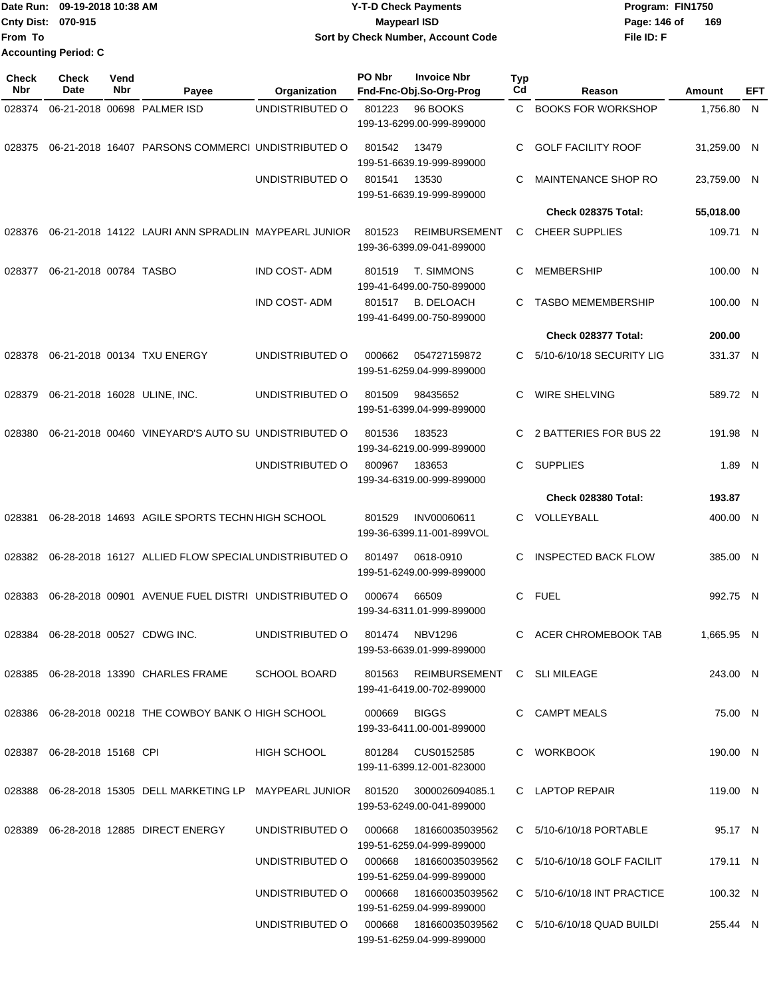| Date Run: 09-19-2018 10:38 AM | <b>Y-T-D Check Payments</b>        | Program: FIN1750    |
|-------------------------------|------------------------------------|---------------------|
| <b>Cnty Dist: 070-915</b>     | <b>Mavpearl ISD</b>                | 169<br>Page: 146 of |
| <b>From To</b>                | Sort by Check Number, Account Code | File ID: F          |
| <b>Accounting Period: C</b>   |                                    |                     |

| <b>Check</b><br>Nbr | <b>Check</b><br>Date        | Vend<br>Nbr | Payee                                                                            | Organization        | PO Nbr | <b>Invoice Nbr</b><br>Fnd-Fnc-Obj.So-Org-Prog                  | <b>Typ</b><br>Cd | Reason                        | Amount      | EFT |
|---------------------|-----------------------------|-------------|----------------------------------------------------------------------------------|---------------------|--------|----------------------------------------------------------------|------------------|-------------------------------|-------------|-----|
| 028374              |                             |             | 06-21-2018 00698 PALMER ISD                                                      | UNDISTRIBUTED O     | 801223 | 96 BOOKS<br>199-13-6299.00-999-899000                          | C.               | <b>BOOKS FOR WORKSHOP</b>     | 1,756.80 N  |     |
| 028375              |                             |             | 06-21-2018 16407 PARSONS COMMERCI UNDISTRIBUTED O                                |                     | 801542 | 13479<br>199-51-6639.19-999-899000                             | C.               | <b>GOLF FACILITY ROOF</b>     | 31,259.00 N |     |
|                     |                             |             |                                                                                  | UNDISTRIBUTED O     | 801541 | 13530<br>199-51-6639.19-999-899000                             | С                | MAINTENANCE SHOP RO           | 23,759.00 N |     |
|                     |                             |             |                                                                                  |                     |        |                                                                |                  | Check 028375 Total:           | 55,018.00   |     |
| 028376              |                             |             | 06-21-2018 14122 LAURI ANN SPRADLIN MAYPEARL JUNIOR                              |                     | 801523 | <b>REIMBURSEMENT</b><br>199-36-6399.09-041-899000              | C                | <b>CHEER SUPPLIES</b>         | 109.71 N    |     |
| 028377              | 06-21-2018 00784 TASBO      |             |                                                                                  | <b>IND COST-ADM</b> | 801519 | T. SIMMONS<br>199-41-6499.00-750-899000                        | C                | <b>MEMBERSHIP</b>             | 100.00 N    |     |
|                     |                             |             |                                                                                  | <b>IND COST-ADM</b> | 801517 | <b>B. DELOACH</b><br>199-41-6499.00-750-899000                 | C                | <b>TASBO MEMEMBERSHIP</b>     | 100.00 N    |     |
|                     |                             |             |                                                                                  |                     |        |                                                                |                  | Check 028377 Total:           | 200.00      |     |
| 028378              |                             |             | 06-21-2018 00134 TXU ENERGY                                                      | UNDISTRIBUTED O     | 000662 | 054727159872<br>199-51-6259.04-999-899000                      | C                | 5/10-6/10/18 SECURITY LIG     | 331.37 N    |     |
| 028379              |                             |             | 06-21-2018 16028 ULINE, INC.                                                     | UNDISTRIBUTED O     | 801509 | 98435652<br>199-51-6399.04-999-899000                          | C                | <b>WIRE SHELVING</b>          | 589.72 N    |     |
| 028380              |                             |             | 06-21-2018 00460 VINEYARD'S AUTO SU UNDISTRIBUTED O                              |                     | 801536 | 183523<br>199-34-6219.00-999-899000                            | C                | 2 BATTERIES FOR BUS 22        | 191.98 N    |     |
|                     |                             |             |                                                                                  | UNDISTRIBUTED O     | 800967 | 183653<br>199-34-6319.00-999-899000                            | C.               | <b>SUPPLIES</b>               | 1.89 N      |     |
|                     |                             |             |                                                                                  |                     |        |                                                                |                  | Check 028380 Total:           | 193.87      |     |
| 028381              |                             |             | 06-28-2018 14693 AGILE SPORTS TECHN HIGH SCHOOL                                  |                     | 801529 | INV00060611<br>199-36-6399.11-001-899VOL                       | C.               | VOLLEYBALL                    | 400.00 N    |     |
|                     |                             |             | 028382 06-28-2018 16127 ALLIED FLOW SPECIAL UNDISTRIBUTED O                      |                     | 801497 | 0618-0910<br>199-51-6249.00-999-899000                         | C                | <b>INSPECTED BACK FLOW</b>    | 385.00 N    |     |
| 028383              |                             |             | 06-28-2018 00901 AVENUE FUEL DISTRI UNDISTRIBUTED O                              |                     | 000674 | 66509<br>199-34-6311.01-999-899000                             | C.               | FUEL                          | 992.75 N    |     |
| 028384              |                             |             | 06-28-2018 00527 CDWG INC.                                                       | UNDISTRIBUTED O     | 801474 | <b>NBV1296</b><br>199-53-6639.01-999-899000                    | C.               | ACER CHROMEBOOK TAB           | 1,665.95 N  |     |
|                     |                             |             | 028385 06-28-2018 13390 CHARLES FRAME                                            | <b>SCHOOL BOARD</b> |        | 801563 REIMBURSEMENT C SLIMILEAGE<br>199-41-6419.00-702-899000 |                  |                               | 243.00 N    |     |
|                     |                             |             | 028386 06-28-2018 00218 THE COWBOY BANK O HIGH SCHOOL                            |                     | 000669 | <b>BIGGS</b><br>199-33-6411.00-001-899000                      |                  | C CAMPT MEALS                 | 75.00 N     |     |
|                     | 028387 06-28-2018 15168 CPI |             |                                                                                  | HIGH SCHOOL         |        | 801284 CUS0152585<br>199-11-6399.12-001-823000                 |                  | C WORKBOOK                    | 190.00 N    |     |
|                     |                             |             | 028388 06-28-2018 15305 DELL MARKETING LP MAYPEARL JUNIOR 801520 3000026094085.1 |                     |        | 199-53-6249.00-041-899000                                      |                  | C LAPTOP REPAIR               | 119.00 N    |     |
|                     |                             |             | 028389   06-28-2018   12885   DIRECT ENERGY                                      | UNDISTRIBUTED O     | 000668 | 181660035039562<br>199-51-6259.04-999-899000                   |                  | C 5/10-6/10/18 PORTABLE       | 95.17 N     |     |
|                     |                             |             |                                                                                  | UNDISTRIBUTED O     | 000668 | 181660035039562<br>199-51-6259.04-999-899000                   |                  | C 5/10-6/10/18 GOLF FACILIT   | 179.11 N    |     |
|                     |                             |             |                                                                                  | UNDISTRIBUTED O     | 000668 | 181660035039562<br>199-51-6259.04-999-899000                   |                  | $C$ 5/10-6/10/18 INT PRACTICE | 100.32 N    |     |
|                     |                             |             |                                                                                  |                     |        | 199-51-6259.04-999-899000                                      |                  | C 5/10-6/10/18 QUAD BUILDI    | 255.44 N    |     |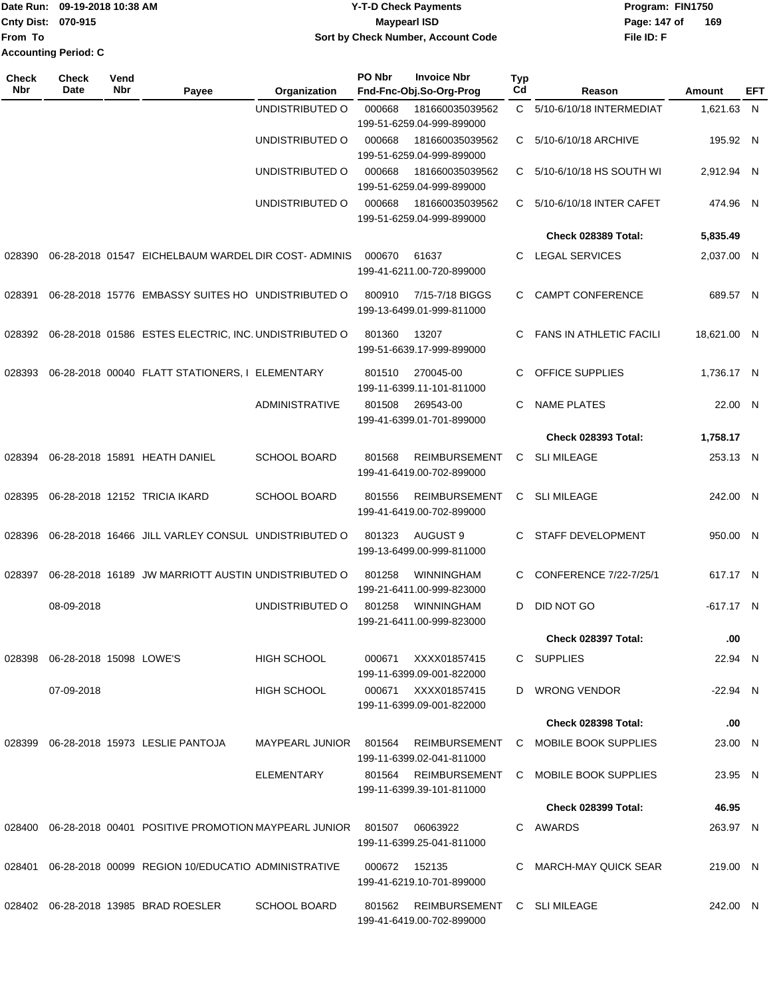|                             | Date Run: 09-19-2018 10:38 AM | <b>Y-T-D Check Payments</b>        | Program: FIN1750    |
|-----------------------------|-------------------------------|------------------------------------|---------------------|
| <b>Cnty Dist: 070-915</b>   |                               | Maypearl ISD                       | 169<br>Page: 147 of |
| <b>IFrom To</b>             |                               | Sort by Check Number, Account Code | File ID: F          |
| <b>Accounting Period: C</b> |                               |                                    |                     |

| <b>Check</b><br>Nbr | <b>Check</b><br>Date    | Vend<br>Nbr | Payee                                                 | Organization          | PO Nbr | <b>Invoice Nbr</b><br>Fnd-Fnc-Obj.So-Org-Prog     | <b>Typ</b><br>Cd | Reason                         | Amount      | EFT |
|---------------------|-------------------------|-------------|-------------------------------------------------------|-----------------------|--------|---------------------------------------------------|------------------|--------------------------------|-------------|-----|
|                     |                         |             |                                                       | UNDISTRIBUTED O       | 000668 | 181660035039562<br>199-51-6259.04-999-899000      | C.               | 5/10-6/10/18 INTERMEDIAT       | 1,621.63 N  |     |
|                     |                         |             |                                                       | UNDISTRIBUTED O       | 000668 | 181660035039562<br>199-51-6259.04-999-899000      | C.               | 5/10-6/10/18 ARCHIVE           | 195.92 N    |     |
|                     |                         |             |                                                       | UNDISTRIBUTED O       | 000668 | 181660035039562<br>199-51-6259.04-999-899000      | C                | 5/10-6/10/18 HS SOUTH WI       | 2,912.94 N  |     |
|                     |                         |             |                                                       | UNDISTRIBUTED O       | 000668 | 181660035039562<br>199-51-6259.04-999-899000      | C.               | 5/10-6/10/18 INTER CAFET       | 474.96 N    |     |
|                     |                         |             |                                                       |                       |        |                                                   |                  | <b>Check 028389 Total:</b>     | 5,835.49    |     |
| 028390              |                         |             | 06-28-2018 01547 EICHELBAUM WARDEL DIR COST- ADMINIS  |                       | 000670 | 61637<br>199-41-6211.00-720-899000                | C.               | <b>LEGAL SERVICES</b>          | 2,037.00 N  |     |
| 028391              |                         |             | 06-28-2018 15776 EMBASSY SUITES HO UNDISTRIBUTED O    |                       | 800910 | 7/15-7/18 BIGGS<br>199-13-6499.01-999-811000      | C.               | <b>CAMPT CONFERENCE</b>        | 689.57 N    |     |
| 028392              |                         |             | 06-28-2018 01586 ESTES ELECTRIC, INC. UNDISTRIBUTED O |                       | 801360 | 13207<br>199-51-6639.17-999-899000                | C.               | <b>FANS IN ATHLETIC FACILI</b> | 18,621.00 N |     |
| 028393              |                         |             | 06-28-2018 00040 FLATT STATIONERS, I ELEMENTARY       |                       | 801510 | 270045-00<br>199-11-6399.11-101-811000            | C.               | OFFICE SUPPLIES                | 1,736.17 N  |     |
|                     |                         |             |                                                       | <b>ADMINISTRATIVE</b> | 801508 | 269543-00<br>199-41-6399.01-701-899000            | C                | <b>NAME PLATES</b>             | 22.00 N     |     |
|                     |                         |             |                                                       |                       |        |                                                   |                  | <b>Check 028393 Total:</b>     | 1,758.17    |     |
| 028394              |                         |             | 06-28-2018 15891 HEATH DANIEL                         | <b>SCHOOL BOARD</b>   | 801568 | <b>REIMBURSEMENT</b><br>199-41-6419.00-702-899000 | C                | <b>SLI MILEAGE</b>             | 253.13 N    |     |
| 028395              |                         |             | 06-28-2018 12152 TRICIA IKARD                         | <b>SCHOOL BOARD</b>   | 801556 | <b>REIMBURSEMENT</b><br>199-41-6419.00-702-899000 | C                | <b>SLI MILEAGE</b>             | 242.00 N    |     |
| 028396              |                         |             | 06-28-2018 16466 JILL VARLEY CONSUL UNDISTRIBUTED O   |                       | 801323 | AUGUST 9<br>199-13-6499.00-999-811000             | C.               | STAFF DEVELOPMENT              | 950.00 N    |     |
| 028397              |                         |             | 06-28-2018 16189 JW MARRIOTT AUSTIN UNDISTRIBUTED O   |                       | 801258 | <b>WINNINGHAM</b><br>199-21-6411.00-999-823000    | C                | CONFERENCE 7/22-7/25/1         | 617.17 N    |     |
|                     | 08-09-2018              |             |                                                       | UNDISTRIBUTED O       | 801258 | <b>WINNINGHAM</b><br>199-21-6411.00-999-823000    | D                | DID NOT GO                     | -617.17 N   |     |
|                     |                         |             |                                                       |                       |        |                                                   |                  | Check 028397 Total:            | .00         |     |
| 028398              | 06-28-2018 15098 LOWE'S |             |                                                       | <b>HIGH SCHOOL</b>    | 000671 | XXXX01857415<br>199-11-6399.09-001-822000         |                  | C SUPPLIES                     | 22.94 N     |     |
|                     | 07-09-2018              |             |                                                       | <b>HIGH SCHOOL</b>    | 000671 | XXXX01857415<br>199-11-6399.09-001-822000         |                  | D WRONG VENDOR                 | -22.94 N    |     |
|                     |                         |             |                                                       |                       |        |                                                   |                  | Check 028398 Total:            | .00         |     |
| 028399              |                         |             | 06-28-2018 15973 LESLIE PANTOJA                       | MAYPEARL JUNIOR       | 801564 | <b>REIMBURSEMENT</b><br>199-11-6399.02-041-811000 |                  | C MOBILE BOOK SUPPLIES         | 23.00 N     |     |
|                     |                         |             |                                                       | <b>ELEMENTARY</b>     | 801564 | REIMBURSEMENT<br>199-11-6399.39-101-811000        |                  | C MOBILE BOOK SUPPLIES         | 23.95 N     |     |
|                     |                         |             |                                                       |                       |        |                                                   |                  | <b>Check 028399 Total:</b>     | 46.95       |     |
| 028400              |                         |             | 06-28-2018 00401 POSITIVE PROMOTION MAYPEARL JUNIOR   |                       | 801507 | 06063922<br>199-11-6399.25-041-811000             |                  | C AWARDS                       | 263.97 N    |     |
| 028401              |                         |             | 06-28-2018 00099 REGION 10/EDUCATIO ADMINISTRATIVE    |                       | 000672 | 152135<br>199-41-6219.10-701-899000               |                  | C MARCH-MAY QUICK SEAR         | 219.00 N    |     |
|                     |                         |             | 028402  06-28-2018  13985  BRAD ROESLER               | <b>SCHOOL BOARD</b>   | 801562 | REIMBURSEMENT<br>199-41-6419.00-702-899000        |                  | C SLIMILEAGE                   | 242.00 N    |     |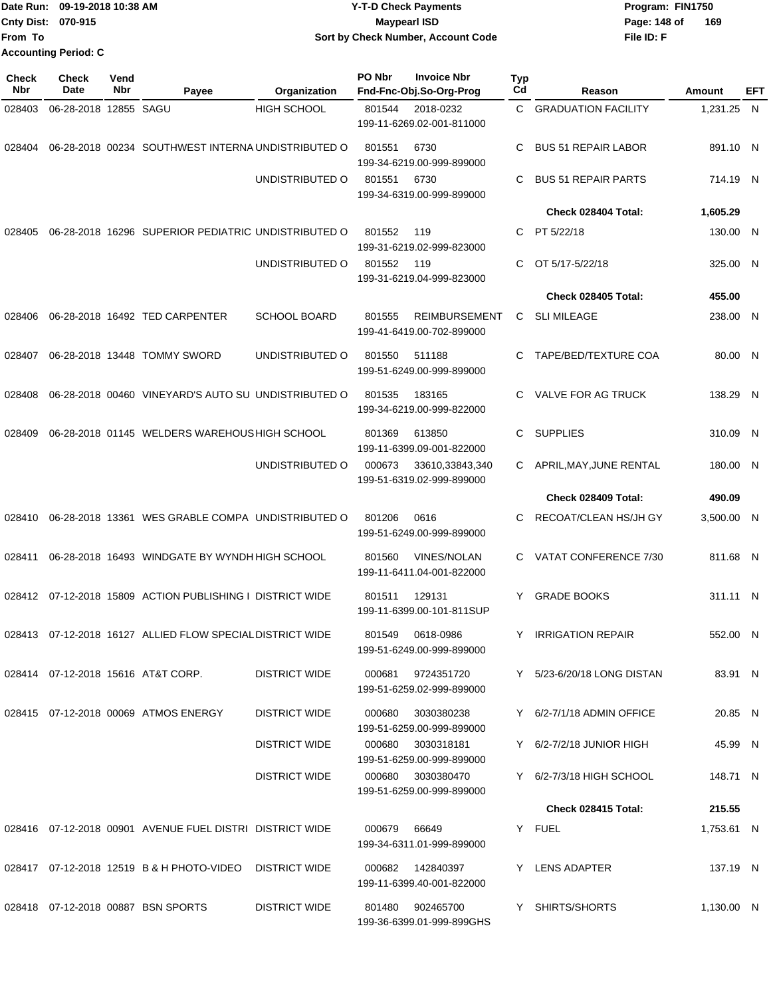|                             | Date Run: 09-19-2018 10:38 AM | Y-T-D Check Payments               | Program: FIN1750    |
|-----------------------------|-------------------------------|------------------------------------|---------------------|
| <b>Cnty Dist: 070-915</b>   |                               | Maypearl ISD                       | 169<br>Page: 148 of |
| <b>From To</b>              |                               | Sort by Check Number, Account Code | File ID: F          |
| <b>Accounting Period: C</b> |                               |                                    |                     |

| <b>Check</b><br>Nbr | Check<br>Date         | Vend<br>Nbr | Payee                                                     | Organization         | PO Nbr | <b>Invoice Nbr</b><br>Fnd-Fnc-Obj.So-Org-Prog     | <b>Typ</b><br>Cd | Reason                          | <b>Amount</b> | EFT |
|---------------------|-----------------------|-------------|-----------------------------------------------------------|----------------------|--------|---------------------------------------------------|------------------|---------------------------------|---------------|-----|
| 028403              | 06-28-2018 12855 SAGU |             |                                                           | <b>HIGH SCHOOL</b>   | 801544 | 2018-0232<br>199-11-6269.02-001-811000            | C.               | <b>GRADUATION FACILITY</b>      | 1,231.25 N    |     |
| 028404              |                       |             | 06-28-2018 00234 SOUTHWEST INTERNA UNDISTRIBUTED O        |                      | 801551 | 6730<br>199-34-6219.00-999-899000                 | C                | <b>BUS 51 REPAIR LABOR</b>      | 891.10 N      |     |
|                     |                       |             |                                                           | UNDISTRIBUTED O      | 801551 | 6730<br>199-34-6319.00-999-899000                 | C                | <b>BUS 51 REPAIR PARTS</b>      | 714.19 N      |     |
|                     |                       |             |                                                           |                      |        |                                                   |                  | Check 028404 Total:             | 1,605.29      |     |
| 028405              |                       |             | 06-28-2018 16296 SUPERIOR PEDIATRIC UNDISTRIBUTED O       |                      | 801552 | 119<br>199-31-6219.02-999-823000                  |                  | C PT 5/22/18                    | 130.00 N      |     |
|                     |                       |             |                                                           | UNDISTRIBUTED O      | 801552 | 119<br>199-31-6219.04-999-823000                  | C                | OT 5/17-5/22/18                 | 325.00 N      |     |
|                     |                       |             |                                                           |                      |        |                                                   |                  | Check 028405 Total:             | 455.00        |     |
| 028406              |                       |             | 06-28-2018 16492 TED CARPENTER                            | <b>SCHOOL BOARD</b>  | 801555 | <b>REIMBURSEMENT</b><br>199-41-6419.00-702-899000 | C.               | <b>SLI MILEAGE</b>              | 238.00 N      |     |
| 028407              |                       |             | 06-28-2018 13448 TOMMY SWORD                              | UNDISTRIBUTED O      | 801550 | 511188<br>199-51-6249.00-999-899000               | C                | TAPE/BED/TEXTURE COA            | 80.00 N       |     |
| 028408              |                       |             | 06-28-2018 00460 VINEYARD'S AUTO SU UNDISTRIBUTED O       |                      | 801535 | 183165<br>199-34-6219.00-999-822000               | C                | VALVE FOR AG TRUCK              | 138.29 N      |     |
| 028409              |                       |             | 06-28-2018 01145 WELDERS WAREHOUS HIGH SCHOOL             |                      | 801369 | 613850<br>199-11-6399.09-001-822000               | C                | <b>SUPPLIES</b>                 | 310.09 N      |     |
|                     |                       |             |                                                           | UNDISTRIBUTED O      | 000673 | 33610,33843,340<br>199-51-6319.02-999-899000      | C.               | APRIL, MAY, JUNE RENTAL         | 180.00 N      |     |
|                     |                       |             |                                                           |                      |        |                                                   |                  | Check 028409 Total:             | 490.09        |     |
| 028410              |                       |             | 06-28-2018 13361 WES GRABLE COMPA UNDISTRIBUTED O         |                      | 801206 | 0616<br>199-51-6249.00-999-899000                 | C                | RECOAT/CLEAN HS/JH GY           | 3,500.00 N    |     |
| 028411              |                       |             | 06-28-2018 16493 WINDGATE BY WYNDH HIGH SCHOOL            |                      | 801560 | <b>VINES/NOLAN</b><br>199-11-6411.04-001-822000   | C.               | VATAT CONFERENCE 7/30           | 811.68 N      |     |
|                     |                       |             | 028412 07-12-2018 15809 ACTION PUBLISHING I DISTRICT WIDE |                      | 801511 | 129131<br>199-11-6399.00-101-811SUP               | Y                | <b>GRADE BOOKS</b>              | 311.11 N      |     |
| 028413              |                       |             | 07-12-2018 16127 ALLIED FLOW SPECIAL DISTRICT WIDE        |                      | 801549 | 0618-0986<br>199-51-6249.00-999-899000            | Y                | <b>IRRIGATION REPAIR</b>        | 552.00 N      |     |
|                     |                       |             | 028414 07-12-2018 15616 AT&T CORP.                        | <b>DISTRICT WIDE</b> |        | 000681 9724351720<br>199-51-6259.02-999-899000    |                  | Y 5/23-6/20/18 LONG DISTAN      | 83.91 N       |     |
|                     |                       |             | 028415 07-12-2018 00069 ATMOS ENERGY                      | <b>DISTRICT WIDE</b> | 000680 | 3030380238<br>199-51-6259.00-999-899000           |                  | $Y = 6/2 - 7/1/18$ ADMIN OFFICE | 20.85 N       |     |
|                     |                       |             |                                                           | <b>DISTRICT WIDE</b> |        | 000680 3030318181<br>199-51-6259.00-999-899000    |                  | Y 6/2-7/2/18 JUNIOR HIGH        | 45.99 N       |     |
|                     |                       |             |                                                           | <b>DISTRICT WIDE</b> |        | 000680 3030380470<br>199-51-6259.00-999-899000    |                  | Y 6/2-7/3/18 HIGH SCHOOL        | 148.71 N      |     |
|                     |                       |             |                                                           |                      |        |                                                   |                  | Check 028415 Total:             | 215.55        |     |
|                     |                       |             | 028416 07-12-2018 00901 AVENUE FUEL DISTRI DISTRICT WIDE  |                      | 000679 | 66649<br>199-34-6311.01-999-899000                |                  | Y FUEL                          | 1,753.61 N    |     |
|                     |                       |             | 028417 07-12-2018 12519 B & H PHOTO-VIDEO                 | <b>DISTRICT WIDE</b> |        | 000682 142840397<br>199-11-6399.40-001-822000     |                  | Y LENS ADAPTER                  | 137.19 N      |     |
|                     |                       |             | 028418 07-12-2018 00887 BSN SPORTS                        | <b>DISTRICT WIDE</b> | 801480 | 902465700<br>199-36-6399.01-999-899GHS            |                  | Y SHIRTS/SHORTS                 | 1,130.00 N    |     |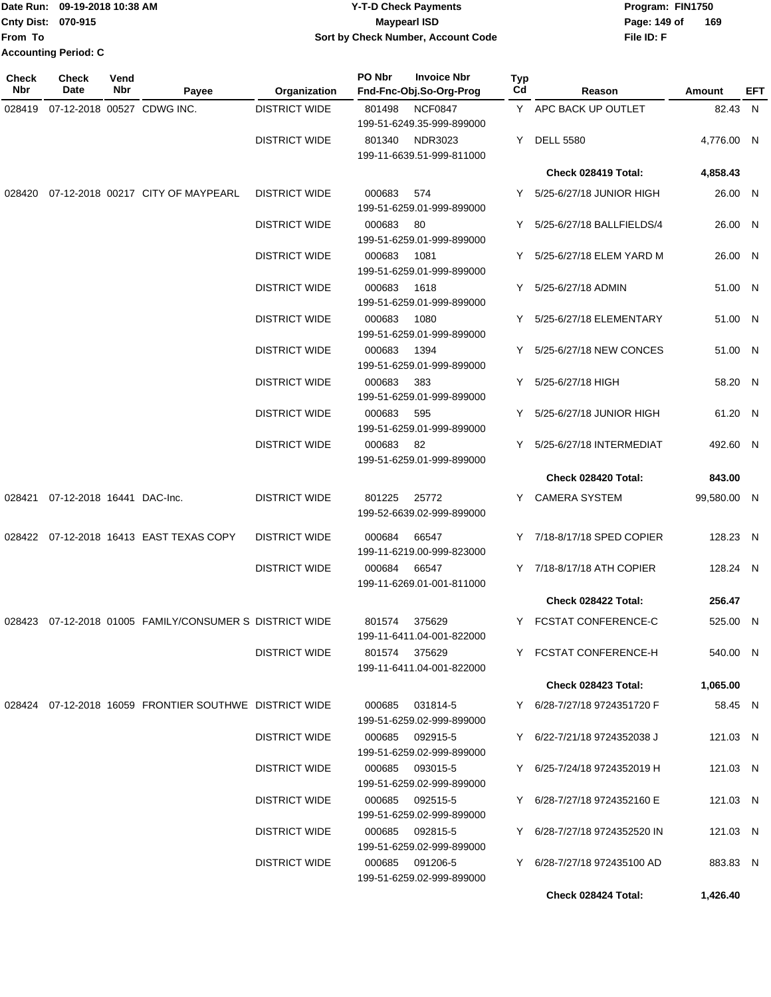|                             | TDate Run: 09-19-2018 10:38 AM | Y-T-D Check Payments                      | Program: FIN1750    |
|-----------------------------|--------------------------------|-------------------------------------------|---------------------|
| Cnty Dist: 070-915          |                                | <b>Maypearl ISD</b>                       | 169<br>Page: 149 of |
| lFrom To                    |                                | <b>Sort by Check Number, Account Code</b> | File ID: F          |
| <b>Accounting Period: C</b> |                                |                                           |                     |

| <b>Check</b><br>Nbr | Check<br>Date             | Vend<br>Nbr | Payee                                                   | Organization         | PO Nbr | <b>Invoice Nbr</b><br>Fnd-Fnc-Obj.So-Org-Prog | Typ<br>Cd | Reason                       | Amount      | EFT |
|---------------------|---------------------------|-------------|---------------------------------------------------------|----------------------|--------|-----------------------------------------------|-----------|------------------------------|-------------|-----|
| 028419              |                           |             | 07-12-2018 00527 CDWG INC.                              | <b>DISTRICT WIDE</b> | 801498 | <b>NCF0847</b><br>199-51-6249.35-999-899000   |           | Y APC BACK UP OUTLET         | 82.43 N     |     |
|                     |                           |             |                                                         | <b>DISTRICT WIDE</b> | 801340 | NDR3023<br>199-11-6639.51-999-811000          | Y         | <b>DELL 5580</b>             | 4,776.00 N  |     |
|                     |                           |             |                                                         |                      |        |                                               |           | Check 028419 Total:          | 4,858.43    |     |
|                     |                           |             | 028420 07-12-2018 00217 CITY OF MAYPEARL                | <b>DISTRICT WIDE</b> | 000683 | 574<br>199-51-6259.01-999-899000              |           | Y 5/25-6/27/18 JUNIOR HIGH   | 26.00 N     |     |
|                     |                           |             |                                                         | <b>DISTRICT WIDE</b> | 000683 | 80<br>199-51-6259.01-999-899000               |           | Y 5/25-6/27/18 BALLFIELDS/4  | 26.00 N     |     |
|                     |                           |             |                                                         | <b>DISTRICT WIDE</b> | 000683 | 1081<br>199-51-6259.01-999-899000             |           | Y 5/25-6/27/18 ELEM YARD M   | 26.00 N     |     |
|                     |                           |             |                                                         | <b>DISTRICT WIDE</b> | 000683 | 1618<br>199-51-6259.01-999-899000             |           | Y 5/25-6/27/18 ADMIN         | 51.00 N     |     |
|                     |                           |             |                                                         | <b>DISTRICT WIDE</b> | 000683 | 1080<br>199-51-6259.01-999-899000             |           | Y 5/25-6/27/18 ELEMENTARY    | 51.00 N     |     |
|                     |                           |             |                                                         | <b>DISTRICT WIDE</b> | 000683 | 1394<br>199-51-6259.01-999-899000             |           | Y 5/25-6/27/18 NEW CONCES    | 51.00 N     |     |
|                     |                           |             |                                                         | <b>DISTRICT WIDE</b> | 000683 | 383<br>199-51-6259.01-999-899000              |           | Y 5/25-6/27/18 HIGH          | 58.20 N     |     |
|                     |                           |             |                                                         | <b>DISTRICT WIDE</b> | 000683 | 595<br>199-51-6259.01-999-899000              |           | Y 5/25-6/27/18 JUNIOR HIGH   | 61.20 N     |     |
|                     |                           |             |                                                         | <b>DISTRICT WIDE</b> | 000683 | 82<br>199-51-6259.01-999-899000               |           | Y 5/25-6/27/18 INTERMEDIAT   | 492.60 N    |     |
|                     |                           |             |                                                         |                      |        |                                               |           | Check 028420 Total:          | 843.00      |     |
| 028421              | 07-12-2018 16441 DAC-Inc. |             |                                                         | <b>DISTRICT WIDE</b> | 801225 | 25772<br>199-52-6639.02-999-899000            |           | Y CAMERA SYSTEM              | 99,580.00 N |     |
|                     |                           |             | 028422 07-12-2018 16413 EAST TEXAS COPY                 | <b>DISTRICT WIDE</b> | 000684 | 66547<br>199-11-6219.00-999-823000            |           | Y 7/18-8/17/18 SPED COPIER   | 128.23 N    |     |
|                     |                           |             |                                                         | <b>DISTRICT WIDE</b> | 000684 | 66547<br>199-11-6269.01-001-811000            |           | Y 7/18-8/17/18 ATH COPIER    | 128.24 N    |     |
|                     |                           |             |                                                         |                      |        |                                               |           | Check 028422 Total:          | 256.47      |     |
|                     |                           |             | 028423 07-12-2018 01005 FAMILY/CONSUMER S DISTRICT WIDE |                      | 801574 | 375629<br>199-11-6411.04-001-822000           |           | Y FCSTAT CONFERENCE-C        | 525.00 N    |     |
|                     |                           |             |                                                         | <b>DISTRICT WIDE</b> |        | 801574 375629<br>199-11-6411.04-001-822000    |           | Y FCSTAT CONFERENCE-H        | 540.00 N    |     |
|                     |                           |             |                                                         |                      |        |                                               |           | Check 028423 Total:          | 1,065.00    |     |
|                     |                           |             | 028424 07-12-2018 16059 FRONTIER SOUTHWE DISTRICT WIDE  |                      | 000685 | 031814-5<br>199-51-6259.02-999-899000         |           | Y 6/28-7/27/18 9724351720 F  | 58.45 N     |     |
|                     |                           |             |                                                         | <b>DISTRICT WIDE</b> |        | 000685 092915-5<br>199-51-6259.02-999-899000  |           | Y 6/22-7/21/18 9724352038 J  | 121.03 N    |     |
|                     |                           |             |                                                         | <b>DISTRICT WIDE</b> | 000685 | 093015-5<br>199-51-6259.02-999-899000         |           | Y 6/25-7/24/18 9724352019 H  | 121.03 N    |     |
|                     |                           |             |                                                         | <b>DISTRICT WIDE</b> | 000685 | 092515-5<br>199-51-6259.02-999-899000         |           | Y 6/28-7/27/18 9724352160 E  | 121.03 N    |     |
|                     |                           |             |                                                         | <b>DISTRICT WIDE</b> | 000685 | 092815-5<br>199-51-6259.02-999-899000         |           | Y 6/28-7/27/18 9724352520 IN | 121.03 N    |     |
|                     |                           |             |                                                         | <b>DISTRICT WIDE</b> | 000685 | 091206-5<br>199-51-6259.02-999-899000         |           | Y 6/28-7/27/18 972435100 AD  | 883.83 N    |     |
|                     |                           |             |                                                         |                      |        |                                               |           | Check 028424 Total:          | 1,426.40    |     |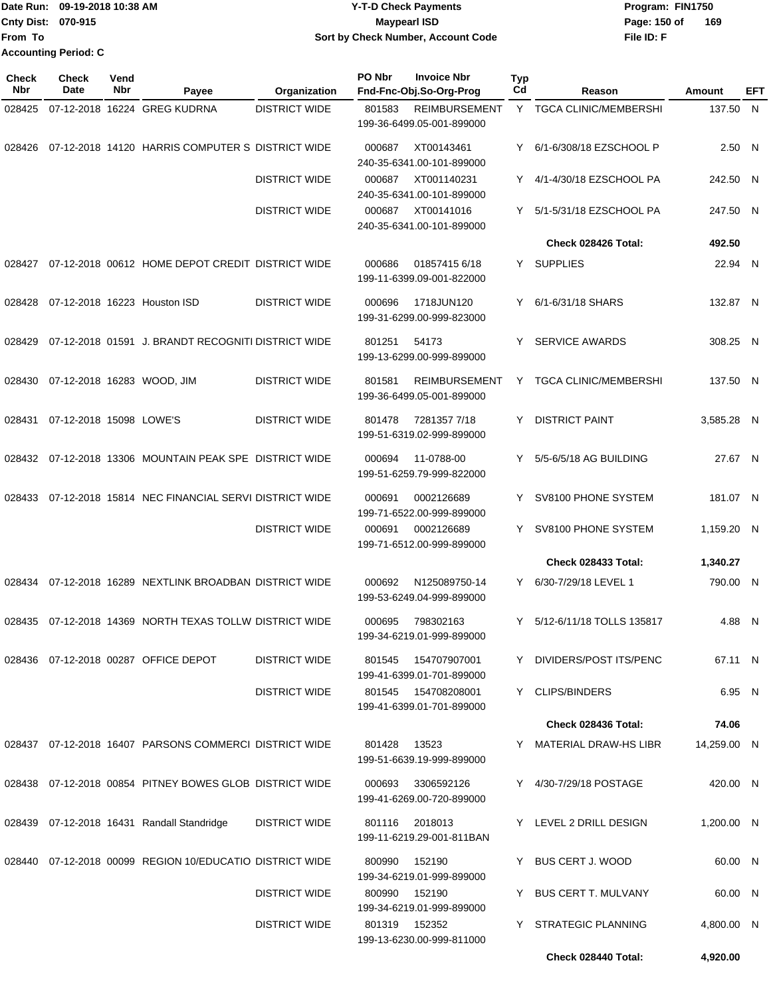Date Run: 09-19-2018 10:38 AM **CONTEX 18 AM CONTEX 18 AM CONTEX 18 AM CONTEX 18 AM CONTEX 19 AM CONTEX 19 AM CONTEX 19 AM CONTEX 19 AM CONTEX 19 AM CONTEX 19 AM CONTEX 19 AM CONTEX 19 AM CONTEX 19 AM CONTEX 19 AM CONTEX 19 Cnty Dist: 070-915 File ID: F From To 09-19-2018 10:38 AM Y-T-D Check Payments 070-915 Maypearl ISD Sort by Check Number, Account Code** Page: 150 of 169 **Accounting Period: C**

| <b>Check</b><br>Nbr | <b>Check</b><br>Date    | Vend<br>Nbr | Payee                                                          | Organization         | PO Nbr | <b>Invoice Nbr</b><br>Fnd-Fnc-Obj.So-Org-Prog     | <b>Typ</b><br>Cd | Reason                       | <b>Amount</b> | <b>EFT</b> |
|---------------------|-------------------------|-------------|----------------------------------------------------------------|----------------------|--------|---------------------------------------------------|------------------|------------------------------|---------------|------------|
| 028425              |                         |             | 07-12-2018 16224 GREG KUDRNA                                   | <b>DISTRICT WIDE</b> | 801583 | <b>REIMBURSEMENT</b><br>199-36-6499.05-001-899000 |                  | Y TGCA CLINIC/MEMBERSHI      | 137.50 N      |            |
| 028426              |                         |             | 07-12-2018 14120 HARRIS COMPUTER S DISTRICT WIDE               |                      | 000687 | XT00143461<br>240-35-6341.00-101-899000           | Y.               | 6/1-6/308/18 EZSCHOOL P      | 2.50 N        |            |
|                     |                         |             |                                                                | <b>DISTRICT WIDE</b> | 000687 | XT001140231<br>240-35-6341.00-101-899000          | Y.               | 4/1-4/30/18 EZSCHOOL PA      | 242.50 N      |            |
|                     |                         |             |                                                                | <b>DISTRICT WIDE</b> | 000687 | XT00141016<br>240-35-6341.00-101-899000           | Y.               | 5/1-5/31/18 EZSCHOOL PA      | 247.50 N      |            |
|                     |                         |             |                                                                |                      |        |                                                   |                  | Check 028426 Total:          | 492.50        |            |
| 028427              |                         |             | 07-12-2018 00612 HOME DEPOT CREDIT DISTRICT WIDE               |                      | 000686 | 01857415 6/18<br>199-11-6399.09-001-822000        |                  | Y SUPPLIES                   | 22.94 N       |            |
| 028428              |                         |             | 07-12-2018 16223 Houston ISD                                   | <b>DISTRICT WIDE</b> | 000696 | 1718JUN120<br>199-31-6299.00-999-823000           | Y.               | 6/1-6/31/18 SHARS            | 132.87 N      |            |
| 028429              |                         |             | 07-12-2018 01591 J. BRANDT RECOGNITI DISTRICT WIDE             |                      | 801251 | 54173<br>199-13-6299.00-999-899000                | Y.               | <b>SERVICE AWARDS</b>        | 308.25 N      |            |
| 028430              |                         |             | 07-12-2018 16283 WOOD, JIM                                     | <b>DISTRICT WIDE</b> | 801581 | <b>REIMBURSEMENT</b><br>199-36-6499.05-001-899000 | Y                | <b>TGCA CLINIC/MEMBERSHI</b> | 137.50 N      |            |
| 028431              | 07-12-2018 15098 LOWE'S |             |                                                                | <b>DISTRICT WIDE</b> | 801478 | 7281357 7/18<br>199-51-6319.02-999-899000         | Y                | <b>DISTRICT PAINT</b>        | 3,585.28 N    |            |
|                     |                         |             | 028432 07-12-2018 13306 MOUNTAIN PEAK SPE DISTRICT WIDE        |                      | 000694 | 11-0788-00<br>199-51-6259.79-999-822000           |                  | Y 5/5-6/5/18 AG BUILDING     | 27.67 N       |            |
| 028433              |                         |             | 07-12-2018 15814 NEC FINANCIAL SERVI DISTRICT WIDE             |                      | 000691 | 0002126689<br>199-71-6522.00-999-899000           | Y                | SV8100 PHONE SYSTEM          | 181.07 N      |            |
|                     |                         |             |                                                                | <b>DISTRICT WIDE</b> | 000691 | 0002126689<br>199-71-6512.00-999-899000           | Y.               | SV8100 PHONE SYSTEM          | 1,159.20 N    |            |
|                     |                         |             |                                                                |                      |        |                                                   |                  | Check 028433 Total:          | 1,340.27      |            |
| 028434              |                         |             | 07-12-2018 16289 NEXTLINK BROADBAN DISTRICT WIDE               |                      | 000692 | N125089750-14<br>199-53-6249.04-999-899000        |                  | Y 6/30-7/29/18 LEVEL 1       | 790.00 N      |            |
|                     |                         |             | 028435 07-12-2018 14369 NORTH TEXAS TOLLW DISTRICT WIDE        |                      | 000695 | 798302163<br>199-34-6219.01-999-899000            |                  | Y 5/12-6/11/18 TOLLS 135817  | 4.88 N        |            |
|                     |                         |             | 028436  07-12-2018  00287  OFFICE DEPOT                        | <b>DISTRICT WIDE</b> | 801545 | 154707907001<br>199-41-6399.01-701-899000         |                  | Y DIVIDERS/POST ITS/PENC     | 67.11 N       |            |
|                     |                         |             |                                                                | <b>DISTRICT WIDE</b> |        | 801545  154708208001<br>199-41-6399.01-701-899000 |                  | Y CLIPS/BINDERS              | 6.95 N        |            |
|                     |                         |             |                                                                |                      |        |                                                   |                  | Check 028436 Total:          | 74.06         |            |
|                     |                         |             | 028437 07-12-2018 16407 PARSONS COMMERCI DISTRICT WIDE         |                      | 801428 | 13523<br>199-51-6639.19-999-899000                |                  | Y MATERIAL DRAW-HS LIBR      | 14,259.00 N   |            |
|                     |                         |             | 028438 07-12-2018 00854 PITNEY BOWES GLOB DISTRICT WIDE        |                      | 000693 | 3306592126<br>199-41-6269.00-720-899000           |                  | Y 4/30-7/29/18 POSTAGE       | 420.00 N      |            |
|                     |                         |             | 028439 07-12-2018 16431 Randall Standridge                     | <b>DISTRICT WIDE</b> | 801116 | 2018013<br>199-11-6219.29-001-811BAN              |                  | Y LEVEL 2 DRILL DESIGN       | 1,200.00 N    |            |
|                     |                         |             | 028440  07-12-2018  00099  REGION  10/EDUCATIO  DISTRICT  WIDE |                      | 800990 | 152190<br>199-34-6219.01-999-899000               |                  | Y BUS CERT J. WOOD           | 60.00 N       |            |
|                     |                         |             |                                                                | <b>DISTRICT WIDE</b> | 800990 | 152190<br>199-34-6219.01-999-899000               |                  | Y BUS CERT T. MULVANY        | 60.00 N       |            |
|                     |                         |             |                                                                | <b>DISTRICT WIDE</b> | 801319 | 152352<br>199-13-6230.00-999-811000               | Y                | <b>STRATEGIC PLANNING</b>    | 4,800.00 N    |            |
|                     |                         |             |                                                                |                      |        |                                                   |                  | Check 028440 Total:          | 4,920.00      |            |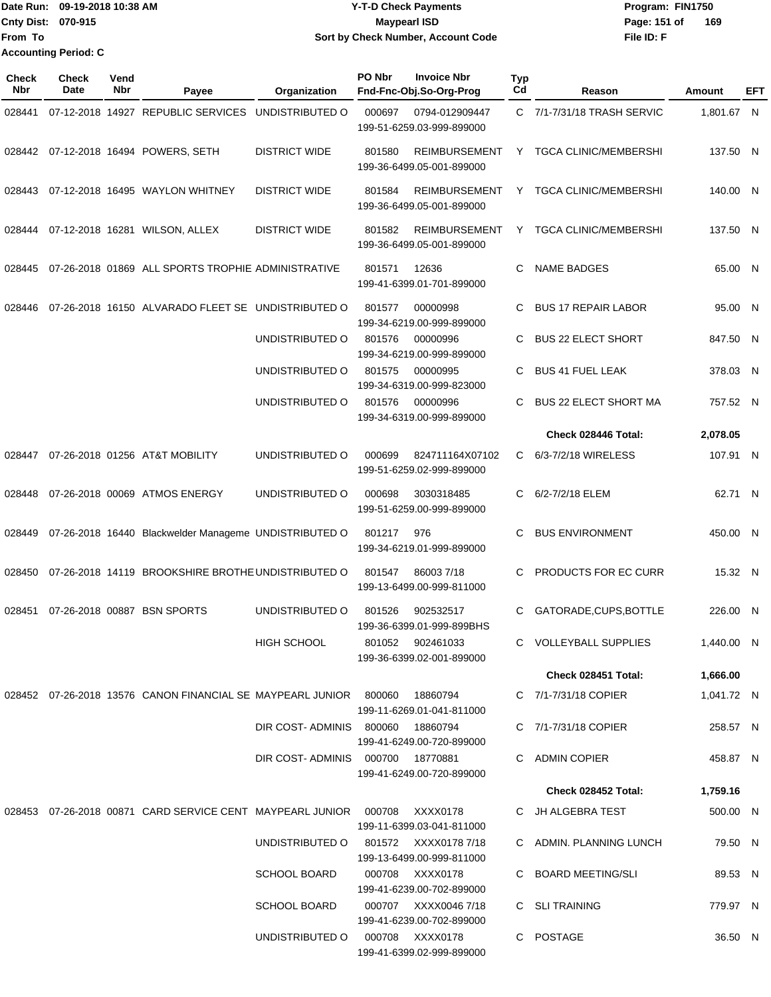Date Run: 09-19-2018 10:38 AM **CONTEX 18 AM CONTEX 18 AM CONTEX 17-T-D** Check Payments **CONTEX 18 AM CONTEX 18 AM CONTEX 18 AM CONTEX 18 AM CONTEX 18 AM CONTEX 18 AM CONTEX 18 AM CONTEX 18 AM CONTEX 19 AM CONTEX 19 AM CONT Cnty Dist: 070-915 File ID: F From To 09-19-2018 10:38 AM Y-T-D Check Payments 070-915 Maypearl ISD Sort by Check Number, Account Code** Page: 151 of 169 **Accounting Period: C**

| Check<br>Nbr | <b>Check</b><br>Date | Vend<br><b>Nbr</b> | Payee                                                      | Organization                         | PO Nbr | <b>Invoice Nbr</b><br>Fnd-Fnc-Obj.So-Org-Prog     | <b>Typ</b><br>Cd | Reason                       | Amount     | EFT |
|--------------|----------------------|--------------------|------------------------------------------------------------|--------------------------------------|--------|---------------------------------------------------|------------------|------------------------------|------------|-----|
| 028441       |                      |                    | 07-12-2018 14927 REPUBLIC SERVICES                         | UNDISTRIBUTED O                      | 000697 | 0794-012909447<br>199-51-6259.03-999-899000       |                  | C 7/1-7/31/18 TRASH SERVIC   | 1,801.67 N |     |
| 028442       |                      |                    | 07-12-2018 16494 POWERS, SETH                              | <b>DISTRICT WIDE</b>                 | 801580 | <b>REIMBURSEMENT</b><br>199-36-6499.05-001-899000 | Y.               | <b>TGCA CLINIC/MEMBERSHI</b> | 137.50 N   |     |
| 028443       |                      |                    | 07-12-2018 16495 WAYLON WHITNEY                            | <b>DISTRICT WIDE</b>                 | 801584 | <b>REIMBURSEMENT</b><br>199-36-6499.05-001-899000 | Y                | <b>TGCA CLINIC/MEMBERSHI</b> | 140.00 N   |     |
| 028444       |                      |                    | 07-12-2018 16281 WILSON, ALLEX                             | <b>DISTRICT WIDE</b>                 | 801582 | <b>REIMBURSEMENT</b><br>199-36-6499.05-001-899000 | Y                | <b>TGCA CLINIC/MEMBERSHI</b> | 137.50 N   |     |
| 028445       |                      |                    | 07-26-2018 01869 ALL SPORTS TROPHIE ADMINISTRATIVE         |                                      | 801571 | 12636<br>199-41-6399.01-701-899000                | C.               | <b>NAME BADGES</b>           | 65.00 N    |     |
| 028446       |                      |                    | 07-26-2018 16150 ALVARADO FLEET SE UNDISTRIBUTED O         |                                      | 801577 | 00000998<br>199-34-6219.00-999-899000             | C                | <b>BUS 17 REPAIR LABOR</b>   | 95.00 N    |     |
|              |                      |                    |                                                            | UNDISTRIBUTED O                      | 801576 | 00000996<br>199-34-6219.00-999-899000             | C.               | <b>BUS 22 ELECT SHORT</b>    | 847.50 N   |     |
|              |                      |                    |                                                            | UNDISTRIBUTED O                      | 801575 | 00000995<br>199-34-6319.00-999-823000             | C                | <b>BUS 41 FUEL LEAK</b>      | 378.03 N   |     |
|              |                      |                    |                                                            | UNDISTRIBUTED O                      | 801576 | 00000996<br>199-34-6319.00-999-899000             | C                | <b>BUS 22 ELECT SHORT MA</b> | 757.52 N   |     |
|              |                      |                    |                                                            |                                      |        |                                                   |                  | Check 028446 Total:          | 2,078.05   |     |
| 028447       |                      |                    | 07-26-2018 01256 AT&T MOBILITY                             | UNDISTRIBUTED O                      | 000699 | 824711164X07102<br>199-51-6259.02-999-899000      | C.               | 6/3-7/2/18 WIRELESS          | 107.91 N   |     |
| 028448       |                      |                    | 07-26-2018 00069 ATMOS ENERGY                              | UNDISTRIBUTED O                      | 000698 | 3030318485<br>199-51-6259.00-999-899000           | C                | 6/2-7/2/18 ELEM              | 62.71 N    |     |
| 028449       |                      |                    | 07-26-2018 16440 Blackwelder Manageme UNDISTRIBUTED O      |                                      | 801217 | 976<br>199-34-6219.01-999-899000                  | C.               | <b>BUS ENVIRONMENT</b>       | 450.00 N   |     |
| 028450       |                      |                    | 07-26-2018 14119 BROOKSHIRE BROTHE UNDISTRIBUTED O         |                                      | 801547 | 860037/18<br>199-13-6499.00-999-811000            | C                | PRODUCTS FOR EC CURR         | 15.32 N    |     |
| 028451       |                      |                    | 07-26-2018 00887 BSN SPORTS                                | UNDISTRIBUTED O                      | 801526 | 902532517<br>199-36-6399.01-999-899BHS            | C                | GATORADE, CUPS, BOTTLE       | 226.00 N   |     |
|              |                      |                    |                                                            | <b>HIGH SCHOOL</b>                   |        | 801052 902461033<br>199-36-6399.02-001-899000     |                  | C VOLLEYBALL SUPPLIES        | 1,440.00 N |     |
|              |                      |                    |                                                            |                                      |        |                                                   |                  | Check 028451 Total:          | 1,666.00   |     |
|              |                      |                    | 028452 07-26-2018 13576 CANON FINANCIAL SE MAYPEARL JUNIOR |                                      | 800060 | 18860794<br>199-11-6269.01-041-811000             |                  | C 7/1-7/31/18 COPIER         | 1,041.72 N |     |
|              |                      |                    |                                                            | DIR COST-ADMINIS                     | 800060 | 18860794<br>199-41-6249.00-720-899000             |                  | C 7/1-7/31/18 COPIER         | 258.57 N   |     |
|              |                      |                    |                                                            | DIR COST-ADMINIS 000700 18770881     |        | 199-41-6249.00-720-899000                         |                  | C ADMIN COPIER               | 458.87 N   |     |
|              |                      |                    |                                                            |                                      |        |                                                   |                  | Check 028452 Total:          | 1,759.16   |     |
| 028453       |                      |                    | 07-26-2018 00871 CARD SERVICE CENT MAYPEARL JUNIOR         |                                      | 000708 | XXXX0178<br>199-11-6399.03-041-811000             |                  | C JH ALGEBRA TEST            | 500.00 N   |     |
|              |                      |                    |                                                            | UNDISTRIBUTED O 801572 XXXX0178 7/18 |        | 199-13-6499.00-999-811000                         |                  | C ADMIN. PLANNING LUNCH      | 79.50 N    |     |
|              |                      |                    |                                                            | <b>SCHOOL BOARD</b>                  |        | 000708 XXXX0178<br>199-41-6239.00-702-899000      |                  | C BOARD MEETING/SLI          | 89.53 N    |     |
|              |                      |                    |                                                            | SCHOOL BOARD                         |        | 000707 XXXX0046 7/18<br>199-41-6239.00-702-899000 |                  | C SLI TRAINING               | 779.97 N   |     |
|              |                      |                    |                                                            | UNDISTRIBUTED O                      |        | 000708 XXXX0178<br>199-41-6399.02-999-899000      |                  | C POSTAGE                    | 36.50 N    |     |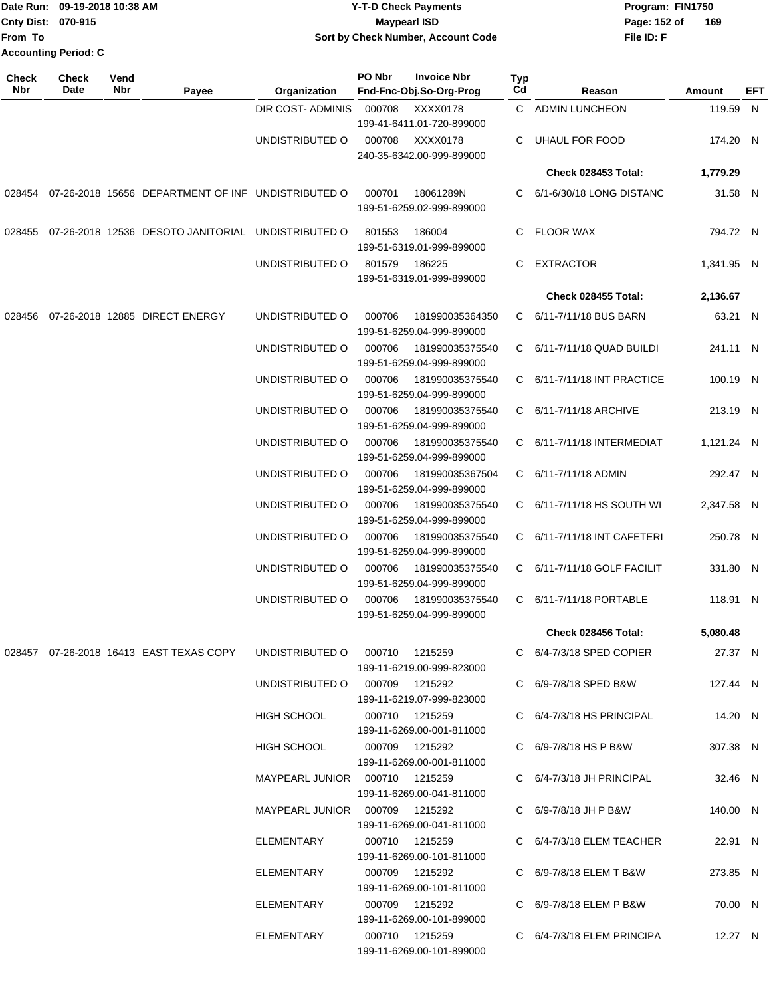|                           | Date Run: 09-19-2018 10:38 AM | <b>Y-T-D Check Payments</b>        | Program: FIN1750    |
|---------------------------|-------------------------------|------------------------------------|---------------------|
| <b>Cnty Dist: 070-915</b> |                               | <b>Maypearl ISD</b>                | 169<br>Page: 152 of |
| lFrom To                  |                               | Sort by Check Number, Account Code | File ID: F          |
|                           | <b>Accounting Period: C</b>   |                                    |                     |

| <b>Check</b><br>Nbr | <b>Check</b><br>Date | Vend<br>Nbr | Payee                                              | Organization                     | PO Nbr         | <b>Invoice Nbr</b><br>Fnd-Fnc-Obj.So-Org-Prog | Typ<br>Cd | Reason                          | Amount     | EFT |
|---------------------|----------------------|-------------|----------------------------------------------------|----------------------------------|----------------|-----------------------------------------------|-----------|---------------------------------|------------|-----|
|                     |                      |             |                                                    | DIR COST- ADMINIS                | 000708         | XXXX0178<br>199-41-6411.01-720-899000         |           | C ADMIN LUNCHEON                | 119.59 N   |     |
|                     |                      |             |                                                    | UNDISTRIBUTED O                  | 000708         | XXXX0178<br>240-35-6342.00-999-899000         |           | UHAUL FOR FOOD                  | 174.20 N   |     |
|                     |                      |             |                                                    |                                  |                |                                               |           | Check 028453 Total:             | 1,779.29   |     |
| 028454              |                      |             | 07-26-2018 15656 DEPARTMENT OF INF UNDISTRIBUTED O |                                  | 000701         | 18061289N<br>199-51-6259.02-999-899000        | C.        | 6/1-6/30/18 LONG DISTANC        | 31.58 N    |     |
| 028455              |                      |             | 07-26-2018 12536 DESOTO JANITORIAL UNDISTRIBUTED O |                                  | 801553         | 186004<br>199-51-6319.01-999-899000           | C.        | <b>FLOOR WAX</b>                | 794.72 N   |     |
|                     |                      |             |                                                    | UNDISTRIBUTED O                  | 801579         | 186225<br>199-51-6319.01-999-899000           | C         | <b>EXTRACTOR</b>                | 1,341.95 N |     |
|                     |                      |             |                                                    |                                  |                |                                               |           | Check 028455 Total:             | 2,136.67   |     |
| 028456              |                      |             | 07-26-2018 12885 DIRECT ENERGY                     | UNDISTRIBUTED O                  | 000706         | 181990035364350<br>199-51-6259.04-999-899000  |           | C 6/11-7/11/18 BUS BARN         | 63.21 N    |     |
|                     |                      |             |                                                    | UNDISTRIBUTED O                  | 000706         | 181990035375540<br>199-51-6259.04-999-899000  | C.        | 6/11-7/11/18 QUAD BUILDI        | 241.11 N   |     |
|                     |                      |             |                                                    | UNDISTRIBUTED O                  | 000706         | 181990035375540<br>199-51-6259.04-999-899000  |           | C 6/11-7/11/18 INT PRACTICE     | 100.19 N   |     |
|                     |                      |             |                                                    | UNDISTRIBUTED O                  | 000706         | 181990035375540<br>199-51-6259.04-999-899000  |           | C 6/11-7/11/18 ARCHIVE          | 213.19 N   |     |
|                     |                      |             |                                                    | UNDISTRIBUTED O                  | 000706         | 181990035375540<br>199-51-6259.04-999-899000  |           | C 6/11-7/11/18 INTERMEDIAT      | 1,121.24 N |     |
|                     |                      |             |                                                    | UNDISTRIBUTED O                  | 000706         | 181990035367504<br>199-51-6259.04-999-899000  |           | C 6/11-7/11/18 ADMIN            | 292.47 N   |     |
|                     |                      |             |                                                    | UNDISTRIBUTED O                  | 000706         | 181990035375540<br>199-51-6259.04-999-899000  |           | C 6/11-7/11/18 HS SOUTH WI      | 2,347.58 N |     |
|                     |                      |             |                                                    | UNDISTRIBUTED O                  | 000706         | 181990035375540<br>199-51-6259.04-999-899000  |           | C 6/11-7/11/18 INT CAFETERI     | 250.78 N   |     |
|                     |                      |             |                                                    | UNDISTRIBUTED O                  | 000706         | 181990035375540<br>199-51-6259.04-999-899000  |           | C 6/11-7/11/18 GOLF FACILIT     | 331.80 N   |     |
|                     |                      |             |                                                    | UNDISTRIBUTED O                  | 000706         | 181990035375540<br>199-51-6259.04-999-899000  |           | C 6/11-7/11/18 PORTABLE         | 118.91 N   |     |
|                     |                      |             |                                                    |                                  |                |                                               |           | Check 028456 Total:             | 5,080.48   |     |
|                     |                      |             | 028457 07-26-2018 16413 EAST TEXAS COPY            | UNDISTRIBUTED 0 000710 1215259   |                | 199-11-6219.00-999-823000                     |           | $C = 6/4 - 7/3/18$ SPED COPIER  | 27.37 N    |     |
|                     |                      |             |                                                    | UNDISTRIBUTED O 000709 1215292   |                | 199-11-6219.07-999-823000                     |           | C 6/9-7/8/18 SPED B&W           | 127.44 N   |     |
|                     |                      |             |                                                    | HIGH SCHOOL                      | 000710 1215259 | 199-11-6269.00-001-811000                     |           | $C = 6/4 - 7/3/18$ HS PRINCIPAL | 14.20 N    |     |
|                     |                      |             |                                                    | HIGH SCHOOL                      | 000709 1215292 | 199-11-6269.00-001-811000                     |           | C 6/9-7/8/18 HS P B&W           | 307.38 N   |     |
|                     |                      |             |                                                    | MAYPEARL JUNIOR  000710  1215259 |                | 199-11-6269.00-041-811000                     |           | C 6/4-7/3/18 JH PRINCIPAL       | 32.46 N    |     |
|                     |                      |             |                                                    | MAYPEARL JUNIOR  000709  1215292 |                | 199-11-6269.00-041-811000                     |           | C 6/9-7/8/18 JH P B&W           | 140.00 N   |     |
|                     |                      |             |                                                    | ELEMENTARY                       |                | 000710 1215259<br>199-11-6269.00-101-811000   |           | C $6/4 - 7/3/18$ ELEM TEACHER   | 22.91 N    |     |
|                     |                      |             |                                                    | ELEMENTARY                       |                | 000709 1215292<br>199-11-6269.00-101-811000   |           | C 6/9-7/8/18 ELEM T B&W         | 273.85 N   |     |
|                     |                      |             |                                                    | ELEMENTARY                       |                | 000709 1215292<br>199-11-6269.00-101-899000   |           | C 6/9-7/8/18 ELEM P B&W         | 70.00 N    |     |
|                     |                      |             |                                                    | ELEMENTARY                       |                | 000710 1215259<br>199-11-6269.00-101-899000   |           | C 6/4-7/3/18 ELEM PRINCIPA      | 12.27 N    |     |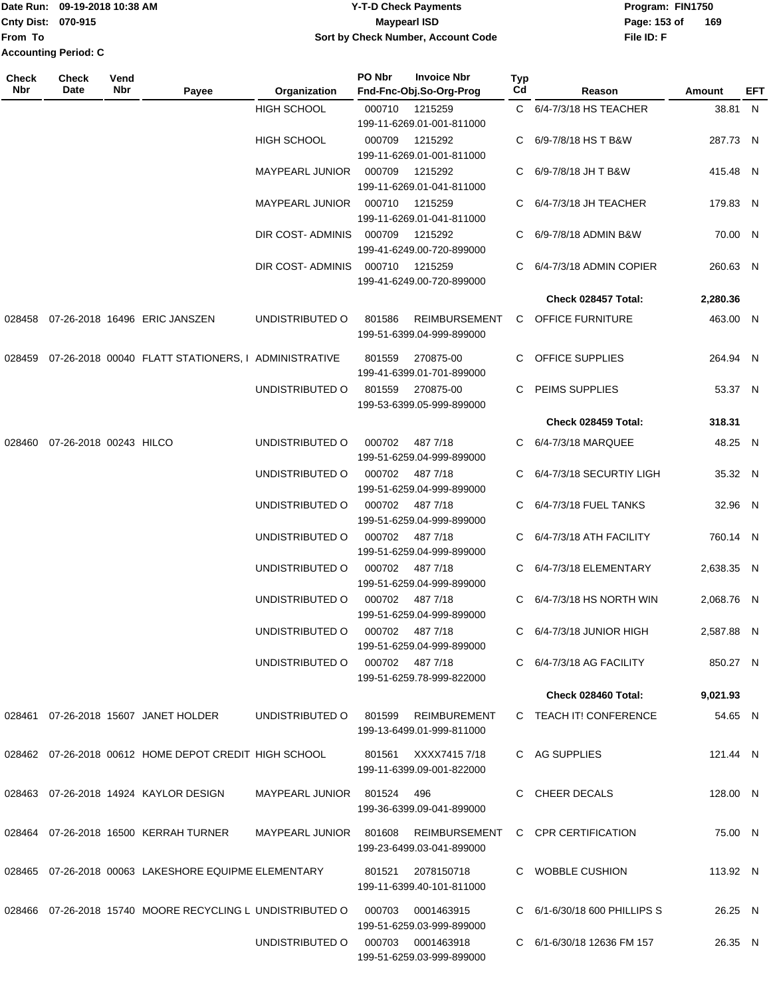Date Run: 09-19-2018 10:38 AM **CONTEX 18 AM CONTEX 18 AM CONTEX 17-T-D** Check Payments **CONTEX 18 AM CONTEX 18 AM CONTEX 18 AM CONTEX 18 AM CONTEX 18 AM CONTEX 18 AM CONTEX 18 AM CONTEX 18 AM CONTEX 19 AM CONTEX 19 AM CONT From To Accounting Period: C**

## **Cnty Dist:** 070-915 **Page: 153 of Page: 153 of 09-19-2018 10:38 AM Y-T-D Check Payments 070-915 Maypearl ISD Sort by Check Number, Account Code**

| Check<br><b>Nbr</b> | <b>Check</b><br>Date          | Vend<br>Nbr | Payee                                                                       | Organization                      | PO Nbr | <b>Invoice Nbr</b><br>Fnd-Fnc-Obj.So-Org-Prog          | Typ<br>Cd | Reason                         | <b>Amount</b> | EFT |
|---------------------|-------------------------------|-------------|-----------------------------------------------------------------------------|-----------------------------------|--------|--------------------------------------------------------|-----------|--------------------------------|---------------|-----|
|                     |                               |             |                                                                             | <b>HIGH SCHOOL</b>                | 000710 | 1215259<br>199-11-6269.01-001-811000                   |           | C 6/4-7/3/18 HS TEACHER        | 38.81 N       |     |
|                     |                               |             |                                                                             | <b>HIGH SCHOOL</b>                | 000709 | 1215292<br>199-11-6269.01-001-811000                   |           | C 6/9-7/8/18 HS T B&W          | 287.73 N      |     |
|                     |                               |             |                                                                             | MAYPEARL JUNIOR 000709            |        | 1215292<br>199-11-6269.01-041-811000                   |           | C 6/9-7/8/18 JH T B&W          | 415.48 N      |     |
|                     |                               |             |                                                                             | MAYPEARL JUNIOR 000710            |        | 1215259<br>199-11-6269.01-041-811000                   |           | C 6/4-7/3/18 JH TEACHER        | 179.83 N      |     |
|                     |                               |             |                                                                             | DIR COST-ADMINIS 000709           |        | 1215292<br>199-41-6249.00-720-899000                   |           | C 6/9-7/8/18 ADMIN B&W         | 70.00 N       |     |
|                     |                               |             |                                                                             | DIR COST-ADMINIS 000710 1215259   |        | 199-41-6249.00-720-899000                              |           | C 6/4-7/3/18 ADMIN COPIER      | 260.63 N      |     |
|                     |                               |             |                                                                             |                                   |        |                                                        |           | Check 028457 Total:            | 2,280.36      |     |
|                     |                               |             | 028458 07-26-2018 16496 ERIC JANSZEN                                        | UNDISTRIBUTED O                   | 801586 | REIMBURSEMENT<br>199-51-6399.04-999-899000             |           | C OFFICE FURNITURE             | 463.00 N      |     |
| 028459              |                               |             | 07-26-2018 00040 FLATT STATIONERS, I ADMINISTRATIVE                         |                                   | 801559 | 270875-00<br>199-41-6399.01-701-899000                 |           | C OFFICE SUPPLIES              | 264.94 N      |     |
|                     |                               |             |                                                                             | UNDISTRIBUTED O                   |        | 801559 270875-00<br>199-53-6399.05-999-899000          |           | C PEIMS SUPPLIES               | 53.37 N       |     |
|                     |                               |             |                                                                             |                                   |        |                                                        |           | Check 028459 Total:            | 318.31        |     |
|                     | 028460 07-26-2018 00243 HILCO |             |                                                                             | UNDISTRIBUTED O                   | 000702 | 487 7/18<br>199-51-6259.04-999-899000                  |           | C 6/4-7/3/18 MARQUEE           | 48.25 N       |     |
|                     |                               |             |                                                                             | UNDISTRIBUTED O                   | 000702 | 487 7/18<br>199-51-6259.04-999-899000                  |           | C 6/4-7/3/18 SECURTIY LIGH     | 35.32 N       |     |
|                     |                               |             |                                                                             | UNDISTRIBUTED O                   | 000702 | 487 7/18<br>199-51-6259.04-999-899000                  |           | C 6/4-7/3/18 FUEL TANKS        | 32.96 N       |     |
|                     |                               |             |                                                                             | UNDISTRIBUTED O                   |        | 000702 487 7/18<br>199-51-6259.04-999-899000           |           | C 6/4-7/3/18 ATH FACILITY      | 760.14 N      |     |
|                     |                               |             |                                                                             | UNDISTRIBUTED O                   |        | 000702 487 7/18<br>199-51-6259.04-999-899000           |           | C 6/4-7/3/18 ELEMENTARY        | 2,638.35 N    |     |
|                     |                               |             |                                                                             | UNDISTRIBUTED O                   |        | 000702 487 7/18<br>199-51-6259.04-999-899000           |           | C 6/4-7/3/18 HS NORTH WIN      | 2,068.76 N    |     |
|                     |                               |             |                                                                             | UNDISTRIBUTED O 000702 487 7/18   |        | 199-51-6259.04-999-899000                              |           | C 6/4-7/3/18 JUNIOR HIGH       | 2,587.88 N    |     |
|                     |                               |             |                                                                             | UNDISTRIBUTED O 000702 487 7/18   |        | 199-51-6259.78-999-822000                              |           | $C = 6/4 - 7/3/18$ AG FACILITY | 850.27 N      |     |
|                     |                               |             |                                                                             |                                   |        |                                                        |           | Check 028460 Total:            | 9,021.93      |     |
|                     |                               |             | 028461 07-26-2018 15607 JANET HOLDER                                        | UNDISTRIBUTED O                   | 801599 | REIMBUREMENT<br>199-13-6499.01-999-811000              |           | C TEACH IT! CONFERENCE         | 54.65 N       |     |
|                     |                               |             | 028462 07-26-2018 00612 HOME DEPOT CREDIT HIGH SCHOOL                       |                                   |        | 801561 XXXX7415 7/18<br>199-11-6399.09-001-822000      |           | C AG SUPPLIES                  | 121.44 N      |     |
|                     |                               |             | 028463 07-26-2018 14924 KAYLOR DESIGN                                       | MAYPEARL JUNIOR 801524            |        | 496<br>199-36-6399.09-041-899000                       |           | C CHEER DECALS                 | 128.00 N      |     |
|                     |                               |             | 028464 07-26-2018 16500 KERRAH TURNER                                       | MAYPEARL JUNIOR 801608            |        | REIMBURSEMENT<br>199-23-6499.03-041-899000             |           | C CPR CERTIFICATION            | 75.00 N       |     |
|                     |                               |             | 028465 07-26-2018 00063 LAKESHORE EQUIPME ELEMENTARY                        |                                   |        | 801521 2078150718<br>199-11-6399.40-101-811000         |           | C WOBBLE CUSHION               | 113.92 N      |     |
|                     |                               |             | 028466 07-26-2018 15740 MOORE RECYCLING L UNDISTRIBUTED O 000703 0001463915 |                                   |        |                                                        |           | C 6/1-6/30/18 600 PHILLIPS S   | 26.25 N       |     |
|                     |                               |             |                                                                             | UNDISTRIBUTED O 000703 0001463918 |        | 199-51-6259.03-999-899000<br>199-51-6259.03-999-899000 |           | C 6/1-6/30/18 12636 FM 157     | 26.35 N       |     |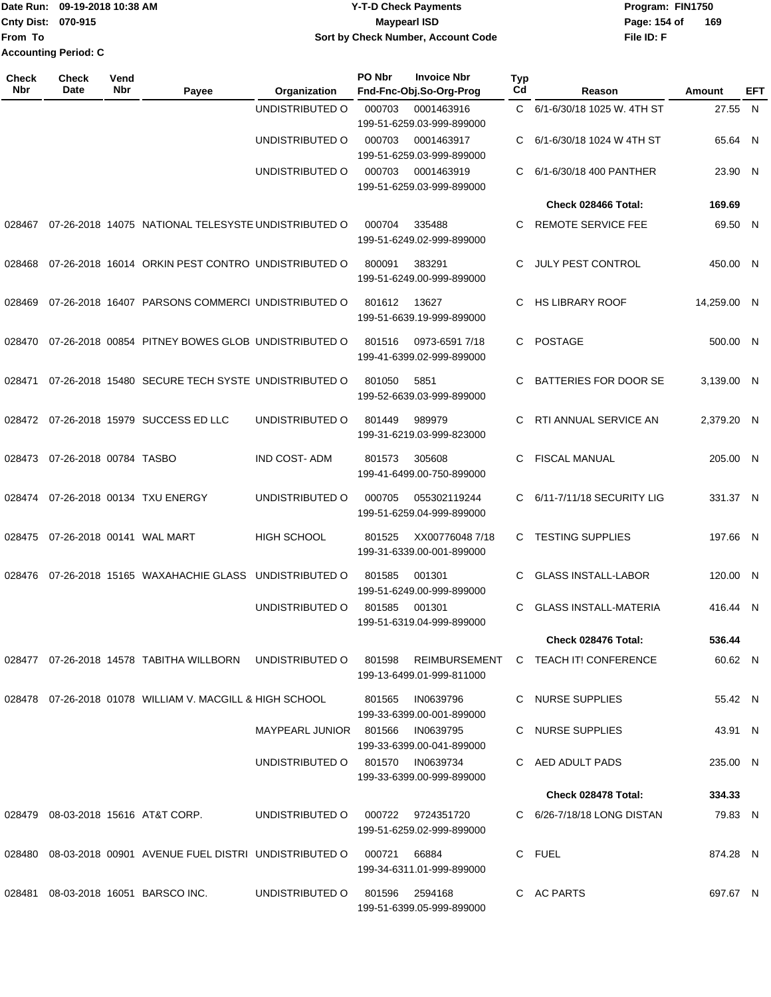**From To Accounting Period: C**

## Date Run: 09-19-2018 10:38 AM **CONTEX 18 AM CONTEX 18 AM CONTEX 17-T-D** Check Payments **CONTEX 18 AM CONTEX 18 AM CONTEX 18 AM CONTEX 18 AM CONTEX 18 AM CONTEX 18 AM CONTEX 18 AM CONTEX 18 AM CONTEX 19 AM CONTEX 19 AM CONT Cnty Dist:** 070-915 **Page: 154 of MaypearI ISD Page: 154 of Page: 154 of 09-19-2018 10:38 AM Y-T-D Check Payments 070-915 Maypearl ISD Sort by Check Number, Account Code**

| Check<br><b>Nbr</b> | <b>Check</b><br><b>Date</b> | Vend<br>Nbr | Payee                                               | Organization           | PO Nbr | <b>Invoice Nbr</b><br>Fnd-Fnc-Obj.So-Org-Prog  | <b>Typ</b><br>Cd | Reason                                                                                               | Amount      | EFT |
|---------------------|-----------------------------|-------------|-----------------------------------------------------|------------------------|--------|------------------------------------------------|------------------|------------------------------------------------------------------------------------------------------|-------------|-----|
|                     |                             |             |                                                     | UNDISTRIBUTED O        | 000703 | 0001463916<br>199-51-6259.03-999-899000        |                  | C 6/1-6/30/18 1025 W. 4TH ST                                                                         | 27.55 N     |     |
|                     |                             |             |                                                     | UNDISTRIBUTED O        | 000703 | 0001463917<br>199-51-6259.03-999-899000        | C.               | 6/1-6/30/18 1024 W 4TH ST                                                                            | 65.64 N     |     |
|                     |                             |             |                                                     | UNDISTRIBUTED O        | 000703 | 0001463919<br>199-51-6259.03-999-899000        | C.               | 6/1-6/30/18 400 PANTHER                                                                              | 23.90 N     |     |
|                     |                             |             |                                                     |                        |        |                                                |                  | Check 028466 Total:                                                                                  | 169.69      |     |
| 028467              |                             |             | 07-26-2018 14075 NATIONAL TELESYSTE UNDISTRIBUTED O |                        | 000704 | 335488<br>199-51-6249.02-999-899000            | C.               | REMOTE SERVICE FEE                                                                                   | 69.50 N     |     |
| 028468              |                             |             | 07-26-2018 16014 ORKIN PEST CONTRO UNDISTRIBUTED O  |                        | 800091 | 383291<br>199-51-6249.00-999-899000            | C.               | JULY PEST CONTROL                                                                                    | 450.00 N    |     |
| 028469              |                             |             | 07-26-2018 16407 PARSONS COMMERCI UNDISTRIBUTED O   |                        | 801612 | 13627<br>199-51-6639.19-999-899000             | C                | <b>HS LIBRARY ROOF</b>                                                                               | 14,259.00 N |     |
| 028470              |                             |             | 07-26-2018 00854 PITNEY BOWES GLOB UNDISTRIBUTED O  |                        | 801516 | 0973-6591 7/18<br>199-41-6399.02-999-899000    | C.               | <b>POSTAGE</b>                                                                                       | 500.00 N    |     |
| 028471              |                             |             | 07-26-2018 15480 SECURE TECH SYSTE UNDISTRIBUTED O  |                        | 801050 | 5851<br>199-52-6639.03-999-899000              | C.               | BATTERIES FOR DOOR SE                                                                                | 3,139.00 N  |     |
| 028472              |                             |             | 07-26-2018 15979 SUCCESS ED LLC                     | UNDISTRIBUTED O        | 801449 | 989979<br>199-31-6219.03-999-823000            | C.               | RTI ANNUAL SERVICE AN                                                                                | 2.379.20 N  |     |
| 028473              | 07-26-2018 00784 TASBO      |             |                                                     | <b>IND COST-ADM</b>    | 801573 | 305608<br>199-41-6499.00-750-899000            | C.               | <b>FISCAL MANUAL</b>                                                                                 | 205.00 N    |     |
| 028474              |                             |             | 07-26-2018 00134 TXU ENERGY                         | UNDISTRIBUTED O        | 000705 | 055302119244<br>199-51-6259.04-999-899000      |                  | C 6/11-7/11/18 SECURITY LIG                                                                          | 331.37 N    |     |
| 028475              |                             |             | 07-26-2018 00141 WAL MART                           | <b>HIGH SCHOOL</b>     | 801525 | XX007760487/18<br>199-31-6339.00-001-899000    | C.               | <b>TESTING SUPPLIES</b>                                                                              | 197.66 N    |     |
| 028476              |                             |             | 07-26-2018 15165 WAXAHACHIE GLASS UNDISTRIBUTED O   |                        | 801585 | 001301<br>199-51-6249.00-999-899000            | C.               | <b>GLASS INSTALL-LABOR</b>                                                                           | 120.00 N    |     |
|                     |                             |             |                                                     | UNDISTRIBUTED O        | 801585 | 001301<br>199-51-6319.04-999-899000            | C.               | <b>GLASS INSTALL-MATERIA</b>                                                                         | 416.44 N    |     |
|                     |                             |             |                                                     |                        |        |                                                |                  | Check 028476 Total:                                                                                  | 536.44      |     |
|                     |                             |             |                                                     |                        |        | 199-13-6499.01-999-811000                      |                  | 028477 07-26-2018 14578 TABITHA WILLBORN UNDISTRIBUTED O 801598 REIMBURSEMENT C TEACH IT! CONFERENCE | 60.62 N     |     |
| 028478              |                             |             | 07-26-2018 01078 WILLIAM V. MACGILL & HIGH SCHOOL   |                        | 801565 | IN0639796<br>199-33-6399.00-001-899000         |                  | C NURSE SUPPLIES                                                                                     | 55.42 N     |     |
|                     |                             |             |                                                     | MAYPEARL JUNIOR 801566 |        | IN0639795<br>199-33-6399.00-041-899000         |                  | C NURSE SUPPLIES                                                                                     | 43.91 N     |     |
|                     |                             |             |                                                     | UNDISTRIBUTED O        |        | 801570 IN0639734<br>199-33-6399.00-999-899000  |                  | C AED ADULT PADS                                                                                     | 235.00 N    |     |
|                     |                             |             |                                                     |                        |        |                                                |                  | Check 028478 Total:                                                                                  | 334.33      |     |
| 028479              |                             |             | 08-03-2018 15616 AT&T CORP.                         | UNDISTRIBUTED O        |        | 000722 9724351720<br>199-51-6259.02-999-899000 |                  | C 6/26-7/18/18 LONG DISTAN                                                                           | 79.83 N     |     |
| 028480              |                             |             | 08-03-2018 00901 AVENUE FUEL DISTRI UNDISTRIBUTED O |                        | 000721 | 66884<br>199-34-6311.01-999-899000             |                  | C FUEL                                                                                               | 874.28 N    |     |
| 028481              |                             |             | 08-03-2018 16051 BARSCO INC.                        | UNDISTRIBUTED O        | 801596 | 2594168<br>199-51-6399.05-999-899000           |                  | C AC PARTS                                                                                           | 697.67 N    |     |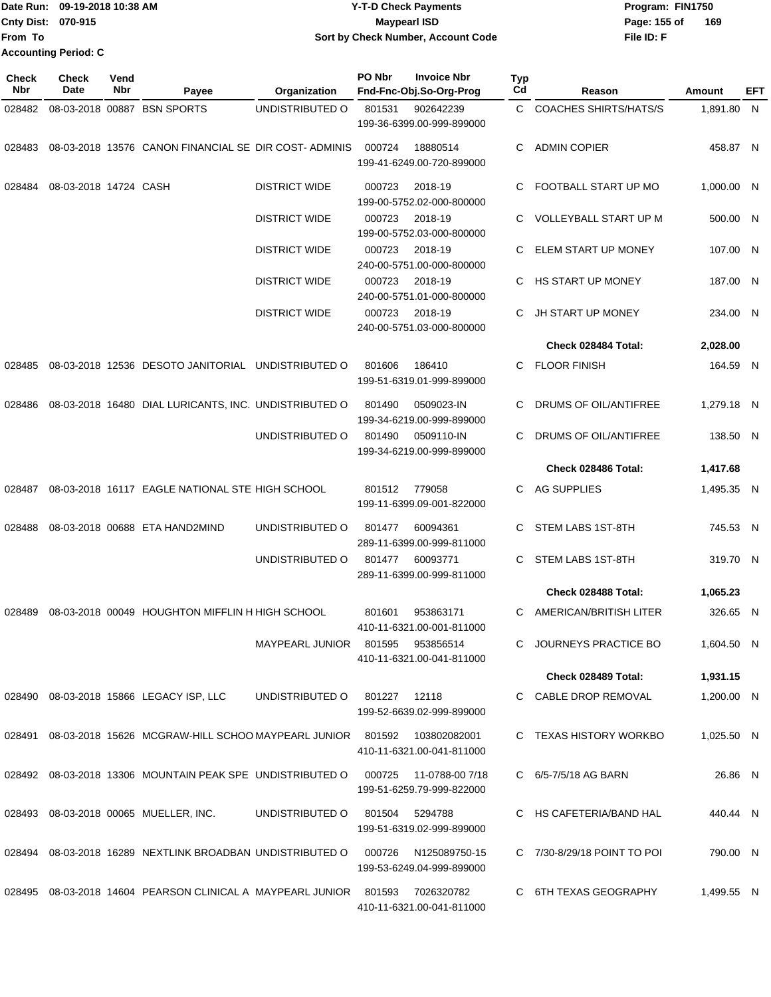Date Run: 09-19-2018 10:38 AM **CONTEX 18 AM CONTEX 18 AM CONTEX 17-T-D** Check Payments **CONTEX 18 AM CONTEX 18 AM CONTEX 18 AM CONTEX 18 AM CONTEX 18 AM CONTEX 18 AM CONTEX 18 AM CONTEX 18 AM CONTEX 19 AM CONTEX 19 AM CONT Cnty Dist: 070-915 File ID: F From To 09-19-2018 10:38 AM Y-T-D Check Payments 070-915 Maypearl ISD Sort by Check Number, Account Code** Page: 155 of 169 **Accounting Period: C**

| <b>Check</b><br>Nbr | Check<br>Date                      | Vend<br>Nbr | Payee                                                                             | Organization           | PO Nbr         | <b>Invoice Nbr</b><br>Fnd-Fnc-Obj.So-Org-Prog | <b>Typ</b><br>Cd | Reason                       | Amount     | EFT |
|---------------------|------------------------------------|-------------|-----------------------------------------------------------------------------------|------------------------|----------------|-----------------------------------------------|------------------|------------------------------|------------|-----|
| 028482              |                                    |             | 08-03-2018 00887 BSN SPORTS                                                       | UNDISTRIBUTED O        | 801531         | 902642239<br>199-36-6399.00-999-899000        | C.               | <b>COACHES SHIRTS/HATS/S</b> | 1,891.80 N |     |
| 028483              |                                    |             | 08-03-2018 13576 CANON FINANCIAL SE DIR COST-ADMINIS                              |                        | 000724         | 18880514<br>199-41-6249.00-720-899000         | C                | <b>ADMIN COPIER</b>          | 458.87 N   |     |
|                     | 028484    08-03-2018  14724   CASH |             |                                                                                   | <b>DISTRICT WIDE</b>   | 000723         | 2018-19<br>199-00-5752.02-000-800000          | C                | FOOTBALL START UP MO         | 1,000.00 N |     |
|                     |                                    |             |                                                                                   | <b>DISTRICT WIDE</b>   | 000723         | 2018-19<br>199-00-5752.03-000-800000          |                  | <b>VOLLEYBALL START UP M</b> | 500.00 N   |     |
|                     |                                    |             |                                                                                   | <b>DISTRICT WIDE</b>   | 000723         | 2018-19<br>240-00-5751.00-000-800000          | C                | ELEM START UP MONEY          | 107.00 N   |     |
|                     |                                    |             |                                                                                   | <b>DISTRICT WIDE</b>   | 000723         | 2018-19<br>240-00-5751.01-000-800000          | C.               | HS START UP MONEY            | 187.00 N   |     |
|                     |                                    |             |                                                                                   | <b>DISTRICT WIDE</b>   | 000723         | 2018-19<br>240-00-5751.03-000-800000          |                  | JH START UP MONEY            | 234.00 N   |     |
|                     |                                    |             |                                                                                   |                        |                |                                               |                  | Check 028484 Total:          | 2,028.00   |     |
| 028485              |                                    |             | 08-03-2018 12536 DESOTO JANITORIAL UNDISTRIBUTED O                                |                        | 801606         | 186410<br>199-51-6319.01-999-899000           | C                | <b>FLOOR FINISH</b>          | 164.59 N   |     |
| 028486              |                                    |             | 08-03-2018 16480 DIAL LURICANTS, INC. UNDISTRIBUTED O                             |                        | 801490         | 0509023-IN<br>199-34-6219.00-999-899000       | C                | DRUMS OF OIL/ANTIFREE        | 1.279.18 N |     |
|                     |                                    |             |                                                                                   | UNDISTRIBUTED O        | 801490         | 0509110-IN<br>199-34-6219.00-999-899000       | C                | DRUMS OF OIL/ANTIFREE        | 138.50 N   |     |
|                     |                                    |             |                                                                                   |                        |                |                                               |                  | Check 028486 Total:          | 1,417.68   |     |
|                     |                                    |             | 028487 08-03-2018  16117  EAGLE NATIONAL STE HIGH SCHOOL                          |                        | 801512         | 779058<br>199-11-6399.09-001-822000           | C                | AG SUPPLIES                  | 1,495.35 N |     |
| 028488              |                                    |             | 08-03-2018 00688 ETA HAND2MIND                                                    | UNDISTRIBUTED O        | 801477         | 60094361<br>289-11-6399.00-999-811000         | C                | STEM LABS 1ST-8TH            | 745.53 N   |     |
|                     |                                    |             |                                                                                   | UNDISTRIBUTED O        | 801477         | 60093771<br>289-11-6399.00-999-811000         | C                | STEM LABS 1ST-8TH            | 319.70 N   |     |
|                     |                                    |             |                                                                                   |                        |                |                                               |                  | Check 028488 Total:          | 1,065.23   |     |
| 028489              |                                    |             | 08-03-2018 00049 HOUGHTON MIFFLIN H HIGH SCHOOL                                   |                        | 801601         | 953863171<br>410-11-6321.00-001-811000        | C                | AMERICAN/BRITISH LITER       | 326.65 N   |     |
|                     |                                    |             |                                                                                   | MAYPEARL JUNIOR 801595 |                | 953856514<br>410-11-6321.00-041-811000        |                  | JOURNEYS PRACTICE BO         | 1,604.50 N |     |
|                     |                                    |             |                                                                                   |                        |                |                                               |                  | Check 028489 Total:          | 1,931.15   |     |
|                     |                                    |             | 028490  08-03-2018  15866  LEGACY ISP, LLC                                        | UNDISTRIBUTED O        | 801227 12118   | 199-52-6639.02-999-899000                     |                  | C CABLE DROP REMOVAL         | 1,200.00 N |     |
|                     |                                    |             | 028491    08-03-2018  15626  MCGRAW-HILL SCHOO MAYPEARL JUNIOR     801592         |                        |                | 103802082001<br>410-11-6321.00-041-811000     |                  | C TEXAS HISTORY WORKBO       | 1,025.50 N |     |
|                     |                                    |             | 028492 08-03-2018  13306  MOUNTAIN PEAK SPE  UNDISTRIBUTED O                      |                        | 000725         | 11-0788-00 7/18<br>199-51-6259.79-999-822000  |                  | C 6/5-7/5/18 AG BARN         | 26.86 N    |     |
|                     |                                    |             | 028493  08-03-2018  00065  MUELLER, INC.                                          | UNDISTRIBUTED O        | 801504 5294788 | 199-51-6319.02-999-899000                     |                  | C HS CAFETERIA/BAND HAL      | 440.44 N   |     |
|                     |                                    |             | 028494 08-03-2018  16289  NEXTLINK BROADBAN  UNDISTRIBUTED O                      |                        | 000726         | N125089750-15<br>199-53-6249.04-999-899000    |                  | C 7/30-8/29/18 POINT TO POI  | 790.00 N   |     |
|                     |                                    |             | 028495  08-03-2018  14604  PEARSON CLINICAL A MAYPEARL JUNIOR  801593  7026320782 |                        |                |                                               |                  | C 6TH TEXAS GEOGRAPHY        | 1,499.55 N |     |

410-11-6321.00-041-811000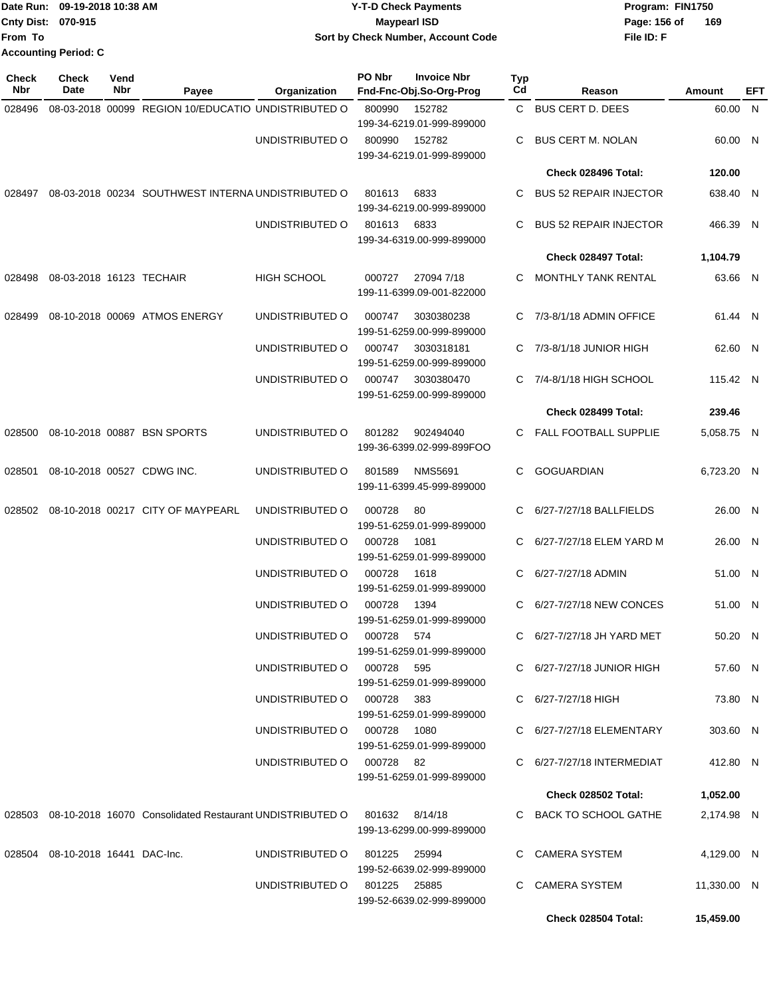|                           | Date Run: 09-19-2018 10:38 AM | <b>Y-T-D Check Payments</b>        | Program: FIN1750      |
|---------------------------|-------------------------------|------------------------------------|-----------------------|
| <b>Cnty Dist: 070-915</b> |                               | <b>Mavpearl ISD</b>                | - 169<br>Page: 156 of |
| lFrom To                  |                               | Sort by Check Number, Account Code | File ID: F            |
|                           | <b>Accounting Period: C</b>   |                                    |                       |

| <b>Check</b><br>Nbr | <b>Check</b><br>Date             | Vend<br>Nbr | Payee                                                                          | Organization                 | PO Nbr        | <b>Invoice Nbr</b><br>Fnd-Fnc-Obj.So-Org-Prog | <b>Typ</b><br>Cd | Reason                        | Amount      | EFT |
|---------------------|----------------------------------|-------------|--------------------------------------------------------------------------------|------------------------------|---------------|-----------------------------------------------|------------------|-------------------------------|-------------|-----|
| 028496              |                                  |             | 08-03-2018 00099 REGION 10/EDUCATIO UNDISTRIBUTED O                            |                              | 800990        | 152782                                        |                  | C BUS CERT D. DEES            | 60.00 N     |     |
|                     |                                  |             |                                                                                |                              |               | 199-34-6219.01-999-899000                     |                  |                               |             |     |
|                     |                                  |             |                                                                                | UNDISTRIBUTED O              | 800990        | 152782                                        | C                | <b>BUS CERT M. NOLAN</b>      | 60.00 N     |     |
|                     |                                  |             |                                                                                |                              |               | 199-34-6219.01-999-899000                     |                  |                               |             |     |
|                     |                                  |             |                                                                                |                              |               |                                               |                  | Check 028496 Total:           | 120.00      |     |
|                     |                                  |             | 028497 08-03-2018 00234 SOUTHWEST INTERNA UNDISTRIBUTED O                      |                              | 801613        | 6833<br>199-34-6219.00-999-899000             | C                | <b>BUS 52 REPAIR INJECTOR</b> | 638.40 N    |     |
|                     |                                  |             |                                                                                | UNDISTRIBUTED O              | 801613 6833   | 199-34-6319.00-999-899000                     | C                | <b>BUS 52 REPAIR INJECTOR</b> | 466.39 N    |     |
|                     |                                  |             |                                                                                |                              |               |                                               |                  | Check 028497 Total:           | 1,104.79    |     |
| 028498              | 08-03-2018 16123 TECHAIR         |             |                                                                                | <b>HIGH SCHOOL</b>           | 000727        | 27094 7/18<br>199-11-6399.09-001-822000       | C.               | MONTHLY TANK RENTAL           | 63.66 N     |     |
| 028499              |                                  |             | 08-10-2018 00069 ATMOS ENERGY                                                  | UNDISTRIBUTED O              | 000747        | 3030380238<br>199-51-6259.00-999-899000       |                  | C 7/3-8/1/18 ADMIN OFFICE     | 61.44 N     |     |
|                     |                                  |             |                                                                                | UNDISTRIBUTED O              | 000747        | 3030318181<br>199-51-6259.00-999-899000       |                  | C 7/3-8/1/18 JUNIOR HIGH      | 62.60 N     |     |
|                     |                                  |             |                                                                                | UNDISTRIBUTED O              | 000747        | 3030380470<br>199-51-6259.00-999-899000       | C.               | 7/4-8/1/18 HIGH SCHOOL        | 115.42 N    |     |
|                     |                                  |             |                                                                                |                              |               |                                               |                  | Check 028499 Total:           | 239.46      |     |
|                     |                                  |             | 028500 08-10-2018 00887 BSN SPORTS                                             | UNDISTRIBUTED O              | 801282        | 902494040<br>199-36-6399.02-999-899FOO        | C.               | <b>FALL FOOTBALL SUPPLIE</b>  | 5,058.75 N  |     |
| 028501              |                                  |             | 08-10-2018 00527 CDWG INC.                                                     | UNDISTRIBUTED O              | 801589        | <b>NMS5691</b><br>199-11-6399.45-999-899000   | C                | <b>GOGUARDIAN</b>             | 6,723.20 N  |     |
|                     |                                  |             | 028502 08-10-2018 00217 CITY OF MAYPEARL                                       | UNDISTRIBUTED O              | 000728        | 80<br>199-51-6259.01-999-899000               |                  | 6/27-7/27/18 BALLFIELDS       | 26.00 N     |     |
|                     |                                  |             |                                                                                | UNDISTRIBUTED O              | 000728        | 1081<br>199-51-6259.01-999-899000             |                  | 6/27-7/27/18 ELEM YARD M      | 26.00 N     |     |
|                     |                                  |             |                                                                                | UNDISTRIBUTED O              | 000728        | 1618<br>199-51-6259.01-999-899000             |                  | 6/27-7/27/18 ADMIN            | 51.00 N     |     |
|                     |                                  |             |                                                                                | UNDISTRIBUTED O              | 000728        | 1394<br>199-51-6259.01-999-899000             | C.               | 6/27-7/27/18 NEW CONCES       | 51.00 N     |     |
|                     |                                  |             |                                                                                | UNDISTRIBUTED O              | 000728 574    | 199-51-6259.01-999-899000                     |                  | C 6/27-7/27/18 JH YARD MET    | 50.20 N     |     |
|                     |                                  |             |                                                                                | UNDISTRIBUTED O 000728 595   |               | 199-51-6259.01-999-899000                     |                  | C 6/27-7/27/18 JUNIOR HIGH    | 57.60 N     |     |
|                     |                                  |             |                                                                                | UNDISTRIBUTED O 000728 383   |               | 199-51-6259.01-999-899000                     |                  | C 6/27-7/27/18 HIGH           | 73.80 N     |     |
|                     |                                  |             |                                                                                | UNDISTRIBUTED O 000728 1080  |               | 199-51-6259.01-999-899000                     |                  | C 6/27-7/27/18 ELEMENTARY     | 303.60 N    |     |
|                     |                                  |             |                                                                                | UNDISTRIBUTED O 000728 82    |               | 199-51-6259.01-999-899000                     |                  | C 6/27-7/27/18 INTERMEDIAT    | 412.80 N    |     |
|                     |                                  |             |                                                                                |                              |               |                                               |                  | <b>Check 028502 Total:</b>    | 1,052.00    |     |
|                     |                                  |             | 028503 08-10-2018 16070 Consolidated Restaurant UNDISTRIBUTED O 801632 8/14/18 |                              |               | 199-13-6299.00-999-899000                     |                  | C BACK TO SCHOOL GATHE        | 2,174.98 N  |     |
|                     | 028504 08-10-2018 16441 DAC-Inc. |             |                                                                                | UNDISTRIBUTED O              | 801225  25994 | 199-52-6639.02-999-899000                     |                  | C CAMERA SYSTEM               | 4,129.00 N  |     |
|                     |                                  |             |                                                                                | UNDISTRIBUTED 0 801225 25885 |               | 199-52-6639.02-999-899000                     |                  | C CAMERA SYSTEM               | 11,330.00 N |     |
|                     |                                  |             |                                                                                |                              |               |                                               |                  | Check 028504 Total:           | 15,459.00   |     |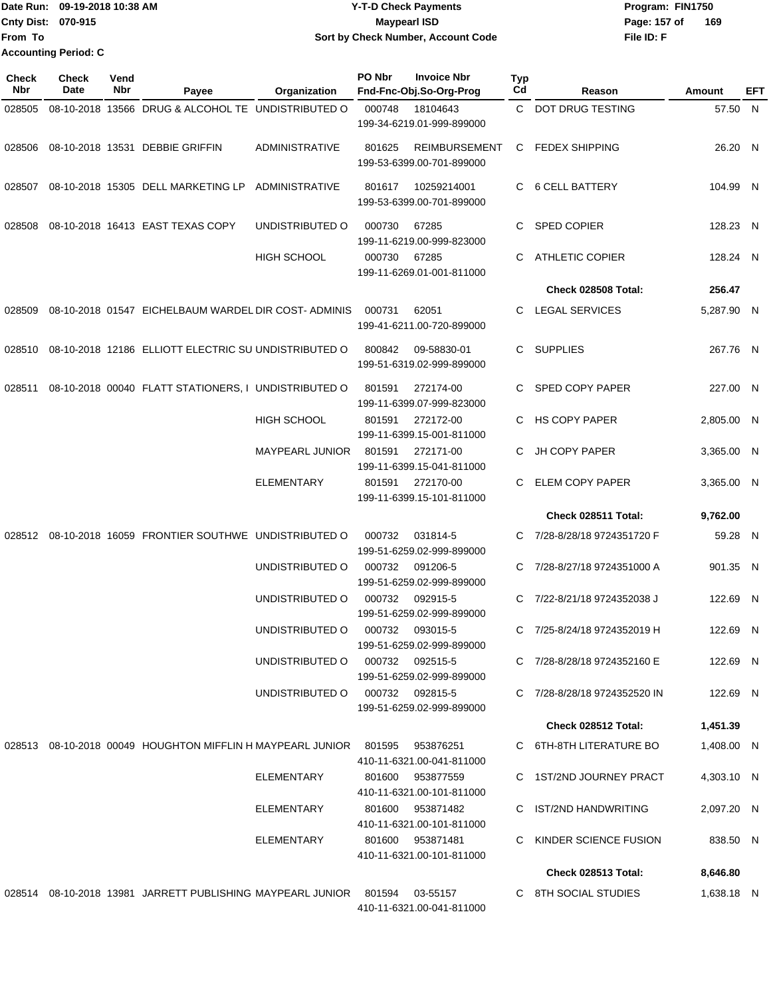|                     | Date Run: 09-19-2018 10:38 AM<br><b>Y-T-D Check Payments</b> |                    |                                   |                                    | Program: FIN1750 |                                               |                       |                  |              |         |     |
|---------------------|--------------------------------------------------------------|--------------------|-----------------------------------|------------------------------------|------------------|-----------------------------------------------|-----------------------|------------------|--------------|---------|-----|
|                     | Cnty Dist: 070-915                                           |                    |                                   |                                    |                  | <b>Maypearl ISD</b>                           |                       |                  | Page: 157 of | 169     |     |
| From To             |                                                              |                    |                                   | Sort by Check Number, Account Code |                  |                                               |                       | File ID: F       |              |         |     |
|                     | <b>Accounting Period: C</b>                                  |                    |                                   |                                    |                  |                                               |                       |                  |              |         |     |
| <b>Check</b><br>Nbr | <b>Check</b><br>Date                                         | Vend<br><b>Nbr</b> | Pavee                             | Organization                       | PO Nbr           | <b>Invoice Nbr</b><br>Fnd-Fnc-Obj.So-Org-Prog | Typ<br>C <sub>d</sub> | Reason           |              | Amount  | EFT |
| 028505              | 08-10-2018 13566                                             |                    | DRUG & ALCOHOL TE UNDISTRIBUTED O |                                    | 000748           | 18104643                                      |                       | DOT DRUG TESTING |              | 57.50 N |     |

|  |                                                                                |                                  |              | 199-34-6219.01-999-899000                                   |                              |            |  |
|--|--------------------------------------------------------------------------------|----------------------------------|--------------|-------------------------------------------------------------|------------------------------|------------|--|
|  | 028506 08-10-2018 13531 DEBBIE GRIFFIN                                         | ADMINISTRATIVE                   | 801625       | REIMBURSEMENT C FEDEX SHIPPING<br>199-53-6399.00-701-899000 |                              | 26.20 N    |  |
|  | 028507 08-10-2018 15305 DELL MARKETING LP ADMINISTRATIVE                       |                                  |              | 801617  10259214001<br>199-53-6399.00-701-899000            | C 6 CELL BATTERY             | 104.99 N   |  |
|  | 028508 08-10-2018 16413 EAST TEXAS COPY                                        | UNDISTRIBUTED O                  | 000730       | 67285<br>199-11-6219.00-999-823000                          | C SPED COPIER                | 128.23 N   |  |
|  |                                                                                | <b>HIGH SCHOOL</b>               | 000730 67285 | 199-11-6269.01-001-811000                                   | C ATHLETIC COPIER            | 128.24 N   |  |
|  |                                                                                |                                  |              |                                                             | <b>Check 028508 Total:</b>   | 256.47     |  |
|  | 028509  08-10-2018  01547  EICHELBAUM WARDEL DIR COST- ADMINIS  000731         |                                  |              | 62051<br>199-41-6211.00-720-899000                          | C LEGAL SERVICES             | 5,287.90 N |  |
|  | 028510 08-10-2018 12186 ELLIOTT ELECTRIC SU UNDISTRIBUTED O 800842 09-58830-01 |                                  |              | 199-51-6319.02-999-899000                                   | C SUPPLIES                   | 267.76 N   |  |
|  | 028511  08-10-2018  00040  FLATT STATIONERS, I UNDISTRIBUTED   0   801591      |                                  |              | 272174-00<br>199-11-6399.07-999-823000                      | C SPED COPY PAPER            | 227.00 N   |  |
|  |                                                                                | <b>HIGH SCHOOL</b>               |              | 801591 272172-00<br>199-11-6399.15-001-811000               | C HS COPY PAPER              | 2,805.00 N |  |
|  |                                                                                | MAYPEARL JUNIOR 801591 272171-00 |              | 199-11-6399.15-041-811000                                   | C JH COPY PAPER              | 3.365.00 N |  |
|  |                                                                                | ELEMENTARY                       |              | 801591 272170-00<br>199-11-6399.15-101-811000               | C ELEM COPY PAPER            | 3.365.00 N |  |
|  |                                                                                |                                  |              |                                                             | Check 028511 Total:          | 9,762.00   |  |
|  | 028512  08-10-2018  16059  FRONTIER SOUTHWE  UNDISTRIBUTED   000732            |                                  |              | 031814-5<br>199-51-6259.02-999-899000                       | C 7/28-8/28/18 9724351720 F  | 59.28 N    |  |
|  |                                                                                | UNDISTRIBUTED O 000732 091206-5  |              | 199-51-6259.02-999-899000                                   | C 7/28-8/27/18 9724351000 A  | 901.35 N   |  |
|  |                                                                                | UNDISTRIBUTED 0 000732 092915-5  |              | 199-51-6259.02-999-899000                                   | C 7/22-8/21/18 9724352038 J  | 122.69 N   |  |
|  |                                                                                | UNDISTRIBUTED 0 000732 093015-5  |              | 199-51-6259.02-999-899000                                   | C 7/25-8/24/18 9724352019 H  | 122.69 N   |  |
|  |                                                                                | UNDISTRIBUTED O                  |              | 000732 092515-5<br>199-51-6259.02-999-899000                | C 7/28-8/28/18 9724352160 E  | 122.69 N   |  |
|  |                                                                                | UNDISTRIBUTED O                  | 000732       | 092815-5<br>199-51-6259.02-999-899000                       | C 7/28-8/28/18 9724352520 IN | 122.69 N   |  |
|  |                                                                                |                                  |              |                                                             | Check 028512 Total:          | 1,451.39   |  |
|  | 028513 08-10-2018 00049 HOUGHTON MIFFLIN H MAYPEARL JUNIOR 801595              |                                  |              | 953876251<br>410-11-6321.00-041-811000                      | C 6TH-8TH LITERATURE BO      | 1,408.00 N |  |
|  |                                                                                | ELEMENTARY                       |              | 801600 953877559<br>410-11-6321.00-101-811000               | C 1ST/2ND JOURNEY PRACT      | 4,303.10 N |  |
|  |                                                                                | <b>ELEMENTARY</b>                |              | 801600 953871482<br>410-11-6321.00-101-811000               | C IST/2ND HANDWRITING        | 2,097.20 N |  |
|  |                                                                                | ELEMENTARY                       |              | 801600 953871481<br>410-11-6321.00-101-811000               | C KINDER SCIENCE FUSION      | 838.50 N   |  |
|  |                                                                                |                                  |              |                                                             | Check 028513 Total:          | 8,646.80   |  |
|  | 028514 08-10-2018 13981 JARRETT PUBLISHING MAYPEARL JUNIOR 801594 03-55157     |                                  |              | 410-11-6321.00-041-811000                                   | C 8TH SOCIAL STUDIES         | 1,638.18 N |  |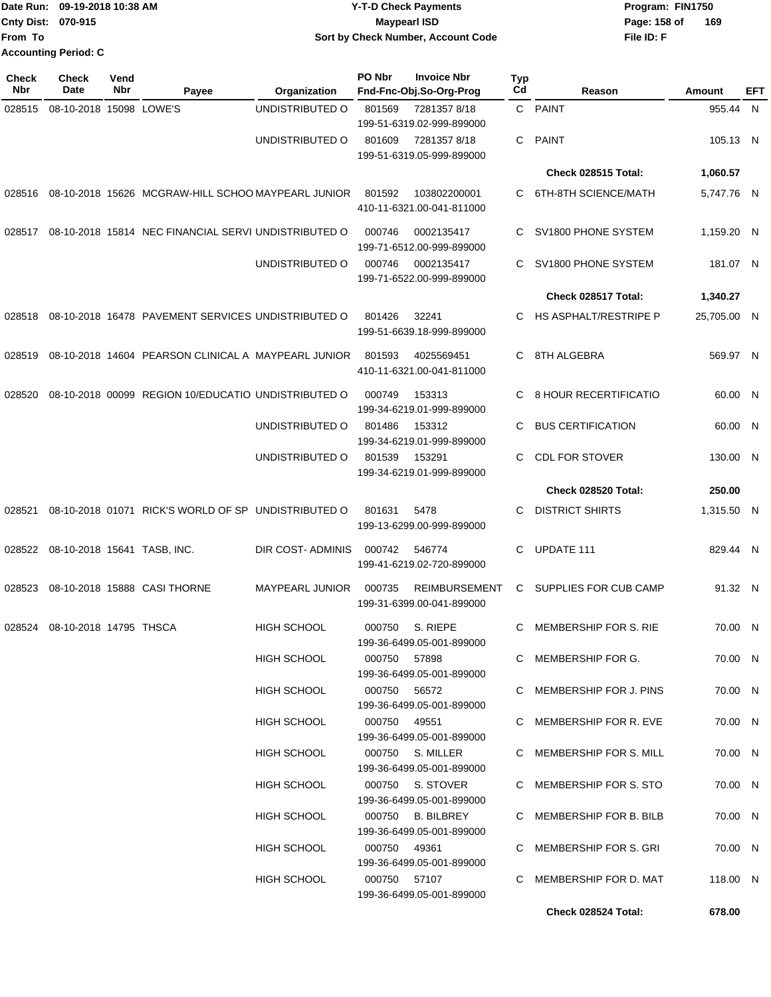|                             | Date Run: 09-19-2018 10:38 AM | <b>Y-T-D Check Payments</b>        | Program: FIN1750    |
|-----------------------------|-------------------------------|------------------------------------|---------------------|
| <b>Cnty Dist: 070-915</b>   |                               | Maypearl ISD                       | 169<br>Page: 158 of |
| From To                     |                               | Sort by Check Number, Account Code | File ID: F          |
| <b>Accounting Period: C</b> |                               |                                    |                     |

| <b>Check</b><br>Nbr | <b>Check</b><br><b>Date</b>        | Vend<br>Nbr | Payee                                                | Organization           | PO Nbr       | <b>Invoice Nbr</b><br>Fnd-Fnc-Obj.So-Org-Prog     | <b>Typ</b><br>Cd | Reason                   | Amount      | EFT |
|---------------------|------------------------------------|-------------|------------------------------------------------------|------------------------|--------------|---------------------------------------------------|------------------|--------------------------|-------------|-----|
| 028515              | 08-10-2018 15098 LOWE'S            |             |                                                      | UNDISTRIBUTED O        | 801569       | 72813578/18<br>199-51-6319.02-999-899000          |                  | C PAINT                  | 955.44 N    |     |
|                     |                                    |             |                                                      | UNDISTRIBUTED O        | 801609       | 72813578/18<br>199-51-6319.05-999-899000          | C                | <b>PAINT</b>             | 105.13 N    |     |
|                     |                                    |             |                                                      |                        |              |                                                   |                  | Check 028515 Total:      | 1,060.57    |     |
| 028516              |                                    |             | 08-10-2018 15626 MCGRAW-HILL SCHOO MAYPEARL JUNIOR   |                        | 801592       | 103802200001<br>410-11-6321.00-041-811000         | C                | 6TH-8TH SCIENCE/MATH     | 5,747.76 N  |     |
| 028517              |                                    |             | 08-10-2018 15814 NEC FINANCIAL SERVI UNDISTRIBUTED O |                        | 000746       | 0002135417<br>199-71-6512.00-999-899000           | C                | SV1800 PHONE SYSTEM      | 1,159.20 N  |     |
|                     |                                    |             |                                                      | UNDISTRIBUTED O        | 000746       | 0002135417<br>199-71-6522.00-999-899000           |                  | SV1800 PHONE SYSTEM      | 181.07 N    |     |
|                     |                                    |             |                                                      |                        |              |                                                   |                  | Check 028517 Total:      | 1,340.27    |     |
| 028518              |                                    |             | 08-10-2018 16478 PAVEMENT SERVICES UNDISTRIBUTED O   |                        | 801426       | 32241<br>199-51-6639.18-999-899000                | C.               | HS ASPHALT/RESTRIPE P    | 25,705.00 N |     |
| 028519              |                                    |             | 08-10-2018 14604 PEARSON CLINICAL A MAYPEARL JUNIOR  |                        | 801593       | 4025569451<br>410-11-6321.00-041-811000           | C                | 8TH ALGEBRA              | 569.97 N    |     |
| 028520              |                                    |             | 08-10-2018 00099 REGION 10/EDUCATIO UNDISTRIBUTED O  |                        | 000749       | 153313<br>199-34-6219.01-999-899000               | C                | 8 HOUR RECERTIFICATIO    | 60.00 N     |     |
|                     |                                    |             |                                                      | UNDISTRIBUTED O        | 801486       | 153312<br>199-34-6219.01-999-899000               | C                | <b>BUS CERTIFICATION</b> | 60.00 N     |     |
|                     |                                    |             |                                                      | UNDISTRIBUTED O        | 801539       | 153291<br>199-34-6219.01-999-899000               | C                | <b>CDL FOR STOVER</b>    | 130.00 N    |     |
|                     |                                    |             |                                                      |                        |              |                                                   |                  | Check 028520 Total:      | 250.00      |     |
| 028521              |                                    |             | 08-10-2018 01071 RICK'S WORLD OF SP UNDISTRIBUTED O  |                        | 801631       | 5478<br>199-13-6299.00-999-899000                 | C                | <b>DISTRICT SHIRTS</b>   | 1,315.50 N  |     |
|                     | 028522 08-10-2018 15641 TASB, INC. |             |                                                      | DIR COST-ADMINIS       | 000742       | 546774<br>199-41-6219.02-720-899000               | C                | UPDATE 111               | 829.44 N    |     |
| 028523              |                                    |             | 08-10-2018 15888 CASI THORNE                         | <b>MAYPEARL JUNIOR</b> | 000735       | <b>REIMBURSEMENT</b><br>199-31-6399.00-041-899000 | C.               | SUPPLIES FOR CUB CAMP    | 91.32 N     |     |
| 028524              | 08-10-2018 14795 THSCA             |             |                                                      | <b>HIGH SCHOOL</b>     | 000750       | S. RIEPE<br>199-36-6499.05-001-899000             | C                | MEMBERSHIP FOR S. RIE    | 70.00 N     |     |
|                     |                                    |             |                                                      | <b>HIGH SCHOOL</b>     | 000750 57898 | 199-36-6499.05-001-899000                         |                  | C MEMBERSHIP FOR G.      | 70.00 N     |     |
|                     |                                    |             |                                                      | HIGH SCHOOL            | 000750 56572 | 199-36-6499.05-001-899000                         |                  | C MEMBERSHIP FOR J. PINS | 70.00 N     |     |
|                     |                                    |             |                                                      | <b>HIGH SCHOOL</b>     | 000750 49551 | 199-36-6499.05-001-899000                         |                  | C MEMBERSHIP FOR R. EVE  | 70.00 N     |     |
|                     |                                    |             |                                                      | <b>HIGH SCHOOL</b>     |              | 000750 S. MILLER<br>199-36-6499.05-001-899000     |                  | C MEMBERSHIP FOR S. MILL | 70.00 N     |     |
|                     |                                    |             |                                                      | HIGH SCHOOL            |              | 000750 S. STOVER<br>199-36-6499.05-001-899000     |                  | C MEMBERSHIP FOR S. STO  | 70.00 N     |     |
|                     |                                    |             |                                                      | HIGH SCHOOL            | 000750       | <b>B. BILBREY</b><br>199-36-6499.05-001-899000    |                  | C MEMBERSHIP FOR B. BILB | 70.00 N     |     |
|                     |                                    |             |                                                      | <b>HIGH SCHOOL</b>     | 000750 49361 | 199-36-6499.05-001-899000                         |                  | C MEMBERSHIP FOR S. GRI  | 70.00 N     |     |
|                     |                                    |             |                                                      | HIGH SCHOOL            | 000750 57107 | 199-36-6499.05-001-899000                         |                  | C MEMBERSHIP FOR D. MAT  | 118.00 N    |     |
|                     |                                    |             |                                                      |                        |              |                                                   |                  | Check 028524 Total:      | 678.00      |     |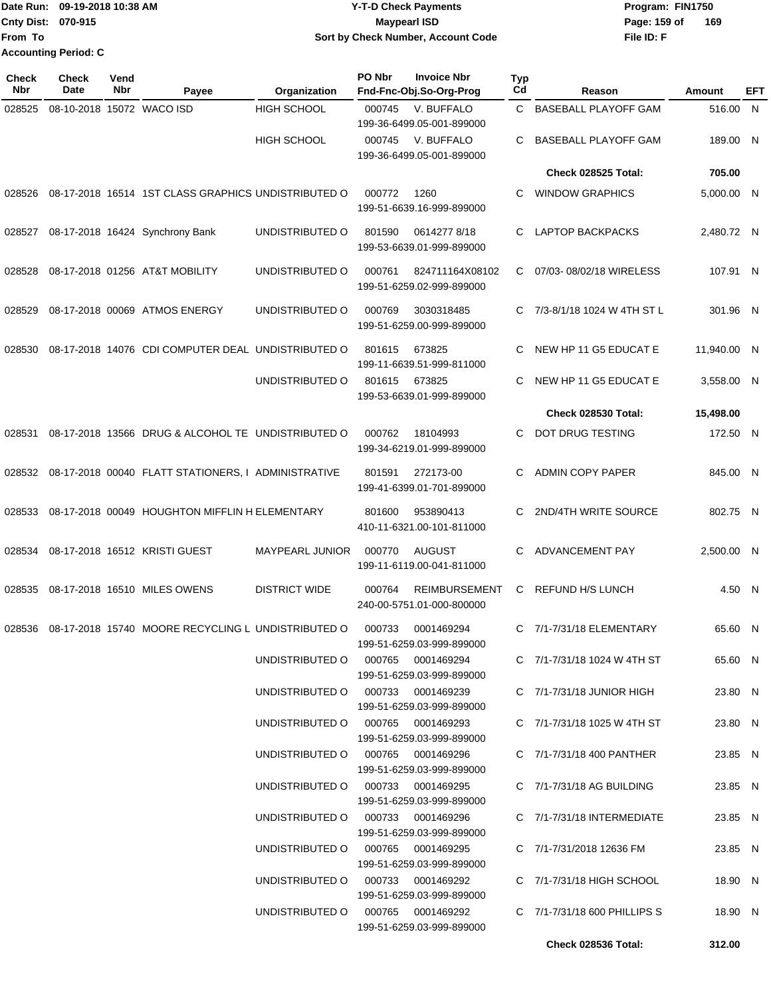**From To Accounting Period: C**

## Date Run: 09-19-2018 10:38 AM **CONTEX 18 AM CONTEX 18 AM CONTEX 17-T-D** Check Payments **CONTEX 18 AM CONTEX 18 AM CONTEX 18 AM CONTEX 18 AM CONTEX 18 AM CONTEX 18 AM CONTEX 18 AM CONTEX 18 AM CONTEX 19 AM CONTEX 19 AM CONT Cnty Dist:** 070-915 **Page:** 159 of **09-19-2018 10:38 AM Y-T-D Check Payments 070-915 Maypearl ISD Sort by Check Number, Account Code**

| Check<br>Nbr | <b>Check</b><br>Date | Vend<br>Nbr | Payee                                               | Organization                      | PO Nbr | <b>Invoice Nbr</b><br>Fnd-Fnc-Obj.So-Org-Prog     | <b>Typ</b><br>Cd | Reason                          | Amount      | EFT |
|--------------|----------------------|-------------|-----------------------------------------------------|-----------------------------------|--------|---------------------------------------------------|------------------|---------------------------------|-------------|-----|
| 028525       |                      |             | 08-10-2018 15072 WACO ISD                           | <b>HIGH SCHOOL</b>                | 000745 | V. BUFFALO<br>199-36-6499.05-001-899000           | C.               | <b>BASEBALL PLAYOFF GAM</b>     | 516.00 N    |     |
|              |                      |             |                                                     | <b>HIGH SCHOOL</b>                | 000745 | V. BUFFALO<br>199-36-6499.05-001-899000           | C                | <b>BASEBALL PLAYOFF GAM</b>     | 189.00 N    |     |
|              |                      |             |                                                     |                                   |        |                                                   |                  | Check 028525 Total:             | 705.00      |     |
| 028526       |                      |             | 08-17-2018 16514 1ST CLASS GRAPHICS UNDISTRIBUTED O |                                   | 000772 | 1260<br>199-51-6639.16-999-899000                 | C                | <b>WINDOW GRAPHICS</b>          | 5,000.00 N  |     |
| 028527       |                      |             | 08-17-2018 16424 Synchrony Bank                     | UNDISTRIBUTED O                   | 801590 | 06142778/18<br>199-53-6639.01-999-899000          | C                | <b>LAPTOP BACKPACKS</b>         | 2,480.72 N  |     |
| 028528       |                      |             | 08-17-2018 01256 AT&T MOBILITY                      | UNDISTRIBUTED O                   | 000761 | 824711164X08102<br>199-51-6259.02-999-899000      | C                | 07/03-08/02/18 WIRELESS         | 107.91 N    |     |
| 028529       |                      |             | 08-17-2018 00069 ATMOS ENERGY                       | UNDISTRIBUTED O                   | 000769 | 3030318485<br>199-51-6259.00-999-899000           | C                | 7/3-8/1/18 1024 W 4TH ST L      | 301.96 N    |     |
| 028530       |                      |             | 08-17-2018 14076 CDI COMPUTER DEAL UNDISTRIBUTED O  |                                   | 801615 | 673825<br>199-11-6639.51-999-811000               | C                | NEW HP 11 G5 EDUCAT E           | 11,940.00 N |     |
|              |                      |             |                                                     | UNDISTRIBUTED O                   | 801615 | 673825<br>199-53-6639.01-999-899000               | C                | NEW HP 11 G5 EDUCAT E           | 3,558.00 N  |     |
|              |                      |             |                                                     |                                   |        |                                                   |                  | Check 028530 Total:             | 15,498.00   |     |
| 028531       |                      |             | 08-17-2018 13566 DRUG & ALCOHOL TE UNDISTRIBUTED O  |                                   | 000762 | 18104993<br>199-34-6219.01-999-899000             | C                | DOT DRUG TESTING                | 172.50 N    |     |
| 028532       |                      |             | 08-17-2018 00040 FLATT STATIONERS, I ADMINISTRATIVE |                                   | 801591 | 272173-00<br>199-41-6399.01-701-899000            | C                | <b>ADMIN COPY PAPER</b>         | 845.00 N    |     |
| 028533       |                      |             | 08-17-2018 00049 HOUGHTON MIFFLIN H ELEMENTARY      |                                   | 801600 | 953890413<br>410-11-6321.00-101-811000            | C                | 2ND/4TH WRITE SOURCE            | 802.75 N    |     |
| 028534       |                      |             | 08-17-2018 16512 KRISTI GUEST                       | MAYPEARL JUNIOR                   | 000770 | AUGUST<br>199-11-6119.00-041-811000               | C                | ADVANCEMENT PAY                 | 2,500.00 N  |     |
| 028535       |                      |             | 08-17-2018 16510 MILES OWENS                        | <b>DISTRICT WIDE</b>              | 000764 | <b>REIMBURSEMENT</b><br>240-00-5751.01-000-800000 | C                | REFUND H/S LUNCH                | 4.50 N      |     |
| 028536       |                      |             | 08-17-2018 15740 MOORE RECYCLING L UNDISTRIBUTED O  |                                   | 000733 | 0001469294<br>199-51-6259.03-999-899000           | C                | 7/1-7/31/18 ELEMENTARY          | 65.60 N     |     |
|              |                      |             |                                                     | UNDISTRIBUTED O                   |        | 000765 0001469294<br>199-51-6259.03-999-899000    |                  | C 7/1-7/31/18 1024 W 4TH ST     | 65.60 N     |     |
|              |                      |             |                                                     | UNDISTRIBUTED O 000733 0001469239 |        | 199-51-6259.03-999-899000                         |                  | C $7/1 - 7/31/18$ JUNIOR HIGH   | 23.80 N     |     |
|              |                      |             |                                                     | UNDISTRIBUTED O 000765 0001469293 |        | 199-51-6259.03-999-899000                         |                  | C 7/1-7/31/18 1025 W 4TH ST     | 23.80 N     |     |
|              |                      |             |                                                     | UNDISTRIBUTED O 000765 0001469296 |        | 199-51-6259.03-999-899000                         |                  | C 7/1-7/31/18 400 PANTHER       | 23.85 N     |     |
|              |                      |             |                                                     | UNDISTRIBUTED O 000733 0001469295 |        | 199-51-6259.03-999-899000                         |                  | $C$ $7/1 - 7/31/18$ AG BUILDING | 23.85 N     |     |
|              |                      |             |                                                     | UNDISTRIBUTED O 000733 0001469296 |        | 199-51-6259.03-999-899000                         |                  | C 7/1-7/31/18 INTERMEDIATE      | 23.85 N     |     |
|              |                      |             |                                                     | UNDISTRIBUTED O 000765 0001469295 |        | 199-51-6259.03-999-899000                         |                  | C 7/1-7/31/2018 12636 FM        | 23.85 N     |     |
|              |                      |             |                                                     | UNDISTRIBUTED O 000733 0001469292 |        | 199-51-6259.03-999-899000                         |                  | C $7/1 - 7/31/18$ HIGH SCHOOL   | 18.90 N     |     |
|              |                      |             |                                                     | UNDISTRIBUTED O 000765 0001469292 |        | 199-51-6259.03-999-899000                         |                  | C 7/1-7/31/18 600 PHILLIPS S    | 18.90 N     |     |
|              |                      |             |                                                     |                                   |        |                                                   |                  | Check 028536 Total:             | 312.00      |     |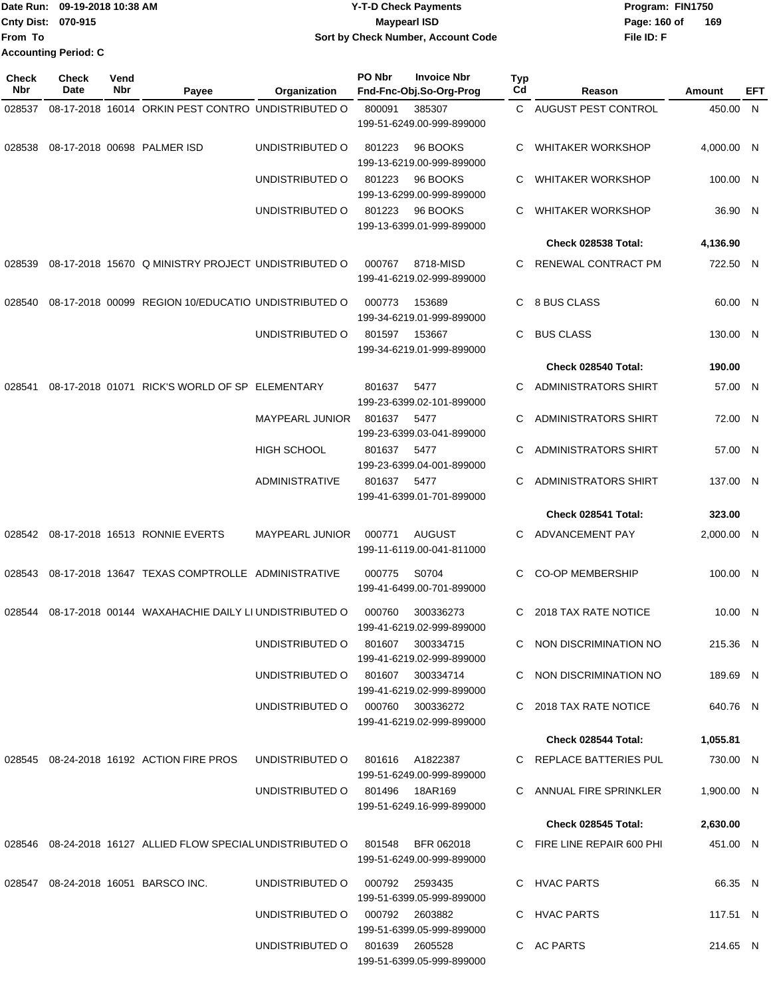|                           | Date Run: 09-19-2018 10:38 AM | <b>Y-T-D Check Payments</b>        | Program: FIN1750    |
|---------------------------|-------------------------------|------------------------------------|---------------------|
| <b>Cnty Dist: 070-915</b> |                               | Mavpearl ISD                       | 169<br>Page: 160 of |
| lFrom To                  |                               | Sort by Check Number, Account Code | File ID: F          |
|                           | <b>Accounting Period: C</b>   |                                    |                     |

| Check<br><b>Nbr</b> | <b>Check</b><br>Date | Vend<br>Nbr | Payee                                                                  | Organization                     | PO Nbr | <b>Invoice Nbr</b><br>Fnd-Fnc-Obj.So-Org-Prog | Typ<br>Cd | Reason                      | Amount     | EFT |
|---------------------|----------------------|-------------|------------------------------------------------------------------------|----------------------------------|--------|-----------------------------------------------|-----------|-----------------------------|------------|-----|
| 028537              |                      |             | 08-17-2018 16014 ORKIN PEST CONTRO UNDISTRIBUTED O                     |                                  | 800091 | 385307<br>199-51-6249.00-999-899000           |           | C AUGUST PEST CONTROL       | 450.00 N   |     |
| 028538              |                      |             | 08-17-2018 00698 PALMER ISD                                            | UNDISTRIBUTED O                  | 801223 | 96 BOOKS<br>199-13-6219.00-999-899000         | C         | <b>WHITAKER WORKSHOP</b>    | 4,000.00 N |     |
|                     |                      |             |                                                                        | UNDISTRIBUTED O                  | 801223 | 96 BOOKS<br>199-13-6299.00-999-899000         | C         | <b>WHITAKER WORKSHOP</b>    | 100.00 N   |     |
|                     |                      |             |                                                                        | UNDISTRIBUTED O                  | 801223 | 96 BOOKS<br>199-13-6399.01-999-899000         | C         | <b>WHITAKER WORKSHOP</b>    | 36.90 N    |     |
|                     |                      |             |                                                                        |                                  |        |                                               |           | Check 028538 Total:         | 4,136.90   |     |
| 028539              |                      |             | 08-17-2018 15670 Q MINISTRY PROJECT UNDISTRIBUTED O                    |                                  | 000767 | 8718-MISD<br>199-41-6219.02-999-899000        | C         | RENEWAL CONTRACT PM         | 722.50 N   |     |
| 028540              |                      |             | 08-17-2018 00099 REGION 10/EDUCATIO UNDISTRIBUTED O                    |                                  | 000773 | 153689<br>199-34-6219.01-999-899000           | C.        | 8 BUS CLASS                 | 60.00 N    |     |
|                     |                      |             |                                                                        | UNDISTRIBUTED O                  | 801597 | 153667<br>199-34-6219.01-999-899000           | C.        | <b>BUS CLASS</b>            | 130.00 N   |     |
|                     |                      |             |                                                                        |                                  |        |                                               |           | Check 028540 Total:         | 190.00     |     |
| 028541              |                      |             | 08-17-2018 01071 RICK'S WORLD OF SP ELEMENTARY                         |                                  | 801637 | 5477<br>199-23-6399.02-101-899000             | C         | <b>ADMINISTRATORS SHIRT</b> | 57.00 N    |     |
|                     |                      |             |                                                                        | <b>MAYPEARL JUNIOR</b>           | 801637 | 5477<br>199-23-6399.03-041-899000             | С         | <b>ADMINISTRATORS SHIRT</b> | 72.00 N    |     |
|                     |                      |             |                                                                        | <b>HIGH SCHOOL</b>               | 801637 | 5477<br>199-23-6399.04-001-899000             | C         | <b>ADMINISTRATORS SHIRT</b> | 57.00 N    |     |
|                     |                      |             |                                                                        | <b>ADMINISTRATIVE</b>            | 801637 | 5477<br>199-41-6399.01-701-899000             | С         | ADMINISTRATORS SHIRT        | 137.00 N   |     |
|                     |                      |             |                                                                        |                                  |        |                                               |           | Check 028541 Total:         | 323.00     |     |
| 028542              |                      |             | 08-17-2018 16513 RONNIE EVERTS                                         | <b>MAYPEARL JUNIOR</b>           | 000771 | <b>AUGUST</b><br>199-11-6119.00-041-811000    | C         | ADVANCEMENT PAY             | 2,000.00 N |     |
| 028543              |                      |             | 08-17-2018 13647 TEXAS COMPTROLLE ADMINISTRATIVE                       |                                  | 000775 | S0704<br>199-41-6499.00-701-899000            | C.        | <b>CO-OP MEMBERSHIP</b>     | 100.00 N   |     |
| 028544              |                      |             | 08-17-2018 00144 WAXAHACHIE DAILY LI UNDISTRIBUTED O                   |                                  | 000760 | 300336273<br>199-41-6219.02-999-899000        | C         | 2018 TAX RATE NOTICE        | 10.00 N    |     |
|                     |                      |             |                                                                        | UNDISTRIBUTED O                  | 801607 | 300334715<br>199-41-6219.02-999-899000        |           | C NON DISCRIMINATION NO     | 215.36 N   |     |
|                     |                      |             |                                                                        | UNDISTRIBUTED O 801607 300334714 |        | 199-41-6219.02-999-899000                     |           | C NON DISCRIMINATION NO     | 189.69 N   |     |
|                     |                      |             |                                                                        | UNDISTRIBUTED O 000760 300336272 |        | 199-41-6219.02-999-899000                     |           | C 2018 TAX RATE NOTICE      | 640.76 N   |     |
|                     |                      |             |                                                                        |                                  |        |                                               |           | Check 028544 Total:         | 1,055.81   |     |
|                     |                      |             | 028545 08-24-2018 16192 ACTION FIRE PROS                               | UNDISTRIBUTED O                  |        | 801616 A1822387<br>199-51-6249.00-999-899000  |           | C REPLACE BATTERIES PUL     | 730.00 N   |     |
|                     |                      |             |                                                                        | UNDISTRIBUTED O 801496 18AR169   |        | 199-51-6249.16-999-899000                     |           | C ANNUAL FIRE SPRINKLER     | 1,900.00 N |     |
|                     |                      |             |                                                                        |                                  |        |                                               |           | Check 028545 Total:         | 2,630.00   |     |
|                     |                      |             | 028546  08-24-2018  16127  ALLIED FLOW SPECIAL UNDISTRIBUTED O  801548 |                                  |        | BFR 062018<br>199-51-6249.00-999-899000       |           | C FIRE LINE REPAIR 600 PHI  | 451.00 N   |     |
|                     |                      |             | 028547 08-24-2018 16051 BARSCO INC.                                    | UNDISTRIBUTED O                  |        | 000792 2593435<br>199-51-6399.05-999-899000   |           | C HVAC PARTS                | 66.35 N    |     |
|                     |                      |             |                                                                        | UNDISTRIBUTED O 000792 2603882   |        | 199-51-6399.05-999-899000                     |           | C HVAC PARTS                | 117.51 N   |     |
|                     |                      |             |                                                                        | UNDISTRIBUTED O 801639 2605528   |        | 199-51-6399.05-999-899000                     |           | C AC PARTS                  | 214.65 N   |     |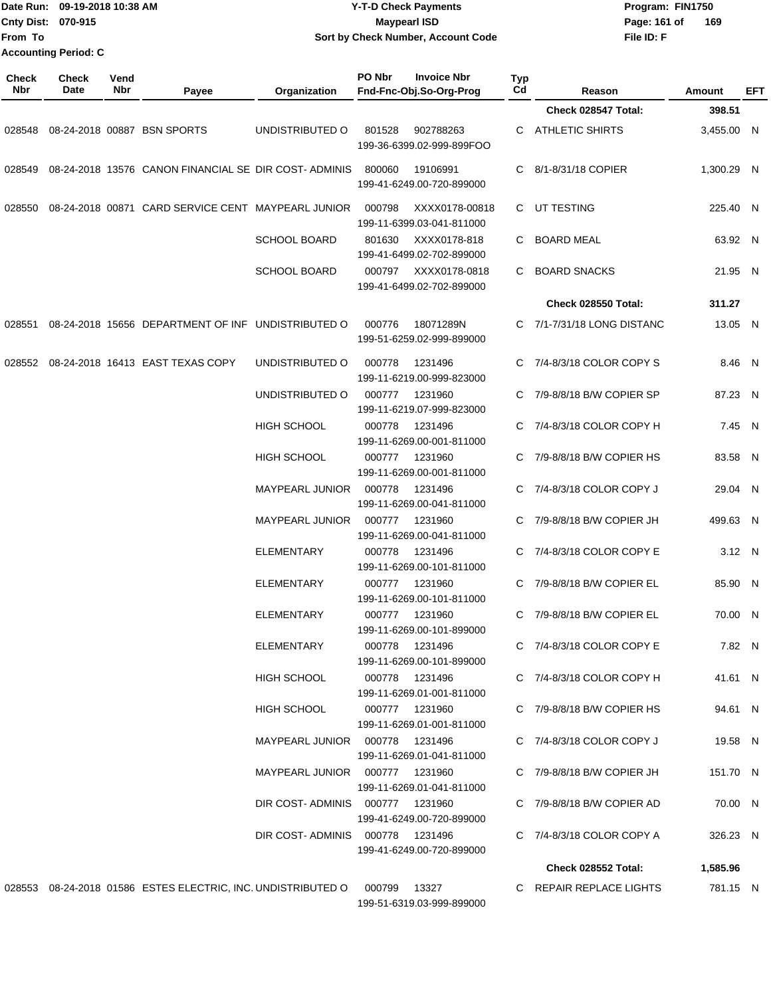| Cnty Dist:<br>From To | Date Run: 09-19-2018 10:38 AM<br>070-915<br><b>Accounting Period: C</b> |             |                                                                           |                        | <b>Y-T-D Check Payments</b><br><b>Maypearl ISD</b><br>Sort by Check Number, Account Code |           |                                | Program: FIN1750<br>Page: 161 of<br>169<br>File ID: F |          |
|-----------------------|-------------------------------------------------------------------------|-------------|---------------------------------------------------------------------------|------------------------|------------------------------------------------------------------------------------------|-----------|--------------------------------|-------------------------------------------------------|----------|
| Check<br>Nbr          | <b>Check</b><br>Date                                                    | Vend<br>Nbr | Payee                                                                     | Organization           | PO Nbr<br><b>Invoice Nbr</b><br>Fnd-Fnc-Obj.So-Org-Prog                                  | Typ<br>Cd | Reason                         | <b>Amount</b>                                         | EFT      |
|                       |                                                                         |             |                                                                           |                        |                                                                                          |           | Check 028547 Total:            | 398.51                                                |          |
| 028548                |                                                                         |             | 08-24-2018 00887 BSN SPORTS                                               | UNDISTRIBUTED O        | 801528<br>902788263<br>199-36-6399.02-999-899FOO                                         | С         | <b>ATHLETIC SHIRTS</b>         | 3,455.00 N                                            |          |
| 028549                |                                                                         |             | 08-24-2018 13576 CANON FINANCIAL SE DIR COST-ADMINIS                      |                        | 800060<br>19106991<br>199-41-6249.00-720-899000                                          | С         | 8/1-8/31/18 COPIER             | 1,300.29 N                                            |          |
| 028550                |                                                                         |             | 08-24-2018 00871 CARD SERVICE CENT MAYPEARL JUNIOR                        |                        | 000798<br>XXXX0178-00818<br>199-11-6399.03-041-811000                                    | C.        | UT TESTING                     |                                                       | 225.40 N |
|                       |                                                                         |             |                                                                           | <b>SCHOOL BOARD</b>    | 801630<br>XXXX0178-818<br>199-41-6499.02-702-899000                                      | С         | <b>BOARD MEAL</b>              |                                                       | 63.92 N  |
|                       |                                                                         |             |                                                                           | SCHOOL BOARD           | XXXX0178-0818<br>000797<br>199-41-6499.02-702-899000                                     | С         | <b>BOARD SNACKS</b>            |                                                       | 21.95 N  |
|                       |                                                                         |             |                                                                           |                        |                                                                                          |           | Check 028550 Total:            | 311.27                                                |          |
| 028551                |                                                                         |             | 08-24-2018 15656 DEPARTMENT OF INF UNDISTRIBUTED O                        |                        | 000776<br>18071289N<br>199-51-6259.02-999-899000                                         | С         | 7/1-7/31/18 LONG DISTANC       |                                                       | 13.05 N  |
| 028552                |                                                                         |             | 08-24-2018 16413 EAST TEXAS COPY                                          | UNDISTRIBUTED O        | 1231496<br>000778<br>199-11-6219.00-999-823000                                           | С         | 7/4-8/3/18 COLOR COPY S        |                                                       | 8.46 N   |
|                       |                                                                         |             |                                                                           | UNDISTRIBUTED O        | 000777<br>1231960<br>199-11-6219.07-999-823000                                           | С         | 7/9-8/8/18 B/W COPIER SP       |                                                       | 87.23 N  |
|                       |                                                                         |             |                                                                           | <b>HIGH SCHOOL</b>     | 000778<br>1231496<br>199-11-6269.00-001-811000                                           | С         | 7/4-8/3/18 COLOR COPY H        |                                                       | 7.45 N   |
|                       |                                                                         |             |                                                                           | <b>HIGH SCHOOL</b>     | 1231960<br>000777<br>199-11-6269.00-001-811000                                           | С         | 7/9-8/8/18 B/W COPIER HS       |                                                       | 83.58 N  |
|                       |                                                                         |             |                                                                           | MAYPEARL JUNIOR        | 000778<br>1231496<br>199-11-6269.00-041-811000                                           | С         | 7/4-8/3/18 COLOR COPY J        |                                                       | 29.04 N  |
|                       |                                                                         |             |                                                                           | <b>MAYPEARL JUNIOR</b> | 000777<br>1231960<br>199-11-6269.00-041-811000                                           | С         | 7/9-8/8/18 B/W COPIER JH       |                                                       | 499.63 N |
|                       |                                                                         |             |                                                                           | <b>ELEMENTARY</b>      | 000778<br>1231496<br>199-11-6269.00-101-811000                                           | C         | 7/4-8/3/18 COLOR COPY E        |                                                       | 3.12 N   |
|                       |                                                                         |             |                                                                           | ELEMENTARY             | 000777 1231960<br>199-11-6269.00-101-811000                                              |           | C $7/9 - 8/8/18$ B/W COPIER EL |                                                       | 85.90 N  |
|                       |                                                                         |             |                                                                           | ELEMENTARY             | 000777 1231960<br>199-11-6269.00-101-899000                                              |           | C 7/9-8/8/18 B/W COPIER EL     |                                                       | 70.00 N  |
|                       |                                                                         |             |                                                                           | ELEMENTARY             | 000778 1231496<br>199-11-6269.00-101-899000                                              |           | C 7/4-8/3/18 COLOR COPY E      |                                                       | 7.82 N   |
|                       |                                                                         |             |                                                                           | <b>HIGH SCHOOL</b>     | 000778 1231496<br>199-11-6269.01-001-811000                                              |           | C 7/4-8/3/18 COLOR COPY H      |                                                       | 41.61 N  |
|                       |                                                                         |             |                                                                           | <b>HIGH SCHOOL</b>     | 000777 1231960<br>199-11-6269.01-001-811000                                              |           | C 7/9-8/8/18 B/W COPIER HS     |                                                       | 94.61 N  |
|                       |                                                                         |             |                                                                           |                        | MAYPEARL JUNIOR  000778  1231496<br>199-11-6269.01-041-811000                            |           | C $7/4 - 8/3/18$ COLOR COPY J  |                                                       | 19.58 N  |
|                       |                                                                         |             |                                                                           |                        | MAYPEARL JUNIOR  000777  1231960<br>199-11-6269.01-041-811000                            |           | C 7/9-8/8/18 B/W COPIER JH     |                                                       | 151.70 N |
|                       |                                                                         |             |                                                                           |                        | DIR COST-ADMINIS 000777 1231960<br>199-41-6249.00-720-899000                             |           | C 7/9-8/8/18 B/W COPIER AD     |                                                       | 70.00 N  |
|                       |                                                                         |             |                                                                           |                        | DIR COST-ADMINIS 000778 1231496<br>199-41-6249.00-720-899000                             |           | C $7/4 - 8/3/18$ COLOR COPY A  |                                                       | 326.23 N |
|                       |                                                                         |             |                                                                           |                        |                                                                                          |           | Check 028552 Total:            | 1,585.96                                              |          |
|                       |                                                                         |             | 028553 08-24-2018 01586 ESTES ELECTRIC, INC. UNDISTRIBUTED O 000799 13327 |                        | 199-51-6319.03-999-899000                                                                |           | C REPAIR REPLACE LIGHTS        |                                                       | 781.15 N |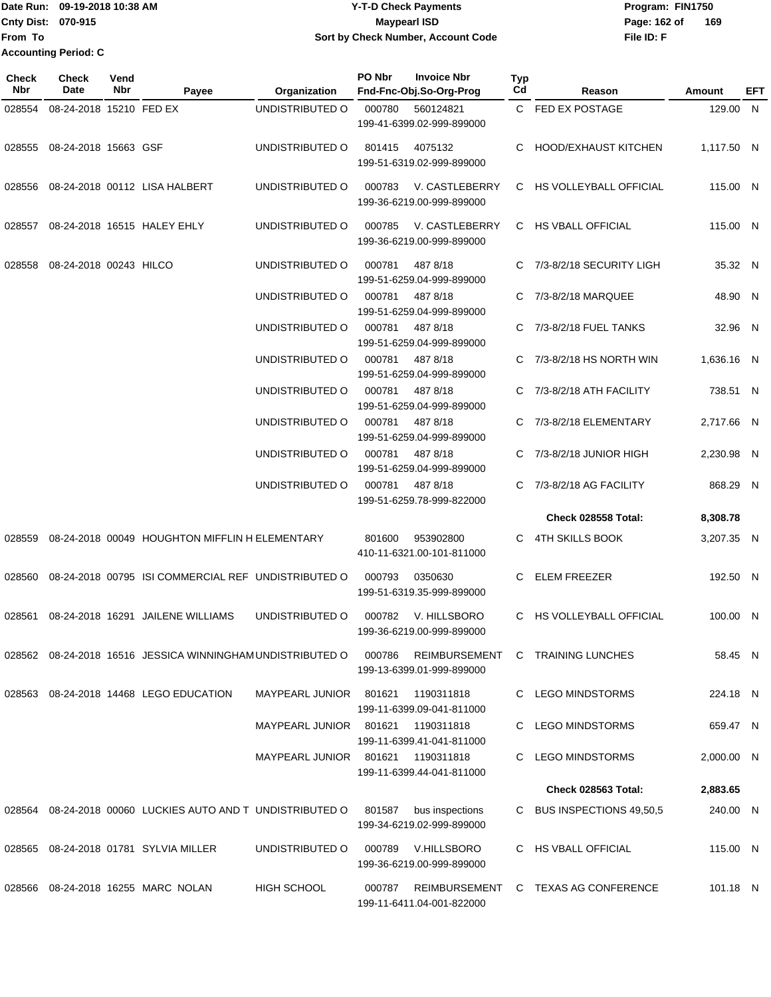Date Run: 09-19-2018 10:38 AM **CONTEX 18 AM CONTEX 18 AM CONTEX 17-T-D** Check Payments **CONTEX 18 AM CONTEX 18 AM CONTEX 18 AM CONTEX 18 AM CONTEX 18 AM CONTEX 18 AM CONTEX 18 AM CONTEX 18 AM CONTEX 19 AM CONTEX 19 AM CONT Cnty Dist: 070-915 From To 09-19-2018 10:38 AM Y-T-D Check Payments 070-915 Maypearl ISD Sort by Check Number, Account Code Accounting Period: C**

**File ID: F** Page: 162 of 169

| Check<br><b>Nbr</b> | Check<br>Date           | Vend<br>Nbr | Payee                                                      | Organization           | PO Nbr | <b>Invoice Nbr</b><br>Fnd-Fnc-Obj.So-Org-Prog | Typ<br>Cd | Reason                              | Amount     | EFT |
|---------------------|-------------------------|-------------|------------------------------------------------------------|------------------------|--------|-----------------------------------------------|-----------|-------------------------------------|------------|-----|
| 028554              | 08-24-2018 15210 FED EX |             |                                                            | UNDISTRIBUTED O        | 000780 | 560124821<br>199-41-6399.02-999-899000        |           | C FED EX POSTAGE                    | 129.00 N   |     |
| 028555              | 08-24-2018 15663 GSF    |             |                                                            | UNDISTRIBUTED O        | 801415 | 4075132<br>199-51-6319.02-999-899000          |           | C HOOD/EXHAUST KITCHEN              | 1,117.50 N |     |
|                     |                         |             | 028556 08-24-2018 00112 LISA HALBERT                       | UNDISTRIBUTED O        | 000783 | V. CASTLEBERRY<br>199-36-6219.00-999-899000   |           | C HS VOLLEYBALL OFFICIAL            | 115.00 N   |     |
| 028557              |                         |             | 08-24-2018 16515 HALEY EHLY                                | UNDISTRIBUTED O        | 000785 | V. CASTLEBERRY<br>199-36-6219.00-999-899000   |           | C HS VBALL OFFICIAL                 | 115.00 N   |     |
| 028558              | 08-24-2018 00243 HILCO  |             |                                                            | UNDISTRIBUTED O        | 000781 | 487 8/18<br>199-51-6259.04-999-899000         |           | C 7/3-8/2/18 SECURITY LIGH          | 35.32 N    |     |
|                     |                         |             |                                                            | UNDISTRIBUTED O        | 000781 | 487 8/18<br>199-51-6259.04-999-899000         |           | C 7/3-8/2/18 MARQUEE                | 48.90 N    |     |
|                     |                         |             |                                                            | UNDISTRIBUTED O        | 000781 | 487 8/18<br>199-51-6259.04-999-899000         |           | C 7/3-8/2/18 FUEL TANKS             | 32.96 N    |     |
|                     |                         |             |                                                            | UNDISTRIBUTED O        | 000781 | 487 8/18<br>199-51-6259.04-999-899000         |           | C $7/3 - 8/2/18$ HS NORTH WIN       | 1,636.16 N |     |
|                     |                         |             |                                                            | UNDISTRIBUTED O        | 000781 | 487 8/18<br>199-51-6259.04-999-899000         |           | C 7/3-8/2/18 ATH FACILITY           | 738.51 N   |     |
|                     |                         |             |                                                            | UNDISTRIBUTED O        | 000781 | 487 8/18<br>199-51-6259.04-999-899000         |           | 7/3-8/2/18 ELEMENTARY               | 2,717.66 N |     |
|                     |                         |             |                                                            | UNDISTRIBUTED O        | 000781 | 487 8/18<br>199-51-6259.04-999-899000         | C         | 7/3-8/2/18 JUNIOR HIGH              | 2,230.98 N |     |
|                     |                         |             |                                                            | UNDISTRIBUTED O        | 000781 | 487 8/18<br>199-51-6259.78-999-822000         |           | C 7/3-8/2/18 AG FACILITY            | 868.29 N   |     |
|                     |                         |             |                                                            |                        |        |                                               |           | <b>Check 028558 Total:</b>          | 8,308.78   |     |
| 028559              |                         |             | 08-24-2018 00049 HOUGHTON MIFFLIN H ELEMENTARY             |                        | 801600 | 953902800<br>410-11-6321.00-101-811000        |           | C 4TH SKILLS BOOK                   | 3,207.35 N |     |
|                     |                         |             | 028560 08-24-2018 00795 ISI COMMERCIAL REF UNDISTRIBUTED O |                        | 000793 | 0350630<br>199-51-6319.35-999-899000          | C         | ELEM FREEZER                        | 192.50 N   |     |
| 028561              |                         |             | 08-24-2018 16291 JAILENE WILLIAMS                          | UNDISTRIBUTED O        | 000782 | V. HILLSBORO<br>199-36-6219.00-999-899000     |           | C HS VOLLEYBALL OFFICIAL            | 100.00 N   |     |
|                     |                         |             | 028562 08-24-2018 16516 JESSICA WINNINGHAM UNDISTRIBUTED O |                        | 000786 | 199-13-6399.01-999-899000                     |           | REIMBURSEMENT C TRAINING LUNCHES    | 58.45 N    |     |
|                     |                         |             | 028563 08-24-2018 14468 LEGO EDUCATION                     | MAYPEARL JUNIOR 801621 |        | 1190311818<br>199-11-6399.09-041-811000       |           | C LEGO MINDSTORMS                   | 224.18 N   |     |
|                     |                         |             |                                                            | MAYPEARL JUNIOR 801621 |        | 1190311818<br>199-11-6399.41-041-811000       |           | C LEGO MINDSTORMS                   | 659.47 N   |     |
|                     |                         |             |                                                            | MAYPEARL JUNIOR        | 801621 | 1190311818<br>199-11-6399.44-041-811000       |           | C LEGO MINDSTORMS                   | 2,000.00 N |     |
|                     |                         |             |                                                            |                        |        |                                               |           | Check 028563 Total:                 | 2,883.65   |     |
|                     |                         |             | 028564 08-24-2018 00060 LUCKIES AUTO AND T UNDISTRIBUTED O |                        | 801587 | bus inspections<br>199-34-6219.02-999-899000  |           | C BUS INSPECTIONS 49,50,5           | 240.00 N   |     |
| 028565              |                         |             | 08-24-2018 01781 SYLVIA MILLER                             | UNDISTRIBUTED O        | 000789 | V.HILLSBORO<br>199-36-6219.00-999-899000      |           | C HS VBALL OFFICIAL                 | 115.00 N   |     |
|                     |                         |             | 028566 08-24-2018 16255 MARC NOLAN                         | <b>HIGH SCHOOL</b>     | 000787 | 199-11-6411.04-001-822000                     |           | REIMBURSEMENT C TEXAS AG CONFERENCE | 101.18 N   |     |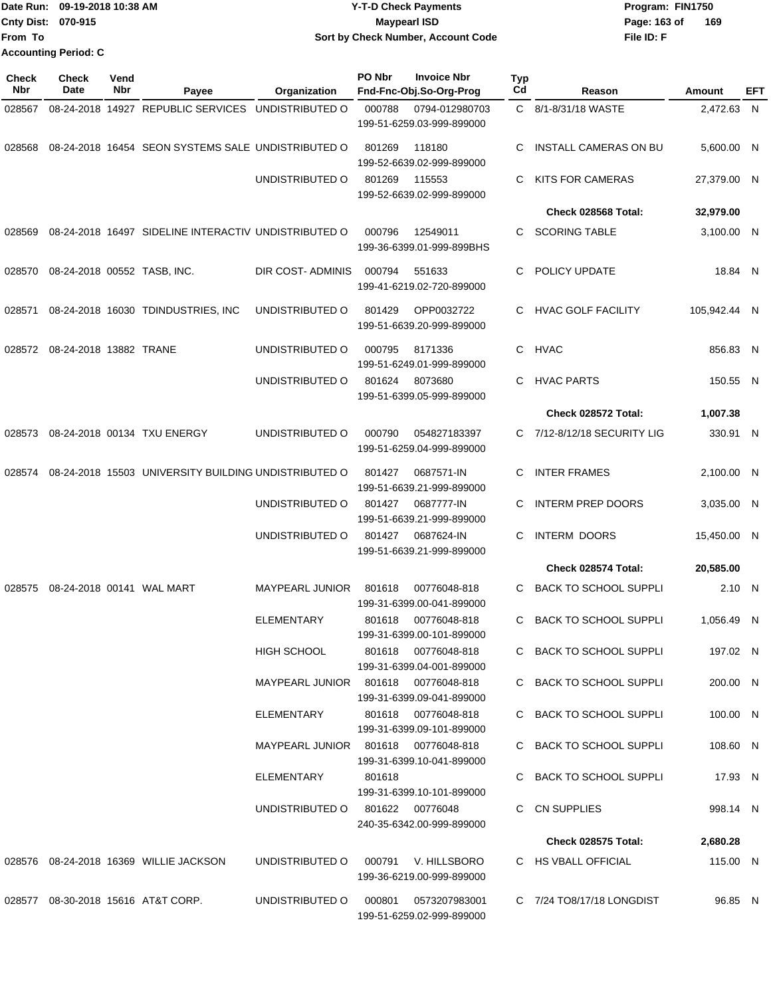|                             | Date Run: 09-19-2018 10:38 AM | <b>Y-T-D Check Payments</b>        | Program: FIN1750    |
|-----------------------------|-------------------------------|------------------------------------|---------------------|
| <b>Cnty Dist: 070-915</b>   |                               | Maypearl ISD                       | 169<br>Page: 163 of |
| <b>IFrom To</b>             |                               | Sort by Check Number, Account Code | File ID: F          |
| <b>Accounting Period: C</b> |                               |                                    |                     |

| <b>Check</b><br>Nbr | <b>Check</b><br>Date        | Vend<br>Nbr | Payee                                                | Organization                          | PO Nbr | <b>Invoice Nbr</b><br>Fnd-Fnc-Obj.So-Org-Prog    | Typ<br>Cd | Reason                       | Amount       | EFT |
|---------------------|-----------------------------|-------------|------------------------------------------------------|---------------------------------------|--------|--------------------------------------------------|-----------|------------------------------|--------------|-----|
| 028567              |                             |             | 08-24-2018 14927 REPUBLIC SERVICES UNDISTRIBUTED O   |                                       | 000788 | 0794-012980703                                   |           | C 8/1-8/31/18 WASTE          | 2,472.63 N   |     |
|                     |                             |             |                                                      |                                       |        | 199-51-6259.03-999-899000                        |           |                              |              |     |
| 028568              |                             |             | 08-24-2018 16454 SEON SYSTEMS SALE UNDISTRIBUTED O   |                                       | 801269 | 118180<br>199-52-6639.02-999-899000              | C.        | INSTALL CAMERAS ON BU        | 5,600.00 N   |     |
|                     |                             |             |                                                      | UNDISTRIBUTED O                       | 801269 | 115553<br>199-52-6639.02-999-899000              | C.        | <b>KITS FOR CAMERAS</b>      | 27,379.00 N  |     |
|                     |                             |             |                                                      |                                       |        |                                                  |           | Check 028568 Total:          | 32,979.00    |     |
| 028569              |                             |             | 08-24-2018 16497 SIDELINE INTERACTIV UNDISTRIBUTED O |                                       | 000796 | 12549011<br>199-36-6399.01-999-899BHS            |           | C SCORING TABLE              | 3,100.00 N   |     |
| 028570              | 08-24-2018 00552 TASB, INC. |             |                                                      | DIR COST-ADMINIS                      | 000794 | 551633<br>199-41-6219.02-720-899000              | C.        | POLICY UPDATE                | 18.84 N      |     |
| 028571              |                             |             | 08-24-2018 16030 TDINDUSTRIES, INC                   | UNDISTRIBUTED O                       | 801429 | OPP0032722<br>199-51-6639.20-999-899000          |           | C HVAC GOLF FACILITY         | 105,942.44 N |     |
| 028572              | 08-24-2018 13882 TRANE      |             |                                                      | UNDISTRIBUTED O                       | 000795 | 8171336<br>199-51-6249.01-999-899000             |           | C HVAC                       | 856.83 N     |     |
|                     |                             |             |                                                      | UNDISTRIBUTED O                       | 801624 | 8073680<br>199-51-6399.05-999-899000             | C.        | <b>HVAC PARTS</b>            | 150.55 N     |     |
|                     |                             |             |                                                      |                                       |        |                                                  |           | Check 028572 Total:          | 1,007.38     |     |
| 028573              |                             |             | 08-24-2018 00134 TXU ENERGY                          | UNDISTRIBUTED O                       | 000790 | 054827183397<br>199-51-6259.04-999-899000        |           | C 7/12-8/12/18 SECURITY LIG  | 330.91 N     |     |
| 028574              |                             |             | 08-24-2018 15503 UNIVERSITY BUILDING UNDISTRIBUTED O |                                       | 801427 | 0687571-IN<br>199-51-6639.21-999-899000          | C         | <b>INTER FRAMES</b>          | 2,100.00 N   |     |
|                     |                             |             |                                                      | UNDISTRIBUTED O                       | 801427 | 0687777-IN<br>199-51-6639.21-999-899000          | C         | <b>INTERM PREP DOORS</b>     | 3,035.00 N   |     |
|                     |                             |             |                                                      | UNDISTRIBUTED O                       | 801427 | 0687624-IN<br>199-51-6639.21-999-899000          | C         | <b>INTERM DOORS</b>          | 15,450.00 N  |     |
|                     |                             |             |                                                      |                                       |        |                                                  |           | Check 028574 Total:          | 20,585.00    |     |
| 028575              |                             |             | 08-24-2018 00141 WAL MART                            | <b>MAYPEARL JUNIOR</b>                | 801618 | 00776048-818<br>199-31-6399.00-041-899000        | C.        | <b>BACK TO SCHOOL SUPPLI</b> | 2.10 N       |     |
|                     |                             |             |                                                      | <b>ELEMENTARY</b>                     | 801618 | 00776048-818<br>199-31-6399.00-101-899000        | C.        | <b>BACK TO SCHOOL SUPPLI</b> | 1.056.49 N   |     |
|                     |                             |             |                                                      | HIGH SCHOOL                           |        | 801618 00776048-818<br>199-31-6399.04-001-899000 |           | C BACK TO SCHOOL SUPPLI      | 197.02 N     |     |
|                     |                             |             |                                                      | MAYPEARL JUNIOR 801618 00776048-818   |        | 199-31-6399.09-041-899000                        |           | C BACK TO SCHOOL SUPPLI      | 200.00 N     |     |
|                     |                             |             |                                                      | ELEMENTARY                            |        | 801618 00776048-818<br>199-31-6399.09-101-899000 |           | C BACK TO SCHOOL SUPPLI      | 100.00 N     |     |
|                     |                             |             |                                                      | MAYPEARL JUNIOR  801618  00776048-818 |        | 199-31-6399.10-041-899000                        |           | C BACK TO SCHOOL SUPPLI      | 108.60 N     |     |
|                     |                             |             |                                                      | ELEMENTARY                            | 801618 | 199-31-6399.10-101-899000                        |           | C BACK TO SCHOOL SUPPLI      | 17.93 N      |     |
|                     |                             |             |                                                      | UNDISTRIBUTED O 801622 00776048       |        | 240-35-6342.00-999-899000                        |           | C CN SUPPLIES                | 998.14 N     |     |
|                     |                             |             |                                                      |                                       |        |                                                  |           | Check 028575 Total:          | 2,680.28     |     |
|                     |                             |             | 028576 08-24-2018 16369 WILLIE JACKSON               | UNDISTRIBUTED O                       |        | 000791 V. HILLSBORO<br>199-36-6219.00-999-899000 |           | C HS VBALL OFFICIAL          | 115.00 N     |     |
|                     |                             |             | 028577 08-30-2018 15616 AT&T CORP.                   | UNDISTRIBUTED O                       | 000801 | 0573207983001<br>199-51-6259.02-999-899000       |           | C 7/24 TO8/17/18 LONGDIST    | 96.85 N      |     |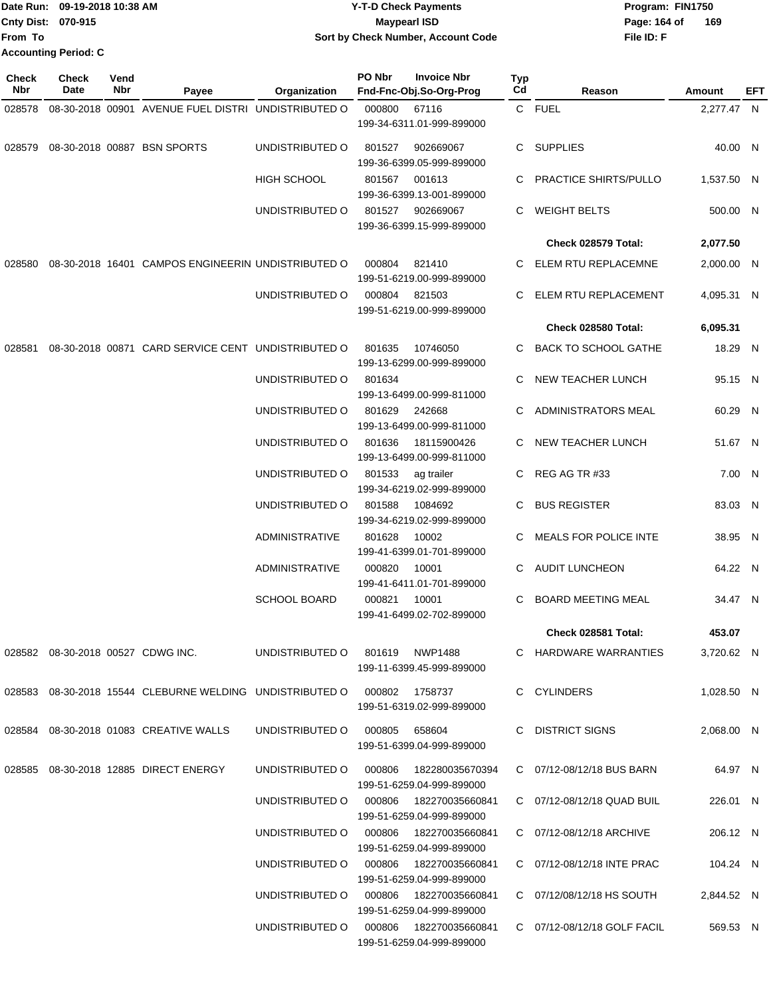|                           | Date Run: 09-19-2018 10:38 AM | <b>Y-T-D Check Payments</b>        | Program: FIN1750    |
|---------------------------|-------------------------------|------------------------------------|---------------------|
| <b>Cnty Dist: 070-915</b> |                               | <b>Mavpearl ISD</b>                | 169<br>Page: 164 of |
| <b>From To</b>            |                               | Sort by Check Number, Account Code | File ID: F          |
|                           | <b>Accounting Period: C</b>   |                                    |                     |

| <b>Check</b><br>Nbr | <b>Check</b><br>Date | Vend<br>Nbr | Payee                                                                        | Organization                              | PO Nbr | <b>Invoice Nbr</b><br>Fnd-Fnc-Obj.So-Org-Prog | <b>Typ</b><br>Cd | Reason                       | Amount     | EFT |
|---------------------|----------------------|-------------|------------------------------------------------------------------------------|-------------------------------------------|--------|-----------------------------------------------|------------------|------------------------------|------------|-----|
| 028578              |                      |             | 08-30-2018 00901 AVENUE FUEL DISTRI UNDISTRIBUTED O                          |                                           | 000800 | 67116                                         |                  | C FUEL                       | 2,277.47 N |     |
|                     |                      |             |                                                                              |                                           |        | 199-34-6311.01-999-899000                     |                  |                              |            |     |
| 028579              |                      |             | 08-30-2018 00887 BSN SPORTS                                                  | UNDISTRIBUTED O                           | 801527 | 902669067                                     |                  | C SUPPLIES                   | 40.00 N    |     |
|                     |                      |             |                                                                              |                                           |        | 199-36-6399.05-999-899000                     |                  |                              |            |     |
|                     |                      |             |                                                                              | <b>HIGH SCHOOL</b>                        | 801567 | 001613<br>199-36-6399.13-001-899000           | C.               | <b>PRACTICE SHIRTS/PULLO</b> | 1,537.50 N |     |
|                     |                      |             |                                                                              | UNDISTRIBUTED O                           | 801527 | 902669067<br>199-36-6399.15-999-899000        | C                | <b>WEIGHT BELTS</b>          | 500.00 N   |     |
|                     |                      |             |                                                                              |                                           |        |                                               |                  | Check 028579 Total:          | 2,077.50   |     |
| 028580              |                      |             | 08-30-2018 16401 CAMPOS ENGINEERIN UNDISTRIBUTED O                           |                                           | 000804 | 821410                                        | C                | ELEM RTU REPLACEMNE          | 2,000.00 N |     |
|                     |                      |             |                                                                              |                                           |        | 199-51-6219.00-999-899000                     |                  |                              |            |     |
|                     |                      |             |                                                                              | UNDISTRIBUTED O                           | 000804 | 821503<br>199-51-6219.00-999-899000           | C                | ELEM RTU REPLACEMENT         | 4,095.31 N |     |
|                     |                      |             |                                                                              |                                           |        |                                               |                  | Check 028580 Total:          | 6,095.31   |     |
| 028581              |                      |             | 08-30-2018 00871 CARD SERVICE CENT UNDISTRIBUTED O                           |                                           | 801635 | 10746050                                      | C                | <b>BACK TO SCHOOL GATHE</b>  | 18.29 N    |     |
|                     |                      |             |                                                                              |                                           |        | 199-13-6299.00-999-899000                     |                  |                              |            |     |
|                     |                      |             |                                                                              | UNDISTRIBUTED O                           | 801634 | 199-13-6499.00-999-811000                     | C                | NEW TEACHER LUNCH            | 95.15 N    |     |
|                     |                      |             |                                                                              | UNDISTRIBUTED O                           | 801629 | 242668                                        |                  | ADMINISTRATORS MEAL          | 60.29 N    |     |
|                     |                      |             |                                                                              |                                           |        | 199-13-6499.00-999-811000                     |                  |                              |            |     |
|                     |                      |             |                                                                              | UNDISTRIBUTED O                           | 801636 | 18115900426<br>199-13-6499.00-999-811000      | C.               | NEW TEACHER LUNCH            | 51.67 N    |     |
|                     |                      |             |                                                                              | UNDISTRIBUTED O                           | 801533 | ag trailer                                    | C.               | REG AG TR #33                | 7.00 N     |     |
|                     |                      |             |                                                                              |                                           |        | 199-34-6219.02-999-899000                     |                  |                              |            |     |
|                     |                      |             |                                                                              | UNDISTRIBUTED O                           | 801588 | 1084692                                       | C.               | <b>BUS REGISTER</b>          | 83.03 N    |     |
|                     |                      |             |                                                                              |                                           |        | 199-34-6219.02-999-899000                     |                  |                              |            |     |
|                     |                      |             |                                                                              | <b>ADMINISTRATIVE</b>                     | 801628 | 10002<br>199-41-6399.01-701-899000            | C.               | <b>MEALS FOR POLICE INTE</b> | 38.95 N    |     |
|                     |                      |             |                                                                              | <b>ADMINISTRATIVE</b>                     | 000820 | 10001<br>199-41-6411.01-701-899000            | C                | <b>AUDIT LUNCHEON</b>        | 64.22 N    |     |
|                     |                      |             |                                                                              | <b>SCHOOL BOARD</b>                       | 000821 | 10001                                         | C                | <b>BOARD MEETING MEAL</b>    | 34.47 N    |     |
|                     |                      |             |                                                                              |                                           |        | 199-41-6499.02-702-899000                     |                  |                              |            |     |
|                     |                      |             |                                                                              |                                           |        |                                               |                  | Check 028581 Total:          | 453.07     |     |
|                     |                      |             | 028582  08-30-2018  00527  CDWG INC.                                         | UNDISTRIBUTED O 801619 NWP1488            |        | 199-11-6399.45-999-899000                     |                  | C HARDWARE WARRANTIES        | 3,720.62 N |     |
|                     |                      |             | 028583  08-30-2018  15544  CLEBURNE WELDING  UNDISTRIBUTED   000802  1758737 |                                           |        |                                               |                  | C CYLINDERS                  | 1,028.50 N |     |
|                     |                      |             |                                                                              |                                           |        | 199-51-6319.02-999-899000                     |                  |                              |            |     |
|                     |                      |             | 028584 08-30-2018 01083 CREATIVE WALLS                                       | UNDISTRIBUTED O 000805 658604             |        | 199-51-6399.04-999-899000                     |                  | C DISTRICT SIGNS             | 2,068.00 N |     |
|                     |                      |             | 028585  08-30-2018  12885  DIRECT ENERGY                                     | UNDISTRIBUTED O   000806  182280035670394 |        | 199-51-6259.04-999-899000                     |                  | C 07/12-08/12/18 BUS BARN    | 64.97 N    |     |
|                     |                      |             |                                                                              | UNDISTRIBUTED O 000806 182270035660841    |        |                                               |                  | C 07/12-08/12/18 QUAD BUIL   | 226.01 N   |     |
|                     |                      |             |                                                                              | UNDISTRIBUTED O 000806 182270035660841    |        | 199-51-6259.04-999-899000                     |                  | C 07/12-08/12/18 ARCHIVE     | 206.12 N   |     |
|                     |                      |             |                                                                              |                                           |        | 199-51-6259.04-999-899000                     |                  |                              |            |     |
|                     |                      |             |                                                                              | UNDISTRIBUTED O 000806 182270035660841    |        | 199-51-6259.04-999-899000                     |                  | C 07/12-08/12/18 INTE PRAC   | 104.24 N   |     |
|                     |                      |             |                                                                              | UNDISTRIBUTED O 000806 182270035660841    |        | 199-51-6259.04-999-899000                     |                  | C 07/12/08/12/18 HS SOUTH    | 2,844.52 N |     |
|                     |                      |             |                                                                              | UNDISTRIBUTED O 000806 182270035660841    |        | 199-51-6259.04-999-899000                     |                  | C 07/12-08/12/18 GOLF FACIL  | 569.53 N   |     |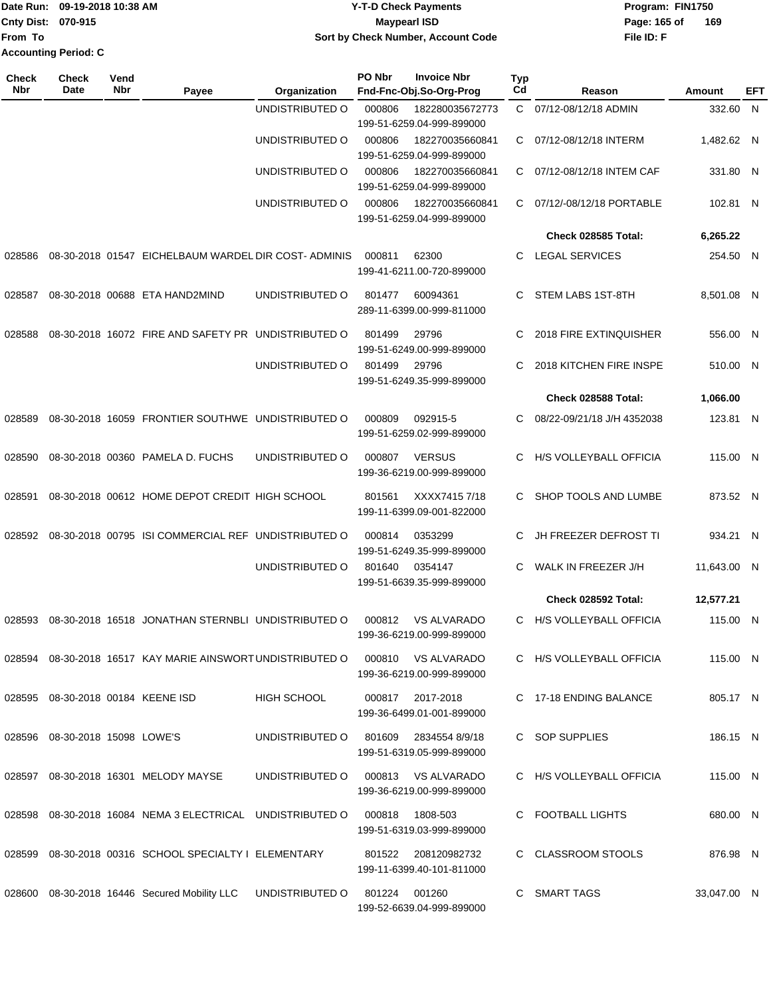|                             | Date Run: 09-19-2018 10:38 AM | Y-T-D Check Payments               | Program: FIN1750 |     |
|-----------------------------|-------------------------------|------------------------------------|------------------|-----|
| <b>Cnty Dist: 070-915</b>   |                               | Maypearl ISD                       | Page: 165 of     | 169 |
| lFrom To                    |                               | Sort by Check Number, Account Code | File ID: F       |     |
| <b>Accounting Period: C</b> |                               |                                    |                  |     |

| Check<br><b>Nbr</b> | <b>Check</b><br>Date              | Vend<br>Nbr | Payee                                               | Organization       | PO Nbr | <b>Invoice Nbr</b><br>Fnd-Fnc-Obj.So-Org-Prog   | <b>Typ</b><br>Cd | Reason                        | Amount      | EFT |
|---------------------|-----------------------------------|-------------|-----------------------------------------------------|--------------------|--------|-------------------------------------------------|------------------|-------------------------------|-------------|-----|
|                     |                                   |             |                                                     | UNDISTRIBUTED O    | 000806 | 182280035672773<br>199-51-6259.04-999-899000    | $\mathsf{C}$     | 07/12-08/12/18 ADMIN          | 332.60 N    |     |
|                     |                                   |             |                                                     | UNDISTRIBUTED O    | 000806 | 182270035660841<br>199-51-6259.04-999-899000    | C.               | 07/12-08/12/18 INTERM         | 1,482.62 N  |     |
|                     |                                   |             |                                                     | UNDISTRIBUTED O    | 000806 | 182270035660841<br>199-51-6259.04-999-899000    | C                | 07/12-08/12/18 INTEM CAF      | 331.80 N    |     |
|                     |                                   |             |                                                     | UNDISTRIBUTED O    | 000806 | 182270035660841<br>199-51-6259.04-999-899000    | C.               | 07/12/-08/12/18 PORTABLE      | 102.81 N    |     |
|                     |                                   |             |                                                     |                    |        |                                                 |                  | Check 028585 Total:           | 6,265.22    |     |
| 028586              |                                   |             | 08-30-2018 01547 EICHELBAUM WARDEL DIR COST-ADMINIS |                    | 000811 | 62300<br>199-41-6211.00-720-899000              | C.               | <b>LEGAL SERVICES</b>         | 254.50 N    |     |
| 028587              |                                   |             | 08-30-2018 00688 ETA HAND2MIND                      | UNDISTRIBUTED O    | 801477 | 60094361<br>289-11-6399.00-999-811000           | C                | STEM LABS 1ST-8TH             | 8,501.08 N  |     |
| 028588              |                                   |             | 08-30-2018 16072 FIRE AND SAFETY PR UNDISTRIBUTED O |                    | 801499 | 29796<br>199-51-6249.00-999-899000              | C                | <b>2018 FIRE EXTINQUISHER</b> | 556.00 N    |     |
|                     |                                   |             |                                                     | UNDISTRIBUTED O    | 801499 | 29796<br>199-51-6249.35-999-899000              | C                | 2018 KITCHEN FIRE INSPE       | 510.00 N    |     |
|                     |                                   |             |                                                     |                    |        |                                                 |                  | Check 028588 Total:           | 1.066.00    |     |
| 028589              |                                   |             | 08-30-2018 16059 FRONTIER SOUTHWE UNDISTRIBUTED O   |                    | 000809 | 092915-5<br>199-51-6259.02-999-899000           | C.               | 08/22-09/21/18 J/H 4352038    | 123.81 N    |     |
| 028590              |                                   |             | 08-30-2018 00360 PAMELA D. FUCHS                    | UNDISTRIBUTED O    | 000807 | <b>VERSUS</b><br>199-36-6219.00-999-899000      | C.               | H/S VOLLEYBALL OFFICIA        | 115.00 N    |     |
| 028591              |                                   |             | 08-30-2018 00612 HOME DEPOT CREDIT HIGH SCHOOL      |                    | 801561 | XXXX74157/18<br>199-11-6399.09-001-822000       | C.               | SHOP TOOLS AND LUMBE          | 873.52 N    |     |
| 028592              |                                   |             | 08-30-2018 00795 ISI COMMERCIAL REF UNDISTRIBUTED O |                    | 000814 | 0353299<br>199-51-6249.35-999-899000            | C.               | JH FREEZER DEFROST TI         | 934.21 N    |     |
|                     |                                   |             |                                                     | UNDISTRIBUTED O    | 801640 | 0354147<br>199-51-6639.35-999-899000            | C                | WALK IN FREEZER J/H           | 11,643.00 N |     |
|                     |                                   |             |                                                     |                    |        |                                                 |                  | Check 028592 Total:           | 12,577.21   |     |
| 028593              |                                   |             | 08-30-2018 16518 JONATHAN STERNBLI UNDISTRIBUTED O  |                    | 000812 | <b>VS ALVARADO</b><br>199-36-6219.00-999-899000 | C.               | H/S VOLLEYBALL OFFICIA        | 115.00 N    |     |
| 028594              |                                   |             | 08-30-2018 16517 KAY MARIE AINSWORT UNDISTRIBUTED O |                    | 000810 | VS ALVARADO<br>199-36-6219.00-999-899000        |                  | C H/S VOLLEYBALL OFFICIA      | 115.00 N    |     |
|                     | 028595 08-30-2018 00184 KEENE ISD |             |                                                     | <b>HIGH SCHOOL</b> | 000817 | 2017-2018<br>199-36-6499.01-001-899000          |                  | C 17-18 ENDING BALANCE        | 805.17 N    |     |
| 028596              | 08-30-2018 15098 LOWE'S           |             |                                                     | UNDISTRIBUTED O    | 801609 | 2834554 8/9/18<br>199-51-6319.05-999-899000     |                  | C SOP SUPPLIES                | 186.15 N    |     |
|                     |                                   |             | 028597 08-30-2018 16301 MELODY MAYSE                | UNDISTRIBUTED O    | 000813 | VS ALVARADO<br>199-36-6219.00-999-899000        |                  | C H/S VOLLEYBALL OFFICIA      | 115.00 N    |     |
| 028598              |                                   |             | 08-30-2018 16084 NEMA 3 ELECTRICAL UNDISTRIBUTED O  |                    | 000818 | 1808-503<br>199-51-6319.03-999-899000           | C.               | <b>FOOTBALL LIGHTS</b>        | 680.00 N    |     |
| 028599              |                                   |             | 08-30-2018 00316 SCHOOL SPECIALTY I ELEMENTARY      |                    | 801522 | 208120982732<br>199-11-6399.40-101-811000       |                  | C CLASSROOM STOOLS            | 876.98 N    |     |
|                     |                                   |             | 028600 08-30-2018 16446 Secured Mobility LLC        | UNDISTRIBUTED O    | 801224 | 001260<br>199-52-6639.04-999-899000             |                  | C SMART TAGS                  | 33,047.00 N |     |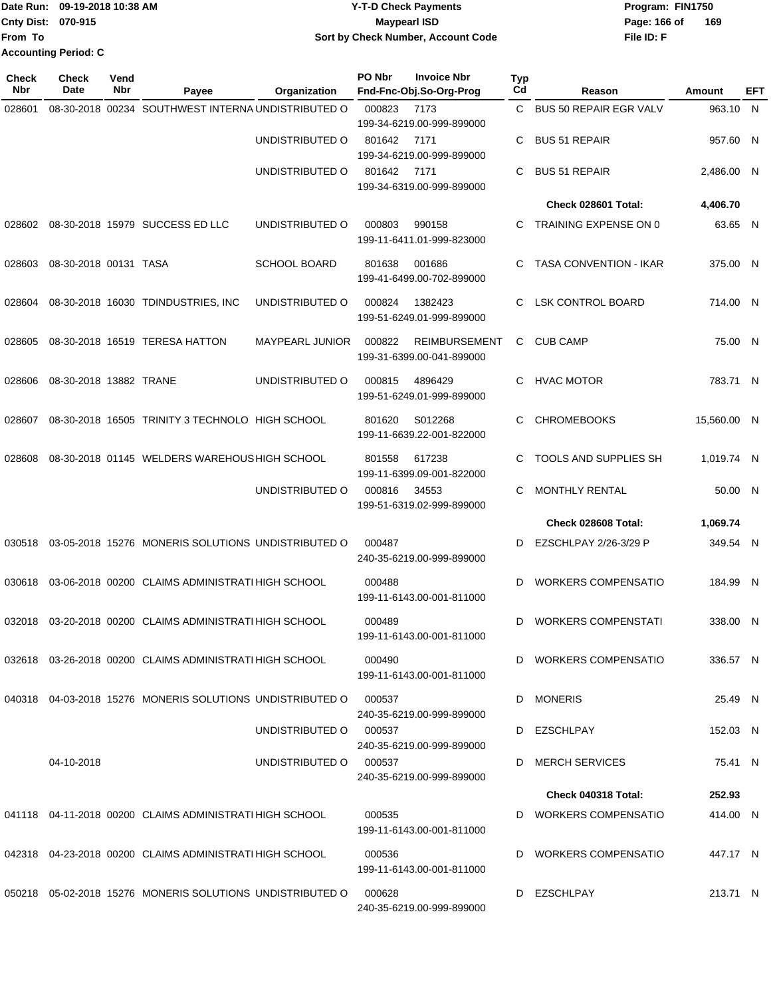|                    | Date Run: 09-19-2018 10:38 AM | Y-T-D Check Payments               | Program: FIN1750    |
|--------------------|-------------------------------|------------------------------------|---------------------|
| Cnty Dist: 070-915 |                               | Mavpearl ISD                       | 169<br>Page: 166 of |
| <b>From To</b>     |                               | Sort by Check Number, Account Code | File ID: F          |
|                    | <b>Accounting Period: C</b>   |                                    |                     |

| Check<br>Nbr | <b>Check</b><br>Date   | Vend<br>Nbr | Payee                                                        |                        | PO Nbr | <b>Invoice Nbr</b><br>Fnd-Fnc-Obj.So-Org-Prog     | Typ<br>Cd | Reason                        | Amount      | EFT |
|--------------|------------------------|-------------|--------------------------------------------------------------|------------------------|--------|---------------------------------------------------|-----------|-------------------------------|-------------|-----|
| 028601       |                        |             | 08-30-2018 00234 SOUTHWEST INTERNA UNDISTRIBUTED O           | <b>Organization</b>    | 000823 | 7173                                              | C.        | <b>BUS 50 REPAIR EGR VALV</b> | 963.10 N    |     |
|              |                        |             |                                                              |                        |        | 199-34-6219.00-999-899000                         |           |                               |             |     |
|              |                        |             |                                                              | UNDISTRIBUTED O        | 801642 | 7171                                              | С         | <b>BUS 51 REPAIR</b>          | 957.60 N    |     |
|              |                        |             |                                                              |                        |        | 199-34-6219.00-999-899000                         |           |                               |             |     |
|              |                        |             |                                                              | UNDISTRIBUTED O        | 801642 | 7171                                              | С         | <b>BUS 51 REPAIR</b>          | 2,486.00 N  |     |
|              |                        |             |                                                              |                        |        | 199-34-6319.00-999-899000                         |           |                               |             |     |
|              |                        |             |                                                              |                        |        |                                                   |           | Check 028601 Total:           | 4,406.70    |     |
| 028602       |                        |             | 08-30-2018 15979 SUCCESS ED LLC                              | UNDISTRIBUTED O        | 000803 | 990158                                            | C         | TRAINING EXPENSE ON 0         | 63.65 N     |     |
|              |                        |             |                                                              |                        |        | 199-11-6411.01-999-823000                         |           |                               |             |     |
| 028603       | 08-30-2018 00131 TASA  |             |                                                              | SCHOOL BOARD           | 801638 | 001686                                            | C         | <b>TASA CONVENTION - IKAR</b> | 375.00 N    |     |
|              |                        |             |                                                              |                        |        | 199-41-6499.00-702-899000                         |           |                               |             |     |
|              |                        |             |                                                              |                        | 000824 |                                                   | C         | <b>LSK CONTROL BOARD</b>      | 714.00 N    |     |
| 028604       |                        |             | 08-30-2018 16030 TDINDUSTRIES, INC                           | UNDISTRIBUTED O        |        | 1382423<br>199-51-6249.01-999-899000              |           |                               |             |     |
|              |                        |             |                                                              |                        |        |                                                   |           |                               |             |     |
| 028605       |                        |             | 08-30-2018 16519 TERESA HATTON                               | <b>MAYPEARL JUNIOR</b> | 000822 | <b>REIMBURSEMENT</b><br>199-31-6399.00-041-899000 | C         | <b>CUB CAMP</b>               | 75.00 N     |     |
|              |                        |             |                                                              |                        |        |                                                   |           |                               |             |     |
| 028606       | 08-30-2018 13882 TRANE |             |                                                              | UNDISTRIBUTED O        | 000815 | 4896429                                           | C         | <b>HVAC MOTOR</b>             | 783.71 N    |     |
|              |                        |             |                                                              |                        |        | 199-51-6249.01-999-899000                         |           |                               |             |     |
| 028607       |                        |             | 08-30-2018 16505 TRINITY 3 TECHNOLO HIGH SCHOOL              |                        | 801620 | S012268                                           | C         | <b>CHROMEBOOKS</b>            | 15,560.00 N |     |
|              |                        |             |                                                              |                        |        | 199-11-6639.22-001-822000                         |           |                               |             |     |
| 028608       |                        |             | 08-30-2018 01145 WELDERS WAREHOUS HIGH SCHOOL                |                        | 801558 | 617238                                            | C         | TOOLS AND SUPPLIES SH         | 1,019.74 N  |     |
|              |                        |             |                                                              |                        |        | 199-11-6399.09-001-822000                         |           |                               |             |     |
|              |                        |             |                                                              | UNDISTRIBUTED O        | 000816 | 34553                                             | C         | <b>MONTHLY RENTAL</b>         | 50.00 N     |     |
|              |                        |             |                                                              |                        |        | 199-51-6319.02-999-899000                         |           |                               |             |     |
|              |                        |             |                                                              |                        |        |                                                   |           | Check 028608 Total:           | 1,069.74    |     |
| 030518       |                        |             | 03-05-2018 15276 MONERIS SOLUTIONS UNDISTRIBUTED O           |                        | 000487 |                                                   | D         | EZSCHLPAY 2/26-3/29 P         | 349.54 N    |     |
|              |                        |             |                                                              |                        |        | 240-35-6219.00-999-899000                         |           |                               |             |     |
| 030618       |                        |             | 03-06-2018 00200 CLAIMS ADMINISTRATI HIGH SCHOOL             |                        | 000488 |                                                   | D         | <b>WORKERS COMPENSATIO</b>    | 184.99 N    |     |
|              |                        |             |                                                              |                        |        | 199-11-6143.00-001-811000                         |           |                               |             |     |
| 032018       |                        |             | 03-20-2018 00200 CLAIMS ADMINISTRATI HIGH SCHOOL             |                        | 000489 |                                                   | D         | <b>WORKERS COMPENSTATI</b>    | 338.00 N    |     |
|              |                        |             |                                                              |                        |        | 199-11-6143.00-001-811000                         |           |                               |             |     |
|              |                        |             | 032618 03-26-2018 00200 CLAIMS ADMINISTRATI HIGH SCHOOL      |                        | 000490 |                                                   |           | D WORKERS COMPENSATIO         | 336.57 N    |     |
|              |                        |             |                                                              |                        |        | 199-11-6143.00-001-811000                         |           |                               |             |     |
|              |                        |             | 040318 04-03-2018 15276 MONERIS SOLUTIONS UNDISTRIBUTED O    |                        | 000537 |                                                   |           | D MONERIS                     | 25.49 N     |     |
|              |                        |             |                                                              |                        |        | 240-35-6219.00-999-899000                         |           |                               |             |     |
|              |                        |             |                                                              | UNDISTRIBUTED O        | 000537 |                                                   |           | D EZSCHLPAY                   | 152.03 N    |     |
|              |                        |             |                                                              |                        |        | 240-35-6219.00-999-899000                         |           |                               |             |     |
|              | 04-10-2018             |             |                                                              | UNDISTRIBUTED O        | 000537 | 240-35-6219.00-999-899000                         |           | D MERCH SERVICES              | 75.41 N     |     |
|              |                        |             |                                                              |                        |        |                                                   |           | Check 040318 Total:           | 252.93      |     |
|              |                        |             | 041118 04-11-2018 00200 CLAIMS ADMINISTRATI HIGH SCHOOL      |                        | 000535 |                                                   |           | D WORKERS COMPENSATIO         | 414.00 N    |     |
|              |                        |             |                                                              |                        |        | 199-11-6143.00-001-811000                         |           |                               |             |     |
|              |                        |             |                                                              |                        |        |                                                   |           |                               |             |     |
|              |                        |             | 042318 04-23-2018 00200 CLAIMS ADMINISTRATI HIGH SCHOOL      |                        | 000536 | 199-11-6143.00-001-811000                         |           | D WORKERS COMPENSATIO         | 447.17 N    |     |
|              |                        |             |                                                              |                        |        |                                                   |           |                               |             |     |
|              |                        |             | 050218  05-02-2018  15276  MONERIS SOLUTIONS UNDISTRIBUTED O |                        | 000628 |                                                   |           | D EZSCHLPAY                   | 213.71 N    |     |
|              |                        |             |                                                              |                        |        | 240-35-6219.00-999-899000                         |           |                               |             |     |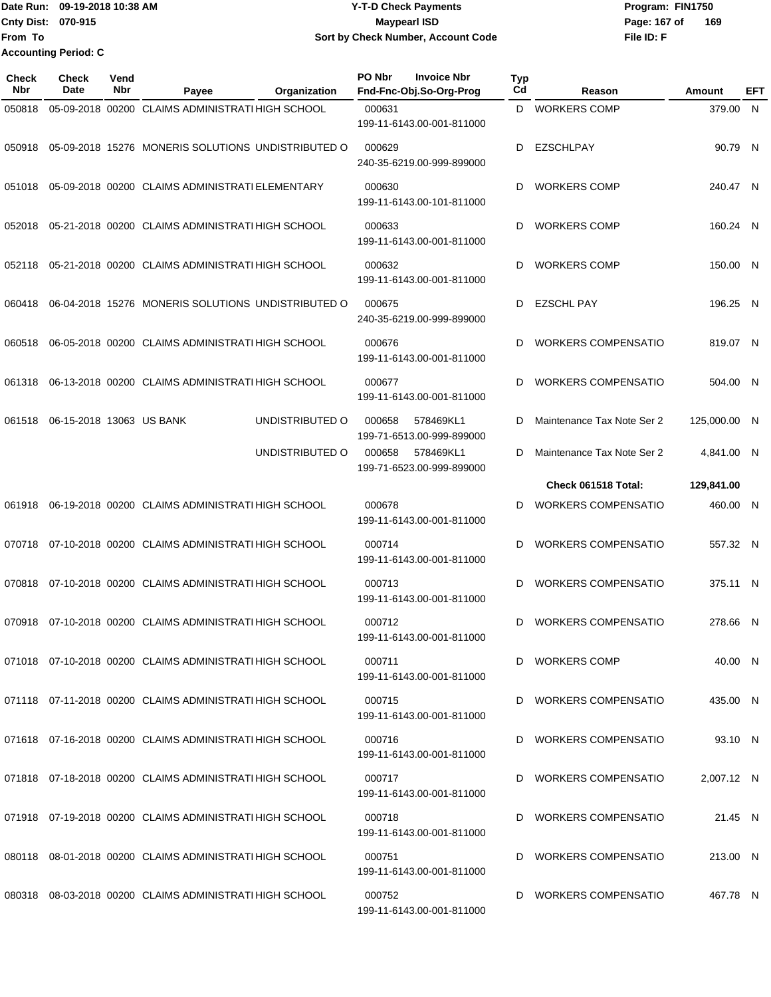Date Run: 09-19-2018 10:38 AM **CONTEX 18 AM CONTEX 18 AM CONTEX 17-T-D** Check Payments **CONTEX 18 AM CONTEX 18 AM CONTEX 18 AM CONTEX 18 AM CONTEX 18 AM CONTEX 18 AM CONTEX 18 AM CONTEX 18 AM CONTEX 19 AM CONTEX 19 AM CONT Cnty Dist:** 070-915 **Page: 167 of Page: 167 of Page: 167 of File ID: F From To 09-19-2018 10:38 AM Y-T-D Check Payments 070-915 Maypearl ISD Sort by Check Number, Account Code 169 Accounting Period: C**

| <b>Check</b><br>Nbr | <b>Check</b><br>Date     | Vend<br>Nbr | Payee<br>Organization                                   | PO Nbr<br><b>Invoice Nbr</b><br>Fnd-Fnc-Obj.So-Org-Prog | Typ<br>Cd | Reason                     | Amount       | EFT |
|---------------------|--------------------------|-------------|---------------------------------------------------------|---------------------------------------------------------|-----------|----------------------------|--------------|-----|
| 050818              |                          |             | 05-09-2018 00200 CLAIMS ADMINISTRATI HIGH SCHOOL        | 000631<br>199-11-6143.00-001-811000                     | D         | <b>WORKERS COMP</b>        | 379.00 N     |     |
| 050918              |                          |             | 05-09-2018 15276 MONERIS SOLUTIONS UNDISTRIBUTED O      | 000629<br>240-35-6219.00-999-899000                     | D         | <b>EZSCHLPAY</b>           | 90.79 N      |     |
| 051018              |                          |             | 05-09-2018 00200 CLAIMS ADMINISTRATI ELEMENTARY         | 000630<br>199-11-6143.00-101-811000                     | D         | <b>WORKERS COMP</b>        | 240.47 N     |     |
| 052018              |                          |             | 05-21-2018 00200 CLAIMS ADMINISTRATI HIGH SCHOOL        | 000633<br>199-11-6143.00-001-811000                     | D         | <b>WORKERS COMP</b>        | 160.24 N     |     |
| 052118              |                          |             | 05-21-2018 00200 CLAIMS ADMINISTRATI HIGH SCHOOL        | 000632<br>199-11-6143.00-001-811000                     | D         | <b>WORKERS COMP</b>        | 150.00 N     |     |
| 060418              |                          |             | 06-04-2018 15276 MONERIS SOLUTIONS UNDISTRIBUTED O      | 000675<br>240-35-6219.00-999-899000                     | D         | <b>EZSCHL PAY</b>          | 196.25 N     |     |
| 060518              |                          |             | 06-05-2018 00200 CLAIMS ADMINISTRATI HIGH SCHOOL        | 000676<br>199-11-6143.00-001-811000                     | D         | <b>WORKERS COMPENSATIO</b> | 819.07 N     |     |
| 061318              |                          |             | 06-13-2018 00200 CLAIMS ADMINISTRATI HIGH SCHOOL        | 000677<br>199-11-6143.00-001-811000                     | D         | <b>WORKERS COMPENSATIO</b> | 504.00 N     |     |
| 061518              | 06-15-2018 13063 US BANK |             | UNDISTRIBUTED O                                         | 000658<br>578469KL1<br>199-71-6513.00-999-899000        | D         | Maintenance Tax Note Ser 2 | 125,000.00 N |     |
|                     |                          |             | UNDISTRIBUTED O                                         | 000658<br>578469KL1<br>199-71-6523.00-999-899000        | D         | Maintenance Tax Note Ser 2 | 4,841.00 N   |     |
|                     |                          |             |                                                         |                                                         |           | Check 061518 Total:        | 129,841.00   |     |
| 061918              |                          |             | 06-19-2018 00200 CLAIMS ADMINISTRATI HIGH SCHOOL        | 000678<br>199-11-6143.00-001-811000                     | D         | <b>WORKERS COMPENSATIO</b> | 460.00 N     |     |
| 070718              |                          |             | 07-10-2018 00200 CLAIMS ADMINISTRATI HIGH SCHOOL        | 000714<br>199-11-6143.00-001-811000                     | D         | <b>WORKERS COMPENSATIO</b> | 557.32 N     |     |
| 070818              |                          |             | 07-10-2018 00200 CLAIMS ADMINISTRATI HIGH SCHOOL        | 000713<br>199-11-6143.00-001-811000                     | D         | <b>WORKERS COMPENSATIO</b> | 375.11 N     |     |
| 070918              |                          |             | 07-10-2018 00200 CLAIMS ADMINISTRATI HIGH SCHOOL        | 000712<br>199-11-6143.00-001-811000                     | D         | <b>WORKERS COMPENSATIO</b> | 278.66 N     |     |
|                     |                          |             | 071018 07-10-2018 00200 CLAIMS ADMINISTRATI HIGH SCHOOL | 000711<br>199-11-6143.00-001-811000                     |           | D WORKERS COMP             | 40.00 N      |     |
|                     |                          |             | 071118 07-11-2018 00200 CLAIMS ADMINISTRATI HIGH SCHOOL | 000715<br>199-11-6143.00-001-811000                     |           | D WORKERS COMPENSATIO      | 435.00 N     |     |
|                     |                          |             | 071618 07-16-2018 00200 CLAIMS ADMINISTRATI HIGH SCHOOL | 000716<br>199-11-6143.00-001-811000                     | D.        | WORKERS COMPENSATIO        | 93.10 N      |     |
|                     |                          |             | 071818 07-18-2018 00200 CLAIMS ADMINISTRATI HIGH SCHOOL | 000717<br>199-11-6143.00-001-811000                     | D         | WORKERS COMPENSATIO        | 2,007.12 N   |     |
|                     |                          |             | 071918 07-19-2018 00200 CLAIMS ADMINISTRATI HIGH SCHOOL | 000718<br>199-11-6143.00-001-811000                     | D         | WORKERS COMPENSATIO        | 21.45 N      |     |
|                     |                          |             | 080118 08-01-2018 00200 CLAIMS ADMINISTRATI HIGH SCHOOL | 000751<br>199-11-6143.00-001-811000                     | D         | WORKERS COMPENSATIO        | 213.00 N     |     |
|                     |                          |             | 080318 08-03-2018 00200 CLAIMS ADMINISTRATI HIGH SCHOOL | 000752<br>199-11-6143.00-001-811000                     |           | D WORKERS COMPENSATIO      | 467.78 N     |     |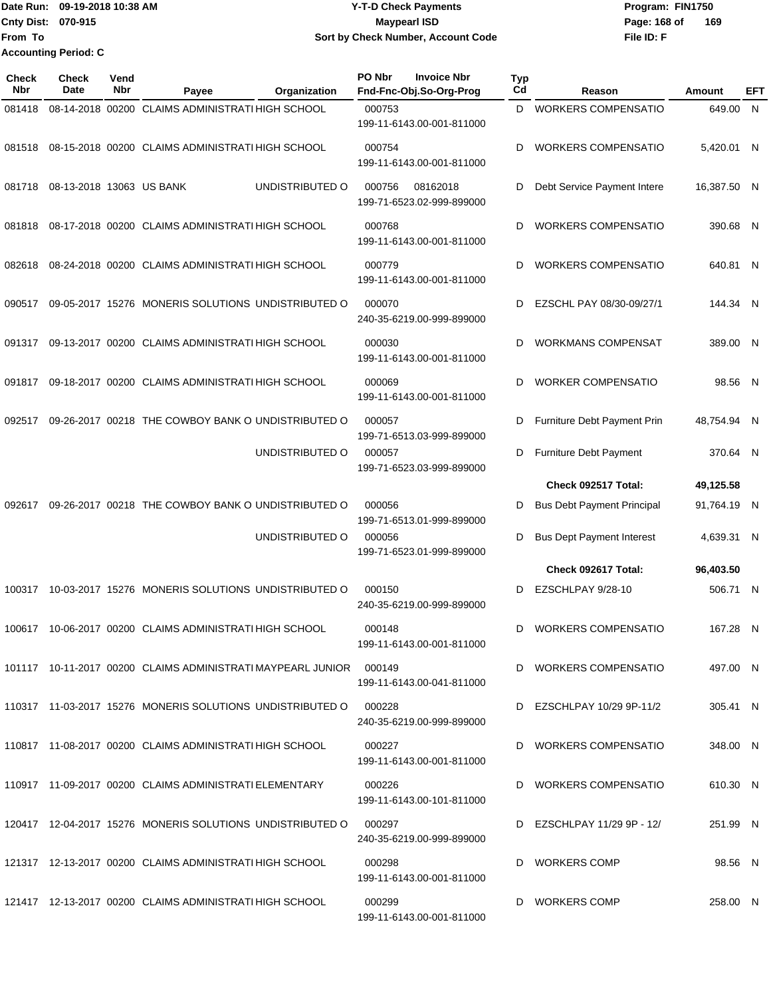Date Run: 09-19-2018 10:38 AM **CONTEX 18 AM CONTEX 18 AM CONTEX 18 AM CONTEX 18 AM CONTEX 19 AM CONTEX 19 AM CONTEX 19 AM CONTEX 19 AM CONTEX 19 AM CONTEX 19 AM CONTEX 19 AM CONTEX 19 AM CONTEX 19 AM CONTEX 19 AM CONTEX 19 Cnty Dist: 070-915 File ID: F From To 09-19-2018 10:38 AM Y-T-D Check Payments 070-915 Maypearl ISD Sort by Check Number, Account Code** Page: 168 of 169 **Accounting Period: C**

| Check<br>Nbr | Check<br>Date            | Vend<br>Nbr | Payee                                                       | Organization    | PO Nbr | <b>Invoice Nbr</b><br>Fnd-Fnc-Obj.So-Org-Prog | <b>Typ</b><br>Cd | Reason                            | Amount      | EFT |
|--------------|--------------------------|-------------|-------------------------------------------------------------|-----------------|--------|-----------------------------------------------|------------------|-----------------------------------|-------------|-----|
| 081418       |                          |             | 08-14-2018 00200 CLAIMS ADMINISTRATI HIGH SCHOOL            |                 | 000753 | 199-11-6143.00-001-811000                     | D                | <b>WORKERS COMPENSATIO</b>        | 649.00 N    |     |
| 081518       |                          |             | 08-15-2018 00200 CLAIMS ADMINISTRATI HIGH SCHOOL            |                 | 000754 | 199-11-6143.00-001-811000                     | D                | <b>WORKERS COMPENSATIO</b>        | 5,420.01 N  |     |
| 081718       | 08-13-2018 13063 US BANK |             |                                                             | UNDISTRIBUTED O | 000756 | 08162018<br>199-71-6523.02-999-899000         | D                | Debt Service Payment Intere       | 16,387.50 N |     |
| 081818       |                          |             | 08-17-2018 00200 CLAIMS ADMINISTRATI HIGH SCHOOL            |                 | 000768 | 199-11-6143.00-001-811000                     | D                | <b>WORKERS COMPENSATIO</b>        | 390.68 N    |     |
| 082618       |                          |             | 08-24-2018 00200 CLAIMS ADMINISTRATI HIGH SCHOOL            |                 | 000779 | 199-11-6143.00-001-811000                     | D                | <b>WORKERS COMPENSATIO</b>        | 640.81 N    |     |
| 090517       |                          |             | 09-05-2017 15276 MONERIS SOLUTIONS UNDISTRIBUTED O          |                 | 000070 | 240-35-6219.00-999-899000                     | D                | EZSCHL PAY 08/30-09/27/1          | 144.34 N    |     |
| 091317       |                          |             | 09-13-2017 00200 CLAIMS ADMINISTRATI HIGH SCHOOL            |                 | 000030 | 199-11-6143.00-001-811000                     | D                | <b>WORKMANS COMPENSAT</b>         | 389.00 N    |     |
| 091817       |                          |             | 09-18-2017 00200 CLAIMS ADMINISTRATI HIGH SCHOOL            |                 | 000069 | 199-11-6143.00-001-811000                     | D                | <b>WORKER COMPENSATIO</b>         | 98.56 N     |     |
| 092517       |                          |             | 09-26-2017 00218 THE COWBOY BANK O UNDISTRIBUTED O          |                 | 000057 | 199-71-6513.03-999-899000                     | D                | Furniture Debt Payment Prin       | 48,754.94 N |     |
|              |                          |             |                                                             | UNDISTRIBUTED O | 000057 | 199-71-6523.03-999-899000                     | D                | Furniture Debt Payment            | 370.64 N    |     |
|              |                          |             |                                                             |                 |        |                                               |                  | Check 092517 Total:               | 49,125.58   |     |
| 092617       |                          |             | 09-26-2017 00218 THE COWBOY BANK O UNDISTRIBUTED O          |                 | 000056 | 199-71-6513.01-999-899000                     | D                | <b>Bus Debt Payment Principal</b> | 91,764.19 N |     |
|              |                          |             |                                                             | UNDISTRIBUTED O | 000056 | 199-71-6523.01-999-899000                     | D                | <b>Bus Dept Payment Interest</b>  | 4,639.31 N  |     |
|              |                          |             |                                                             |                 |        |                                               |                  | Check 092617 Total:               | 96,403.50   |     |
| 100317       |                          |             | 10-03-2017 15276 MONERIS SOLUTIONS UNDISTRIBUTED O          |                 | 000150 | 240-35-6219.00-999-899000                     | D                | EZSCHLPAY 9/28-10                 | 506.71 N    |     |
| 100617       |                          |             | 10-06-2017 00200 CLAIMS ADMINISTRATI HIGH SCHOOL            |                 | 000148 | 199-11-6143.00-001-811000                     | D                | <b>WORKERS COMPENSATIO</b>        | 167.28 N    |     |
|              |                          |             | 101117 10-11-2017 00200 CLAIMS ADMINISTRATI MAYPEARL JUNIOR |                 | 000149 | 199-11-6143.00-041-811000                     |                  | D WORKERS COMPENSATIO             | 497.00 N    |     |
|              |                          |             | 110317 11-03-2017 15276 MONERIS SOLUTIONS UNDISTRIBUTED O   |                 | 000228 | 240-35-6219.00-999-899000                     |                  | D EZSCHLPAY 10/29 9P-11/2         | 305.41 N    |     |
|              |                          |             | 110817 11-08-2017 00200 CLAIMS ADMINISTRATI HIGH SCHOOL     |                 | 000227 | 199-11-6143.00-001-811000                     |                  | D WORKERS COMPENSATIO             | 348.00 N    |     |
|              |                          |             | 110917 11-09-2017 00200 CLAIMS ADMINISTRATI ELEMENTARY      |                 | 000226 | 199-11-6143.00-101-811000                     |                  | D WORKERS COMPENSATIO             | 610.30 N    |     |
|              |                          |             | 120417 12-04-2017 15276 MONERIS SOLUTIONS UNDISTRIBUTED O   |                 | 000297 | 240-35-6219.00-999-899000                     | D                | EZSCHLPAY 11/29 9P - 12/          | 251.99 N    |     |
|              |                          |             | 121317 12-13-2017 00200 CLAIMS ADMINISTRATI HIGH SCHOOL     |                 | 000298 | 199-11-6143.00-001-811000                     |                  | D WORKERS COMP                    | 98.56 N     |     |
|              |                          |             | 121417 12-13-2017 00200 CLAIMS ADMINISTRATI HIGH SCHOOL     |                 | 000299 | 199-11-6143.00-001-811000                     |                  | D WORKERS COMP                    | 258.00 N    |     |